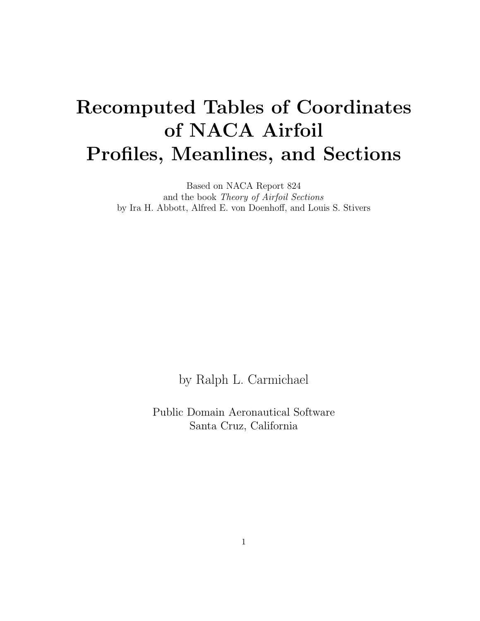## Recomputed Tables of Coordinates of NACA Airfoil Profiles, Meanlines, and Sections

Based on NACA Report 824 and the book Theory of Airfoil Sections by Ira H. Abbott, Alfred E. von Doenhoff, and Louis S. Stivers

by Ralph L. Carmichael

Public Domain Aeronautical Software Santa Cruz, California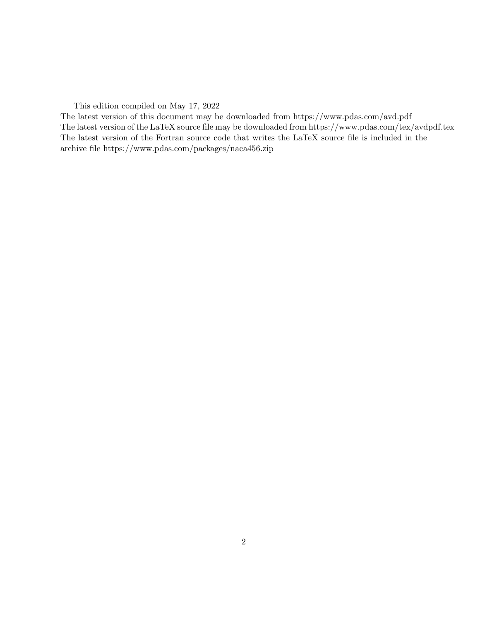This edition compiled on May 17, 2022

The latest version of this document may be downloaded from https://www.pdas.com/avd.pdf The latest version of the LaTeX source file may be downloaded from https://www.pdas.com/tex/avdpdf.tex The latest version of the Fortran source code that writes the LaTeX source file is included in the archive file https://www.pdas.com/packages/naca456.zip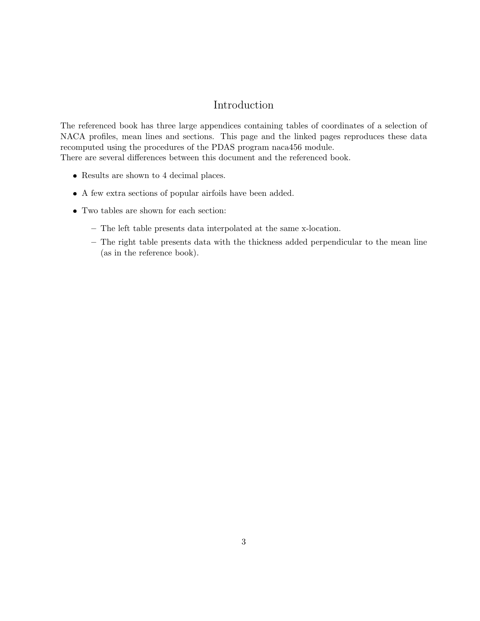#### Introduction

The referenced book has three large appendices containing tables of coordinates of a selection of NACA profiles, mean lines and sections. This page and the linked pages reproduces these data recomputed using the procedures of the PDAS program naca456 module. There are several differences between this document and the referenced book.

- Results are shown to 4 decimal places.
- A few extra sections of popular airfoils have been added.
- Two tables are shown for each section:
	- The left table presents data interpolated at the same x-location.
	- The right table presents data with the thickness added perpendicular to the mean line (as in the reference book).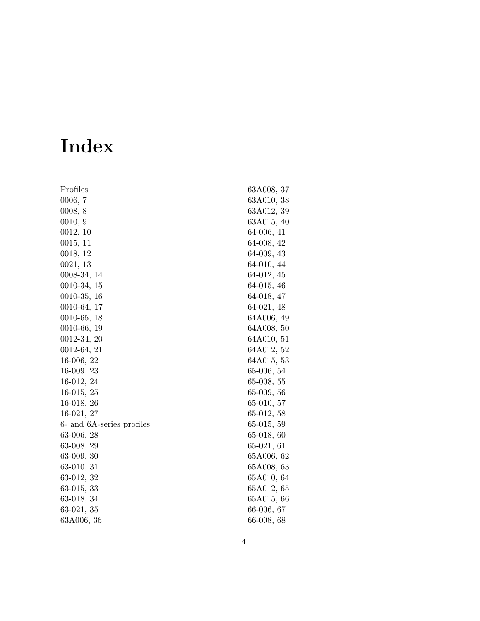# Index

| Profiles                  | 63A008, 37   |
|---------------------------|--------------|
| 0006, 7                   | 63A010, 38   |
| 0008, 8                   | 63A012, 39   |
| 0010, 9                   | 63A015, 40   |
| 0012, 10                  | 64-006, 41   |
| 0015, 11                  | 64-008, 42   |
| 0018, 12                  | 64-009, 43   |
| 0021, 13                  | 64-010, 44   |
| 0008-34, 14               | 64-012, 45   |
| $0010-34, 15$             | 64-015, 46   |
| $0010-35, 16$             | 64-018, 47   |
| 0010-64, 17               | 64-021, 48   |
| 0010-65, 18               | 64A006, 49   |
| $0010-66, 19$             | 64A008, 50   |
| $0012-34, 20$             | 64A010, 51   |
| $0012-64, 21$             | 64A012, 52   |
| $16-006, 22$              | 64A015, 53   |
| $16-009, 23$              | $65-006, 54$ |
| 16-012, 24                | $65-008, 55$ |
| $16-015, 25$              | $65-009, 56$ |
| $16-018, 26$              | 65-010, 57   |
| $16-021, 27$              | $65-012, 58$ |
| 6- and 6A-series profiles | $65-015, 59$ |
| 63-006, 28                | $65-018, 60$ |
| 63-008, 29                | $65-021, 61$ |
| 63-009, 30                | 65A006, 62   |
| 63-010, 31                | 65A008, 63   |
| 63-012, 32                | 65A010, 64   |
| $63-015, 33$              | 65A012, 65   |
| 63-018, 34                | 65A015, 66   |
| $63-021, 35$              | 66-006, 67   |
| 63A006, 36                | 66-008, 68   |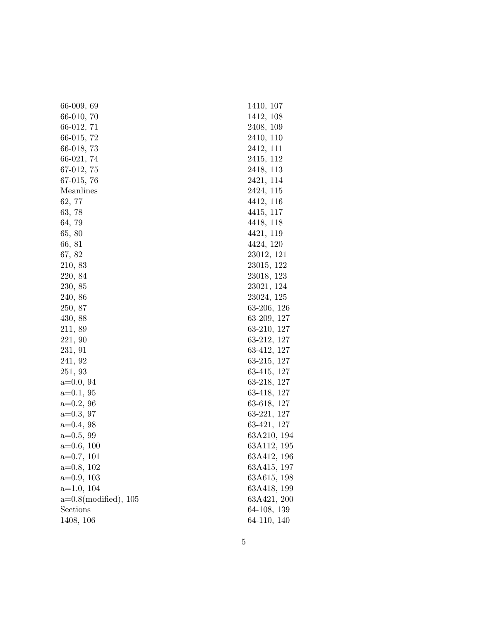| $66-009, 69$                    | 1410, 107     |
|---------------------------------|---------------|
| 66-010, 70                      | 1412, 108     |
| 66-012, 71                      | 2408, 109     |
| 66-015, 72                      | 2410, 110     |
| $66-018, 73$                    | 2412, 111     |
| $66-021, 74$                    | 2415, 112     |
| $67-012,75$                     | 2418, 113     |
| 67-015, 76                      | 2421, 114     |
| Meanlines                       | 2424, 115     |
| 62, 77                          | 4412, 116     |
| 63,78                           | 4415, 117     |
| 64, 79                          | 4418, 118     |
| 65, 80                          | 4421, 119     |
| 66, 81                          | 4424, 120     |
| 67, 82                          | 23012, 121    |
| 210, 83                         | 23015, 122    |
| 220, 84                         | 23018, 123    |
| 230, 85                         | 23021, 124    |
| 240, 86                         | 23024, 125    |
| 250, 87                         | $63-206, 126$ |
| 430, 88                         | 63-209, 127   |
| 211, 89                         | 63-210, 127   |
| 221, 90                         | 63-212, 127   |
| 231, 91                         | 63-412, 127   |
| 241, 92                         | 63-215, 127   |
| 251, 93                         | 63-415, 127   |
| $a=0.0, 94$                     | 63-218, 127   |
| $a=0.1, 95$                     | 63-418, 127   |
| $a=0.2, 96$                     | 63-618, 127   |
| $a=0.3, 97$                     | 63-221, 127   |
| $a=0.4, 98$                     | 63-421, 127   |
| $a=0.5, 99$                     | 63A210, 194   |
| $a=0.6, 100$                    | 63A112, 195   |
| $a=0.7, 101$                    | 63A412, 196   |
| $a=0.8, 102$                    | 63A415, 197   |
| $a=0.9, 103$                    | 63A615, 198   |
| $a=1.0, 104$                    | 63A418, 199   |
| $a=0.8 \text{(modified)}$ , 105 | 63A421, 200   |
| Sections                        | 64-108, 139   |
| 1408, 106                       | 64-110, 140   |
|                                 |               |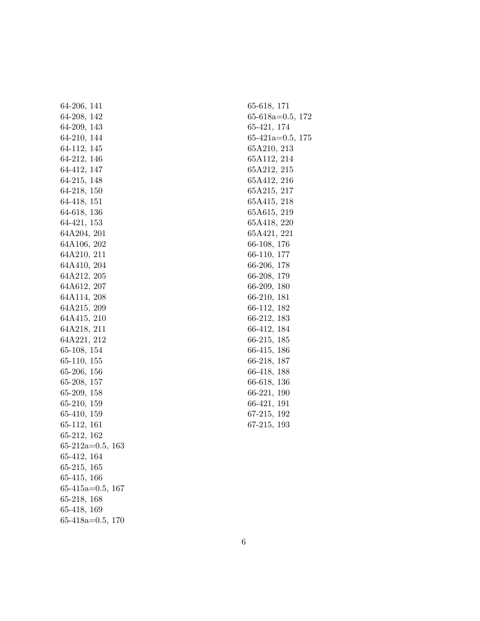| 64-206, 141                    |  |
|--------------------------------|--|
| 64-208, 142                    |  |
| 64-209, 143                    |  |
| 64-210, 144                    |  |
|                                |  |
| $64-112, 145$<br>$64-212, 146$ |  |
| 64-412, 147                    |  |
| 64-215, 148                    |  |
| $64-218, 150$                  |  |
| 64-418, 151                    |  |
| 64-618, 136                    |  |
| 64-421, 153                    |  |
| 64A204, 201                    |  |
| 64A106, 202                    |  |
| 64A210, 211                    |  |
| 64A410, 204<br>64A212, 205     |  |
|                                |  |
| 64A612, 207                    |  |
| 64A114, 208                    |  |
| 64A215, 209<br>64A415, 210     |  |
|                                |  |
| 64A218, 211                    |  |
| 64A221, 212                    |  |
| 65-108, 154                    |  |
| $65-110, 155$                  |  |
| 65-206, 156                    |  |
| 65-208, 157                    |  |
| $65-209, 158$<br>$65-210, 159$ |  |
|                                |  |
| 65-410, 159                    |  |
| 65-112, 161                    |  |
| 65-212, 162                    |  |
| $65-212a=0.5, 163$             |  |
| 65-412, 164                    |  |
| $65-215, 165$                  |  |
| 65-415, 166                    |  |
| $65-415a=0.5, 167$             |  |
| 65-218, 168                    |  |
| 65-418, 169                    |  |
| $65-418a=0.5, 170$             |  |

65-618, [171](#page-170-0) 65-618a=0.5, [172](#page-171-0) 65-421, [174](#page-173-0) 65-421a=0.5, [175](#page-174-0) 65A210, [213](#page-212-0) 65A112, [214](#page-213-0) 65A212, [215](#page-214-0) 65A412, [216](#page-215-0) 65A215, [217](#page-216-0) 65A415, [218](#page-217-0) 65A615, [219](#page-218-0) 65A418, [220](#page-219-0) 65A421, [221](#page-220-0) 66-108, [176](#page-175-0) 66-110, [177](#page-176-0) 66-206, [178](#page-177-0) 66-208, [179](#page-178-0) 66-209, [180](#page-179-0) 66-210, [181](#page-180-0) 66-112, [182](#page-181-0) 66-212, [183](#page-182-0) 66-412, [184](#page-183-0) 66-215, [185](#page-184-0) 66-415, [186](#page-185-0) 66-218, [187](#page-186-0) 66-418, [188](#page-187-0) 66-618, [136](#page-188-0) 66-221, [190](#page-189-0) 66-421, [191](#page-190-0) 67-215, [192](#page-191-0) 67-215, [193](#page-192-0)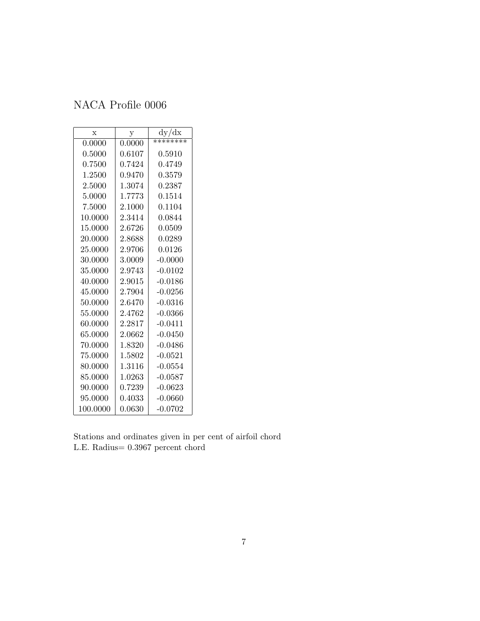<span id="page-6-0"></span>

| $\mathbf x$ | у      | dy/dx     |
|-------------|--------|-----------|
| 0.0000      | 0.0000 | ********  |
| 0.5000      | 0.6107 | 0.5910    |
| 0.7500      | 0.7424 | 0.4749    |
| 1.2500      | 0.9470 | 0.3579    |
| 2.5000      | 1.3074 | 0.2387    |
| 5.0000      | 1.7773 | 0.1514    |
| 7.5000      | 2.1000 | 0.1104    |
| 10.0000     | 2.3414 | 0.0844    |
| 15.0000     | 2.6726 | 0.0509    |
| 20.0000     | 2.8688 | 0.0289    |
| 25.0000     | 2.9706 | 0.0126    |
| 30.0000     | 3.0009 | $-0.0000$ |
| 35.0000     | 2.9743 | $-0.0102$ |
| 40.0000     | 2.9015 | $-0.0186$ |
| 45.0000     | 2.7904 | $-0.0256$ |
| 50.0000     | 2.6470 | $-0.0316$ |
| 55.0000     | 2.4762 | $-0.0366$ |
| 60.0000     | 2.2817 | $-0.0411$ |
| 65.0000     | 2.0662 | $-0.0450$ |
| 70.0000     | 1.8320 | $-0.0486$ |
| 75.0000     | 1.5802 | $-0.0521$ |
| 80.0000     | 1.3116 | $-0.0554$ |
| 85.0000     | 1.0263 | $-0.0587$ |
| 90.0000     | 0.7239 | $-0.0623$ |
| 95.0000     | 0.4033 | $-0.0660$ |
| 100.0000    | 0.0630 | $-0.0702$ |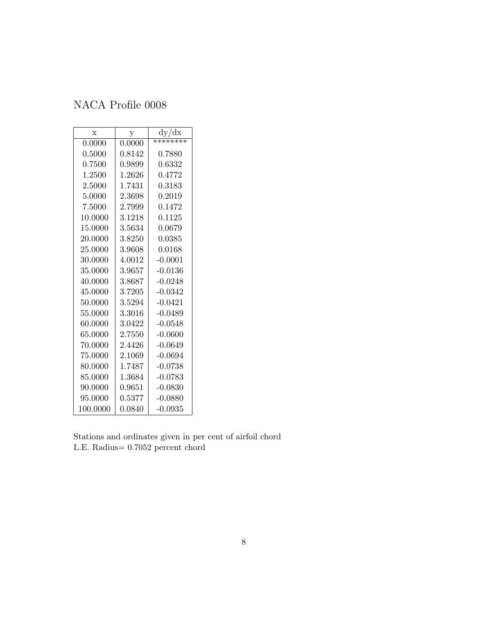<span id="page-7-0"></span>

| $\mathbf x$ | у            | dy/dx     |
|-------------|--------------|-----------|
| 0.0000      | 0.0000       | ********  |
| 0.5000      | 0.8142       | 0.7880    |
| 0.7500      | 0.9899       | 0.6332    |
| 1.2500      | 1.2626       | 0.4772    |
| 2.5000      | 1.7431       | 0.3183    |
| 5.0000      | 2.3698       | 0.2019    |
| 7.5000      | 2.7999       | 0.1472    |
| 10.0000     | 3.1218       | 0.1125    |
| $15.0000\,$ | 3.5634       | 0.0679    |
| 20.0000     | 3.8250       | 0.0385    |
| 25.0000     | 3.9608       | 0.0168    |
| 30.0000     | 4.0012       | $-0.0001$ |
| 35.0000     | 3.9657       | $-0.0136$ |
| 40.0000     | 3.8687       | $-0.0248$ |
| 45.0000     | 3.7205       | $-0.0342$ |
| 50.0000     | 3.5294       | $-0.0421$ |
| 55.0000     | 3.3016       | $-0.0489$ |
| 60.0000     | 3.0422       | $-0.0548$ |
| 65.0000     | 2.7550       | $-0.0600$ |
| 70.0000     | 2.4426       | $-0.0649$ |
| 75.0000     | 2.1069       | $-0.0694$ |
| 80.0000     | 1.7487       | $-0.0738$ |
| 85.0000     | 1.3684       | $-0.0783$ |
| 90.0000     | 0.9651       | -0.0830   |
| 95.0000     | $\;\:0.5377$ | $-0.0880$ |
| 100.0000    | 0.0840       | $-0.0935$ |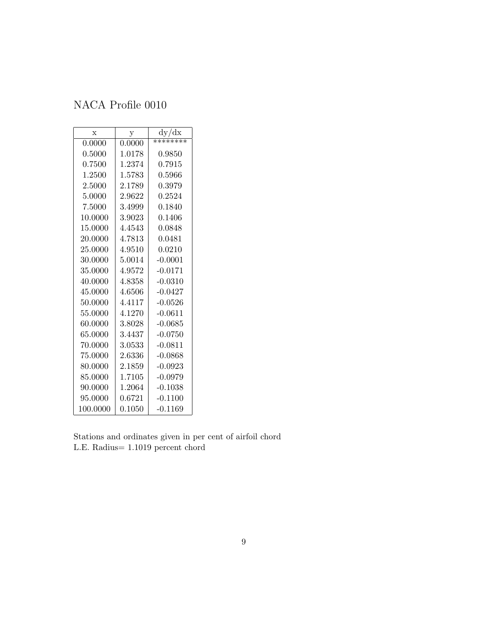<span id="page-8-0"></span>

| $\mathbf x$ | у      | dy/dx       |
|-------------|--------|-------------|
| 0.0000      | 0.0000 | ********    |
| 0.5000      | 1.0178 | 0.9850      |
| 0.7500      | 1.2374 | ${ 0.7915}$ |
| 1.2500      | 1.5783 | ${ 0.5966}$ |
| 2.5000      | 2.1789 | 0.3979      |
| 5.0000      | 2.9622 | 0.2524      |
| 7.5000      | 3.4999 | 0.1840      |
| 10.0000     | 3.9023 | 0.1406      |
| 15.0000     | 4.4543 | 0.0848      |
| 20.0000     | 4.7813 | 0.0481      |
| 25.0000     | 4.9510 | 0.0210      |
| 30.0000     | 5.0014 | $-0.0001$   |
| 35.0000     | 4.9572 | $-0.0171$   |
| 40.0000     | 4.8358 | $-0.0310$   |
| 45.0000     | 4.6506 | $-0.0427$   |
| 50.0000     | 4.4117 | $-0.0526$   |
| 55.0000     | 4.1270 | $-0.0611$   |
| 60.0000     | 3.8028 | $-0.0685$   |
| 65.0000     | 3.4437 | $-0.0750$   |
| 70.0000     | 3.0533 | $-0.0811$   |
| 75.0000     | 2.6336 | $-0.0868$   |
| 80.0000     | 2.1859 | $-0.0923$   |
| 85.0000     | 1.7105 | $-0.0979$   |
| 90.0000     | 1.2064 | $-0.1038$   |
| 95.0000     | 0.6721 | $-0.1100$   |
| 100.0000    | 0.1050 | $-0.1169$   |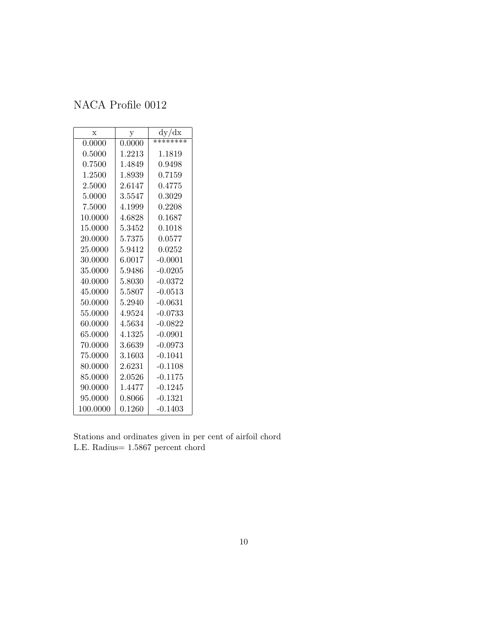<span id="page-9-0"></span>

| $\mathbf x$ | у      | dy/dx     |
|-------------|--------|-----------|
| 0.0000      | 0.0000 | ********  |
| 0.5000      | 1.2213 | 1.1819    |
| 0.7500      | 1.4849 | 0.9498    |
| 1.2500      | 1.8939 | 0.7159    |
| 2.5000      | 2.6147 | 0.4775    |
| 5.0000      | 3.5547 | 0.3029    |
| 7.5000      | 4.1999 | 0.2208    |
| 10.0000     | 4.6828 | 0.1687    |
| 15.0000     | 5.3452 | 0.1018    |
| 20.0000     | 5.7375 | 0.0577    |
| 25.0000     | 5.9412 | 0.0252    |
| 30.0000     | 6.0017 | $-0.0001$ |
| 35.0000     | 5.9486 | $-0.0205$ |
| 40.0000     | 5.8030 | $-0.0372$ |
| 45.0000     | 5.5807 | $-0.0513$ |
| 50.0000     | 5.2940 | $-0.0631$ |
| 55.0000     | 4.9524 | $-0.0733$ |
| 60.0000     | 4.5634 | $-0.0822$ |
| 65.0000     | 4.1325 | $-0.0901$ |
| 70.0000     | 3.6639 | $-0.0973$ |
| 75.0000     | 3.1603 | $-0.1041$ |
| 80.0000     | 2.6231 | $-0.1108$ |
| 85.0000     | 2.0526 | $-0.1175$ |
| 90.0000     | 1.4477 | $-0.1245$ |
| 95.0000     | 0.8066 | $-0.1321$ |
| 100.0000    | 0.1260 | $-0.1403$ |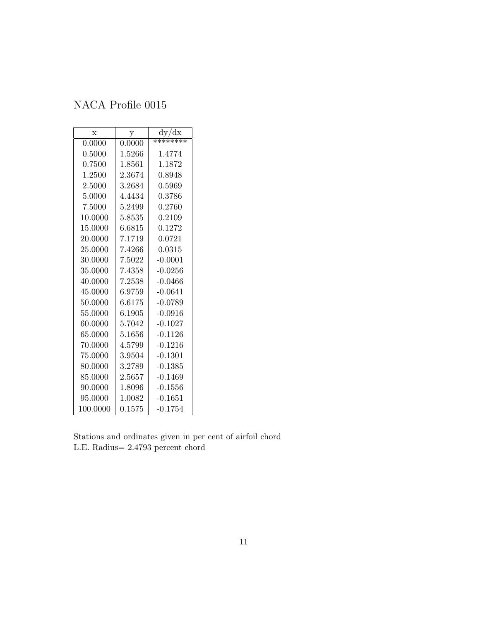<span id="page-10-0"></span>

| $\mathbf x$ | у          | dy/dx     |
|-------------|------------|-----------|
| 0.0000      | 0.0000     | ********  |
| 0.5000      | $1.5266\,$ | 1.4774    |
| 0.7500      | 1.8561     | 1.1872    |
| 1.2500      | 2.3674     | 0.8948    |
| 2.5000      | 3.2684     | 0.5969    |
| 5.0000      | 4.4434     | 0.3786    |
| 7.5000      | 5.2499     | 0.2760    |
| 10.0000     | 5.8535     | 0.2109    |
| 15.0000     | 6.6815     | 0.1272    |
| 20.0000     | 7.1719     | 0.0721    |
| 25.0000     | 7.4266     | 0.0315    |
| 30.0000     | 7.5022     | $-0.0001$ |
| 35.0000     | 7.4358     | $-0.0256$ |
| 40.0000     | 7.2538     | $-0.0466$ |
| 45.0000     | 6.9759     | $-0.0641$ |
| 50.0000     | 6.6175     | $-0.0789$ |
| 55.0000     | 6.1905     | $-0.0916$ |
| 60.0000     | 5.7042     | $-0.1027$ |
| 65.0000     | 5.1656     | $-0.1126$ |
| 70.0000     | 4.5799     | $-0.1216$ |
| 75.0000     | 3.9504     | $-0.1301$ |
| 80.0000     | 3.2789     | $-0.1385$ |
| 85.0000     | 2.5657     | $-0.1469$ |
| 90.0000     | 1.8096     | $-0.1556$ |
| 95.0000     | 1.0082     | $-0.1651$ |
| 100.0000    | 0.1575     | $-0.1754$ |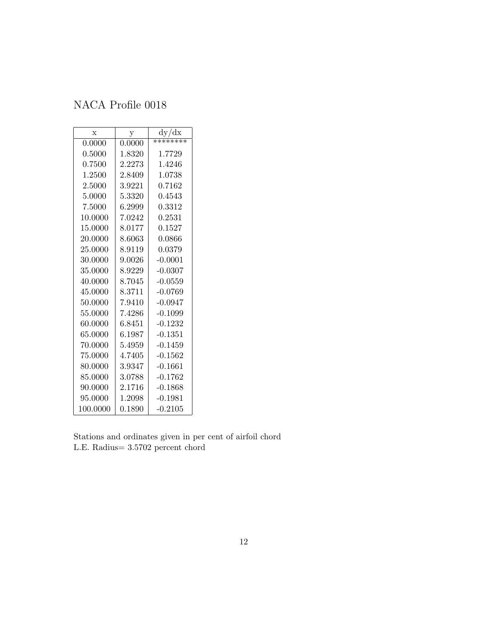<span id="page-11-0"></span>

| X        | у      | dy/dx       |
|----------|--------|-------------|
| 0.0000   | 0.0000 | ********    |
| 0.5000   | 1.8320 | 1.7729      |
| 0.7500   | 2.2273 | 1.4246      |
| 1.2500   | 2.8409 | 1.0738      |
| 2.5000   | 3.9221 | 0.7162      |
| 5.0000   | 5.3320 | 0.4543      |
| 7.5000   | 6.2999 | ${ 0.3312}$ |
| 10.0000  | 7.0242 | 0.2531      |
| 15.0000  | 8.0177 | 0.1527      |
| 20.0000  | 8.6063 | 0.0866      |
| 25.0000  | 8.9119 | 0.0379      |
| 30.0000  | 9.0026 | $-0.0001$   |
| 35.0000  | 8.9229 | $-0.0307$   |
| 40.0000  | 8.7045 | $-0.0559$   |
| 45.0000  | 8.3711 | $-0.0769$   |
| 50.0000  | 7.9410 | $-0.0947$   |
| 55.0000  | 7.4286 | $-0.1099$   |
| 60.0000  | 6.8451 | $-0.1232$   |
| 65.0000  | 6.1987 | $-0.1351$   |
| 70.0000  | 5.4959 | $-0.1459$   |
| 75.0000  | 4.7405 | $-0.1562$   |
| 80.0000  | 3.9347 | $-0.1661$   |
| 85.0000  | 3.0788 | $-0.1762$   |
| 90.0000  | 2.1716 | $-0.1868$   |
| 95.0000  | 1.2098 | $-0.1981$   |
| 100.0000 | 0.1890 | $-0.2105$   |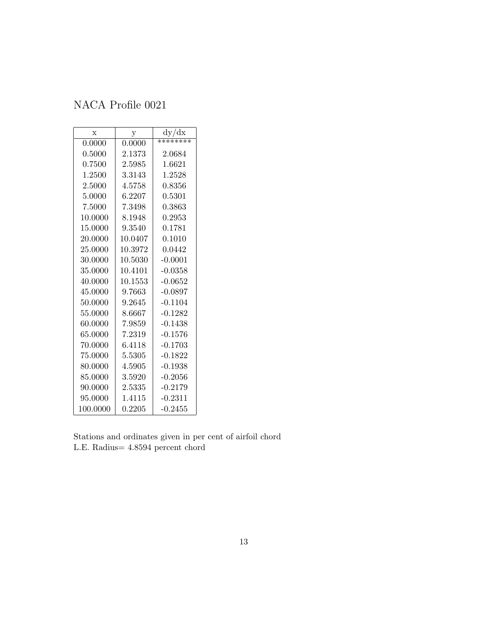<span id="page-12-0"></span>

| X        | у       | dy/dx      |
|----------|---------|------------|
| 0.0000   | 0.0000  | ********   |
| 0.5000   | 2.1373  | 2.0684     |
| 0.7500   | 2.5985  | 1.6621     |
| 1.2500   | 3.3143  | 1.2528     |
| 2.5000   | 4.5758  | ${0.8356}$ |
| 5.0000   | 6.2207  | 0.5301     |
| 7.5000   | 7.3498  | 0.3863     |
| 10.0000  | 8.1948  | 0.2953     |
| 15.0000  | 9.3540  | 0.1781     |
| 20.0000  | 10.0407 | 0.1010     |
| 25.0000  | 10.3972 | 0.0442     |
| 30.0000  | 10.5030 | $-0.0001$  |
| 35.0000  | 10.4101 | $-0.0358$  |
| 40.0000  | 10.1553 | $-0.0652$  |
| 45.0000  | 9.7663  | $-0.0897$  |
| 50.0000  | 9.2645  | $-0.1104$  |
| 55.0000  | 8.6667  | $-0.1282$  |
| 60.0000  | 7.9859  | $-0.1438$  |
| 65.0000  | 7.2319  | $-0.1576$  |
| 70.0000  | 6.4118  | $-0.1703$  |
| 75.0000  | 5.5305  | $-0.1822$  |
| 80.0000  | 4.5905  | $-0.1938$  |
| 85.0000  | 3.5920  | $-0.2056$  |
| 90.0000  | 2.5335  | $-0.2179$  |
| 95.0000  | 1.4115  | $-0.2311$  |
| 100.0000 | 0.2205  | $-0.2455$  |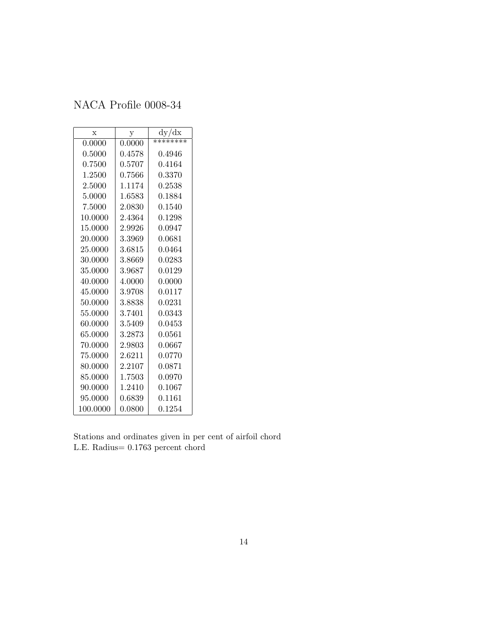<span id="page-13-0"></span>

| X        | у           | dy/dx    |
|----------|-------------|----------|
| 0.0000   | 0.0000      | ******** |
| 0.5000   | 0.4578      | 0.4946   |
| 0.7500   | 0.5707      | 0.4164   |
| 1.2500   | ${ 0.7566}$ | 0.3370   |
| 2.5000   | 1.1174      | 0.2538   |
| 5.0000   | 1.6583      | 0.1884   |
| 7.5000   | 2.0830      | 0.1540   |
| 10.0000  | 2.4364      | 0.1298   |
| 15.0000  | 2.9926      | 0.0947   |
| 20.0000  | 3.3969      | 0.0681   |
| 25.0000  | 3.6815      | 0.0464   |
| 30.0000  | 3.8669      | 0.0283   |
| 35.0000  | 3.9687      | 0.0129   |
| 40.0000  | 4.0000      | 0.0000   |
| 45.0000  | 3.9708      | 0.0117   |
| 50.0000  | 3.8838      | 0.0231   |
| 55.0000  | 3.7401      | 0.0343   |
| 60.0000  | 3.5409      | 0.0453   |
| 65.0000  | 3.2873      | 0.0561   |
| 70.0000  | 2.9803      | 0.0667   |
| 75.0000  | 2.6211      | 0.0770   |
| 80.0000  | 2.2107      | 0.0871   |
| 85.0000  | 1.7503      | 0.0970   |
| 90.0000  | 1.2410      | 0.1067   |
| 95.0000  | 0.6839      | 0.1161   |
| 100.0000 | 0.0800      | 0.1254   |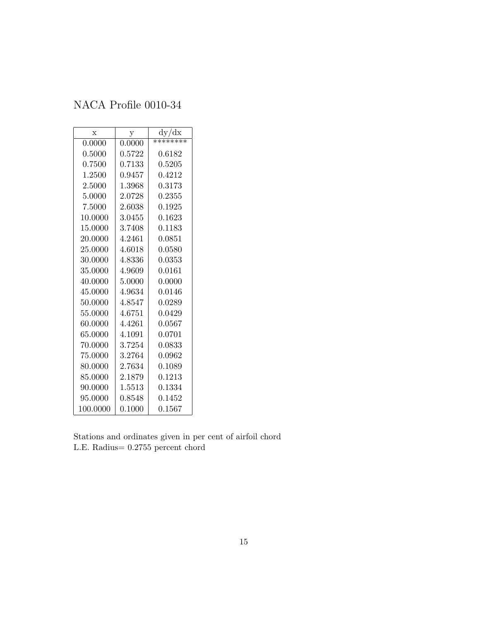<span id="page-14-0"></span>

| $\mathbf{x}$ | у      | dy/dx    |
|--------------|--------|----------|
| 0.0000       | 0.0000 | ******** |
| 0.5000       | 0.5722 | 0.6182   |
| 0.7500       | 0.7133 | 0.5205   |
| 1.2500       | 0.9457 | 0.4212   |
| 2.5000       | 1.3968 | 0.3173   |
| 5.0000       | 2.0728 | 0.2355   |
| 7.5000       | 2.6038 | 0.1925   |
| 10.0000      | 3.0455 | 0.1623   |
| 15.0000      | 3.7408 | 0.1183   |
| 20.0000      | 4.2461 | 0.0851   |
| 25.0000      | 4.6018 | 0.0580   |
| 30.0000      | 4.8336 | 0.0353   |
| 35.0000      | 4.9609 | 0.0161   |
| 40.0000      | 5.0000 | 0.0000   |
| 45.0000      | 4.9634 | 0.0146   |
| 50.0000      | 4.8547 | 0.0289   |
| 55.0000      | 4.6751 | 0.0429   |
| 60.0000      | 4.4261 | 0.0567   |
| 65.0000      | 4.1091 | 0.0701   |
| 70.0000      | 3.7254 | 0.0833   |
| 75.0000      | 3.2764 | 0.0962   |
| 80.0000      | 2.7634 | 0.1089   |
| 85.0000      | 2.1879 | 0.1213   |
| 90.0000      | 1.5513 | 0.1334   |
| 95.0000      | 0.8548 | 0.1452   |
| 100.0000     | 0.1000 | 0.1567   |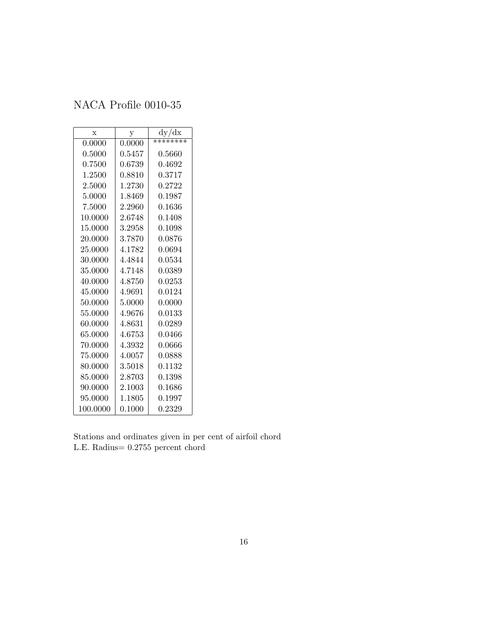<span id="page-15-0"></span>

| X        | у            | dy/dx       |
|----------|--------------|-------------|
| 0.0000   | 0.0000       | ********    |
| 0.5000   | $\;\:0.5457$ | ${ 0.5660}$ |
| 0.7500   | 0.6739       | 0.4692      |
| 1.2500   | 0.8810       | 0.3717      |
| 2.5000   | 1.2730       | 0.2722      |
| 5.0000   | 1.8469       | 0.1987      |
| 7.5000   | 2.2960       | 0.1636      |
| 10.0000  | 2.6748       | 0.1408      |
| 15.0000  | 3.2958       | 0.1098      |
| 20.0000  | 3.7870       | 0.0876      |
| 25.0000  | 4.1782       | 0.0694      |
| 30.0000  | 4.4844       | 0.0534      |
| 35.0000  | 4.7148       | 0.0389      |
| 40.0000  | 4.8750       | 0.0253      |
| 45.0000  | 4.9691       | 0.0124      |
| 50.0000  | 5.0000       | 0.0000      |
| 55.0000  | 4.9676       | 0.0133      |
| 60.0000  | 4.8631       | 0.0289      |
| 65.0000  | 4.6753       | 0.0466      |
| 70.0000  | 4.3932       | 0.0666      |
| 75.0000  | 4.0057       | 0.0888      |
| 80.0000  | 3.5018       | 0.1132      |
| 85.0000  | 2.8703       | 0.1398      |
| 90.0000  | 2.1003       | 0.1686      |
| 95.0000  | 1.1805       | 0.1997      |
| 100.0000 | 0.1000       | 0.2329      |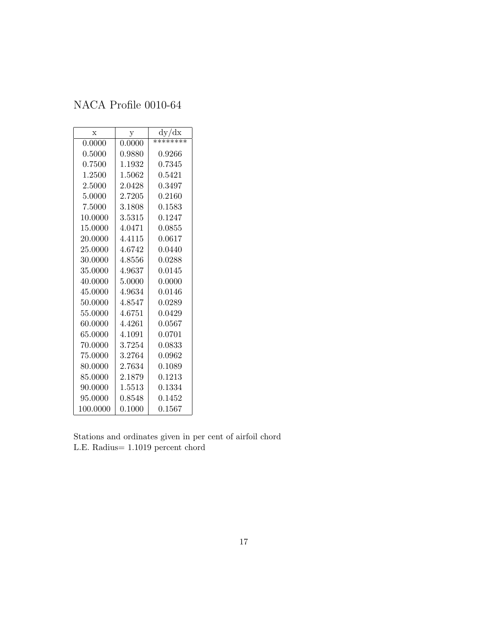<span id="page-16-0"></span>

| $\mathbf x$ | $\mathbf{y}$ | dy/dx    |
|-------------|--------------|----------|
| 0.0000      | 0.0000       | ******** |
| 0.5000      | 0.9880       | 0.9266   |
| 0.7500      | 1.1932       | 0.7345   |
| 1.2500      | 1.5062       | 0.5421   |
| 2.5000      | 2.0428       | 0.3497   |
| 5.0000      | 2.7205       | 0.2160   |
| 7.5000      | 3.1808       | 0.1583   |
| 10.0000     | 3.5315       | 0.1247   |
| 15.0000     | 4.0471       | 0.0855   |
| 20.0000     | 4.4115       | 0.0617   |
| 25.0000     | 4.6742       | 0.0440   |
| 30.0000     | 4.8556       | 0.0288   |
| 35.0000     | 4.9637       | 0.0145   |
| 40.0000     | 5.0000       | 0.0000   |
| 45.0000     | 4.9634       | 0.0146   |
| 50.0000     | 4.8547       | 0.0289   |
| 55.0000     | 4.6751       | 0.0429   |
| 60.0000     | 4.4261       | 0.0567   |
| 65.0000     | 4.1091       | 0.0701   |
| 70.0000     | 3.7254       | 0.0833   |
| 75.0000     | 3.2764       | 0.0962   |
| 80.0000     | 2.7634       | 0.1089   |
| 85.0000     | 2.1879       | 0.1213   |
| 90.0000     | 1.5513       | 0.1334   |
| 95.0000     | 0.8548       | 0.1452   |
| 100.0000    | 0.1000       | 0.1567   |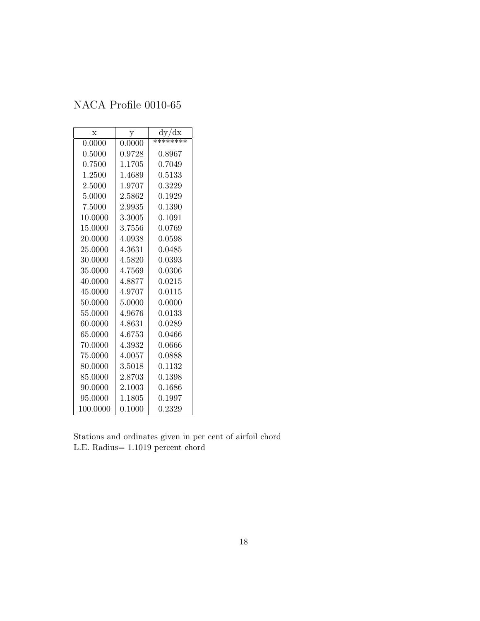<span id="page-17-0"></span>

| $\mathbf x$ | $\mathbf{y}$ | dy/dx    |
|-------------|--------------|----------|
| 0.0000      | 0.0000       | ******** |
| 0.5000      | 0.9728       | 0.8967   |
| 0.7500      | 1.1705       | 0.7049   |
| 1.2500      | 1.4689       | 0.5133   |
| 2.5000      | 1.9707       | 0.3229   |
| 5.0000      | 2.5862       | 0.1929   |
| 7.5000      | 2.9935       | 0.1390   |
| 10.0000     | 3.3005       | 0.1091   |
| 15.0000     | 3.7556       | 0.0769   |
| 20.0000     | 4.0938       | 0.0598   |
| 25.0000     | 4.3631       | 0.0485   |
| 30.0000     | 4.5820       | 0.0393   |
| 35.0000     | 4.7569       | 0.0306   |
| 40.0000     | 4.8877       | 0.0215   |
| 45.0000     | 4.9707       | 0.0115   |
| 50.0000     | 5.0000       | 0.0000   |
| 55.0000     | 4.9676       | 0.0133   |
| 60.0000     | 4.8631       | 0.0289   |
| 65.0000     | 4.6753       | 0.0466   |
| 70.0000     | 4.3932       | 0.0666   |
| 75.0000     | 4.0057       | 0.0888   |
| 80.0000     | 3.5018       | 0.1132   |
| 85.0000     | 2.8703       | 0.1398   |
| 90.0000     | $2.1003\,$   | 0.1686   |
| 95.0000     | 1.1805       | 0.1997   |
| 100.0000    | 0.1000       | 0.2329   |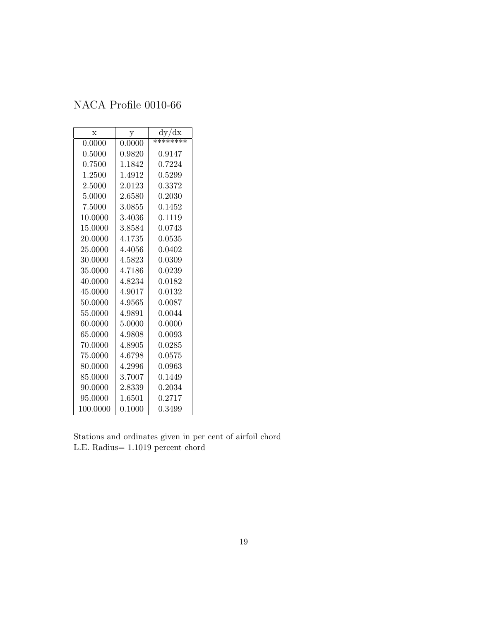<span id="page-18-0"></span>

| $\mathbf x$ | $\mathbf{y}$ | dy/dx    |
|-------------|--------------|----------|
| 0.0000      | 0.0000       | ******** |
| 0.5000      | 0.9820       | 0.9147   |
| 0.7500      | 1.1842       | 0.7224   |
| 1.2500      | 1.4912       | 0.5299   |
| 2.5000      | 2.0123       | 0.3372   |
| 5.0000      | 2.6580       | 0.2030   |
| 7.5000      | 3.0855       | 0.1452   |
| 10.0000     | 3.4036       | 0.1119   |
| 15.0000     | 3.8584       | 0.0743   |
| 20.0000     | 4.1735       | 0.0535   |
| 25.0000     | 4.4056       | 0.0402   |
| 30.0000     | 4.5823       | 0.0309   |
| 35.0000     | 4.7186       | 0.0239   |
| 40.0000     | 4.8234       | 0.0182   |
| 45.0000     | 4.9017       | 0.0132   |
| 50.0000     | 4.9565       | 0.0087   |
| 55.0000     | 4.9891       | 0.0044   |
| 60.0000     | 5.0000       | 0.0000   |
| 65.0000     | 4.9808       | 0.0093   |
| 70.0000     | 4.8905       | 0.0285   |
| 75.0000     | 4.6798       | 0.0575   |
| 80.0000     | 4.2996       | 0.0963   |
| 85.0000     | 3.7007       | 0.1449   |
| 90.0000     | $2.8339\,$   | 0.2034   |
| 95.0000     | 1.6501       | 0.2717   |
| 100.0000    | 0.1000       | 0.3499   |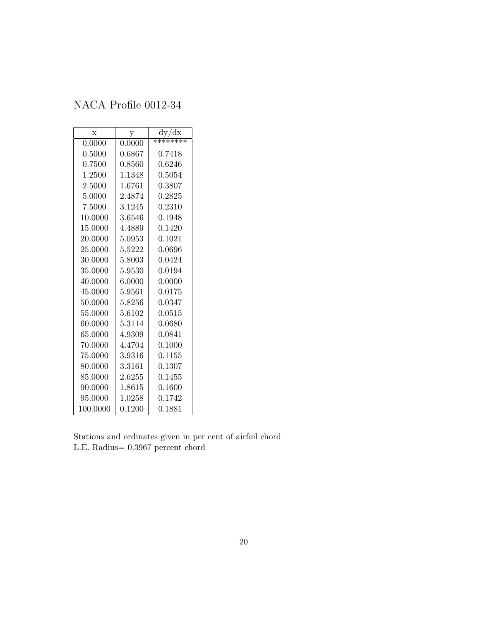<span id="page-19-0"></span>

| $\mathbf x$ | $\mathbf y$ | dy/dx    |
|-------------|-------------|----------|
| 0.0000      | 0.0000      | ******** |
| 0.5000      | 0.6867      | 0.7418   |
| 0.7500      | 0.8560      | 0.6246   |
| 1.2500      | 1.1348      | 0.5054   |
| 2.5000      | 1.6761      | 0.3807   |
| 5.0000      | 2.4874      | 0.2825   |
| 7.5000      | 3.1245      | 0.2310   |
| 10.0000     | 3.6546      | 0.1948   |
| 15.0000     | 4.4889      | 0.1420   |
| 20.0000     | 5.0953      | 0.1021   |
| 25.0000     | 5.5222      | 0.0696   |
| 30.0000     | 5.8003      | 0.0424   |
| 35.0000     | 5.9530      | 0.0194   |
| 40.0000     | 6.0000      | 0.0000   |
| 45.0000     | 5.9561      | 0.0175   |
| 50.0000     | 5.8256      | 0.0347   |
| 55.0000     | 5.6102      | 0.0515   |
| 60.0000     | 5.3114      | 0.0680   |
| 65.0000     | 4.9309      | 0.0841   |
| 70.0000     | 4.4704      | 0.1000   |
| 75.0000     | 3.9316      | 0.1155   |
| 80.0000     | 3.3161      | 0.1307   |
| 85.0000     | 2.6255      | 0.1455   |
| 90.0000     | 1.8615      | 0.1600   |
| 95.0000     | 1.0258      | 0.1742   |
| 100.0000    | 0.1200      | 0.1881   |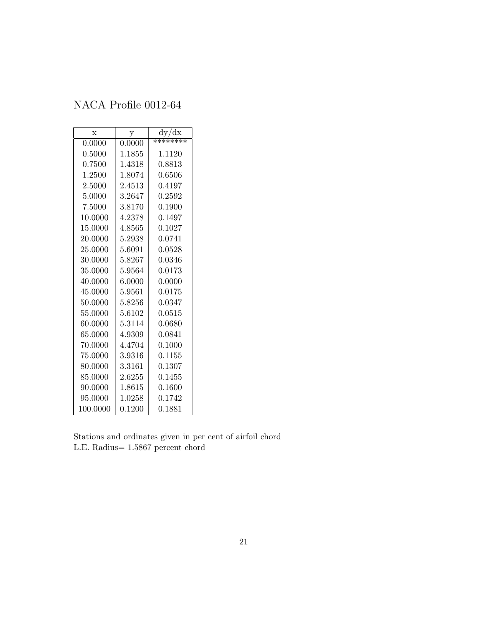<span id="page-20-0"></span>

| $\mathbf x$ | y      | dy/dx    |
|-------------|--------|----------|
| 0.0000      | 0.0000 | ******** |
| 0.5000      | 1.1855 | 1.1120   |
| 0.7500      | 1.4318 | 0.8813   |
| 1.2500      | 1.8074 | 0.6506   |
| 2.5000      | 2.4513 | 0.4197   |
| 5.0000      | 3.2647 | 0.2592   |
| 7.5000      | 3.8170 | 0.1900   |
| 10.0000     | 4.2378 | 0.1497   |
| 15.0000     | 4.8565 | 0.1027   |
| 20.0000     | 5.2938 | 0.0741   |
| 25.0000     | 5.6091 | 0.0528   |
| 30.0000     | 5.8267 | 0.0346   |
| 35.0000     | 5.9564 | 0.0173   |
| 40.0000     | 6.0000 | 0.0000   |
| 45.0000     | 5.9561 | 0.0175   |
| 50.0000     | 5.8256 | 0.0347   |
| 55.0000     | 5.6102 | 0.0515   |
| 60.0000     | 5.3114 | 0.0680   |
| 65.0000     | 4.9309 | 0.0841   |
| 70.0000     | 4.4704 | 0.1000   |
| 75.0000     | 3.9316 | 0.1155   |
| 80.0000     | 3.3161 | 0.1307   |
| 85.0000     | 2.6255 | 0.1455   |
| 90.0000     | 1.8615 | 0.1600   |
| 95.0000     | 1.0258 | 0.1742   |
| 100.0000    | 0.1200 | 0.1881   |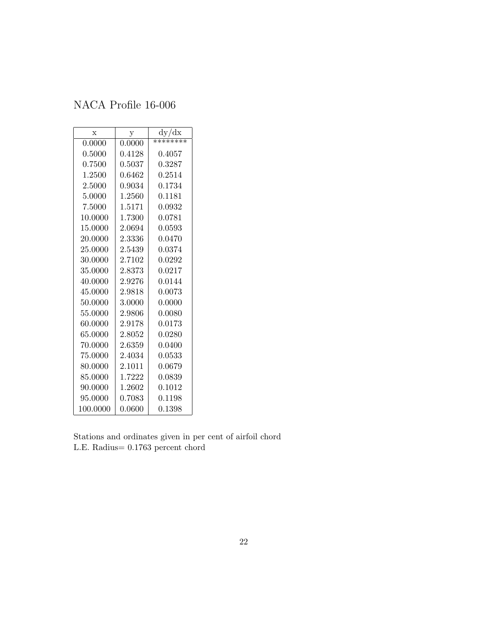<span id="page-21-0"></span>

| $\mathbf x$ | у           | dy/dx    |
|-------------|-------------|----------|
| 0.0000      | 0.0000      | ******** |
| 0.5000      | 0.4128      | 0.4057   |
| 0.7500      | 0.5037      | 0.3287   |
| 1.2500      | 0.6462      | 0.2514   |
| 2.5000      | ${ 0.9034}$ | 0.1734   |
| 5.0000      | 1.2560      | 0.1181   |
| 7.5000      | 1.5171      | 0.0932   |
| 10.0000     | 1.7300      | 0.0781   |
| 15.0000     | 2.0694      | 0.0593   |
| 20.0000     | 2.3336      | 0.0470   |
| 25.0000     | 2.5439      | 0.0374   |
| 30.0000     | 2.7102      | 0.0292   |
| 35.0000     | 2.8373      | 0.0217   |
| 40.0000     | 2.9276      | 0.0144   |
| 45.0000     | 2.9818      | 0.0073   |
| 50.0000     | 3.0000      | 0.0000   |
| 55.0000     | 2.9806      | 0.0080   |
| 60.0000     | 2.9178      | 0.0173   |
| 65.0000     | 2.8052      | 0.0280   |
| 70.0000     | 2.6359      | 0.0400   |
| 75.0000     | 2.4034      | 0.0533   |
| 80.0000     | 2.1011      | 0.0679   |
| 85.0000     | 1.7222      | 0.0839   |
| 90.0000     | 1.2602      | 0.1012   |
| 95.0000     | 0.7083      | 0.1198   |
| 100.0000    | 0.0600      | 0.1398   |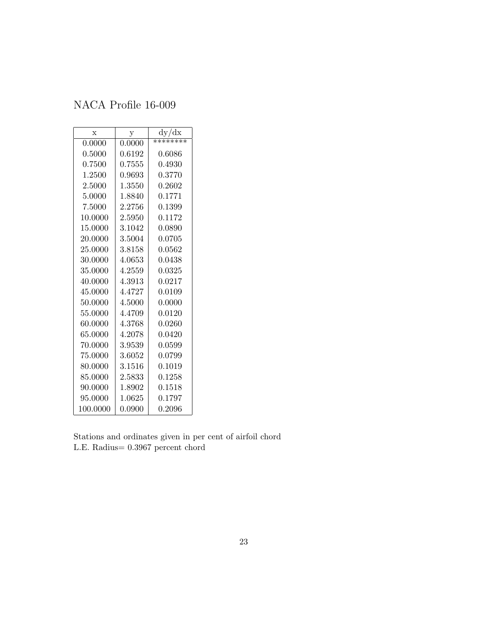<span id="page-22-0"></span>

| $\mathbf x$ | у          | dy/dx    |
|-------------|------------|----------|
| 0.0000      | 0.0000     | ******** |
| 0.5000      | 0.6192     | 0.6086   |
| 0.7500      | 0.7555     | 0.4930   |
| 1.2500      | ${0.9693}$ | 0.3770   |
| 2.5000      | 1.3550     | 0.2602   |
| 5.0000      | 1.8840     | 0.1771   |
| 7.5000      | 2.2756     | 0.1399   |
| 10.0000     | 2.5950     | 0.1172   |
| 15.0000     | 3.1042     | 0.0890   |
| 20.0000     | 3.5004     | 0.0705   |
| 25.0000     | 3.8158     | 0.0562   |
| 30.0000     | 4.0653     | 0.0438   |
| 35.0000     | 4.2559     | 0.0325   |
| 40.0000     | 4.3913     | 0.0217   |
| 45.0000     | 4.4727     | 0.0109   |
| 50.0000     | $4.5000\,$ | 0.0000   |
| 55.0000     | 4.4709     | 0.0120   |
| 60.0000     | 4.3768     | 0.0260   |
| 65.0000     | 4.2078     | 0.0420   |
| 70.0000     | 3.9539     | 0.0599   |
| 75.0000     | 3.6052     | 0.0799   |
| 80.0000     | 3.1516     | 0.1019   |
| 85.0000     | 2.5833     | 0.1258   |
| 90.0000     | 1.8902     | 0.1518   |
| 95.0000     | 1.0625     | 0.1797   |
| 100.0000    | 0.0900     | 0.2096   |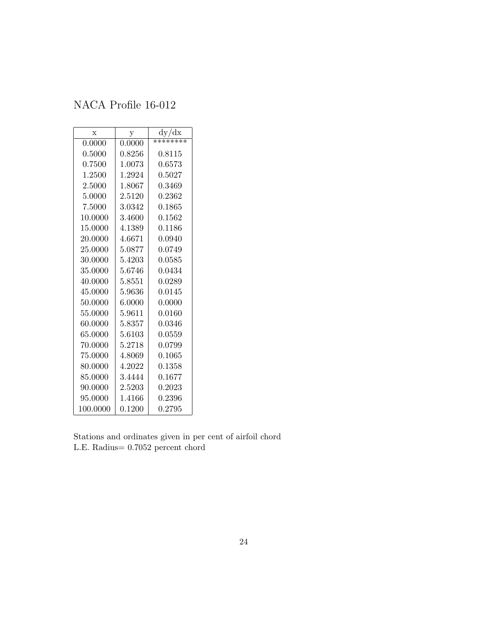<span id="page-23-0"></span>

| $\mathbf x$ | $\mathbf{y}$ | dy/dx    |
|-------------|--------------|----------|
| 0.0000      | 0.0000       | ******** |
| 0.5000      | 0.8256       | 0.8115   |
| 0.7500      | 1.0073       | 0.6573   |
| 1.2500      | 1.2924       | 0.5027   |
| 2.5000      | 1.8067       | 0.3469   |
| 5.0000      | 2.5120       | 0.2362   |
| 7.5000      | 3.0342       | 0.1865   |
| 10.0000     | 3.4600       | 0.1562   |
| 15.0000     | 4.1389       | 0.1186   |
| 20.0000     | 4.6671       | 0.0940   |
| 25.0000     | 5.0877       | 0.0749   |
| 30.0000     | 5.4203       | 0.0585   |
| 35.0000     | 5.6746       | 0.0434   |
| 40.0000     | 5.8551       | 0.0289   |
| 45.0000     | 5.9636       | 0.0145   |
| 50.0000     | 6.0000       | 0.0000   |
| 55.0000     | 5.9611       | 0.0160   |
| 60.0000     | 5.8357       | 0.0346   |
| 65.0000     | 5.6103       | 0.0559   |
| 70.0000     | 5.2718       | 0.0799   |
| 75.0000     | 4.8069       | 0.1065   |
| 80.0000     | 4.2022       | 0.1358   |
| 85.0000     | 3.4444       | 0.1677   |
| 90.0000     | $2.5203\,$   | 0.2023   |
| 95.0000     | 1.4166       | 0.2396   |
| 100.0000    | 0.1200       | 0.2795   |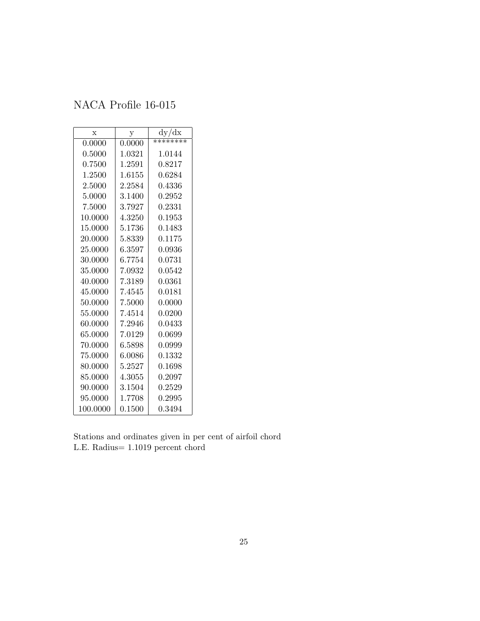<span id="page-24-0"></span>

| X        | у      | dy/dx    |
|----------|--------|----------|
| 0.0000   | 0.0000 | ******** |
| 0.5000   | 1.0321 | 1.0144   |
| 0.7500   | 1.2591 | 0.8217   |
| 1.2500   | 1.6155 | 0.6284   |
| 2.5000   | 2.2584 | 0.4336   |
| 5.0000   | 3.1400 | 0.2952   |
| 7.5000   | 3.7927 | 0.2331   |
| 10.0000  | 4.3250 | 0.1953   |
| 15.0000  | 5.1736 | 0.1483   |
| 20.0000  | 5.8339 | 0.1175   |
| 25.0000  | 6.3597 | 0.0936   |
| 30.0000  | 6.7754 | 0.0731   |
| 35.0000  | 7.0932 | 0.0542   |
| 40.0000  | 7.3189 | 0.0361   |
| 45.0000  | 7.4545 | 0.0181   |
| 50.0000  | 7.5000 | 0.0000   |
| 55.0000  | 7.4514 | 0.0200   |
| 60.0000  | 7.2946 | 0.0433   |
| 65.0000  | 7.0129 | 0.0699   |
| 70.0000  | 6.5898 | 0.0999   |
| 75.0000  | 6.0086 | 0.1332   |
| 80.0000  | 5.2527 | 0.1698   |
| 85.0000  | 4.3055 | 0.2097   |
| 90.0000  | 3.1504 | 0.2529   |
| 95.0000  | 1.7708 | 0.2995   |
| 100.0000 | 0.1500 | 0.3494   |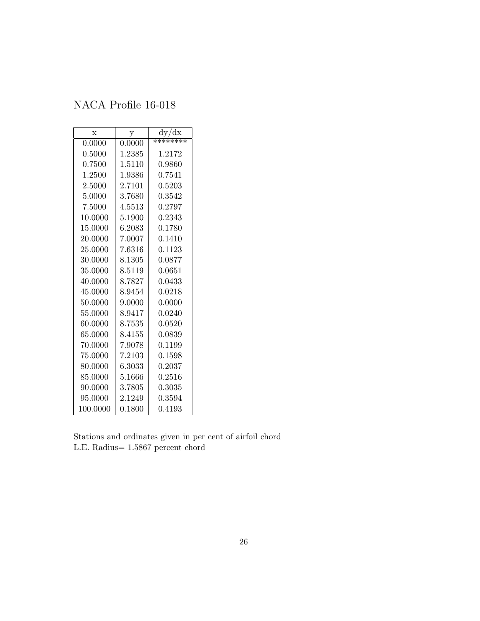<span id="page-25-0"></span>

| $\mathbf x$ | $\mathbf{y}$ | dy/dx    |
|-------------|--------------|----------|
| 0.0000      | 0.0000       | ******** |
| 0.5000      | 1.2385       | 1.2172   |
| 0.7500      | 1.5110       | 0.9860   |
| 1.2500      | 1.9386       | 0.7541   |
| 2.5000      | 2.7101       | 0.5203   |
| 5.0000      | 3.7680       | 0.3542   |
| 7.5000      | 4.5513       | 0.2797   |
| 10.0000     | 5.1900       | 0.2343   |
| 15.0000     | 6.2083       | 0.1780   |
| 20.0000     | 7.0007       | 0.1410   |
| 25.0000     | 7.6316       | 0.1123   |
| 30.0000     | 8.1305       | 0.0877   |
| 35.0000     | 8.5119       | 0.0651   |
| 40.0000     | 8.7827       | 0.0433   |
| 45.0000     | 8.9454       | 0.0218   |
| 50.0000     | 9.0000       | 0.0000   |
| 55.0000     | 8.9417       | 0.0240   |
| 60.0000     | 8.7535       | 0.0520   |
| 65.0000     | 8.4155       | 0.0839   |
| 70.0000     | 7.9078       | 0.1199   |
| 75.0000     | 7.2103       | 0.1598   |
| 80.0000     | 6.3033       | 0.2037   |
| 85.0000     | 5.1666       | 0.2516   |
| 90.0000     | 3.7805       | 0.3035   |
| 95.0000     | 2.1249       | 0.3594   |
| 100.0000    | 0.1800       | 0.4193   |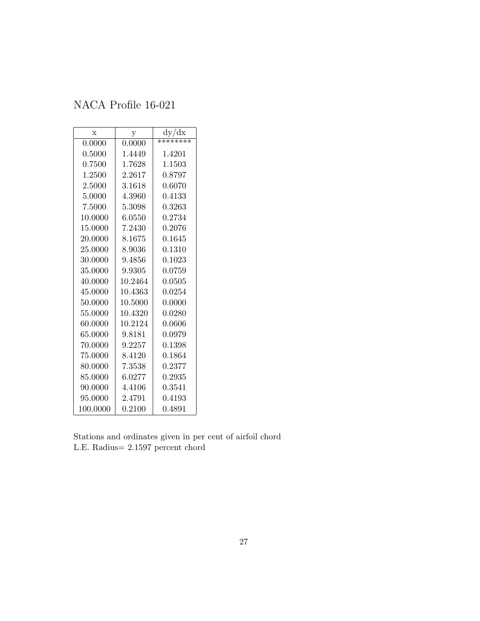<span id="page-26-0"></span>

| $\mathbf x$ | у       | dy/dx        |
|-------------|---------|--------------|
| 0.0000      | 0.0000  | ********     |
| 0.5000      | 1.4449  | 1.4201       |
| 0.7500      | 1.7628  | 1.1503       |
| 1.2500      | 2.2617  | 0.8797       |
| 2.5000      | 3.1618  | 0.6070       |
| 5.0000      | 4.3960  | 0.4133       |
| 7.5000      | 5.3098  | $\,0.3263\,$ |
| 10.0000     | 6.0550  | 0.2734       |
| 15.0000     | 7.2430  | 0.2076       |
| 20.0000     | 8.1675  | 0.1645       |
| 25.0000     | 8.9036  | 0.1310       |
| 30.0000     | 9.4856  | 0.1023       |
| 35.0000     | 9.9305  | 0.0759       |
| 40.0000     | 10.2464 | 0.0505       |
| 45.0000     | 10.4363 | 0.0254       |
| 50.0000     | 10.5000 | 0.0000       |
| 55.0000     | 10.4320 | 0.0280       |
| 60.0000     | 10.2124 | 0.0606       |
| 65.0000     | 9.8181  | 0.0979       |
| 70.0000     | 9.2257  | 0.1398       |
| 75.0000     | 8.4120  | 0.1864       |
| 80.0000     | 7.3538  | 0.2377       |
| 85.0000     | 6.0277  | ${0.2935}$   |
| 90.0000     | 4.4106  | 0.3541       |
| 95.0000     | 2.4791  | 0.4193       |
| 100.0000    | 0.2100  | 0.4891       |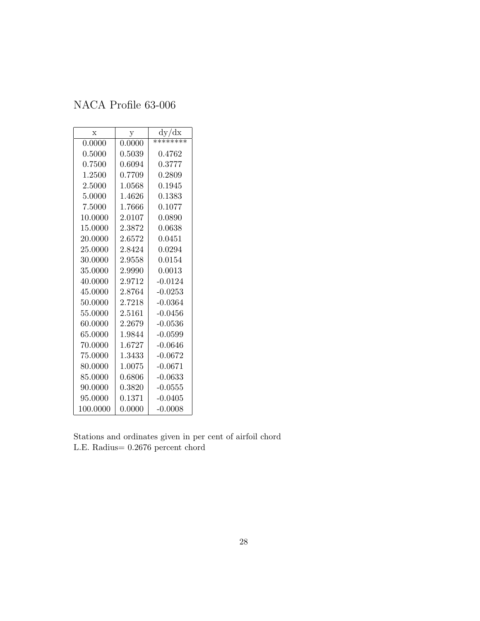<span id="page-27-0"></span>

| X        | у      | dy/dx     |
|----------|--------|-----------|
| 0.0000   | 0.0000 | ********  |
| 0.5000   | 0.5039 | 0.4762    |
| 0.7500   | 0.6094 | 0.3777    |
| 1.2500   | 0.7709 | 0.2809    |
| 2.5000   | 1.0568 | 0.1945    |
| 5.0000   | 1.4626 | 0.1383    |
| 7.5000   | 1.7666 | 0.1077    |
| 10.0000  | 2.0107 | 0.0890    |
| 15.0000  | 2.3872 | 0.0638    |
| 20.0000  | 2.6572 | 0.0451    |
| 25.0000  | 2.8424 | 0.0294    |
| 30.0000  | 2.9558 | 0.0154    |
| 35.0000  | 2.9990 | 0.0013    |
| 40.0000  | 2.9712 | $-0.0124$ |
| 45.0000  | 2.8764 | $-0.0253$ |
| 50.0000  | 2.7218 | $-0.0364$ |
| 55.0000  | 2.5161 | -0.0456   |
| 60.0000  | 2.2679 | -0.0536   |
| 65.0000  | 1.9844 | $-0.0599$ |
| 70.0000  | 1.6727 | $-0.0646$ |
| 75.0000  | 1.3433 | $-0.0672$ |
| 80.0000  | 1.0075 | $-0.0671$ |
| 85.0000  | 0.6806 | $-0.0633$ |
| 90.0000  | 0.3820 | $-0.0555$ |
| 95.0000  | 0.1371 | $-0.0405$ |
| 100.0000 | 0.0000 | $-0.0008$ |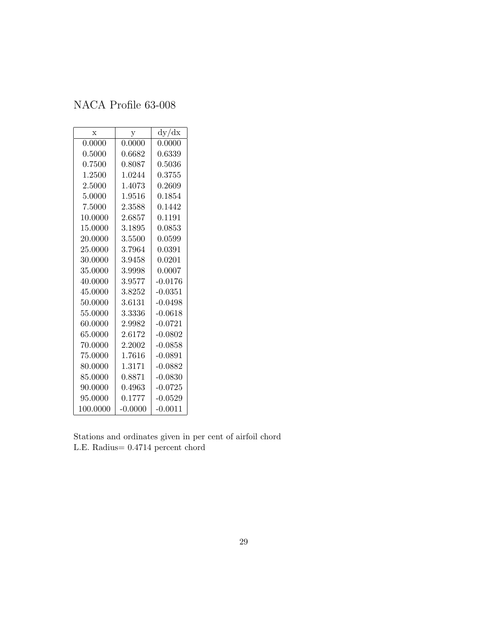<span id="page-28-0"></span>

| $\mathbf x$ | у         | dy/dx     |
|-------------|-----------|-----------|
| 0.0000      | 0.0000    | 0.0000    |
| 0.5000      | 0.6682    | 0.6339    |
| 0.7500      | 0.8087    | 0.5036    |
| 1.2500      | 1.0244    | 0.3755    |
| 2.5000      | 1.4073    | 0.2609    |
| 5.0000      | 1.9516    | 0.1854    |
| 7.5000      | 2.3588    | 0.1442    |
| 10.0000     | 2.6857    | 0.1191    |
| 15.0000     | 3.1895    | 0.0853    |
| 20.0000     | 3.5500    | 0.0599    |
| 25.0000     | 3.7964    | 0.0391    |
| 30.0000     | 3.9458    | 0.0201    |
| 35.0000     | 3.9998    | 0.0007    |
| 40.0000     | 3.9577    | $-0.0176$ |
| 45.0000     | 3.8252    | $-0.0351$ |
| 50.0000     | 3.6131    | $-0.0498$ |
| 55.0000     | 3.3336    | $-0.0618$ |
| 60.0000     | 2.9982    | $-0.0721$ |
| 65.0000     | 2.6172    | $-0.0802$ |
| 70.0000     | 2.2002    | $-0.0858$ |
| 75.0000     | 1.7616    | $-0.0891$ |
| 80.0000     | 1.3171    | $-0.0882$ |
| 85.0000     | 0.8871    | $-0.0830$ |
| 90.0000     | 0.4963    | $-0.0725$ |
| 95.0000     | 0.1777    | $-0.0529$ |
| 100.0000    | $-0.0000$ | $-0.0011$ |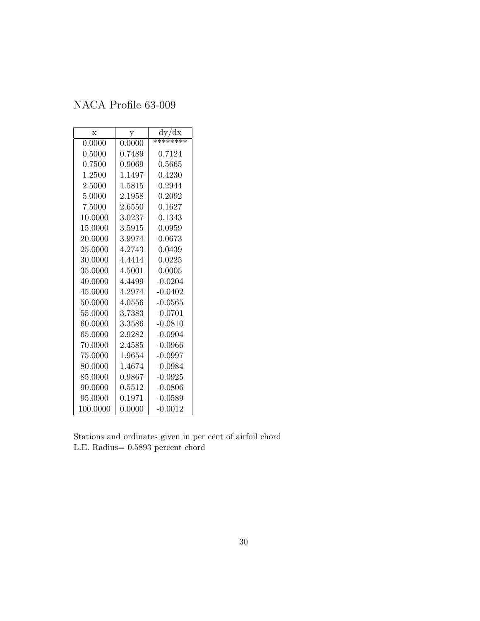<span id="page-29-0"></span>

| X        | у      | dy/dx          |
|----------|--------|----------------|
| 0.0000   | 0.0000 | ********       |
| 0.5000   | 0.7489 | 0.7124         |
| 0.7500   | 0.9069 | $\, 0.5665 \,$ |
| 1.2500   | 1.1497 | 0.4230         |
| 2.5000   | 1.5815 | 0.2944         |
| 5.0000   | 2.1958 | 0.2092         |
| 7.5000   | 2.6550 | 0.1627         |
| 10.0000  | 3.0237 | 0.1343         |
| 15.0000  | 3.5915 | 0.0959         |
| 20.0000  | 3.9974 | 0.0673         |
| 25.0000  | 4.2743 | 0.0439         |
| 30.0000  | 4.4414 | 0.0225         |
| 35.0000  | 4.5001 | 0.0005         |
| 40.0000  | 4.4499 | $-0.0204$      |
| 45.0000  | 4.2974 | $-0.0402$      |
| 50.0000  | 4.0556 | $-0.0565$      |
| 55.0000  | 3.7383 | $-0.0701$      |
| 60.0000  | 3.3586 | $-0.0810$      |
| 65.0000  | 2.9282 | $-0.0904$      |
| 70.0000  | 2.4585 | $-0.0966$      |
| 75.0000  | 1.9654 | $-0.0997$      |
| 80.0000  | 1.4674 | $-0.0984$      |
| 85.0000  | 0.9867 | $-0.0925$      |
| 90.0000  | 0.5512 | $-0.0806$      |
| 95.0000  | 0.1971 | $-0.0589$      |
| 100.0000 | 0.0000 | $-0.0012$      |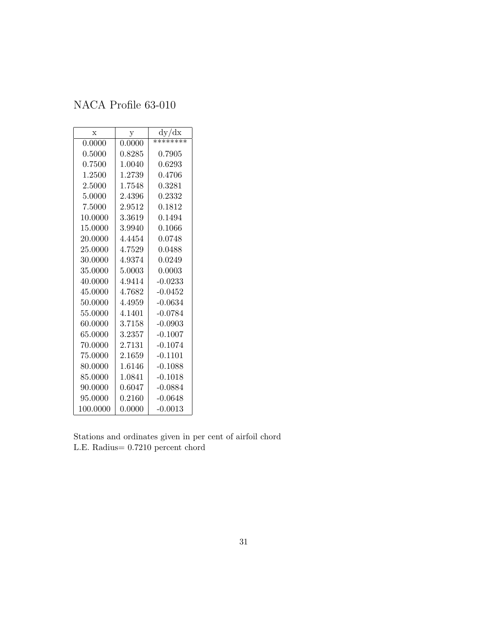<span id="page-30-0"></span>

| $\mathbf x$ | у      | dy/dx     |
|-------------|--------|-----------|
| 0.0000      | 0.0000 | ********  |
| 0.5000      | 0.8285 | 0.7905    |
| 0.7500      | 1.0040 | 0.6293    |
| 1.2500      | 1.2739 | 0.4706    |
| 2.5000      | 1.7548 | 0.3281    |
| 5.0000      | 2.4396 | 0.2332    |
| 7.5000      | 2.9512 | 0.1812    |
| 10.0000     | 3.3619 | 0.1494    |
| 15.0000     | 3.9940 | 0.1066    |
| 20.0000     | 4.4454 | 0.0748    |
| 25.0000     | 4.7529 | 0.0488    |
| 30.0000     | 4.9374 | 0.0249    |
| 35.0000     | 5.0003 | 0.0003    |
| 40.0000     | 4.9414 | $-0.0233$ |
| 45.0000     | 4.7682 | $-0.0452$ |
| 50.0000     | 4.4959 | $-0.0634$ |
| 55.0000     | 4.1401 | $-0.0784$ |
| 60.0000     | 3.7158 | $-0.0903$ |
| 65.0000     | 3.2357 | $-0.1007$ |
| 70.0000     | 2.7131 | $-0.1074$ |
| 75.0000     | 2.1659 | $-0.1101$ |
| 80.0000     | 1.6146 | $-0.1088$ |
| 85.0000     | 1.0841 | $-0.1018$ |
| 90.0000     | 0.6047 | $-0.0884$ |
| 95.0000     | 0.2160 | $-0.0648$ |
| 100.0000    | 0.0000 | $-0.0013$ |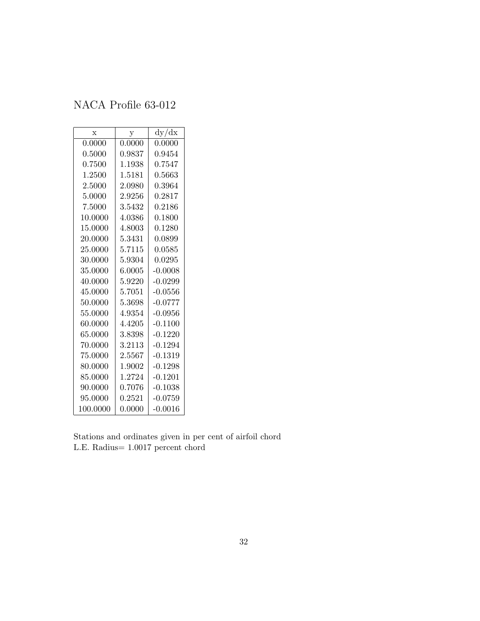<span id="page-31-0"></span>

| $\mathbf x$ | у          | dy/dx      |
|-------------|------------|------------|
| 0.0000      | 0.0000     | 0.0000     |
| 0.5000      | 0.9837     | ${0.9454}$ |
| 0.7500      | 1.1938     | 0.7547     |
| 1.2500      | 1.5181     | 0.5663     |
| 2.5000      | 2.0980     | 0.3964     |
| 5.0000      | $2.9256\,$ | 0.2817     |
| 7.5000      | 3.5432     | 0.2186     |
| 10.0000     | 4.0386     | 0.1800     |
| 15.0000     | 4.8003     | 0.1280     |
| 20.0000     | 5.3431     | 0.0899     |
| 25.0000     | 5.7115     | 0.0585     |
| 30.0000     | 5.9304     | 0.0295     |
| 35.0000     | 6.0005     | $-0.0008$  |
| 40.0000     | 5.9220     | $-0.0299$  |
| 45.0000     | 5.7051     | $-0.0556$  |
| 50.0000     | 5.3698     | $-0.0777$  |
| 55.0000     | 4.9354     | $-0.0956$  |
| 60.0000     | 4.4205     | $-0.1100$  |
| 65.0000     | 3.8398     | $-0.1220$  |
| 70.0000     | 3.2113     | $-0.1294$  |
| 75.0000     | 2.5567     | $-0.1319$  |
| 80.0000     | 1.9002     | $-0.1298$  |
| 85.0000     | 1.2724     | $-0.1201$  |
| 90.0000     | 0.7076     | $-0.1038$  |
| 95.0000     | 0.2521     | $-0.0759$  |
| 100.0000    | 0.0000     | -0.0016    |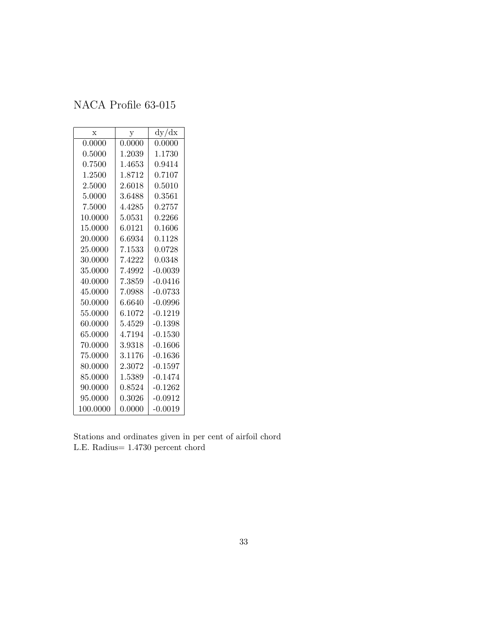<span id="page-32-0"></span>

| X        | $\mathbf y$ | dy/dx            |
|----------|-------------|------------------|
| 0.0000   | 0.0000      | 0.0000           |
| 0.5000   | 1.2039      | 1.1730           |
| 0.7500   | 1.4653      | 0.9414           |
| 1.2500   | 1.8712      | 0.7107           |
| 2.5000   | 2.6018      | 0.5010           |
| 5.0000   | 3.6488      | 0.3561           |
| 7.5000   | 4.4285      | 0.2757           |
| 10.0000  | 5.0531      | 0.2266           |
| 15.0000  | 6.0121      | 0.1606           |
| 20.0000  | 6.6934      | 0.1128           |
| 25.0000  | 7.1533      | 0.0728           |
| 30.0000  | 7.4222      | 0.0348           |
| 35.0000  | 7.4992      | $-0.0039$        |
| 40.0000  | 7.3859      | $-0.0416$        |
| 45.0000  | 7.0988      | $-0.0733$        |
| 50.0000  | 6.6640      | $-0.0996$        |
| 55,0000  | 6.1072      | $-0.1219$        |
| 60.0000  | 5.4529      | -0.1398          |
| 65.0000  | 4.7194      | -0.1530          |
| 70.0000  | 3.9318      | -0.1606          |
| 75.0000  | 3.1176      | $\text{-}0.1636$ |
| 80.0000  | 2.3072      | $-0.1597$        |
| 85.0000  | 1.5389      | $-0.1474$        |
| 90.0000  | 0.8524      | $-0.1262$        |
| 95.0000  | ${0.3026}$  | $-0.0912$        |
| 100.0000 | 0.0000      | $-0.0019$        |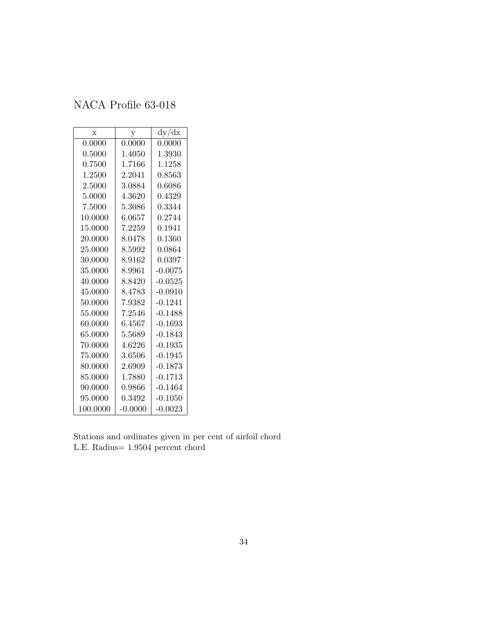<span id="page-33-0"></span>

| $\mathbf x$ | у         | dy/dx      |
|-------------|-----------|------------|
| 0.0000      | 0.0000    | $0.0000\,$ |
| 0.5000      | 1.4050    | 1.3930     |
| 0.7500      | 1.7166    | 1.1258     |
| 1.2500      | 2.2041    | 0.8563     |
| 2.5000      | 3.0884    | 0.6086     |
| 5.0000      | 4.3620    | 0.4329     |
| 7.5000      | 5.3086    | 0.3344     |
| 10.0000     | 6.0657    | 0.2744     |
| 15.0000     | 7.2259    | 0.1941     |
| 20.0000     | 8.0478    | 0.1360     |
| 25.0000     | 8.5992    | 0.0864     |
| 30.0000     | 8.9162    | 0.0397     |
| 35.0000     | 8.9961    | $-0.0075$  |
| 40.0000     | 8.8420    | $-0.0525$  |
| 45.0000     | 8.4783    | $-0.0910$  |
| 50.0000     | 7.9382    | $-0.1241$  |
| 55.0000     | 7.2546    | $-0.1488$  |
| 60.0000     | 6.4567    | $-0.1693$  |
| 65.0000     | 5.5689    | $-0.1843$  |
| 70.0000     | 4.6226    | $-0.1935$  |
| 75.0000     | 3.6506    | $-0.1945$  |
| 80.0000     | 2.6909    | $-0.1873$  |
| 85.0000     | 1.7880    | $-0.1713$  |
| 90.0000     | 0.9866    | $-0.1464$  |
| 95.0000     | 0.3492    | $-0.1050$  |
| 100.0000    | $-0.0000$ | $-0.0023$  |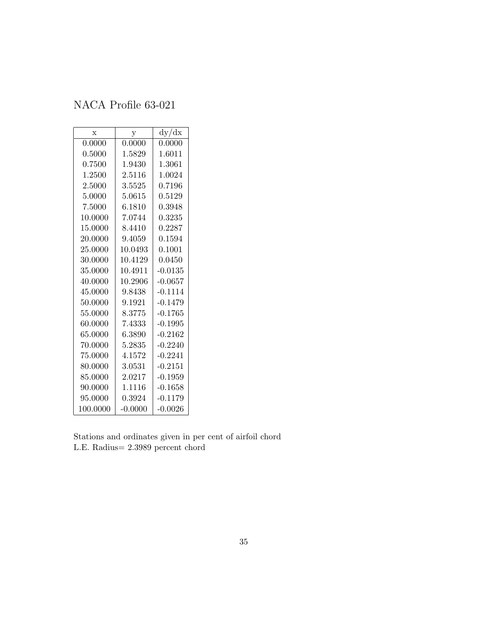<span id="page-34-0"></span>

| $\bar{x}$ | y          | dy/dx     |
|-----------|------------|-----------|
| 0.0000    | 0.0000     | 0.0000    |
| 0.5000    | 1.5829     | 1.6011    |
| 0.7500    | $1.9430\,$ | 1.3061    |
| 1.2500    | 2.5116     | 1.0024    |
| 2.5000    | 3.5525     | 0.7196    |
| 5.0000    | 5.0615     | 0.5129    |
| 7.5000    | 6.1810     | 0.3948    |
| 10.0000   | 7.0744     | 0.3235    |
| 15.0000   | 8.4410     | 0.2287    |
| 20.0000   | 9.4059     | 0.1594    |
| 25.0000   | 10.0493    | 0.1001    |
| 30.0000   | 10.4129    | 0.0450    |
| 35.0000   | 10.4911    | $-0.0135$ |
| 40.0000   | 10.2906    | $-0.0657$ |
| 45.0000   | 9.8438     | $-0.1114$ |
| 50.0000   | 9.1921     | $-0.1479$ |
| 55.0000   | 8.3775     | $-0.1765$ |
| 60.0000   | 7.4333     | $-0.1995$ |
| 65.0000   | 6.3890     | $-0.2162$ |
| 70.0000   | 5.2835     | $-0.2240$ |
| 75.0000   | 4.1572     | $-0.2241$ |
| 80.0000   | 3.0531     | $-0.2151$ |
| 85.0000   | 2.0217     | $-0.1959$ |
| 90.0000   | 1.1116     | $-0.1658$ |
| 95.0000   | 0.3924     | $-0.1179$ |
| 100.0000  | $-0.0000$  | $-0.0026$ |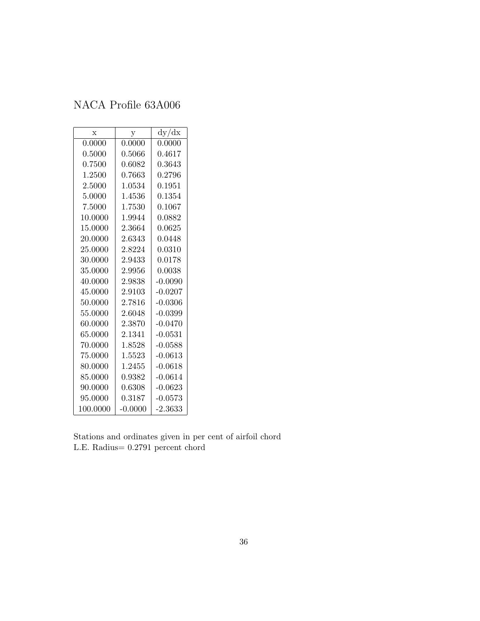<span id="page-35-0"></span>

| $\mathbf x$ | у            | dy/dx     |
|-------------|--------------|-----------|
| 0.0000      | 0.0000       | 0.0000    |
| 0.5000      | $\,0.5066\,$ | 0.4617    |
| 0.7500      | 0.6082       | 0.3643    |
| 1.2500      | 0.7663       | 0.2796    |
| 2.5000      | 1.0534       | 0.1951    |
| 5.0000      | 1.4536       | 0.1354    |
| 7.5000      | 1.7530       | 0.1067    |
| 10.0000     | 1.9944       | 0.0882    |
| 15.0000     | 2.3664       | 0.0625    |
| 20.0000     | 2.6343       | 0.0448    |
| 25.0000     | 2.8224       | 0.0310    |
| 30.0000     | 2.9433       | 0.0178    |
| 35.0000     | 2.9956       | 0.0038    |
| 40.0000     | 2.9838       | $-0.0090$ |
| 45.0000     | 2.9103       | $-0.0207$ |
| 50.0000     | 2.7816       | $-0.0306$ |
| 55.0000     | 2.6048       | $-0.0399$ |
| 60.0000     | 2.3870       | $-0.0470$ |
| 65.0000     | 2.1341       | $-0.0531$ |
| 70.0000     | 1.8528       | $-0.0588$ |
| 75.0000     | 1.5523       | $-0.0613$ |
| 80.0000     | 1.2455       | $-0.0618$ |
| 85.0000     | 0.9382       | $-0.0614$ |
| 90.0000     | 0.6308       | $-0.0623$ |
| 95.0000     | 0.3187       | $-0.0573$ |
| 100.0000    | $-0.0000$    | $-2.3633$ |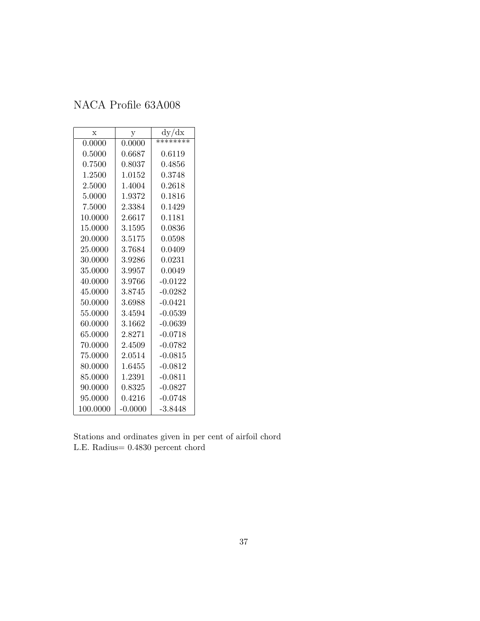| $\mathbf x$ | у         | dy/dx      |
|-------------|-----------|------------|
| 0.0000      | 0.0000    | ********   |
| 0.5000      | 0.6687    | 0.6119     |
| 0.7500      | 0.8037    | ${0.4856}$ |
| 1.2500      | 1.0152    | 0.3748     |
| 2.5000      | 1.4004    | 0.2618     |
| 5.0000      | 1.9372    | 0.1816     |
| 7.5000      | 2.3384    | 0.1429     |
| 10.0000     | 2.6617    | 0.1181     |
| 15.0000     | 3.1595    | 0.0836     |
| 20.0000     | 3.5175    | 0.0598     |
| 25.0000     | 3.7684    | 0.0409     |
| 30.0000     | 3.9286    | 0.0231     |
| 35.0000     | 3.9957    | 0.0049     |
| 40.0000     | 3.9766    | $-0.0122$  |
| 45.0000     | 3.8745    | $-0.0282$  |
| 50.0000     | 3.6988    | $-0.0421$  |
| 55.0000     | 3.4594    | $-0.0539$  |
| 60.0000     | 3.1662    | $-0.0639$  |
| 65.0000     | 2.8271    | $-0.0718$  |
| 70.0000     | 2.4509    | $-0.0782$  |
| 75.0000     | 2.0514    | $-0.0815$  |
| 80.0000     | 1.6455    | $-0.0812$  |
| 85.0000     | 1.2391    | $-0.0811$  |
| 90.0000     | 0.8325    | $-0.0827$  |
| 95.0000     | 0.4216    | $-0.0748$  |
| 100.0000    | $-0.0000$ | $-3.8448$  |

Stations and ordinates given in per cent of airfoil chord L.E. Radius= 0.4830 percent chord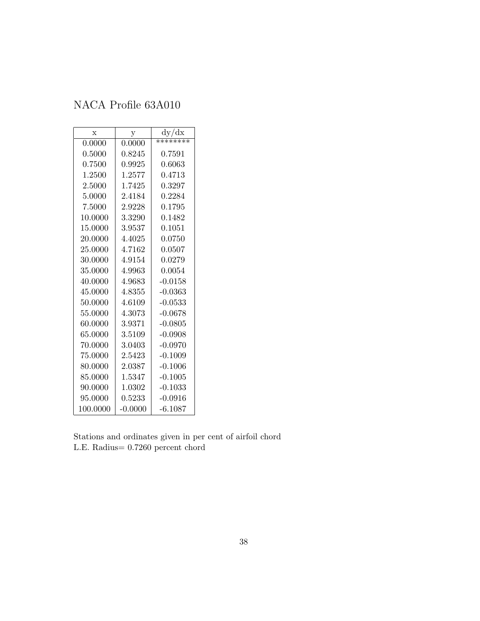| $\mathbf x$ | у           | dy/dx          |
|-------------|-------------|----------------|
| 0.0000      | 0.0000      | ********       |
| 0.5000      | 0.8245      | 0.7591         |
| 0.7500      | ${ 0.9925}$ | 0.6063         |
| 1.2500      | 1.2577      | 0.4713         |
| 2.5000      | 1.7425      | ${0.3297}$     |
| 5.0000      | 2.4184      | 0.2284         |
| 7.5000      | 2.9228      | 0.1795         |
| 10.0000     | 3.3290      | $\;\:0.1482$   |
| 15.0000     | 3.9537      | 0.1051         |
| 20.0000     | 4.4025      | 0.0750         |
| 25.0000     | 4.7162      | 0.0507         |
| 30.0000     | 4.9154      | 0.0279         |
| 35.0000     | 4.9963      | $\, 0.0054 \,$ |
| 40.0000     | 4.9683      | $-0.0158$      |
| 45.0000     | 4.8355      | $-0.0363$      |
| 50.0000     | 4.6109      | $-0.0533$      |
| 55.0000     | 4.3073      | $-0.0678$      |
| 60.0000     | 3.9371      | $-0.0805$      |
| 65.0000     | 3.5109      | $-0.0908$      |
| 70.0000     | 3.0403      | $-0.0970$      |
| 75.0000     | $2.5423\,$  | $-0.1009$      |
| 80.0000     | 2.0387      | $-0.1006$      |
| 85.0000     | 1.5347      | $-0.1005$      |
| 90.0000     | 1.0302      | $-0.1033$      |
| 95.0000     | 0.5233      | $-0.0916$      |
| 100.0000    | $-0.0000$   | $-6.1087$      |

Stations and ordinates given in per cent of airfoil chord L.E. Radius= 0.7260 percent chord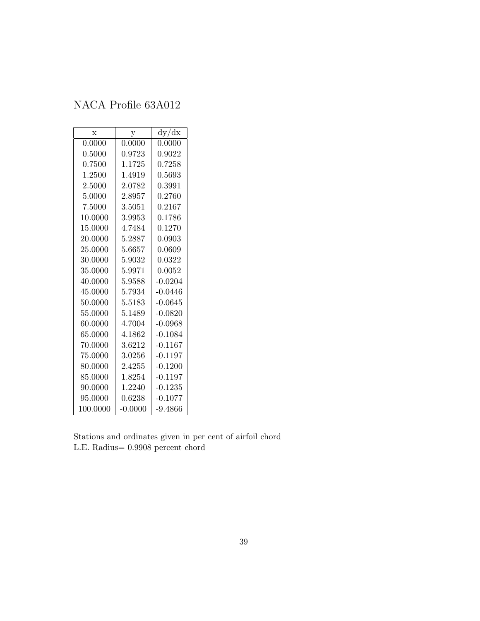| $\mathbf x$ | y         | dy/dx     |
|-------------|-----------|-----------|
| 0.0000      | 0.0000    | 0.0000    |
| 0.5000      | 0.9723    | 0.9022    |
| 0.7500      | 1.1725    | 0.7258    |
| 1.2500      | 1.4919    | 0.5693    |
| 2.5000      | 2.0782    | 0.3991    |
| 5.0000      | 2.8957    | 0.2760    |
| 7.5000      | 3.5051    | 0.2167    |
| 10.0000     | 3.9953    | 0.1786    |
| 15.0000     | 4.7484    | 0.1270    |
| 20.0000     | 5.2887    | 0.0903    |
| 25.0000     | 5.6657    | 0.0609    |
| 30.0000     | 5.9032    | 0.0322    |
| 35.0000     | 5.9971    | 0.0052    |
| 40.0000     | 5.9588    | $-0.0204$ |
| 45.0000     | 5.7934    | $-0.0446$ |
| 50.0000     | 5.5183    | $-0.0645$ |
| 55.0000     | 5.1489    | $-0.0820$ |
| 60.0000     | 4.7004    | $-0.0968$ |
| 65.0000     | 4.1862    | $-0.1084$ |
| 70.0000     | 3.6212    | $-0.1167$ |
| 75.0000     | 3.0256    | $-0.1197$ |
| 80.0000     | 2.4255    | $-0.1200$ |
| 85.0000     | 1.8254    | $-0.1197$ |
| 90.0000     | 1.2240    | $-0.1235$ |
| 95.0000     | 0.6238    | $-0.1077$ |
| 100.0000    | $-0.0000$ | $-9.4866$ |

Stations and ordinates given in per cent of airfoil chord L.E. Radius= 0.9908 percent chord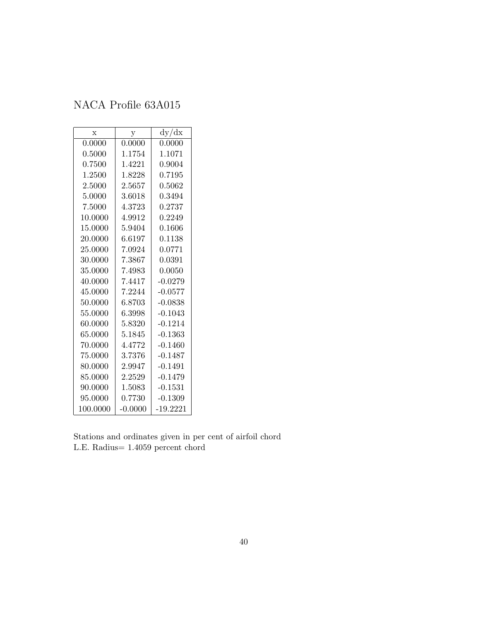| $\mathbf x$ | у         | dy/dx      |
|-------------|-----------|------------|
| 0.0000      | 0.0000    | 0.0000     |
| 0.5000      | 1.1754    | 1.1071     |
| 0.7500      | 1.4221    | ${0.9004}$ |
| 1.2500      | 1.8228    | 0.7195     |
| 2.5000      | 2.5657    | 0.5062     |
| 5.0000      | 3.6018    | 0.3494     |
| 7.5000      | 4.3723    | 0.2737     |
| 10.0000     | 4.9912    | 0.2249     |
| 15.0000     | 5.9404    | 0.1606     |
| 20.0000     | 6.6197    | 0.1138     |
| 25.0000     | 7.0924    | 0.0771     |
| 30.0000     | 7.3867    | 0.0391     |
| 35.0000     | 7.4983    | 0.0050     |
| 40.0000     | 7.4417    | $-0.0279$  |
| 45.0000     | 7.2244    | $-0.0577$  |
| 50.0000     | 6.8703    | $-0.0838$  |
| 55.0000     | 6.3998    | $-0.1043$  |
| 60.0000     | 5.8320    | $-0.1214$  |
| 65.0000     | 5.1845    | $-0.1363$  |
| 70.0000     | 4.4772    | $-0.1460$  |
| 75.0000     | 3.7376    | $-0.1487$  |
| 80.0000     | 2.9947    | $-0.1491$  |
| 85.0000     | 2.2529    | $-0.1479$  |
| 90.0000     | 1.5083    | $-0.1531$  |
| 95.0000     | 0.7730    | $-0.1309$  |
| 100.0000    | $-0.0000$ | $-19.2221$ |

Stations and ordinates given in per cent of airfoil chord L.E. Radius= 1.4059 percent chord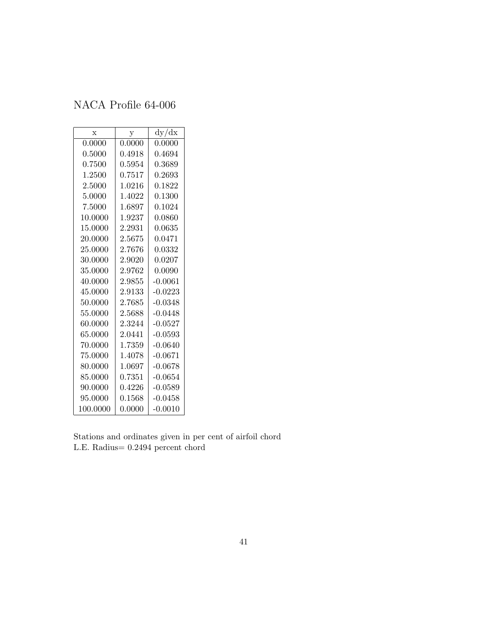| $\mathbf x$ | у                   | dy/dx        |
|-------------|---------------------|--------------|
| 0.0000      | 0.0000              | 0.0000       |
| 0.5000      | ${0.4918}$          | ${0.4694}$   |
| 0.7500      | 0.5954              | 0.3689       |
| 1.2500      | 0.7517              | 0.2693       |
| 2.5000      | 1.0216              | 0.1822       |
| 5.0000      | 1.4022              | 0.1300       |
| 7.5000      | 1.6897              | $\;\:0.1024$ |
| 10.0000     | 1.9237              | 0.0860       |
| 15.0000     | 2.2931              | 0.0635       |
| 20.0000     | 2.5675              | 0.0471       |
| 25.0000     | $\phantom{-}2.7676$ | 0.0332       |
| 30.0000     | 2.9020              | 0.0207       |
| 35.0000     | 2.9762              | 0.0090       |
| 40.0000     | 2.9855              | $-0.0061$    |
| 45.0000     | 2.9133              | $-0.0223$    |
| 50.0000     | 2.7685              | $-0.0348$    |
| 55.0000     | 2.5688              | $-0.0448$    |
| 60.0000     | 2.3244              | $-0.0527$    |
| 65.0000     | 2.0441              | $-0.0593$    |
| 70.0000     | 1.7359              | $-0.0640$    |
| 75.0000     | 1.4078              | $-0.0671$    |
| 80.0000     | 1.0697              | $-0.0678$    |
| 85.0000     | 0.7351              | $-0.0654$    |
| 90.0000     | 0.4226              | $-0.0589$    |
| 95.0000     | 0.1568              | $-0.0458$    |
| 100.0000    | 0.0000              | $-0.0010$    |

Stations and ordinates given in per cent of airfoil chord L.E. Radius= 0.2494 percent chord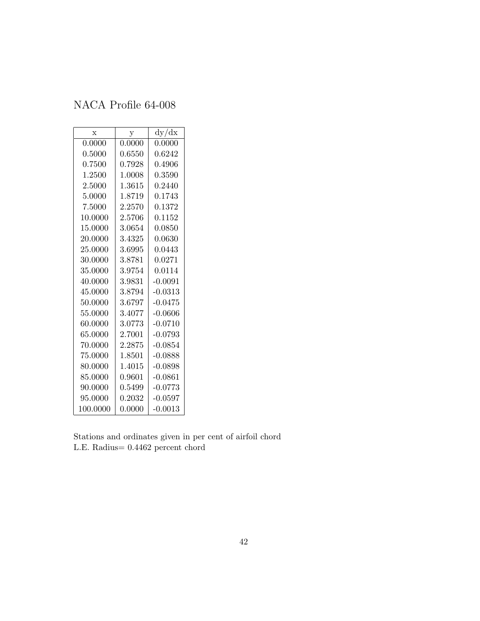| $\mathbf x$ | у      | dy/dx     |
|-------------|--------|-----------|
| 0.0000      | 0.0000 | 0.0000    |
| 0.5000      | 0.6550 | 0.6242    |
| 0.7500      | 0.7928 | 0.4906    |
| 1.2500      | 1.0008 | 0.3590    |
| 2.5000      | 1.3615 | 0.2440    |
| 5.0000      | 1.8719 | 0.1743    |
| 7.5000      | 2.2570 | 0.1372    |
| 10.0000     | 2.5706 | 0.1152    |
| 15.0000     | 3.0654 | 0.0850    |
| 20.0000     | 3.4325 | 0.0630    |
| 25.0000     | 3.6995 | 0.0443    |
| 30.0000     | 3.8781 | 0.0271    |
| 35.0000     | 3.9754 | 0.0114    |
| 40.0000     | 3.9831 | $-0.0091$ |
| 45.0000     | 3.8794 | $-0.0313$ |
| 50.0000     | 3.6797 | $-0.0475$ |
| 55.0000     | 3.4077 | $-0.0606$ |
| 60.0000     | 3.0773 | $-0.0710$ |
| 65.0000     | 2.7001 | $-0.0793$ |
| 70.0000     | 2.2875 | $-0.0854$ |
| 75.0000     | 1.8501 | $-0.0888$ |
| 80.0000     | 1.4015 | $-0.0898$ |
| 85.0000     | 0.9601 | $-0.0861$ |
| 90.0000     | 0.5499 | $-0.0773$ |
| 95.0000     | 0.2032 | $-0.0597$ |
| 100.0000    | 0.0000 | $-0.0013$ |

Stations and ordinates given in per cent of airfoil chord L.E. Radius= 0.4462 percent chord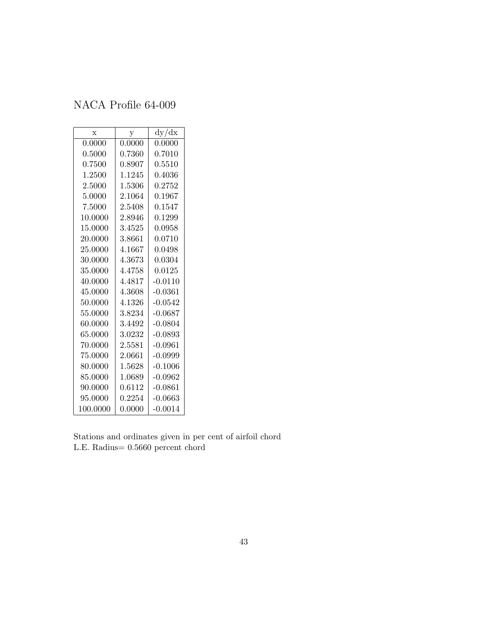| $\mathbf x$ | у      | dy/dx        |
|-------------|--------|--------------|
| 0.0000      | 0.0000 | 0.0000       |
| 0.5000      | 0.7360 | 0.7010       |
| 0.7500      | 0.8907 | $\,0.5510\,$ |
| 1.2500      | 1.1245 | $\,0.4036\,$ |
| 2.5000      | 1.5306 | 0.2752       |
| 5.0000      | 2.1064 | 0.1967       |
| 7.5000      | 2.5408 | 0.1547       |
| 10.0000     | 2.8946 | 0.1299       |
| 15.0000     | 3.4525 | 0.0958       |
| 20.0000     | 3.8661 | 0.0710       |
| 25.0000     | 4.1667 | 0.0498       |
| 30.0000     | 4.3673 | 0.0304       |
| 35.0000     | 4.4758 | 0.0125       |
| 40.0000     | 4.4817 | $-0.0110$    |
| 45.0000     | 4.3608 | $-0.0361$    |
| 50.0000     | 4.1326 | $-0.0542$    |
| 55.0000     | 3.8234 | $-0.0687$    |
| 60.0000     | 3.4492 | $-0.0804$    |
| 65.0000     | 3.0232 | $-0.0893$    |
| 70.0000     | 2.5581 | $-0.0961$    |
| 75.0000     | 2.0661 | $-0.0999$    |
| 80.0000     | 1.5628 | $-0.1006$    |
| 85.0000     | 1.0689 | $-0.0962$    |
| 90.0000     | 0.6112 | $-0.0861$    |
| 95.0000     | 0.2254 | $-0.0663$    |
| 100.0000    | 0.0000 | $-0.0014$    |

Stations and ordinates given in per cent of airfoil chord L.E. Radius= 0.5660 percent chord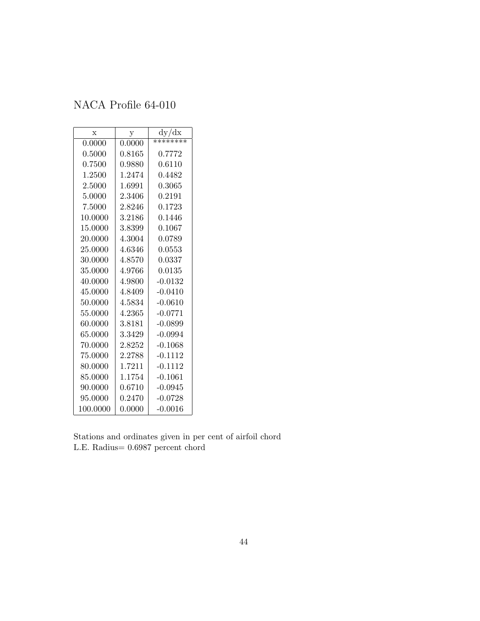| X        | у            | dy/dx     |
|----------|--------------|-----------|
| 0.0000   | 0.0000       | ********  |
| 0.5000   | $\,0.8165\,$ | 0.7772    |
| 0.7500   | 0.9880       | 0.6110    |
| 1.2500   | 1.2474       | 0.4482    |
| 2.5000   | 1.6991       | 0.3065    |
| 5.0000   | 2.3406       | 0.2191    |
| 7.5000   | 2.8246       | 0.1723    |
| 10.0000  | 3.2186       | 0.1446    |
| 15.0000  | 3.8399       | 0.1067    |
| 20.0000  | 4.3004       | 0.0789    |
| 25.0000  | 4.6346       | 0.0553    |
| 30.0000  | 4.8570       | 0.0337    |
| 35.0000  | 4.9766       | 0.0135    |
| 40.0000  | 4.9800       | $-0.0132$ |
| 45.0000  | 4.8409       | $-0.0410$ |
| 50.0000  | 4.5834       | $-0.0610$ |
| 55.0000  | 4.2365       | $-0.0771$ |
| 60.0000  | 3.8181       | $-0.0899$ |
| 65.0000  | 3.3429       | $-0.0994$ |
| 70.0000  | 2.8252       | $-0.1068$ |
| 75.0000  | 2.2788       | $-0.1112$ |
| 80.0000  | 1.7211       | $-0.1112$ |
| 85.0000  | 1.1754       | $-0.1061$ |
| 90.0000  | 0.6710       | $-0.0945$ |
| 95.0000  | 0.2470       | $-0.0728$ |
| 100.0000 | 0.0000       | $-0.0016$ |

Stations and ordinates given in per cent of airfoil chord L.E. Radius= 0.6987 percent chord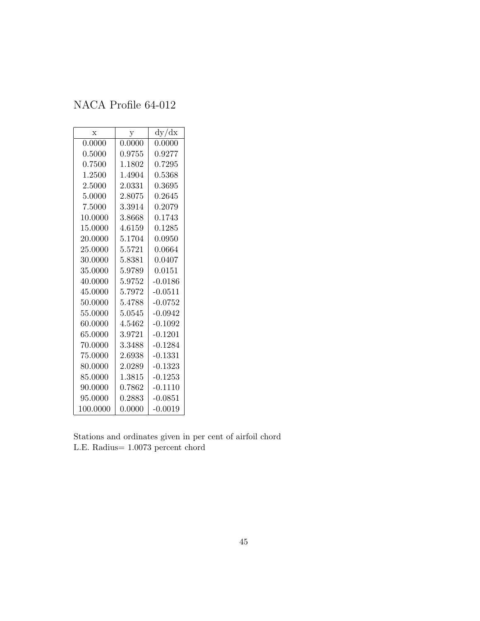| $\mathbf x$ | у      | dy/dx      |
|-------------|--------|------------|
| 0.0000      | 0.0000 | 0.0000     |
| 0.5000      | 0.9755 | ${0.9277}$ |
| 0.7500      | 1.1802 | 0.7295     |
| 1.2500      | 1.4904 | 0.5368     |
| 2.5000      | 2.0331 | 0.3695     |
| 5.0000      | 2.8075 | 0.2645     |
| 7.5000      | 3.3914 | ${0.2079}$ |
| 10.0000     | 3.8668 | 0.1743     |
| 15.0000     | 4.6159 | 0.1285     |
| 20.0000     | 5.1704 | 0.0950     |
| 25.0000     | 5.5721 | 0.0664     |
| 30.0000     | 5.8381 | 0.0407     |
| 35.0000     | 5.9789 | 0.0151     |
| 40.0000     | 5.9752 | -0.0186    |
| 45.0000     | 5.7972 | $-0.0511$  |
| 50.0000     | 5.4788 | $-0.0752$  |
| 55.0000     | 5.0545 | $-0.0942$  |
| 60.0000     | 4.5462 | $-0.1092$  |
| 65.0000     | 3.9721 | $-0.1201$  |
| 70.0000     | 3.3488 | $-0.1284$  |
| 75.0000     | 2.6938 | $-0.1331$  |
| 80.0000     | 2.0289 | $-0.1323$  |
| 85.0000     | 1.3815 | $-0.1253$  |
| 90.0000     | 0.7862 | $-0.1110$  |
| 95.0000     | 0.2883 | $-0.0851$  |
| 100.0000    | 0.0000 | $-0.0019$  |

Stations and ordinates given in per cent of airfoil chord L.E. Radius= 1.0073 percent chord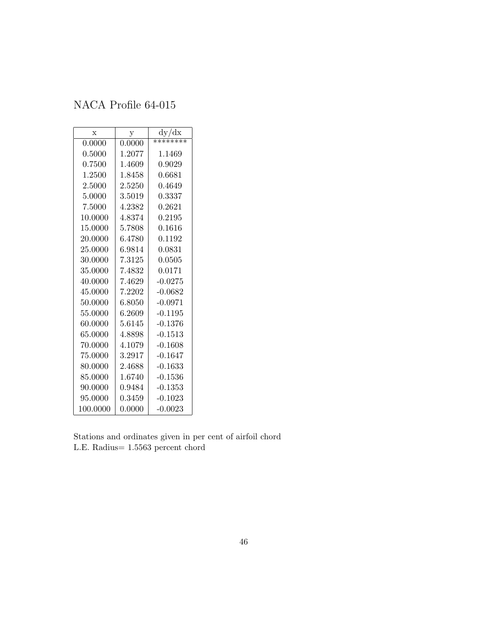| $\mathbf x$ | у      | dy/dx     |
|-------------|--------|-----------|
| 0.0000      | 0.0000 | ********  |
| 0.5000      | 1.2077 | 1.1469    |
| 0.7500      | 1.4609 | 0.9029    |
| 1.2500      | 1.8458 | 0.6681    |
| 2.5000      | 2.5250 | 0.4649    |
| 5.0000      | 3.5019 | 0.3337    |
| 7.5000      | 4.2382 | 0.2621    |
| 10.0000     | 4.8374 | 0.2195    |
| 15.0000     | 5.7808 | 0.1616    |
| 20.0000     | 6.4780 | 0.1192    |
| 25.0000     | 6.9814 | 0.0831    |
| 30.0000     | 7.3125 | 0.0505    |
| 35.0000     | 7.4832 | 0.0171    |
| 40.0000     | 7.4629 | $-0.0275$ |
| 45.0000     | 7.2202 | $-0.0682$ |
| 50.0000     | 6.8050 | $-0.0971$ |
| 55.0000     | 6.2609 | $-0.1195$ |
| 60.0000     | 5.6145 | $-0.1376$ |
| 65.0000     | 4.8898 | $-0.1513$ |
| 70.0000     | 4.1079 | $-0.1608$ |
| 75.0000     | 3.2917 | $-0.1647$ |
| 80.0000     | 2.4688 | $-0.1633$ |
| 85.0000     | 1.6740 | $-0.1536$ |
| 90.0000     | 0.9484 | $-0.1353$ |
| 95.0000     | 0.3459 | $-0.1023$ |
| 100.0000    | 0.0000 | $-0.0023$ |

Stations and ordinates given in per cent of airfoil chord L.E. Radius= 1.5563 percent chord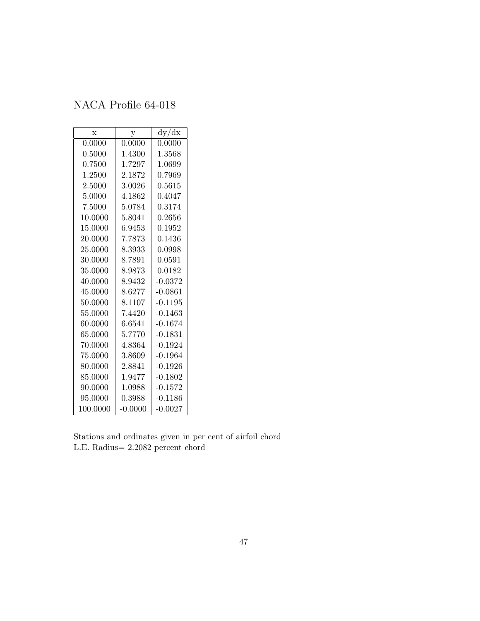| $\mathbf x$ | у         | dy/dx      |
|-------------|-----------|------------|
| 0.0000      | 0.0000    | $0.0000\,$ |
| 0.5000      | 1.4300    | 1.3568     |
| 0.7500      | 1.7297    | 1.0699     |
| 1.2500      | 2.1872    | 0.7969     |
| 2.5000      | 3.0026    | 0.5615     |
| 5.0000      | 4.1862    | 0.4047     |
| 7.5000      | 5.0784    | 0.3174     |
| 10.0000     | 5.8041    | 0.2656     |
| 15.0000     | 6.9453    | 0.1952     |
| 20.0000     | 7.7873    | 0.1436     |
| 25.0000     | 8.3933    | 0.0998     |
| 30.0000     | 8.7891    | 0.0591     |
| 35.0000     | 8.9873    | 0.0182     |
| 40.0000     | 8.9432    | $-0.0372$  |
| 45.0000     | 8.6277    | $-0.0861$  |
| 50.0000     | 8.1107    | $-0.1195$  |
| 55.0000     | 7.4420    | $-0.1463$  |
| 60.0000     | 6.6541    | $-0.1674$  |
| 65.0000     | 5.7770    | $-0.1831$  |
| 70.0000     | 4.8364    | $-0.1924$  |
| 75.0000     | 3.8609    | $-0.1964$  |
| 80.0000     | 2.8841    | $-0.1926$  |
| 85.0000     | 1.9477    | $-0.1802$  |
| 90.0000     | 1.0988    | $-0.1572$  |
| 95.0000     | 0.3988    | $-0.1186$  |
| 100.0000    | $-0.0000$ | $-0.0027$  |

Stations and ordinates given in per cent of airfoil chord L.E. Radius= 2.2082 percent chord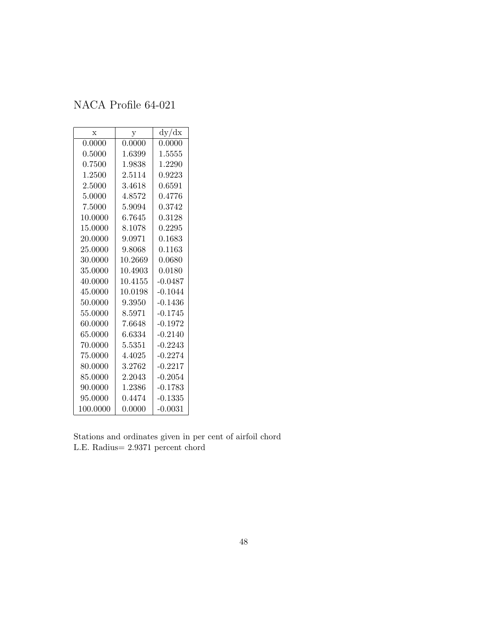| $\bar{x}$ | y       | dy/dx        |
|-----------|---------|--------------|
| 0.0000    | 0.0000  | 0.0000       |
| 0.5000    | 1.6399  | 1.5555       |
| 0.7500    | 1.9838  | 1.2290       |
| 1.2500    | 2.5114  | 0.9223       |
| 2.5000    | 3.4618  | 0.6591       |
| 5.0000    | 4.8572  | 0.4776       |
| 7.5000    | 5.9094  | 0.3742       |
| 10.0000   | 6.7645  | 0.3128       |
| 15.0000   | 8.1078  | 0.2295       |
| 20.0000   | 9.0971  | $\,0.1683\,$ |
| 25.0000   | 9.8068  | $\,0.1163\,$ |
| 30.0000   | 10.2669 | 0.0680       |
| 35.0000   | 10.4903 | 0.0180       |
| 40.0000   | 10.4155 | $-0.0487$    |
| 45.0000   | 10.0198 | $-0.1044$    |
| 50.0000   | 9.3950  | $-0.1436$    |
| 55.0000   | 8.5971  | $-0.1745$    |
| 60.0000   | 7.6648  | $-0.1972$    |
| 65.0000   | 6.6334  | $-0.2140$    |
| 70.0000   | 5.5351  | $-0.2243$    |
| 75.0000   | 4.4025  | $-0.2274$    |
| 80.0000   | 3.2762  | $-0.2217$    |
| 85.0000   | 2.2043  | $-0.2054$    |
| 90.0000   | 1.2386  | $-0.1783$    |
| 95.0000   | 0.4474  | $-0.1335$    |
| 100.0000  | 0.0000  | $-0.0031$    |

Stations and ordinates given in per cent of airfoil chord L.E. Radius= 2.9371 percent chord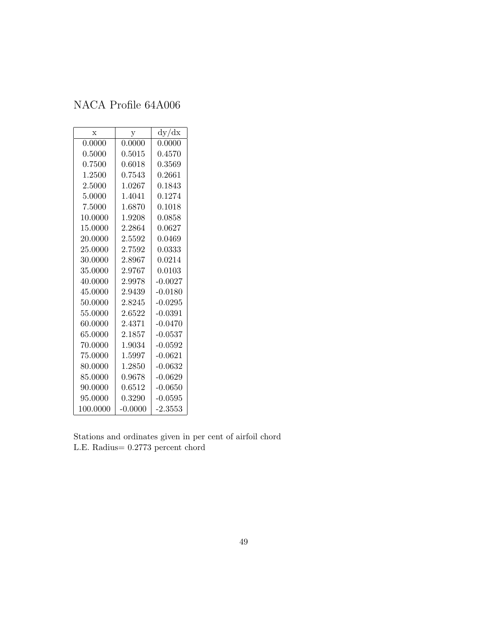| $\mathbf{x}$ | у            | dy/dx     |
|--------------|--------------|-----------|
| 0.0000       | 0.0000       | 0.0000    |
| 0.5000       | $\,0.5015\,$ | 0.4570    |
| 0.7500       | 0.6018       | 0.3569    |
| 1.2500       | $\!.7543$    | 0.2661    |
| 2.5000       | 1.0267       | 0.1843    |
| 5.0000       | 1.4041       | 0.1274    |
| 7.5000       | 1.6870       | 0.1018    |
| 10.0000      | 1.9208       | 0.0858    |
| 15.0000      | 2.2864       | 0.0627    |
| 20.0000      | 2.5592       | 0.0469    |
| 25.0000      | 2.7592       | 0.0333    |
| 30.0000      | 2.8967       | 0.0214    |
| 35.0000      | 2.9767       | 0.0103    |
| 40.0000      | 2.9978       | $-0.0027$ |
| 45.0000      | 2.9439       | $-0.0180$ |
| 50.0000      | 2.8245       | $-0.0295$ |
| 55.0000      | 2.6522       | $-0.0391$ |
| 60.0000      | 2.4371       | $-0.0470$ |
| 65.0000      | 2.1857       | $-0.0537$ |
| 70.0000      | 1.9034       | $-0.0592$ |
| 75.0000      | 1.5997       | $-0.0621$ |
| 80.0000      | 1.2850       | $-0.0632$ |
| 85.0000      | 0.9678       | $-0.0629$ |
| 90.0000      | 0.6512       | $-0.0650$ |
| 95.0000      | 0.3290       | $-0.0595$ |
| 100.0000     | $-0.0000$    | $-2.3553$ |

Stations and ordinates given in per cent of airfoil chord L.E. Radius= 0.2773 percent chord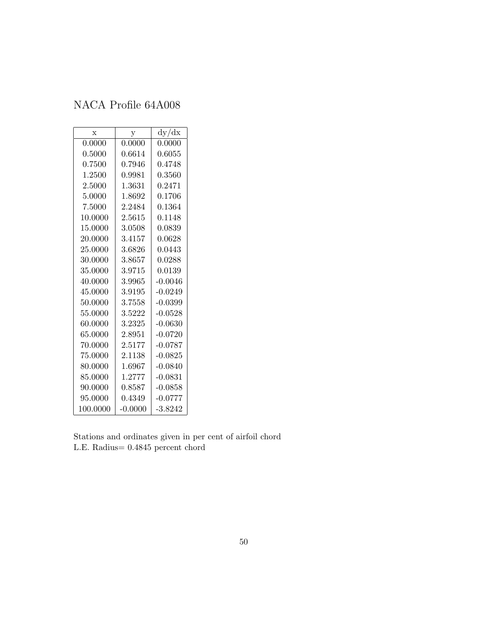| $\mathbf{x}$ | у         | dy/dx     |
|--------------|-----------|-----------|
| 0.0000       | 0.0000    | 0.0000    |
| 0.5000       | 0.6614    | 0.6055    |
| 0.7500       | 0.7946    | 0.4748    |
| 1.2500       | 0.9981    | 0.3560    |
| 2.5000       | 1.3631    | 0.2471    |
| 5.0000       | 1.8692    | 0.1706    |
| 7.5000       | 2.2484    | 0.1364    |
| 10.0000      | 2.5615    | 0.1148    |
| 15.0000      | 3.0508    | 0.0839    |
| 20.0000      | 3.4157    | 0.0628    |
| 25.0000      | 3.6826    | 0.0443    |
| 30.0000      | 3.8657    | 0.0288    |
| 35.0000      | 3.9715    | 0.0139    |
| 40.0000      | 3.9965    | $-0.0046$ |
| 45.0000      | 3.9195    | $-0.0249$ |
| 50.0000      | 3.7558    | $-0.0399$ |
| 55.0000      | 3.5222    | $-0.0528$ |
| 60.0000      | 3.2325    | $-0.0630$ |
| 65.0000      | 2.8951    | $-0.0720$ |
| 70.0000      | 2.5177    | $-0.0787$ |
| 75.0000      | 2.1138    | $-0.0825$ |
| 80.0000      | 1.6967    | $-0.0840$ |
| 85.0000      | 1.2777    | $-0.0831$ |
| 90.0000      | 0.8587    | $-0.0858$ |
| 95.0000      | 0.4349    | $-0.0777$ |
| 100.0000     | $-0.0000$ | $-3.8242$ |

Stations and ordinates given in per cent of airfoil chord L.E. Radius= 0.4845 percent chord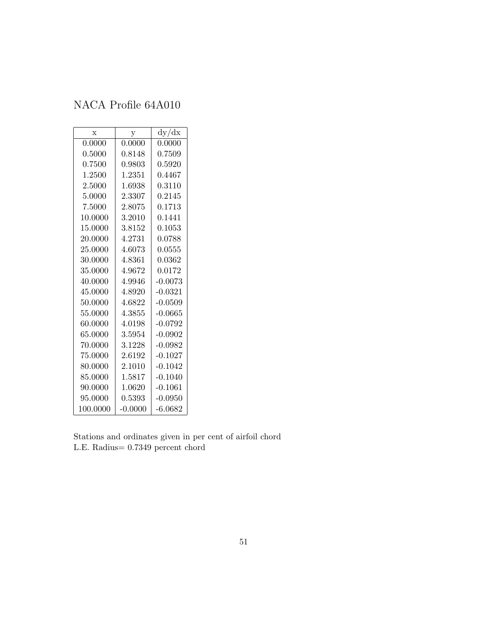| $\mathbf x$ | y         | dy/dx     |
|-------------|-----------|-----------|
| 0.0000      | 0.0000    | 0.0000    |
| 0.5000      | 0.8148    | 0.7509    |
| 0.7500      | 0.9803    | 0.5920    |
| 1.2500      | 1.2351    | 0.4467    |
| 2.5000      | 1.6938    | 0.3110    |
| 5.0000      | 2.3307    | 0.2145    |
| 7.5000      | 2.8075    | 0.1713    |
| 10.0000     | 3.2010    | 0.1441    |
| 15.0000     | 3.8152    | 0.1053    |
| 20.0000     | 4.2731    | 0.0788    |
| 25.0000     | 4.6073    | 0.0555    |
| 30.0000     | 4.8361    | 0.0362    |
| 35.0000     | 4.9672    | 0.0172    |
| 40.0000     | 4.9946    | $-0.0073$ |
| 45.0000     | 4.8920    | $-0.0321$ |
| 50.0000     | 4.6822    | $-0.0509$ |
| 55.0000     | 4.3855    | $-0.0665$ |
| 60.0000     | 4.0198    | $-0.0792$ |
| 65.0000     | 3.5954    | $-0.0902$ |
| 70.0000     | 3.1228    | $-0.0982$ |
| 75.0000     | 2.6192    | $-0.1027$ |
| 80.0000     | 2.1010    | $-0.1042$ |
| 85.0000     | 1.5817    | $-0.1040$ |
| 90.0000     | 1.0620    | $-0.1061$ |
| 95.0000     | 0.5393    | $-0.0950$ |
| 100.0000    | $-0.0000$ | $-6.0682$ |

Stations and ordinates given in per cent of airfoil chord L.E. Radius= 0.7349 percent chord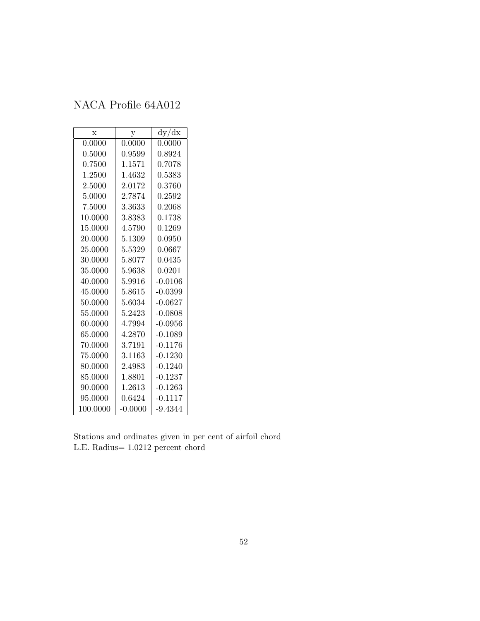| X        | у         | dy/dx     |
|----------|-----------|-----------|
| 0.0000   | 0.0000    | 0.0000    |
| 0.5000   | 0.9599    | 0.8924    |
| 0.7500   | 1.1571    | 0.7078    |
| 1.2500   | 1.4632    | 0.5383    |
| 2.5000   | 2.0172    | 0.3760    |
| 5.0000   | 2.7874    | 0.2592    |
| 7.5000   | 3.3633    | 0.2068    |
| 10.0000  | 3.8383    | 0.1738    |
| 15.0000  | 4.5790    | 0.1269    |
| 20.0000  | 5.1309    | 0.0950    |
| 25.0000  | 5.5329    | 0.0667    |
| 30.0000  | 5.8077    | 0.0435    |
| 35.0000  | 5.9638    | 0.0201    |
| 40.0000  | 5.9916    | $-0.0106$ |
| 45.0000  | 5.8615    | $-0.0399$ |
| 50.0000  | 5.6034    | $-0.0627$ |
| 55.0000  | 5.2423    | $-0.0808$ |
| 60.0000  | 4.7994    | $-0.0956$ |
| 65.0000  | 4.2870    | $-0.1089$ |
| 70.0000  | 3.7191    | $-0.1176$ |
| 75.0000  | 3.1163    | $-0.1230$ |
| 80.0000  | 2.4983    | $-0.1240$ |
| 85.0000  | 1.8801    | $-0.1237$ |
| 90.0000  | 1.2613    | $-0.1263$ |
| 95.0000  | 0.6424    | $-0.1117$ |
| 100.0000 | $-0.0000$ | $-9.4344$ |

Stations and ordinates given in per cent of airfoil chord L.E. Radius= 1.0212 percent chord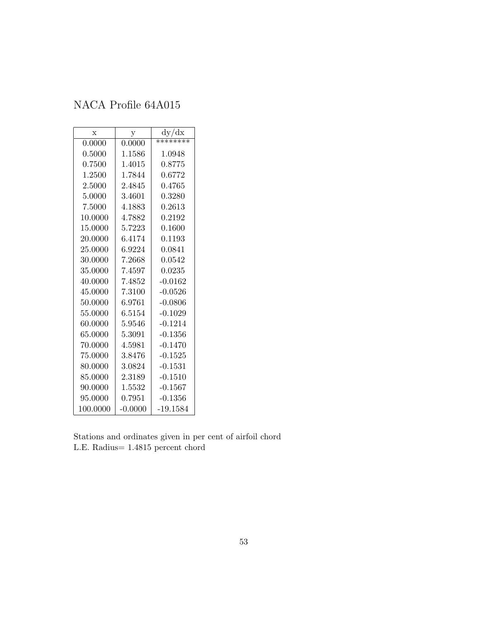| $\mathbf x$ | у          | dy/dx        |
|-------------|------------|--------------|
| 0.0000      | 0.0000     | ********     |
| 0.5000      | 1.1586     | 1.0948       |
| 0.7500      | 1.4015     | 0.8775       |
| 1.2500      | 1.7844     | 0.6772       |
| 2.5000      | 2.4845     | 0.4765       |
| 5.0000      | 3.4601     | 0.3280       |
| 7.5000      | 4.1883     | 0.2613       |
| 10.0000     | 4.7882     | ${0.2192}$   |
| 15.0000     | 5.7223     | 0.1600       |
| 20.0000     | 6.4174     | 0.1193       |
| 25.0000     | 6.9224     | $\;\:0.0841$ |
| 30.0000     | 7.2668     | 0.0542       |
| 35.0000     | 7.4597     | 0.0235       |
| 40.0000     | 7.4852     | $-0.0162$    |
| 45.0000     | $7.3100\,$ | $-0.0526$    |
| 50.0000     | 6.9761     | $-0.0806$    |
| 55.0000     | 6.5154     | $-0.1029$    |
| 60.0000     | 5.9546     | $-0.1214$    |
| 65.0000     | 5.3091     | $-0.1356$    |
| 70.0000     | 4.5981     | $-0.1470$    |
| 75.0000     | 3.8476     | $-0.1525$    |
| 80.0000     | 3.0824     | $-0.1531$    |
| 85.0000     | 2.3189     | $-0.1510$    |
| 90.0000     | 1.5532     | $-0.1567$    |
| 95.0000     | 0.7951     | $-0.1356$    |
| 100.0000    | $-0.0000$  | -19.1584     |

Stations and ordinates given in per cent of airfoil chord L.E. Radius= 1.4815 percent chord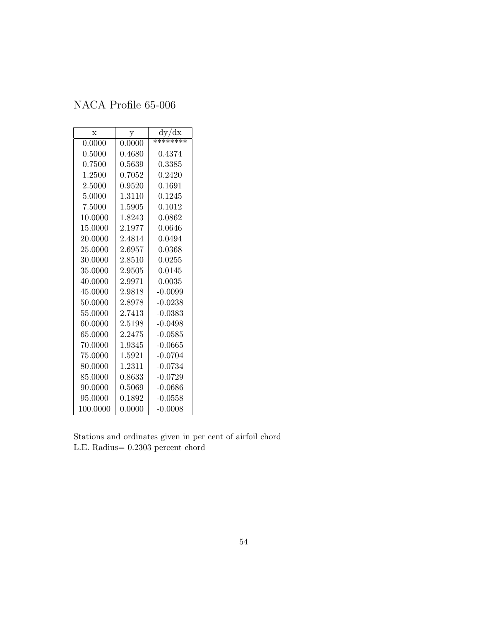| X        | у      | dy/dx     |
|----------|--------|-----------|
| 0.0000   | 0.0000 | ********  |
| 0.5000   | 0.4680 | 0.4374    |
| 0.7500   | 0.5639 | 0.3385    |
| 1.2500   | 0.7052 | 0.2420    |
| 2.5000   | 0.9520 | 0.1691    |
| 5.0000   | 1.3110 | 0.1245    |
| 7.5000   | 1.5905 | 0.1012    |
| 10.0000  | 1.8243 | 0.0862    |
| 15.0000  | 2.1977 | 0.0646    |
| 20.0000  | 2.4814 | 0.0494    |
| 25.0000  | 2.6957 | 0.0368    |
| 30.0000  | 2.8510 | 0.0255    |
| 35.0000  | 2.9505 | 0.0145    |
| 40.0000  | 2.9971 | 0.0035    |
| 45.0000  | 2.9818 | $-0.0099$ |
| 50.0000  | 2.8978 | $-0.0238$ |
| 55.0000  | 2.7413 | $-0.0383$ |
| 60.0000  | 2.5198 | $-0.0498$ |
| 65.0000  | 2.2475 | $-0.0585$ |
| 70.0000  | 1.9345 | $-0.0665$ |
| 75.0000  | 1.5921 | $-0.0704$ |
| 80.0000  | 1.2311 | $-0.0734$ |
| 85.0000  | 0.8633 | $-0.0729$ |
| 90.0000  | 0.5069 | $-0.0686$ |
| 95.0000  | 0.1892 | $-0.0558$ |
| 100.0000 | 0.0000 | $-0.0008$ |

Stations and ordinates given in per cent of airfoil chord L.E. Radius= 0.2303 percent chord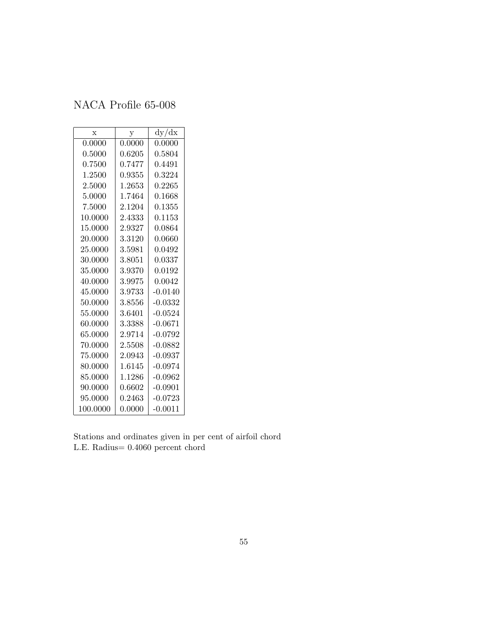| $\mathbf x$ | y      | dy/dx        |
|-------------|--------|--------------|
| 0.0000      | 0.0000 | 0.0000       |
| 0.5000      | 0.6205 | $\;\:0.5804$ |
| 0.7500      | 0.7477 | 0.4491       |
| 1.2500      | 0.9355 | 0.3224       |
| 2.5000      | 1.2653 | 0.2265       |
| 5.0000      | 1.7464 | $\,0.1668\,$ |
| 7.5000      | 2.1204 | $\,0.1355\,$ |
| 10.0000     | 2.4333 | 0.1153       |
| 15.0000     | 2.9327 | $\,0.0864\,$ |
| 20.0000     | 3.3120 | $0.0660\,$   |
| 25.0000     | 3.5981 | 0.0492       |
| 30.0000     | 3.8051 | 0.0337       |
| 35.0000     | 3.9370 | 0.0192       |
| 40.0000     | 3.9975 | 0.0042       |
| 45.0000     | 3.9733 | $-0.0140$    |
| 50.0000     | 3.8556 | $-0.0332$    |
| 55.0000     | 3.6401 | $-0.0524$    |
| 60.0000     | 3.3388 | $-0.0671$    |
| 65.0000     | 2.9714 | $-0.0792$    |
| 70.0000     | 2.5508 | $-0.0882$    |
| 75.0000     | 2.0943 | $-0.0937$    |
| 80.0000     | 1.6145 | $-0.0974$    |
| 85.0000     | 1.1286 | $-0.0962$    |
| 90.0000     | 0.6602 | $-0.0901$    |
| 95.0000     | 0.2463 | $-0.0723$    |
| 100.0000    | 0.0000 | $-0.0011$    |

Stations and ordinates given in per cent of airfoil chord L.E. Radius= 0.4060 percent chord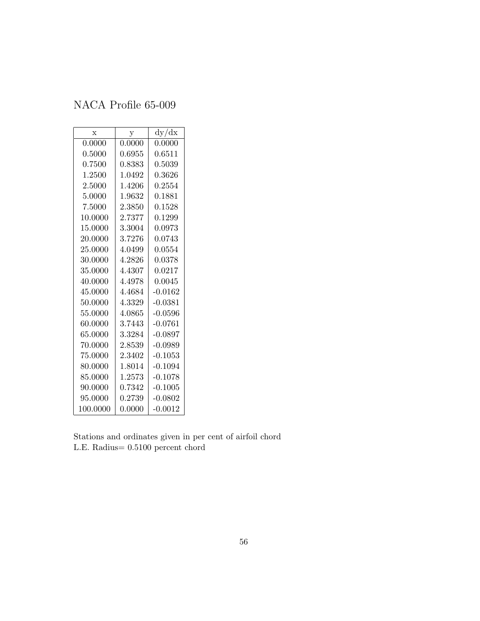| X        | $\mathbf y$ | dy/dx        |
|----------|-------------|--------------|
| 0.0000   | 0.0000      | 0.0000       |
| 0.5000   | 0.6955      | 0.6511       |
| 0.7500   | 0.8383      | 0.5039       |
| 1.2500   | 1.0492      | 0.3626       |
| 2.5000   | 1.4206      | $\;\:0.2554$ |
| 5.0000   | 1.9632      | 0.1881       |
| 7.5000   | $2.3850\,$  | 0.1528       |
| 10.0000  | 2.7377      | 0.1299       |
| 15.0000  | 3.3004      | 0.0973       |
| 20.0000  | 3.7276      | 0.0743       |
| 25.0000  | 4.0499      | 0.0554       |
| 30.0000  | 4.2826      | 0.0378       |
| 35.0000  | 4.4307      | 0.0217       |
| 40.0000  | 4.4978      | 0.0045       |
| 45.0000  | 4.4684      | $-0.0162$    |
| 50.0000  | 4.3329      | $-0.0381$    |
| 55.0000  | 4.0865      | -0.0596      |
| 60.0000  | 3.7443      | $-0.0761$    |
| 65.0000  | 3.3284      | $-0.0897$    |
| 70.0000  | 2.8539      | $-0.0989$    |
| 75.0000  | 2.3402      | $-0.1053$    |
| 80.0000  | 1.8014      | $-0.1094$    |
| 85.0000  | 1.2573      | $-0.1078$    |
| 90.0000  | 0.7342      | $-0.1005$    |
| 95.0000  | 0.2739      | $-0.0802$    |
| 100.0000 | 0.0000      | $-0.0012$    |

Stations and ordinates given in per cent of airfoil chord L.E. Radius= 0.5100 percent chord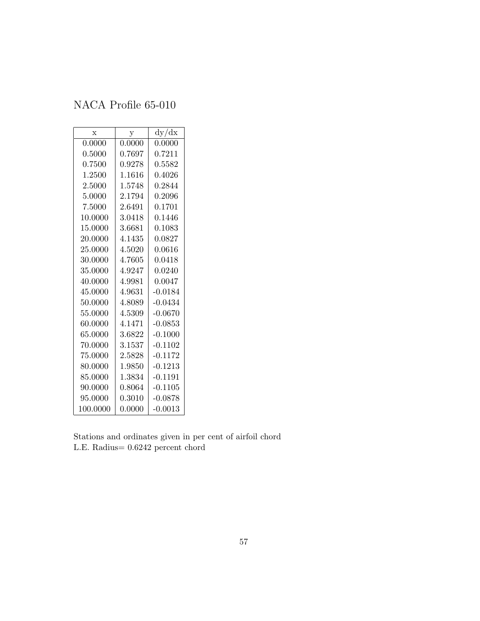| $\mathbf x$ | у      | dy/dx     |
|-------------|--------|-----------|
| 0.0000      | 0.0000 | 0.0000    |
| 0.5000      | 0.7697 | 0.7211    |
| 0.7500      | 0.9278 | 0.5582    |
| 1.2500      | 1.1616 | 0.4026    |
| 2.5000      | 1.5748 | 0.2844    |
| 5.0000      | 2.1794 | 0.2096    |
| 7.5000      | 2.6491 | 0.1701    |
| 10.0000     | 3.0418 | 0.1446    |
| 15.0000     | 3.6681 | 0.1083    |
| 20.0000     | 4.1435 | 0.0827    |
| 25.0000     | 4.5020 | 0.0616    |
| 30.0000     | 4.7605 | 0.0418    |
| 35.0000     | 4.9247 | 0.0240    |
| 40.0000     | 4.9981 | 0.0047    |
| 45.0000     | 4.9631 | $-0.0184$ |
| 50.0000     | 4.8089 | $-0.0434$ |
| 55.0000     | 4.5309 | $-0.0670$ |
| 60.0000     | 4.1471 | $-0.0853$ |
| 65.0000     | 3.6822 | $-0.1000$ |
| 70.0000     | 3.1537 | $-0.1102$ |
| 75.0000     | 2.5828 | $-0.1172$ |
| 80.0000     | 1.9850 | $-0.1213$ |
| 85.0000     | 1.3834 | $-0.1191$ |
| 90.0000     | 0.8064 | $-0.1105$ |
| 95.0000     | 0.3010 | $-0.0878$ |
| 100.0000    | 0.0000 | $-0.0013$ |

Stations and ordinates given in per cent of airfoil chord L.E. Radius= 0.6242 percent chord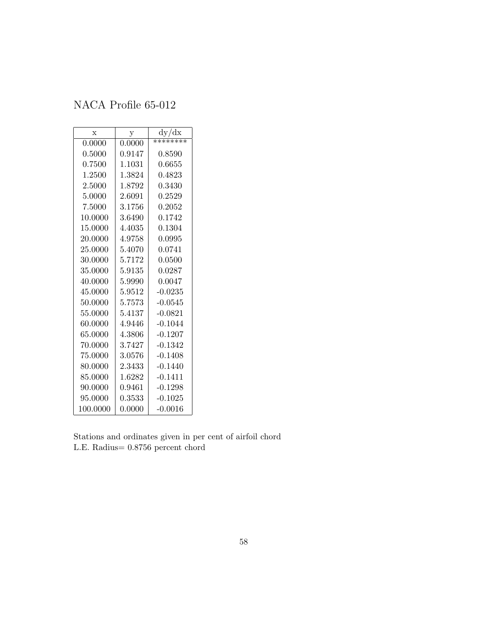| X        | у      | dy/dx     |
|----------|--------|-----------|
| 0.0000   | 0.0000 | ********  |
| 0.5000   | 0.9147 | 0.8590    |
| 0.7500   | 1.1031 | 0.6655    |
| 1.2500   | 1.3824 | 0.4823    |
| 2.5000   | 1.8792 | 0.3430    |
| 5.0000   | 2.6091 | 0.2529    |
| 7.5000   | 3.1756 | 0.2052    |
| 10.0000  | 3.6490 | 0.1742    |
| 15.0000  | 4.4035 | 0.1304    |
| 20.0000  | 4.9758 | 0.0995    |
| 25.0000  | 5.4070 | 0.0741    |
| 30.0000  | 5.7172 | 0.0500    |
| 35.0000  | 5.9135 | 0.0287    |
| 40.0000  | 5.9990 | 0.0047    |
| 45.0000  | 5.9512 | $-0.0235$ |
| 50.0000  | 5.7573 | $-0.0545$ |
| 55.0000  | 5.4137 | $-0.0821$ |
| 60.0000  | 4.9446 | $-0.1044$ |
| 65.0000  | 4.3806 | $-0.1207$ |
| 70.0000  | 3.7427 | $-0.1342$ |
| 75.0000  | 3.0576 | $-0.1408$ |
| 80.0000  | 2.3433 | $-0.1440$ |
| 85.0000  | 1.6282 | $-0.1411$ |
| 90.0000  | 0.9461 | $-0.1298$ |
| 95.0000  | 0.3533 | $-0.1025$ |
| 100.0000 | 0.0000 | $-0.0016$ |

Stations and ordinates given in per cent of airfoil chord L.E. Radius= 0.8756 percent chord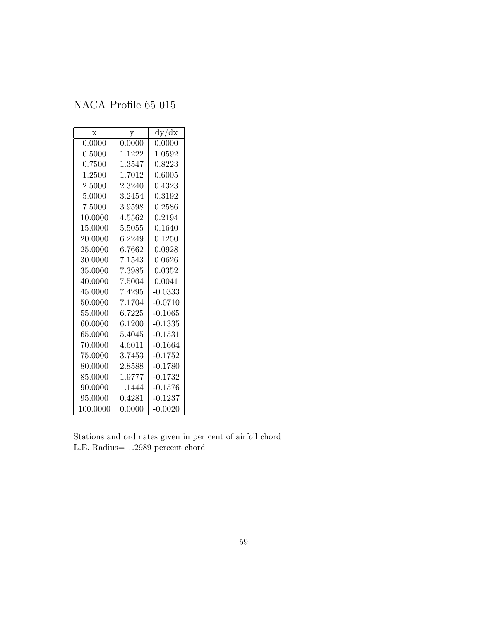| $\mathbf x$ | у      | dy/dx     |
|-------------|--------|-----------|
| 0.0000      | 0.0000 | 0.0000    |
| 0.5000      | 1.1222 | 1.0592    |
| 0.7500      | 1.3547 | 0.8223    |
| 1.2500      | 1.7012 | 0.6005    |
| 2.5000      | 2.3240 | 0.4323    |
| 5.0000      | 3.2454 | 0.3192    |
| 7.5000      | 3.9598 | 0.2586    |
| 10.0000     | 4.5562 | 0.2194    |
| 15.0000     | 5.5055 | 0.1640    |
| 20.0000     | 6.2249 | 0.1250    |
| 25.0000     | 6.7662 | 0.0928    |
| 30.0000     | 7.1543 | 0.0626    |
| 35.0000     | 7.3985 | 0.0352    |
| 40.0000     | 7.5004 | 0.0041    |
| 45.0000     | 7.4295 | $-0.0333$ |
| 50.0000     | 7.1704 | $-0.0710$ |
| 55.0000     | 6.7225 | $-0.1065$ |
| 60.0000     | 6.1200 | $-0.1335$ |
| 65.0000     | 5.4045 | $-0.1531$ |
| 70.0000     | 4.6011 | $-0.1664$ |
| 75.0000     | 3.7453 | $-0.1752$ |
| 80.0000     | 2.8588 | $-0.1780$ |
| 85.0000     | 1.9777 | $-0.1732$ |
| 90.0000     | 1.1444 | $-0.1576$ |
| 95.0000     | 0.4281 | $-0.1237$ |
| 100.0000    | 0.0000 | $-0.0020$ |

Stations and ordinates given in per cent of airfoil chord L.E. Radius= 1.2989 percent chord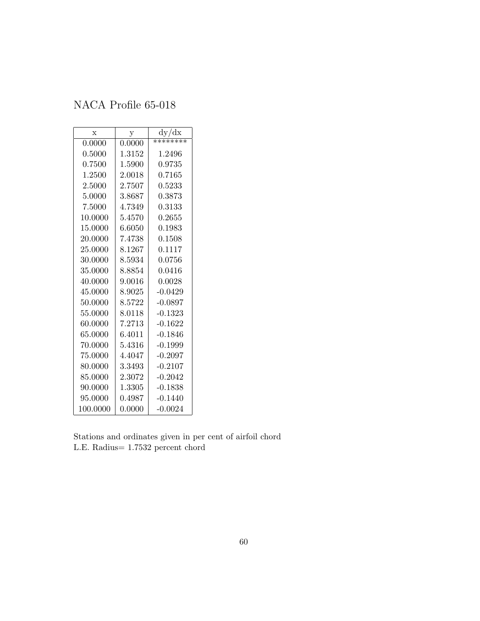| $\mathbf x$ | у      | dy/dx     |
|-------------|--------|-----------|
| 0.0000      | 0.0000 | ********  |
| 0.5000      | 1.3152 | 1.2496    |
| 0.7500      | 1.5900 | 0.9735    |
| 1.2500      | 2.0018 | 0.7165    |
| 2.5000      | 2.7507 | 0.5233    |
| 5.0000      | 3.8687 | 0.3873    |
| 7.5000      | 4.7349 | 0.3133    |
| 10.0000     | 5.4570 | 0.2655    |
| 15.0000     | 6.6050 | 0.1983    |
| 20.0000     | 7.4738 | 0.1508    |
| 25.0000     | 8.1267 | 0.1117    |
| 30.0000     | 8.5934 | 0.0756    |
| 35.0000     | 8.8854 | 0.0416    |
| 40.0000     | 9.0016 | 0.0028    |
| 45.0000     | 8.9025 | $-0.0429$ |
| 50.0000     | 8.5722 | $-0.0897$ |
| 55.0000     | 8.0118 | $-0.1323$ |
| 60.0000     | 7.2713 | $-0.1622$ |
| 65.0000     | 6.4011 | $-0.1846$ |
| 70.0000     | 5.4316 | $-0.1999$ |
| 75.0000     | 4.4047 | $-0.2097$ |
| 80.0000     | 3.3493 | $-0.2107$ |
| 85.0000     | 2.3072 | $-0.2042$ |
| 90.0000     | 1.3305 | $-0.1838$ |
| 95.0000     | 0.4987 | $-0.1440$ |
| 100.0000    | 0.0000 | $-0.0024$ |

Stations and ordinates given in per cent of airfoil chord L.E. Radius= 1.7532 percent chord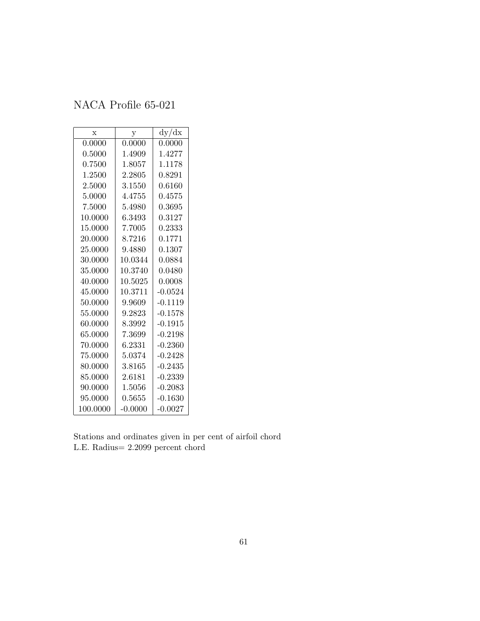| $\mathbf x$ | у         | dy/dx      |
|-------------|-----------|------------|
| 0.0000      | 0.0000    | 0.0000     |
| 0.5000      | 1.4909    | 1.4277     |
| 0.7500      | 1.8057    | 1.1178     |
| 1.2500      | 2.2805    | 0.8291     |
| 2.5000      | 3.1550    | 0.6160     |
| 5.0000      | 4.4755    | 0.4575     |
| 7.5000      | 5.4980    | ${0.3695}$ |
| 10.0000     | 6.3493    | 0.3127     |
| $15.0000\,$ | 7.7005    | 0.2333     |
| 20.0000     | 8.7216    | 0.1771     |
| 25.0000     | 9.4880    | 0.1307     |
| 30.0000     | 10.0344   | 0.0884     |
| 35.0000     | 10.3740   | 0.0480     |
| 40.0000     | 10.5025   | 0.0008     |
| 45.0000     | 10.3711   | $-0.0524$  |
| 50.0000     | 9.9609    | $-0.1119$  |
| 55.0000     | 9.2823    | $-0.1578$  |
| 60.0000     | 8.3992    | $-0.1915$  |
| 65.0000     | 7.3699    | $-0.2198$  |
| 70.0000     | 6.2331    | $-0.2360$  |
| 75.0000     | 5.0374    | $-0.2428$  |
| 80.0000     | 3.8165    | $-0.2435$  |
| 85.0000     | 2.6181    | $-0.2339$  |
| 90.0000     | 1.5056    | $-0.2083$  |
| 95.0000     | 0.5655    | $-0.1630$  |
| 100.0000    | $-0.0000$ | $-0.0027$  |

Stations and ordinates given in per cent of airfoil chord L.E. Radius= 2.2099 percent chord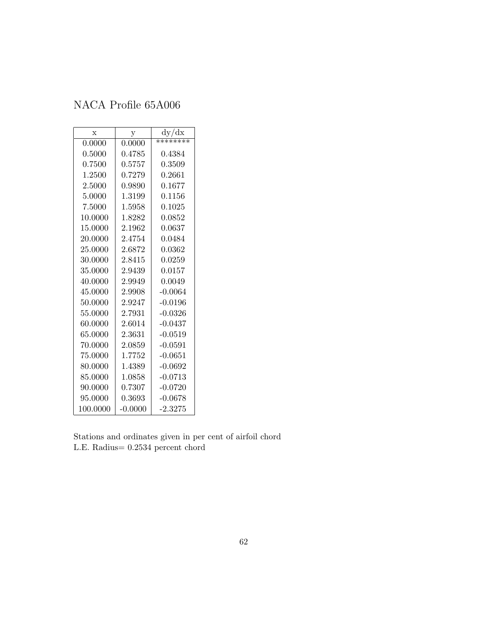| $\mathbf x$ | у         | dy/dx        |
|-------------|-----------|--------------|
| 0.0000      | 0.0000    | ********     |
| 0.5000      | 0.4785    | 0.4384       |
| 0.7500      | 0.5757    | 0.3509       |
| 1.2500      | 0.7279    | 0.2661       |
| 2.5000      | 0.9890    | 0.1677       |
| 5.0000      | 1.3199    | 0.1156       |
| 7.5000      | 1.5958    | 0.1025       |
| 10.0000     | 1.8282    | $\;\:0.0852$ |
| 15.0000     | 2.1962    | 0.0637       |
| 20.0000     | 2.4754    | 0.0484       |
| 25.0000     | 2.6872    | 0.0362       |
| 30.0000     | 2.8415    | 0.0259       |
| 35.0000     | 2.9439    | 0.0157       |
| 40.0000     | 2.9949    | 0.0049       |
| 45.0000     | 2.9908    | $-0.0064$    |
| 50.0000     | 2.9247    | $-0.0196$    |
| 55.0000     | 2.7931    | $-0.0326$    |
| 60.0000     | 2.6014    | $-0.0437$    |
| 65.0000     | 2.3631    | $-0.0519$    |
| 70.0000     | 2.0859    | $-0.0591$    |
| 75.0000     | 1.7752    | $-0.0651$    |
| 80.0000     | 1.4389    | $-0.0692$    |
| 85.0000     | 1.0858    | $-0.0713$    |
| 90.0000     | 0.7307    | $-0.0720$    |
| 95.0000     | 0.3693    | $-0.0678$    |
| 100.0000    | $-0.0000$ | $-2.3275$    |

Stations and ordinates given in per cent of airfoil chord L.E. Radius= 0.2534 percent chord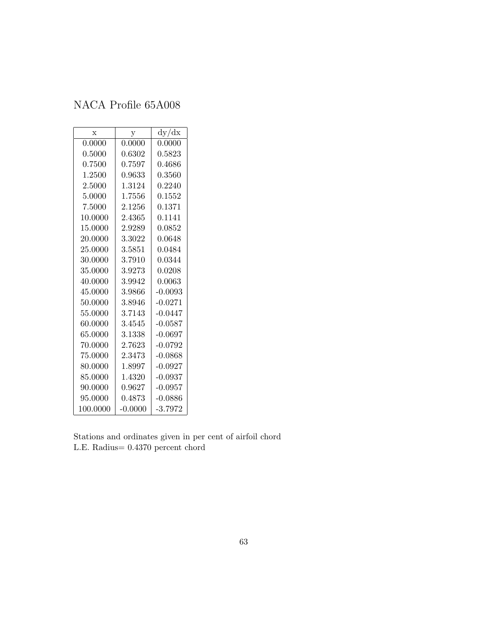| $\mathbf x$ | у         | dy/dx     |
|-------------|-----------|-----------|
| 0.0000      | 0.0000    | 0.0000    |
| 0.5000      | 0.6302    | 0.5823    |
| 0.7500      | 0.7597    | 0.4686    |
| 1.2500      | 0.9633    | 0.3560    |
| 2.5000      | 1.3124    | 0.2240    |
| 5.0000      | 1.7556    | 0.1552    |
| 7.5000      | 2.1256    | 0.1371    |
| 10.0000     | 2.4365    | 0.1141    |
| 15.0000     | 2.9289    | 0.0852    |
| 20.0000     | 3.3022    | 0.0648    |
| 25.0000     | 3.5851    | 0.0484    |
| 30.0000     | 3.7910    | 0.0344    |
| 35.0000     | 3.9273    | 0.0208    |
| 40.0000     | 3.9942    | 0.0063    |
| 45.0000     | 3.9866    | $-0.0093$ |
| 50.0000     | 3.8946    | $-0.0271$ |
| 55.0000     | 3.7143    | $-0.0447$ |
| 60.0000     | 3.4545    | $-0.0587$ |
| 65.0000     | 3.1338    | $-0.0697$ |
| 70.0000     | 2.7623    | $-0.0792$ |
| 75.0000     | 2.3473    | $-0.0868$ |
| 80.0000     | 1.8997    | $-0.0927$ |
| 85.0000     | 1.4320    | $-0.0937$ |
| 90.0000     | 0.9627    | $-0.0957$ |
| 95.0000     | 0.4873    | $-0.0886$ |
| 100.0000    | $-0.0000$ | $-3.7972$ |

Stations and ordinates given in per cent of airfoil chord L.E. Radius= 0.4370 percent chord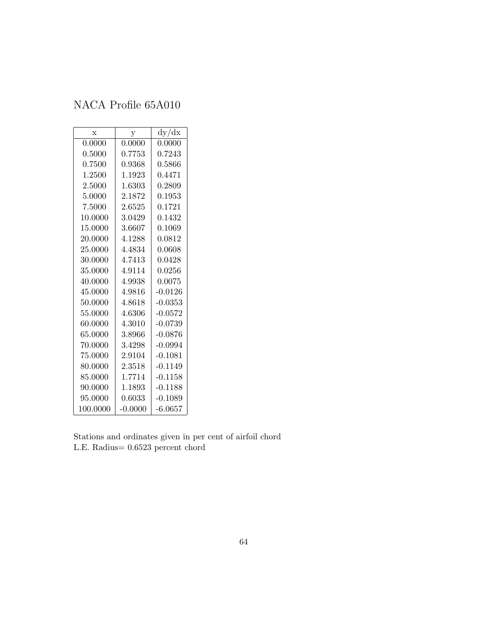| $\mathbf x$ | y         | dy/dx     |
|-------------|-----------|-----------|
| 0.0000      | 0.0000    | 0.0000    |
| 0.5000      | 0.7753    | 0.7243    |
| 0.7500      | 0.9368    | 0.5866    |
| 1.2500      | 1.1923    | 0.4471    |
| 2.5000      | 1.6303    | 0.2809    |
| 5.0000      | 2.1872    | 0.1953    |
| 7.5000      | 2.6525    | 0.1721    |
| 10.0000     | 3.0429    | 0.1432    |
| 15.0000     | 3.6607    | 0.1069    |
| 20.0000     | 4.1288    | 0.0812    |
| 25.0000     | 4.4834    | 0.0608    |
| 30.0000     | 4.7413    | 0.0428    |
| 35.0000     | 4.9114    | 0.0256    |
| 40.0000     | 4.9938    | 0.0075    |
| 45.0000     | 4.9816    | $-0.0126$ |
| 50.0000     | 4.8618    | $-0.0353$ |
| 55.0000     | 4.6306    | $-0.0572$ |
| 60.0000     | 4.3010    | $-0.0739$ |
| 65.0000     | 3.8966    | $-0.0876$ |
| 70.0000     | 3.4298    | $-0.0994$ |
| 75.0000     | 2.9104    | $-0.1081$ |
| 80.0000     | 2.3518    | $-0.1149$ |
| 85.0000     | 1.7714    | $-0.1158$ |
| 90.0000     | 1.1893    | $-0.1188$ |
| 95.0000     | 0.6033    | $-0.1089$ |
| 100.0000    | $-0.0000$ | $-6.0657$ |

Stations and ordinates given in per cent of airfoil chord L.E. Radius= 0.6523 percent chord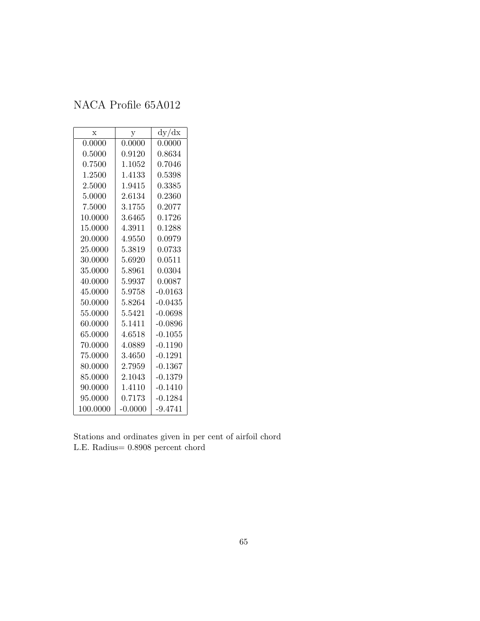| $\mathbf x$ | у         | dy/dx     |
|-------------|-----------|-----------|
| 0.0000      | 0.0000    | 0.0000    |
| 0.5000      | 0.9120    | 0.8634    |
| 0.7500      | 1.1052    | 0.7046    |
| 1.2500      | 1.4133    | 0.5398    |
| 2.5000      | 1.9415    | 0.3385    |
| 5.0000      | 2.6134    | 0.2360    |
| 7.5000      | 3.1755    | 0.2077    |
| 10.0000     | 3.6465    | 0.1726    |
| 15.0000     | 4.3911    | 0.1288    |
| 20.0000     | 4.9550    | 0.0979    |
| 25.0000     | 5.3819    | 0.0733    |
| 30.0000     | 5.6920    | 0.0511    |
| 35.0000     | 5.8961    | 0.0304    |
| 40.0000     | 5.9937    | 0.0087    |
| 45.0000     | 5.9758    | $-0.0163$ |
| 50.0000     | 5.8264    | $-0.0435$ |
| 55.0000     | 5.5421    | $-0.0698$ |
| 60.0000     | 5.1411    | $-0.0896$ |
| 65.0000     | 4.6518    | $-0.1055$ |
| 70.0000     | 4.0889    | $-0.1190$ |
| 75.0000     | 3.4650    | $-0.1291$ |
| 80.0000     | 2.7959    | $-0.1367$ |
| 85.0000     | 2.1043    | $-0.1379$ |
| 90.0000     | 1.4110    | $-0.1410$ |
| 95.0000     | 0.7173    | $-0.1284$ |
| 100.0000    | $-0.0000$ | $-9.4741$ |

Stations and ordinates given in per cent of airfoil chord L.E. Radius= 0.8908 percent chord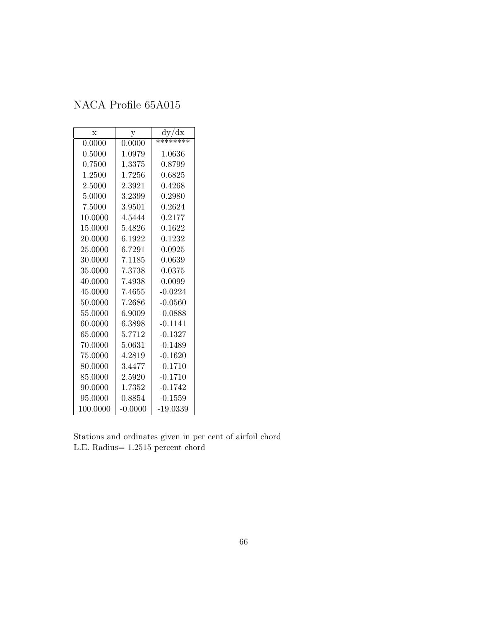| X        | у            | dy/dx        |
|----------|--------------|--------------|
| 0.0000   | 0.0000       | ********     |
| 0.5000   | 1.0979       | $1.0636\,$   |
| 0.7500   | 1.3375       | 0.8799       |
| 1.2500   | 1.7256       | 0.6825       |
| 2.5000   | 2.3921       | 0.4268       |
| 5.0000   | 3.2399       | 0.2980       |
| 7.5000   | 3.9501       | ${0.2624}$   |
| 10.0000  | 4.5444       | 0.2177       |
| 15.0000  | 5.4826       | $\,0.1622\,$ |
| 20.0000  | 6.1922       | 0.1232       |
| 25.0000  | 6.7291       | 0.0925       |
| 30.0000  | 7.1185       | 0.0639       |
| 35.0000  | 7.3738       | 0.0375       |
| 40.0000  | 7.4938       | 0.0099       |
| 45.0000  | 7.4655       | $-0.0224$    |
| 50.0000  | 7.2686       | $-0.0560$    |
| 55.0000  | 6.9009       | $-0.0888$    |
| 60.0000  | 6.3898       | $-0.1141$    |
| 65.0000  | 5.7712       | $-0.1327$    |
| 70.0000  | 5.0631       | $-0.1489$    |
| 75.0000  | 4.2819       | $-0.1620$    |
| 80.0000  | 3.4477       | $-0.1710$    |
| 85.0000  | $2.5920\,$   | $-0.1710$    |
| 90.0000  | 1.7352       | $-0.1742$    |
| 95.0000  | $\;\:0.8854$ | $-0.1559$    |
| 100.0000 | $-0.0000$    | -19.0339     |

Stations and ordinates given in per cent of airfoil chord L.E. Radius= 1.2515 percent chord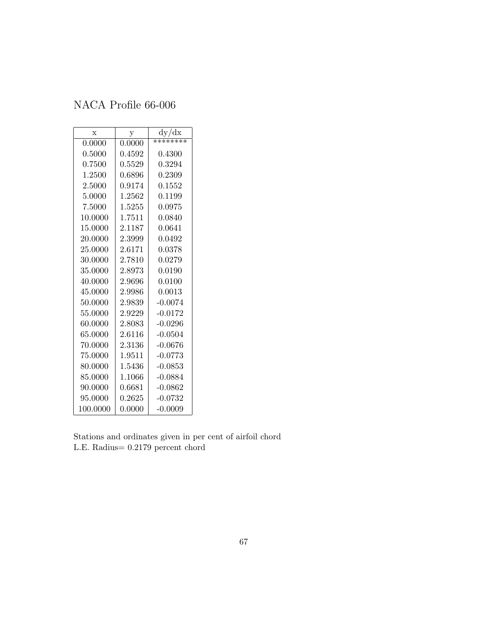| $\mathbf x$ | у      | dy/dx        |
|-------------|--------|--------------|
| 0.0000      | 0.0000 | ********     |
| 0.5000      | 0.4592 | $\,0.4300\,$ |
| 0.7500      | 0.5529 | 0.3294       |
| 1.2500      | 0.6896 | 0.2309       |
| 2.5000      | 0.9174 | 0.1552       |
| 5.0000      | 1.2562 | 0.1199       |
| 7.5000      | 1.5255 | 0.0975       |
| 10.0000     | 1.7511 | 0.0840       |
| 15.0000     | 2.1187 | 0.0641       |
| 20.0000     | 2.3999 | 0.0492       |
| 25.0000     | 2.6171 | 0.0378       |
| 30.0000     | 2.7810 | 0.0279       |
| 35.0000     | 2.8973 | 0.0190       |
| 40.0000     | 2.9696 | 0.0100       |
| 45.0000     | 2.9986 | 0.0013       |
| 50.0000     | 2.9839 | $-0.0074$    |
| 55.0000     | 2.9229 | $-0.0172$    |
| 60.0000     | 2.8083 | $-0.0296$    |
| 65.0000     | 2.6116 | $-0.0504$    |
| 70.0000     | 2.3136 | $-0.0676$    |
| 75.0000     | 1.9511 | $-0.0773$    |
| 80.0000     | 1.5436 | $-0.0853$    |
| 85.0000     | 1.1066 | $-0.0884$    |
| 90.0000     | 0.6681 | $-0.0862$    |
| 95.0000     | 0.2625 | $-0.0732$    |
| 100.0000    | 0.0000 | $-0.0009$    |

Stations and ordinates given in per cent of airfoil chord L.E. Radius= 0.2179 percent chord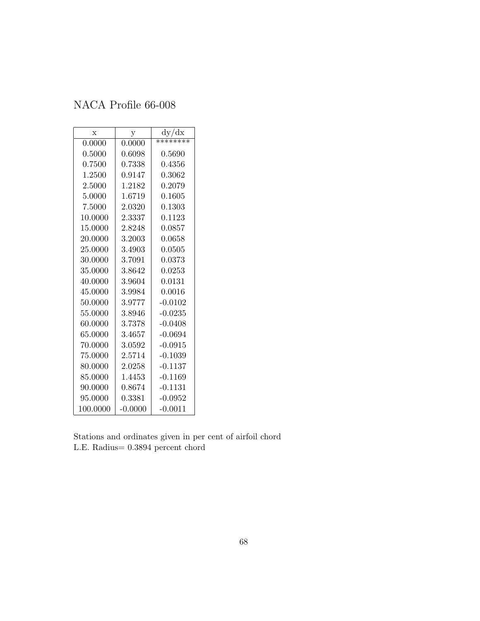| $\mathbf x$ | у         | dy/dx      |
|-------------|-----------|------------|
| 0.0000      | 0.0000    | ********   |
| 0.5000      | 0.6098    | ${0.5690}$ |
| 0.7500      | 0.7338    | 0.4356     |
| 1.2500      | 0.9147    | 0.3062     |
| 2.5000      | 1.2182    | 0.2079     |
| 5.0000      | 1.6719    | 0.1605     |
| 7.5000      | 2.0320    | 0.1303     |
| 10.0000     | 2.3337    | 0.1123     |
| 15.0000     | 2.8248    | 0.0857     |
| 20.0000     | 3.2003    | 0.0658     |
| 25.0000     | 3.4903    | 0.0505     |
| 30.0000     | 3.7091    | 0.0373     |
| 35.0000     | 3.8642    | 0.0253     |
| 40.0000     | 3.9604    | 0.0131     |
| 45.0000     | 3.9984    | $0.0016\,$ |
| 50.0000     | 3.9777    | $-0.0102$  |
| 55.0000     | 3.8946    | $-0.0235$  |
| 60.0000     | 3.7378    | $-0.0408$  |
| 65.0000     | 3.4657    | $-0.0694$  |
| 70.0000     | 3.0592    | $-0.0915$  |
| 75.0000     | 2.5714    | $-0.1039$  |
| 80.0000     | 2.0258    | $-0.1137$  |
| 85.0000     | 1.4453    | $-0.1169$  |
| 90.0000     | 0.8674    | $-0.1131$  |
| 95.0000     | 0.3381    | $-0.0952$  |
| 100.0000    | $-0.0000$ | $-0.0011$  |

Stations and ordinates given in per cent of airfoil chord L.E. Radius= 0.3894 percent chord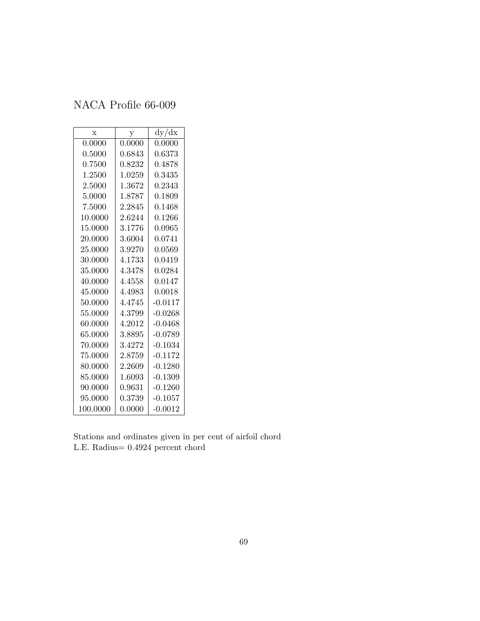| $\mathbf x$ | у      | dy/dx     |
|-------------|--------|-----------|
| 0.0000      | 0.0000 | 0.0000    |
| 0.5000      | 0.6843 | 0.6373    |
| 0.7500      | 0.8232 | 0.4878    |
| 1.2500      | 1.0259 | 0.3435    |
| 2.5000      | 1.3672 | 0.2343    |
| 5.0000      | 1.8787 | 0.1809    |
| 7.5000      | 2.2845 | 0.1468    |
| 10.0000     | 2.6244 | 0.1266    |
| 15.0000     | 3.1776 | 0.0965    |
| 20.0000     | 3.6004 | 0.0741    |
| 25.0000     | 3.9270 | 0.0569    |
| 30.0000     | 4.1733 | 0.0419    |
| 35.0000     | 4.3478 | 0.0284    |
| 40.0000     | 4.4558 | 0.0147    |
| 45.0000     | 4.4983 | 0.0018    |
| 50.0000     | 4.4745 | $-0.0117$ |
| 55,0000     | 4.3799 | $-0.0268$ |
| 60.0000     | 4.2012 | $-0.0468$ |
| 65.0000     | 3.8895 | $-0.0789$ |
| 70.0000     | 3.4272 | $-0.1034$ |
| 75.0000     | 2.8759 | $-0.1172$ |
| 80.0000     | 2.2609 | $-0.1280$ |
| 85.0000     | 1.6093 | $-0.1309$ |
| 90.0000     | 0.9631 | $-0.1260$ |
| 95.0000     | 0.3739 | $-0.1057$ |
| 100.0000    | 0.0000 | $-0.0012$ |

Stations and ordinates given in per cent of airfoil chord L.E. Radius= 0.4924 percent chord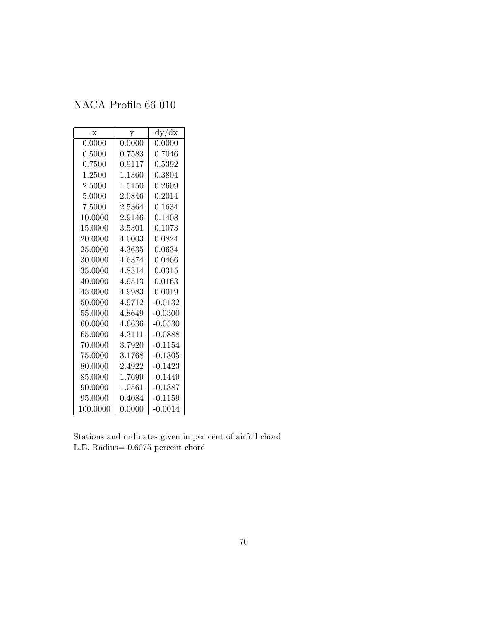| $\mathbf x$ | у      | dy/dx      |
|-------------|--------|------------|
| 0.0000      | 0.0000 | 0.0000     |
| 0.5000      | 0.7583 | ${0.7046}$ |
| 0.7500      | 0.9117 | 0.5392     |
| 1.2500      | 1.1360 | 0.3804     |
| 2.5000      | 1.5150 | 0.2609     |
| 5.0000      | 2.0846 | 0.2014     |
| 7.5000      | 2.5364 | 0.1634     |
| 10.0000     | 2.9146 | 0.1408     |
| 15.0000     | 3.5301 | 0.1073     |
| 20.0000     | 4.0003 | 0.0824     |
| 25.0000     | 4.3635 | 0.0634     |
| 30.0000     | 4.6374 | 0.0466     |
| 35.0000     | 4.8314 | 0.0315     |
| 40.0000     | 4.9513 | 0.0163     |
| 45.0000     | 4.9983 | 0.0019     |
| 50.0000     | 4.9712 | $-0.0132$  |
| 55.0000     | 4.8649 | $-0.0300$  |
| 60.0000     | 4.6636 | $-0.0530$  |
| 65.0000     | 4.3111 | $-0.0888$  |
| 70.0000     | 3.7920 | $-0.1154$  |
| 75.0000     | 3.1768 | $-0.1305$  |
| 80.0000     | 2.4922 | $-0.1423$  |
| 85.0000     | 1.7699 | -0.1449    |
| 90.0000     | 1.0561 | $-0.1387$  |
| 95.0000     | 0.4084 | $-0.1159$  |
| 100.0000    | 0.0000 | $-0.0014$  |

Stations and ordinates given in per cent of airfoil chord L.E. Radius= 0.6075 percent chord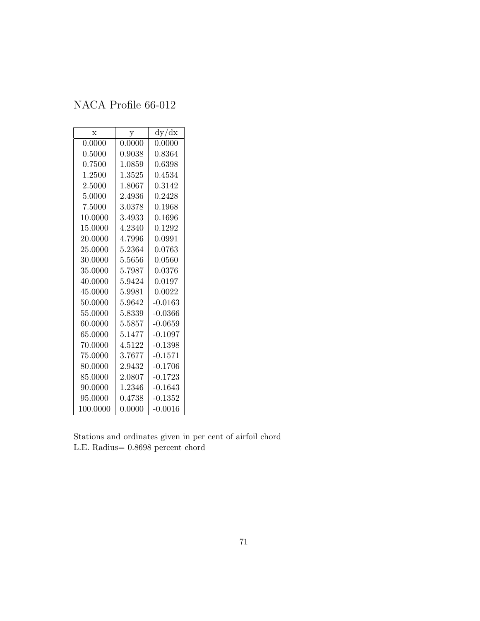| X        | у      | dy/dx     |
|----------|--------|-----------|
| 0.0000   | 0.0000 | 0.0000    |
| 0.5000   | 0.9038 | 0.8364    |
| 0.7500   | 1.0859 | 0.6398    |
| 1.2500   | 1.3525 | 0.4534    |
| 2.5000   | 1.8067 | 0.3142    |
| 5.0000   | 2.4936 | 0.2428    |
| 7.5000   | 3.0378 | 0.1968    |
| 10.0000  | 3.4933 | 0.1696    |
| 15.0000  | 4.2340 | 0.1292    |
| 20.0000  | 4.7996 | 0.0991    |
| 25.0000  | 5.2364 | 0.0763    |
| 30.0000  | 5.5656 | 0.0560    |
| 35.0000  | 5.7987 | 0.0376    |
| 40.0000  | 5.9424 | 0.0197    |
| 45.0000  | 5.9981 | 0.0022    |
| 50.0000  | 5.9642 | $-0.0163$ |
| 55.0000  | 5.8339 | $-0.0366$ |
| 60.0000  | 5.5857 | $-0.0659$ |
| 65.0000  | 5.1477 | $-0.1097$ |
| 70.0000  | 4.5122 | $-0.1398$ |
| 75.0000  | 3.7677 | $-0.1571$ |
| 80.0000  | 2.9432 | $-0.1706$ |
| 85.0000  | 2.0807 | $-0.1723$ |
| 90.0000  | 1.2346 | $-0.1643$ |
| 95.0000  | 0.4738 | $-0.1352$ |
| 100.0000 | 0.0000 | -0.0016   |

Stations and ordinates given in per cent of airfoil chord L.E. Radius= 0.8698 percent chord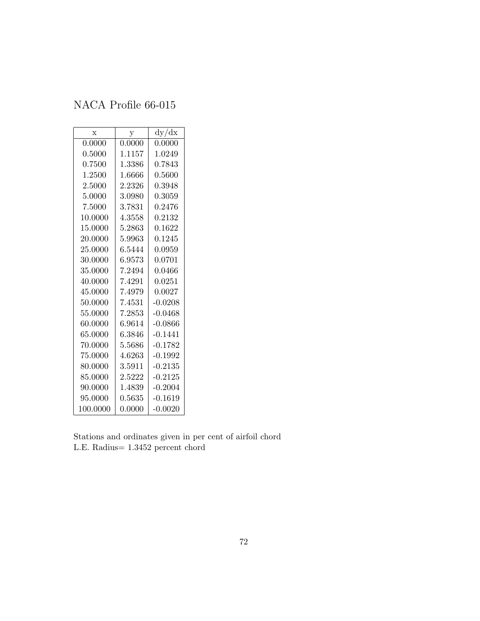| $\mathbf x$ | у      | dy/dx        |
|-------------|--------|--------------|
| 0.0000      | 0.0000 | 0.0000       |
| 0.5000      | 1.1157 | 1.0249       |
| 0.7500      | 1.3386 | 0.7843       |
| 1.2500      | 1.6666 | $\,0.5600\,$ |
| 2.5000      | 2.2326 | 0.3948       |
| 5.0000      | 3.0980 | ${0.3059}$   |
| 7.5000      | 3.7831 | ${0.2476}$   |
| 10.0000     | 4.3558 | ${0.2132}$   |
| 15.0000     | 5.2863 | 0.1622       |
| 20.0000     | 5.9963 | 0.1245       |
| 25.0000     | 6.5444 | 0.0959       |
| 30.0000     | 6.9573 | 0.0701       |
| 35.0000     | 7.2494 | 0.0466       |
| 40.0000     | 7.4291 | 0.0251       |
| 45.0000     | 7.4979 | 0.0027       |
| 50.0000     | 7.4531 | $-0.0208$    |
| 55.0000     | 7.2853 | $-0.0468$    |
| 60.0000     | 6.9614 | -0.0866      |
| 65.0000     | 6.3846 | $-0.1441$    |
| 70.0000     | 5.5686 | $-0.1782$    |
| 75.0000     | 4.6263 | $-0.1992$    |
| 80.0000     | 3.5911 | $-0.2135$    |
| 85.0000     | 2.5222 | $-0.2125$    |
| 90.0000     | 1.4839 | $-0.2004$    |
| 95.0000     | 0.5635 | $-0.1619$    |
| 100.0000    | 0.0000 | $-0.0020$    |

Stations and ordinates given in per cent of airfoil chord L.E. Radius= 1.3452 percent chord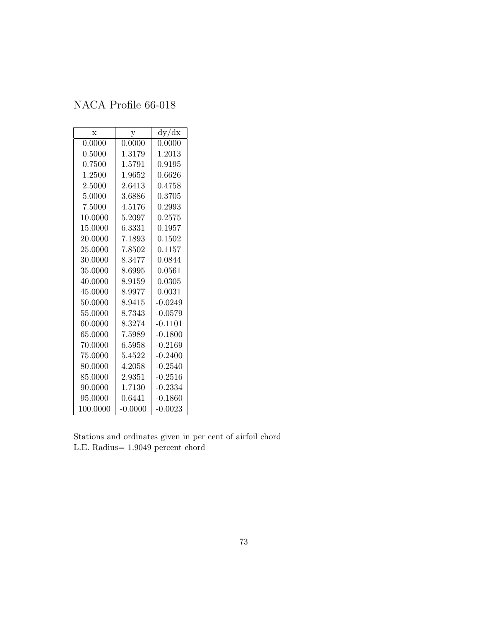## NACA Profile 66-018

| $\mathbf x$ | $\mathbf{y}$ | dy/dx     |
|-------------|--------------|-----------|
| 0.0000      | 0.0000       | 0.0000    |
| 0.5000      | 1.3179       | 1.2013    |
| 0.7500      | 1.5791       | 0.9195    |
| 1.2500      | 1.9652       | 0.6626    |
| 2.5000      | 2.6413       | 0.4758    |
| 5.0000      | 3.6886       | 0.3705    |
| 7.5000      | 4.5176       | 0.2993    |
| 10.0000     | 5.2097       | 0.2575    |
| 15.0000     | 6.3331       | 0.1957    |
| 20.0000     | 7.1893       | 0.1502    |
| 25.0000     | 7.8502       | 0.1157    |
| 30.0000     | 8.3477       | 0.0844    |
| 35.0000     | 8.6995       | 0.0561    |
| 40.0000     | 8.9159       | 0.0305    |
| 45.0000     | 8.9977       | 0.0031    |
| 50.0000     | 8.9415       | $-0.0249$ |
| 55.0000     | 8.7343       | $-0.0579$ |
| 60.0000     | 8.3274       | $-0.1101$ |
| 65.0000     | 7.5989       | $-0.1800$ |
| 70.0000     | $\;6.5958\;$ | $-0.2169$ |
| 75.0000     | 5.4522       | $-0.2400$ |
| 80.0000     | 4.2058       | $-0.2540$ |
| 85.0000     | 2.9351       | $-0.2516$ |
| 90.0000     | 1.7130       | $-0.2334$ |
| 95.0000     | 0.6441       | $-0.1860$ |
| 100.0000    | $-0.0000$    | $-0.0023$ |

Stations and ordinates given in per cent of airfoil chord L.E. Radius= 1.9049 percent chord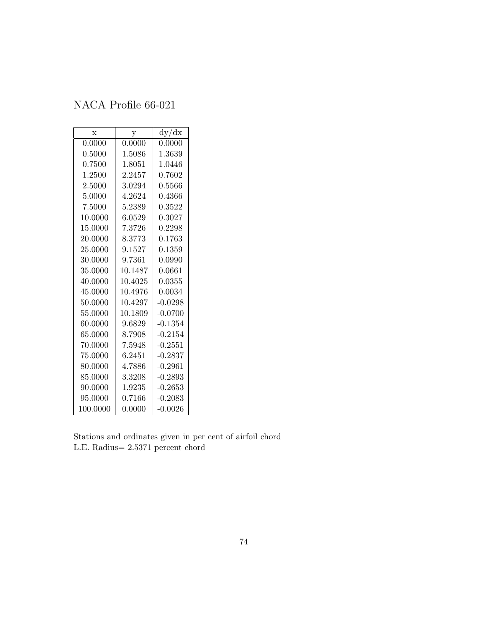## NACA Profile 66-021

| X        | у       | dy/dx        |
|----------|---------|--------------|
| 0.0000   | 0.0000  | 0.0000       |
| 0.5000   | 1.5086  | 1.3639       |
| 0.7500   | 1.8051  | 1.0446       |
| 1.2500   | 2.2457  | ${0.7602}$   |
| 2.5000   | 3.0294  | $\,0.5566\,$ |
| 5.0000   | 4.2624  | 0.4366       |
| 7.5000   | 5.2389  | 0.3522       |
| 10.0000  | 6.0529  | ${ 0.3027}$  |
| 15.0000  | 7.3726  | 0.2298       |
| 20.0000  | 8.3773  | 0.1763       |
| 25.0000  | 9.1527  | 0.1359       |
| 30.0000  | 9.7361  | 0.0990       |
| 35.0000  | 10.1487 | 0.0661       |
| 40.0000  | 10.4025 | 0.0355       |
| 45.0000  | 10.4976 | 0.0034       |
| 50.0000  | 10.4297 | $-0.0298$    |
| 55.0000  | 10.1809 | $-0.0700$    |
| 60.0000  | 9.6829  | $-0.1354$    |
| 65.0000  | 8.7908  | $-0.2154$    |
| 70.0000  | 7.5948  | $-0.2551$    |
| 75.0000  | 6.2451  | $-0.2837$    |
| 80.0000  | 4.7886  | $-0.2961$    |
| 85.0000  | 3.3208  | $-0.2893$    |
| 90.0000  | 1.9235  | $-0.2653$    |
| 95.0000  | 0.7166  | $-0.2083$    |
| 100.0000 | 0.0000  | $-0.0026$    |

Stations and ordinates given in per cent of airfoil chord L.E. Radius= 2.5371 percent chord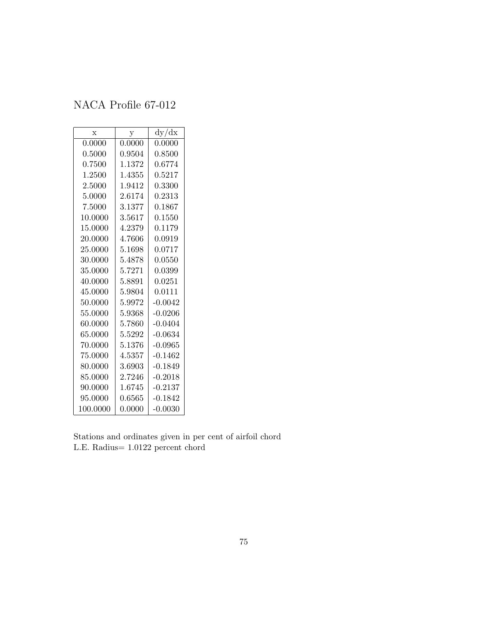## NACA Profile 67-012

| X        | $\mathbf{y}$ | dy/dx        |
|----------|--------------|--------------|
| 0.0000   | 0.0000       | 0.0000       |
| 0.5000   | 0.9504       | 0.8500       |
| 0.7500   | 1.1372       | 0.6774       |
| 1.2500   | 1.4355       | $\;\:0.5217$ |
| 2.5000   | 1.9412       | 0.3300       |
| 5.0000   | 2.6174       | 0.2313       |
| 7.5000   | 3.1377       | $\;\:0.1867$ |
| 10.0000  | 3.5617       | 0.1550       |
| 15.0000  | 4.2379       | 0.1179       |
| 20.0000  | 4.7606       | 0.0919       |
| 25.0000  | 5.1698       | 0.0717       |
| 30.0000  | 5.4878       | 0.0550       |
| 35.0000  | 5.7271       | 0.0399       |
| 40.0000  | 5.8891       | 0.0251       |
| 45.0000  | 5.9804       | 0.0111       |
| 50.0000  | 5.9972       | $-0.0042$    |
| 55.0000  | 5.9368       | $-0.0206$    |
| 60.0000  | 5.7860       | $-0.0404$    |
| 65.0000  | 5.5292       | -0.0634      |
| 70.0000  | 5.1376       | $-0.0965$    |
| 75.0000  | 4.5357       | $-0.1462$    |
| 80.0000  | 3.6903       | $-0.1849$    |
| 85.0000  | 2.7246       | $-0.2018$    |
| 90.0000  | 1.6745       | $-0.2137$    |
| 95.0000  | 0.6565       | $-0.1842$    |
| 100.0000 | 0.0000       | $-0.0030$    |

Stations and ordinates given in per cent of airfoil chord L.E. Radius= 1.0122 percent chord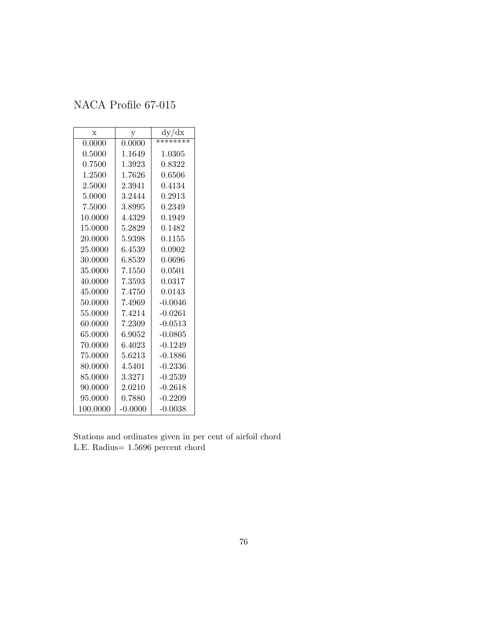## NACA Profile 67-015

| $\mathbf x$ | у         | dy/dx        |
|-------------|-----------|--------------|
| 0.0000      | 0.0000    | ********     |
| 0.5000      | 1.1649    | 1.0305       |
| 0.7500      | 1.3923    | 0.8322       |
| 1.2500      | 1.7626    | 0.6506       |
| 2.5000      | 2.3941    | 0.4134       |
| 5.0000      | 3.2444    | 0.2913       |
| 7.5000      | 3.8995    | 0.2349       |
| 10.0000     | 4.4329    | 0.1949       |
| 15.0000     | 5.2829    | 0.1482       |
| 20.0000     | 5.9398    | 0.1155       |
| 25.0000     | 6.4539    | 0.0902       |
| 30.0000     | 6.8539    | 0.0696       |
| 35.0000     | 7.1550    | 0.0501       |
| 40.0000     | 7.3593    | 0.0317       |
| 45.0000     | 7.4750    | $\,0.0143\,$ |
| 50.0000     | 7.4969    | $-0.0046$    |
| 55.0000     | 7.4214    | $-0.0261$    |
| 60.0000     | 7.2309    | $-0.0513$    |
| 65.0000     | 6.9052    | $-0.0805$    |
| 70.0000     | 6.4023    | $-0.1249$    |
| 75.0000     | 5.6213    | $-0.1886$    |
| 80.0000     | 4.5401    | $-0.2336$    |
| 85.0000     | 3.3271    | $-0.2539$    |
| 90.0000     | 2.0210    | $-0.2618$    |
| 95.0000     | 0.7880    | $-0.2209$    |
| 100.0000    | $-0.0000$ | $-0.0038$    |

Stations and ordinates given in per cent of airfoil chord L.E. Radius= 1.5696 percent chord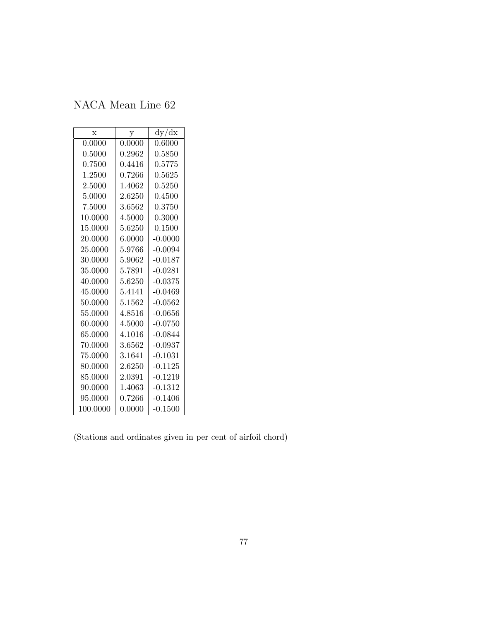| $\mathbf x$ | у            | dy/dx     |
|-------------|--------------|-----------|
| 0.0000      | 0.0000       | 0.6000    |
| 0.5000      | 0.2962       | 0.5850    |
| 0.7500      | $\,0.4416\,$ | 0.5775    |
| 1.2500      | 0.7266       | 0.5625    |
| 2.5000      | 1.4062       | 0.5250    |
| 5.0000      | 2.6250       | 0.4500    |
| 7.5000      | 3.6562       | 0.3750    |
| 10.0000     | 4.5000       | 0.3000    |
| 15.0000     | 5.6250       | 0.1500    |
| 20.0000     | 6.0000       | $-0.0000$ |
| 25.0000     | 5.9766       | $-0.0094$ |
| 30.0000     | 5.9062       | $-0.0187$ |
| 35.0000     | 5.7891       | $-0.0281$ |
| 40.0000     | 5.6250       | $-0.0375$ |
| 45.0000     | 5.4141       | -0.0469   |
| 50.0000     | 5.1562       | $-0.0562$ |
| 55.0000     | 4.8516       | $-0.0656$ |
| 60.0000     | 4.5000       | $-0.0750$ |
| 65.0000     | 4.1016       | $-0.0844$ |
| 70.0000     | 3.6562       | $-0.0937$ |
| 75.0000     | 3.1641       | $-0.1031$ |
| 80.0000     | 2.6250       | $-0.1125$ |
| 85.0000     | 2.0391       | $-0.1219$ |
| 90.0000     | 1.4063       | $-0.1312$ |
| 95.0000     | 0.7266       | $-0.1406$ |
| 100.0000    | 0.0000       | $-0.1500$ |

(Stations and ordinates given in per cent of airfoil chord)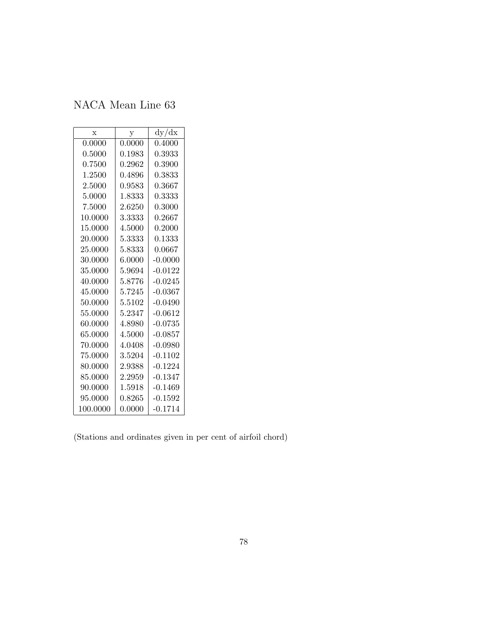| $\mathbf x$ | у            | dy/dx     |
|-------------|--------------|-----------|
| 0.0000      | 0.0000       | 0.4000    |
| 0.5000      | $\,0.1983\,$ | 0.3933    |
| 0.7500      | 0.2962       | 0.3900    |
| 1.2500      | 0.4896       | 0.3833    |
| 2.5000      | 0.9583       | 0.3667    |
| 5.0000      | 1.8333       | 0.3333    |
| 7.5000      | 2.6250       | 0.3000    |
| 10.0000     | 3.3333       | 0.2667    |
| 15.0000     | 4.5000       | 0.2000    |
| 20.0000     | 5.3333       | 0.1333    |
| 25.0000     | 5.8333       | 0.0667    |
| 30.0000     | 6.0000       | $-0.0000$ |
| 35.0000     | 5.9694       | $-0.0122$ |
| 40.0000     | 5.8776       | $-0.0245$ |
| 45.0000     | 5.7245       | $-0.0367$ |
| 50.0000     | 5.5102       | $-0.0490$ |
| 55.0000     | 5.2347       | $-0.0612$ |
| 60.0000     | 4.8980       | $-0.0735$ |
| 65.0000     | 4.5000       | $-0.0857$ |
| 70.0000     | 4.0408       | $-0.0980$ |
| 75.0000     | 3.5204       | $-0.1102$ |
| 80.0000     | 2.9388       | $-0.1224$ |
| 85.0000     | 2.2959       | $-0.1347$ |
| 90.0000     | 1.5918       | $-0.1469$ |
| 95.0000     | ${0.8265}$   | $-0.1592$ |
| 100.0000    | 0.0000       | $-0.1714$ |

(Stations and ordinates given in per cent of airfoil chord)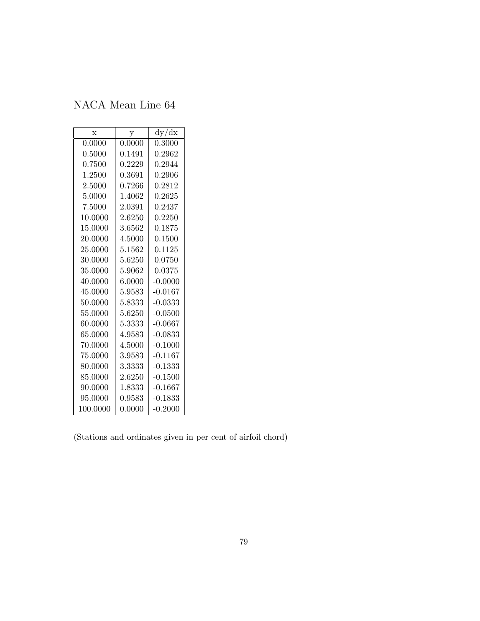| $\mathbf x$ | у      | dy/dx      |
|-------------|--------|------------|
| 0.0000      | 0.0000 | 0.3000     |
| 0.5000      | 0.1491 | ${0.2962}$ |
| 0.7500      | 0.2229 | 0.2944     |
| 1.2500      | 0.3691 | ${0.2906}$ |
| 2.5000      | 0.7266 | 0.2812     |
| 5.0000      | 1.4062 | 0.2625     |
| 7.5000      | 2.0391 | 0.2437     |
| 10.0000     | 2.6250 | 0.2250     |
| 15.0000     | 3.6562 | 0.1875     |
| 20.0000     | 4.5000 | 0.1500     |
| 25.0000     | 5.1562 | 0.1125     |
| 30.0000     | 5.6250 | 0.0750     |
| 35.0000     | 5.9062 | 0.0375     |
| 40.0000     | 6.0000 | $-0.0000$  |
| 45.0000     | 5.9583 | $-0.0167$  |
| 50.0000     | 5.8333 | $-0.0333$  |
| 55.0000     | 5.6250 | $-0.0500$  |
| 60.0000     | 5.3333 | $-0.0667$  |
| 65.0000     | 4.9583 | -0.0833    |
| 70.0000     | 4.5000 | $-0.1000$  |
| 75.0000     | 3.9583 | $-0.1167$  |
| 80.0000     | 3.3333 | -0.1333    |
| 85.0000     | 2.6250 | $-0.1500$  |
| 90.0000     | 1.8333 | $-0.1667$  |
| 95.0000     | 0.9583 | $-0.1833$  |
| 100.0000    | 0.0000 | $-0.2000$  |

(Stations and ordinates given in per cent of airfoil chord)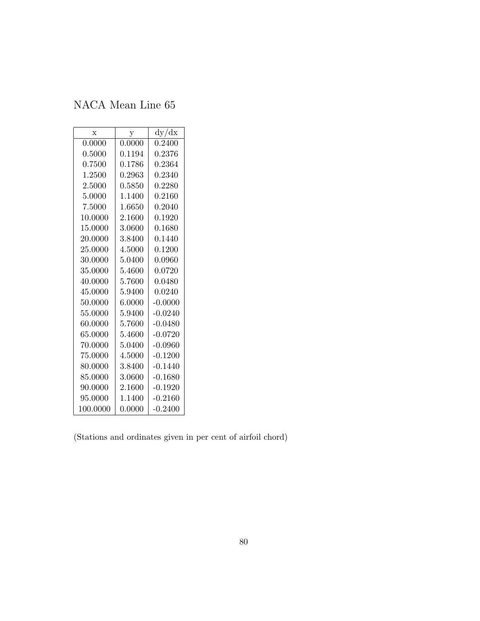| $\mathbf x$ | у      | dy/dx        |
|-------------|--------|--------------|
| 0.0000      | 0.0000 | 0.2400       |
| 0.5000      | 0.1194 | 0.2376       |
| 0.7500      | 0.1786 | 0.2364       |
| 1.2500      | 0.2963 | ${0.2340}$   |
| 2.5000      | 0.5850 | 0.2280       |
| 5.0000      | 1.1400 | 0.2160       |
| 7.5000      | 1.6650 | 0.2040       |
| 10.0000     | 2.1600 | ${0.1920}$   |
| 15.0000     | 3.0600 | 0.1680       |
| 20.0000     | 3.8400 | 0.1440       |
| 25.0000     | 4.5000 | 0.1200       |
| 30.0000     | 5.0400 | $\,0.0960\,$ |
| 35.0000     | 5.4600 | 0.0720       |
| 40.0000     | 5.7600 | 0.0480       |
| 45.0000     | 5.9400 | 0.0240       |
| 50.0000     | 6.0000 | $-0.0000$    |
| 55.0000     | 5.9400 | $-0.0240$    |
| 60.0000     | 5.7600 | -0.0480      |
| 65.0000     | 5.4600 | $-0.0720$    |
| 70.0000     | 5.0400 | $-0.0960$    |
| 75.0000     | 4.5000 | $-0.1200$    |
| 80.0000     | 3.8400 | -0.1440      |
| 85.0000     | 3.0600 | $-0.1680$    |
| 90.0000     | 2.1600 | $-0.1920$    |
| 95.0000     | 1.1400 | $-0.2160$    |
| 100.0000    | 0.0000 | $-0.2400$    |

(Stations and ordinates given in per cent of airfoil chord)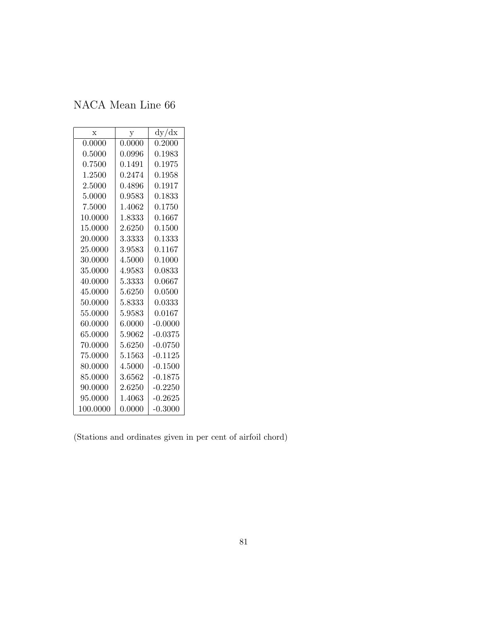| $\mathbf x$ | у                                                  | dy/dx        |
|-------------|----------------------------------------------------|--------------|
| 0.0000      | 0.0000                                             | 0.2000       |
| 0.5000      | ${0.0996}% \noindent where $0.0996$ \label{fig:2}$ | $\,0.1983\,$ |
| ${0.7500}$  | 0.1491                                             | 0.1975       |
| 1.2500      | 0.2474                                             | 0.1958       |
| 2.5000      | 0.4896                                             | 0.1917       |
| 5.0000      | ${ 0.9583}$                                        | 0.1833       |
| 7.5000      | 1.4062                                             | $0.1750\,$   |
| 10.0000     | 1.8333                                             | 0.1667       |
| 15.0000     | 2.6250                                             | 0.1500       |
| 20.0000     | 3.3333                                             | 0.1333       |
| 25.0000     | 3.9583                                             | 0.1167       |
| 30.0000     | 4.5000                                             | 0.1000       |
| 35.0000     | 4.9583                                             | 0.0833       |
| 40.0000     | 5.3333                                             | $\,0.0667\,$ |
| 45.0000     | 5.6250                                             | $0.0500\,$   |
| 50.0000     | 5.8333                                             | 0.0333       |
| 55.0000     | 5.9583                                             | 0.0167       |
| 60.0000     | 6.0000                                             | $-0.0000$    |
| 65.0000     | 5.9062                                             | $-0.0375$    |
| 70.0000     | 5.6250                                             | $-0.0750$    |
| 75.0000     | 5.1563                                             | $-0.1125$    |
| 80.0000     | 4.5000                                             | $-0.1500$    |
| 85.0000     | 3.6562                                             | $-0.1875$    |
| 90.0000     | 2.6250                                             | $-0.2250$    |
| 95.0000     | 1.4063                                             | $-0.2625$    |
| 100.0000    | 0.0000                                             | $-0.3000$    |

(Stations and ordinates given in per cent of airfoil chord)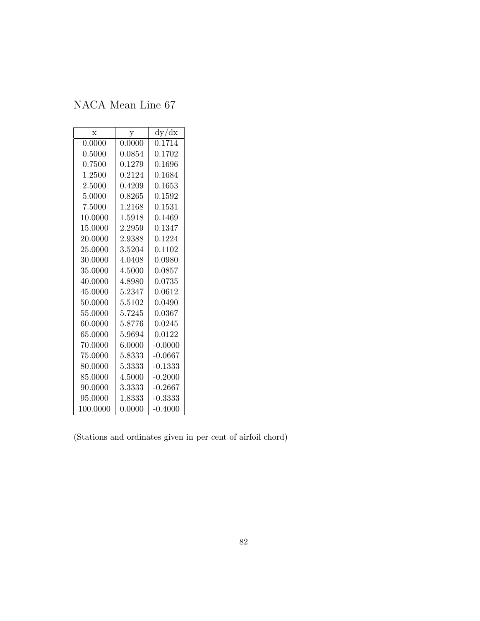| $\mathbf x$ | у      | dy/dx        |
|-------------|--------|--------------|
| 0.0000      | 0.0000 | 0.1714       |
| 0.5000      | 0.0854 | ${0.1702}$   |
| 0.7500      | 0.1279 | 0.1696       |
| 1.2500      | 0.2124 | 0.1684       |
| 2.5000      | 0.4209 | 0.1653       |
| 5.0000      | 0.8265 | 0.1592       |
| 7.5000      | 1.2168 | $\;\:0.1531$ |
| 10.0000     | 1.5918 | 0.1469       |
| 15.0000     | 2.2959 | 0.1347       |
| 20.0000     | 2.9388 | 0.1224       |
| 25.0000     | 3.5204 | 0.1102       |
| 30.0000     | 4.0408 | 0.0980       |
| 35.0000     | 4.5000 | 0.0857       |
| 40.0000     | 4.8980 | 0.0735       |
| 45.0000     | 5.2347 | 0.0612       |
| 50.0000     | 5.5102 | 0.0490       |
| 55.0000     | 5.7245 | 0.0367       |
| 60.0000     | 5.8776 | 0.0245       |
| 65.0000     | 5.9694 | 0.0122       |
| 70.0000     | 6.0000 | $-0.0000$    |
| 75.0000     | 5.8333 | $-0.0667$    |
| 80.0000     | 5.3333 | -0.1333      |
| 85.0000     | 4.5000 | $-0.2000$    |
| 90.0000     | 3.3333 | $-0.2667$    |
| 95.0000     | 1.8333 | $-0.3333$    |
| 100.0000    | 0.0000 | $-0.4000$    |

(Stations and ordinates given in per cent of airfoil chord)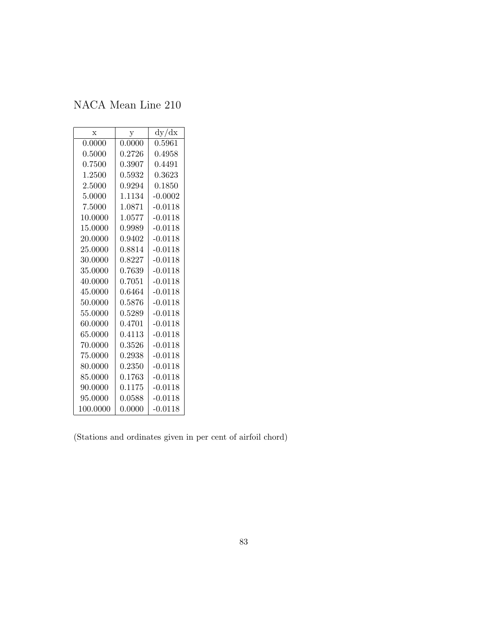| $\mathbf x$ | у            | dy/dx     |
|-------------|--------------|-----------|
| 0.0000      | 0.0000       | 0.5961    |
| 0.5000      | 0.2726       | 0.4958    |
| 0.7500      | 0.3907       | 0.4491    |
| 1.2500      | 0.5932       | 0.3623    |
| 2.5000      | 0.9294       | 0.1850    |
| 5.0000      | 1.1134       | $-0.0002$ |
| 7.5000      | 1.0871       | $-0.0118$ |
| 10.0000     | 1.0577       | $-0.0118$ |
| 15.0000     | 0.9989       | $-0.0118$ |
| 20.0000     | 0.9402       | $-0.0118$ |
| 25.0000     | 0.8814       | $-0.0118$ |
| 30.0000     | 0.8227       | $-0.0118$ |
| 35.0000     | 0.7639       | $-0.0118$ |
| 40.0000     | 0.7051       | $-0.0118$ |
| 45.0000     | 0.6464       | $-0.0118$ |
| 50.0000     | 0.5876       | $-0.0118$ |
| 55.0000     | 0.5289       | $-0.0118$ |
| 60.0000     | 0.4701       | $-0.0118$ |
| 65.0000     | 0.4113       | $-0.0118$ |
| 70.0000     | 0.3526       | $-0.0118$ |
| 75.0000     | 0.2938       | $-0.0118$ |
| 80.0000     | 0.2350       | $-0.0118$ |
| 85.0000     | $\,0.1763\,$ | $-0.0118$ |
| 90.0000     | 0.1175       | $-0.0118$ |
| 95.0000     | 0.0588       | $-0.0118$ |
| 100.0000    | 0.0000       | $-0.0118$ |

(Stations and ordinates given in per cent of airfoil chord)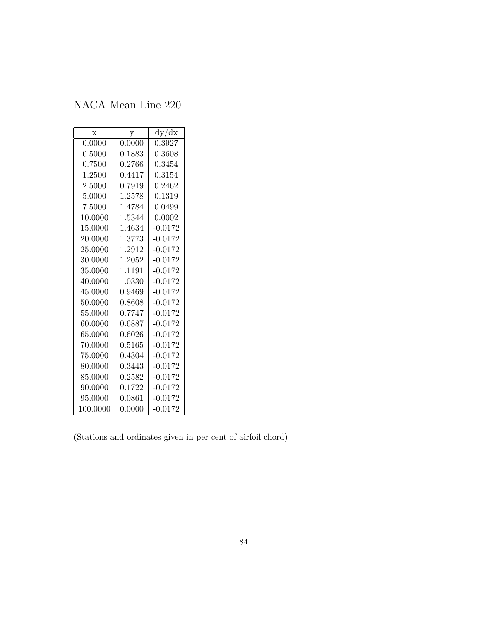NACA Mean Line 220

| $\mathbf x$ | у          | dy/dx        |
|-------------|------------|--------------|
| 0.0000      | 0.0000     | 0.3927       |
| 0.5000      | 0.1883     | 0.3608       |
| 0.7500      | ${0.2766}$ | 0.3454       |
| 1.2500      | 0.4417     | $\;\:0.3154$ |
| 2.5000      | 0.7919     | 0.2462       |
| 5.0000      | 1.2578     | 0.1319       |
| 7.5000      | 1.4784     | 0.0499       |
| 10.0000     | 1.5344     | 0.0002       |
| 15.0000     | 1.4634     | $-0.0172$    |
| 20.0000     | 1.3773     | $-0.0172$    |
| 25.0000     | 1.2912     | $-0.0172$    |
| 30.0000     | 1.2052     | $-0.0172$    |
| 35.0000     | 1.1191     | $-0.0172$    |
| 40.0000     | 1.0330     | $-0.0172$    |
| 45.0000     | 0.9469     | $-0.0172$    |
| 50.0000     | 0.8608     | $-0.0172$    |
| 55.0000     | 0.7747     | $-0.0172$    |
| 60.0000     | 0.6887     | $-0.0172$    |
| 65.0000     | 0.6026     | $-0.0172$    |
| 70.0000     | 0.5165     | $-0.0172$    |
| 75.0000     | 0.4304     | $-0.0172$    |
| 80.0000     | 0.3443     | $-0.0172$    |
| 85.0000     | ${0.2582}$ | $-0.0172$    |
| 90.0000     | 0.1722     | $-0.0172$    |
| 95.0000     | 0.0861     | $-0.0172$    |
| 100.0000    | 0.0000     | $-0.0172$    |

(Stations and ordinates given in per cent of airfoil chord)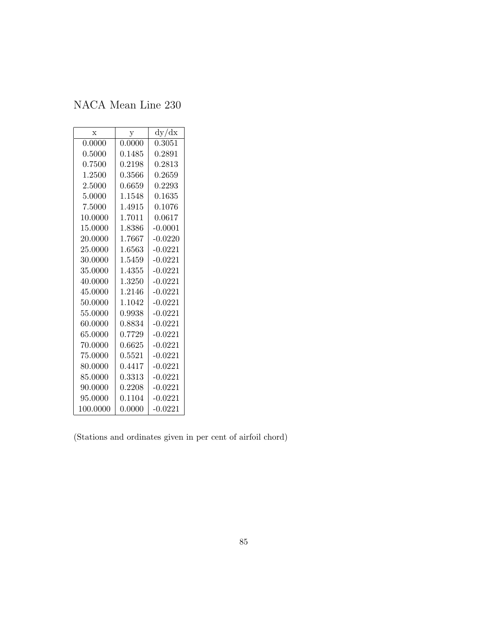| $\mathbf x$ | y      | dy/dx     |
|-------------|--------|-----------|
| 0.0000      | 0.0000 | 0.3051    |
| 0.5000      | 0.1485 | 0.2891    |
| 0.7500      | 0.2198 | 0.2813    |
| 1.2500      | 0.3566 | 0.2659    |
| 2.5000      | 0.6659 | 0.2293    |
| 5.0000      | 1.1548 | 0.1635    |
| 7.5000      | 1.4915 | 0.1076    |
| 10.0000     | 1.7011 | 0.0617    |
| 15.0000     | 1.8386 | $-0.0001$ |
| 20.0000     | 1.7667 | $-0.0220$ |
| 25.0000     | 1.6563 | $-0.0221$ |
| 30.0000     | 1.5459 | $-0.0221$ |
| 35.0000     | 1.4355 | $-0.0221$ |
| 40.0000     | 1.3250 | $-0.0221$ |
| 45.0000     | 1.2146 | $-0.0221$ |
| 50.0000     | 1.1042 | $-0.0221$ |
| 55.0000     | 0.9938 | $-0.0221$ |
| 60.0000     | 0.8834 | $-0.0221$ |
| 65.0000     | 0.7729 | $-0.0221$ |
| 70.0000     | 0.6625 | $-0.0221$ |
| 75.0000     | 0.5521 | $-0.0221$ |
| 80.0000     | 0.4417 | $-0.0221$ |
| 85.0000     | 0.3313 | $-0.0221$ |
| 90.0000     | 0.2208 | $-0.0221$ |
| 95.0000     | 0.1104 | $-0.0221$ |
| 100.0000    | 0.0000 | $-0.0221$ |

(Stations and ordinates given in per cent of airfoil chord)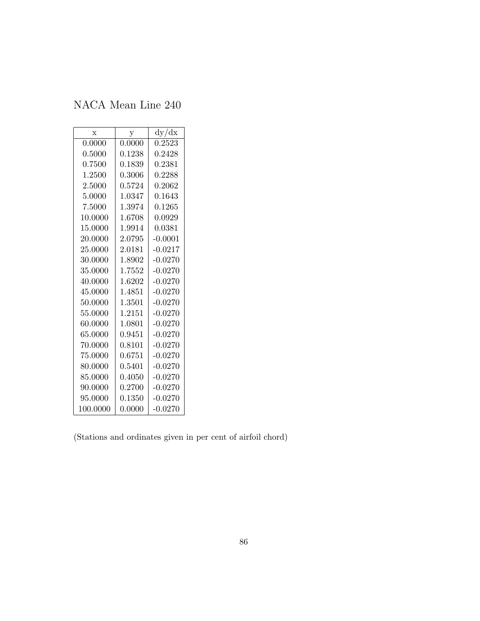| $\mathbf x$ | у            | dy/dx     |
|-------------|--------------|-----------|
| 0.0000      | 0.0000       | 0.2523    |
| 0.5000      | 0.1238       | 0.2428    |
| 0.7500      | 0.1839       | 0.2381    |
| 1.2500      | 0.3006       | 0.2288    |
| 2.5000      | 0.5724       | 0.2062    |
| 5.0000      | 1.0347       | 0.1643    |
| 7.5000      | 1.3974       | 0.1265    |
| 10.0000     | 1.6708       | 0.0929    |
| 15.0000     | 1.9914       | 0.0381    |
| 20.0000     | 2.0795       | $-0.0001$ |
| 25.0000     | 2.0181       | $-0.0217$ |
| 30.0000     | 1.8902       | $-0.0270$ |
| 35.0000     | 1.7552       | $-0.0270$ |
| 40.0000     | 1.6202       | $-0.0270$ |
| 45.0000     | 1.4851       | $-0.0270$ |
| 50.0000     | 1.3501       | $-0.0270$ |
| 55,0000     | 1.2151       | $-0.0270$ |
| 60.0000     | 1.0801       | $-0.0270$ |
| 65.0000     | ${ 0.9451}$  | $-0.0270$ |
| 70.0000     | $\;\:0.8101$ | $-0.0270$ |
| 75.0000     | 0.6751       | $-0.0270$ |
| 80.0000     | 0.5401       | $-0.0270$ |
| 85.0000     | 0.4050       | $-0.0270$ |
| 90.0000     | 0.2700       | $-0.0270$ |
| 95.0000     | 0.1350       | $-0.0270$ |
| 100.0000    | 0.0000       | $-0.0270$ |

(Stations and ordinates given in per cent of airfoil chord)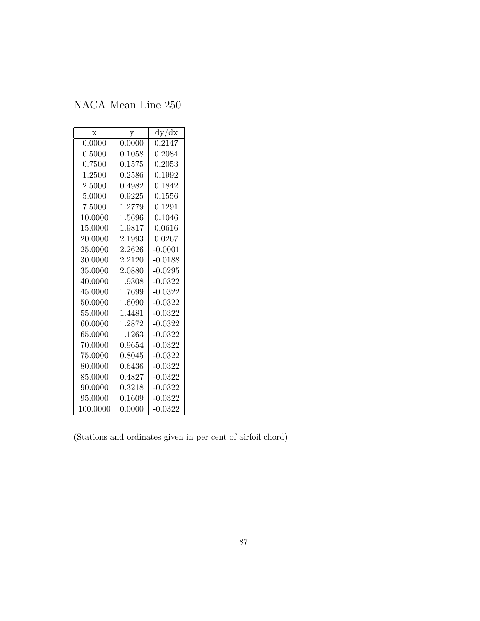| $\mathbf x$ | у           | dy/dx      |
|-------------|-------------|------------|
| 0.0000      | 0.0000      | 0.2147     |
| 0.5000      | 0.1058      | 0.2084     |
| 0.7500      | 0.1575      | 0.2053     |
| 1.2500      | ${ 0.2586}$ | ${0.1992}$ |
| 2.5000      | 0.4982      | 0.1842     |
| 5.0000      | 0.9225      | 0.1556     |
| 7.5000      | 1.2779      | 0.1291     |
| 10.0000     | $1.5696\,$  | 0.1046     |
| 15.0000     | 1.9817      | 0.0616     |
| 20.0000     | 2.1993      | 0.0267     |
| 25.0000     | 2.2626      | $-0.0001$  |
| 30.0000     | 2.2120      | $-0.0188$  |
| 35.0000     | 2.0880      | $-0.0295$  |
| 40.0000     | 1.9308      | $-0.0322$  |
| 45.0000     | 1.7699      | $-0.0322$  |
| 50.0000     | 1.6090      | $-0.0322$  |
| 55.0000     | 1.4481      | $-0.0322$  |
| 60.0000     | 1.2872      | $-0.0322$  |
| 65.0000     | 1.1263      | $-0.0322$  |
| 70.0000     | 0.9654      | $-0.0322$  |
| 75.0000     | 0.8045      | $-0.0322$  |
| 80.0000     | 0.6436      | $-0.0322$  |
| 85.0000     | 0.4827      | $-0.0322$  |
| 90.0000     | ${0.3218}$  | $-0.0322$  |
| 95.0000     | 0.1609      | $-0.0322$  |
| 100.0000    | 0.0000      | $-0.0322$  |

(Stations and ordinates given in per cent of airfoil chord)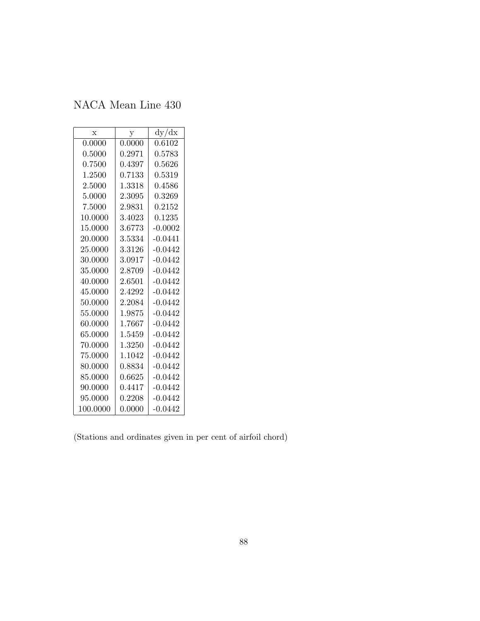| $\mathbf x$ | y      | dy/dx     |
|-------------|--------|-----------|
| 0.0000      | 0.0000 | 0.6102    |
| 0.5000      | 0.2971 | 0.5783    |
| 0.7500      | 0.4397 | 0.5626    |
| 1.2500      | 0.7133 | 0.5319    |
| 2.5000      | 1.3318 | 0.4586    |
| 5.0000      | 2.3095 | 0.3269    |
| 7.5000      | 2.9831 | 0.2152    |
| 10.0000     | 3.4023 | 0.1235    |
| 15.0000     | 3.6773 | $-0.0002$ |
| 20.0000     | 3.5334 | $-0.0441$ |
| 25.0000     | 3.3126 | $-0.0442$ |
| 30.0000     | 3.0917 | $-0.0442$ |
| 35.0000     | 2.8709 | $-0.0442$ |
| 40.0000     | 2.6501 | $-0.0442$ |
| 45.0000     | 2.4292 | $-0.0442$ |
| 50.0000     | 2.2084 | $-0.0442$ |
| 55.0000     | 1.9875 | $-0.0442$ |
| 60.0000     | 1.7667 | $-0.0442$ |
| 65.0000     | 1.5459 | $-0.0442$ |
| 70.0000     | 1.3250 | $-0.0442$ |
| 75.0000     | 1.1042 | $-0.0442$ |
| 80.0000     | 0.8834 | $-0.0442$ |
| 85.0000     | 0.6625 | $-0.0442$ |
| 90.0000     | 0.4417 | $-0.0442$ |
| 95.0000     | 0.2208 | $-0.0442$ |
| 100.0000    | 0.0000 | -0.0442   |

(Stations and ordinates given in per cent of airfoil chord)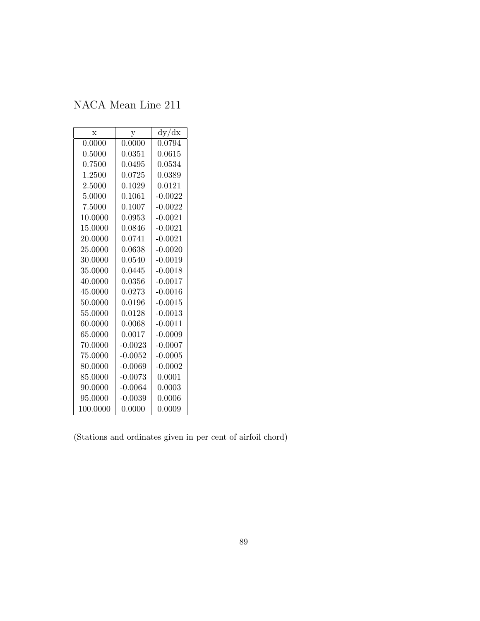| X        | у              | dy/dx     |
|----------|----------------|-----------|
| 0.0000   | 0.0000         | 0.0794    |
| 0.5000   | 0.0351         | 0.0615    |
| 0.7500   | 0.0495         | 0.0534    |
| 1.2500   | 0.0725         | 0.0389    |
| 2.5000   | 0.1029         | 0.0121    |
| 5.0000   | $\,0.1061\,$   | $-0.0022$ |
| 7.5000   | 0.1007         | $-0.0022$ |
| 10.0000  | 0.0953         | $-0.0021$ |
| 15.0000  | $\,0.0846\,$   | $-0.0021$ |
| 20.0000  | 0.0741         | $-0.0021$ |
| 25.0000  | 0.0638         | $-0.0020$ |
| 30.0000  | $\, 0.0540 \,$ | $-0.0019$ |
| 35.0000  | 0.0445         | $-0.0018$ |
| 40.0000  | 0.0356         | $-0.0017$ |
| 45.0000  | $\,0.0273\,$   | $-0.0016$ |
| 50.0000  | 0.0196         | $-0.0015$ |
| 55.0000  | 0.0128         | $-0.0013$ |
| 60.0000  | 0.0068         | $-0.0011$ |
| 65.0000  | 0.0017         | $-0.0009$ |
| 70.0000  | $-0.0023$      | $-0.0007$ |
| 75.0000  | $-0.0052$      | $-0.0005$ |
| 80.0000  | $-0.0069$      | $-0.0002$ |
| 85.0000  | $-0.0073$      | 0.0001    |
| 90.0000  | $-0.0064$      | 0.0003    |
| 95.0000  | $-0.0039$      | 0.0006    |
| 100.0000 | 0.0000         | 0.0009    |

(Stations and ordinates given in per cent of airfoil chord)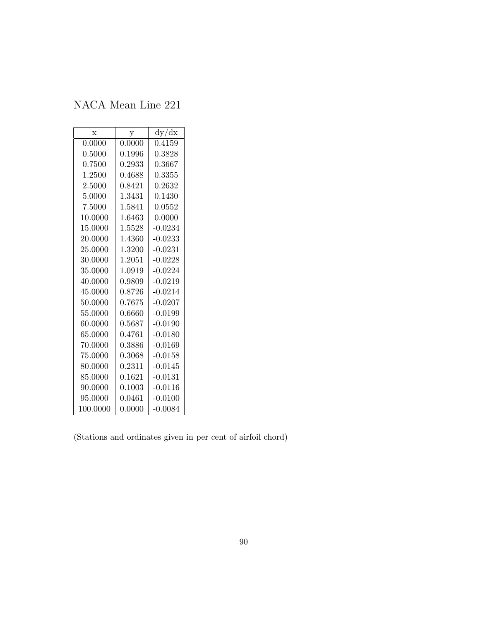| $\mathbf x$ | у                     | dy/dx      |
|-------------|-----------------------|------------|
| 0.0000      | 0.0000                | 0.4159     |
| 0.5000      | ${0.1996}% \noindent$ | ${0.3828}$ |
| 0.7500      | 0.2933                | 0.3667     |
| 1.2500      | 0.4688                | 0.3355     |
| 2.5000      | 0.8421                | 0.2632     |
| 5.0000      | 1.3431                | 0.1430     |
| 7.5000      | 1.5841                | 0.0552     |
| 10.0000     | 1.6463                | 0.0000     |
| 15.0000     | 1.5528                | $-0.0234$  |
| 20.0000     | 1.4360                | $-0.0233$  |
| 25.0000     | 1.3200                | $-0.0231$  |
| 30.0000     | 1.2051                | $-0.0228$  |
| 35.0000     | 1.0919                | $-0.0224$  |
| 40.0000     | 0.9809                | $-0.0219$  |
| 45.0000     | 0.8726                | $-0.0214$  |
| 50.0000     | 0.7675                | $-0.0207$  |
| 55,0000     | 0.6660                | $-0.0199$  |
| 60.0000     | 0.5687                | $-0.0190$  |
| 65.0000     | 0.4761                | $-0.0180$  |
| 70.0000     | ${0.3886}$            | $-0.0169$  |
| 75.0000     | 0.3068                | -0.0158    |
| 80.0000     | 0.2311                | $-0.0145$  |
| 85.0000     | 0.1621                | $-0.0131$  |
| 90.0000     | 0.1003                | $-0.0116$  |
| 95.0000     | 0.0461                | $-0.0100$  |
| 100.0000    | 0.0000                | $-0.0084$  |

(Stations and ordinates given in per cent of airfoil chord)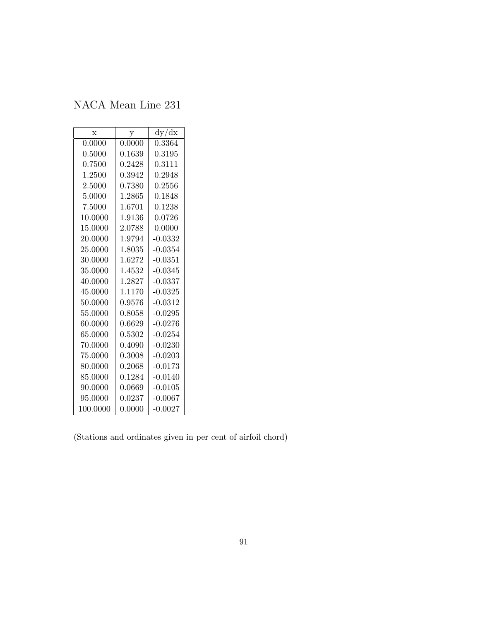| $\mathbf x$ | у            | dy/dx        |
|-------------|--------------|--------------|
| 0.0000      | 0.0000       | 0.3364       |
| 0.5000      | ${0.1639}$   | 0.3195       |
| 0.7500      | 0.2428       | $\;\:0.3111$ |
| 1.2500      | 0.3942       | ${0.2948}$   |
| 2.5000      | 0.7380       | 0.2556       |
| 5.0000      | 1.2865       | 0.1848       |
| 7.5000      | 1.6701       | 0.1238       |
| 10.0000     | 1.9136       | 0.0726       |
| 15.0000     | 2.0788       | 0.0000       |
| 20.0000     | 1.9794       | $-0.0332$    |
| 25.0000     | 1.8035       | $-0.0354$    |
| 30.0000     | 1.6272       | $-0.0351$    |
| 35.0000     | 1.4532       | $-0.0345$    |
| 40.0000     | 1.2827       | $-0.0337$    |
| 45.0000     | 1.1170       | $-0.0325$    |
| 50.0000     | 0.9576       | $-0.0312$    |
| 55.0000     | 0.8058       | $-0.0295$    |
| 60.0000     | 0.6629       | $-0.0276$    |
| 65.0000     | 0.5302       | $-0.0254$    |
| 70.0000     | 0.4090       | $-0.0230$    |
| 75.0000     | 0.3008       | $-0.0203$    |
| 80.0000     | 0.2068       | $-0.0173$    |
| 85.0000     | $\;\:0.1284$ | $-0.0140$    |
| 90.0000     | 0.0669       | $-0.0105$    |
| 95.0000     | 0.0237       | $-0.0067$    |
| 100.0000    | 0.0000       | $-0.0027$    |

(Stations and ordinates given in per cent of airfoil chord)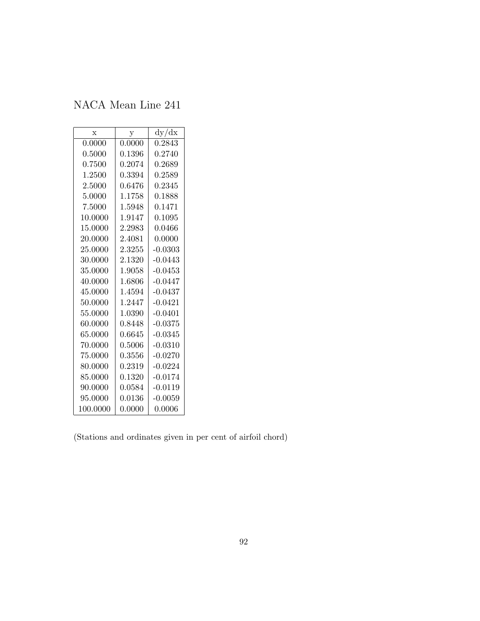| $\mathbf x$ | у            | dy/dx      |
|-------------|--------------|------------|
| 0.0000      | 0.0000       | 0.2843     |
| 0.5000      | 0.1396       | ${0.2740}$ |
| 0.7500      | 0.2074       | 0.2689     |
| 1.2500      | 0.3394       | 0.2589     |
| 2.5000      | 0.6476       | 0.2345     |
| 5.0000      | 1.1758       | 0.1888     |
| 7.5000      | 1.5948       | 0.1471     |
| 10.0000     | 1.9147       | 0.1095     |
| 15.0000     | 2.2983       | 0.0466     |
| 20.0000     | 2.4081       | 0.0000     |
| 25.0000     | 2.3255       | $-0.0303$  |
| 30.0000     | 2.1320       | $-0.0443$  |
| 35.0000     | 1.9058       | $-0.0453$  |
| 40.0000     | 1.6806       | $-0.0447$  |
| 45.0000     | 1.4594       | $-0.0437$  |
| 50.0000     | 1.2447       | $-0.0421$  |
| 55.0000     | 1.0390       | $-0.0401$  |
| 60.0000     | 0.8448       | $-0.0375$  |
| 65.0000     | 0.6645       | $-0.0345$  |
| 70.0000     | $\,0.5006\,$ | $-0.0310$  |
| 75.0000     | 0.3556       | $-0.0270$  |
| 80.0000     | 0.2319       | $-0.0224$  |
| 85.0000     | 0.1320       | $-0.0174$  |
| 90.0000     | 0.0584       | $-0.0119$  |
| 95.0000     | 0.0136       | $-0.0059$  |
| 100.0000    | 0.0000       | 0.0006     |

(Stations and ordinates given in per cent of airfoil chord)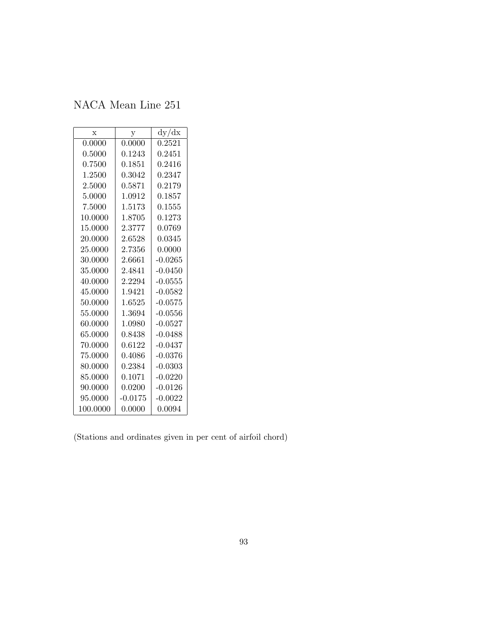| X        | у                   | dy/dx     |
|----------|---------------------|-----------|
| 0.0000   | 0.0000              | 0.2521    |
| 0.5000   | 0.1243              | 0.2451    |
| 0.7500   | 0.1851              | 0.2416    |
| 1.2500   | ${ 0.3042}$         | 0.2347    |
| 2.5000   | 0.5871              | 0.2179    |
| 5.0000   | 1.0912              | 0.1857    |
| 7.5000   | 1.5173              | 0.1555    |
| 10.0000  | 1.8705              | 0.1273    |
| 15.0000  | 2.3777              | 0.0769    |
| 20.0000  | 2.6528              | 0.0345    |
| 25.0000  | $\phantom{-}2.7356$ | 0.0000    |
| 30.0000  | 2.6661              | $-0.0265$ |
| 35.0000  | 2.4841              | $-0.0450$ |
| 40.0000  | 2.2294              | $-0.0555$ |
| 45.0000  | 1.9421              | $-0.0582$ |
| 50.0000  | 1.6525              | $-0.0575$ |
| 55,0000  | 1.3694              | $-0.0556$ |
| 60.0000  | 1.0980              | $-0.0527$ |
| 65.0000  | 0.8438              | $-0.0488$ |
| 70.0000  | 0.6122              | $-0.0437$ |
| 75.0000  | ${0.4086}$          | $-0.0376$ |
| 80.0000  | 0.2384              | $-0.0303$ |
| 85.0000  | 0.1071              | $-0.0220$ |
| 90.0000  | 0.0200              | $-0.0126$ |
| 95.0000  | $-0.0175$           | $-0.0022$ |
| 100.0000 | 0.0000              | 0.0094    |

(Stations and ordinates given in per cent of airfoil chord)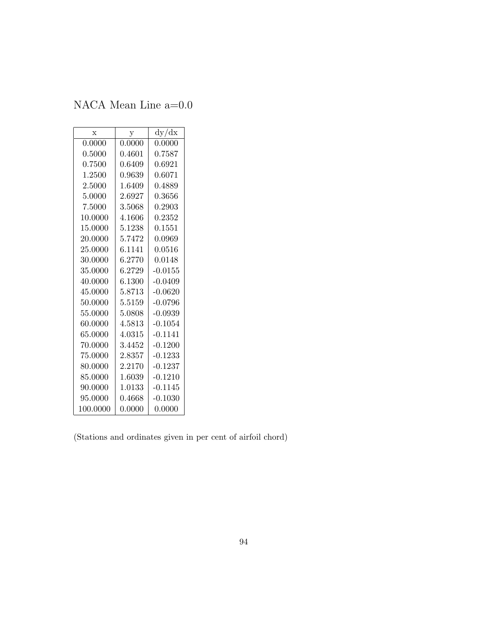NACA Mean Line a=0.0

| X        | у      | dy/dx     |
|----------|--------|-----------|
| 0.0000   | 0.0000 | 0.0000    |
| 0.5000   | 0.4601 | 0.7587    |
| 0.7500   | 0.6409 | 0.6921    |
| 1.2500   | 0.9639 | 0.6071    |
| 2.5000   | 1.6409 | 0.4889    |
| 5.0000   | 2.6927 | 0.3656    |
| 7.5000   | 3.5068 | 0.2903    |
| 10.0000  | 4.1606 | 0.2352    |
| 15.0000  | 5.1238 | 0.1551    |
| 20.0000  | 5.7472 | 0.0969    |
| 25.0000  | 6.1141 | 0.0516    |
| 30.0000  | 6.2770 | 0.0148    |
| 35.0000  | 6.2729 | $-0.0155$ |
| 40.0000  | 6.1300 | $-0.0409$ |
| 45.0000  | 5.8713 | $-0.0620$ |
| 50.0000  | 5.5159 | $-0.0796$ |
| 55.0000  | 5.0808 | $-0.0939$ |
| 60.0000  | 4.5813 | $-0.1054$ |
| 65.0000  | 4.0315 | $-0.1141$ |
| 70.0000  | 3.4452 | $-0.1200$ |
| 75.0000  | 2.8357 | $-0.1233$ |
| 80.0000  | 2.2170 | $-0.1237$ |
| 85.0000  | 1.6039 | $-0.1210$ |
| 90.0000  | 1.0133 | -0.1145   |
| 95.0000  | 0.4668 | $-0.1030$ |
| 100.0000 | 0.0000 | 0.0000    |

(Stations and ordinates given in per cent of airfoil chord)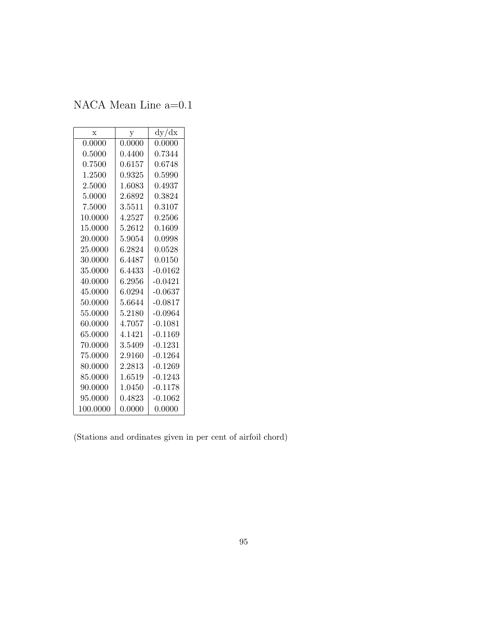NACA Mean Line a=0.1

| X        | у           | dy/dx      |
|----------|-------------|------------|
| 0.0000   | 0.0000      | 0.0000     |
| 0.5000   | 0.4400      | 0.7344     |
| 0.7500   | 0.6157      | 0.6748     |
| 1.2500   | ${ 0.9325}$ | ${0.5990}$ |
| 2.5000   | 1.6083      | 0.4937     |
| 5.0000   | 2.6892      | 0.3824     |
| 7.5000   | 3.5511      | 0.3107     |
| 10.0000  | 4.2527      | 0.2506     |
| 15.0000  | 5.2612      | 0.1609     |
| 20.0000  | 5.9054      | 0.0998     |
| 25.0000  | 6.2824      | 0.0528     |
| 30.0000  | 6.4487      | 0.0150     |
| 35.0000  | 6.4433      | $-0.0162$  |
| 40.0000  | 6.2956      | $-0.0421$  |
| 45.0000  | 6.0294      | $-0.0637$  |
| 50.0000  | 5.6644      | $-0.0817$  |
| 55.0000  | 5.2180      | $-0.0964$  |
| 60.0000  | 4.7057      | $-0.1081$  |
| 65.0000  | 4.1421      | $-0.1169$  |
| 70.0000  | 3.5409      | $-0.1231$  |
| 75.0000  | 2.9160      | $-0.1264$  |
| 80.0000  | 2.2813      | $-0.1269$  |
| 85.0000  | 1.6519      | $-0.1243$  |
| 90.0000  | 1.0450      | $-0.1178$  |
| 95.0000  | 0.4823      | $-0.1062$  |
| 100.0000 | 0.0000      | 0.0000     |

(Stations and ordinates given in per cent of airfoil chord)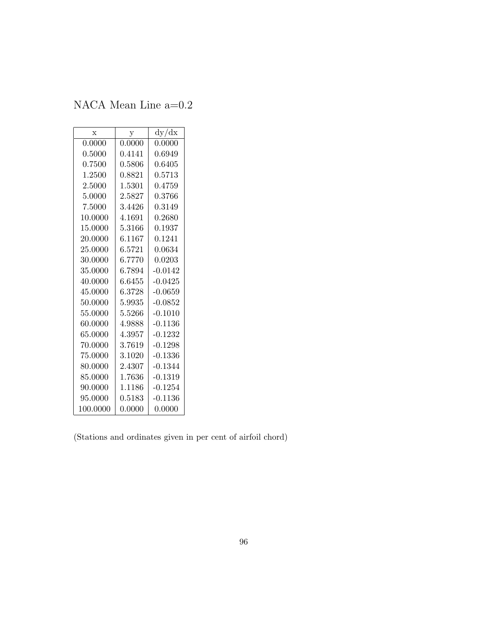NACA Mean Line a=0.2

| X          | у      | dy/dx      |
|------------|--------|------------|
| 0.0000     | 0.0000 | 0.0000     |
| 0.5000     | 0.4141 | 0.6949     |
| ${0.7500}$ | 0.5806 | 0.6405     |
| 1.2500     | 0.8821 | 0.5713     |
| 2.5000     | 1.5301 | 0.4759     |
| 5.0000     | 2.5827 | 0.3766     |
| 7.5000     | 3.4426 | ${0.3149}$ |
| 10.0000    | 4.1691 | ${0.2680}$ |
| 15.0000    | 5.3166 | 0.1937     |
| 20.0000    | 6.1167 | 0.1241     |
| 25.0000    | 6.5721 | 0.0634     |
| 30.0000    | 6.7770 | 0.0203     |
| 35.0000    | 6.7894 | $-0.0142$  |
| 40.0000    | 6.6455 | $-0.0425$  |
| 45.0000    | 6.3728 | $-0.0659$  |
| 50.0000    | 5.9935 | $-0.0852$  |
| 55,0000    | 5.5266 | $-0.1010$  |
| 60.0000    | 4.9888 | -0.1136    |
| 65.0000    | 4.3957 | $-0.1232$  |
| 70.0000    | 3.7619 | $-0.1298$  |
| 75.0000    | 3.1020 | $-0.1336$  |
| 80.0000    | 2.4307 | $-0.1344$  |
| 85.0000    | 1.7636 | $-0.1319$  |
| 90.0000    | 1.1186 | $-0.1254$  |
| 95.0000    | 0.5183 | $-0.1136$  |
| 100.0000   | 0.0000 | 0.0000     |

(Stations and ordinates given in per cent of airfoil chord)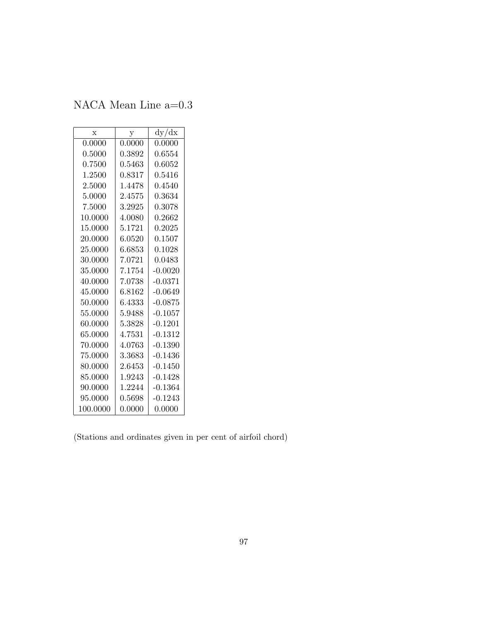NACA Mean Line a=0.3

| $\mathbf x$ | у            | dy/dx     |
|-------------|--------------|-----------|
| 0.0000      | 0.0000       | 0.0000    |
| 0.5000      | 0.3892       | 0.6554    |
| 0.7500      | $\;\:0.5463$ | 0.6052    |
| 1.2500      | 0.8317       | 0.5416    |
| 2.5000      | 1.4478       | 0.4540    |
| 5.0000      | 2.4575       | 0.3634    |
| 7.5000      | 3.2925       | 0.3078    |
| 10.0000     | 4.0080       | 0.2662    |
| 15.0000     | 5.1721       | 0.2025    |
| 20.0000     | 6.0520       | 0.1507    |
| 25.0000     | 6.6853       | 0.1028    |
| 30.0000     | 7.0721       | 0.0483    |
| 35.0000     | 7.1754       | $-0.0020$ |
| 40.0000     | 7.0738       | $-0.0371$ |
| 45.0000     | 6.8162       | $-0.0649$ |
| 50.0000     | 6.4333       | $-0.0875$ |
| 55.0000     | 5.9488       | $-0.1057$ |
| 60.0000     | 5.3828       | $-0.1201$ |
| 65.0000     | 4.7531       | $-0.1312$ |
| 70.0000     | 4.0763       | $-0.1390$ |
| 75.0000     | 3.3683       | -0.1436   |
| 80.0000     | 2.6453       | -0.1450   |
| 85.0000     | 1.9243       | $-0.1428$ |
| 90.0000     | 1.2244       | $-0.1364$ |
| 95.0000     | 0.5698       | $-0.1243$ |
| 100.0000    | 0.0000       | 0.0000    |

(Stations and ordinates given in per cent of airfoil chord)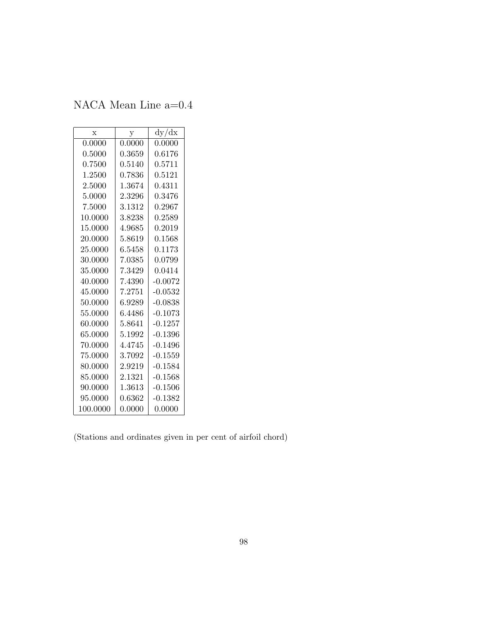NACA Mean Line a=0.4

| $\mathbf x$ | у      | dy/dx     |
|-------------|--------|-----------|
| 0.0000      | 0.0000 | 0.0000    |
| 0.5000      | 0.3659 | 0.6176    |
| 0.7500      | 0.5140 | 0.5711    |
| 1.2500      | 0.7836 | 0.5121    |
| 2.5000      | 1.3674 | 0.4311    |
| 5.0000      | 2.3296 | 0.3476    |
| 7.5000      | 3.1312 | 0.2967    |
| 10.0000     | 3.8238 | 0.2589    |
| 15.0000     | 4.9685 | 0.2019    |
| 20.0000     | 5.8619 | 0.1568    |
| 25.0000     | 6.5458 | 0.1173    |
| 30.0000     | 7.0385 | 0.0799    |
| 35.0000     | 7.3429 | 0.0414    |
| 40.0000     | 7.4390 | $-0.0072$ |
| 45.0000     | 7.2751 | $-0.0532$ |
| 50.0000     | 6.9289 | -0.0838   |
| 55.0000     | 6.4486 | $-0.1073$ |
| 60.0000     | 5.8641 | $-0.1257$ |
| 65.0000     | 5.1992 | $-0.1396$ |
| 70.0000     | 4.4745 | $-0.1496$ |
| 75.0000     | 3.7092 | $-0.1559$ |
| 80.0000     | 2.9219 | $-0.1584$ |
| 85.0000     | 2.1321 | $-0.1568$ |
| 90.0000     | 1.3613 | -0.1506   |
| 95.0000     | 0.6362 | $-0.1382$ |
| 100.0000    | 0.0000 | 0.0000    |

(Stations and ordinates given in per cent of airfoil chord)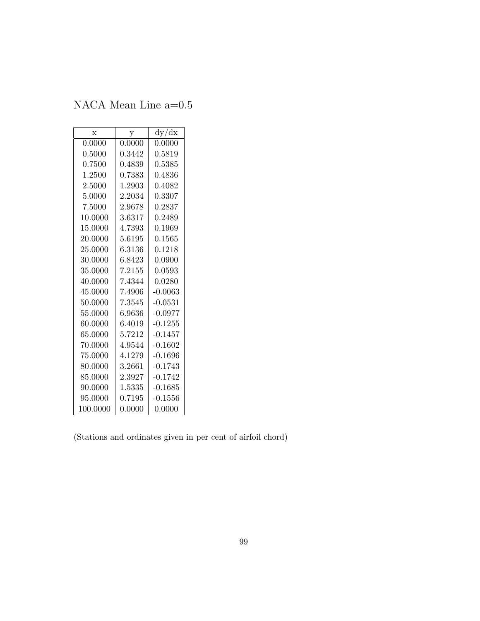NACA Mean Line a=0.5

| $\mathbf x$ | у                | dy/dx        |  |  |
|-------------|------------------|--------------|--|--|
| 0.0000      | 0.0000<br>0.0000 |              |  |  |
| 0.5000      | 0.3442           | $\;\:0.5819$ |  |  |
| 0.7500      | 0.4839           | 0.5385       |  |  |
| 1.2500      | 0.7383           | 0.4836       |  |  |
| 2.5000      | 1.2903           | 0.4082       |  |  |
| 5.0000      | 2.2034           | 0.3307       |  |  |
| 7.5000      | 2.9678           | 0.2837       |  |  |
| 10.0000     | 3.6317           | 0.2489       |  |  |
| 15.0000     | 4.7393           | 0.1969       |  |  |
| 20.0000     | 5.6195           | 0.1565       |  |  |
| 25.0000     | 6.3136           | 0.1218       |  |  |
| 30.0000     | 6.8423           | 0.0900       |  |  |
| 35.0000     | 7.2155           | 0.0593       |  |  |
| 40.0000     | 7.4344           | 0.0280       |  |  |
| 45.0000     | 7.4906           | $-0.0063$    |  |  |
| 50.0000     | 7.3545           | $-0.0531$    |  |  |
| 55.0000     | 6.9636           | $-0.0977$    |  |  |
| 60.0000     | 6.4019           | $-0.1255$    |  |  |
| 65.0000     | 5.7212           | $-0.1457$    |  |  |
| 70.0000     | 4.9544           | $-0.1602$    |  |  |
| 75.0000     | 4.1279           | -0.1696      |  |  |
| 80.0000     | 3.2661           | $-0.1743$    |  |  |
| 85.0000     | 2.3927           | $-0.1742$    |  |  |
| 90.0000     | 1.5335           | $-0.1685$    |  |  |
| 95.0000     | 0.7195           | $-0.1556$    |  |  |
| 100.0000    | 0.0000           | 0.0000       |  |  |

(Stations and ordinates given in per cent of airfoil chord)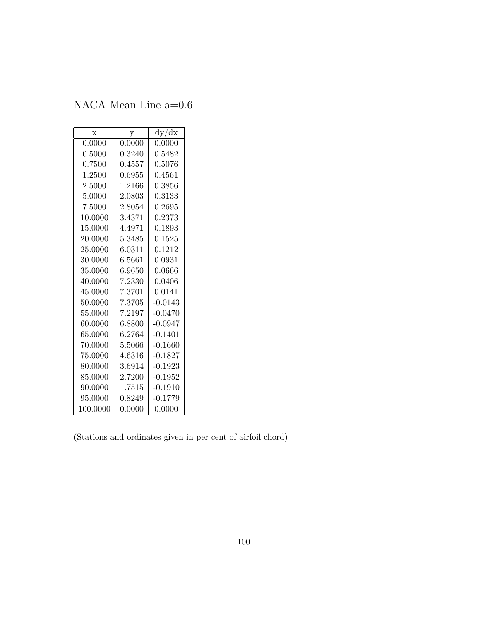NACA Mean Line a=0.6

| $\mathbf x$ | y           | dy/dx      |
|-------------|-------------|------------|
| 0.0000      | 0.0000      | 0.0000     |
| 0.5000      | ${ 0.3240}$ | 0.5482     |
| 0.7500      | 0.4557      | 0.5076     |
| 1.2500      | ${0.6955}$  | 0.4561     |
| 2.5000      | 1.2166      | 0.3856     |
| 5.0000      | 2.0803      | 0.3133     |
| 7.5000      | 2.8054      | ${0.2695}$ |
| 10.0000     | 3.4371      | 0.2373     |
| 15.0000     | 4.4971      | 0.1893     |
| 20.0000     | 5.3485      | 0.1525     |
| 25.0000     | 6.0311      | 0.1212     |
| 30.0000     | 6.5661      | 0.0931     |
| 35.0000     | 6.9650      | 0.0666     |
| 40.0000     | $7.2330\,$  | 0.0406     |
| 45.0000     | 7.3701      | 0.0141     |
| 50.0000     | 7.3705      | $-0.0143$  |
| 55,0000     | 7.2197      | $-0.0470$  |
| 60.0000     | 6.8800      | $-0.0947$  |
| 65.0000     | 6.2764      | $-0.1401$  |
| 70.0000     | 5.5066      | $-0.1660$  |
| 75.0000     | 4.6316      | $-0.1827$  |
| 80.0000     | 3.6914      | $-0.1923$  |
| 85.0000     | 2.7200      | $-0.1952$  |
| 90.0000     | 1.7515      | $-0.1910$  |
| 95.0000     | 0.8249      | $-0.1779$  |
| 100.0000    | 0.0000      | 0.0000     |

(Stations and ordinates given in per cent of airfoil chord)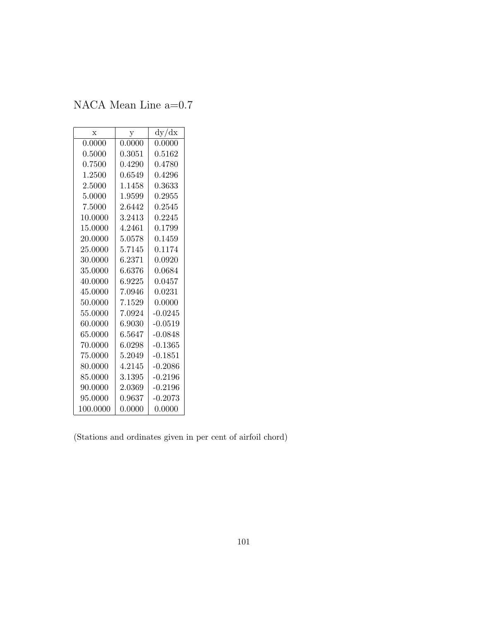NACA Mean Line a=0.7

| $\mathbf x$ | у            | dy/dx     |
|-------------|--------------|-----------|
| 0.0000      | 0.0000       | 0.0000    |
| 0.5000      | $\;0.3051\;$ | 0.5162    |
| 0.7500      | 0.4290       | 0.4780    |
| 1.2500      | 0.6549       | 0.4296    |
| 2.5000      | 1.1458       | 0.3633    |
| 5.0000      | 1.9599       | 0.2955    |
| 7.5000      | 2.6442       | 0.2545    |
| 10.0000     | 3.2413       | 0.2245    |
| 15.0000     | 4.2461       | 0.1799    |
| 20.0000     | 5.0578       | 0.1459    |
| 25.0000     | 5.7145       | 0.1174    |
| 30.0000     | 6.2371       | 0.0920    |
| 35.0000     | 6.6376       | 0.0684    |
| 40.0000     | 6.9225       | 0.0457    |
| 45.0000     | 7.0946       | 0.0231    |
| 50.0000     | 7.1529       | 0.0000    |
| 55.0000     | 7.0924       | $-0.0245$ |
| 60.0000     | 6.9030       | $-0.0519$ |
| 65.0000     | 6.5647       | $-0.0848$ |
| 70.0000     | 6.0298       | $-0.1365$ |
| 75.0000     | 5.2049       | $-0.1851$ |
| 80.0000     | 4.2145       | -0.2086   |
| 85.0000     | 3.1395       | $-0.2196$ |
| 90.0000     | 2.0369       | $-0.2196$ |
| 95.0000     | 0.9637       | $-0.2073$ |
| 100.0000    | 0.0000       | 0.0000    |

(Stations and ordinates given in per cent of airfoil chord)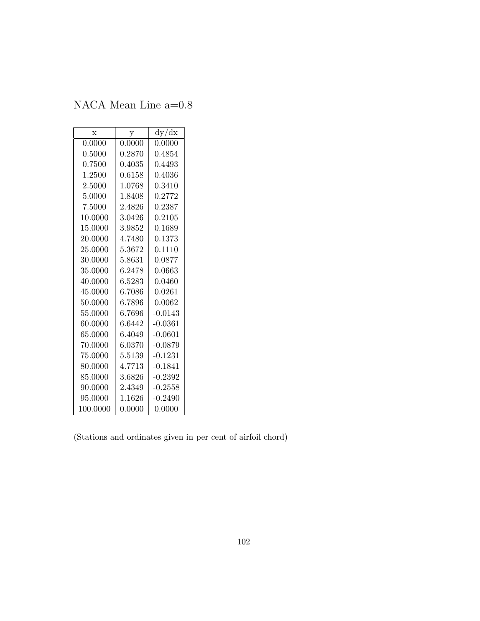NACA Mean Line a=0.8

| X        | у           | dy/dx        |
|----------|-------------|--------------|
| 0.0000   | 0.0000      | 0.0000       |
| 0.5000   | ${ 0.2870}$ | ${ 0.4854}$  |
| 0.7500   | ${ 0.4035}$ | ${0.4493}$   |
| 1.2500   | 0.6158      | 0.4036       |
| 2.5000   | 1.0768      | 0.3410       |
| 5.0000   | 1.8408      | 0.2772       |
| 7.5000   | 2.4826      | 0.2387       |
| 10.0000  | 3.0426      | 0.2105       |
| 15.0000  | 3.9852      | 0.1689       |
| 20.0000  | 4.7480      | 0.1373       |
| 25.0000  | 5.3672      | 0.1110       |
| 30.0000  | 5.8631      | 0.0877       |
| 35.0000  | 6.2478      | 0.0663       |
| 40.0000  | 6.5283      | 0.0460       |
| 45.0000  | 6.7086      | $\,0.0261\,$ |
| 50.0000  | 6.7896      | 0.0062       |
| 55.0000  | 6.7696      | $-0.0143$    |
| 60.0000  | 6.6442      | $-0.0361$    |
| 65.0000  | 6.4049      | $-0.0601$    |
| 70.0000  | 6.0370      | $-0.0879$    |
| 75.0000  | 5.5139      | $-0.1231$    |
| 80.0000  | 4.7713      | $-0.1841$    |
| 85.0000  | 3.6826      | $-0.2392$    |
| 90.0000  | 2.4349      | $-0.2558$    |
| 95.0000  | 1.1626      | $-0.2490$    |
| 100.0000 | 0.0000      | 0.0000       |

(Stations and ordinates given in per cent of airfoil chord)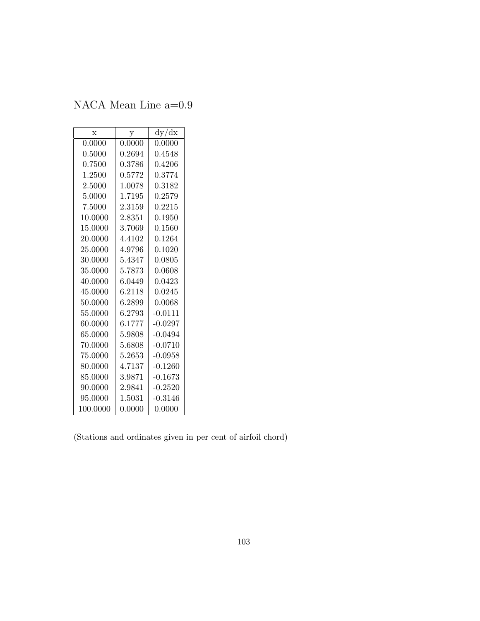NACA Mean Line a=0.9

| $\mathbf x$ | у          | dy/dx        |
|-------------|------------|--------------|
| 0.0000      | 0.0000     | 0.0000       |
| 0.5000      | 0.2694     | 0.4548       |
| ${0.7500}$  | ${0.3786}$ | ${0.4206}$   |
| 1.2500      | 0.5772     | 0.3774       |
| 2.5000      | 1.0078     | 0.3182       |
| 5.0000      | 1.7195     | 0.2579       |
| 7.5000      | 2.3159     | 0.2215       |
| 10.0000     | 2.8351     | $\,0.1950\,$ |
| 15.0000     | 3.7069     | 0.1560       |
| 20.0000     | 4.4102     | $\;\:0.1264$ |
| 25.0000     | 4.9796     | 0.1020       |
| 30.0000     | 5.4347     | 0.0805       |
| 35.0000     | 5.7873     | 0.0608       |
| 40.0000     | 6.0449     | 0.0423       |
| 45.0000     | 6.2118     | 0.0245       |
| 50.0000     | 6.2899     | 0.0068       |
| 55.0000     | 6.2793     | $-0.0111$    |
| 60.0000     | 6.1777     | $-0.0297$    |
| 65.0000     | 5.9808     | $-0.0494$    |
| 70.0000     | 5.6808     | $-0.0710$    |
| 75.0000     | 5.2653     | -0.0958      |
| 80.0000     | 4.7137     | -0.1260      |
| 85.0000     | 3.9871     | $-0.1673$    |
| 90.0000     | 2.9841     | $-0.2520$    |
| 95.0000     | 1.5031     | $-0.3146$    |
| 100.0000    | 0.0000     | 0.0000       |

(Stations and ordinates given in per cent of airfoil chord)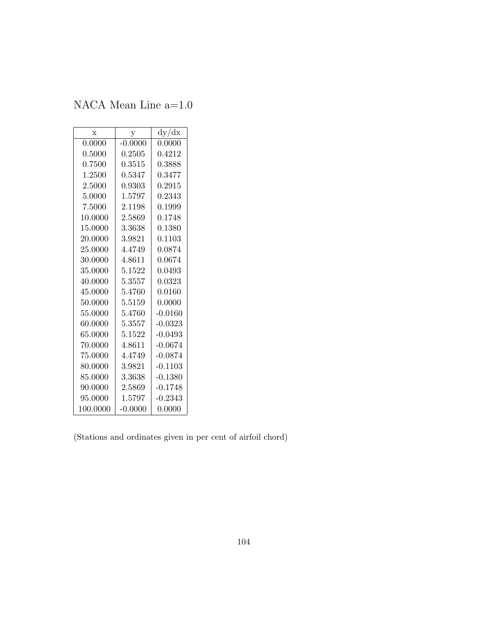NACA Mean Line a=1.0

| $\mathbf x$ | у           | dy/dx     |
|-------------|-------------|-----------|
| 0.0000      | $-0.0000$   | 0.0000    |
| 0.5000      | ${ 0.2505}$ | 0.4212    |
| 0.7500      | 0.3515      | 0.3888    |
| 1.2500      | 0.5347      | 0.3477    |
| 2.5000      | 0.9303      | 0.2915    |
| 5.0000      | 1.5797      | 0.2343    |
| 7.5000      | 2.1198      | 0.1999    |
| 10.0000     | 2.5869      | 0.1748    |
| 15.0000     | 3.3638      | 0.1380    |
| 20.0000     | 3.9821      | 0.1103    |
| 25.0000     | 4.4749      | 0.0874    |
| 30.0000     | 4.8611      | 0.0674    |
| 35.0000     | 5.1522      | 0.0493    |
| 40.0000     | 5.3557      | 0.0323    |
| 45.0000     | 5.4760      | 0.0160    |
| 50.0000     | 5.5159      | 0.0000    |
| 55,0000     | 5.4760      | $-0.0160$ |
| 60.0000     | 5.3557      | $-0.0323$ |
| 65.0000     | 5.1522      | $-0.0493$ |
| 70.0000     | 4.8611      | $-0.0674$ |
| 75.0000     | 4.4749      | $-0.0874$ |
| 80.0000     | 3.9821      | $-0.1103$ |
| 85.0000     | 3.3638      | $-0.1380$ |
| 90.0000     | 2.5869      | $-0.1748$ |
| 95.0000     | 1.5797      | $-0.2343$ |
| 100.0000    | $-0.0000$   | 0.0000    |

(Stations and ordinates given in per cent of airfoil chord)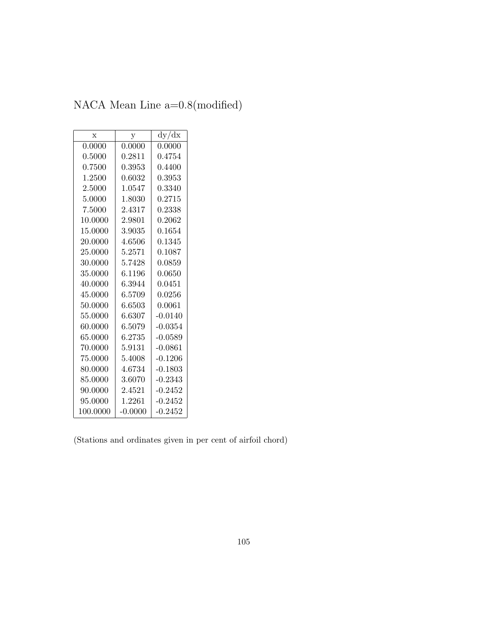| NACA Mean Line $a=0.8 \pmod{3}$ |  |
|---------------------------------|--|
|---------------------------------|--|

| $\mathbf x$ | у          | dy/dx     |  |  |
|-------------|------------|-----------|--|--|
| 0.0000      | 0.0000     | 0.0000    |  |  |
| 0.5000      | 0.2811     | 0.4754    |  |  |
| 0.7500      | ${0.3953}$ | 0.4400    |  |  |
| 1.2500      | 0.6032     | 0.3953    |  |  |
| 2.5000      | 1.0547     | 0.3340    |  |  |
| 5.0000      | 1.8030     | 0.2715    |  |  |
| 7.5000      | 2.4317     | 0.2338    |  |  |
| 10.0000     | 2.9801     | 0.2062    |  |  |
| 15.0000     | 3.9035     | 0.1654    |  |  |
| 20.0000     | 4.6506     | 0.1345    |  |  |
| 25.0000     | 5.2571     | 0.1087    |  |  |
| 30.0000     | 5.7428     | 0.0859    |  |  |
| 35.0000     | 6.1196     | 0.0650    |  |  |
| 40.0000     | 6.3944     | 0.0451    |  |  |
| 45.0000     | 6.5709     | 0.0256    |  |  |
| 50.0000     | 6.6503     | 0.0061    |  |  |
| 55.0000     | 6.6307     | $-0.0140$ |  |  |
| 60.0000     | 6.5079     | $-0.0354$ |  |  |
| 65.0000     | 6.2735     | $-0.0589$ |  |  |
| 70.0000     | 5.9131     | $-0.0861$ |  |  |
| 75.0000     | 5.4008     | $-0.1206$ |  |  |
| 80.0000     | 4.6734     | $-0.1803$ |  |  |
| 85.0000     | 3.6070     | $-0.2343$ |  |  |
| 90.0000     | 2.4521     | $-0.2452$ |  |  |
| 95.0000     | 1.2261     | $-0.2452$ |  |  |
| 100.0000    | $-0.0000$  | $-0.2452$ |  |  |

(Stations and ordinates given in per cent of airfoil chord)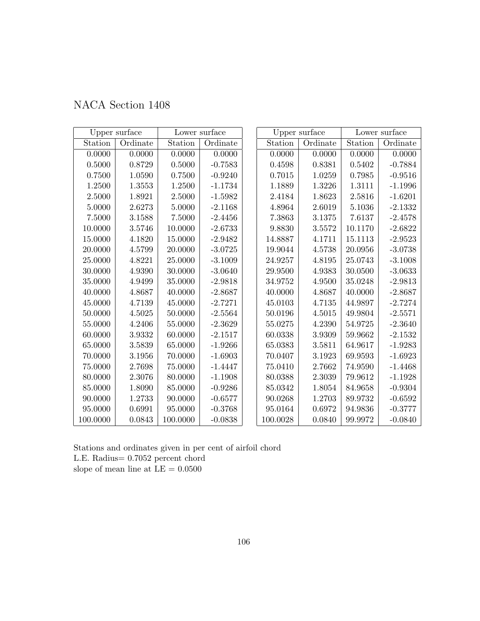| NACA Section 1408 |  |  |
|-------------------|--|--|
|-------------------|--|--|

|            | Upper surface |             | Lower surface |          | Upper surface | Lower surface       |           |
|------------|---------------|-------------|---------------|----------|---------------|---------------------|-----------|
| Station    | Ordinate      | Station     | Ordinate      | Station  | Ordinate      | Station             | Ordinate  |
| 0.0000     | 0.0000        | 0.0000      | 0.0000        | 0.0000   | 0.0000        | 0.0000              | 0.0000    |
| 0.5000     | 0.8729        | 0.5000      | $-0.7583$     | 0.4598   | 0.8381        | 0.5402              | $-0.7884$ |
| 0.7500     | 1.0590        | 0.7500      | $-0.9240$     | 0.7015   | 1.0259        | 0.7985              | $-0.9516$ |
| 1.2500     | 1.3553        | 1.2500      | $-1.1734$     | 1.1889   | 1.3226        | 1.3111              | $-1.1996$ |
| 2.5000     | 1.8921        | 2.5000      | $-1.5982$     | 2.4184   | 1.8623        | $\phantom{-}2.5816$ | $-1.6201$ |
| 5.0000     | 2.6273        | 5.0000      | $-2.1168$     | 4.8964   | 2.6019        | 5.1036              | $-2.1332$ |
| $7.5000\,$ | 3.1588        | 7.5000      | $-2.4456$     | 7.3863   | 3.1375        | 7.6137              | $-2.4578$ |
| 10.0000    | 3.5746        | 10.0000     | $-2.6733$     | 9.8830   | 3.5572        | 10.1170             | $-2.6822$ |
| 15.0000    | 4.1820        | 15.0000     | $-2.9482$     | 14.8887  | 4.1711        | 15.1113             | $-2.9523$ |
| 20.0000    | 4.5799        | 20.0000     | $-3.0725$     | 19.9044  | 4.5738        | 20.0956             | $-3.0738$ |
| 25.0000    | 4.8221        | 25.0000     | $-3.1009$     | 24.9257  | 4.8195        | 25.0743             | $-3.1008$ |
| 30.0000    | 4.9390        | 30.0000     | $-3.0640$     | 29.9500  | 4.9383        | 30.0500             | $-3.0633$ |
| 35.0000    | 4.9499        | 35.0000     | $-2.9818$     | 34.9752  | 4.9500        | 35.0248             | $-2.9813$ |
| 40.0000    | 4.8687        | 40.0000     | $-2.8687$     | 40.0000  | 4.8687        | 40.0000             | $-2.8687$ |
| 45.0000    | 4.7139        | 45.0000     | $-2.7271$     | 45.0103  | 4.7135        | 44.9897             | $-2.7274$ |
| 50.0000    | 4.5025        | 50.0000     | $-2.5564$     | 50.0196  | 4.5015        | 49.9804             | $-2.5571$ |
| 55.0000    | 4.2406        | 55.0000     | $-2.3629$     | 55.0275  | 4.2390        | 54.9725             | $-2.3640$ |
| 60.0000    | 3.9332        | 60.0000     | $-2.1517$     | 60.0338  | 3.9309        | $59.9662\,$         | $-2.1532$ |
| 65.0000    | 3.5839        | 65.0000     | $-1.9266$     | 65.0383  | 3.5811        | 64.9617             | $-1.9283$ |
| 70.0000    | 3.1956        | 70.0000     | $-1.6903$     | 70.0407  | 3.1923        | 69.9593             | $-1.6923$ |
| 75.0000    | 2.7698        | $75.0000\,$ | $-1.4447$     | 75.0410  | 2.7662        | 74.9590             | $-1.4468$ |
| 80.0000    | 2.3076        | 80.0000     | $-1.1908$     | 80.0388  | 2.3039        | 79.9612             | $-1.1928$ |
| 85.0000    | 1.8090        | 85.0000     | $-0.9286$     | 85.0342  | 1.8054        | 84.9658             | $-0.9304$ |
| 90.0000    | 1.2733        | 90.0000     | $-0.6577$     | 90.0268  | 1.2703        | 89.9732             | $-0.6592$ |
| 95.0000    | 0.6991        | 95.0000     | $-0.3768$     | 95.0164  | 0.6972        | 94.9836             | $-0.3777$ |
| 100.0000   | 0.0843        | 100.0000    | $-0.0838$     | 100.0028 | 0.0840        | 99.9972             | $-0.0840$ |

Stations and ordinates given in per cent of airfoil chord L.E. Radius= 0.7052 percent chord slope of mean line at  $\mathrm{LE}=0.0500$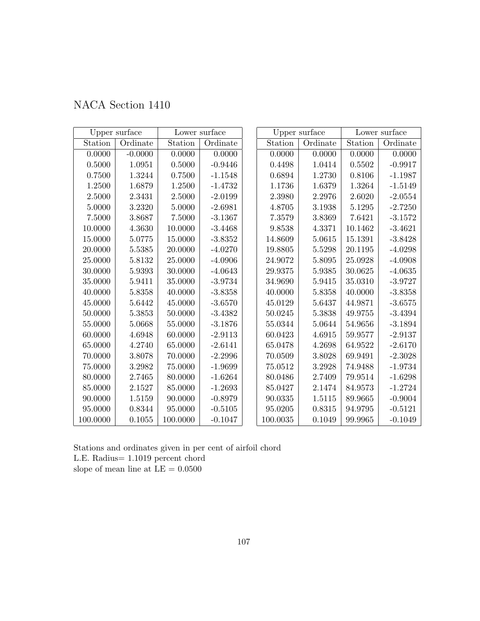|  | NACA Section 1410 |  |
|--|-------------------|--|
|--|-------------------|--|

|             | Upper surface<br>Lower surface |             |           | Upper surface | Lower surface |         |           |
|-------------|--------------------------------|-------------|-----------|---------------|---------------|---------|-----------|
| Station     | Ordinate                       | Station     | Ordinate  | Station       | Ordinate      | Station | Ordinate  |
| 0.0000      | $-0.0000$                      | 0.0000      | 0.0000    | 0.0000        | 0.0000        | 0.0000  | 0.0000    |
| $0.5000\,$  | 1.0951                         | 0.5000      | $-0.9446$ | 0.4498        | $1.0414\,$    | 0.5502  | $-0.9917$ |
| 0.7500      | 1.3244                         | 0.7500      | $-1.1548$ | 0.6894        | 1.2730        | 0.8106  | $-1.1987$ |
| 1.2500      | 1.6879                         | 1.2500      | $-1.4732$ | 1.1736        | 1.6379        | 1.3264  | $-1.5149$ |
| 2.5000      | 2.3431                         | 2.5000      | $-2.0199$ | 2.3980        | 2.2976        | 2.6020  | $-2.0554$ |
| 5.0000      | 3.2320                         | 5.0000      | $-2.6981$ | 4.8705        | 3.1938        | 5.1295  | $-2.7250$ |
| 7.5000      | 3.8687                         | 7.5000      | $-3.1367$ | 7.3579        | 3.8369        | 7.6421  | $-3.1572$ |
| 10.0000     | 4.3630                         | 10.0000     | $-3.4468$ | 9.8538        | 4.3371        | 10.1462 | $-3.4621$ |
| 15.0000     | 5.0775                         | 15.0000     | $-3.8352$ | 14.8609       | 5.0615        | 15.1391 | $-3.8428$ |
| 20.0000     | 5.5385                         | 20.0000     | $-4.0270$ | 19.8805       | 5.5298        | 20.1195 | $-4.0298$ |
| 25.0000     | 5.8132                         | 25.0000     | $-4.0906$ | 24.9072       | 5.8095        | 25.0928 | $-4.0908$ |
| 30.0000     | 5.9393                         | 30.0000     | $-4.0643$ | 29.9375       | 5.9385        | 30.0625 | $-4.0635$ |
| 35.0000     | 5.9411                         | 35.0000     | $-3.9734$ | 34.9690       | 5.9415        | 35.0310 | $-3.9727$ |
| 40.0000     | 5.8358                         | 40.0000     | $-3.8358$ | 40.0000       | 5.8358        | 40.0000 | $-3.8358$ |
| 45.0000     | 5.6442                         | 45.0000     | $-3.6570$ | 45.0129       | 5.6437        | 44.9871 | $-3.6575$ |
| 50.0000     | 5.3853                         | 50.0000     | $-3.4382$ | 50.0245       | 5.3838        | 49.9755 | $-3.4394$ |
| 55.0000     | 5.0668                         | 55.0000     | $-3.1876$ | 55.0344       | 5.0644        | 54.9656 | $-3.1894$ |
| 60.0000     | 4.6948                         | 60.0000     | $-2.9113$ | 60.0423       | 4.6915        | 59.9577 | $-2.9137$ |
| 65.0000     | 4.2740                         | 65.0000     | $-2.6141$ | 65.0478       | 4.2698        | 64.9522 | $-2.6170$ |
| 70.0000     | 3.8078                         | 70.0000     | $-2.2996$ | 70.0509       | 3.8028        | 69.9491 | $-2.3028$ |
| $75.0000\,$ | $3.2982\,$                     | $75.0000\,$ | $-1.9699$ | 75.0512       | 3.2928        | 74.9488 | $-1.9734$ |
| 80.0000     | 2.7465                         | 80.0000     | $-1.6264$ | 80.0486       | 2.7409        | 79.9514 | $-1.6298$ |
| 85.0000     | 2.1527                         | 85.0000     | $-1.2693$ | 85.0427       | 2.1474        | 84.9573 | $-1.2724$ |
| 90.0000     | 1.5159                         | 90.0000     | $-0.8979$ | 90.0335       | 1.5115        | 89.9665 | $-0.9004$ |
| 95.0000     | 0.8344                         | 95.0000     | $-0.5105$ | 95.0205       | 0.8315        | 94.9795 | $-0.5121$ |
| 100.0000    | 0.1055                         | 100.0000    | $-0.1047$ | 100.0035      | 0.1049        | 99.9965 | $-0.1049$ |

Stations and ordinates given in per cent of airfoil chord L.E. Radius= 1.1019 percent chord slope of mean line at  $\mathrm{LE}=0.0500$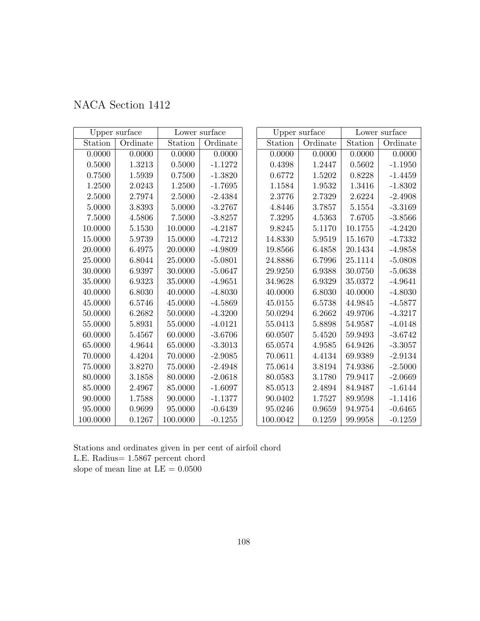| NACA Section 1412 |  |  |
|-------------------|--|--|
|-------------------|--|--|

|             | Upper surface<br>Lower surface |             |           | Upper surface |          | Lower surface |           |
|-------------|--------------------------------|-------------|-----------|---------------|----------|---------------|-----------|
| Station     | Ordinate                       | Station     | Ordinate  | Station       | Ordinate | Station       | Ordinate  |
| 0.0000      | 0.0000                         | 0.0000      | 0.0000    | 0.0000        | 0.0000   | 0.0000        | 0.0000    |
| $0.5000\,$  | 1.3213                         | 0.5000      | $-1.1272$ | 0.4398        | 1.2447   | $0.5602\,$    | $-1.1950$ |
| 0.7500      | 1.5939                         | 0.7500      | $-1.3820$ | 0.6772        | 1.5202   | 0.8228        | $-1.4459$ |
| 1.2500      | 2.0243                         | 1.2500      | $-1.7695$ | 1.1584        | 1.9532   | 1.3416        | $-1.8302$ |
| 2.5000      | 2.7974                         | 2.5000      | $-2.4384$ | 2.3776        | 2.7329   | 2.6224        | $-2.4908$ |
| 5.0000      | 3.8393                         | 5.0000      | $-3.2767$ | 4.8446        | 3.7857   | 5.1554        | $-3.3169$ |
| 7.5000      | 4.5806                         | 7.5000      | $-3.8257$ | 7.3295        | 4.5363   | 7.6705        | $-3.8566$ |
| 10.0000     | 5.1530                         | 10.0000     | $-4.2187$ | 9.8245        | 5.1170   | 10.1755       | $-4.2420$ |
| 15.0000     | 5.9739                         | 15.0000     | $-4.7212$ | 14.8330       | 5.9519   | 15.1670       | $-4.7332$ |
| 20.0000     | 6.4975                         | 20.0000     | $-4.9809$ | 19.8566       | 6.4858   | 20.1434       | $-4.9858$ |
| 25.0000     | 6.8044                         | 25.0000     | $-5.0801$ | 24.8886       | 6.7996   | 25.1114       | $-5.0808$ |
| 30.0000     | 6.9397                         | 30.0000     | $-5.0647$ | 29.9250       | 6.9388   | 30.0750       | $-5.0638$ |
| 35.0000     | 6.9323                         | 35.0000     | $-4.9651$ | 34.9628       | 6.9329   | 35.0372       | $-4.9641$ |
| 40.0000     | 6.8030                         | 40.0000     | $-4.8030$ | 40.0000       | 6.8030   | 40.0000       | $-4.8030$ |
| 45.0000     | 6.5746                         | 45.0000     | $-4.5869$ | 45.0155       | 6.5738   | 44.9845       | $-4.5877$ |
| 50.0000     | 6.2682                         | 50.0000     | $-4.3200$ | 50.0294       | 6.2662   | 49.9706       | $-4.3217$ |
| 55.0000     | 5.8931                         | 55.0000     | $-4.0121$ | 55.0413       | 5.8898   | 54.9587       | $-4.0148$ |
| 60.0000     | 5.4567                         | 60.0000     | $-3.6706$ | 60.0507       | 5.4520   | 59.9493       | $-3.6742$ |
| 65.0000     | 4.9644                         | 65.0000     | $-3.3013$ | 65.0574       | 4.9585   | 64.9426       | $-3.3057$ |
| 70.0000     | 4.4204                         | 70.0000     | $-2.9085$ | 70.0611       | 4.4134   | 69.9389       | $-2.9134$ |
| $75.0000\,$ | 3.8270                         | $75.0000\,$ | $-2.4948$ | 75.0614       | 3.8194   | 74.9386       | $-2.5000$ |
| 80.0000     | 3.1858                         | 80.0000     | $-2.0618$ | 80.0583       | 3.1780   | 79.9417       | $-2.0669$ |
| 85.0000     | 2.4967                         | 85.0000     | $-1.6097$ | 85.0513       | 2.4894   | 84.9487       | $-1.6144$ |
| 90.0000     | 1.7588                         | 90.0000     | $-1.1377$ | 90.0402       | 1.7527   | 89.9598       | $-1.1416$ |
| 95.0000     | 0.9699                         | 95.0000     | $-0.6439$ | 95.0246       | 0.9659   | 94.9754       | $-0.6465$ |
| 100.0000    | 0.1267                         | 100.0000    | $-0.1255$ | 100.0042      | 0.1259   | 99.9958       | $-0.1259$ |

Stations and ordinates given in per cent of airfoil chord L.E. Radius= 1.5867 percent chord slope of mean line at  $\mathrm{LE}=0.0500$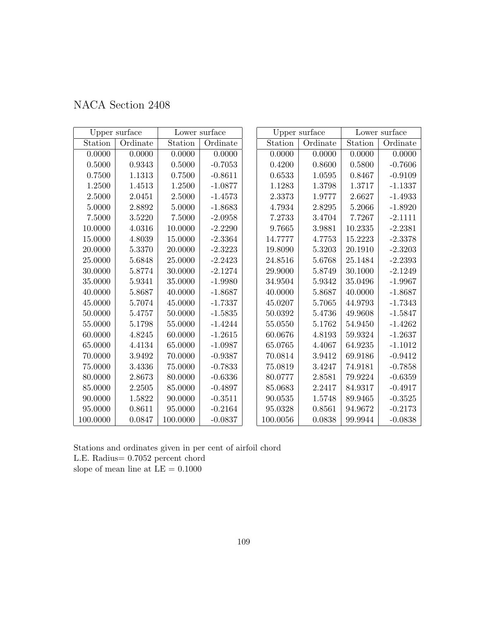| NACA Section 2408 |  |  |
|-------------------|--|--|
|-------------------|--|--|

|          | Upper surface |          | Lower surface |            | Upper surface |            | Lower surface |
|----------|---------------|----------|---------------|------------|---------------|------------|---------------|
| Station  | Ordinate      | Station  | Ordinate      | Station    | Ordinate      | Station    | Ordinate      |
| 0.0000   | 0.0000        | 0.0000   | 0.0000        | 0.0000     | 0.0000        | 0.0000     | 0.0000        |
| 0.5000   | 0.9343        | 0.5000   | $-0.7053$     | $0.4200\,$ | 0.8600        | 0.5800     | $-0.7606$     |
| 0.7500   | 1.1313        | 0.7500   | $-0.8611$     | 0.6533     | 1.0595        | 0.8467     | $-0.9109$     |
| 1.2500   | 1.4513        | 1.2500   | $-1.0877$     | 1.1283     | 1.3798        | 1.3717     | $-1.1337$     |
| 2.5000   | 2.0451        | 2.5000   | $-1.4573$     | 2.3373     | 1.9777        | $2.6627\,$ | $-1.4933$     |
| 5.0000   | 2.8892        | 5.0000   | $-1.8683$     | 4.7934     | 2.8295        | 5.2066     | $-1.8920$     |
| 7.5000   | 3.5220        | 7.5000   | $-2.0958$     | 7.2733     | 3.4704        | 7.7267     | $-2.1111$     |
| 10.0000  | 4.0316        | 10.0000  | $-2.2290$     | 9.7665     | 3.9881        | 10.2335    | $-2.2381$     |
| 15.0000  | 4.8039        | 15.0000  | $-2.3364$     | 14.7777    | 4.7753        | 15.2223    | $-2.3378$     |
| 20.0000  | 5.3370        | 20.0000  | $-2.3223$     | 19.8090    | 5.3203        | 20.1910    | $-2.3203$     |
| 25.0000  | 5.6848        | 25.0000  | $-2.2423$     | 24.8516    | 5.6768        | 25.1484    | $-2.2393$     |
| 30.0000  | 5.8774        | 30.0000  | $-2.1274$     | 29.9000    | 5.8749        | 30.1000    | $-2.1249$     |
| 35.0000  | 5.9341        | 35.0000  | $-1.9980$     | 34.9504    | 5.9342        | 35.0496    | $-1.9967$     |
| 40.0000  | $5.8687\,$    | 40.0000  | $-1.8687$     | 40.0000    | 5.8687        | 40.0000    | $-1.8687$     |
| 45.0000  | 5.7074        | 45.0000  | $-1.7337$     | 45.0207    | 5.7065        | 44.9793    | $-1.7343$     |
| 50.0000  | 5.4757        | 50.0000  | $-1.5835$     | 50.0392    | 5.4736        | 49.9608    | $-1.5847$     |
| 55.0000  | 5.1798        | 55.0000  | $-1.4244$     | 55.0550    | 5.1762        | 54.9450    | $-1.4262$     |
| 60.0000  | 4.8245        | 60.0000  | $-1.2615$     | 60.0676    | 4.8193        | 59.9324    | $-1.2637$     |
| 65.0000  | 4.4134        | 65.0000  | $-1.0987$     | 65.0765    | 4.4067        | 64.9235    | $-1.1012$     |
| 70.0000  | 3.9492        | 70.0000  | $-0.9387$     | 70.0814    | 3.9412        | 69.9186    | $-0.9412$     |
| 75.0000  | 3.4336        | 75.0000  | $-0.7833$     | 75.0819    | 3.4247        | 74.9181    | $-0.7858$     |
| 80.0000  | 2.8673        | 80.0000  | $-0.6336$     | 80.0777    | 2.8581        | 79.9224    | $-0.6359$     |
| 85.0000  | 2.2505        | 85.0000  | $-0.4897$     | 85.0683    | 2.2417        | 84.9317    | $-0.4917$     |
| 90.0000  | 1.5822        | 90.0000  | $-0.3511$     | 90.0535    | 1.5748        | 89.9465    | $-0.3525$     |
| 95.0000  | 0.8611        | 95.0000  | $-0.2164$     | 95.0328    | 0.8561        | 94.9672    | $-0.2173$     |
| 100.0000 | 0.0847        | 100.0000 | $-0.0837$     | 100.0056   | 0.0838        | 99.9944    | $-0.0838$     |

Stations and ordinates given in per cent of airfoil chord L.E. Radius= 0.7052 percent chord slope of mean line at  $\mathrm{LE}=0.1000$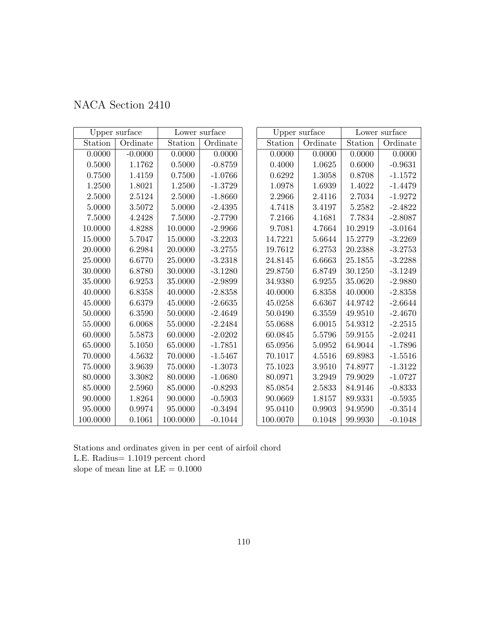| NACA Section 2410 |  |  |
|-------------------|--|--|
|-------------------|--|--|

|            | Upper surface |          | Lower surface |          | Upper surface |            | Lower surface |
|------------|---------------|----------|---------------|----------|---------------|------------|---------------|
| Station    | Ordinate      | Station  | Ordinate      | Station  | Ordinate      | Station    | Ordinate      |
| 0.0000     | $-0.0000$     | 0.0000   | 0.0000        | 0.0000   | 0.0000        | 0.0000     | 0.0000        |
| 0.5000     | 1.1762        | 0.5000   | $-0.8759$     | 0.4000   | 1.0625        | 0.6000     | $-0.9631$     |
| 0.7500     | 1.4159        | 0.7500   | $-1.0766$     | 0.6292   | 1.3058        | 0.8708     | $-1.1572$     |
| $1.2500\,$ | 1.8021        | 1.2500   | $-1.3729$     | 1.0978   | 1.6939        | 1.4022     | $-1.4479$     |
| 2.5000     | 2.5124        | 2.5000   | $-1.8660$     | 2.2966   | 2.4116        | $2.7034\,$ | $-1.9272$     |
| 5.0000     | 3.5072        | 5.0000   | $-2.4395$     | 4.7418   | 3.4197        | 5.2582     | $-2.4822$     |
| 7.5000     | 4.2428        | 7.5000   | $-2.7790$     | 7.2166   | 4.1681        | 7.7834     | $-2.8087$     |
| 10.0000    | 4.8288        | 10.0000  | $-2.9966$     | 9.7081   | 4.7664        | 10.2919    | $-3.0164$     |
| 15.0000    | 5.7047        | 15.0000  | $-3.2203$     | 14.7221  | 5.6644        | 15.2779    | $-3.2269$     |
| 20.0000    | 6.2984        | 20.0000  | $-3.2755$     | 19.7612  | 6.2753        | 20.2388    | $-3.2753$     |
| 25.0000    | 6.6770        | 25.0000  | $-3.2318$     | 24.8145  | 6.6663        | 25.1855    | $-3.2288$     |
| 30.0000    | 6.8780        | 30.0000  | $-3.1280$     | 29.8750  | 6.8749        | 30.1250    | $-3.1249$     |
| 35.0000    | 6.9253        | 35.0000  | $-2.9899$     | 34.9380  | 6.9255        | 35.0620    | $-2.9880$     |
| 40.0000    | 6.8358        | 40.0000  | $-2.8358$     | 40.0000  | 6.8358        | 40.0000    | $-2.8358$     |
| 45.0000    | 6.6379        | 45.0000  | $-2.6635$     | 45.0258  | 6.6367        | 44.9742    | $-2.6644$     |
| 50.0000    | 6.3590        | 50.0000  | $-2.4649$     | 50.0490  | 6.3559        | 49.9510    | $-2.4670$     |
| 55.0000    | 6.0068        | 55.0000  | $-2.2484$     | 55.0688  | 6.0015        | 54.9312    | $-2.2515$     |
| 60.0000    | 5.5873        | 60.0000  | $-2.0202$     | 60.0845  | 5.5796        | 59.9155    | $-2.0241$     |
| 65.0000    | 5.1050        | 65.0000  | $-1.7851$     | 65.0956  | 5.0952        | 64.9044    | $-1.7896$     |
| 70.0000    | 4.5632        | 70.0000  | $-1.5467$     | 70.1017  | 4.5516        | 69.8983    | $-1.5516$     |
| 75.0000    | 3.9639        | 75.0000  | $-1.3073$     | 75.1023  | $3.9510\,$    | 74.8977    | $-1.3122$     |
| 80.0000    | 3.3082        | 80.0000  | $-1.0680$     | 80.0971  | 3.2949        | 79.9029    | $-1.0727$     |
| 85.0000    | 2.5960        | 85.0000  | $-0.8293$     | 85.0854  | 2.5833        | 84.9146    | $-0.8333$     |
| 90.0000    | 1.8264        | 90.0000  | $-0.5903$     | 90.0669  | 1.8157        | 89.9331    | $-0.5935$     |
| 95.0000    | 0.9974        | 95.0000  | $-0.3494$     | 95.0410  | 0.9903        | 94.9590    | $-0.3514$     |
| 100.0000   | 0.1061        | 100.0000 | $-0.1044$     | 100.0070 | 0.1048        | 99.9930    | $-0.1048$     |

Stations and ordinates given in per cent of airfoil chord L.E. Radius= 1.1019 percent chord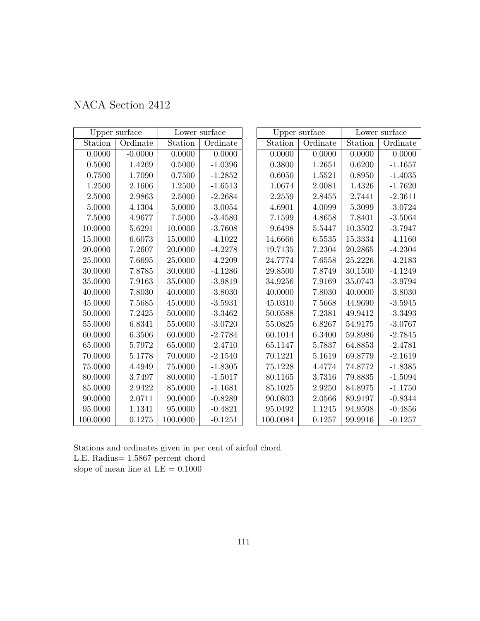| NACA Section 2412 |  |  |
|-------------------|--|--|
|-------------------|--|--|

|            | Upper surface |          | Lower surface |            | Upper surface |            | Lower surface |
|------------|---------------|----------|---------------|------------|---------------|------------|---------------|
| Station    | Ordinate      | Station  | Ordinate      | Station    | Ordinate      | Station    | Ordinate      |
| 0.0000     | $-0.0000$     | 0.0000   | 0.0000        | 0.0000     | 0.0000        | 0.0000     | 0.0000        |
| $0.5000\,$ | 1.4269        | 0.5000   | $-1.0396$     | $0.3800\,$ | 1.2651        | 0.6200     | $-1.1657$     |
| 0.7500     | 1.7090        | 0.7500   | $-1.2852$     | 0.6050     | 1.5521        | 0.8950     | $-1.4035$     |
| 1.2500     | 2.1606        | 1.2500   | $-1.6513$     | 1.0674     | 2.0081        | 1.4326     | $-1.7620$     |
| 2.5000     | 2.9863        | 2.5000   | $-2.2684$     | 2.2559     | 2.8455        | 2.7441     | $-2.3611$     |
| 5.0000     | 4.1304        | 5.0000   | $-3.0054$     | 4.6901     | 4.0099        | $5.3099\,$ | $-3.0724$     |
| 7.5000     | 4.9677        | 7.5000   | $-3.4580$     | 7.1599     | 4.8658        | 7.8401     | $-3.5064$     |
| 10.0000    | 5.6291        | 10.0000  | $-3.7608$     | 9.6498     | 5.5447        | 10.3502    | $-3.7947$     |
| 15.0000    | 6.6073        | 15.0000  | $-4.1022$     | 14.6666    | 6.5535        | 15.3334    | $-4.1160$     |
| 20.0000    | 7.2607        | 20.0000  | $-4.2278$     | 19.7135    | 7.2304        | 20.2865    | $-4.2304$     |
| 25.0000    | 7.6695        | 25.0000  | $-4.2209$     | 24.7774    | 7.6558        | 25.2226    | $-4.2183$     |
| 30.0000    | 7.8785        | 30.0000  | $-4.1286$     | 29.8500    | 7.8749        | 30.1500    | $-4.1249$     |
| 35.0000    | 7.9163        | 35.0000  | $-3.9819$     | 34.9256    | 7.9169        | 35.0743    | $-3.9794$     |
| 40.0000    | 7.8030        | 40.0000  | $-3.8030$     | 40.0000    | 7.8030        | 40.0000    | $-3.8030$     |
| 45.0000    | 7.5685        | 45.0000  | $-3.5931$     | 45.0310    | 7.5668        | 44.9690    | $-3.5945$     |
| 50.0000    | 7.2425        | 50.0000  | $-3.3462$     | 50.0588    | 7.2381        | 49.9412    | $-3.3493$     |
| 55.0000    | 6.8341        | 55.0000  | $-3.0720$     | 55.0825    | 6.8267        | 54.9175    | $-3.0767$     |
| 60.0000    | 6.3506        | 60.0000  | $-2.7784$     | 60.1014    | 6.3400        | 59.8986    | $-2.7845$     |
| 65.0000    | 5.7972        | 65.0000  | $-2.4710$     | 65.1147    | 5.7837        | 64.8853    | $-2.4781$     |
| 70.0000    | 5.1778        | 70.0000  | $-2.1540$     | 70.1221    | 5.1619        | 69.8779    | $-2.1619$     |
| 75.0000    | 4.4949        | 75.0000  | $-1.8305$     | 75.1228    | 4.4774        | 74.8772    | $-1.8385$     |
| 80.0000    | 3.7497        | 80.0000  | $-1.5017$     | 80.1165    | 3.7316        | 79.8835    | $-1.5094$     |
| 85.0000    | 2.9422        | 85.0000  | $-1.1681$     | 85.1025    | 2.9250        | 84.8975    | $-1.1750$     |
| 90.0000    | 2.0711        | 90.0000  | $-0.8289$     | 90.0803    | 2.0566        | 89.9197    | $-0.8344$     |
| 95.0000    | 1.1341        | 95.0000  | $-0.4821$     | 95.0492    | 1.1245        | 94.9508    | $-0.4856$     |
| 100.0000   | 0.1275        | 100.0000 | $-0.1251$     | 100.0084   | 0.1257        | 99.9916    | $-0.1257$     |

Stations and ordinates given in per cent of airfoil chord L.E. Radius= 1.5867 percent chord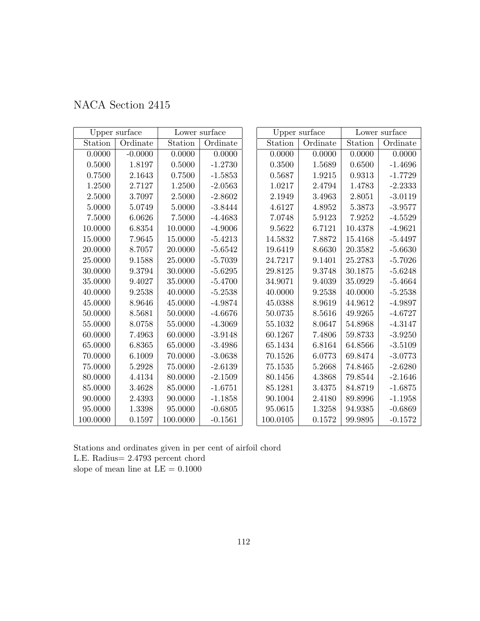|  | NACA Section 2415 |  |
|--|-------------------|--|
|--|-------------------|--|

|             | Upper surface |             | Lower surface |          | Upper surface |         | Lower surface |
|-------------|---------------|-------------|---------------|----------|---------------|---------|---------------|
| Station     | Ordinate      | Station     | Ordinate      | Station  | Ordinate      | Station | Ordinate      |
| 0.0000      | $-0.0000$     | 0.0000      | 0.0000        | 0.0000   | 0.0000        | 0.0000  | 0.0000        |
| $0.5000\,$  | 1.8197        | 0.5000      | $-1.2730$     | 0.3500   | 1.5689        | 0.6500  | $-1.4696$     |
| 0.7500      | 2.1643        | 0.7500      | $-1.5853$     | 0.5687   | 1.9215        | 0.9313  | $-1.7729$     |
| 1.2500      | 2.7127        | 1.2500      | $-2.0563$     | 1.0217   | 2.4794        | 1.4783  | $-2.2333$     |
| 2.5000      | 3.7097        | 2.5000      | $-2.8602$     | 2.1949   | 3.4963        | 2.8051  | $-3.0119$     |
| 5.0000      | 5.0749        | 5.0000      | $-3.8444$     | 4.6127   | 4.8952        | 5.3873  | $-3.9577$     |
| 7.5000      | 6.0626        | 7.5000      | $-4.4683$     | 7.0748   | $5.9123\,$    | 7.9252  | $-4.5529$     |
| 10.0000     | 6.8354        | 10.0000     | $-4.9006$     | 9.5622   | 6.7121        | 10.4378 | $-4.9621$     |
| 15.0000     | 7.9645        | 15.0000     | $-5.4213$     | 14.5832  | 7.8872        | 15.4168 | $-5.4497$     |
| 20.0000     | 8.7057        | 20.0000     | $-5.6542$     | 19.6419  | 8.6630        | 20.3582 | $-5.6630$     |
| 25.0000     | 9.1588        | 25.0000     | $-5.7039$     | 24.7217  | 9.1401        | 25.2783 | $-5.7026$     |
| 30.0000     | 9.3794        | 30.0000     | $-5.6295$     | 29.8125  | 9.3748        | 30.1875 | $-5.6248$     |
| 35.0000     | 9.4027        | 35.0000     | $-5.4700$     | 34.9071  | 9.4039        | 35.0929 | $-5.4664$     |
| 40.0000     | 9.2538        | 40.0000     | $-5.2538$     | 40.0000  | 9.2538        | 40.0000 | $-5.2538$     |
| 45.0000     | 8.9646        | 45.0000     | $-4.9874$     | 45.0388  | 8.9619        | 44.9612 | $-4.9897$     |
| 50.0000     | 8.5681        | 50.0000     | $-4.6676$     | 50.0735  | 8.5616        | 49.9265 | $-4.6727$     |
| 55.0000     | 8.0758        | 55.0000     | $-4.3069$     | 55.1032  | 8.0647        | 54.8968 | $-4.3147$     |
| 60.0000     | 7.4963        | 60.0000     | $-3.9148$     | 60.1267  | 7.4806        | 59.8733 | $-3.9250$     |
| 65.0000     | 6.8365        | 65.0000     | $-3.4986$     | 65.1434  | 6.8164        | 64.8566 | $-3.5109$     |
| 70.0000     | 6.1009        | 70.0000     | $-3.0638$     | 70.1526  | 6.0773        | 69.8474 | $-3.0773$     |
| $75.0000\,$ | $5.2928\,$    | $75.0000\,$ | $-2.6139$     | 75.1535  | 5.2668        | 74.8465 | $-2.6280$     |
| 80.0000     | 4.4134        | 80.0000     | $-2.1509$     | 80.1456  | 4.3868        | 79.8544 | $-2.1646$     |
| 85.0000     | 3.4628        | 85.0000     | $-1.6751$     | 85.1281  | 3.4375        | 84.8719 | $-1.6875$     |
| 90.0000     | 2.4393        | 90.0000     | $-1.1858$     | 90.1004  | 2.4180        | 89.8996 | $-1.1958$     |
| 95.0000     | 1.3398        | 95.0000     | $-0.6805$     | 95.0615  | 1.3258        | 94.9385 | $-0.6869$     |
| 100.0000    | 0.1597        | 100.0000    | $-0.1561$     | 100.0105 | 0.1572        | 99.9895 | $-0.1572$     |

Stations and ordinates given in per cent of airfoil chord L.E. Radius= 2.4793 percent chord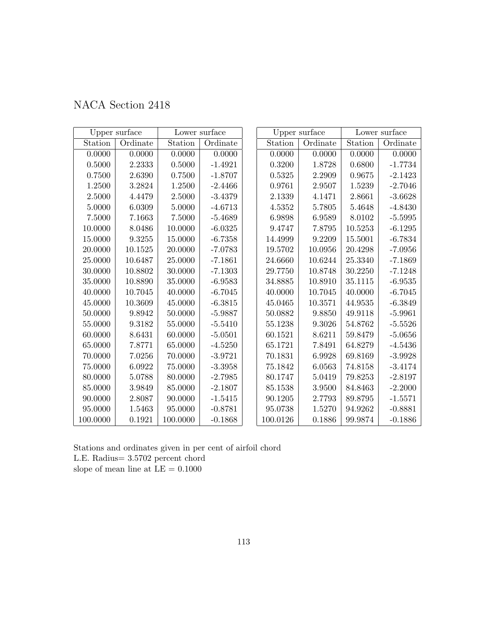|  | NACA Section 2418 |  |
|--|-------------------|--|
|--|-------------------|--|

|            | Upper surface |          | Lower surface |          | Upper surface |            | Lower surface |
|------------|---------------|----------|---------------|----------|---------------|------------|---------------|
| Station    | Ordinate      | Station  | Ordinate      | Station  | Ordinate      | Station    | Ordinate      |
| 0.0000     | 0.0000        | 0.0000   | 0.0000        | 0.0000   | 0.0000        | 0.0000     | 0.0000        |
| 0.5000     | 2.2333        | 0.5000   | $-1.4921$     | 0.3200   | 1.8728        | $0.6800\,$ | $-1.7734$     |
| 0.7500     | 2.6390        | 0.7500   | $-1.8707$     | 0.5325   | 2.2909        | 0.9675     | $-2.1423$     |
| 1.2500     | 3.2824        | 1.2500   | $-2.4466$     | 0.9761   | 2.9507        | 1.5239     | $-2.7046$     |
| 2.5000     | 4.4479        | 2.5000   | $-3.4379$     | 2.1339   | 4.1471        | 2.8661     | $-3.6628$     |
| 5.0000     | 6.0309        | 5.0000   | $-4.6713$     | 4.5352   | 5.7805        | 5.4648     | $-4.8430$     |
| $7.5000\,$ | 7.1663        | 7.5000   | $-5.4689$     | 6.9898   | 6.9589        | 8.0102     | $-5.5995$     |
| 10.0000    | 8.0486        | 10.0000  | $-6.0325$     | 9.4747   | 7.8795        | 10.5253    | $-6.1295$     |
| 15.0000    | 9.3255        | 15.0000  | $-6.7358$     | 14.4999  | 9.2209        | 15.5001    | $-6.7834$     |
| 20.0000    | 10.1525       | 20.0000  | $-7.0783$     | 19.5702  | 10.0956       | 20.4298    | $-7.0956$     |
| 25.0000    | 10.6487       | 25.0000  | $-7.1861$     | 24.6660  | 10.6244       | 25.3340    | $-7.1869$     |
| 30.0000    | 10.8802       | 30.0000  | $-7.1303$     | 29.7750  | 10.8748       | 30.2250    | $-7.1248$     |
| 35.0000    | 10.8890       | 35.0000  | $-6.9583$     | 34.8885  | 10.8910       | 35.1115    | $-6.9535$     |
| 40.0000    | 10.7045       | 40.0000  | $-6.7045$     | 40.0000  | 10.7045       | 40.0000    | $-6.7045$     |
| 45.0000    | 10.3609       | 45.0000  | $-6.3815$     | 45.0465  | 10.3571       | 44.9535    | $-6.3849$     |
| 50.0000    | 9.8942        | 50.0000  | $-5.9887$     | 50.0882  | 9.8850        | 49.9118    | $-5.9961$     |
| 55.0000    | 9.3182        | 55.0000  | $-5.5410$     | 55.1238  | 9.3026        | 54.8762    | $-5.5526$     |
| 60.0000    | 8.6431        | 60.0000  | $-5.0501$     | 60.1521  | 8.6211        | 59.8479    | $-5.0656$     |
| 65.0000    | 7.8771        | 65.0000  | $-4.5250$     | 65.1721  | 7.8491        | 64.8279    | $-4.5436$     |
| 70.0000    | 7.0256        | 70.0000  | $-3.9721$     | 70.1831  | 6.9928        | 69.8169    | $-3.9928$     |
| 75.0000    | 6.0922        | 75.0000  | $-3.3958$     | 75.1842  | 6.0563        | 74.8158    | $-3.4174$     |
| 80.0000    | 5.0788        | 80.0000  | $-2.7985$     | 80.1747  | 5.0419        | 79.8253    | $-2.8197$     |
| 85.0000    | 3.9849        | 85.0000  | $-2.1807$     | 85.1538  | 3.9500        | 84.8463    | $-2.2000$     |
| 90.0000    | 2.8087        | 90.0000  | $-1.5415$     | 90.1205  | 2.7793        | 89.8795    | $-1.5571$     |
| 95.0000    | 1.5463        | 95.0000  | $-0.8781$     | 95.0738  | 1.5270        | 94.9262    | $-0.8881$     |
| 100.0000   | 0.1921        | 100.0000 | $-0.1868$     | 100.0126 | 0.1886        | 99.9874    | $-0.1886$     |

Stations and ordinates given in per cent of airfoil chord L.E. Radius= 3.5702 percent chord slope of mean line at  $\mathrm{LE}=0.1000$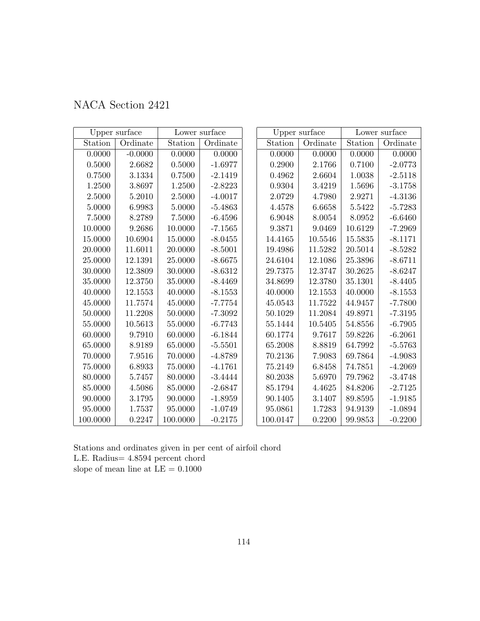|  | NACA Section 2421 |  |
|--|-------------------|--|
|--|-------------------|--|

|            | Upper surface |          | Lower surface |                     | Upper surface |         | Lower surface |
|------------|---------------|----------|---------------|---------------------|---------------|---------|---------------|
| Station    | Ordinate      | Station  | Ordinate      | Station             | Ordinate      | Station | Ordinate      |
| 0.0000     | $-0.0000$     | 0.0000   | 0.0000        | 0.0000              | 0.0000        | 0.0000  | 0.0000        |
| $0.5000\,$ | 2.6682        | 0.5000   | $-1.6977$     | 0.2900              | 2.1766        | 0.7100  | $-2.0773$     |
| 0.7500     | 3.1334        | 0.7500   | $-2.1419$     | 0.4962              | 2.6604        | 1.0038  | $-2.5118$     |
| 1.2500     | 3.8697        | 1.2500   | $-2.8223$     | 0.9304              | 3.4219        | 1.5696  | $-3.1758$     |
| $2.5000\,$ | 5.2010        | 2.5000   | $-4.0017$     | 2.0729              | 4.7980        | 2.9271  | $-4.3136$     |
| 5.0000     | 6.9983        | 5.0000   | $-5.4863$     | 4.4578              | 6.6658        | 5.5422  | $-5.7283$     |
| 7.5000     | 8.2789        | 7.5000   | $-6.4596$     | 6.9048              | 8.0054        | 8.0952  | $-6.6460$     |
| 10.0000    | 9.2686        | 10.0000  | $-7.1565$     | $\phantom{-}9.3871$ | 9.0469        | 10.6129 | $-7.2969$     |
| 15.0000    | 10.6904       | 15.0000  | $-8.0455$     | 14.4165             | 10.5546       | 15.5835 | $-8.1171$     |
| 20.0000    | 11.6011       | 20.0000  | $-8.5001$     | 19.4986             | 11.5282       | 20.5014 | $-8.5282$     |
| 25.0000    | 12.1391       | 25.0000  | $-8.6675$     | 24.6104             | 12.1086       | 25.3896 | $-8.6711$     |
| 30.0000    | 12.3809       | 30.0000  | $-8.6312$     | 29.7375             | 12.3747       | 30.2625 | $-8.6247$     |
| 35.0000    | $12.3750\,$   | 35.0000  | $-8.4469$     | 34.8699             | 12.3780       | 35.1301 | $-8.4405$     |
| 40.0000    | 12.1553       | 40.0000  | $-8.1553$     | 40.0000             | 12.1553       | 40.0000 | $-8.1553$     |
| 45.0000    | 11.7574       | 45.0000  | $-7.7754$     | 45.0543             | 11.7522       | 44.9457 | $-7.7800$     |
| 50.0000    | 11.2208       | 50.0000  | $-7.3092$     | 50.1029             | 11.2084       | 49.8971 | $-7.3195$     |
| 55.0000    | 10.5613       | 55.0000  | $-6.7743$     | 55.1444             | 10.5405       | 54.8556 | $-6.7905$     |
| 60.0000    | 9.7910        | 60.0000  | $-6.1844$     | 60.1774             | 9.7617        | 59.8226 | $-6.2061$     |
| 65.0000    | 8.9189        | 65.0000  | $-5.5501$     | 65.2008             | 8.8819        | 64.7992 | $-5.5763$     |
| 70.0000    | 7.9516        | 70.0000  | $-4.8789$     | 70.2136             | 7.9083        | 69.7864 | $-4.9083$     |
| 75.0000    | 6.8933        | 75.0000  | $-4.1761$     | 75.2149             | 6.8458        | 74.7851 | $-4.2069$     |
| 80.0000    | 5.7457        | 80.0000  | $-3.4444$     | 80.2038             | 5.6970        | 79.7962 | $-3.4748$     |
| 85.0000    | 4.5086        | 85.0000  | $-2.6847$     | 85.1794             | 4.4625        | 84.8206 | $-2.7125$     |
| 90.0000    | 3.1795        | 90.0000  | $-1.8959$     | 90.1405             | 3.1407        | 89.8595 | $-1.9185$     |
| 95.0000    | 1.7537        | 95.0000  | $-1.0749$     | 95.0861             | 1.7283        | 94.9139 | $-1.0894$     |
| 100.0000   | 0.2247        | 100.0000 | $-0.2175$     | 100.0147            | 0.2200        | 99.9853 | $-0.2200$     |

Stations and ordinates given in per cent of airfoil chord L.E. Radius= 4.8594 percent chord slope of mean line at  $\mathrm{LE}=0.1000$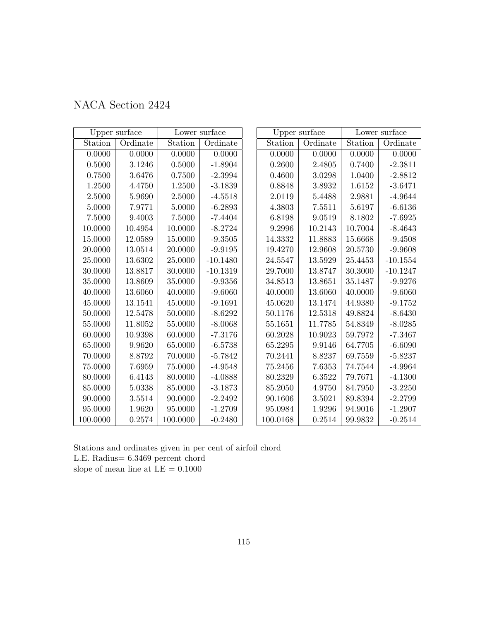| NACA Section 2424 |  |  |
|-------------------|--|--|
|-------------------|--|--|

|          | Upper surface |          | Lower surface |          | Upper surface |             | Lower surface |
|----------|---------------|----------|---------------|----------|---------------|-------------|---------------|
| Station  | Ordinate      | Station  | Ordinate      | Station  | Ordinate      | Station     | Ordinate      |
| 0.0000   | 0.0000        | 0.0000   | 0.0000        | 0.0000   | 0.0000        | 0.0000      | 0.0000        |
| 0.5000   | 3.1246        | 0.5000   | $-1.8904$     | 0.2600   | 2.4805        | $0.7400\,$  | $-2.3811$     |
| 0.7500   | 3.6476        | 0.7500   | $-2.3994$     | 0.4600   | $3.0298\,$    | 1.0400      | $-2.8812$     |
| 1.2500   | 4.4750        | 1.2500   | $-3.1839$     | 0.8848   | 3.8932        | 1.6152      | $-3.6471$     |
| 2.5000   | 5.9690        | 2.5000   | $-4.5518$     | 2.0119   | 5.4488        | 2.9881      | $-4.9644$     |
| 5.0000   | 7.9771        | 5.0000   | $-6.2893$     | 4.3803   | 7.5511        | 5.6197      | $-6.6136$     |
| 7.5000   | 9.4003        | 7.5000   | $-7.4404$     | 6.8198   | 9.0519        | 8.1802      | $-7.6925$     |
| 10.0000  | 10.4954       | 10.0000  | $-8.2724$     | 9.2996   | 10.2143       | $10.7004\,$ | $-8.4643$     |
| 15.0000  | 12.0589       | 15.0000  | $-9.3505$     | 14.3332  | 11.8883       | 15.6668     | $-9.4508$     |
| 20.0000  | 13.0514       | 20.0000  | $-9.9195$     | 19.4270  | 12.9608       | $20.5730\,$ | $-9.9608$     |
| 25.0000  | 13.6302       | 25.0000  | $-10.1480$    | 24.5547  | 13.5929       | 25.4453     | $-10.1554$    |
| 30.0000  | 13.8817       | 30.0000  | $-10.1319$    | 29.7000  | 13.8747       | 30.3000     | $-10.1247$    |
| 35.0000  | 13.8609       | 35.0000  | $-9.9356$     | 34.8513  | 13.8651       | 35.1487     | $-9.9276$     |
| 40.0000  | 13.6060       | 40.0000  | $-9.6060$     | 40.0000  | 13.6060       | 40.0000     | $-9.6060$     |
| 45.0000  | 13.1541       | 45.0000  | $-9.1691$     | 45.0620  | 13.1474       | 44.9380     | $-9.1752$     |
| 50.0000  | 12.5478       | 50.0000  | $-8.6292$     | 50.1176  | 12.5318       | 49.8824     | $-8.6430$     |
| 55.0000  | 11.8052       | 55.0000  | $-8.0068$     | 55.1651  | 11.7785       | 54.8349     | $-8.0285$     |
| 60.0000  | 10.9398       | 60.0000  | $-7.3176$     | 60.2028  | 10.9023       | 59.7972     | $-7.3467$     |
| 65.0000  | 9.9620        | 65.0000  | $-6.5738$     | 65.2295  | 9.9146        | 64.7705     | $-6.6090$     |
| 70.0000  | 8.8792        | 70.0000  | $-5.7842$     | 70.2441  | 8.8237        | 69.7559     | $-5.8237$     |
| 75.0000  | 7.6959        | 75.0000  | $-4.9548$     | 75.2456  | 7.6353        | 74.7544     | $-4.9964$     |
| 80.0000  | 6.4143        | 80.0000  | $-4.0888$     | 80.2329  | 6.3522        | 79.7671     | $-4.1300$     |
| 85.0000  | 5.0338        | 85.0000  | $-3.1873$     | 85.2050  | 4.9750        | 84.7950     | $-3.2250$     |
| 90.0000  | 3.5514        | 90.0000  | $-2.2492$     | 90.1606  | 3.5021        | 89.8394     | $-2.2799$     |
| 95.0000  | 1.9620        | 95.0000  | $-1.2709$     | 95.0984  | 1.9296        | 94.9016     | $-1.2907$     |
| 100.0000 | 0.2574        | 100.0000 | $-0.2480$     | 100.0168 | 0.2514        | 99.9832     | $-0.2514$     |

Stations and ordinates given in per cent of airfoil chord L.E. Radius= 6.3469 percent chord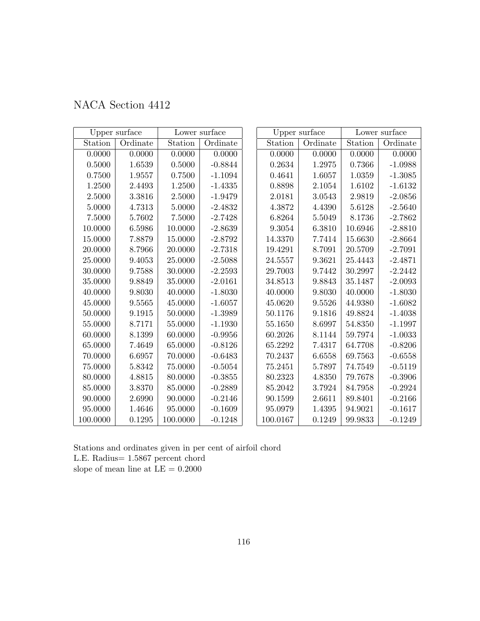| NACA Section 4412 |  |  |
|-------------------|--|--|
|-------------------|--|--|

|            | Upper surface |          | Lower surface |          | Upper surface |         | Lower surface |
|------------|---------------|----------|---------------|----------|---------------|---------|---------------|
| Station    | Ordinate      | Station  | Ordinate      | Station  | Ordinate      | Station | Ordinate      |
| 0.0000     | 0.0000        | 0.0000   | 0.0000        | 0.0000   | 0.0000        | 0.0000  | 0.0000        |
| $0.5000\,$ | 1.6539        | 0.5000   | $-0.8844$     | 0.2634   | 1.2975        | 0.7366  | $-1.0988$     |
| 0.7500     | 1.9557        | 0.7500   | $-1.1094$     | 0.4641   | 1.6057        | 1.0359  | $-1.3085$     |
| 1.2500     | 2.4493        | 1.2500   | $-1.4335$     | 0.8898   | 2.1054        | 1.6102  | $-1.6132$     |
| 2.5000     | 3.3816        | 2.5000   | $-1.9479$     | 2.0181   | 3.0543        | 2.9819  | $-2.0856$     |
| 5.0000     | 4.7313        | 5.0000   | $-2.4832$     | 4.3872   | 4.4390        | 5.6128  | $-2.5640$     |
| 7.5000     | 5.7602        | 7.5000   | $-2.7428$     | 6.8264   | 5.5049        | 8.1736  | $-2.7862$     |
| 10.0000    | 6.5986        | 10.0000  | $-2.8639$     | 9.3054   | 6.3810        | 10.6946 | $-2.8810$     |
| 15.0000    | 7.8879        | 15.0000  | $-2.8792$     | 14.3370  | 7.7414        | 15.6630 | $-2.8664$     |
| 20.0000    | 8.7966        | 20.0000  | $-2.7318$     | 19.4291  | 8.7091        | 20.5709 | $-2.7091$     |
| 25.0000    | 9.4053        | 25.0000  | $-2.5088$     | 24.5557  | 9.3621        | 25.4443 | $-2.4871$     |
| 30.0000    | 9.7588        | 30.0000  | $-2.2593$     | 29.7003  | 9.7442        | 30.2997 | $-2.2442$     |
| 35.0000    | 9.8849        | 35.0000  | $-2.0161$     | 34.8513  | 9.8843        | 35.1487 | $-2.0093$     |
| 40.0000    | 9.8030        | 40.0000  | $-1.8030$     | 40.0000  | 9.8030        | 40.0000 | $-1.8030$     |
| 45.0000    | 9.5565        | 45.0000  | $-1.6057$     | 45.0620  | 9.5526        | 44.9380 | $-1.6082$     |
| 50.0000    | 9.1915        | 50.0000  | $-1.3989$     | 50.1176  | 9.1816        | 49.8824 | $-1.4038$     |
| 55.0000    | 8.7171        | 55.0000  | $-1.1930$     | 55.1650  | 8.6997        | 54.8350 | $-1.1997$     |
| 60.0000    | 8.1399        | 60.0000  | $-0.9956$     | 60.2026  | 8.1144        | 59.7974 | $-1.0033$     |
| 65.0000    | 7.4649        | 65.0000  | $-0.8126$     | 65.2292  | 7.4317        | 64.7708 | $-0.8206$     |
| 70.0000    | 6.6957        | 70.0000  | $-0.6483$     | 70.2437  | 6.6558        | 69.7563 | $-0.6558$     |
| 75.0000    | 5.8342        | 75.0000  | $-0.5054$     | 75.2451  | 5.7897        | 74.7549 | $-0.5119$     |
| 80.0000    | 4.8815        | 80.0000  | $-0.3855$     | 80.2323  | 4.8350        | 79.7678 | $-0.3906$     |
| 85.0000    | 3.8370        | 85.0000  | $-0.2889$     | 85.2042  | 3.7924        | 84.7958 | $-0.2924$     |
| 90.0000    | 2.6990        | 90.0000  | $-0.2146$     | 90.1599  | 2.6611        | 89.8401 | $-0.2166$     |
| 95.0000    | 1.4646        | 95.0000  | $-0.1609$     | 95.0979  | 1.4395        | 94.9021 | $-0.1617$     |
| 100.0000   | 0.1295        | 100.0000 | $-0.1248$     | 100.0167 | 0.1249        | 99.9833 | $-0.1249$     |

Stations and ordinates given in per cent of airfoil chord L.E. Radius= 1.5867 percent chord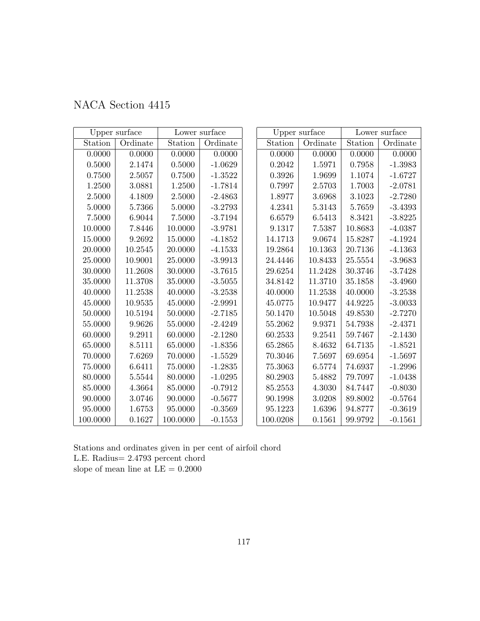| NACA Section 4415 |  |  |
|-------------------|--|--|
|-------------------|--|--|

|          | Upper surface |          | Lower surface |            | Upper surface |         | Lower surface |
|----------|---------------|----------|---------------|------------|---------------|---------|---------------|
| Station  | Ordinate      | Station  | Ordinate      | Station    | Ordinate      | Station | Ordinate      |
| 0.0000   | 0.0000        | 0.0000   | 0.0000        | 0.0000     | 0.0000        | 0.0000  | 0.0000        |
| 0.5000   | 2.1474        | 0.5000   | $-1.0629$     | $0.2042\,$ | 1.5971        | 0.7958  | $-1.3983$     |
| 0.7500   | 2.5057        | 0.7500   | $-1.3522$     | 0.3926     | 1.9699        | 1.1074  | $-1.6727$     |
| 1.2500   | 3.0881        | 1.2500   | $-1.7814$     | 0.7997     | 2.5703        | 1.7003  | $-2.0781$     |
| 2.5000   | 4.1809        | 2.5000   | $-2.4863$     | 1.8977     | 3.6968        | 3.1023  | $-2.7280$     |
| 5.0000   | 5.7366        | 5.0000   | $-3.2793$     | 4.2341     | 5.3143        | 5.7659  | $-3.4393$     |
| 7.5000   | 6.9044        | 7.5000   | $-3.7194$     | 6.6579     | 6.5413        | 8.3421  | $-3.8225$     |
| 10.0000  | 7.8446        | 10.0000  | $-3.9781$     | 9.1317     | 7.5387        | 10.8683 | $-4.0387$     |
| 15.0000  | 9.2692        | 15.0000  | $-4.1852$     | 14.1713    | 9.0674        | 15.8287 | $-4.1924$     |
| 20.0000  | 10.2545       | 20.0000  | $-4.1533$     | 19.2864    | 10.1363       | 20.7136 | $-4.1363$     |
| 25.0000  | 10.9001       | 25.0000  | $-3.9913$     | 24.4446    | 10.8433       | 25.5554 | $-3.9683$     |
| 30.0000  | 11.2608       | 30.0000  | $-3.7615$     | 29.6254    | 11.2428       | 30.3746 | $-3.7428$     |
| 35.0000  | 11.3708       | 35.0000  | $-3.5055$     | 34.8142    | 11.3710       | 35.1858 | $-3.4960$     |
| 40.0000  | 11.2538       | 40.0000  | $-3.2538$     | 40.0000    | 11.2538       | 40.0000 | $-3.2538$     |
| 45.0000  | $10.9535\,$   | 45.0000  | $-2.9991$     | 45.0775    | 10.9477       | 44.9225 | $-3.0033$     |
| 50.0000  | 10.5194       | 50.0000  | $-2.7185$     | 50.1470    | 10.5048       | 49.8530 | $-2.7270$     |
| 55.0000  | 9.9626        | 55.0000  | $-2.4249$     | 55.2062    | 9.9371        | 54.7938 | $-2.4371$     |
| 60.0000  | 9.2911        | 60.0000  | $-2.1280$     | 60.2533    | 9.2541        | 59.7467 | $-2.1430$     |
| 65.0000  | 8.5111        | 65.0000  | $-1.8356$     | 65.2865    | 8.4632        | 64.7135 | $-1.8521$     |
| 70.0000  | 7.6269        | 70.0000  | $-1.5529$     | 70.3046    | 7.5697        | 69.6954 | $-1.5697$     |
| 75.0000  | 6.6411        | 75.0000  | $-1.2835$     | 75.3063    | 6.5774        | 74.6937 | $-1.2996$     |
| 80.0000  | 5.5544        | 80.0000  | $-1.0295$     | 80.2903    | 5.4882        | 79.7097 | $-1.0438$     |
| 85.0000  | 4.3664        | 85.0000  | $-0.7912$     | 85.2553    | $4.3030\,$    | 84.7447 | $-0.8030$     |
| 90.0000  | $3.0746\,$    | 90.0000  | $-0.5677$     | 90.1998    | 3.0208        | 89.8002 | $-0.5764$     |
| 95.0000  | 1.6753        | 95.0000  | $-0.3569$     | 95.1223    | 1.6396        | 94.8777 | $-0.3619$     |
| 100.0000 | 0.1627        | 100.0000 | $-0.1553$     | 100.0208   | 0.1561        | 99.9792 | $-0.1561$     |

Stations and ordinates given in per cent of airfoil chord L.E. Radius= 2.4793 percent chord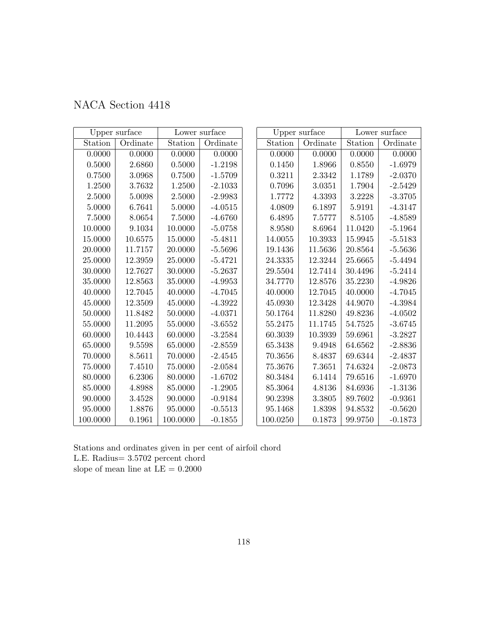|            | Upper surface |            | Lower surface |          | Upper surface |         | Lower surface |
|------------|---------------|------------|---------------|----------|---------------|---------|---------------|
| Station    | Ordinate      | Station    | Ordinate      | Station  | Ordinate      | Station | Ordinate      |
| 0.0000     | 0.0000        | 0.0000     | 0.0000        | 0.0000   | 0.0000        | 0.0000  | 0.0000        |
| 0.5000     | 2.6860        | 0.5000     | $-1.2198$     | 0.1450   | 1.8966        | 0.8550  | $-1.6979$     |
| 0.7500     | 3.0968        | 0.7500     | $-1.5709$     | 0.3211   | 2.3342        | 1.1789  | $-2.0370$     |
| $1.2500\,$ | 3.7632        | $1.2500\,$ | $-2.1033$     | 0.7096   | 3.0351        | 1.7904  | $-2.5429$     |
| 2.5000     | 5.0098        | 2.5000     | $-2.9983$     | 1.7772   | 4.3393        | 3.2228  | $-3.3705$     |
| 5.0000     | 6.7641        | 5.0000     | $-4.0515$     | 4.0809   | 6.1897        | 5.9191  | $-4.3147$     |
| 7.5000     | 8.0654        | 7.5000     | $-4.6760$     | 6.4895   | 7.5777        | 8.5105  | $-4.8589$     |
| 10.0000    | 9.1034        | 10.0000    | $-5.0758$     | 8.9580   | 8.6964        | 11.0420 | $-5.1964$     |
| 15.0000    | 10.6575       | 15.0000    | $-5.4811$     | 14.0055  | 10.3933       | 15.9945 | $-5.5183$     |
| 20.0000    | 11.7157       | 20.0000    | $-5.5696$     | 19.1436  | 11.5636       | 20.8564 | $-5.5636$     |
| 25.0000    | 12.3959       | 25.0000    | $-5.4721$     | 24.3335  | 12.3244       | 25.6665 | $-5.4494$     |
| 30.0000    | 12.7627       | 30.0000    | $-5.2637$     | 29.5504  | 12.7414       | 30.4496 | $-5.2414$     |
| 35.0000    | 12.8563       | 35.0000    | $-4.9953$     | 34.7770  | 12.8576       | 35.2230 | $-4.9826$     |
| 40.0000    | 12.7045       | 40.0000    | $-4.7045$     | 40.0000  | 12.7045       | 40.0000 | $-4.7045$     |
| 45.0000    | 12.3509       | 45.0000    | $-4.3922$     | 45.0930  | 12.3428       | 44.9070 | $-4.3984$     |
| 50.0000    | 11.8482       | 50.0000    | $-4.0371$     | 50.1764  | 11.8280       | 49.8236 | $-4.0502$     |
| 55.0000    | 11.2095       | 55.0000    | $-3.6552$     | 55.2475  | 11.1745       | 54.7525 | $-3.6745$     |
| 60.0000    | 10.4443       | 60.0000    | $-3.2584$     | 60.3039  | 10.3939       | 59.6961 | $-3.2827$     |
| 65.0000    | 9.5598        | 65.0000    | $-2.8559$     | 65.3438  | 9.4948        | 64.6562 | $-2.8836$     |
| 70.0000    | 8.5611        | 70.0000    | $-2.4545$     | 70.3656  | 8.4837        | 69.6344 | $-2.4837$     |
| 75.0000    | 7.4510        | 75.0000    | $-2.0584$     | 75.3676  | 7.3651        | 74.6324 | $-2.0873$     |
| 80.0000    | 6.2306        | 80.0000    | $-1.6702$     | 80.3484  | 6.1414        | 79.6516 | $-1.6970$     |
| 85.0000    | 4.8988        | 85.0000    | $-1.2905$     | 85.3064  | 4.8136        | 84.6936 | $-1.3136$     |
| 90.0000    | 3.4528        | 90.0000    | $-0.9184$     | 90.2398  | 3.3805        | 89.7602 | $-0.9361$     |
| 95.0000    | 1.8876        | 95.0000    | $-0.5513$     | 95.1468  | 1.8398        | 94.8532 | $-0.5620$     |
| 100.0000   | 0.1961        | 100.0000   | $-0.1855$     | 100.0250 | 0.1873        | 99.9750 | $-0.1873$     |

Stations and ordinates given in per cent of airfoil chord L.E. Radius= 3.5702 percent chord slope of mean line at  $\mathrm{LE}=0.2000$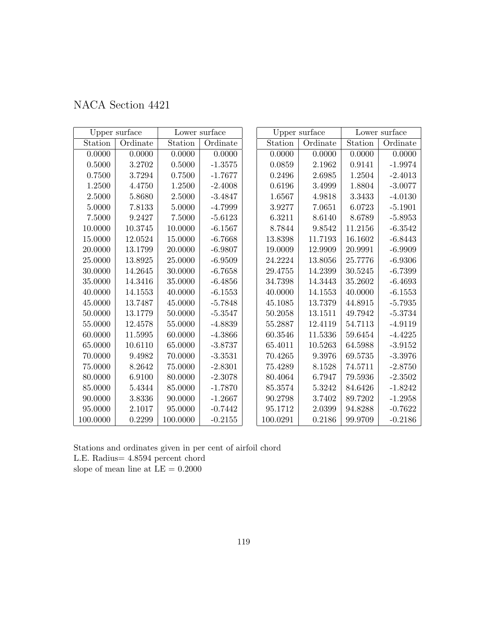|  | NACA Section 4421 |  |
|--|-------------------|--|
|--|-------------------|--|

|            | Upper surface |          | Lower surface |          | Upper surface |         | Lower surface |
|------------|---------------|----------|---------------|----------|---------------|---------|---------------|
| Station    | Ordinate      | Station  | Ordinate      | Station  | Ordinate      | Station | Ordinate      |
| 0.0000     | 0.0000        | 0.0000   | 0.0000        | 0.0000   | 0.0000        | 0.0000  | 0.0000        |
| $0.5000\,$ | 3.2702        | 0.5000   | $-1.3575$     | 0.0859   | 2.1962        | 0.9141  | $-1.9974$     |
| 0.7500     | 3.7294        | 0.7500   | $-1.7677$     | 0.2496   | 2.6985        | 1.2504  | $-2.4013$     |
| 1.2500     | 4.4750        | 1.2500   | $-2.4008$     | 0.6196   | 3.4999        | 1.8804  | $-3.0077$     |
| 2.5000     | 5.8680        | 2.5000   | $-3.4847$     | 1.6567   | 4.9818        | 3.3433  | $-4.0130$     |
| 5.0000     | $7.8133\,$    | 5.0000   | $-4.7999$     | 3.9277   | 7.0651        | 6.0723  | $-5.1901$     |
| 7.5000     | 9.2427        | 7.5000   | $-5.6123$     | 6.3211   | 8.6140        | 8.6789  | $-5.8953$     |
| 10.0000    | 10.3745       | 10.0000  | $-6.1567$     | 8.7844   | 9.8542        | 11.2156 | $-6.3542$     |
| 15.0000    | 12.0524       | 15.0000  | $-6.7668$     | 13.8398  | 11.7193       | 16.1602 | $-6.8443$     |
| 20.0000    | 13.1799       | 20.0000  | $-6.9807$     | 19.0009  | 12.9909       | 20.9991 | $-6.9909$     |
| 25.0000    | 13.8925       | 25.0000  | $-6.9509$     | 24.2224  | 13.8056       | 25.7776 | $-6.9306$     |
| 30.0000    | 14.2645       | 30.0000  | $-6.7658$     | 29.4755  | 14.2399       | 30.5245 | $-6.7399$     |
| 35.0000    | 14.3416       | 35.0000  | $-6.4856$     | 34.7398  | 14.3443       | 35.2602 | $-6.4693$     |
| 40.0000    | 14.1553       | 40.0000  | $-6.1553$     | 40.0000  | 14.1553       | 40.0000 | $-6.1553$     |
| 45.0000    | 13.7487       | 45.0000  | $-5.7848$     | 45.1085  | 13.7379       | 44.8915 | $-5.7935$     |
| 50.0000    | 13.1779       | 50.0000  | $-5.3547$     | 50.2058  | 13.1511       | 49.7942 | $-5.3734$     |
| 55.0000    | 12.4578       | 55.0000  | $-4.8839$     | 55.2887  | 12.4119       | 54.7113 | $-4.9119$     |
| 60.0000    | 11.5995       | 60.0000  | $-4.3866$     | 60.3546  | 11.5336       | 59.6454 | $-4.4225$     |
| 65.0000    | 10.6110       | 65.0000  | $-3.8737$     | 65.4011  | 10.5263       | 64.5988 | $-3.9152$     |
| 70.0000    | 9.4982        | 70.0000  | $-3.3531$     | 70.4265  | 9.3976        | 69.5735 | $-3.3976$     |
| 75.0000    | 8.2642        | 75.0000  | $-2.8301$     | 75.4289  | 8.1528        | 74.5711 | $-2.8750$     |
| 80.0000    | 6.9100        | 80.0000  | $-2.3078$     | 80.4064  | 6.7947        | 79.5936 | $-2.3502$     |
| 85.0000    | 5.4344        | 85.0000  | $-1.7870$     | 85.3574  | 5.3242        | 84.6426 | $-1.8242$     |
| 90.0000    | 3.8336        | 90.0000  | $-1.2667$     | 90.2798  | 3.7402        | 89.7202 | $-1.2958$     |
| 95.0000    | 2.1017        | 95.0000  | $-0.7442$     | 95.1712  | 2.0399        | 94.8288 | $-0.7622$     |
| 100.0000   | 0.2299        | 100.0000 | $-0.2155$     | 100.0291 | 0.2186        | 99.9709 | $-0.2186$     |

Stations and ordinates given in per cent of airfoil chord L.E. Radius= 4.8594 percent chord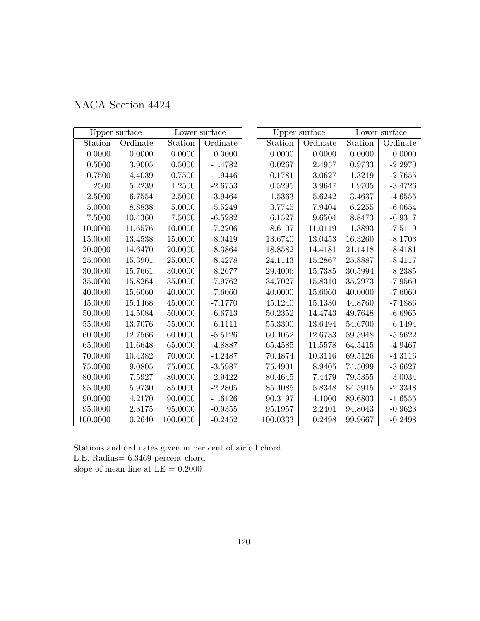| NACA Section 4424 |  |  |
|-------------------|--|--|
|-------------------|--|--|

|            | Upper surface |          | Lower surface |          | Upper surface |         | Lower surface |
|------------|---------------|----------|---------------|----------|---------------|---------|---------------|
| Station    | Ordinate      | Station  | Ordinate      | Station  | Ordinate      | Station | Ordinate      |
| 0.0000     | 0.0000        | 0.0000   | 0.0000        | 0.0000   | 0.0000        | 0.0000  | 0.0000        |
| $0.5000\,$ | $3.9005\,$    | 0.5000   | $-1.4782$     | 0.0267   | 2.4957        | 0.9733  | $-2.2970$     |
| 0.7500     | 4.4039        | 0.7500   | $-1.9446$     | 0.1781   | 3.0627        | 1.3219  | $-2.7655$     |
| 1.2500     | 5.2239        | 1.2500   | $-2.6753$     | 0.5295   | 3.9647        | 1.9705  | $-3.4726$     |
| 2.5000     | 6.7554        | 2.5000   | $-3.9464$     | 1.5363   | 5.6242        | 3.4637  | $-4.6555$     |
| 5.0000     | 8.8838        | 5.0000   | $-5.5249$     | 3.7745   | 7.9404        | 6.2255  | $-6.0654$     |
| 7.5000     | 10.4360       | 7.5000   | $-6.5282$     | 6.1527   | 9.6504        | 8.8473  | $-6.9317$     |
| 10.0000    | 11.6576       | 10.0000  | $-7.2206$     | 8.6107   | 11.0119       | 11.3893 | $-7.5119$     |
| 15.0000    | 13.4538       | 15.0000  | $-8.0419$     | 13.6740  | 13.0453       | 16.3260 | $-8.1703$     |
| 20.0000    | 14.6470       | 20.0000  | $-8.3864$     | 18.8582  | 14.4181       | 21.1418 | $-8.4181$     |
| 25.0000    | 15.3901       | 25.0000  | $-8.4278$     | 24.1113  | 15.2867       | 25.8887 | $-8.4117$     |
| 30.0000    | 15.7661       | 30.0000  | $-8.2677$     | 29.4006  | 15.7385       | 30.5994 | $-8.2385$     |
| 35.0000    | 15.8264       | 35.0000  | $-7.9762$     | 34.7027  | 15.8310       | 35.2973 | $-7.9560$     |
| 40.0000    | 15.6060       | 40.0000  | $-7.6060$     | 40.0000  | 15.6060       | 40.0000 | $-7.6060$     |
| 45.0000    | 15.1468       | 45.0000  | $-7.1770$     | 45.1240  | 15.1330       | 44.8760 | $-7.1886$     |
| 50.0000    | 14.5084       | 50.0000  | $-6.6713$     | 50.2352  | 14.4743       | 49.7648 | $-6.6965$     |
| 55.0000    | 13.7076       | 55.0000  | $-6.1111$     | 55.3300  | 13.6494       | 54.6700 | $-6.1494$     |
| 60.0000    | 12.7566       | 60.0000  | $-5.5126$     | 60.4052  | 12.6733       | 59.5948 | $-5.5622$     |
| 65.0000    | 11.6648       | 65.0000  | $-4.8887$     | 65.4585  | 11.5578       | 64.5415 | $-4.9467$     |
| 70.0000    | 10.4382       | 70.0000  | $-4.2487$     | 70.4874  | 10.3116       | 69.5126 | $-4.3116$     |
| 75.0000    | 9.0805        | 75.0000  | $-3.5987$     | 75.4901  | 8.9405        | 74.5099 | $-3.6627$     |
| 80.0000    | 7.5927        | 80.0000  | $-2.9422$     | 80.4645  | 7.4479        | 79.5355 | $-3.0034$     |
| 85.0000    | 5.9730        | 85.0000  | $-2.2805$     | 85.4085  | 5.8348        | 84.5915 | $-2.3348$     |
| 90.0000    | 4.2170        | 90.0000  | $-1.6126$     | 90.3197  | 4.1000        | 89.6803 | $-1.6555$     |
| 95.0000    | 2.3175        | 95.0000  | $-0.9355$     | 95.1957  | 2.2401        | 94.8043 | $-0.9623$     |
| 100.0000   | 0.2640        | 100.0000 | $-0.2452$     | 100.0333 | 0.2498        | 99.9667 | $-0.2498$     |

Stations and ordinates given in per cent of airfoil chord L.E. Radius= 6.3469 percent chord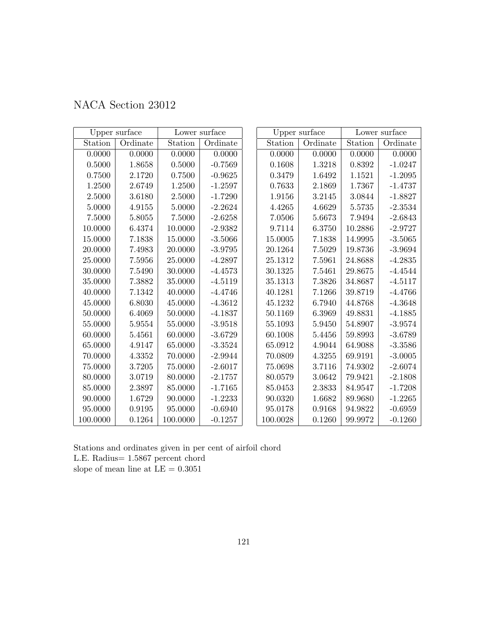| NACA Section 23012 |
|--------------------|
|--------------------|

|            | Upper surface |          | Lower surface |             | Upper surface |                     | Lower surface |
|------------|---------------|----------|---------------|-------------|---------------|---------------------|---------------|
| Station    | Ordinate      | Station  | Ordinate      | Station     | Ordinate      | Station             | Ordinate      |
| 0.0000     | 0.0000        | 0.0000   | 0.0000        | 0.0000      | 0.0000        | 0.0000              | 0.0000        |
| $0.5000\,$ | $1.8658\,$    | 0.5000   | $-0.7569$     | 0.1608      | $1.3218\,$    | 0.8392              | $-1.0247$     |
| 0.7500     | 2.1720        | 0.7500   | $-0.9625$     | 0.3479      | 1.6492        | 1.1521              | $-1.2095$     |
| 1.2500     | 2.6749        | 1.2500   | $-1.2597$     | 0.7633      | 2.1869        | 1.7367              | $-1.4737$     |
| 2.5000     | 3.6180        | 2.5000   | $-1.7290$     | 1.9156      | 3.2145        | $\phantom{-}3.0844$ | $-1.8827$     |
| 5.0000     | 4.9155        | 5.0000   | $-2.2624$     | 4.4265      | 4.6629        | 5.5735              | $-2.3534$     |
| 7.5000     | $5.8055\,$    | 7.5000   | $-2.6258$     | 7.0506      | 5.6673        | 7.9494              | $-2.6843$     |
| 10.0000    | 6.4374        | 10.0000  | $-2.9382$     | 9.7114      | 6.3750        | 10.2886             | $-2.9727$     |
| 15.0000    | 7.1838        | 15.0000  | $-3.5066$     | 15.0005     | 7.1838        | 14.9995             | $-3.5065$     |
| 20.0000    | 7.4983        | 20.0000  | $-3.9795$     | 20.1264     | 7.5029        | 19.8736             | $-3.9694$     |
| 25.0000    | 7.5956        | 25.0000  | $-4.2897$     | 25.1312     | 7.5961        | 24.8688             | $-4.2835$     |
| 30.0000    | 7.5490        | 30.0000  | $-4.4573$     | 30.1325     | 7.5461        | 29.8675             | $-4.4544$     |
| 35.0000    | 7.3882        | 35.0000  | $-4.5119$     | 35.1313     | 7.3826        | 34.8687             | $-4.5117$     |
| 40.0000    | 7.1342        | 40.0000  | $-4.4746$     | 40.1281     | 7.1266        | 39.8719             | $-4.4766$     |
| 45.0000    | 6.8030        | 45.0000  | $-4.3612$     | 45.1232     | 6.7940        | 44.8768             | $-4.3648$     |
| 50.0000    | 6.4069        | 50.0000  | $-4.1837$     | 50.1169     | 6.3969        | 49.8831             | $-4.1885$     |
| 55.0000    | 5.9554        | 55.0000  | $-3.9518$     | 55.1093     | 5.9450        | 54.8907             | $-3.9574$     |
| 60.0000    | 5.4561        | 60.0000  | $-3.6729$     | 60.1008     | 5.4456        | 59.8993             | $-3.6789$     |
| 65.0000    | 4.9147        | 65.0000  | $-3.3524$     | 65.0912     | 4.9044        | 64.9088             | $-3.3586$     |
| 70.0000    | 4.3352        | 70.0000  | $-2.9944$     | 70.0809     | 4.3255        | 69.9191             | $-3.0005$     |
| 75.0000    | 3.7205        | 75.0000  | $-2.6017$     | $75.0698\,$ | 3.7116        | 74.9302             | $-2.6074$     |
| 80.0000    | 3.0719        | 80.0000  | $-2.1757$     | 80.0579     | 3.0642        | 79.9421             | $-2.1808$     |
| 85.0000    | 2.3897        | 85.0000  | $-1.7165$     | 85.0453     | 2.3833        | 84.9547             | $-1.7208$     |
| 90.0000    | 1.6729        | 90.0000  | $-1.2233$     | 90.0320     | 1.6682        | 89.9680             | $-1.2265$     |
| 95.0000    | 0.9195        | 95.0000  | $-0.6940$     | 95.0178     | 0.9168        | 94.9822             | $-0.6959$     |
| 100.0000   | 0.1264        | 100.0000 | $-0.1257$     | 100.0028    | 0.1260        | 99.9972             | $-0.1260$     |

Stations and ordinates given in per cent of airfoil chord L.E. Radius= 1.5867 percent chord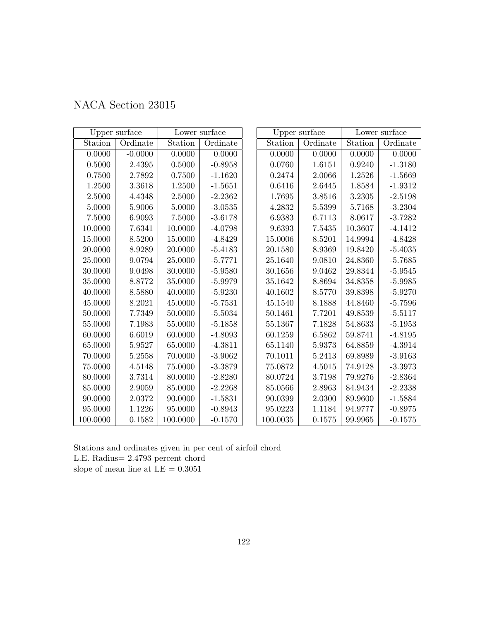| NACA Section 23015 |  |  |  |
|--------------------|--|--|--|
|--------------------|--|--|--|

|            | Upper surface |             | Lower surface |          | Upper surface |         | Lower surface |
|------------|---------------|-------------|---------------|----------|---------------|---------|---------------|
| Station    | Ordinate      | Station     | Ordinate      | Station  | Ordinate      | Station | Ordinate      |
| 0.0000     | $-0.0000$     | 0.0000      | 0.0000        | 0.0000   | 0.0000        | 0.0000  | 0.0000        |
| $0.5000\,$ | $2.4395\,$    | 0.5000      | $-0.8958$     | 0.0760   | 1.6151        | 0.9240  | $-1.3180$     |
| 0.7500     | 2.7892        | 0.7500      | $-1.1620$     | 0.2474   | 2.0066        | 1.2526  | $-1.5669$     |
| 1.2500     | 3.3618        | 1.2500      | $-1.5651$     | 0.6416   | 2.6445        | 1.8584  | $-1.9312$     |
| 2.5000     | 4.4348        | 2.5000      | $-2.2362$     | 1.7695   | 3.8516        | 3.2305  | $-2.5198$     |
| 5.0000     | 5.9006        | 5.0000      | $-3.0535$     | 4.2832   | 5.5399        | 5.7168  | $-3.2304$     |
| 7.5000     | 6.9093        | 7.5000      | $-3.6178$     | 6.9383   | 6.7113        | 8.0617  | $-3.7282$     |
| 10.0000    | 7.6341        | 10.0000     | $-4.0798$     | 9.6393   | 7.5435        | 10.3607 | $-4.1412$     |
| 15.0000    | 8.5200        | 15.0000     | $-4.8429$     | 15.0006  | 8.5201        | 14.9994 | $-4.8428$     |
| 20.0000    | 8.9289        | 20.0000     | $-5.4183$     | 20.1580  | 8.9369        | 19.8420 | $-5.4035$     |
| 25.0000    | 9.0794        | 25.0000     | $-5.7771$     | 25.1640  | 9.0810        | 24.8360 | $-5.7685$     |
| 30.0000    | 9.0498        | 30.0000     | $-5.9580$     | 30.1656  | 9.0462        | 29.8344 | $-5.9545$     |
| 35.0000    | 8.8772        | 35.0000     | $-5.9979$     | 35.1642  | 8.8694        | 34.8358 | $-5.9985$     |
| 40.0000    | 8.5880        | 40.0000     | $-5.9230$     | 40.1602  | 8.5770        | 39.8398 | $-5.9270$     |
| 45.0000    | 8.2021        | 45.0000     | $-5.7531$     | 45.1540  | 8.1888        | 44.8460 | $-5.7596$     |
| 50.0000    | 7.7349        | 50.0000     | $-5.5034$     | 50.1461  | 7.7201        | 49.8539 | $-5.5117$     |
| 55.0000    | 7.1983        | 55.0000     | $-5.1858$     | 55.1367  | 7.1828        | 54.8633 | $-5.1953$     |
| 60.0000    | 6.6019        | 60.0000     | $-4.8093$     | 60.1259  | 6.5862        | 59.8741 | $-4.8195$     |
| 65.0000    | 5.9527        | 65.0000     | $-4.3811$     | 65.1140  | 5.9373        | 64.8859 | $-4.3914$     |
| 70.0000    | 5.2558        | 70.0000     | $-3.9062$     | 70.1011  | 5.2413        | 69.8989 | $-3.9163$     |
| 75.0000    | 4.5148        | $75.0000\,$ | $-3.3879$     | 75.0872  | 4.5015        | 74.9128 | $-3.3973$     |
| 80.0000    | 3.7314        | 80.0000     | $-2.8280$     | 80.0724  | 3.7198        | 79.9276 | $-2.8364$     |
| 85.0000    | 2.9059        | 85.0000     | $-2.2268$     | 85.0566  | 2.8963        | 84.9434 | $-2.2338$     |
| 90.0000    | 2.0372        | 90.0000     | $-1.5831$     | 90.0399  | 2.0300        | 89.9600 | $-1.5884$     |
| 95.0000    | 1.1226        | 95.0000     | $-0.8943$     | 95.0223  | 1.1184        | 94.9777 | $-0.8975$     |
| 100.0000   | 0.1582        | 100.0000    | $-0.1570$     | 100.0035 | 0.1575        | 99.9965 | $-0.1575$     |

Stations and ordinates given in per cent of airfoil chord L.E. Radius= 2.4793 percent chord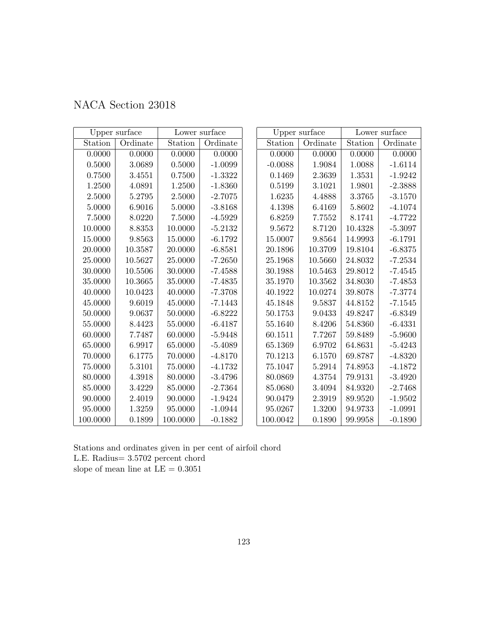|            | Upper surface |          | Lower surface |           | Upper surface |            | Lower surface |
|------------|---------------|----------|---------------|-----------|---------------|------------|---------------|
| Station    | Ordinate      | Station  | Ordinate      | Station   | Ordinate      | Station    | Ordinate      |
| 0.0000     | 0.0000        | 0.0000   | 0.0000        | 0.0000    | 0.0000        | 0.0000     | 0.0000        |
| 0.5000     | 3.0689        | 0.5000   | $-1.0099$     | $-0.0088$ | 1.9084        | 1.0088     | $-1.6114$     |
| 0.7500     | 3.4551        | 0.7500   | $-1.3322$     | 0.1469    | 2.3639        | 1.3531     | $-1.9242$     |
| 1.2500     | 4.0891        | 1.2500   | $-1.8360$     | 0.5199    | 3.1021        | 1.9801     | $-2.3888$     |
| $2.5000\,$ | 5.2795        | 2.5000   | $-2.7075$     | 1.6235    | 4.4888        | $3.3765\,$ | $-3.1570$     |
| 5.0000     | 6.9016        | 5.0000   | $-3.8168$     | 4.1398    | 6.4169        | $5.8602\,$ | $-4.1074$     |
| 7.5000     | 8.0220        | 7.5000   | $-4.5929$     | 6.8259    | 7.7552        | 8.1741     | $-4.7722$     |
| 10.0000    | 8.8353        | 10.0000  | $-5.2132$     | 9.5672    | 8.7120        | 10.4328    | $-5.3097$     |
| 15.0000    | 9.8563        | 15.0000  | $-6.1792$     | 15.0007   | 9.8564        | 14.9993    | $-6.1791$     |
| 20.0000    | 10.3587       | 20.0000  | $-6.8581$     | 20.1896   | 10.3709       | 19.8104    | $-6.8375$     |
| 25.0000    | 10.5627       | 25.0000  | $-7.2650$     | 25.1968   | 10.5660       | 24.8032    | $-7.2534$     |
| 30.0000    | 10.5506       | 30.0000  | $-7.4588$     | 30.1988   | 10.5463       | 29.8012    | $-7.4545$     |
| 35.0000    | 10.3665       | 35.0000  | $-7.4835$     | 35.1970   | 10.3562       | 34.8030    | $-7.4853$     |
| 40.0000    | 10.0423       | 40.0000  | $-7.3708$     | 40.1922   | 10.0274       | 39.8078    | $-7.3774$     |
| 45.0000    | 9.6019        | 45.0000  | $-7.1443$     | 45.1848   | 9.5837        | 44.8152    | $-7.1545$     |
| 50.0000    | 9.0637        | 50.0000  | $-6.8222$     | 50.1753   | 9.0433        | 49.8247    | $-6.8349$     |
| 55.0000    | 8.4423        | 55.0000  | $-6.4187$     | 55.1640   | 8.4206        | 54.8360    | $-6.4331$     |
| 60.0000    | 7.7487        | 60.0000  | $-5.9448$     | 60.1511   | 7.7267        | 59.8489    | $-5.9600$     |
| 65.0000    | 6.9917        | 65.0000  | $-5.4089$     | 65.1369   | 6.9702        | 64.8631    | $-5.4243$     |
| 70.0000    | 6.1775        | 70.0000  | $-4.8170$     | 70.1213   | 6.1570        | 69.8787    | $-4.8320$     |
| 75.0000    | 5.3101        | 75.0000  | $-4.1732$     | 75.1047   | 5.2914        | 74.8953    | $-4.1872$     |
| 80.0000    | 4.3918        | 80.0000  | $-3.4796$     | 80.0869   | 4.3754        | 79.9131    | $-3.4920$     |
| 85.0000    | 3.4229        | 85.0000  | $-2.7364$     | 85.0680   | 3.4094        | 84.9320    | $-2.7468$     |
| 90.0000    | 2.4019        | 90.0000  | $-1.9424$     | 90.0479   | 2.3919        | 89.9520    | $-1.9502$     |
| 95.0000    | 1.3259        | 95.0000  | $-1.0944$     | 95.0267   | 1.3200        | 94.9733    | $-1.0991$     |
| 100.0000   | 0.1899        | 100.0000 | $-0.1882$     | 100.0042  | 0.1890        | 99.9958    | $-0.1890$     |

Stations and ordinates given in per cent of airfoil chord L.E. Radius= 3.5702 percent chord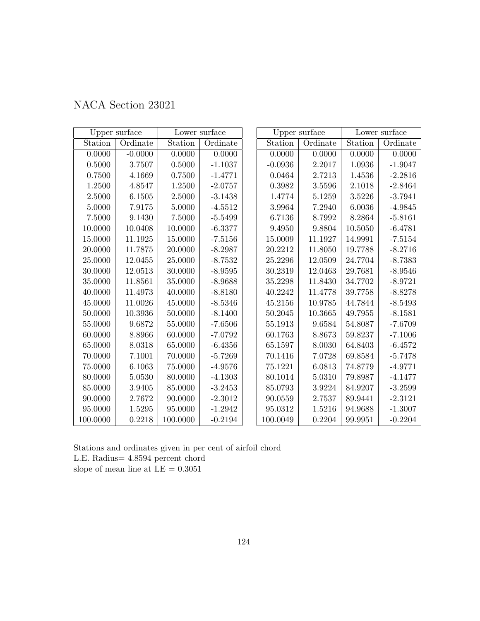| NACA Section 23021 |
|--------------------|
|--------------------|

|             | Upper surface |             | Lower surface |           | Upper surface |         | Lower surface |
|-------------|---------------|-------------|---------------|-----------|---------------|---------|---------------|
| Station     | Ordinate      | Station     | Ordinate      | Station   | Ordinate      | Station | Ordinate      |
| 0.0000      | $-0.0000$     | 0.0000      | 0.0000        | 0.0000    | 0.0000        | 0.0000  | 0.0000        |
| 0.5000      | 3.7507        | 0.5000      | $-1.1037$     | $-0.0936$ | 2.2017        | 1.0936  | $-1.9047$     |
| 0.7500      | 4.1669        | 0.7500      | $-1.4771$     | 0.0464    | 2.7213        | 1.4536  | $-2.2816$     |
| 1.2500      | 4.8547        | 1.2500      | $-2.0757$     | 0.3982    | 3.5596        | 2.1018  | $-2.8464$     |
| 2.5000      | 6.1505        | 2.5000      | $-3.1438$     | 1.4774    | 5.1259        | 3.5226  | $-3.7941$     |
| 5.0000      | 7.9175        | 5.0000      | $-4.5512$     | 3.9964    | 7.2940        | 6.0036  | $-4.9845$     |
| 7.5000      | 9.1430        | $7.5000\,$  | $-5.5499$     | 6.7136    | 8.7992        | 8.2864  | $-5.8161$     |
| 10.0000     | 10.0408       | 10.0000     | $-6.3377$     | 9.4950    | 9.8804        | 10.5050 | $-6.4781$     |
| 15.0000     | 11.1925       | 15.0000     | $-7.5156$     | 15.0009   | 11.1927       | 14.9991 | $-7.5154$     |
| $20.0000\,$ | 11.7875       | 20.0000     | $-8.2987$     | 20.2212   | 11.8050       | 19.7788 | $-8.2716$     |
| 25.0000     | 12.0455       | 25.0000     | $-8.7532$     | 25.2296   | 12.0509       | 24.7704 | $-8.7383$     |
| 30.0000     | $12.0513\,$   | 30.0000     | $-8.9595$     | 30.2319   | 12.0463       | 29.7681 | $-8.9546$     |
| 35.0000     | 11.8561       | 35.0000     | $-8.9688$     | 35.2298   | 11.8430       | 34.7702 | $-8.9721$     |
| 40.0000     | 11.4973       | 40.0000     | $-8.8180$     | 40.2242   | 11.4778       | 39.7758 | $-8.8278$     |
| 45.0000     | 11.0026       | 45.0000     | $-8.5346$     | 45.2156   | 10.9785       | 44.7844 | $-8.5493$     |
| 50.0000     | 10.3936       | 50.0000     | $-8.1400$     | 50.2045   | 10.3665       | 49.7955 | $-8.1581$     |
| 55.0000     | 9.6872        | 55.0000     | $-7.6506$     | 55.1913   | 9.6584        | 54.8087 | $-7.6709$     |
| 60.0000     | 8.8966        | 60.0000     | $-7.0792$     | 60.1763   | 8.8673        | 59.8237 | $-7.1006$     |
| 65.0000     | 8.0318        | 65.0000     | $-6.4356$     | 65.1597   | 8.0030        | 64.8403 | $-6.4572$     |
| 70.0000     | 7.1001        | 70.0000     | $-5.7269$     | 70.1416   | 7.0728        | 69.8584 | $-5.7478$     |
| $75.0000\,$ | 6.1063        | $75.0000\,$ | $-4.9576$     | 75.1221   | 6.0813        | 74.8779 | $-4.9771$     |
| 80.0000     | 5.0530        | 80.0000     | $-4.1303$     | 80.1014   | 5.0310        | 79.8987 | $-4.1477$     |
| 85.0000     | 3.9405        | 85.0000     | $-3.2453$     | 85.0793   | 3.9224        | 84.9207 | $-3.2599$     |
| 90.0000     | 2.7672        | 90.0000     | $-2.3012$     | 90.0559   | 2.7537        | 89.9441 | $-2.3121$     |
| 95.0000     | 1.5295        | 95.0000     | $-1.2942$     | 95.0312   | 1.5216        | 94.9688 | $-1.3007$     |
| 100.0000    | 0.2218        | 100.0000    | $-0.2194$     | 100.0049  | 0.2204        | 99.9951 | $-0.2204$     |

Stations and ordinates given in per cent of airfoil chord L.E. Radius= 4.8594 percent chord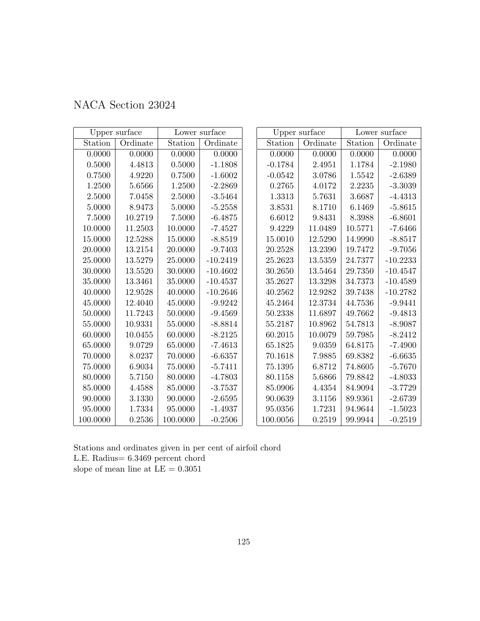| NACA Section 23024 |
|--------------------|
|--------------------|

|            | Upper surface |          | Lower surface |            | Upper surface |             | Lower surface |
|------------|---------------|----------|---------------|------------|---------------|-------------|---------------|
| Station    | Ordinate      | Station  | Ordinate      | Station    | Ordinate      | Station     | Ordinate      |
| 0.0000     | 0.0000        | 0.0000   | 0.0000        | 0.0000     | 0.0000        | 0.0000      | 0.0000        |
| 0.5000     | 4.4813        | 0.5000   | $-1.1808$     | $-0.1784$  | 2.4951        | 1.1784      | $-2.1980$     |
| 0.7500     | 4.9220        | 0.7500   | $-1.6002$     | $-0.0542$  | 3.0786        | 1.5542      | $-2.6389$     |
| 1.2500     | 5.6566        | 1.2500   | $-2.2869$     | 0.2765     | 4.0172        | 2.2235      | $-3.3039$     |
| 2.5000     | 7.0458        | 2.5000   | $-3.5464$     | 1.3313     | 5.7631        | 3.6687      | $-4.4313$     |
| 5.0000     | 8.9473        | 5.0000   | $-5.2558$     | $3.8531\,$ | 8.1710        | 6.1469      | $-5.8615$     |
| $7.5000\,$ | $10.2719\,$   | 7.5000   | $-6.4875$     | 6.6012     | 9.8431        | 8.3988      | $-6.8601$     |
| 10.0000    | 11.2503       | 10.0000  | $-7.4527$     | 9.4229     | 11.0489       | 10.5771     | $-7.6466$     |
| 15.0000    | 12.5288       | 15.0000  | $-8.8519$     | 15.0010    | 12.5290       | 14.9990     | $-8.8517$     |
| 20.0000    | 13.2154       | 20.0000  | $-9.7403$     | 20.2528    | 13.2390       | 19.7472     | $-9.7056$     |
| 25.0000    | 13.5279       | 25.0000  | $-10.2419$    | 25.2623    | 13.5359       | 24.7377     | $-10.2233$    |
| 30.0000    | 13.5520       | 30.0000  | $-10.4602$    | 30.2650    | 13.5464       | 29.7350     | $-10.4547$    |
| 35.0000    | 13.3461       | 35.0000  | $-10.4537$    | 35.2627    | 13.3298       | 34.7373     | $-10.4589$    |
| 40.0000    | 12.9528       | 40.0000  | $-10.2646$    | 40.2562    | 12.9282       | 39.7438     | $-10.2782$    |
| 45.0000    | 12.4040       | 45.0000  | $-9.9242$     | 45.2464    | 12.3734       | 44.7536     | $-9.9441$     |
| 50.0000    | 11.7243       | 50.0000  | $-9.4569$     | 50.2338    | 11.6897       | 49.7662     | $-9.4813$     |
| 55.0000    | 10.9331       | 55.0000  | $-8.8814$     | 55.2187    | 10.8962       | 54.7813     | $-8.9087$     |
| 60.0000    | 10.0455       | 60.0000  | $-8.2125$     | 60.2015    | 10.0079       | $59.7985\,$ | $-8.2412$     |
| 65.0000    | 9.0729        | 65.0000  | $-7.4613$     | 65.1825    | 9.0359        | 64.8175     | $-7.4900$     |
| 70.0000    | 8.0237        | 70.0000  | $-6.6357$     | 70.1618    | 7.9885        | 69.8382     | $-6.6635$     |
| 75.0000    | 6.9034        | 75.0000  | $-5.7411$     | 75.1395    | 6.8712        | 74.8605     | $-5.7670$     |
| 80.0000    | 5.7150        | 80.0000  | $-4.7803$     | 80.1158    | 5.6866        | 79.8842     | $-4.8033$     |
| 85.0000    | 4.4588        | 85.0000  | $-3.7537$     | 85.0906    | 4.4354        | 84.9094     | $-3.7729$     |
| 90.0000    | 3.1330        | 90.0000  | $-2.6595$     | 90.0639    | 3.1156        | 89.9361     | $-2.6739$     |
| 95.0000    | 1.7334        | 95.0000  | $-1.4937$     | 95.0356    | 1.7231        | 94.9644     | $-1.5023$     |
| 100.0000   | 0.2536        | 100.0000 | $-0.2506$     | 100.0056   | 0.2519        | 99.9944     | $-0.2519$     |

Stations and ordinates given in per cent of airfoil chord L.E. Radius= 6.3469 percent chord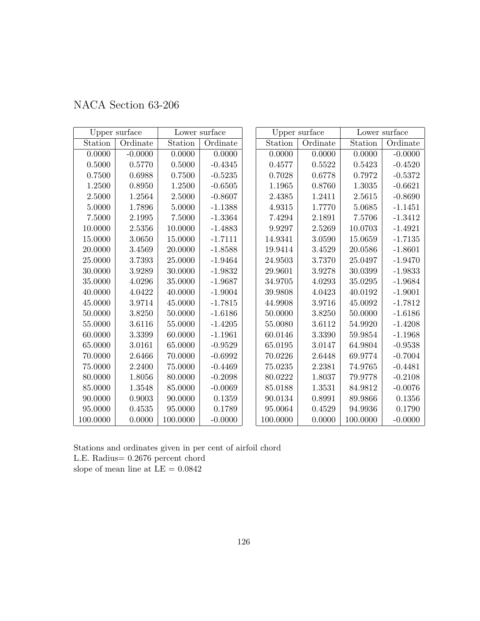| NACA Section 63-206 |  |  |
|---------------------|--|--|
|---------------------|--|--|

|          | Upper surface |          | Lower surface |          | Upper surface |          | Lower surface |
|----------|---------------|----------|---------------|----------|---------------|----------|---------------|
| Station  | Ordinate      | Station  | Ordinate      | Station  | Ordinate      | Station  | Ordinate      |
| 0.0000   | $-0.0000$     | 0.0000   | 0.0000        | 0.0000   | 0.0000        | 0.0000   | $-0.0000$     |
| 0.5000   | 0.5770        | 0.5000   | $-0.4345$     | 0.4577   | 0.5522        | 0.5423   | $-0.4520$     |
| 0.7500   | 0.6988        | 0.7500   | $-0.5235$     | 0.7028   | 0.6778        | 0.7972   | $-0.5372$     |
| 1.2500   | 0.8950        | 1.2500   | $-0.6505$     | 1.1965   | 0.8760        | 1.3035   | $-0.6621$     |
| 2.5000   | $1.2564\,$    | 2.5000   | $-0.8607$     | 2.4385   | 1.2411        | 2.5615   | $-0.8690$     |
| 5.0000   | 1.7896        | 5.0000   | $-1.1388$     | 4.9315   | 1.7770        | 5.0685   | $-1.1451$     |
| 7.5000   | 2.1995        | 7.5000   | $-1.3364$     | 7.4294   | 2.1891        | 7.5706   | $-1.3412$     |
| 10.0000  | 2.5356        | 10.0000  | $-1.4883$     | 9.9297   | 2.5269        | 10.0703  | $-1.4921$     |
| 15.0000  | 3.0650        | 15.0000  | $-1.7111$     | 14.9341  | 3.0590        | 15.0659  | $-1.7135$     |
| 20.0000  | 3.4569        | 20.0000  | $-1.8588$     | 19.9414  | 3.4529        | 20.0586  | $-1.8601$     |
| 25.0000  | 3.7393        | 25.0000  | $-1.9464$     | 24.9503  | 3.7370        | 25.0497  | $-1.9470$     |
| 30.0000  | 3.9289        | 30.0000  | $-1.9832$     | 29.9601  | 3.9278        | 30.0399  | $-1.9833$     |
| 35.0000  | 4.0296        | 35.0000  | $-1.9687$     | 34.9705  | 4.0293        | 35.0295  | $-1.9684$     |
| 40.0000  | 4.0422        | 40.0000  | $-1.9004$     | 39.9808  | 4.0423        | 40.0192  | $-1.9001$     |
| 45.0000  | $3.9714\,$    | 45.0000  | $-1.7815$     | 44.9908  | 3.9716        | 45.0092  | $-1.7812$     |
| 50.0000  | 3.8250        | 50.0000  | $-1.6186$     | 50.0000  | 3.8250        | 50.0000  | $-1.6186$     |
| 55.0000  | 3.6116        | 55.0000  | $-1.4205$     | 55.0080  | 3.6112        | 54.9920  | $-1.4208$     |
| 60.0000  | 3.3399        | 60.0000  | $-1.1961$     | 60.0146  | 3.3390        | 59.9854  | $-1.1968$     |
| 65.0000  | 3.0161        | 65.0000  | $-0.9529$     | 65.0195  | 3.0147        | 64.9804  | $-0.9538$     |
| 70.0000  | 2.6466        | 70.0000  | $-0.6992$     | 70.0226  | 2.6448        | 69.9774  | $-0.7004$     |
| 75.0000  | 2.2400        | 75.0000  | $-0.4469$     | 75.0235  | 2.2381        | 74.9765  | $-0.4481$     |
| 80.0000  | 1.8056        | 80.0000  | $-0.2098$     | 80.0222  | 1.8037        | 79.9778  | $-0.2108$     |
| 85.0000  | 1.3548        | 85.0000  | $-0.0069$     | 85.0188  | 1.3531        | 84.9812  | $-0.0076$     |
| 90.0000  | 0.9003        | 90.0000  | 0.1359        | 90.0134  | 0.8991        | 89.9866  | 0.1356        |
| 95.0000  | 0.4535        | 95.0000  | 0.1789        | 95.0064  | 0.4529        | 94.9936  | 0.1790        |
| 100.0000 | 0.0000        | 100.0000 | $-0.0000$     | 100.0000 | 0.0000        | 100.0000 | $-0.0000$     |

Stations and ordinates given in per cent of airfoil chord L.E. Radius= 0.2676 percent chord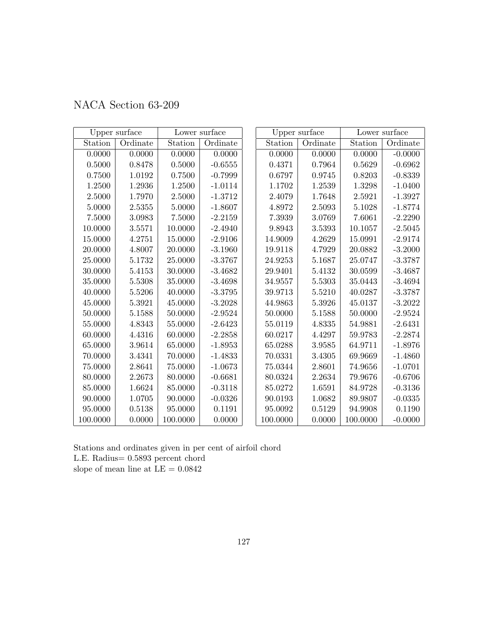| NACA Section 63-209 |  |
|---------------------|--|
|---------------------|--|

|          | Upper surface |          | Lower surface |          | Upper surface |          | Lower surface |
|----------|---------------|----------|---------------|----------|---------------|----------|---------------|
| Station  | Ordinate      | Station  | Ordinate      | Station  | Ordinate      | Station  | Ordinate      |
| 0.0000   | 0.0000        | 0.0000   | 0.0000        | 0.0000   | 0.0000        | 0.0000   | $-0.0000$     |
| 0.5000   | 0.8478        | 0.5000   | $-0.6555$     | 0.4371   | 0.7964        | 0.5629   | $-0.6962$     |
| 0.7500   | 1.0192        | 0.7500   | $-0.7999$     | 0.6797   | 0.9745        | 0.8203   | $-0.8339$     |
| 1.2500   | 1.2936        | 1.2500   | $-1.0114$     | 1.1702   | 1.2539        | 1.3298   | $-1.0400$     |
| 2.5000   | 1.7970        | 2.5000   | $-1.3712$     | 2.4079   | 1.7648        | 2.5921   | $-1.3927$     |
| 5.0000   | 2.5355        | 5.0000   | $-1.8607$     | 4.8972   | 2.5093        | 5.1028   | $-1.8774$     |
| 7.5000   | 3.0983        | 7.5000   | $-2.2159$     | 7.3939   | 3.0769        | 7.6061   | $-2.2290$     |
| 10.0000  | 3.5571        | 10.0000  | $-2.4940$     | 9.8943   | 3.5393        | 10.1057  | $-2.5045$     |
| 15.0000  | 4.2751        | 15.0000  | $-2.9106$     | 14.9009  | 4.2629        | 15.0991  | $-2.9174$     |
| 20.0000  | 4.8007        | 20.0000  | $-3.1960$     | 19.9118  | 4.7929        | 20.0882  | $-3.2000$     |
| 25.0000  | 5.1732        | 25.0000  | $-3.3767$     | 24.9253  | 5.1687        | 25.0747  | $-3.3787$     |
| 30.0000  | 5.4153        | 30.0000  | $-3.4682$     | 29.9401  | 5.4132        | 30.0599  | $-3.4687$     |
| 35.0000  | 5.5308        | 35.0000  | $-3.4698$     | 34.9557  | 5.5303        | 35.0443  | $-3.4694$     |
| 40.0000  | 5.5206        | 40.0000  | $-3.3795$     | 39.9713  | 5.5210        | 40.0287  | $-3.3787$     |
| 45.0000  | 5.3921        | 45.0000  | $-3.2028$     | 44.9863  | 5.3926        | 45.0137  | $-3.2022$     |
| 50.0000  | 5.1588        | 50.0000  | $-2.9524$     | 50.0000  | 5.1588        | 50.0000  | $-2.9524$     |
| 55.0000  | 4.8343        | 55.0000  | $-2.6423$     | 55.0119  | 4.8335        | 54.9881  | $-2.6431$     |
| 60.0000  | 4.4316        | 60.0000  | $-2.2858$     | 60.0217  | 4.4297        | 59.9783  | $-2.2874$     |
| 65.0000  | 3.9614        | 65.0000  | $-1.8953$     | 65.0288  | 3.9585        | 64.9711  | $-1.8976$     |
| 70.0000  | 3.4341        | 70.0000  | $-1.4833$     | 70.0331  | 3.4305        | 69.9669  | $-1.4860$     |
| 75.0000  | 2.8641        | 75.0000  | $-1.0673$     | 75.0344  | 2.8601        | 74.9656  | $-1.0701$     |
| 80.0000  | 2.2673        | 80.0000  | $-0.6681$     | 80.0324  | 2.2634        | 79.9676  | $-0.6706$     |
| 85.0000  | 1.6624        | 85.0000  | $-0.3118$     | 85.0272  | 1.6591        | 84.9728  | $-0.3136$     |
| 90.0000  | 1.0705        | 90.0000  | $-0.0326$     | 90.0193  | 1.0682        | 89.9807  | $-0.0335$     |
| 95.0000  | 0.5138        | 95.0000  | 0.1191        | 95.0092  | 0.5129        | 94.9908  | 0.1190        |
| 100.0000 | 0.0000        | 100.0000 | 0.0000        | 100.0000 | 0.0000        | 100.0000 | $-0.0000$     |

Stations and ordinates given in per cent of airfoil chord L.E. Radius= 0.5893 percent chord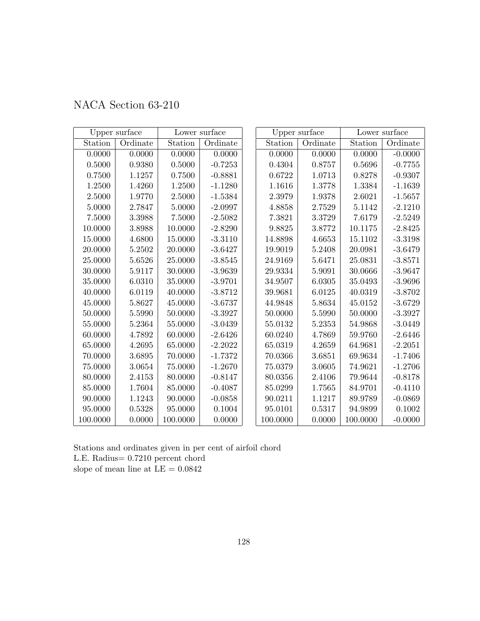| NACA Section 63-210 |
|---------------------|
|---------------------|

|             | Upper surface |          | Lower surface |          | Upper surface |             | Lower surface |
|-------------|---------------|----------|---------------|----------|---------------|-------------|---------------|
| Station     | Ordinate      | Station  | Ordinate      | Station  | Ordinate      | Station     | Ordinate      |
| 0.0000      | 0.0000        | 0.0000   | 0.0000        | 0.0000   | 0.0000        | 0.0000      | $-0.0000$     |
| $0.5000\,$  | 0.9380        | 0.5000   | $-0.7253$     | 0.4304   | 0.8757        | 0.5696      | $-0.7755$     |
| 0.7500      | 1.1257        | 0.7500   | $-0.8881$     | 0.6722   | 1.0713        | 0.8278      | $-0.9307$     |
| 1.2500      | 1.4260        | 1.2500   | $-1.1280$     | 1.1616   | 1.3778        | 1.3384      | $-1.1639$     |
| 2.5000      | 1.9770        | 2.5000   | $-1.5384$     | 2.3979   | 1.9378        | 2.6021      | $-1.5657$     |
| 5.0000      | 2.7847        | 5.0000   | $-2.0997$     | 4.8858   | 2.7529        | 5.1142      | $-2.1210$     |
| 7.5000      | 3.3988        | 7.5000   | $-2.5082$     | 7.3821   | 3.3729        | 7.6179      | $-2.5249$     |
| 10.0000     | 3.8988        | 10.0000  | $-2.8290$     | 9.8825   | 3.8772        | 10.1175     | $-2.8425$     |
| 15.0000     | 4.6800        | 15.0000  | $-3.3110$     | 14.8898  | 4.6653        | 15.1102     | $-3.3198$     |
| 20.0000     | $5.2502\,$    | 20.0000  | $-3.6427$     | 19.9019  | 5.2408        | 20.0981     | $-3.6479$     |
| 25.0000     | 5.6526        | 25.0000  | $-3.8545$     | 24.9169  | 5.6471        | 25.0831     | $-3.8571$     |
| 30.0000     | 5.9117        | 30.0000  | $-3.9639$     | 29.9334  | 5.9091        | 30.0666     | $-3.9647$     |
| 35.0000     | 6.0310        | 35.0000  | $-3.9701$     | 34.9507  | 6.0305        | 35.0493     | $-3.9696$     |
| 40.0000     | 6.0119        | 40.0000  | $-3.8712$     | 39.9681  | 6.0125        | 40.0319     | $-3.8702$     |
| 45.0000     | 5.8627        | 45.0000  | $-3.6737$     | 44.9848  | 5.8634        | 45.0152     | $-3.6729$     |
| 50.0000     | 5.5990        | 50.0000  | $-3.3927$     | 50.0000  | 5.5990        | $50.0000\,$ | $-3.3927$     |
| 55.0000     | 5.2364        | 55.0000  | $-3.0439$     | 55.0132  | 5.2353        | 54.9868     | $-3.0449$     |
| 60.0000     | 4.7892        | 60.0000  | $-2.6426$     | 60.0240  | 4.7869        | 59.9760     | $-2.6446$     |
| 65.0000     | 4.2695        | 65.0000  | $-2.2022$     | 65.0319  | 4.2659        | 64.9681     | $-2.2051$     |
| 70.0000     | 3.6895        | 70.0000  | $-1.7372$     | 70.0366  | 3.6851        | 69.9634     | $-1.7406$     |
| $75.0000\,$ | 3.0654        | 75.0000  | $-1.2670$     | 75.0379  | 3.0605        | 74.9621     | $-1.2706$     |
| 80.0000     | 2.4153        | 80.0000  | $-0.8147$     | 80.0356  | 2.4106        | 79.9644     | $-0.8178$     |
| 85.0000     | 1.7604        | 85.0000  | $-0.4087$     | 85.0299  | 1.7565        | 84.9701     | $-0.4110$     |
| 90.0000     | 1.1243        | 90.0000  | $-0.0858$     | 90.0211  | 1.1217        | 89.9789     | $-0.0869$     |
| 95.0000     | 0.5328        | 95.0000  | 0.1004        | 95.0101  | 0.5317        | 94.9899     | 0.1002        |
| 100.0000    | 0.0000        | 100.0000 | 0.0000        | 100.0000 | 0.0000        | 100.0000    | $-0.0000$     |

Stations and ordinates given in per cent of airfoil chord L.E. Radius= 0.7210 percent chord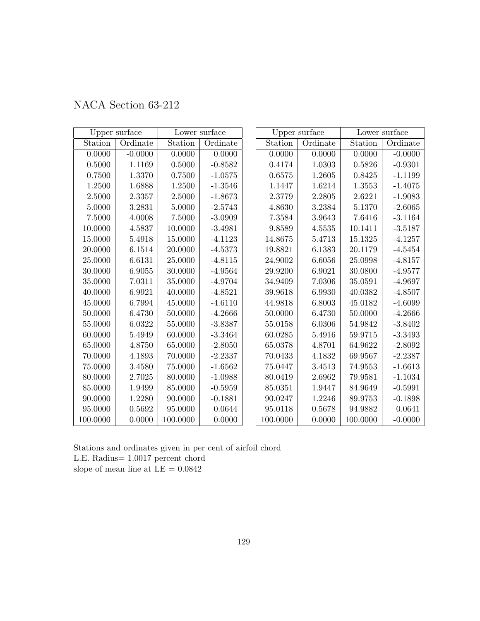| NACA Section 63-212 |  |  |
|---------------------|--|--|
|---------------------|--|--|

|            | Upper surface |          | Lower surface |          | Upper surface |             | Lower surface |
|------------|---------------|----------|---------------|----------|---------------|-------------|---------------|
| Station    | Ordinate      | Station  | Ordinate      | Station  | Ordinate      | Station     | Ordinate      |
| 0.0000     | $-0.0000$     | 0.0000   | 0.0000        | 0.0000   | 0.0000        | 0.0000      | $-0.0000$     |
| $0.5000\,$ | 1.1169        | 0.5000   | $-0.8582$     | 0.4174   | 1.0303        | 0.5826      | $-0.9301$     |
| 0.7500     | 1.3370        | 0.7500   | $-1.0575$     | 0.6575   | 1.2605        | 0.8425      | $-1.1199$     |
| 1.2500     | 1.6888        | 1.2500   | $-1.3546$     | 1.1447   | 1.6214        | 1.3553      | $-1.4075$     |
| 2.5000     | 2.3357        | 2.5000   | $-1.8673$     | 2.3779   | 2.2805        | 2.6221      | $-1.9083$     |
| 5.0000     | 3.2831        | 5.0000   | $-2.5743$     | 4.8630   | 3.2384        | 5.1370      | $-2.6065$     |
| 7.5000     | 4.0008        | 7.5000   | $-3.0909$     | 7.3584   | 3.9643        | 7.6416      | $-3.1164$     |
| 10.0000    | 4.5837        | 10.0000  | $-3.4981$     | 9.8589   | 4.5535        | 10.1411     | $-3.5187$     |
| 15.0000    | 5.4918        | 15.0000  | $-4.1123$     | 14.8675  | 5.4713        | 15.1325     | $-4.1257$     |
| 20.0000    | 6.1514        | 20.0000  | $-4.5373$     | 19.8821  | 6.1383        | 20.1179     | $-4.5454$     |
| 25.0000    | 6.6131        | 25.0000  | $-4.8115$     | 24.9002  | 6.6056        | 25.0998     | $-4.8157$     |
| 30.0000    | 6.9055        | 30.0000  | $-4.9564$     | 29.9200  | 6.9021        | 30.0800     | $-4.9577$     |
| 35.0000    | 7.0311        | 35.0000  | $-4.9704$     | 34.9409  | 7.0306        | 35.0591     | $-4.9697$     |
| 40.0000    | 6.9921        | 40.0000  | $-4.8521$     | 39.9618  | 6.9930        | 40.0382     | $-4.8507$     |
| 45.0000    | 6.7994        | 45.0000  | $-4.6110$     | 44.9818  | 6.8003        | 45.0182     | $-4.6099$     |
| 50.0000    | 6.4730        | 50.0000  | $-4.2666$     | 50.0000  | 6.4730        | 50.0000     | $-4.2666$     |
| 55.0000    | 6.0322        | 55.0000  | $-3.8387$     | 55.0158  | 6.0306        | 54.9842     | $-3.8402$     |
| 60.0000    | 5.4949        | 60.0000  | $-3.3464$     | 60.0285  | 5.4916        | $59.9715\,$ | $-3.3493$     |
| 65.0000    | 4.8750        | 65.0000  | $-2.8050$     | 65.0378  | 4.8701        | 64.9622     | $-2.8092$     |
| 70.0000    | 4.1893        | 70.0000  | $-2.2337$     | 70.0433  | 4.1832        | 69.9567     | $-2.2387$     |
| 75.0000    | 3.4580        | 75.0000  | $-1.6562$     | 75.0447  | 3.4513        | 74.9553     | $-1.6613$     |
| 80.0000    | 2.7025        | 80.0000  | $-1.0988$     | 80.0419  | 2.6962        | 79.9581     | $-1.1034$     |
| 85.0000    | 1.9499        | 85.0000  | $-0.5959$     | 85.0351  | 1.9447        | 84.9649     | $-0.5991$     |
| 90.0000    | 1.2280        | 90.0000  | $-0.1881$     | 90.0247  | 1.2246        | 89.9753     | $-0.1898$     |
| 95.0000    | 0.5692        | 95.0000  | 0.0644        | 95.0118  | 0.5678        | 94.9882     | 0.0641        |
| 100.0000   | 0.0000        | 100.0000 | 0.0000        | 100.0000 | 0.0000        | 100.0000    | $-0.0000$     |

Stations and ordinates given in per cent of airfoil chord L.E. Radius= 1.0017 percent chord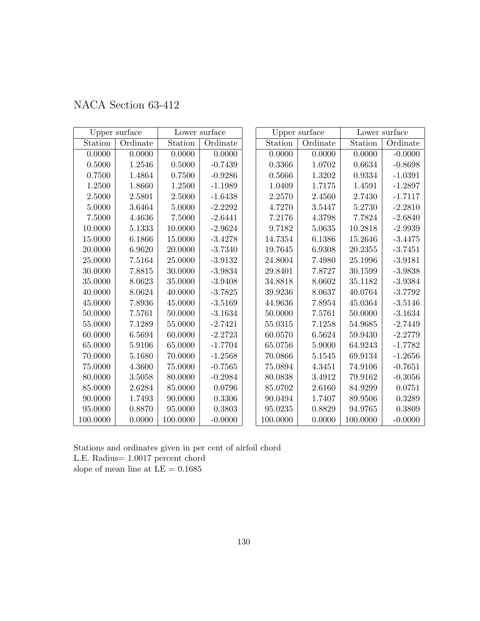| NACA Section 63-412 |  |  |  |
|---------------------|--|--|--|
|---------------------|--|--|--|

|             | Upper surface |          | Lower surface |          | Upper surface |          | Lower surface |
|-------------|---------------|----------|---------------|----------|---------------|----------|---------------|
| Station     | Ordinate      | Station  | Ordinate      | Station  | Ordinate      | Station  | Ordinate      |
| 0.0000      | 0.0000        | 0.0000   | 0.0000        | 0.0000   | 0.0000        | 0.0000   | $-0.0000$     |
| $0.5000\,$  | 1.2546        | 0.5000   | $-0.7439$     | 0.3366   | 1.0702        | 0.6634   | $-0.8698$     |
| 0.7500      | 1.4864        | 0.7500   | $-0.9286$     | 0.5666   | 1.3202        | 0.9334   | $-1.0391$     |
| 1.2500      | 1.8660        | 1.2500   | $-1.1989$     | 1.0409   | 1.7175        | 1.4591   | $-1.2897$     |
| 2.5000      | 2.5801        | 2.5000   | $-1.6438$     | 2.2570   | 2.4560        | 2.7430   | $-1.7117$     |
| 5.0000      | 3.6464        | 5.0000   | $-2.2292$     | 4.7270   | 3.5447        | 5.2730   | $-2.2810$     |
| 7.5000      | 4.4636        | 7.5000   | $-2.6441$     | 7.2176   | 4.3798        | 7.7824   | $-2.6840$     |
| 10.0000     | 5.1333        | 10.0000  | $-2.9624$     | 9.7182   | 5.0635        | 10.2818  | $-2.9939$     |
| 15.0000     | 6.1866        | 15.0000  | $-3.4278$     | 14.7354  | 6.1386        | 15.2646  | $-3.4475$     |
| 20.0000     | 6.9620        | 20.0000  | $-3.7340$     | 19.7645  | 6.9308        | 20.2355  | $-3.7451$     |
| 25.0000     | 7.5164        | 25.0000  | $-3.9132$     | 24.8004  | 7.4980        | 25.1996  | $-3.9181$     |
| 30.0000     | 7.8815        | 30.0000  | $-3.9834$     | 29.8401  | 7.8727        | 30.1599  | $-3.9838$     |
| 35.0000     | 8.0623        | 35.0000  | $-3.9408$     | 34.8818  | 8.0602        | 35.1182  | $-3.9384$     |
| 40.0000     | 8.0624        | 40.0000  | $-3.7825$     | 39.9236  | 8.0637        | 40.0764  | $-3.7792$     |
| 45.0000     | 7.8936        | 45.0000  | $-3.5169$     | 44.9636  | 7.8954        | 45.0364  | $-3.5146$     |
| 50.0000     | 7.5761        | 50.0000  | $-3.1634$     | 50.0000  | 7.5761        | 50.0000  | $-3.1634$     |
| 55.0000     | 7.1289        | 55.0000  | $-2.7421$     | 55.0315  | 7.1258        | 54.9685  | $-2.7449$     |
| 60.0000     | 6.5694        | 60.0000  | $-2.2723$     | 60.0570  | 6.5624        | 59.9430  | $-2.2779$     |
| 65.0000     | $5.9106\,$    | 65.0000  | $-1.7704$     | 65.0756  | 5.9000        | 64.9243  | $-1.7782$     |
| 70.0000     | 5.1680        | 70.0000  | $-1.2568$     | 70.0866  | 5.1545        | 69.9134  | $-1.2656$     |
| $75.0000\,$ | 4.3600        | 75.0000  | $-0.7565$     | 75.0894  | 4.3451        | 74.9106  | $-0.7651$     |
| 80.0000     | 3.5058        | 80.0000  | $-0.2984$     | 80.0838  | 3.4912        | 79.9162  | $-0.3056$     |
| 85.0000     | 2.6284        | 85.0000  | 0.0796        | 85.0702  | 2.6160        | 84.9299  | 0.0751        |
| 90.0000     | 1.7493        | 90.0000  | 0.3306        | 90.0494  | 1.7407        | 89.9506  | 0.3289        |
| 95.0000     | 0.8870        | 95.0000  | 0.3803        | 95.0235  | 0.8829        | 94.9765  | 0.3809        |
| 100.0000    | 0.0000        | 100.0000 | $-0.0000$     | 100.0000 | 0.0000        | 100.0000 | $-0.0000$     |

Stations and ordinates given in per cent of airfoil chord L.E. Radius= 1.0017 percent chord slope of mean line at  $\mathrm{LE}=0.1685$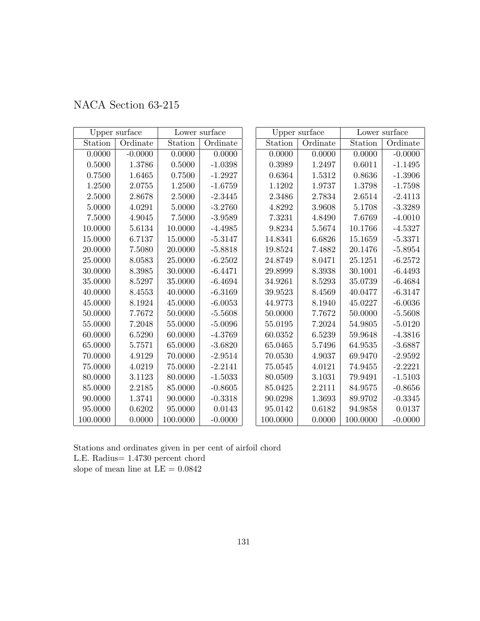| NACA Section 63-215 |  |  |  |  |
|---------------------|--|--|--|--|
|---------------------|--|--|--|--|

|             | Upper surface |          | Lower surface |          | Upper surface |             | Lower surface |
|-------------|---------------|----------|---------------|----------|---------------|-------------|---------------|
| Station     | Ordinate      | Station  | Ordinate      | Station  | Ordinate      | Station     | Ordinate      |
| 0.0000      | $-0.0000$     | 0.0000   | 0.0000        | 0.0000   | 0.0000        | 0.0000      | $-0.0000$     |
| $0.5000\,$  | 1.3786        | 0.5000   | $-1.0398$     | 0.3989   | 1.2497        | 0.6011      | $-1.1495$     |
| 0.7500      | 1.6465        | 0.7500   | $-1.2927$     | 0.6364   | 1.5312        | 0.8636      | $-1.3906$     |
| 1.2500      | 2.0755        | 1.2500   | $-1.6759$     | 1.1202   | 1.9737        | 1.3798      | $-1.7598$     |
| 2.5000      | 2.8678        | 2.5000   | $-2.3445$     | 2.3486   | 2.7834        | 2.6514      | $-2.4113$     |
| 5.0000      | 4.0291        | 5.0000   | $-3.2760$     | 4.8292   | 3.9608        | 5.1708      | $-3.3289$     |
| 7.5000      | 4.9045        | 7.5000   | $-3.9589$     | 7.3231   | 4.8490        | 7.6769      | $-4.0010$     |
| 10.0000     | 5.6134        | 10.0000  | $-4.4985$     | 9.8234   | 5.5674        | 10.1766     | $-4.5327$     |
| 15.0000     | 6.7137        | 15.0000  | $-5.3147$     | 14.8341  | 6.6826        | 15.1659     | $-5.3371$     |
| 20.0000     | 7.5080        | 20.0000  | $-5.8818$     | 19.8524  | 7.4882        | 20.1476     | $-5.8954$     |
| 25.0000     | 8.0583        | 25.0000  | $-6.2502$     | 24.8749  | 8.0471        | 25.1251     | $-6.2572$     |
| 30.0000     | 8.3985        | 30.0000  | $-6.4471$     | 29.8999  | 8.3938        | 30.1001     | $-6.4493$     |
| 35.0000     | 8.5297        | 35.0000  | $-6.4694$     | 34.9261  | 8.5293        | 35.0739     | $-6.4684$     |
| 40.0000     | 8.4553        | 40.0000  | $-6.3169$     | 39.9523  | 8.4569        | 40.0477     | $-6.3147$     |
| 45.0000     | 8.1924        | 45.0000  | $-6.0053$     | 44.9773  | 8.1940        | 45.0227     | $-6.0036$     |
| 50.0000     | 7.7672        | 50.0000  | $-5.5608$     | 50.0000  | 7.7672        | $50.0000\,$ | $-5.5608$     |
| 55.0000     | 7.2048        | 55.0000  | $-5.0096$     | 55.0195  | 7.2024        | 54.9805     | $-5.0120$     |
| 60.0000     | 6.5290        | 60.0000  | $-4.3769$     | 60.0352  | 6.5239        | 59.9648     | $-4.3816$     |
| 65.0000     | 5.7571        | 65.0000  | $-3.6820$     | 65.0465  | 5.7496        | 64.9535     | $-3.6887$     |
| 70.0000     | 4.9129        | 70.0000  | $-2.9514$     | 70.0530  | 4.9037        | 69.9470     | $-2.9592$     |
| $75.0000\,$ | 4.0219        | 75.0000  | $-2.2141$     | 75.0545  | 4.0121        | 74.9455     | $-2.2221$     |
| 80.0000     | 3.1123        | 80.0000  | $-1.5033$     | 80.0509  | 3.1031        | 79.9491     | $-1.5103$     |
| 85.0000     | 2.2185        | 85.0000  | $-0.8605$     | 85.0425  | 2.2111        | 84.9575     | $-0.8656$     |
| 90.0000     | 1.3741        | 90.0000  | $-0.3318$     | 90.0298  | 1.3693        | 89.9702     | $-0.3345$     |
| 95.0000     | 0.6202        | 95.0000  | 0.0143        | 95.0142  | 0.6182        | 94.9858     | 0.0137        |
| 100.0000    | 0.0000        | 100.0000 | $-0.0000$     | 100.0000 | 0.0000        | 100.0000    | $-0.0000$     |

Stations and ordinates given in per cent of airfoil chord L.E. Radius= 1.4730 percent chord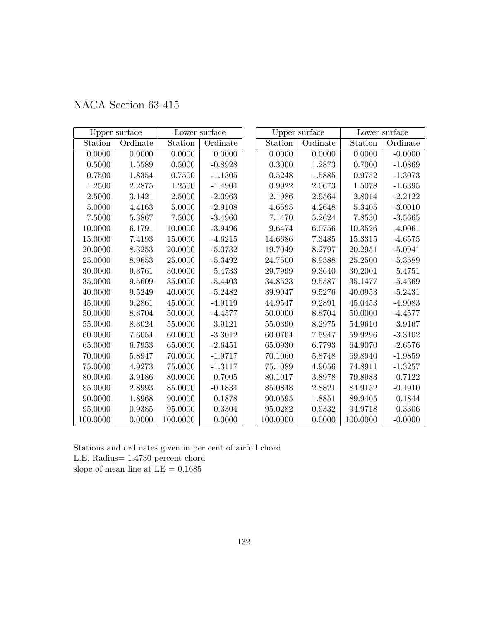| NACA Section 63-415 |  |  |  |
|---------------------|--|--|--|
|---------------------|--|--|--|

|             | Upper surface |          | Lower surface |          | Upper surface |          | Lower surface |
|-------------|---------------|----------|---------------|----------|---------------|----------|---------------|
| Station     | Ordinate      | Station  | Ordinate      | Station  | Ordinate      | Station  | Ordinate      |
| 0.0000      | 0.0000        | 0.0000   | 0.0000        | 0.0000   | 0.0000        | 0.0000   | $-0.0000$     |
| 0.5000      | 1.5589        | 0.5000   | $-0.8928$     | 0.3000   | 1.2873        | 0.7000   | $-1.0869$     |
| 0.7500      | 1.8354        | 0.7500   | $-1.1305$     | 0.5248   | 1.5885        | 0.9752   | $-1.3073$     |
| 1.2500      | 2.2875        | 1.2500   | $-1.4904$     | 0.9922   | 2.0673        | 1.5078   | $-1.6395$     |
| 2.5000      | 3.1421        | 2.5000   | $-2.0963$     | 2.1986   | 2.9564        | 2.8014   | $-2.2122$     |
| 5.0000      | 4.4163        | 5.0000   | $-2.9108$     | 4.6595   | 4.2648        | 5.3405   | $-3.0010$     |
| 7.5000      | 5.3867        | 7.5000   | $-3.4960$     | 7.1470   | 5.2624        | 7.8530   | $-3.5665$     |
| 10.0000     | 6.1791        | 10.0000  | $-3.9496$     | 9.6474   | 6.0756        | 10.3526  | $-4.0061$     |
| 15.0000     | 7.4193        | 15.0000  | $-4.6215$     | 14.6686  | 7.3485        | 15.3315  | $-4.6575$     |
| 20.0000     | 8.3253        | 20.0000  | $-5.0732$     | 19.7049  | 8.2797        | 20.2951  | $-5.0941$     |
| 25.0000     | 8.9653        | 25.0000  | $-5.3492$     | 24.7500  | 8.9388        | 25.2500  | $-5.3589$     |
| 30.0000     | 9.3761        | 30.0000  | $-5.4733$     | 29.7999  | 9.3640        | 30.2001  | $-5.4751$     |
| 35.0000     | 9.5609        | 35.0000  | $-5.4403$     | 34.8523  | 9.5587        | 35.1477  | $-5.4369$     |
| 40.0000     | 9.5249        | 40.0000  | $-5.2482$     | 39.9047  | 9.5276        | 40.0953  | $-5.2431$     |
| 45.0000     | 9.2861        | 45.0000  | $-4.9119$     | 44.9547  | 9.2891        | 45.0453  | $-4.9083$     |
| 50.0000     | 8.8704        | 50.0000  | $-4.4577$     | 50.0000  | 8.8704        | 50.0000  | $-4.4577$     |
| 55.0000     | 8.3024        | 55.0000  | $-3.9121$     | 55.0390  | 8.2975        | 54.9610  | $-3.9167$     |
| 60.0000     | 7.6054        | 60.0000  | $-3.3012$     | 60.0704  | 7.5947        | 59.9296  | $-3.3102$     |
| 65.0000     | 6.7953        | 65.0000  | $-2.6451$     | 65.0930  | 6.7793        | 64.9070  | $-2.6576$     |
| 70.0000     | 5.8947        | 70.0000  | $-1.9717$     | 70.1060  | 5.8748        | 69.8940  | $-1.9859$     |
| $75.0000\,$ | 4.9273        | 75.0000  | $-1.3117$     | 75.1089  | 4.9056        | 74.8911  | $-1.3257$     |
| 80.0000     | 3.9186        | 80.0000  | $-0.7005$     | 80.1017  | 3.8978        | 79.8983  | $-0.7122$     |
| 85.0000     | 2.8993        | 85.0000  | $-0.1834$     | 85.0848  | 2.8821        | 84.9152  | $-0.1910$     |
| 90.0000     | 1.8968        | 90.0000  | 0.1878        | 90.0595  | 1.8851        | 89.9405  | 0.1844        |
| 95.0000     | 0.9385        | 95.0000  | 0.3304        | 95.0282  | 0.9332        | 94.9718  | 0.3306        |
| 100.0000    | 0.0000        | 100.0000 | 0.0000        | 100.0000 | 0.0000        | 100.0000 | $-0.0000$     |

Stations and ordinates given in per cent of airfoil chord L.E. Radius= 1.4730 percent chord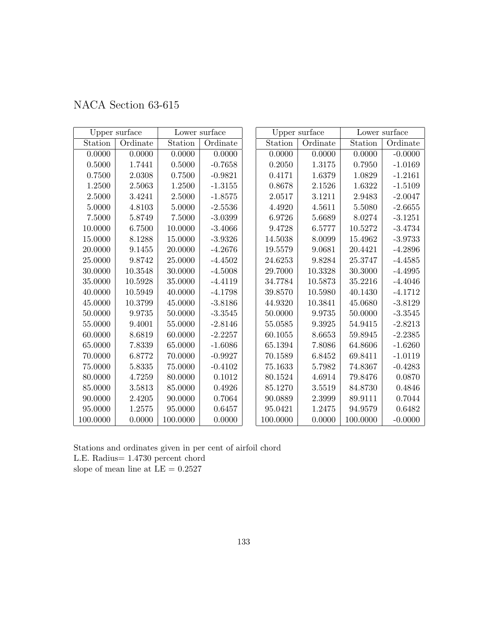|  | NACA Section 63-615 |  |
|--|---------------------|--|
|--|---------------------|--|

|             | Upper surface |            | Lower surface | Upper surface |          | Lower surface |           |
|-------------|---------------|------------|---------------|---------------|----------|---------------|-----------|
| Station     | Ordinate      | Station    | Ordinate      | Station       | Ordinate | Station       | Ordinate  |
| 0.0000      | 0.0000        | 0.0000     | 0.0000        | 0.0000        | 0.0000   | 0.0000        | $-0.0000$ |
| $0.5000\,$  | 1.7441        | 0.5000     | $-0.7658$     | 0.2050        | 1.3175   | 0.7950        | $-1.0169$ |
| 0.7500      | 2.0308        | 0.7500     | $-0.9821$     | 0.4171        | 1.6379   | 1.0829        | $-1.2161$ |
| 1.2500      | 2.5063        | 1.2500     | $-1.3155$     | 0.8678        | 2.1526   | 1.6322        | $-1.5109$ |
| 2.5000      | 3.4241        | 2.5000     | $-1.8575$     | 2.0517        | 3.1211   | 2.9483        | $-2.0047$ |
| 5.0000      | 4.8103        | 5.0000     | $-2.5536$     | 4.4920        | 4.5611   | 5.5080        | $-2.6655$ |
| 7.5000      | 5.8749        | $7.5000\,$ | $-3.0399$     | 6.9726        | 5.6689   | 8.0274        | $-3.1251$ |
| 10.0000     | 6.7500        | 10.0000    | $-3.4066$     | 9.4728        | 6.5777   | 10.5272       | $-3.4734$ |
| 15.0000     | 8.1288        | 15.0000    | $-3.9326$     | 14.5038       | 8.0099   | 15.4962       | $-3.9733$ |
| 20.0000     | 9.1455        | 20.0000    | $-4.2676$     | 19.5579       | 9.0681   | 20.4421       | $-4.2896$ |
| 25.0000     | 9.8742        | 25.0000    | $-4.4502$     | 24.6253       | 9.8284   | 25.3747       | $-4.4585$ |
| 30.0000     | 10.3548       | 30.0000    | $-4.5008$     | 29.7000       | 10.3328  | 30.3000       | $-4.4995$ |
| 35.0000     | 10.5928       | 35.0000    | $-4.4119$     | 34.7784       | 10.5873  | 35.2216       | $-4.4046$ |
| 40.0000     | 10.5949       | 40.0000    | $-4.1798$     | 39.8570       | 10.5980  | 40.1430       | $-4.1712$ |
| 45.0000     | 10.3799       | 45.0000    | $-3.8186$     | 44.9320       | 10.3841  | 45.0680       | $-3.8129$ |
| 50.0000     | 9.9735        | 50.0000    | $-3.3545$     | 50.0000       | 9.9735   | 50.0000       | $-3.3545$ |
| 55.0000     | 9.4001        | 55.0000    | $-2.8146$     | 55.0585       | 9.3925   | 54.9415       | $-2.8213$ |
| 60.0000     | 8.6819        | 60.0000    | $-2.2257$     | 60.1055       | 8.6653   | 59.8945       | $-2.2385$ |
| 65.0000     | 7.8339        | 65.0000    | $-1.6086$     | 65.1394       | 7.8086   | 64.8606       | $-1.6260$ |
| 70.0000     | 6.8772        | 70.0000    | $-0.9927$     | 70.1589       | 6.8452   | 69.8411       | $-1.0119$ |
| 75.0000     | 5.8335        | 75.0000    | $-0.4102$     | 75.1633       | 5.7982   | 74.8367       | $-0.4283$ |
| 80.0000     | 4.7259        | 80.0000    | 0.1012        | 80.1524       | 4.6914   | 79.8476       | 0.0870    |
| 85.0000     | 3.5813        | 85.0000    | 0.4926        | 85.1270       | 3.5519   | 84.8730       | 0.4846    |
| $90.0000\,$ | 2.4205        | 90.0000    | 0.7064        | 90.0889       | 2.3999   | 89.9111       | 0.7044    |
| 95.0000     | 1.2575        | 95.0000    | 0.6457        | 95.0421       | 1.2475   | 94.9579       | 0.6482    |
| 100.0000    | 0.0000        | 100.0000   | 0.0000        | 100.0000      | 0.0000   | 100.0000      | $-0.0000$ |

Stations and ordinates given in per cent of airfoil chord L.E. Radius= 1.4730 percent chord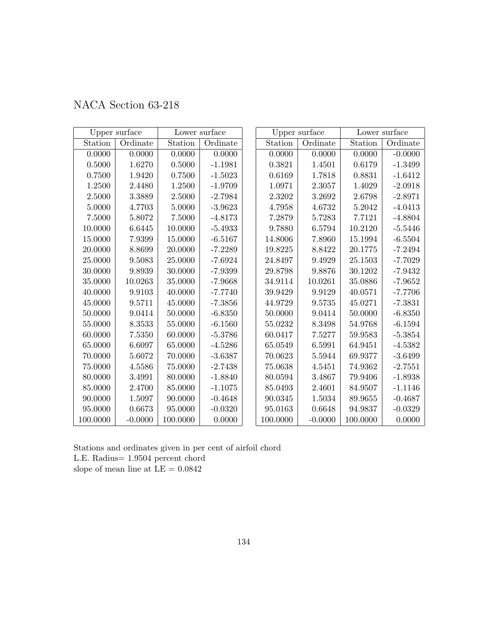| NACA Section 63-218 |  |  |  |
|---------------------|--|--|--|
|---------------------|--|--|--|

|            | Upper surface |          | Lower surface | Upper surface |           | Lower surface |           |
|------------|---------------|----------|---------------|---------------|-----------|---------------|-----------|
| Station    | Ordinate      | Station  | Ordinate      | Station       | Ordinate  | Station       | Ordinate  |
| 0.0000     | 0.0000        | 0.0000   | 0.0000        | 0.0000        | 0.0000    | 0.0000        | $-0.0000$ |
| $0.5000\,$ | 1.6270        | 0.5000   | $-1.1981$     | 0.3821        | 1.4501    | 0.6179        | $-1.3499$ |
| 0.7500     | 1.9420        | 0.7500   | $-1.5023$     | 0.6169        | 1.7818    | 0.8831        | $-1.6412$ |
| 1.2500     | 2.4480        | 1.2500   | $-1.9709$     | 1.0971        | 2.3057    | 1.4029        | $-2.0918$ |
| 2.5000     | 3.3889        | 2.5000   | $-2.7984$     | 2.3202        | 3.2692    | 2.6798        | $-2.8971$ |
| 5.0000     | 4.7703        | 5.0000   | $-3.9623$     | 4.7958        | 4.6732    | 5.2042        | $-4.0413$ |
| 7.5000     | 5.8072        | 7.5000   | $-4.8173$     | 7.2879        | 5.7283    | 7.7121        | $-4.8804$ |
| 10.0000    | 6.6445        | 10.0000  | $-5.4933$     | 9.7880        | 6.5794    | 10.2120       | $-5.5446$ |
| 15.0000    | 7.9399        | 15.0000  | $-6.5167$     | 14.8006       | 7.8960    | 15.1994       | $-6.5504$ |
| 20.0000    | 8.8699        | 20.0000  | $-7.2289$     | 19.8225       | 8.8422    | 20.1775       | $-7.2494$ |
| 25.0000    | 9.5083        | 25.0000  | $-7.6924$     | 24.8497       | 9.4929    | 25.1503       | $-7.7029$ |
| 30.0000    | 9.8939        | 30.0000  | $-7.9399$     | 29.8798       | 9.8876    | 30.1202       | $-7.9432$ |
| 35.0000    | 10.0263       | 35.0000  | $-7.9668$     | 34.9114       | 10.0261   | 35.0886       | $-7.9652$ |
| 40.0000    | 9.9103        | 40.0000  | $-7.7740$     | 39.9429       | 9.9129    | 40.0571       | $-7.7706$ |
| 45.0000    | 9.5711        | 45.0000  | $-7.3856$     | 44.9729       | 9.5735    | 45.0271       | $-7.3831$ |
| 50.0000    | 9.0414        | 50.0000  | $-6.8350$     | 50.0000       | 9.0414    | 50.0000       | $-6.8350$ |
| 55.0000    | 8.3533        | 55.0000  | $-6.1560$     | 55.0232       | 8.3498    | 54.9768       | $-6.1594$ |
| 60.0000    | 7.5350        | 60.0000  | $-5.3786$     | 60.0417       | 7.5277    | 59.9583       | $-5.3854$ |
| 65.0000    | 6.6097        | 65.0000  | $-4.5286$     | 65.0549       | 6.5991    | 64.9451       | $-4.5382$ |
| 70.0000    | 5.6072        | 70.0000  | $-3.6387$     | 70.0623       | 5.5944    | 69.9377       | $-3.6499$ |
| 75.0000    | 4.5586        | 75.0000  | $-2.7438$     | 75.0638       | 4.5451    | 74.9362       | $-2.7551$ |
| 80.0000    | 3.4991        | 80.0000  | $-1.8840$     | 80.0594       | 3.4867    | 79.9406       | $-1.8938$ |
| 85.0000    | 2.4700        | 85.0000  | $-1.1075$     | 85.0493       | 2.4601    | 84.9507       | $-1.1146$ |
| 90.0000    | 1.5097        | 90.0000  | $-0.4648$     | 90.0345       | 1.5034    | 89.9655       | $-0.4687$ |
| 95.0000    | 0.6673        | 95.0000  | $-0.0320$     | 95.0163       | 0.6648    | 94.9837       | $-0.0329$ |
| 100.0000   | $-0.0000$     | 100.0000 | 0.0000        | 100.0000      | $-0.0000$ | 100.0000      | 0.0000    |

Stations and ordinates given in per cent of airfoil chord L.E. Radius= 1.9504 percent chord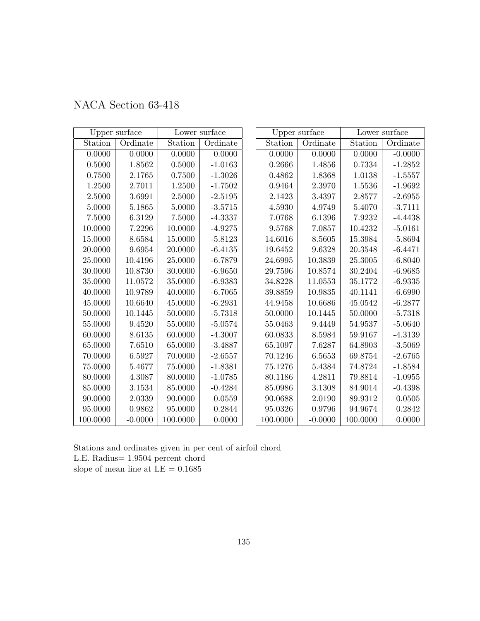|  | NACA Section 63-418 |  |
|--|---------------------|--|
|--|---------------------|--|

|             | Upper surface |          | Lower surface | Upper surface |           | Lower surface |            |
|-------------|---------------|----------|---------------|---------------|-----------|---------------|------------|
| Station     | Ordinate      | Station  | Ordinate      | Station       | Ordinate  | Station       | Ordinate   |
| 0.0000      | 0.0000        | 0.0000   | 0.0000        | 0.0000        | 0.0000    | 0.0000        | $-0.0000$  |
| $0.5000\,$  | 1.8562        | 0.5000   | $-1.0163$     | 0.2666        | 1.4856    | 0.7334        | $-1.2852$  |
| 0.7500      | 2.1765        | 0.7500   | $-1.3026$     | 0.4862        | 1.8368    | 1.0138        | $-1.5557$  |
| 1.2500      | 2.7011        | 1.2500   | $-1.7502$     | 0.9464        | 2.3970    | 1.5536        | $-1.9692$  |
| 2.5000      | 3.6991        | 2.5000   | $-2.5195$     | 2.1423        | 3.4397    | 2.8577        | $-2.6955$  |
| 5.0000      | 5.1865        | 5.0000   | $-3.5715$     | 4.5930        | 4.9749    | 5.4070        | $-3.7111$  |
| 7.5000      | 6.3129        | 7.5000   | $-4.3337$     | 7.0768        | 6.1396    | 7.9232        | $-4.4438$  |
| 10.0000     | 7.2296        | 10.0000  | $-4.9275$     | 9.5768        | 7.0857    | 10.4232       | $-5.0161$  |
| 15.0000     | 8.6584        | 15.0000  | $-5.8123$     | 14.6016       | 8.5605    | 15.3984       | $-5.8694$  |
| 20.0000     | 9.6954        | 20.0000  | $-6.4135$     | 19.6452       | 9.6328    | 20.3548       | $-6.4471$  |
| 25.0000     | 10.4196       | 25.0000  | $-6.7879$     | 24.6995       | 10.3839   | 25.3005       | $-6.8040$  |
| 30.0000     | 10.8730       | 30.0000  | $-6.9650$     | 29.7596       | 10.8574   | 30.2404       | $-6.9685$  |
| 35.0000     | 11.0572       | 35.0000  | $-6.9383$     | 34.8228       | 11.0553   | 35.1772       | $-6.9335$  |
| 40.0000     | 10.9789       | 40.0000  | $-6.7065$     | 39.8859       | 10.9835   | 40.1141       | $-6.6990$  |
| 45.0000     | 10.6640       | 45.0000  | $-6.2931$     | 44.9458       | 10.6686   | 45.0542       | $-6.2877$  |
| 50.0000     | 10.1445       | 50.0000  | $-5.7318$     | 50.0000       | 10.1445   | 50.0000       | $-5.7318$  |
| 55.0000     | 9.4520        | 55.0000  | $-5.0574$     | 55.0463       | 9.4449    | 54.9537       | $-5.0640$  |
| 60.0000     | 8.6135        | 60.0000  | $-4.3007$     | 60.0833       | 8.5984    | 59.9167       | $-4.3139$  |
| 65.0000     | 7.6510        | 65.0000  | $-3.4887$     | 65.1097       | 7.6287    | 64.8903       | $-3.5069$  |
| 70.0000     | 6.5927        | 70.0000  | $-2.6557$     | 70.1246       | 6.5653    | 69.8754       | $-2.6765$  |
| $75.0000\,$ | 5.4677        | 75.0000  | $-1.8381$     | 75.1276       | 5.4384    | 74.8724       | $-1.8584$  |
| 80.0000     | 4.3087        | 80.0000  | $-1.0785$     | 80.1186       | 4.2811    | 79.8814       | $-1.0955$  |
| 85.0000     | 3.1534        | 85.0000  | $-0.4284$     | 85.0986       | 3.1308    | 84.9014       | $-0.4398$  |
| 90.0000     | 2.0339        | 90.0000  | 0.0559        | 90.0688       | 2.0190    | 89.9312       | $0.0505\,$ |
| 95.0000     | 0.9862        | 95.0000  | 0.2844        | 95.0326       | 0.9796    | 94.9674       | 0.2842     |
| 100.0000    | $-0.0000$     | 100.0000 | 0.0000        | 100.0000      | $-0.0000$ | 100.0000      | 0.0000     |

Stations and ordinates given in per cent of airfoil chord L.E. Radius= 1.9504 percent chord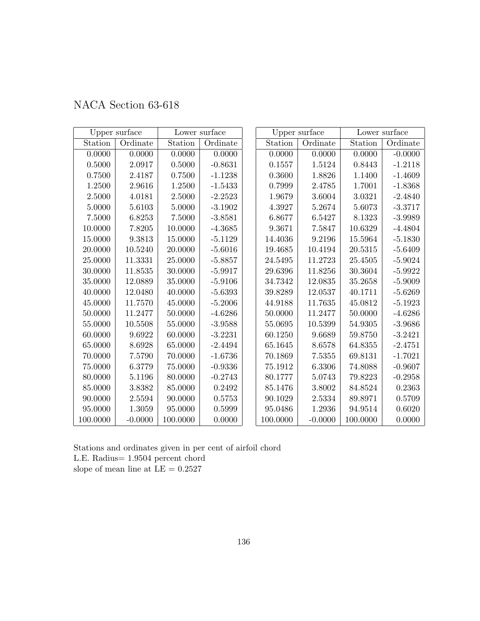|  | NACA Section 63-618 |  |
|--|---------------------|--|
|--|---------------------|--|

|             | Upper surface |          | Lower surface | Upper surface |            | Lower surface |           |
|-------------|---------------|----------|---------------|---------------|------------|---------------|-----------|
| Station     | Ordinate      | Station  | Ordinate      | Station       | Ordinate   | Station       | Ordinate  |
| 0.0000      | 0.0000        | 0.0000   | 0.0000        | 0.0000        | 0.0000     | 0.0000        | $-0.0000$ |
| 0.5000      | $2.0917\,$    | 0.5000   | $-0.8631$     | 0.1557        | 1.5124     | 0.8443        | $-1.2118$ |
| 0.7500      | 2.4187        | 0.7500   | $-1.1238$     | 0.3600        | 1.8826     | 1.1400        | $-1.4609$ |
| 1.2500      | 2.9616        | 1.2500   | $-1.5433$     | 0.7999        | 2.4785     | 1.7001        | $-1.8368$ |
| 2.5000      | 4.0181        | 2.5000   | $-2.2523$     | 1.9679        | 3.6004     | 3.0321        | $-2.4840$ |
| 5.0000      | 5.6103        | 5.0000   | $-3.1902$     | 4.3927        | 5.2674     | 5.6073        | $-3.3717$ |
| 7.5000      | 6.8253        | 7.5000   | $-3.8581$     | 6.8677        | 6.5427     | 8.1323        | $-3.9989$ |
| 10.0000     | 7.8205        | 10.0000  | $-4.3685$     | 9.3671        | 7.5847     | 10.6329       | $-4.4804$ |
| 15.0000     | 9.3813        | 15.0000  | $-5.1129$     | 14.4036       | 9.2196     | 15.5964       | $-5.1830$ |
| 20.0000     | 10.5240       | 20.0000  | $-5.6016$     | 19.4685       | 10.4194    | 20.5315       | $-5.6409$ |
| 25.0000     | 11.3331       | 25.0000  | $-5.8857$     | 24.5495       | 11.2723    | 25.4505       | $-5.9024$ |
| 30.0000     | 11.8535       | 30.0000  | $-5.9917$     | 29.6396       | 11.8256    | 30.3604       | $-5.9922$ |
| 35.0000     | 12.0889       | 35.0000  | $-5.9106$     | 34.7342       | 12.0835    | 35.2658       | $-5.9009$ |
| 40.0000     | 12.0480       | 40.0000  | $-5.6393$     | 39.8289       | 12.0537    | 40.1711       | $-5.6269$ |
| 45.0000     | 11.7570       | 45.0000  | $-5.2006$     | 44.9188       | 11.7635    | $45.0812\,$   | $-5.1923$ |
| 50.0000     | 11.2477       | 50.0000  | $-4.6286$     | 50.0000       | 11.2477    | 50.0000       | $-4.6286$ |
| 55.0000     | 10.5508       | 55.0000  | $-3.9588$     | 55.0695       | 10.5399    | 54.9305       | $-3.9686$ |
| 60.0000     | 9.6922        | 60.0000  | $-3.2231$     | 60.1250       | 9.6689     | 59.8750       | $-3.2421$ |
| 65.0000     | 8.6928        | 65.0000  | $-2.4494$     | 65.1645       | 8.6578     | 64.8355       | $-2.4751$ |
| 70.0000     | 7.5790        | 70.0000  | $-1.6736$     | 70.1869       | 7.5355     | 69.8131       | $-1.7021$ |
| $75.0000\,$ | 6.3779        | 75.0000  | $-0.9336$     | 75.1912       | $6.3306\,$ | 74.8088       | $-0.9607$ |
| 80.0000     | 5.1196        | 80.0000  | $-0.2743$     | 80.1777       | 5.0743     | 79.8223       | $-0.2958$ |
| 85.0000     | 3.8382        | 85.0000  | 0.2492        | 85.1476       | 3.8002     | 84.8524       | 0.2363    |
| 90.0000     | 2.5594        | 90.0000  | 0.5753        | 90.1029       | 2.5334     | 89.8971       | 0.5709    |
| 95.0000     | 1.3059        | 95.0000  | 0.5999        | 95.0486       | 1.2936     | 94.9514       | 0.6020    |
| 100.0000    | $-0.0000$     | 100.0000 | 0.0000        | 100.0000      | $-0.0000$  | 100.0000      | 0.0000    |

Stations and ordinates given in per cent of airfoil chord L.E. Radius= 1.9504 percent chord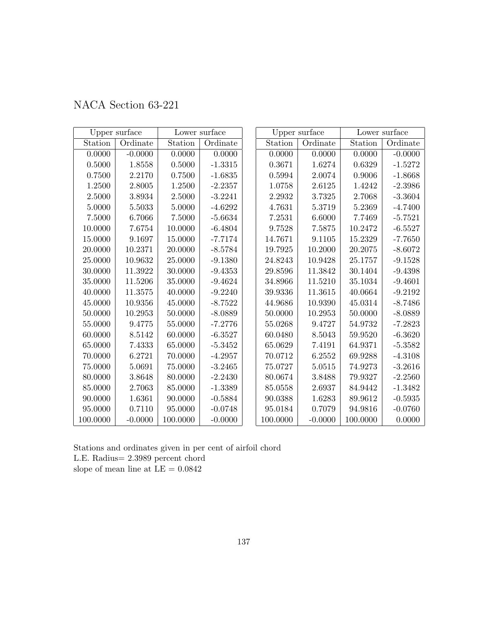| NACA Section 63-221 |  |
|---------------------|--|
|---------------------|--|

|             | Upper surface |          | Lower surface | Upper surface |           | Lower surface |           |
|-------------|---------------|----------|---------------|---------------|-----------|---------------|-----------|
| Station     | Ordinate      | Station  | Ordinate      | Station       | Ordinate  | Station       | Ordinate  |
| 0.0000      | $-0.0000$     | 0.0000   | 0.0000        | 0.0000        | 0.0000    | 0.0000        | $-0.0000$ |
| 0.5000      | 1.8558        | 0.5000   | $-1.3315$     | 0.3671        | 1.6274    | 0.6329        | $-1.5272$ |
| 0.7500      | 2.2170        | 0.7500   | $-1.6835$     | 0.5994        | 2.0074    | 0.9006        | $-1.8668$ |
| 1.2500      | 2.8005        | 1.2500   | $-2.2357$     | 1.0758        | 2.6125    | 1.4242        | $-2.3986$ |
| 2.5000      | 3.8934        | 2.5000   | $-3.2241$     | 2.2932        | 3.7325    | 2.7068        | $-3.3604$ |
| 5.0000      | 5.5033        | 5.0000   | $-4.6292$     | 4.7631        | 5.3719    | 5.2369        | $-4.7400$ |
| 7.5000      | 6.7066        | 7.5000   | $-5.6634$     | 7.2531        | 6.6000    | 7.7469        | $-5.7521$ |
| 10.0000     | 7.6754        | 10.0000  | $-6.4804$     | 9.7528        | 7.5875    | 10.2472       | $-6.5527$ |
| 15.0000     | 9.1697        | 15.0000  | $-7.7174$     | 14.7671       | 9.1105    | 15.2329       | $-7.7650$ |
| 20.0000     | 10.2371       | 20.0000  | $-8.5784$     | 19.7925       | 10.2000   | 20.2075       | $-8.6072$ |
| 25.0000     | 10.9632       | 25.0000  | $-9.1380$     | 24.8243       | 10.9428   | 25.1757       | $-9.1528$ |
| 30.0000     | 11.3922       | 30.0000  | $-9.4353$     | 29.8596       | 11.3842   | 30.1404       | $-9.4398$ |
| 35.0000     | 11.5206       | 35.0000  | $-9.4624$     | 34.8966       | 11.5210   | 35.1034       | $-9.4601$ |
| 40.0000     | 11.3575       | 40.0000  | $-9.2240$     | 39.9336       | 11.3615   | 40.0664       | $-9.2192$ |
| 45.0000     | 10.9356       | 45.0000  | $-8.7522$     | 44.9686       | 10.9390   | 45.0314       | $-8.7486$ |
| 50.0000     | 10.2953       | 50.0000  | $-8.0889$     | 50.0000       | 10.2953   | 50.0000       | $-8.0889$ |
| 55.0000     | 9.4775        | 55.0000  | $-7.2776$     | 55.0268       | 9.4727    | 54.9732       | $-7.2823$ |
| 60.0000     | 8.5142        | 60.0000  | $-6.3527$     | 60.0480       | 8.5043    | 59.9520       | $-6.3620$ |
| 65.0000     | 7.4333        | 65.0000  | $-5.3452$     | 65.0629       | 7.4191    | 64.9371       | $-5.3582$ |
| 70.0000     | 6.2721        | 70.0000  | $-4.2957$     | 70.0712       | 6.2552    | 69.9288       | $-4.3108$ |
| $75.0000\,$ | 5.0691        | 75.0000  | $-3.2465$     | 75.0727       | 5.0515    | 74.9273       | $-3.2616$ |
| 80.0000     | 3.8648        | 80.0000  | $-2.2430$     | 80.0674       | 3.8488    | 79.9327       | $-2.2560$ |
| 85.0000     | 2.7063        | 85.0000  | $-1.3389$     | 85.0558       | 2.6937    | 84.9442       | $-1.3482$ |
| 90.0000     | 1.6361        | 90.0000  | $-0.5884$     | 90.0388       | 1.6283    | 89.9612       | $-0.5935$ |
| 95.0000     | 0.7110        | 95.0000  | $-0.0748$     | 95.0184       | 0.7079    | 94.9816       | $-0.0760$ |
| 100.0000    | $-0.0000$     | 100.0000 | $-0.0000$     | 100.0000      | $-0.0000$ | 100.0000      | 0.0000    |

Stations and ordinates given in per cent of airfoil chord L.E. Radius= 2.3989 percent chord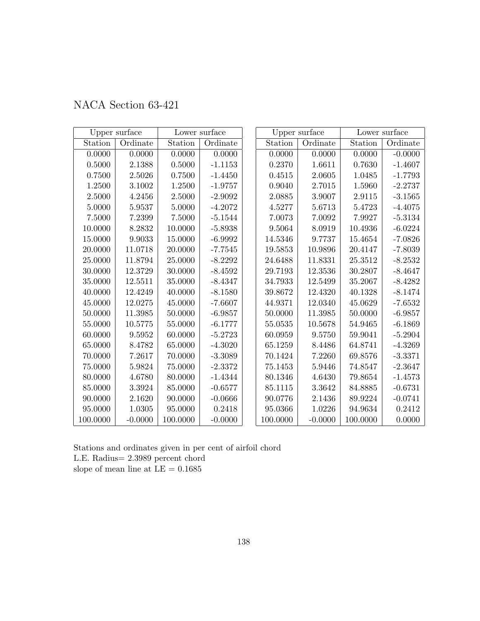|  | NACA Section 63-421 |  |
|--|---------------------|--|
|--|---------------------|--|

|            | Upper surface |          | Lower surface | Upper surface |           | Lower surface |           |
|------------|---------------|----------|---------------|---------------|-----------|---------------|-----------|
| Station    | Ordinate      | Station  | Ordinate      | Station       | Ordinate  | Station       | Ordinate  |
| 0.0000     | 0.0000        | 0.0000   | 0.0000        | 0.0000        | 0.0000    | 0.0000        | $-0.0000$ |
| $0.5000\,$ | 2.1388        | 0.5000   | $-1.1153$     | 0.2370        | 1.6611    | 0.7630        | $-1.4607$ |
| 0.7500     | 2.5026        | 0.7500   | $-1.4450$     | 0.4515        | 2.0605    | 1.0485        | $-1.7793$ |
| 1.2500     | 3.1002        | 1.2500   | $-1.9757$     | 0.9040        | 2.7015    | 1.5960        | $-2.2737$ |
| 2.5000     | 4.2456        | 2.5000   | $-2.9092$     | 2.0885        | 3.9007    | $2.9115\,$    | $-3.1565$ |
| 5.0000     | 5.9537        | 5.0000   | $-4.2072$     | 4.5277        | 5.6713    | 5.4723        | $-4.4075$ |
| $7.5000\,$ | 7.2399        | 7.5000   | $-5.1544$     | 7.0073        | 7.0092    | 7.9927        | $-5.3134$ |
| 10.0000    | 8.2832        | 10.0000  | $-5.8938$     | 9.5064        | 8.0919    | 10.4936       | $-6.0224$ |
| 15.0000    | 9.9033        | 15.0000  | $-6.9992$     | 14.5346       | 9.7737    | 15.4654       | $-7.0826$ |
| 20.0000    | 11.0718       | 20.0000  | $-7.7545$     | 19.5853       | 10.9896   | 20.4147       | $-7.8039$ |
| 25.0000    | 11.8794       | 25.0000  | $-8.2292$     | 24.6488       | 11.8331   | 25.3512       | $-8.2532$ |
| 30.0000    | 12.3729       | 30.0000  | $-8.4592$     | 29.7193       | 12.3536   | 30.2807       | $-8.4647$ |
| 35.0000    | 12.5511       | 35.0000  | $-8.4347$     | 34.7933       | 12.5499   | 35.2067       | $-8.4282$ |
| 40.0000    | 12.4249       | 40.0000  | $-8.1580$     | 39.8672       | 12.4320   | 40.1328       | $-8.1474$ |
| 45.0000    | 12.0275       | 45.0000  | $-7.6607$     | 44.9371       | 12.0340   | 45.0629       | $-7.6532$ |
| 50.0000    | 11.3985       | 50.0000  | $-6.9857$     | 50.0000       | 11.3985   | 50.0000       | $-6.9857$ |
| 55.0000    | 10.5775       | 55.0000  | $-6.1777$     | 55.0535       | 10.5678   | 54.9465       | $-6.1869$ |
| 60.0000    | 9.5952        | 60.0000  | $-5.2723$     | 60.0959       | 9.5750    | 59.9041       | $-5.2904$ |
| 65.0000    | 8.4782        | 65.0000  | $-4.3020$     | 65.1259       | 8.4486    | 64.8741       | $-4.3269$ |
| 70.0000    | 7.2617        | 70.0000  | $-3.3089$     | 70.1424       | 7.2260    | 69.8576       | $-3.3371$ |
| 75.0000    | 5.9824        | 75.0000  | $-2.3372$     | 75.1453       | 5.9446    | 74.8547       | $-2.3647$ |
| 80.0000    | 4.6780        | 80.0000  | $-1.4344$     | 80.1346       | 4.6430    | 79.8654       | $-1.4573$ |
| 85.0000    | 3.3924        | 85.0000  | $-0.6577$     | 85.1115       | 3.3642    | 84.8885       | $-0.6731$ |
| 90.0000    | 2.1620        | 90.0000  | $-0.0666$     | 90.0776       | 2.1436    | 89.9224       | $-0.0741$ |
| 95.0000    | 1.0305        | 95.0000  | 0.2418        | 95.0366       | 1.0226    | 94.9634       | 0.2412    |
| 100.0000   | $-0.0000$     | 100.0000 | $-0.0000$     | 100.0000      | $-0.0000$ | 100.0000      | 0.0000    |

Stations and ordinates given in per cent of airfoil chord L.E. Radius= 2.3989 percent chord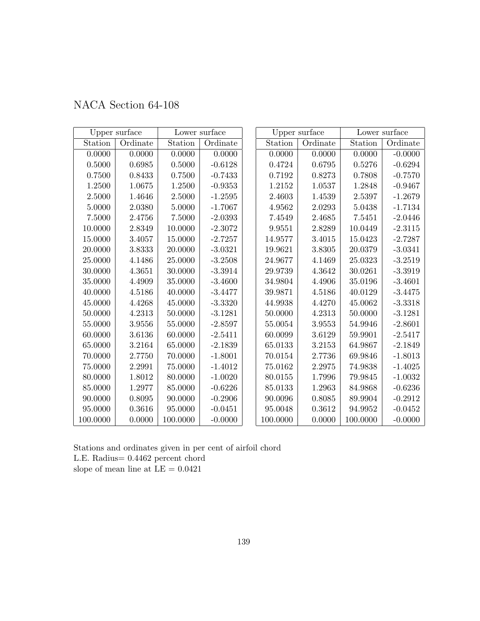| NACA Section 64-108 |  |  |
|---------------------|--|--|
|---------------------|--|--|

|          | Upper surface |             | Lower surface |             | Upper surface |             | Lower surface |
|----------|---------------|-------------|---------------|-------------|---------------|-------------|---------------|
| Station  | Ordinate      | Station     | Ordinate      | Station     | Ordinate      | Station     | Ordinate      |
| 0.0000   | 0.0000        | 0.0000      | 0.0000        | 0.0000      | 0.0000        | 0.0000      | $-0.0000$     |
| 0.5000   | 0.6985        | 0.5000      | $-0.6128$     | 0.4724      | 0.6795        | 0.5276      | $-0.6294$     |
| 0.7500   | 0.8433        | 0.7500      | $-0.7433$     | 0.7192      | 0.8273        | 0.7808      | $-0.7570$     |
| 1.2500   | 1.0675        | 1.2500      | $-0.9353$     | 1.2152      | 1.0537        | 1.2848      | $-0.9467$     |
| 2.5000   | 1.4646        | 2.5000      | $-1.2595$     | 2.4603      | 1.4539        | 2.5397      | $-1.2679$     |
| 5.0000   | 2.0380        | 5.0000      | $-1.7067$     | 4.9562      | 2.0293        | $5.0438\,$  | $-1.7134$     |
| 7.5000   | 2.4756        | 7.5000      | $-2.0393$     | 7.4549      | 2.4685        | 7.5451      | $-2.0446$     |
| 10.0000  | 2.8349        | 10.0000     | $-2.3072$     | 9.9551      | 2.8289        | 10.0449     | $-2.3115$     |
| 15.0000  | 3.4057        | 15.0000     | $-2.7257$     | 14.9577     | 3.4015        | 15.0423     | $-2.7287$     |
| 20.0000  | 3.8333        | 20.0000     | $-3.0321$     | 19.9621     | 3.8305        | 20.0379     | $-3.0341$     |
| 25.0000  | 4.1486        | 25.0000     | $-3.2508$     | 24.9677     | 4.1469        | 25.0323     | $-3.2519$     |
| 30.0000  | 4.3651        | 30.0000     | $-3.3914$     | 29.9739     | 4.3642        | 30.0261     | $-3.3919$     |
| 35.0000  | 4.4909        | 35.0000     | $-3.4600$     | 34.9804     | 4.4906        | 35.0196     | $-3.4601$     |
| 40.0000  | 4.5186        | 40.0000     | $-3.4477$     | 39.9871     | 4.5186        | 40.0129     | $-3.4475$     |
| 45.0000  | 4.4268        | 45.0000     | $-3.3320$     | 44.9938     | 4.4270        | $45.0062\,$ | $-3.3318$     |
| 50.0000  | 4.2313        | 50.0000     | $-3.1281$     | 50.0000     | 4.2313        | 50.0000     | $-3.1281$     |
| 55.0000  | 3.9556        | 55.0000     | $-2.8597$     | $55.0054\,$ | 3.9553        | 54.9946     | $-2.8601$     |
| 60.0000  | 3.6136        | 60.0000     | $-2.5411$     | 60.0099     | 3.6129        | 59.9901     | $-2.5417$     |
| 65.0000  | 3.2164        | 65.0000     | $-2.1839$     | 65.0133     | 3.2153        | 64.9867     | $-2.1849$     |
| 70.0000  | 2.7750        | 70.0000     | $-1.8001$     | 70.0154     | 2.7736        | 69.9846     | $-1.8013$     |
| 75.0000  | 2.2991        | $75.0000\,$ | $-1.4012$     | 75.0162     | 2.2975        | 74.9838     | $-1.4025$     |
| 80.0000  | 1.8012        | 80.0000     | $-1.0020$     | 80.0155     | 1.7996        | 79.9845     | $-1.0032$     |
| 85.0000  | 1.2977        | 85.0000     | $-0.6226$     | 85.0133     | 1.2963        | 84.9868     | $-0.6236$     |
| 90.0000  | 0.8095        | 90.0000     | $-0.2906$     | 90.0096     | 0.8085        | 89.9904     | $-0.2912$     |
| 95.0000  | 0.3616        | 95.0000     | $-0.0451$     | 95.0048     | 0.3612        | 94.9952     | $-0.0452$     |
| 100.0000 | 0.0000        | 100.0000    | $-0.0000$     | 100.0000    | 0.0000        | 100.0000    | $-0.0000$     |

Stations and ordinates given in per cent of airfoil chord L.E. Radius= 0.4462 percent chord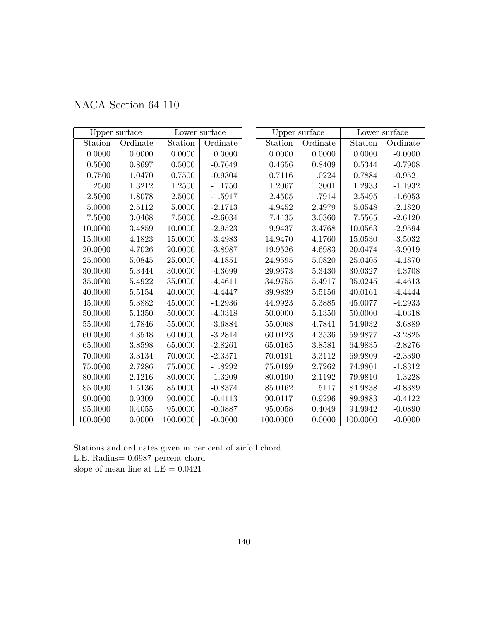| NACA Section 64-110 |  |  |
|---------------------|--|--|
|---------------------|--|--|

|            | Upper surface |          | Lower surface |          | Upper surface |             | Lower surface |
|------------|---------------|----------|---------------|----------|---------------|-------------|---------------|
| Station    | Ordinate      | Station  | Ordinate      | Station  | Ordinate      | Station     | Ordinate      |
| 0.0000     | 0.0000        | 0.0000   | 0.0000        | 0.0000   | 0.0000        | 0.0000      | $-0.0000$     |
| $0.5000\,$ | 0.8697        | 0.5000   | $-0.7649$     | 0.4656   | 0.8409        | 0.5344      | $-0.7908$     |
| 0.7500     | 1.0470        | 0.7500   | $-0.9304$     | 0.7116   | 1.0224        | 0.7884      | $-0.9521$     |
| 1.2500     | 1.3212        | 1.2500   | $-1.1750$     | 1.2067   | 1.3001        | 1.2933      | $-1.1932$     |
| 2.5000     | 1.8078        | 2.5000   | $-1.5917$     | 2.4505   | 1.7914        | 2.5495      | $-1.6053$     |
| 5.0000     | 2.5112        | 5.0000   | $-2.1713$     | 4.9452   | 2.4979        | 5.0548      | $-2.1820$     |
| 7.5000     | 3.0468        | 7.5000   | $-2.6034$     | 7.4435   | 3.0360        | 7.5565      | $-2.6120$     |
| 10.0000    | 3.4859        | 10.0000  | $-2.9523$     | 9.9437   | 3.4768        | 10.0563     | $-2.9594$     |
| 15.0000    | 4.1823        | 15.0000  | $-3.4983$     | 14.9470  | 4.1760        | 15.0530     | $-3.5032$     |
| 20.0000    | 4.7026        | 20.0000  | $-3.8987$     | 19.9526  | 4.6983        | 20.0474     | $-3.9019$     |
| 25.0000    | 5.0845        | 25.0000  | $-4.1851$     | 24.9595  | 5.0820        | 25.0405     | $-4.1870$     |
| 30.0000    | 5.3444        | 30.0000  | $-4.3699$     | 29.9673  | 5.3430        | 30.0327     | $-4.3708$     |
| 35.0000    | 5.4922        | 35.0000  | $-4.4611$     | 34.9755  | 5.4917        | 35.0245     | $-4.4613$     |
| 40.0000    | 5.5154        | 40.0000  | $-4.4447$     | 39.9839  | 5.5156        | 40.0161     | $-4.4444$     |
| 45.0000    | 5.3882        | 45.0000  | $-4.2936$     | 44.9923  | 5.3885        | 45.0077     | $-4.2933$     |
| 50.0000    | 5.1350        | 50.0000  | $-4.0318$     | 50.0000  | 5.1350        | $50.0000\,$ | $-4.0318$     |
| 55.0000    | 4.7846        | 55.0000  | $-3.6884$     | 55.0068  | 4.7841        | 54.9932     | $-3.6889$     |
| 60.0000    | 4.3548        | 60.0000  | $-3.2814$     | 60.0123  | 4.3536        | 59.9877     | $-3.2825$     |
| 65.0000    | 3.8598        | 65.0000  | $-2.8261$     | 65.0165  | 3.8581        | 64.9835     | $-2.8276$     |
| 70.0000    | 3.3134        | 70.0000  | $-2.3371$     | 70.0191  | 3.3112        | 69.9809     | $-2.3390$     |
| 75.0000    | 2.7286        | 75.0000  | $-1.8292$     | 75.0199  | 2.7262        | 74.9801     | $-1.8312$     |
| 80.0000    | 2.1216        | 80.0000  | $-1.3209$     | 80.0190  | 2.1192        | 79.9810     | $-1.3228$     |
| 85.0000    | 1.5136        | 85.0000  | $-0.8374$     | 85.0162  | 1.5117        | 84.9838     | $-0.8389$     |
| 90.0000    | 0.9309        | 90.0000  | $-0.4113$     | 90.0117  | 0.9296        | 89.9883     | $-0.4122$     |
| 95.0000    | 0.4055        | 95.0000  | $-0.0887$     | 95.0058  | 0.4049        | 94.9942     | $-0.0890$     |
| 100.0000   | 0.0000        | 100.0000 | $-0.0000$     | 100.0000 | 0.0000        | 100.0000    | $-0.0000$     |

Stations and ordinates given in per cent of airfoil chord L.E. Radius= 0.6987 percent chord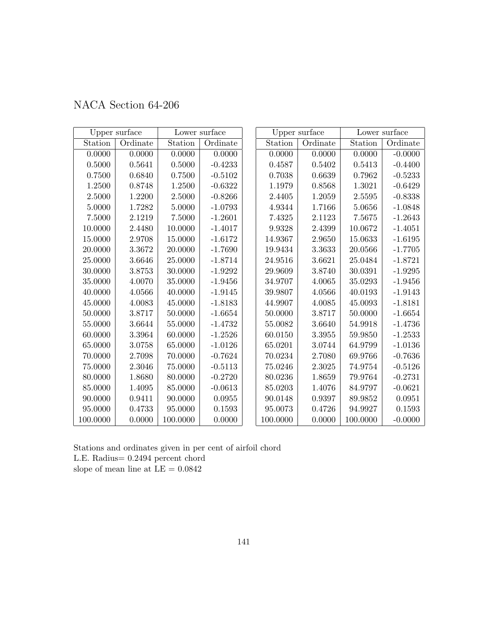|             | Upper surface |          | Lower surface |          | Upper surface |          | Lower surface |
|-------------|---------------|----------|---------------|----------|---------------|----------|---------------|
| Station     | Ordinate      | Station  | Ordinate      | Station  | Ordinate      | Station  | Ordinate      |
| 0.0000      | 0.0000        | 0.0000   | 0.0000        | 0.0000   | 0.0000        | 0.0000   | $-0.0000$     |
| 0.5000      | 0.5641        | 0.5000   | $-0.4233$     | 0.4587   | 0.5402        | 0.5413   | $-0.4400$     |
| 0.7500      | 0.6840        | 0.7500   | $-0.5102$     | 0.7038   | 0.6639        | 0.7962   | $-0.5233$     |
| 1.2500      | 0.8748        | 1.2500   | $-0.6322$     | 1.1979   | 0.8568        | 1.3021   | $-0.6429$     |
| 2.5000      | 1.2200        | 2.5000   | $-0.8266$     | 2.4405   | 1.2059        | 2.5595   | $-0.8338$     |
| 5.0000      | 1.7282        | 5.0000   | $-1.0793$     | 4.9344   | 1.7166        | 5.0656   | $-1.0848$     |
| 7.5000      | 2.1219        | 7.5000   | $-1.2601$     | 7.4325   | 2.1123        | 7.5675   | $-1.2643$     |
| 10.0000     | 2.4480        | 10.0000  | $-1.4017$     | 9.9328   | 2.4399        | 10.0672  | $-1.4051$     |
| 15.0000     | 2.9708        | 15.0000  | $-1.6172$     | 14.9367  | 2.9650        | 15.0633  | $-1.6195$     |
| 20.0000     | 3.3672        | 20.0000  | $-1.7690$     | 19.9434  | 3.3633        | 20.0566  | $-1.7705$     |
| 25.0000     | 3.6646        | 25.0000  | $-1.8714$     | 24.9516  | 3.6621        | 25.0484  | $-1.8721$     |
| 30.0000     | 3.8753        | 30.0000  | $-1.9292$     | 29.9609  | 3.8740        | 30.0391  | $-1.9295$     |
| 35.0000     | 4.0070        | 35.0000  | $-1.9456$     | 34.9707  | 4.0065        | 35.0293  | $-1.9456$     |
| 40.0000     | 4.0566        | 40.0000  | $-1.9145$     | 39.9807  | 4.0566        | 40.0193  | $-1.9143$     |
| 45.0000     | 4.0083        | 45.0000  | $-1.8183$     | 44.9907  | 4.0085        | 45.0093  | $-1.8181$     |
| 50.0000     | 3.8717        | 50.0000  | $-1.6654$     | 50.0000  | 3.8717        | 50.0000  | $-1.6654$     |
| 55.0000     | 3.6644        | 55.0000  | $-1.4732$     | 55.0082  | 3.6640        | 54.9918  | $-1.4736$     |
| 60.0000     | 3.3964        | 60.0000  | $-1.2526$     | 60.0150  | 3.3955        | 59.9850  | $-1.2533$     |
| 65.0000     | 3.0758        | 65.0000  | $-1.0126$     | 65.0201  | 3.0744        | 64.9799  | $-1.0136$     |
| 70.0000     | 2.7098        | 70.0000  | $-0.7624$     | 70.0234  | 2.7080        | 69.9766  | $-0.7636$     |
| $75.0000\,$ | 2.3046        | 75.0000  | $-0.5113$     | 75.0246  | 2.3025        | 74.9754  | $-0.5126$     |
| 80.0000     | 1.8680        | 80.0000  | $-0.2720$     | 80.0236  | 1.8659        | 79.9764  | $-0.2731$     |
| 85.0000     | 1.4095        | 85.0000  | $-0.0613$     | 85.0203  | 1.4076        | 84.9797  | $-0.0621$     |
| 90.0000     | 0.9411        | 90.0000  | 0.0955        | 90.0148  | 0.9397        | 89.9852  | 0.0951        |
| 95.0000     | 0.4733        | 95.0000  | 0.1593        | 95.0073  | 0.4726        | 94.9927  | 0.1593        |
| 100.0000    | 0.0000        | 100.0000 | 0.0000        | 100.0000 | 0.0000        | 100.0000 | $-0.0000$     |

Stations and ordinates given in per cent of airfoil chord L.E. Radius= 0.2494 percent chord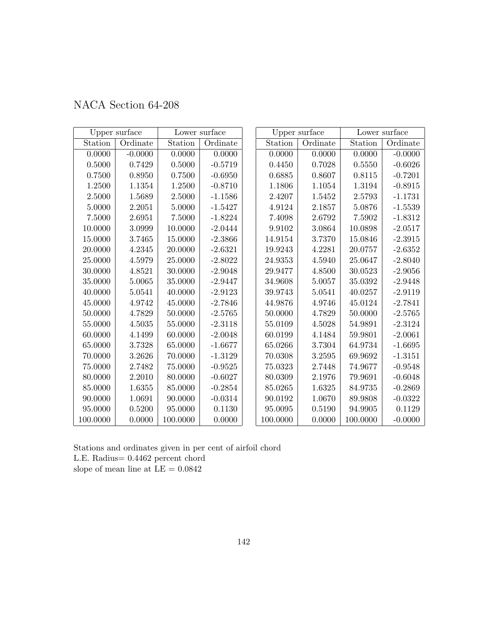|          | Upper surface |          | Lower surface |          | Upper surface |            | Lower surface |
|----------|---------------|----------|---------------|----------|---------------|------------|---------------|
| Station  | Ordinate      | Station  | Ordinate      | Station  | Ordinate      | Station    | Ordinate      |
| 0.0000   | $-0.0000$     | 0.0000   | 0.0000        | 0.0000   | 0.0000        | 0.0000     | $-0.0000$     |
| 0.5000   | 0.7429        | 0.5000   | $-0.5719$     | 0.4450   | 0.7028        | 0.5550     | $-0.6026$     |
| 0.7500   | 0.8950        | 0.7500   | $-0.6950$     | 0.6885   | 0.8607        | 0.8115     | $-0.7201$     |
| 1.2500   | 1.1354        | 1.2500   | $-0.8710$     | 1.1806   | 1.1054        | 1.3194     | $-0.8915$     |
| 2.5000   | 1.5689        | 2.5000   | $-1.1586$     | 2.4207   | 1.5452        | 2.5793     | $-1.1731$     |
| 5.0000   | 2.2051        | 5.0000   | $-1.5427$     | 4.9124   | 2.1857        | $5.0876\,$ | $-1.5539$     |
| 7.5000   | 2.6951        | 7.5000   | $-1.8224$     | 7.4098   | 2.6792        | 7.5902     | $-1.8312$     |
| 10.0000  | 3.0999        | 10.0000  | $-2.0444$     | 9.9102   | 3.0864        | 10.0898    | $-2.0517$     |
| 15.0000  | 3.7465        | 15.0000  | $-2.3866$     | 14.9154  | 3.7370        | 15.0846    | $-2.3915$     |
| 20.0000  | 4.2345        | 20.0000  | $-2.6321$     | 19.9243  | 4.2281        | 20.0757    | $-2.6352$     |
| 25.0000  | 4.5979        | 25.0000  | $-2.8022$     | 24.9353  | 4.5940        | 25.0647    | $-2.8040$     |
| 30.0000  | 4.8521        | 30.0000  | $-2.9048$     | 29.9477  | 4.8500        | 30.0523    | $-2.9056$     |
| 35.0000  | 5.0065        | 35.0000  | $-2.9447$     | 34.9608  | 5.0057        | 35.0392    | $-2.9448$     |
| 40.0000  | 5.0541        | 40.0000  | $-2.9123$     | 39.9743  | 5.0541        | 40.0257    | $-2.9119$     |
| 45.0000  | 4.9742        | 45.0000  | $-2.7846$     | 44.9876  | 4.9746        | 45.0124    | $-2.7841$     |
| 50.0000  | 4.7829        | 50.0000  | $-2.5765$     | 50.0000  | 4.7829        | 50.0000    | $-2.5765$     |
| 55.0000  | 4.5035        | 55.0000  | $-2.3118$     | 55.0109  | 4.5028        | 54.9891    | $-2.3124$     |
| 60.0000  | 4.1499        | 60.0000  | $-2.0048$     | 60.0199  | 4.1484        | 59.9801    | $-2.0061$     |
| 65.0000  | 3.7328        | 65.0000  | $-1.6677$     | 65.0266  | 3.7304        | 64.9734    | $-1.6695$     |
| 70.0000  | 3.2626        | 70.0000  | $-1.3129$     | 70.0308  | 3.2595        | 69.9692    | $-1.3151$     |
| 75.0000  | 2.7482        | 75.0000  | $-0.9525$     | 75.0323  | 2.7448        | 74.9677    | $-0.9548$     |
| 80.0000  | 2.2010        | 80.0000  | $-0.6027$     | 80.0309  | 2.1976        | 79.9691    | $-0.6048$     |
| 85.0000  | 1.6355        | 85.0000  | $-0.2854$     | 85.0265  | 1.6325        | 84.9735    | $-0.2869$     |
| 90.0000  | 1.0691        | 90.0000  | $-0.0314$     | 90.0192  | 1.0670        | 89.9808    | $-0.0322$     |
| 95.0000  | 0.5200        | 95.0000  | 0.1130        | 95.0095  | 0.5190        | 94.9905    | 0.1129        |
| 100.0000 | 0.0000        | 100.0000 | 0.0000        | 100.0000 | 0.0000        | 100.0000   | $-0.0000$     |

Stations and ordinates given in per cent of airfoil chord L.E. Radius= 0.4462 percent chord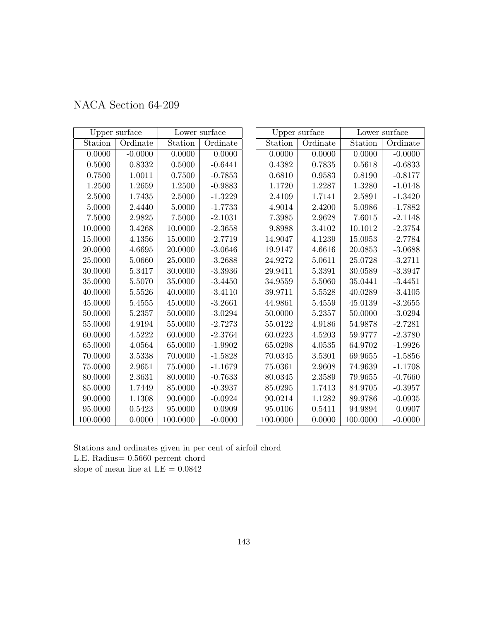| NACA Section 64-209 |  |  |
|---------------------|--|--|
|---------------------|--|--|

|             | Upper surface |          | Lower surface |          | Upper surface |            | Lower surface |
|-------------|---------------|----------|---------------|----------|---------------|------------|---------------|
| Station     | Ordinate      | Station  | Ordinate      | Station  | Ordinate      | Station    | Ordinate      |
| 0.0000      | $-0.0000$     | 0.0000   | 0.0000        | 0.0000   | 0.0000        | 0.0000     | $-0.0000$     |
| 0.5000      | 0.8332        | 0.5000   | $-0.6441$     | 0.4382   | 0.7835        | 0.5618     | $-0.6833$     |
| 0.7500      | 1.0011        | 0.7500   | $-0.7853$     | 0.6810   | 0.9583        | $0.8190\,$ | $-0.8177$     |
| 1.2500      | 1.2659        | 1.2500   | $-0.9883$     | 1.1720   | 1.2287        | 1.3280     | $-1.0148$     |
| 2.5000      | 1.7435        | 2.5000   | $-1.3229$     | 2.4109   | 1.7141        | 2.5891     | $-1.3420$     |
| 5.0000      | 2.4440        | 5.0000   | $-1.7733$     | 4.9014   | 2.4200        | 5.0986     | $-1.7882$     |
| 7.5000      | 2.9825        | 7.5000   | $-2.1031$     | 7.3985   | 2.9628        | 7.6015     | $-2.1148$     |
| 10.0000     | 3.4268        | 10.0000  | $-2.3658$     | 9.8988   | 3.4102        | 10.1012    | $-2.3754$     |
| 15.0000     | 4.1356        | 15.0000  | $-2.7719$     | 14.9047  | 4.1239        | 15.0953    | $-2.7784$     |
| 20.0000     | 4.6695        | 20.0000  | $-3.0646$     | 19.9147  | 4.6616        | 20.0853    | $-3.0688$     |
| 25.0000     | 5.0660        | 25.0000  | $-3.2688$     | 24.9272  | 5.0611        | 25.0728    | $-3.2711$     |
| 30.0000     | 5.3417        | 30.0000  | $-3.3936$     | 29.9411  | 5.3391        | 30.0589    | $-3.3947$     |
| 35.0000     | 5.5070        | 35.0000  | $-3.4450$     | 34.9559  | 5.5060        | 35.0441    | $-3.4451$     |
| 40.0000     | 5.5526        | 40.0000  | $-3.4110$     | 39.9711  | 5.5528        | 40.0289    | $-3.4105$     |
| 45.0000     | 5.4555        | 45.0000  | $-3.2661$     | 44.9861  | 5.4559        | 45.0139    | $-3.2655$     |
| 50.0000     | 5.2357        | 50.0000  | $-3.0294$     | 50.0000  | 5.2357        | 50.0000    | $-3.0294$     |
| 55.0000     | 4.9194        | 55.0000  | $-2.7273$     | 55.0122  | 4.9186        | 54.9878    | $-2.7281$     |
| 60.0000     | 4.5222        | 60.0000  | $-2.3764$     | 60.0223  | 4.5203        | 59.9777    | $-2.3780$     |
| 65.0000     | 4.0564        | 65.0000  | $-1.9902$     | 65.0298  | 4.0535        | 64.9702    | $-1.9926$     |
| 70.0000     | 3.5338        | 70.0000  | $-1.5828$     | 70.0345  | 3.5301        | 69.9655    | $-1.5856$     |
| $75.0000\,$ | 2.9651        | 75.0000  | $-1.1679$     | 75.0361  | 2.9608        | 74.9639    | $-1.1708$     |
| 80.0000     | 2.3631        | 80.0000  | $-0.7633$     | 80.0345  | 2.3589        | 79.9655    | $-0.7660$     |
| 85.0000     | 1.7449        | 85.0000  | $-0.3937$     | 85.0295  | 1.7413        | 84.9705    | $-0.3957$     |
| 90.0000     | 1.1308        | 90.0000  | $-0.0924$     | 90.0214  | 1.1282        | 89.9786    | $-0.0935$     |
| 95.0000     | 0.5423        | 95.0000  | 0.0909        | 95.0106  | 0.5411        | 94.9894    | 0.0907        |
| 100.0000    | 0.0000        | 100.0000 | $-0.0000$     | 100.0000 | 0.0000        | 100.0000   | $-0.0000$     |

Stations and ordinates given in per cent of airfoil chord L.E. Radius= 0.5660 percent chord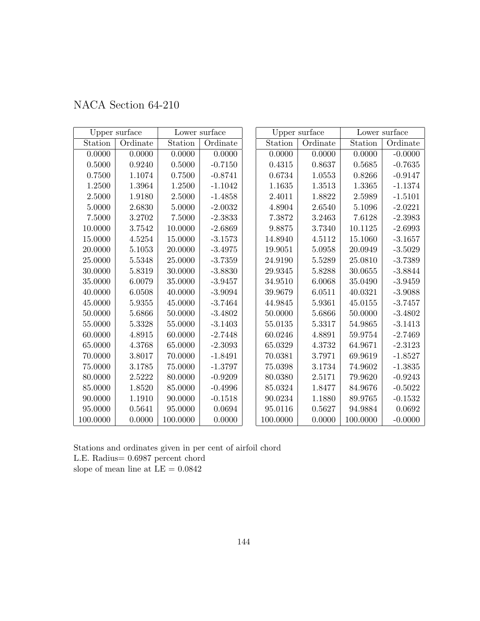| NACA Section 64-210 |  |  |
|---------------------|--|--|
|---------------------|--|--|

|             | Upper surface |          | Lower surface |          | Upper surface |              | Lower surface |
|-------------|---------------|----------|---------------|----------|---------------|--------------|---------------|
| Station     | Ordinate      | Station  | Ordinate      | Station  | Ordinate      | Station      | Ordinate      |
| 0.0000      | 0.0000        | 0.0000   | 0.0000        | 0.0000   | 0.0000        | 0.0000       | $-0.0000$     |
| $0.5000\,$  | 0.9240        | 0.5000   | $-0.7150$     | 0.4315   | 0.8637        | $\,0.5685\,$ | $-0.7635$     |
| 0.7500      | 1.1074        | 0.7500   | $-0.8741$     | 0.6734   | 1.0553        | 0.8266       | $-0.9147$     |
| 1.2500      | 1.3964        | 1.2500   | $-1.1042$     | 1.1635   | 1.3513        | 1.3365       | $-1.1374$     |
| 2.5000      | 1.9180        | 2.5000   | $-1.4858$     | 2.4011   | 1.8822        | 2.5989       | $-1.5101$     |
| 5.0000      | 2.6830        | 5.0000   | $-2.0032$     | 4.8904   | 2.6540        | 5.1096       | $-2.0221$     |
| 7.5000      | 3.2702        | 7.5000   | $-2.3833$     | 7.3872   | 3.2463        | 7.6128       | $-2.3983$     |
| 10.0000     | 3.7542        | 10.0000  | $-2.6869$     | 9.8875   | 3.7340        | 10.1125      | $-2.6993$     |
| 15.0000     | 4.5254        | 15.0000  | $-3.1573$     | 14.8940  | 4.5112        | 15.1060      | $-3.1657$     |
| 20.0000     | 5.1053        | 20.0000  | $-3.4975$     | 19.9051  | 5.0958        | 20.0949      | $-3.5029$     |
| 25.0000     | 5.5348        | 25.0000  | $-3.7359$     | 24.9190  | 5.5289        | 25.0810      | $-3.7389$     |
| 30.0000     | 5.8319        | 30.0000  | $-3.8830$     | 29.9345  | 5.8288        | 30.0655      | $-3.8844$     |
| 35.0000     | 6.0079        | 35.0000  | $-3.9457$     | 34.9510  | 6.0068        | 35.0490      | $-3.9459$     |
| 40.0000     | 6.0508        | 40.0000  | $-3.9094$     | 39.9679  | 6.0511        | 40.0321      | $-3.9088$     |
| 45.0000     | $5.9355\,$    | 45.0000  | $-3.7464$     | 44.9845  | 5.9361        | 45.0155      | $-3.7457$     |
| 50.0000     | 5.6866        | 50.0000  | $-3.4802$     | 50.0000  | 5.6866        | 50.0000      | $-3.4802$     |
| 55.0000     | 5.3328        | 55.0000  | $-3.1403$     | 55.0135  | 5.3317        | 54.9865      | $-3.1413$     |
| 60.0000     | 4.8915        | 60.0000  | $-2.7448$     | 60.0246  | 4.8891        | 59.9754      | $-2.7469$     |
| 65.0000     | 4.3768        | 65.0000  | $-2.3093$     | 65.0329  | 4.3732        | 64.9671      | $-2.3123$     |
| 70.0000     | 3.8017        | 70.0000  | $-1.8491$     | 70.0381  | 3.7971        | 69.9619      | $-1.8527$     |
| $75.0000\,$ | 3.1785        | 75.0000  | $-1.3797$     | 75.0398  | 3.1734        | 74.9602      | $-1.3835$     |
| 80.0000     | 2.5222        | 80.0000  | $-0.9209$     | 80.0380  | 2.5171        | 79.9620      | $-0.9243$     |
| 85.0000     | 1.8520        | 85.0000  | $-0.4996$     | 85.0324  | 1.8477        | 84.9676      | $-0.5022$     |
| 90.0000     | 1.1910        | 90.0000  | $-0.1518$     | 90.0234  | 1.1880        | 89.9765      | $-0.1532$     |
| 95.0000     | 0.5641        | 95.0000  | 0.0694        | 95.0116  | 0.5627        | 94.9884      | 0.0692        |
| 100.0000    | 0.0000        | 100.0000 | 0.0000        | 100.0000 | 0.0000        | 100.0000     | $-0.0000$     |

Stations and ordinates given in per cent of airfoil chord L.E. Radius= 0.6987 percent chord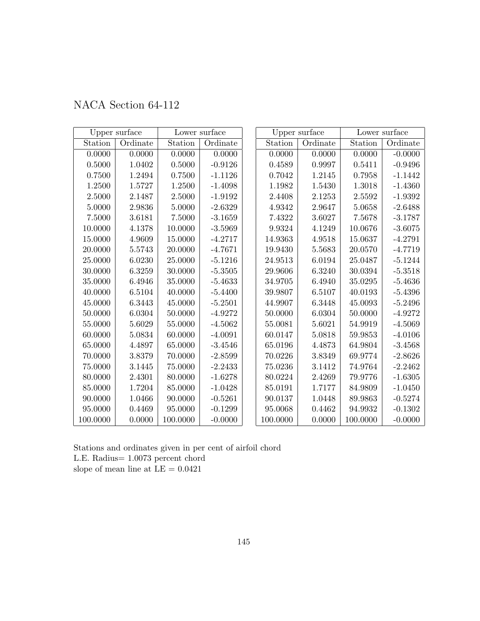|  | NACA Section 64-112 |  |
|--|---------------------|--|
|--|---------------------|--|

|            | Upper surface |            | Lower surface |          | Upper surface |          | Lower surface |
|------------|---------------|------------|---------------|----------|---------------|----------|---------------|
| Station    | Ordinate      | Station    | Ordinate      | Station  | Ordinate      | Station  | Ordinate      |
| 0.0000     | 0.0000        | 0.0000     | 0.0000        | 0.0000   | 0.0000        | 0.0000   | $-0.0000$     |
| $0.5000\,$ | 1.0402        | $0.5000\,$ | $-0.9126$     | 0.4589   | 0.9997        | 0.5411   | $-0.9496$     |
| 0.7500     | 1.2494        | 0.7500     | $-1.1126$     | 0.7042   | 1.2145        | 0.7958   | $-1.1442$     |
| 1.2500     | 1.5727        | 1.2500     | $-1.4098$     | 1.1982   | 1.5430        | 1.3018   | $-1.4360$     |
| 2.5000     | 2.1487        | 2.5000     | $-1.9192$     | 2.4408   | 2.1253        | 2.5592   | $-1.9392$     |
| 5.0000     | 2.9836        | 5.0000     | $-2.6329$     | 4.9342   | 2.9647        | 5.0658   | $-2.6488$     |
| 7.5000     | 3.6181        | 7.5000     | $-3.1659$     | 7.4322   | 3.6027        | 7.5678   | $-3.1787$     |
| 10.0000    | 4.1378        | 10.0000    | $-3.5969$     | 9.9324   | 4.1249        | 10.0676  | $-3.6075$     |
| 15.0000    | 4.9609        | 15.0000    | $-4.2717$     | 14.9363  | 4.9518        | 15.0637  | $-4.2791$     |
| 20.0000    | 5.5743        | 20.0000    | $-4.7671$     | 19.9430  | 5.5683        | 20.0570  | $-4.7719$     |
| 25.0000    | 6.0230        | 25.0000    | $-5.1216$     | 24.9513  | 6.0194        | 25.0487  | $-5.1244$     |
| 30.0000    | 6.3259        | 30.0000    | $-5.3505$     | 29.9606  | 6.3240        | 30.0394  | $-5.3518$     |
| 35.0000    | 6.4946        | 35.0000    | $-5.4633$     | 34.9705  | 6.4940        | 35.0295  | $-5.4636$     |
| 40.0000    | 6.5104        | 40.0000    | $-5.4400$     | 39.9807  | 6.5107        | 40.0193  | $-5.4396$     |
| 45.0000    | 6.3443        | 45.0000    | $-5.2501$     | 44.9907  | 6.3448        | 45.0093  | $-5.2496$     |
| 50.0000    | 6.0304        | 50.0000    | $-4.9272$     | 50.0000  | 6.0304        | 50.0000  | $-4.9272$     |
| 55.0000    | 5.6029        | 55.0000    | $-4.5062$     | 55.0081  | 5.6021        | 54.9919  | $-4.5069$     |
| 60.0000    | 5.0834        | 60.0000    | $-4.0091$     | 60.0147  | 5.0818        | 59.9853  | $-4.0106$     |
| 65.0000    | 4.4897        | 65.0000    | $-3.4546$     | 65.0196  | 4.4873        | 64.9804  | $-3.4568$     |
| 70.0000    | 3.8379        | 70.0000    | $-2.8599$     | 70.0226  | 3.8349        | 69.9774  | $-2.8626$     |
| 75.0000    | 3.1445        | 75.0000    | $-2.2433$     | 75.0236  | 3.1412        | 74.9764  | $-2.2462$     |
| 80.0000    | 2.4301        | 80.0000    | $-1.6278$     | 80.0224  | 2.4269        | 79.9776  | $-1.6305$     |
| 85.0000    | 1.7204        | 85.0000    | $-1.0428$     | 85.0191  | 1.7177        | 84.9809  | $-1.0450$     |
| 90.0000    | 1.0466        | 90.0000    | $-0.5261$     | 90.0137  | 1.0448        | 89.9863  | $-0.5274$     |
| 95.0000    | 0.4469        | 95.0000    | $-0.1299$     | 95.0068  | 0.4462        | 94.9932  | $-0.1302$     |
| 100.0000   | 0.0000        | 100.0000   | $-0.0000$     | 100.0000 | 0.0000        | 100.0000 | $-0.0000$     |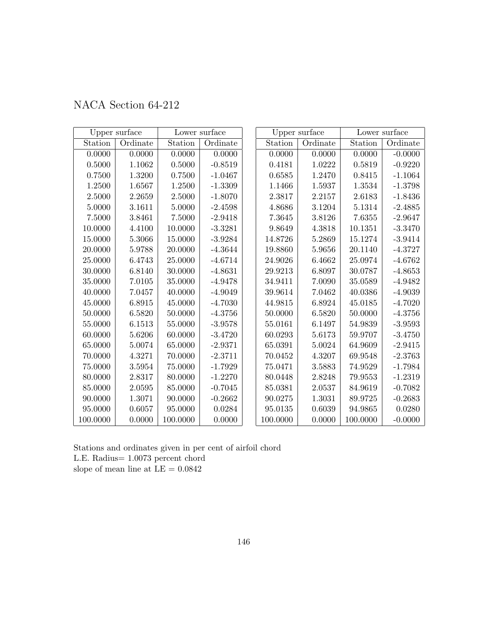|             | Upper surface |          | Lower surface |          | Upper surface |          | Lower surface |
|-------------|---------------|----------|---------------|----------|---------------|----------|---------------|
| Station     | Ordinate      | Station  | Ordinate      | Station  | Ordinate      | Station  | Ordinate      |
| 0.0000      | 0.0000        | 0.0000   | 0.0000        | 0.0000   | 0.0000        | 0.0000   | $-0.0000$     |
| 0.5000      | 1.1062        | 0.5000   | $-0.8519$     | 0.4181   | 1.0222        | 0.5819   | $-0.9220$     |
| 0.7500      | 1.3200        | 0.7500   | $-1.0467$     | 0.6585   | 1.2470        | 0.8415   | $-1.1064$     |
| 1.2500      | 1.6567        | 1.2500   | $-1.3309$     | 1.1466   | 1.5937        | 1.3534   | $-1.3798$     |
| 2.5000      | 2.2659        | 2.5000   | $-1.8070$     | 2.3817   | 2.2157        | 2.6183   | $-1.8436$     |
| 5.0000      | 3.1611        | 5.0000   | $-2.4598$     | 4.8686   | 3.1204        | 5.1314   | $-2.4885$     |
| 7.5000      | 3.8461        | 7.5000   | $-2.9418$     | 7.3645   | 3.8126        | 7.6355   | $-2.9647$     |
| 10.0000     | 4.4100        | 10.0000  | $-3.3281$     | 9.8649   | 4.3818        | 10.1351  | $-3.3470$     |
| 15.0000     | 5.3066        | 15.0000  | $-3.9284$     | 14.8726  | 5.2869        | 15.1274  | $-3.9414$     |
| 20.0000     | 5.9788        | 20.0000  | $-4.3644$     | 19.8860  | 5.9656        | 20.1140  | $-4.3727$     |
| 25.0000     | 6.4743        | 25.0000  | $-4.6714$     | 24.9026  | 6.4662        | 25.0974  | $-4.6762$     |
| 30.0000     | 6.8140        | 30.0000  | $-4.8631$     | 29.9213  | 6.8097        | 30.0787  | $-4.8653$     |
| 35.0000     | 7.0105        | 35.0000  | $-4.9478$     | 34.9411  | 7.0090        | 35.0589  | $-4.9482$     |
| 40.0000     | 7.0457        | 40.0000  | $-4.9049$     | 39.9614  | 7.0462        | 40.0386  | $-4.9039$     |
| 45.0000     | 6.8915        | 45.0000  | $-4.7030$     | 44.9815  | 6.8924        | 45.0185  | $-4.7020$     |
| 50.0000     | 6.5820        | 50.0000  | $-4.3756$     | 50.0000  | 6.5820        | 50.0000  | $-4.3756$     |
| 55.0000     | 6.1513        | 55.0000  | $-3.9578$     | 55.0161  | 6.1497        | 54.9839  | $-3.9593$     |
| 60.0000     | 5.6206        | 60.0000  | $-3.4720$     | 60.0293  | 5.6173        | 59.9707  | $-3.4750$     |
| 65.0000     | 5.0074        | 65.0000  | $-2.9371$     | 65.0391  | 5.0024        | 64.9609  | $-2.9415$     |
| 70.0000     | 4.3271        | 70.0000  | $-2.3711$     | 70.0452  | 4.3207        | 69.9548  | $-2.3763$     |
| $75.0000\,$ | 3.5954        | 75.0000  | $-1.7929$     | 75.0471  | 3.5883        | 74.9529  | $-1.7984$     |
| 80.0000     | 2.8317        | 80.0000  | $-1.2270$     | 80.0448  | 2.8248        | 79.9553  | $-1.2319$     |
| 85.0000     | 2.0595        | 85.0000  | $-0.7045$     | 85.0381  | 2.0537        | 84.9619  | $-0.7082$     |
| 90.0000     | 1.3071        | 90.0000  | $-0.2662$     | 90.0275  | 1.3031        | 89.9725  | $-0.2683$     |
| 95.0000     | 0.6057        | 95.0000  | 0.0284        | 95.0135  | 0.6039        | 94.9865  | 0.0280        |
| 100.0000    | 0.0000        | 100.0000 | 0.0000        | 100.0000 | 0.0000        | 100.0000 | $-0.0000$     |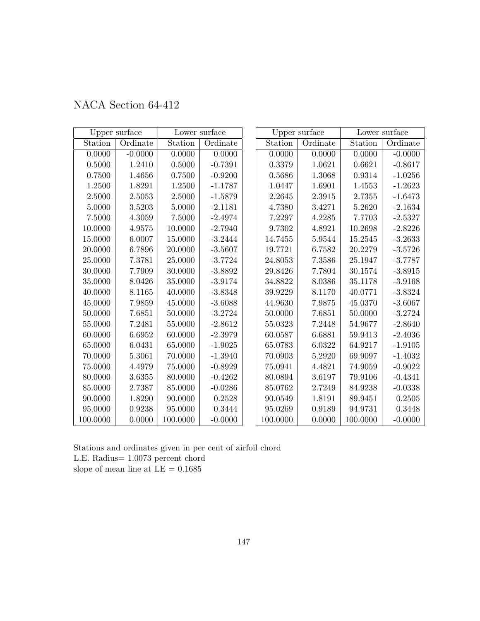|            | Upper surface |          | Lower surface |          | Upper surface |          | Lower surface |
|------------|---------------|----------|---------------|----------|---------------|----------|---------------|
| Station    | Ordinate      | Station  | Ordinate      | Station  | Ordinate      | Station  | Ordinate      |
| 0.0000     | $-0.0000$     | 0.0000   | 0.0000        | 0.0000   | 0.0000        | 0.0000   | $-0.0000$     |
| $0.5000\,$ | $1.2410\,$    | 0.5000   | $-0.7391$     | 0.3379   | 1.0621        | 0.6621   | $-0.8617$     |
| 0.7500     | 1.4656        | 0.7500   | $-0.9200$     | 0.5686   | 1.3068        | 0.9314   | $-1.0256$     |
| 1.2500     | 1.8291        | 1.2500   | $-1.1787$     | 1.0447   | 1.6901        | 1.4553   | $-1.2623$     |
| 2.5000     | $2.5053\,$    | 2.5000   | $-1.5879$     | 2.2645   | 2.3915        | 2.7355   | $-1.6473$     |
| 5.0000     | 3.5203        | 5.0000   | $-2.1181$     | 4.7380   | 3.4271        | 5.2620   | $-2.1634$     |
| 7.5000     | 4.3059        | 7.5000   | $-2.4974$     | 7.2297   | 4.2285        | 7.7703   | $-2.5327$     |
| 10.0000    | 4.9575        | 10.0000  | $-2.7940$     | 9.7302   | 4.8921        | 10.2698  | $-2.8226$     |
| 15.0000    | 6.0007        | 15.0000  | $-3.2444$     | 14.7455  | 5.9544        | 15.2545  | $-3.2633$     |
| 20.0000    | 6.7896        | 20.0000  | $-3.5607$     | 19.7721  | 6.7582        | 20.2279  | $-3.5726$     |
| 25.0000    | 7.3781        | 25.0000  | $-3.7724$     | 24.8053  | 7.3586        | 25.1947  | $-3.7787$     |
| 30.0000    | 7.7909        | 30.0000  | $-3.8892$     | 29.8426  | 7.7804        | 30.1574  | $-3.8915$     |
| 35.0000    | 8.0426        | 35.0000  | $-3.9174$     | 34.8822  | 8.0386        | 35.1178  | $-3.9168$     |
| 40.0000    | 8.1165        | 40.0000  | $-3.8348$     | 39.9229  | 8.1170        | 40.0771  | $-3.8324$     |
| 45.0000    | 7.9859        | 45.0000  | $-3.6088$     | 44.9630  | 7.9875        | 45.0370  | $-3.6067$     |
| 50.0000    | 7.6851        | 50.0000  | $-3.2724$     | 50.0000  | 7.6851        | 50.0000  | $-3.2724$     |
| 55.0000    | 7.2481        | 55.0000  | $-2.8612$     | 55.0323  | 7.2448        | 54.9677  | $-2.8640$     |
| 60.0000    | 6.6952        | 60.0000  | $-2.3979$     | 60.0587  | 6.6881        | 59.9413  | $-2.4036$     |
| 65.0000    | 6.0431        | 65.0000  | $-1.9025$     | 65.0783  | 6.0322        | 64.9217  | $-1.9105$     |
| 70.0000    | 5.3061        | 70.0000  | $-1.3940$     | 70.0903  | 5.2920        | 69.9097  | $-1.4032$     |
| 75.0000    | 4.4979        | 75.0000  | $-0.8929$     | 75.0941  | 4.4821        | 74.9059  | $-0.9022$     |
| 80.0000    | 3.6355        | 80.0000  | $-0.4262$     | 80.0894  | 3.6197        | 79.9106  | $-0.4341$     |
| 85.0000    | 2.7387        | 85.0000  | $-0.0286$     | 85.0762  | 2.7249        | 84.9238  | $-0.0338$     |
| 90.0000    | 1.8290        | 90.0000  | 0.2528        | 90.0549  | 1.8191        | 89.9451  | 0.2505        |
| 95.0000    | 0.9238        | 95.0000  | 0.3444        | 95.0269  | 0.9189        | 94.9731  | 0.3448        |
| 100.0000   | 0.0000        | 100.0000 | $-0.0000$     | 100.0000 | 0.0000        | 100.0000 | $-0.0000$     |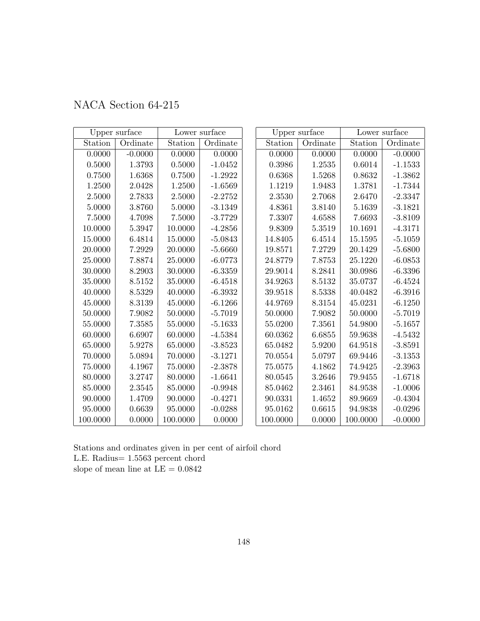| NACA Section 64-215 |  |  |  |
|---------------------|--|--|--|
|---------------------|--|--|--|

|             | Upper surface |          | Lower surface |          | Upper surface |          | Lower surface |
|-------------|---------------|----------|---------------|----------|---------------|----------|---------------|
| Station     | Ordinate      | Station  | Ordinate      | Station  | Ordinate      | Station  | Ordinate      |
| 0.0000      | $-0.0000$     | 0.0000   | 0.0000        | 0.0000   | 0.0000        | 0.0000   | $-0.0000$     |
| $0.5000\,$  | $1.3793\,$    | 0.5000   | $-1.0452$     | 0.3986   | 1.2535        | 0.6014   | $-1.1533$     |
| 0.7500      | 1.6368        | 0.7500   | $-1.2922$     | 0.6368   | 1.5268        | 0.8632   | $-1.3862$     |
| 1.2500      | 2.0428        | 1.2500   | $-1.6569$     | 1.1219   | 1.9483        | 1.3781   | $-1.7344$     |
| 2.5000      | 2.7833        | 2.5000   | $-2.2752$     | 2.3530   | 2.7068        | 2.6470   | $-2.3347$     |
| 5.0000      | 3.8760        | 5.0000   | $-3.1349$     | 4.8361   | 3.8140        | 5.1639   | $-3.1821$     |
| 7.5000      | 4.7098        | 7.5000   | $-3.7729$     | 7.3307   | 4.6588        | 7.6693   | $-3.8109$     |
| 10.0000     | 5.3947        | 10.0000  | $-4.2856$     | 9.8309   | 5.3519        | 10.1691  | $-4.3171$     |
| 15.0000     | 6.4814        | 15.0000  | $-5.0843$     | 14.8405  | 6.4514        | 15.1595  | $-5.1059$     |
| 20.0000     | 7.2929        | 20.0000  | $-5.6660$     | 19.8571  | 7.2729        | 20.1429  | $-5.6800$     |
| 25.0000     | 7.8874        | 25.0000  | $-6.0773$     | 24.8779  | 7.8753        | 25.1220  | $-6.0853$     |
| 30.0000     | 8.2903        | 30.0000  | $-6.3359$     | 29.9014  | 8.2841        | 30.0986  | $-6.3396$     |
| 35.0000     | 8.5152        | 35.0000  | $-6.4518$     | 34.9263  | 8.5132        | 35.0737  | $-6.4524$     |
| 40.0000     | 8.5329        | 40.0000  | $-6.3932$     | 39.9518  | 8.5338        | 40.0482  | $-6.3916$     |
| 45.0000     | 8.3139        | 45.0000  | $-6.1266$     | 44.9769  | 8.3154        | 45.0231  | $-6.1250$     |
| 50.0000     | 7.9082        | 50.0000  | $-5.7019$     | 50.0000  | 7.9082        | 50.0000  | $-5.7019$     |
| 55.0000     | 7.3585        | 55.0000  | $-5.1633$     | 55.0200  | 7.3561        | 54.9800  | $-5.1657$     |
| 60.0000     | 6.6907        | 60.0000  | $-4.5384$     | 60.0362  | 6.6855        | 59.9638  | $-4.5432$     |
| 65.0000     | 5.9278        | 65.0000  | $-3.8523$     | 65.0482  | 5.9200        | 64.9518  | $-3.8591$     |
| 70.0000     | 5.0894        | 70.0000  | $-3.1271$     | 70.0554  | 5.0797        | 69.9446  | $-3.1353$     |
| $75.0000\,$ | 4.1967        | 75.0000  | $-2.3878$     | 75.0575  | 4.1862        | 74.9425  | $-2.3963$     |
| 80.0000     | 3.2747        | 80.0000  | $-1.6641$     | 80.0545  | 3.2646        | 79.9455  | $-1.6718$     |
| 85.0000     | 2.3545        | 85.0000  | $-0.9948$     | 85.0462  | 2.3461        | 84.9538  | $-1.0006$     |
| 90.0000     | 1.4709        | 90.0000  | $-0.4271$     | 90.0331  | 1.4652        | 89.9669  | $-0.4304$     |
| 95.0000     | 0.6639        | 95.0000  | $-0.0288$     | 95.0162  | 0.6615        | 94.9838  | $-0.0296$     |
| 100.0000    | 0.0000        | 100.0000 | 0.0000        | 100.0000 | 0.0000        | 100.0000 | $-0.0000$     |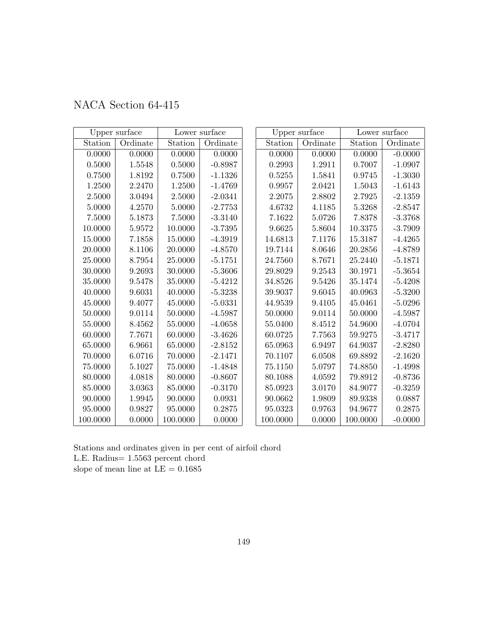|  | NACA Section 64-415 |  |
|--|---------------------|--|
|--|---------------------|--|

|            | Upper surface |          | Lower surface |          | Upper surface |          | Lower surface |
|------------|---------------|----------|---------------|----------|---------------|----------|---------------|
| Station    | Ordinate      | Station  | Ordinate      | Station  | Ordinate      | Station  | Ordinate      |
| 0.0000     | 0.0000        | 0.0000   | 0.0000        | 0.0000   | 0.0000        | 0.0000   | $-0.0000$     |
| $0.5000\,$ | 1.5548        | 0.5000   | $-0.8987$     | 0.2993   | 1.2911        | 0.7007   | $-1.0907$     |
| 0.7500     | 1.8192        | 0.7500   | $-1.1326$     | 0.5255   | 1.5841        | 0.9745   | $-1.3030$     |
| 1.2500     | 2.2470        | 1.2500   | $-1.4769$     | 0.9957   | 2.0421        | 1.5043   | $-1.6143$     |
| 2.5000     | $3.0494\,$    | 2.5000   | $-2.0341$     | 2.2075   | 2.8802        | 2.7925   | $-2.1359$     |
| 5.0000     | 4.2570        | 5.0000   | $-2.7753$     | 4.6732   | 4.1185        | 5.3268   | $-2.8547$     |
| 7.5000     | 5.1873        | 7.5000   | $-3.3140$     | 7.1622   | 5.0726        | 7.8378   | $-3.3768$     |
| 10.0000    | 5.9572        | 10.0000  | $-3.7395$     | 9.6625   | 5.8604        | 10.3375  | $-3.7909$     |
| 15.0000    | 7.1858        | 15.0000  | $-4.3919$     | 14.6813  | 7.1176        | 15.3187  | $-4.4265$     |
| 20.0000    | 8.1106        | 20.0000  | $-4.8570$     | 19.7144  | 8.0646        | 20.2856  | $-4.8789$     |
| 25.0000    | 8.7954        | 25.0000  | $-5.1751$     | 24.7560  | 8.7671        | 25.2440  | $-5.1871$     |
| 30.0000    | 9.2693        | 30.0000  | $-5.3606$     | 29.8029  | 9.2543        | 30.1971  | $-5.3654$     |
| 35.0000    | 9.5478        | 35.0000  | $-5.4212$     | 34.8526  | 9.5426        | 35.1474  | $-5.4208$     |
| 40.0000    | 9.6031        | 40.0000  | $-5.3238$     | 39.9037  | 9.6045        | 40.0963  | $-5.3200$     |
| 45.0000    | 9.4077        | 45.0000  | $-5.0331$     | 44.9539  | 9.4105        | 45.0461  | $-5.0296$     |
| 50.0000    | 9.0114        | 50.0000  | $-4.5987$     | 50.0000  | 9.0114        | 50.0000  | $-4.5987$     |
| 55.0000    | 8.4562        | 55.0000  | $-4.0658$     | 55.0400  | 8.4512        | 54.9600  | $-4.0704$     |
| 60.0000    | 7.7671        | 60.0000  | $-3.4626$     | 60.0725  | 7.7563        | 59.9275  | $-3.4717$     |
| 65.0000    | 6.9661        | 65.0000  | $-2.8152$     | 65.0963  | 6.9497        | 64.9037  | $-2.8280$     |
| 70.0000    | 6.0716        | 70.0000  | $-2.1471$     | 70.1107  | 6.0508        | 69.8892  | $-2.1620$     |
| 75.0000    | 5.1027        | 75.0000  | $-1.4848$     | 75.1150  | 5.0797        | 74.8850  | $-1.4998$     |
| 80.0000    | 4.0818        | 80.0000  | $-0.8607$     | 80.1088  | 4.0592        | 79.8912  | $-0.8736$     |
| 85.0000    | 3.0363        | 85.0000  | $-0.3170$     | 85.0923  | 3.0170        | 84.9077  | $-0.3259$     |
| 90.0000    | 1.9945        | 90.0000  | 0.0931        | 90.0662  | 1.9809        | 89.9338  | 0.0887        |
| 95.0000    | 0.9827        | 95.0000  | 0.2875        | 95.0323  | 0.9763        | 94.9677  | 0.2875        |
| 100.0000   | 0.0000        | 100.0000 | 0.0000        | 100.0000 | 0.0000        | 100.0000 | $-0.0000$     |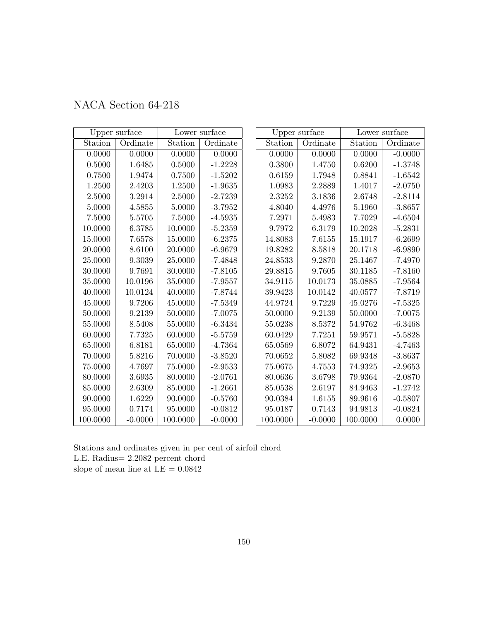| NACA Section 64-218 |  |  |  |
|---------------------|--|--|--|
|---------------------|--|--|--|

|            | Upper surface |          | Lower surface |          | Upper surface |          | Lower surface |
|------------|---------------|----------|---------------|----------|---------------|----------|---------------|
| Station    | Ordinate      | Station  | Ordinate      | Station  | Ordinate      | Station  | Ordinate      |
| 0.0000     | 0.0000        | 0.0000   | 0.0000        | 0.0000   | 0.0000        | 0.0000   | $-0.0000$     |
| $0.5000\,$ | 1.6485        | 0.5000   | $-1.2228$     | 0.3800   | 1.4750        | 0.6200   | $-1.3748$     |
| 0.7500     | 1.9474        | 0.7500   | $-1.5202$     | 0.6159   | 1.7948        | 0.8841   | $-1.6542$     |
| 1.2500     | 2.4203        | 1.2500   | $-1.9635$     | 1.0983   | 2.2889        | 1.4017   | $-2.0750$     |
| 2.5000     | 3.2914        | 2.5000   | $-2.7239$     | 2.3252   | 3.1836        | 2.6748   | $-2.8114$     |
| 5.0000     | 4.5855        | 5.0000   | $-3.7952$     | 4.8040   | 4.4976        | 5.1960   | $-3.8657$     |
| 7.5000     | 5.5705        | 7.5000   | $-4.5935$     | 7.2971   | 5.4983        | 7.7029   | $-4.6504$     |
| 10.0000    | 6.3785        | 10.0000  | $-5.2359$     | 9.7972   | 6.3179        | 10.2028  | $-5.2831$     |
| 15.0000    | 7.6578        | 15.0000  | $-6.2375$     | 14.8083  | 7.6155        | 15.1917  | $-6.2699$     |
| 20.0000    | 8.6100        | 20.0000  | $-6.9679$     | 19.8282  | 8.5818        | 20.1718  | $-6.9890$     |
| 25.0000    | 9.3039        | 25.0000  | $-7.4848$     | 24.8533  | 9.2870        | 25.1467  | $-7.4970$     |
| 30.0000    | 9.7691        | 30.0000  | $-7.8105$     | 29.8815  | 9.7605        | 30.1185  | $-7.8160$     |
| 35.0000    | 10.0196       | 35.0000  | $-7.9557$     | 34.9115  | 10.0173       | 35.0885  | $-7.9564$     |
| 40.0000    | 10.0124       | 40.0000  | $-7.8744$     | 39.9423  | 10.0142       | 40.0577  | $-7.8719$     |
| 45.0000    | 9.7206        | 45.0000  | $-7.5349$     | 44.9724  | 9.7229        | 45.0276  | $-7.5325$     |
| 50.0000    | 9.2139        | 50.0000  | $-7.0075$     | 50.0000  | 9.2139        | 50.0000  | $-7.0075$     |
| 55.0000    | 8.5408        | 55.0000  | $-6.3434$     | 55.0238  | 8.5372        | 54.9762  | $-6.3468$     |
| 60.0000    | 7.7325        | 60.0000  | $-5.5759$     | 60.0429  | 7.7251        | 59.9571  | $-5.5828$     |
| 65.0000    | 6.8181        | 65.0000  | $-4.7364$     | 65.0569  | 6.8072        | 64.9431  | $-4.7463$     |
| 70.0000    | 5.8216        | 70.0000  | $-3.8520$     | 70.0652  | 5.8082        | 69.9348  | $-3.8637$     |
| 75.0000    | 4.7697        | 75.0000  | $-2.9533$     | 75.0675  | 4.7553        | 74.9325  | $-2.9653$     |
| 80.0000    | 3.6935        | 80.0000  | $-2.0761$     | 80.0636  | 3.6798        | 79.9364  | $-2.0870$     |
| 85.0000    | 2.6309        | 85.0000  | $-1.2661$     | 85.0538  | 2.6197        | 84.9463  | $-1.2742$     |
| 90.0000    | 1.6229        | 90.0000  | $-0.5760$     | 90.0384  | 1.6155        | 89.9616  | $-0.5807$     |
| 95.0000    | 0.7174        | 95.0000  | $-0.0812$     | 95.0187  | 0.7143        | 94.9813  | $-0.0824$     |
| 100.0000   | $-0.0000$     | 100.0000 | $-0.0000$     | 100.0000 | $-0.0000$     | 100.0000 | 0.0000        |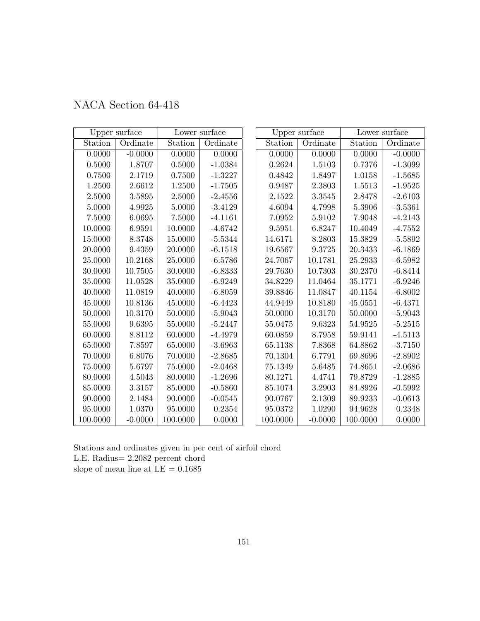| NACA Section 64-418 |  |
|---------------------|--|
|                     |  |

|             | Upper surface |            | Lower surface |          | Upper surface | Lower surface |           |  |
|-------------|---------------|------------|---------------|----------|---------------|---------------|-----------|--|
| Station     | Ordinate      | Station    | Ordinate      | Station  | Ordinate      | Station       | Ordinate  |  |
| 0.0000      | $-0.0000$     | 0.0000     | 0.0000        | 0.0000   | 0.0000        | 0.0000        | $-0.0000$ |  |
| 0.5000      | 1.8707        | 0.5000     | $-1.0384$     | 0.2624   | 1.5103        | 0.7376        | $-1.3099$ |  |
| 0.7500      | 2.1719        | 0.7500     | $-1.3227$     | 0.4842   | 1.8497        | 1.0158        | $-1.5685$ |  |
| 1.2500      | 2.6612        | 1.2500     | $-1.7505$     | 0.9487   | 2.3803        | 1.5513        | $-1.9525$ |  |
| 2.5000      | 3.5895        | $2.5000\,$ | $-2.4556$     | 2.1522   | 3.3545        | 2.8478        | $-2.6103$ |  |
| 5.0000      | 4.9925        | 5.0000     | $-3.4129$     | 4.6094   | 4.7998        | 5.3906        | $-3.5361$ |  |
| 7.5000      | 6.0695        | 7.5000     | $-4.1161$     | 7.0952   | 5.9102        | 7.9048        | $-4.2143$ |  |
| 10.0000     | 6.9591        | 10.0000    | $-4.6742$     | 9.5951   | 6.8247        | 10.4049       | $-4.7552$ |  |
| 15.0000     | 8.3748        | 15.0000    | $-5.5344$     | 14.6171  | 8.2803        | 15.3829       | $-5.5892$ |  |
| 20.0000     | 9.4359        | 20.0000    | $-6.1518$     | 19.6567  | 9.3725        | 20.3433       | $-6.1869$ |  |
| 25.0000     | 10.2168       | 25.0000    | $-6.5786$     | 24.7067  | 10.1781       | 25.2933       | $-6.5982$ |  |
| 30.0000     | 10.7505       | 30.0000    | $-6.8333$     | 29.7630  | 10.7303       | 30.2370       | $-6.8414$ |  |
| 35.0000     | 11.0528       | 35.0000    | $-6.9249$     | 34.8229  | 11.0464       | 35.1771       | $-6.9246$ |  |
| 40.0000     | 11.0819       | 40.0000    | $-6.8059$     | 39.8846  | 11.0847       | 40.1154       | $-6.8002$ |  |
| 45.0000     | 10.8136       | 45.0000    | $-6.4423$     | 44.9449  | 10.8180       | 45.0551       | $-6.4371$ |  |
| 50.0000     | 10.3170       | 50.0000    | $-5.9043$     | 50.0000  | 10.3170       | 50.0000       | $-5.9043$ |  |
| 55.0000     | 9.6395        | 55.0000    | $-5.2447$     | 55.0475  | 9.6323        | 54.9525       | $-5.2515$ |  |
| 60.0000     | 8.8112        | 60.0000    | $-4.4979$     | 60.0859  | 8.7958        | 59.9141       | $-4.5113$ |  |
| 65.0000     | 7.8597        | 65.0000    | $-3.6963$     | 65.1138  | 7.8368        | 64.8862       | $-3.7150$ |  |
| 70.0000     | 6.8076        | 70.0000    | $-2.8685$     | 70.1304  | 6.7791        | 69.8696       | $-2.8902$ |  |
| $75.0000\,$ | 5.6797        | 75.0000    | $-2.0468$     | 75.1349  | 5.6485        | 74.8651       | $-2.0686$ |  |
| 80.0000     | 4.5043        | 80.0000    | $-1.2696$     | 80.1271  | 4.4741        | 79.8729       | $-1.2885$ |  |
| 85.0000     | 3.3157        | 85.0000    | $-0.5860$     | 85.1074  | 3.2903        | 84.8926       | $-0.5992$ |  |
| 90.0000     | 2.1484        | 90.0000    | $-0.0545$     | 90.0767  | 2.1309        | 89.9233       | $-0.0613$ |  |
| 95.0000     | 1.0370        | 95.0000    | 0.2354        | 95.0372  | 1.0290        | 94.9628       | 0.2348    |  |
| 100.0000    | $-0.0000$     | 100.0000   | 0.0000        | 100.0000 | $-0.0000$     | 100.0000      | 0.0000    |  |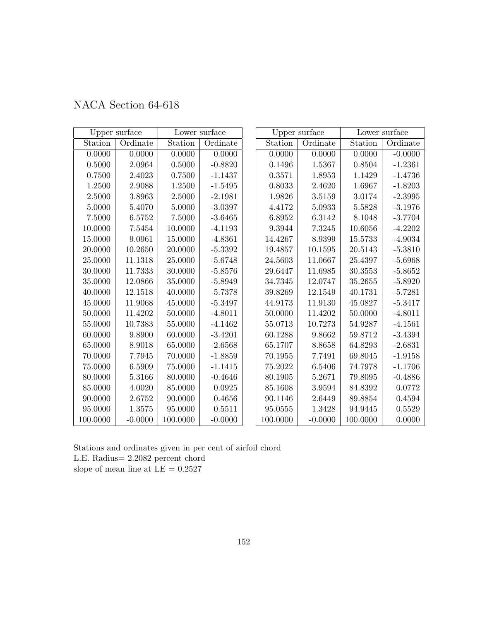| NACA Section 64-618 |  |  |  |  |
|---------------------|--|--|--|--|
|---------------------|--|--|--|--|

|            | Upper surface |             | Lower surface |                     | Upper surface | Lower surface |           |  |
|------------|---------------|-------------|---------------|---------------------|---------------|---------------|-----------|--|
| Station    | Ordinate      | Station     | Ordinate      | Station             | Ordinate      | Station       | Ordinate  |  |
| 0.0000     | 0.0000        | 0.0000      | 0.0000        | 0.0000              | 0.0000        | 0.0000        | $-0.0000$ |  |
| $0.5000\,$ | 2.0964        | 0.5000      | $-0.8820$     | 0.1496              | 1.5367        | 0.8504        | $-1.2361$ |  |
| 0.7500     | 2.4023        | 0.7500      | $-1.1437$     | 0.3571              | 1.8953        | 1.1429        | $-1.4736$ |  |
| 1.2500     | 2.9088        | 1.2500      | $-1.5495$     | 0.8033              | 2.4620        | 1.6967        | $-1.8203$ |  |
| 2.5000     | 3.8963        | 2.5000      | $-2.1981$     | 1.9826              | 3.5159        | 3.0174        | $-2.3995$ |  |
| 5.0000     | 5.4070        | 5.0000      | $-3.0397$     | 4.4172              | 5.0933        | 5.5828        | $-3.1976$ |  |
| 7.5000     | 6.5752        | $7.5000\,$  | $-3.6465$     | 6.8952              | 6.3142        | 8.1048        | $-3.7704$ |  |
| 10.0000    | 7.5454        | 10.0000     | $-4.1193$     | $\phantom{-}9.3944$ | 7.3245        | 10.6056       | $-4.2202$ |  |
| 15.0000    | 9.0961        | 15.0000     | $-4.8361$     | 14.4267             | 8.9399        | 15.5733       | $-4.9034$ |  |
| 20.0000    | 10.2650       | 20.0000     | $-5.3392$     | 19.4857             | 10.1595       | 20.5143       | $-5.3810$ |  |
| 25.0000    | 11.1318       | 25.0000     | $-5.6748$     | 24.5603             | 11.0667       | 25.4397       | $-5.6968$ |  |
| 30.0000    | 11.7333       | 30.0000     | $-5.8576$     | 29.6447             | 11.6985       | 30.3553       | $-5.8652$ |  |
| 35.0000    | 12.0866       | 35.0000     | $-5.8949$     | 34.7345             | 12.0747       | 35.2655       | $-5.8920$ |  |
| 40.0000    | 12.1518       | 40.0000     | $-5.7378$     | 39.8269             | 12.1549       | 40.1731       | $-5.7281$ |  |
| 45.0000    | 11.9068       | 45.0000     | $-5.3497$     | 44.9173             | 11.9130       | 45.0827       | $-5.3417$ |  |
| 50.0000    | 11.4202       | 50.0000     | $-4.8011$     | 50.0000             | 11.4202       | 50.0000       | $-4.8011$ |  |
| 55.0000    | 10.7383       | 55.0000     | $-4.1462$     | 55.0713             | 10.7273       | 54.9287       | $-4.1561$ |  |
| 60.0000    | 9.8900        | 60.0000     | $-3.4201$     | 60.1288             | 9.8662        | 59.8712       | $-3.4394$ |  |
| 65.0000    | 8.9018        | 65.0000     | $-2.6568$     | 65.1707             | 8.8658        | 64.8293       | $-2.6831$ |  |
| 70.0000    | 7.7945        | 70.0000     | $-1.8859$     | 70.1955             | 7.7491        | 69.8045       | $-1.9158$ |  |
| 75.0000    | 6.5909        | $75.0000\,$ | $-1.1415$     | 75.2022             | 6.5406        | 74.7978       | $-1.1706$ |  |
| 80.0000    | 5.3166        | 80.0000     | $-0.4646$     | 80.1905             | 5.2671        | 79.8095       | $-0.4886$ |  |
| 85.0000    | 4.0020        | 85.0000     | 0.0925        | 85.1608             | 3.9594        | 84.8392       | 0.0772    |  |
| 90.0000    | 2.6752        | 90.0000     | 0.4656        | 90.1146             | 2.6449        | 89.8854       | 0.4594    |  |
| 95.0000    | 1.3575        | 95.0000     | 0.5511        | 95.0555             | 1.3428        | 94.9445       | 0.5529    |  |
| 100.0000   | $-0.0000$     | 100.0000    | $-0.0000$     | 100.0000            | $-0.0000$     | 100.0000      | 0.0000    |  |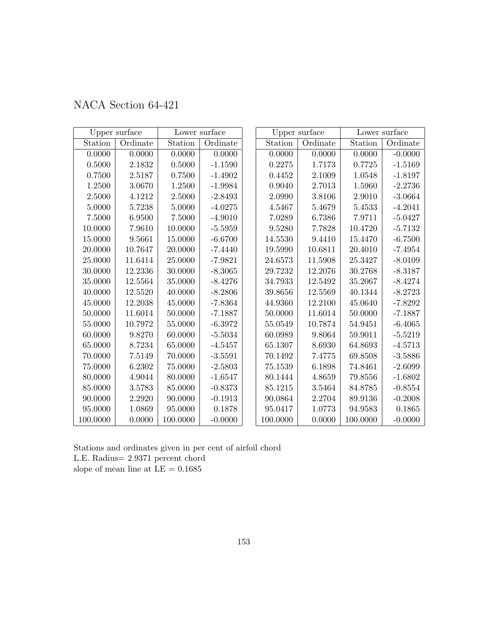| NACA Section 64-421 |  |  |  |
|---------------------|--|--|--|
|---------------------|--|--|--|

|            | Upper surface |          | Lower surface |          | Upper surface | Lower surface |           |  |
|------------|---------------|----------|---------------|----------|---------------|---------------|-----------|--|
| Station    | Ordinate      | Station  | Ordinate      | Station  | Ordinate      | Station       | Ordinate  |  |
| 0.0000     | 0.0000        | 0.0000   | 0.0000        | 0.0000   | 0.0000        | 0.0000        | $-0.0000$ |  |
| 0.5000     | 2.1832        | 0.5000   | $-1.1590$     | 0.2275   | 1.7173        | 0.7725        | $-1.5169$ |  |
| 0.7500     | 2.5187        | 0.7500   | $-1.4902$     | 0.4452   | 2.1009        | $1.0548\,$    | $-1.8197$ |  |
| 1.2500     | 3.0670        | 1.2500   | $-1.9984$     | 0.9040   | 2.7013        | 1.5960        | $-2.2736$ |  |
| 2.5000     | 4.1212        | 2.5000   | $-2.8493$     | 2.0990   | 3.8106        | $2.9010\,$    | $-3.0664$ |  |
| 5.0000     | 5.7238        | 5.0000   | $-4.0275$     | 4.5467   | 5.4679        | 5.4533        | $-4.2041$ |  |
| $7.5000\,$ | 6.9500        | 7.5000   | $-4.9010$     | 7.0289   | 6.7386        | 7.9711        | $-5.0427$ |  |
| 10.0000    | 7.9610        | 10.0000  | $-5.5959$     | 9.5280   | 7.7828        | 10.4720       | $-5.7132$ |  |
| 15.0000    | 9.5661        | 15.0000  | $-6.6700$     | 14.5530  | 9.4410        | 15.4470       | $-6.7500$ |  |
| 20.0000    | 10.7647       | 20.0000  | $-7.4440$     | 19.5990  | 10.6811       | 20.4010       | $-7.4954$ |  |
| 25.0000    | 11.6414       | 25.0000  | $-7.9821$     | 24.6573  | 11.5908       | 25.3427       | $-8.0109$ |  |
| 30.0000    | 12.2336       | 30.0000  | $-8.3065$     | 29.7232  | 12.2076       | 30.2768       | $-8.3187$ |  |
| 35.0000    | 12.5564       | 35.0000  | $-8.4276$     | 34.7933  | 12.5492       | 35.2067       | $-8.4274$ |  |
| 40.0000    | 12.5520       | 40.0000  | $-8.2806$     | 39.8656  | 12.5569       | 40.1344       | $-8.2723$ |  |
| 45.0000    | 12.2038       | 45.0000  | $-7.8364$     | 44.9360  | 12.2100       | 45.0640       | $-7.8292$ |  |
| 50.0000    | 11.6014       | 50.0000  | $-7.1887$     | 50.0000  | 11.6014       | 50.0000       | $-7.1887$ |  |
| 55.0000    | 10.7972       | 55.0000  | $-6.3972$     | 55.0549  | 10.7874       | 54.9451       | $-6.4065$ |  |
| 60.0000    | 9.8270        | 60.0000  | $-5.5034$     | 60.0989  | 9.8064        | 59.9011       | $-5.5219$ |  |
| 65.0000    | 8.7234        | 65.0000  | $-4.5457$     | 65.1307  | 8.6930        | 64.8693       | $-4.5713$ |  |
| 70.0000    | 7.5149        | 70.0000  | $-3.5591$     | 70.1492  | 7.4775        | 69.8508       | $-3.5886$ |  |
| 75.0000    | 6.2302        | 75.0000  | $-2.5803$     | 75.1539  | 6.1898        | 74.8461       | $-2.6099$ |  |
| 80.0000    | 4.9044        | 80.0000  | $-1.6547$     | 80.1444  | 4.8659        | 79.8556       | $-1.6802$ |  |
| 85.0000    | 3.5783        | 85.0000  | $-0.8373$     | 85.1215  | 3.5464        | 84.8785       | $-0.8554$ |  |
| 90.0000    | 2.2920        | 90.0000  | $-0.1913$     | 90.0864  | 2.2704        | 89.9136       | $-0.2008$ |  |
| 95.0000    | 1.0869        | 95.0000  | 0.1878        | 95.0417  | 1.0773        | 94.9583       | 0.1865    |  |
| 100.0000   | 0.0000        | 100.0000 | $-0.0000$     | 100.0000 | 0.0000        | 100.0000      | $-0.0000$ |  |

Stations and ordinates given in per cent of airfoil chord L.E. Radius= 2.9371 percent chord slope of mean line at  $\mathrm{LE}=0.1685$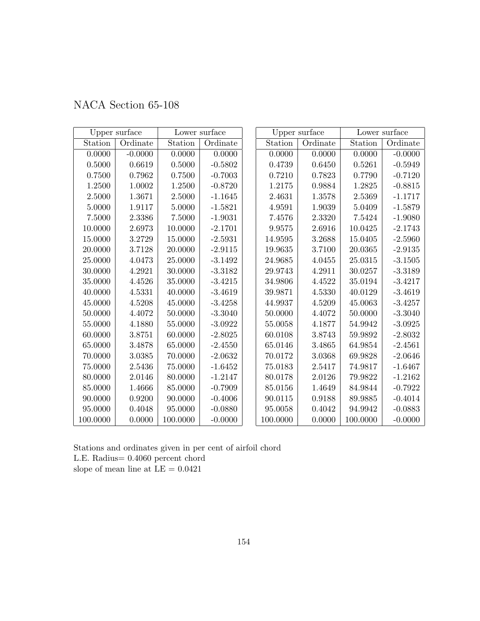| NACA Section 65-108 |  |  |  |
|---------------------|--|--|--|
|---------------------|--|--|--|

|          | Upper surface |             | Lower surface |             | Upper surface | Lower surface |           |  |
|----------|---------------|-------------|---------------|-------------|---------------|---------------|-----------|--|
| Station  | Ordinate      | Station     | Ordinate      | Station     | Ordinate      | Station       | Ordinate  |  |
| 0.0000   | $-0.0000$     | 0.0000      | 0.0000        | 0.0000      | 0.0000        | 0.0000        | $-0.0000$ |  |
| 0.5000   | 0.6619        | 0.5000      | $-0.5802$     | 0.4739      | 0.6450        | 0.5261        | $-0.5949$ |  |
| 0.7500   | 0.7962        | 0.7500      | $-0.7003$     | 0.7210      | 0.7823        | 0.7790        | $-0.7120$ |  |
| 1.2500   | 1.0002        | 1.2500      | $-0.8720$     | 1.2175      | 0.9884        | 1.2825        | $-0.8815$ |  |
| 2.5000   | 1.3671        | 2.5000      | $-1.1645$     | 2.4631      | 1.3578        | 2.5369        | $-1.1717$ |  |
| 5.0000   | 1.9117        | 5.0000      | $-1.5821$     | 4.9591      | 1.9039        | $5.0409\,$    | $-1.5879$ |  |
| 7.5000   | 2.3386        | 7.5000      | $-1.9031$     | 7.4576      | 2.3320        | 7.5424        | $-1.9080$ |  |
| 10.0000  | 2.6973        | 10.0000     | $-2.1701$     | 9.9575      | 2.6916        | 10.0425       | $-2.1743$ |  |
| 15.0000  | 3.2729        | 15.0000     | $-2.5931$     | 14.9595     | 3.2688        | 15.0405       | $-2.5960$ |  |
| 20.0000  | 3.7128        | 20.0000     | $-2.9115$     | 19.9635     | 3.7100        | 20.0365       | $-2.9135$ |  |
| 25.0000  | 4.0473        | 25.0000     | $-3.1492$     | 24.9685     | 4.0455        | 25.0315       | $-3.1505$ |  |
| 30.0000  | 4.2921        | 30.0000     | $-3.3182$     | 29.9743     | 4.2911        | 30.0257       | $-3.3189$ |  |
| 35.0000  | 4.4526        | 35.0000     | $-3.4215$     | 34.9806     | 4.4522        | 35.0194       | $-3.4217$ |  |
| 40.0000  | 4.5331        | 40.0000     | $-3.4619$     | 39.9871     | 4.5330        | 40.0129       | $-3.4619$ |  |
| 45.0000  | 4.5208        | 45.0000     | $-3.4258$     | 44.9937     | 4.5209        | 45.0063       | $-3.4257$ |  |
| 50.0000  | 4.4072        | 50.0000     | $-3.3040$     | 50.0000     | 4.4072        | 50.0000       | $-3.3040$ |  |
| 55.0000  | 4.1880        | 55.0000     | $-3.0922$     | $55.0058\,$ | 4.1877        | 54.9942       | $-3.0925$ |  |
| 60.0000  | 3.8751        | 60.0000     | $-2.8025$     | 60.0108     | 3.8743        | 59.9892       | $-2.8032$ |  |
| 65.0000  | 3.4878        | 65.0000     | $-2.4550$     | 65.0146     | 3.4865        | 64.9854       | $-2.4561$ |  |
| 70.0000  | 3.0385        | 70.0000     | $-2.0632$     | 70.0172     | 3.0368        | 69.9828       | $-2.0646$ |  |
| 75.0000  | 2.5436        | $75.0000\,$ | $-1.6452$     | 75.0183     | 2.5417        | 74.9817       | $-1.6467$ |  |
| 80.0000  | 2.0146        | 80.0000     | $-1.2147$     | 80.0178     | 2.0126        | 79.9822       | $-1.2162$ |  |
| 85.0000  | 1.4666        | 85.0000     | $-0.7909$     | 85.0156     | 1.4649        | 84.9844       | $-0.7922$ |  |
| 90.0000  | 0.9200        | 90.0000     | $-0.4006$     | 90.0115     | 0.9188        | 89.9885       | $-0.4014$ |  |
| 95.0000  | 0.4048        | 95.0000     | $-0.0880$     | 95.0058     | 0.4042        | 94.9942       | $-0.0883$ |  |
| 100.0000 | 0.0000        | 100.0000    | $-0.0000$     | 100.0000    | 0.0000        | 100.0000      | $-0.0000$ |  |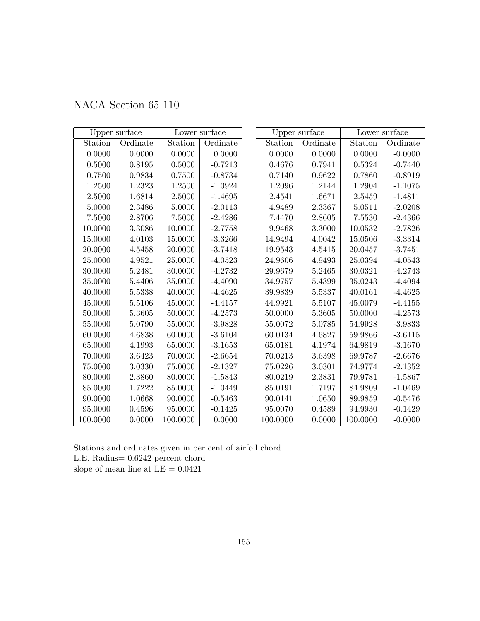| NACA Section 65-110 |  |  |  |
|---------------------|--|--|--|
|---------------------|--|--|--|

|             | Upper surface |          | Lower surface |          | Upper surface | Lower surface |           |  |
|-------------|---------------|----------|---------------|----------|---------------|---------------|-----------|--|
| Station     | Ordinate      | Station  | Ordinate      | Station  | Ordinate      | Station       | Ordinate  |  |
| 0.0000      | 0.0000        | 0.0000   | 0.0000        | 0.0000   | 0.0000        | 0.0000        | $-0.0000$ |  |
| $0.5000\,$  | $0.8195\,$    | 0.5000   | $-0.7213$     | 0.4676   | 0.7941        | 0.5324        | $-0.7440$ |  |
| 0.7500      | 0.9834        | 0.7500   | $-0.8734$     | 0.7140   | 0.9622        | 0.7860        | $-0.8919$ |  |
| 1.2500      | 1.2323        | 1.2500   | $-1.0924$     | 1.2096   | 1.2144        | 1.2904        | $-1.1075$ |  |
| 2.5000      | 1.6814        | 2.5000   | $-1.4695$     | 2.4541   | 1.6671        | 2.5459        | $-1.4811$ |  |
| 5.0000      | 2.3486        | 5.0000   | $-2.0113$     | 4.9489   | 2.3367        | 5.0511        | $-2.0208$ |  |
| 7.5000      | 2.8706        | 7.5000   | $-2.4286$     | 7.4470   | 2.8605        | 7.5530        | $-2.4366$ |  |
| 10.0000     | 3.3086        | 10.0000  | $-2.7758$     | 9.9468   | 3.3000        | 10.0532       | $-2.7826$ |  |
| 15.0000     | 4.0103        | 15.0000  | $-3.3266$     | 14.9494  | 4.0042        | 15.0506       | $-3.3314$ |  |
| 20.0000     | 4.5458        | 20.0000  | $-3.7418$     | 19.9543  | 4.5415        | 20.0457       | $-3.7451$ |  |
| 25.0000     | 4.9521        | 25.0000  | $-4.0523$     | 24.9606  | 4.9493        | 25.0394       | $-4.0543$ |  |
| 30.0000     | 5.2481        | 30.0000  | $-4.2732$     | 29.9679  | 5.2465        | 30.0321       | $-4.2743$ |  |
| 35.0000     | 5.4406        | 35.0000  | $-4.4090$     | 34.9757  | 5.4399        | 35.0243       | $-4.4094$ |  |
| 40.0000     | 5.5338        | 40.0000  | $-4.4625$     | 39.9839  | 5.5337        | 40.0161       | $-4.4625$ |  |
| 45.0000     | 5.5106        | 45.0000  | $-4.4157$     | 44.9921  | 5.5107        | 45.0079       | $-4.4155$ |  |
| 50.0000     | 5.3605        | 50.0000  | $-4.2573$     | 50.0000  | 5.3605        | 50.0000       | $-4.2573$ |  |
| 55.0000     | 5.0790        | 55.0000  | $-3.9828$     | 55.0072  | 5.0785        | 54.9928       | $-3.9833$ |  |
| 60.0000     | 4.6838        | 60.0000  | $-3.6104$     | 60.0134  | 4.6827        | 59.9866       | $-3.6115$ |  |
| 65.0000     | 4.1993        | 65.0000  | $-3.1653$     | 65.0181  | 4.1974        | 64.9819       | $-3.1670$ |  |
| 70.0000     | 3.6423        | 70.0000  | $-2.6654$     | 70.0213  | 3.6398        | 69.9787       | $-2.6676$ |  |
| $75.0000\,$ | 3.0330        | 75.0000  | $-2.1327$     | 75.0226  | 3.0301        | 74.9774       | $-2.1352$ |  |
| 80.0000     | 2.3860        | 80.0000  | $-1.5843$     | 80.0219  | 2.3831        | 79.9781       | $-1.5867$ |  |
| 85.0000     | 1.7222        | 85.0000  | $-1.0449$     | 85.0191  | 1.7197        | 84.9809       | $-1.0469$ |  |
| 90.0000     | 1.0668        | 90.0000  | $-0.5463$     | 90.0141  | 1.0650        | 89.9859       | $-0.5476$ |  |
| 95.0000     | 0.4596        | 95.0000  | $-0.1425$     | 95.0070  | 0.4589        | 94.9930       | $-0.1429$ |  |
| 100.0000    | 0.0000        | 100.0000 | 0.0000        | 100.0000 | 0.0000        | 100.0000      | $-0.0000$ |  |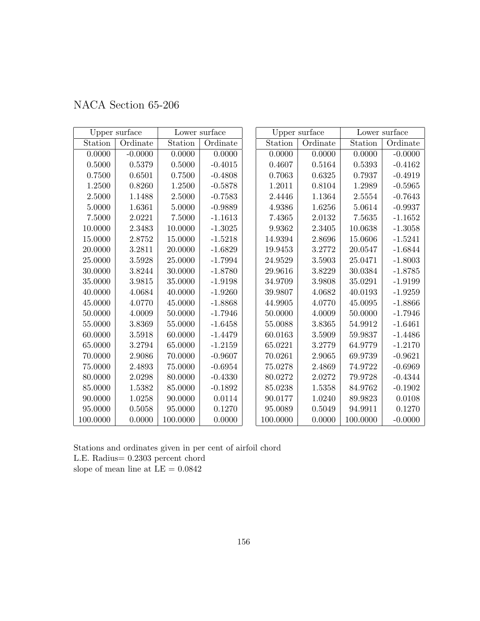| NACA Section 65-206 |  |
|---------------------|--|
|---------------------|--|

|             | Upper surface |          | Lower surface |          | Upper surface | Lower surface |           |  |
|-------------|---------------|----------|---------------|----------|---------------|---------------|-----------|--|
| Station     | Ordinate      | Station  | Ordinate      | Station  | Ordinate      | Station       | Ordinate  |  |
| 0.0000      | $-0.0000$     | 0.0000   | 0.0000        | 0.0000   | 0.0000        | 0.0000        | $-0.0000$ |  |
| 0.5000      | 0.5379        | 0.5000   | $-0.4015$     | 0.4607   | 0.5164        | 0.5393        | $-0.4162$ |  |
| 0.7500      | 0.6501        | 0.7500   | $-0.4808$     | 0.7063   | 0.6325        | 0.7937        | $-0.4919$ |  |
| 1.2500      | 0.8260        | 1.2500   | $-0.5878$     | 1.2011   | 0.8104        | 1.2989        | $-0.5965$ |  |
| 2.5000      | 1.1488        | 2.5000   | $-0.7583$     | 2.4446   | 1.1364        | 2.5554        | $-0.7643$ |  |
| 5.0000      | 1.6361        | 5.0000   | $-0.9889$     | 4.9386   | 1.6256        | 5.0614        | $-0.9937$ |  |
| 7.5000      | 2.0221        | 7.5000   | $-1.1613$     | 7.4365   | 2.0132        | 7.5635        | $-1.1652$ |  |
| 10.0000     | 2.3483        | 10.0000  | $-1.3025$     | 9.9362   | 2.3405        | 10.0638       | $-1.3058$ |  |
| 15.0000     | 2.8752        | 15.0000  | $-1.5218$     | 14.9394  | 2.8696        | 15.0606       | $-1.5241$ |  |
| 20.0000     | 3.2811        | 20.0000  | $-1.6829$     | 19.9453  | 3.2772        | 20.0547       | $-1.6844$ |  |
| 25.0000     | 3.5928        | 25.0000  | $-1.7994$     | 24.9529  | 3.5903        | 25.0471       | $-1.8003$ |  |
| 30.0000     | 3.8244        | 30.0000  | $-1.8780$     | 29.9616  | 3.8229        | 30.0384       | $-1.8785$ |  |
| 35.0000     | 3.9815        | 35.0000  | $-1.9198$     | 34.9709  | 3.9808        | 35.0291       | $-1.9199$ |  |
| 40.0000     | 4.0684        | 40.0000  | $-1.9260$     | 39.9807  | 4.0682        | 40.0193       | $-1.9259$ |  |
| 45.0000     | 4.0770        | 45.0000  | $-1.8868$     | 44.9905  | 4.0770        | 45.0095       | $-1.8866$ |  |
| 50.0000     | 4.0009        | 50.0000  | $-1.7946$     | 50.0000  | 4.0009        | 50.0000       | $-1.7946$ |  |
| 55.0000     | 3.8369        | 55.0000  | $-1.6458$     | 55.0088  | 3.8365        | 54.9912       | $-1.6461$ |  |
| 60.0000     | 3.5918        | 60.0000  | $-1.4479$     | 60.0163  | 3.5909        | 59.9837       | $-1.4486$ |  |
| 65.0000     | 3.2794        | 65.0000  | $-1.2159$     | 65.0221  | 3.2779        | 64.9779       | $-1.2170$ |  |
| 70.0000     | 2.9086        | 70.0000  | $-0.9607$     | 70.0261  | 2.9065        | 69.9739       | $-0.9621$ |  |
| $75.0000\,$ | 2.4893        | 75.0000  | $-0.6954$     | 75.0278  | 2.4869        | 74.9722       | $-0.6969$ |  |
| 80.0000     | 2.0298        | 80.0000  | $-0.4330$     | 80.0272  | 2.0272        | 79.9728       | $-0.4344$ |  |
| 85.0000     | 1.5382        | 85.0000  | $-0.1892$     | 85.0238  | 1.5358        | 84.9762       | $-0.1902$ |  |
| 90.0000     | 1.0258        | 90.0000  | 0.0114        | 90.0177  | 1.0240        | 89.9823       | 0.0108    |  |
| 95.0000     | 0.5058        | 95.0000  | 0.1270        | 95.0089  | 0.5049        | 94.9911       | 0.1270    |  |
| 100.0000    | 0.0000        | 100.0000 | 0.0000        | 100.0000 | 0.0000        | 100.0000      | $-0.0000$ |  |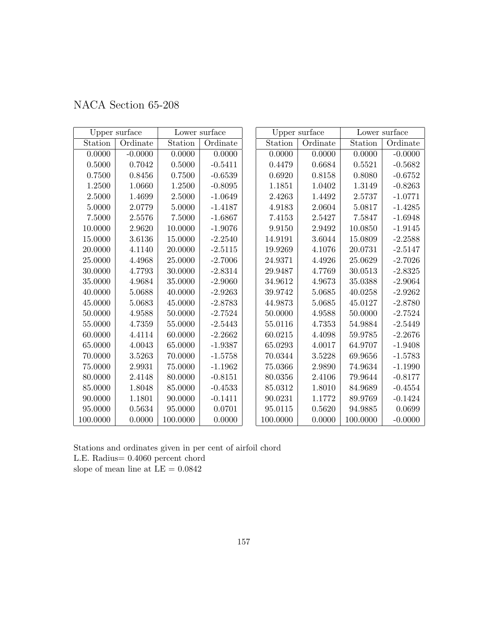| NACA Section 65-208 |  |
|---------------------|--|
|---------------------|--|

|            | Upper surface |          | Lower surface |          | Upper surface |          | Lower surface |
|------------|---------------|----------|---------------|----------|---------------|----------|---------------|
| Station    | Ordinate      | Station  | Ordinate      | Station  | Ordinate      | Station  | Ordinate      |
| 0.0000     | $-0.0000$     | 0.0000   | 0.0000        | 0.0000   | 0.0000        | 0.0000   | $-0.0000$     |
| 0.5000     | 0.7042        | 0.5000   | $-0.5411$     | 0.4479   | 0.6684        | 0.5521   | $-0.5682$     |
| 0.7500     | 0.8456        | 0.7500   | $-0.6539$     | 0.6920   | 0.8158        | 0.8080   | $-0.6752$     |
| $1.2500\,$ | 1.0660        | 1.2500   | $-0.8095$     | 1.1851   | 1.0402        | 1.3149   | $-0.8263$     |
| 2.5000     | 1.4699        | 2.5000   | $-1.0649$     | 2.4263   | 1.4492        | 2.5737   | $-1.0771$     |
| 5.0000     | 2.0779        | 5.0000   | $-1.4187$     | 4.9183   | 2.0604        | 5.0817   | $-1.4285$     |
| 7.5000     | 2.5576        | 7.5000   | $-1.6867$     | 7.4153   | 2.5427        | 7.5847   | $-1.6948$     |
| 10.0000    | 2.9620        | 10.0000  | $-1.9076$     | 9.9150   | 2.9492        | 10.0850  | $-1.9145$     |
| 15.0000    | 3.6136        | 15.0000  | $-2.2540$     | 14.9191  | 3.6044        | 15.0809  | $-2.2588$     |
| 20.0000    | 4.1140        | 20.0000  | $-2.5115$     | 19.9269  | 4.1076        | 20.0731  | $-2.5147$     |
| 25.0000    | 4.4968        | 25.0000  | $-2.7006$     | 24.9371  | 4.4926        | 25.0629  | $-2.7026$     |
| 30.0000    | 4.7793        | 30.0000  | $-2.8314$     | 29.9487  | 4.7769        | 30.0513  | $-2.8325$     |
| 35.0000    | 4.9684        | 35.0000  | $-2.9060$     | 34.9612  | 4.9673        | 35.0388  | $-2.9064$     |
| 40.0000    | 5.0688        | 40.0000  | $-2.9263$     | 39.9742  | 5.0685        | 40.0258  | $-2.9262$     |
| 45.0000    | $5.0683\,$    | 45.0000  | $-2.8783$     | 44.9873  | 5.0685        | 45.0127  | $-2.8780$     |
| 50.0000    | 4.9588        | 50.0000  | $-2.7524$     | 50.0000  | 4.9588        | 50.0000  | $-2.7524$     |
| 55.0000    | 4.7359        | 55.0000  | $-2.5443$     | 55.0116  | 4.7353        | 54.9884  | $-2.5449$     |
| 60.0000    | 4.4114        | 60.0000  | $-2.2662$     | 60.0215  | 4.4098        | 59.9785  | $-2.2676$     |
| 65.0000    | 4.0043        | 65.0000  | $-1.9387$     | 65.0293  | 4.0017        | 64.9707  | $-1.9408$     |
| 70.0000    | 3.5263        | 70.0000  | $-1.5758$     | 70.0344  | 3.5228        | 69.9656  | $-1.5783$     |
| 75.0000    | 2.9931        | 75.0000  | $-1.1962$     | 75.0366  | 2.9890        | 74.9634  | $-1.1990$     |
| 80.0000    | 2.4148        | 80.0000  | $-0.8151$     | 80.0356  | 2.4106        | 79.9644  | $-0.8177$     |
| 85.0000    | 1.8048        | 85.0000  | $-0.4533$     | 85.0312  | 1.8010        | 84.9689  | $-0.4554$     |
| 90.0000    | 1.1801        | 90.0000  | $-0.1411$     | 90.0231  | 1.1772        | 89.9769  | $-0.1424$     |
| 95.0000    | 0.5634        | 95.0000  | 0.0701        | 95.0115  | 0.5620        | 94.9885  | 0.0699        |
| 100.0000   | 0.0000        | 100.0000 | 0.0000        | 100.0000 | 0.0000        | 100.0000 | $-0.0000$     |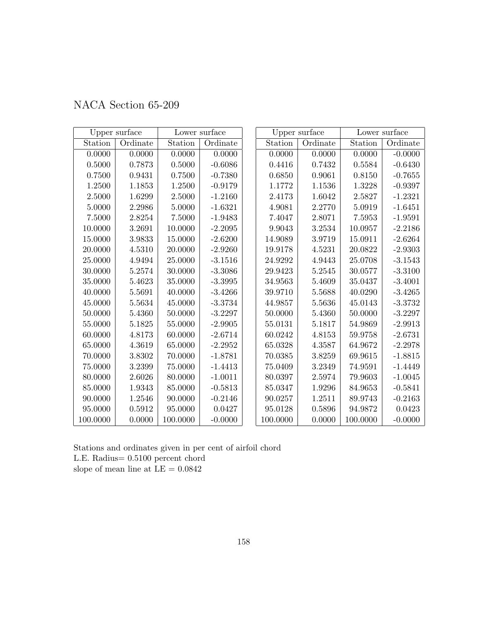|          | Upper surface |             | Lower surface |          | Upper surface |          | Lower surface |
|----------|---------------|-------------|---------------|----------|---------------|----------|---------------|
| Station  | Ordinate      | Station     | Ordinate      | Station  | Ordinate      | Station  | Ordinate      |
| 0.0000   | 0.0000        | 0.0000      | 0.0000        | 0.0000   | 0.0000        | 0.0000   | $-0.0000$     |
| 0.5000   | 0.7873        | 0.5000      | $-0.6086$     | 0.4416   | 0.7432        | 0.5584   | $-0.6430$     |
| 0.7500   | 0.9431        | 0.7500      | $-0.7380$     | 0.6850   | 0.9061        | 0.8150   | $-0.7655$     |
| 1.2500   | 1.1853        | 1.2500      | $-0.9179$     | 1.1772   | 1.1536        | 1.3228   | $-0.9397$     |
| 2.5000   | 1.6299        | 2.5000      | $-1.2160$     | 2.4173   | 1.6042        | 2.5827   | $-1.2321$     |
| 5.0000   | 2.2986        | 5.0000      | $-1.6321$     | 4.9081   | 2.2770        | 5.0919   | $-1.6451$     |
| 7.5000   | 2.8254        | 7.5000      | $-1.9483$     | 7.4047   | 2.8071        | 7.5953   | $-1.9591$     |
| 10.0000  | 3.2691        | 10.0000     | $-2.2095$     | 9.9043   | 3.2534        | 10.0957  | $-2.2186$     |
| 15.0000  | 3.9833        | 15.0000     | $-2.6200$     | 14.9089  | 3.9719        | 15.0911  | $-2.6264$     |
| 20.0000  | 4.5310        | 20.0000     | $-2.9260$     | 19.9178  | 4.5231        | 20.0822  | $-2.9303$     |
| 25.0000  | 4.9494        | $25.0000\,$ | $-3.1516$     | 24.9292  | 4.9443        | 25.0708  | $-3.1543$     |
| 30.0000  | 5.2574        | 30.0000     | $-3.3086$     | 29.9423  | 5.2545        | 30.0577  | $-3.3100$     |
| 35.0000  | 5.4623        | 35.0000     | $-3.3995$     | 34.9563  | 5.4609        | 35.0437  | $-3.4001$     |
| 40.0000  | 5.5691        | 40.0000     | $-3.4266$     | 39.9710  | 5.5688        | 40.0290  | $-3.4265$     |
| 45.0000  | 5.5634        | 45.0000     | $-3.3734$     | 44.9857  | 5.5636        | 45.0143  | $-3.3732$     |
| 50.0000  | 5.4360        | 50.0000     | $-3.2297$     | 50.0000  | 5.4360        | 50.0000  | $-3.2297$     |
| 55.0000  | 5.1825        | 55.0000     | $-2.9905$     | 55.0131  | 5.1817        | 54.9869  | $-2.9913$     |
| 60.0000  | 4.8173        | 60.0000     | $-2.6714$     | 60.0242  | 4.8153        | 59.9758  | $-2.6731$     |
| 65.0000  | 4.3619        | 65.0000     | $-2.2952$     | 65.0328  | 4.3587        | 64.9672  | $-2.2978$     |
| 70.0000  | 3.8302        | 70.0000     | $-1.8781$     | 70.0385  | 3.8259        | 69.9615  | $-1.8815$     |
| 75.0000  | 3.2399        | 75.0000     | $-1.4413$     | 75.0409  | 3.2349        | 74.9591  | $-1.4449$     |
| 80.0000  | 2.6026        | 80.0000     | $-1.0011$     | 80.0397  | 2.5974        | 79.9603  | $-1.0045$     |
| 85.0000  | 1.9343        | 85.0000     | $-0.5813$     | 85.0347  | 1.9296        | 84.9653  | $-0.5841$     |
| 90.0000  | $1.2546\,$    | 90.0000     | $-0.2146$     | 90.0257  | 1.2511        | 89.9743  | $-0.2163$     |
| 95.0000  | 0.5912        | 95.0000     | 0.0427        | 95.0128  | 0.5896        | 94.9872  | 0.0423        |
| 100.0000 | 0.0000        | 100.0000    | $-0.0000$     | 100.0000 | 0.0000        | 100.0000 | $-0.0000$     |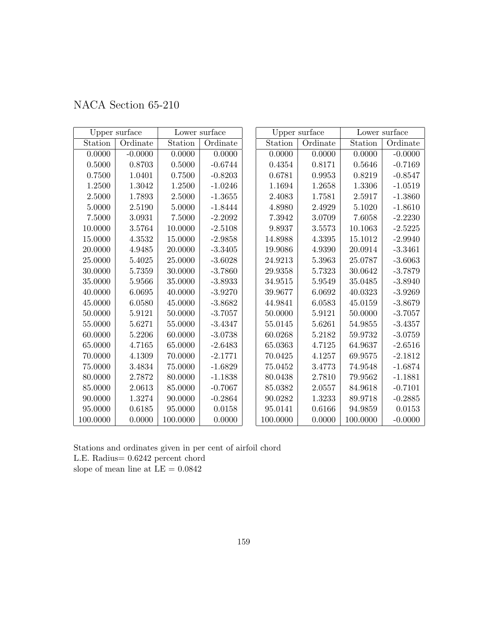| NACA Section 65-210 |  |  |  |
|---------------------|--|--|--|
|---------------------|--|--|--|

|            | Upper surface |          | Lower surface |          | Upper surface |             | Lower surface |
|------------|---------------|----------|---------------|----------|---------------|-------------|---------------|
| Station    | Ordinate      | Station  | Ordinate      | Station  | Ordinate      | Station     | Ordinate      |
| 0.0000     | $-0.0000$     | 0.0000   | 0.0000        | 0.0000   | 0.0000        | 0.0000      | $-0.0000$     |
| 0.5000     | 0.8703        | 0.5000   | $-0.6744$     | 0.4354   | 0.8171        | 0.5646      | $-0.7169$     |
| 0.7500     | 1.0401        | 0.7500   | $-0.8203$     | 0.6781   | 0.9953        | 0.8219      | $-0.8547$     |
| $1.2500\,$ | 1.3042        | 1.2500   | $-1.0246$     | 1.1694   | 1.2658        | 1.3306      | $-1.0519$     |
| 2.5000     | 1.7893        | 2.5000   | $-1.3655$     | 2.4083   | 1.7581        | 2.5917      | $-1.3860$     |
| 5.0000     | 2.5190        | 5.0000   | $-1.8444$     | 4.8980   | 2.4929        | 5.1020      | $-1.8610$     |
| 7.5000     | 3.0931        | 7.5000   | $-2.2092$     | 7.3942   | 3.0709        | 7.6058      | $-2.2230$     |
| 10.0000    | 3.5764        | 10.0000  | $-2.5108$     | 9.8937   | 3.5573        | 10.1063     | $-2.5225$     |
| 15.0000    | $4.3532\,$    | 15.0000  | $-2.9858$     | 14.8988  | 4.3395        | 15.1012     | $-2.9940$     |
| 20.0000    | 4.9485        | 20.0000  | $-3.3405$     | 19.9086  | 4.9390        | 20.0914     | $-3.3461$     |
| 25.0000    | 5.4025        | 25.0000  | $-3.6028$     | 24.9213  | 5.3963        | 25.0787     | $-3.6063$     |
| 30.0000    | 5.7359        | 30.0000  | $-3.7860$     | 29.9358  | 5.7323        | 30.0642     | $-3.7879$     |
| 35.0000    | 5.9566        | 35.0000  | $-3.8933$     | 34.9515  | 5.9549        | 35.0485     | $-3.8940$     |
| 40.0000    | 6.0695        | 40.0000  | $-3.9270$     | 39.9677  | 6.0692        | 40.0323     | $-3.9269$     |
| 45.0000    | 6.0580        | 45.0000  | $-3.8682$     | 44.9841  | 6.0583        | 45.0159     | $-3.8679$     |
| 50.0000    | 5.9121        | 50.0000  | $-3.7057$     | 50.0000  | 5.9121        | 50.0000     | $-3.7057$     |
| 55.0000    | 5.6271        | 55.0000  | $-3.4347$     | 55.0145  | 5.6261        | 54.9855     | $-3.4357$     |
| 60.0000    | 5.2206        | 60.0000  | $-3.0738$     | 60.0268  | 5.2182        | $59.9732\,$ | $-3.0759$     |
| 65.0000    | 4.7165        | 65.0000  | $-2.6483$     | 65.0363  | 4.7125        | 64.9637     | $-2.6516$     |
| 70.0000    | 4.1309        | 70.0000  | $-2.1771$     | 70.0425  | 4.1257        | 69.9575     | $-2.1812$     |
| 75.0000    | 3.4834        | 75.0000  | $-1.6829$     | 75.0452  | 3.4773        | 74.9548     | $-1.6874$     |
| 80.0000    | 2.7872        | 80.0000  | $-1.1838$     | 80.0438  | 2.7810        | 79.9562     | $-1.1881$     |
| 85.0000    | 2.0613        | 85.0000  | $-0.7067$     | 85.0382  | 2.0557        | 84.9618     | $-0.7101$     |
| 90.0000    | 1.3274        | 90.0000  | $-0.2864$     | 90.0282  | 1.3233        | 89.9718     | $-0.2885$     |
| 95.0000    | 0.6185        | 95.0000  | 0.0158        | 95.0141  | 0.6166        | 94.9859     | 0.0153        |
| 100.0000   | 0.0000        | 100.0000 | 0.0000        | 100.0000 | 0.0000        | 100.0000    | $-0.0000$     |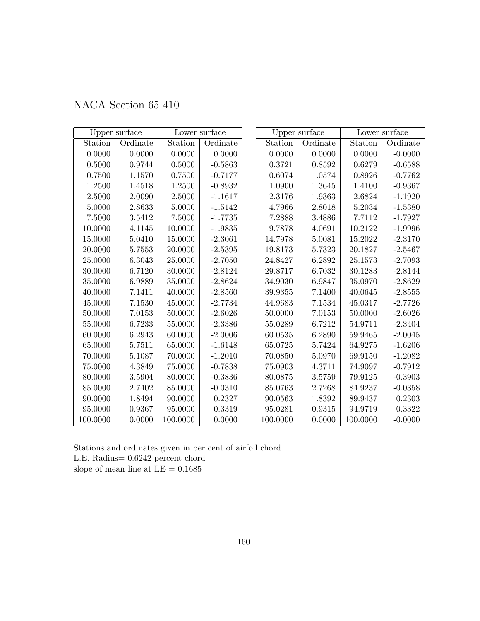| NACA Section 65-410 |  |
|---------------------|--|
|                     |  |

|            | Upper surface |          | Lower surface |          | Upper surface |             | Lower surface |
|------------|---------------|----------|---------------|----------|---------------|-------------|---------------|
| Station    | Ordinate      | Station  | Ordinate      | Station  | Ordinate      | Station     | Ordinate      |
| 0.0000     | 0.0000        | 0.0000   | 0.0000        | 0.0000   | 0.0000        | 0.0000      | $-0.0000$     |
| $0.5000\,$ | 0.9744        | 0.5000   | $-0.5863$     | 0.3721   | 0.8592        | 0.6279      | $-0.6588$     |
| 0.7500     | 1.1570        | 0.7500   | $-0.7177$     | 0.6074   | 1.0574        | 0.8926      | $-0.7762$     |
| 1.2500     | 1.4518        | 1.2500   | $-0.8932$     | 1.0900   | 1.3645        | 1.4100      | $-0.9367$     |
| 2.5000     | 2.0090        | 2.5000   | $-1.1617$     | 2.3176   | 1.9363        | 2.6824      | $-1.1920$     |
| 5.0000     | 2.8633        | 5.0000   | $-1.5142$     | 4.7966   | 2.8018        | 5.2034      | $-1.5380$     |
| 7.5000     | 3.5412        | 7.5000   | $-1.7735$     | 7.2888   | 3.4886        | 7.7112      | $-1.7927$     |
| 10.0000    | 4.1145        | 10.0000  | $-1.9835$     | 9.7878   | 4.0691        | 10.2122     | $-1.9996$     |
| 15.0000    | 5.0410        | 15.0000  | $-2.3061$     | 14.7978  | 5.0081        | 15.2022     | $-2.3170$     |
| 20.0000    | 5.7553        | 20.0000  | $-2.5395$     | 19.8173  | 5.7323        | 20.1827     | $-2.5467$     |
| 25.0000    | 6.3043        | 25.0000  | $-2.7050$     | 24.8427  | 6.2892        | 25.1573     | $-2.7093$     |
| 30.0000    | 6.7120        | 30.0000  | $-2.8124$     | 29.8717  | 6.7032        | 30.1283     | $-2.8144$     |
| 35.0000    | 6.9889        | 35.0000  | $-2.8624$     | 34.9030  | 6.9847        | 35.0970     | $-2.8629$     |
| 40.0000    | 7.1411        | 40.0000  | $-2.8560$     | 39.9355  | 7.1400        | 40.0645     | $-2.8555$     |
| 45.0000    | 7.1530        | 45.0000  | $-2.7734$     | 44.9683  | 7.1534        | 45.0317     | $-2.7726$     |
| 50.0000    | 7.0153        | 50.0000  | $-2.6026$     | 50.0000  | 7.0153        | 50.0000     | $-2.6026$     |
| 55.0000    | 6.7233        | 55.0000  | $-2.3386$     | 55.0289  | 6.7212        | 54.9711     | $-2.3404$     |
| 60.0000    | 6.2943        | 60.0000  | $-2.0006$     | 60.0535  | 6.2890        | $59.9465\,$ | $-2.0045$     |
| 65.0000    | 5.7511        | 65.0000  | $-1.6148$     | 65.0725  | 5.7424        | 64.9275     | $-1.6206$     |
| 70.0000    | 5.1087        | 70.0000  | $-1.2010$     | 70.0850  | 5.0970        | 69.9150     | $-1.2082$     |
| 75.0000    | 4.3849        | 75.0000  | $-0.7838$     | 75.0903  | 4.3711        | 74.9097     | $-0.7912$     |
| 80.0000    | 3.5904        | 80.0000  | $-0.3836$     | 80.0875  | 3.5759        | 79.9125     | $-0.3903$     |
| 85.0000    | 2.7402        | 85.0000  | $-0.0310$     | 85.0763  | 2.7268        | 84.9237     | $-0.0358$     |
| 90.0000    | 1.8494        | 90.0000  | 0.2327        | 90.0563  | 1.8392        | 89.9437     | 0.2303        |
| 95.0000    | 0.9367        | 95.0000  | 0.3319        | 95.0281  | 0.9315        | 94.9719     | 0.3322        |
| 100.0000   | 0.0000        | 100.0000 | 0.0000        | 100.0000 | 0.0000        | 100.0000    | $-0.0000$     |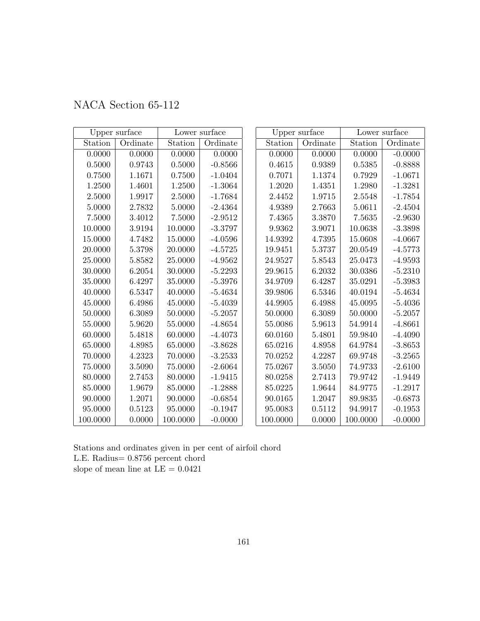|  | NACA Section 65-112 |  |
|--|---------------------|--|
|--|---------------------|--|

|            | Upper surface |          | Lower surface |          | Upper surface |             | Lower surface |
|------------|---------------|----------|---------------|----------|---------------|-------------|---------------|
| Station    | Ordinate      | Station  | Ordinate      | Station  | Ordinate      | Station     | Ordinate      |
| 0.0000     | 0.0000        | 0.0000   | 0.0000        | 0.0000   | 0.0000        | 0.0000      | $-0.0000$     |
| $0.5000\,$ | 0.9743        | 0.5000   | $-0.8566$     | 0.4615   | 0.9389        | 0.5385      | $-0.8888$     |
| 0.7500     | 1.1671        | 0.7500   | $-1.0404$     | 0.7071   | 1.1374        | 0.7929      | $-1.0671$     |
| 1.2500     | 1.4601        | 1.2500   | $-1.3064$     | 1.2020   | 1.4351        | 1.2980      | $-1.3281$     |
| 2.5000     | 1.9917        | 2.5000   | $-1.7684$     | 2.4452   | 1.9715        | 2.5548      | $-1.7854$     |
| 5.0000     | 2.7832        | 5.0000   | $-2.4364$     | 4.9389   | 2.7663        | 5.0611      | $-2.4504$     |
| 7.5000     | 3.4012        | 7.5000   | $-2.9512$     | 7.4365   | 3.3870        | 7.5635      | $-2.9630$     |
| 10.0000    | 3.9194        | 10.0000  | $-3.3797$     | 9.9362   | 3.9071        | 10.0638     | $-3.3898$     |
| 15.0000    | 4.7482        | 15.0000  | $-4.0596$     | 14.9392  | 4.7395        | 15.0608     | $-4.0667$     |
| 20.0000    | 5.3798        | 20.0000  | $-4.5725$     | 19.9451  | 5.3737        | 20.0549     | $-4.5773$     |
| 25.0000    | 5.8582        | 25.0000  | $-4.9562$     | 24.9527  | 5.8543        | 25.0473     | $-4.9593$     |
| 30.0000    | 6.2054        | 30.0000  | $-5.2293$     | 29.9615  | 6.2032        | 30.0386     | $-5.2310$     |
| 35.0000    | 6.4297        | 35.0000  | $-5.3976$     | 34.9709  | 6.4287        | 35.0291     | $-5.3983$     |
| 40.0000    | 6.5347        | 40.0000  | $-5.4634$     | 39.9806  | 6.5346        | 40.0194     | $-5.4634$     |
| 45.0000    | 6.4986        | 45.0000  | $-5.4039$     | 44.9905  | 6.4988        | $45.0095\,$ | $-5.4036$     |
| 50.0000    | 6.3089        | 50.0000  | $-5.2057$     | 50.0000  | 6.3089        | 50.0000     | $-5.2057$     |
| 55.0000    | 5.9620        | 55.0000  | $-4.8654$     | 55.0086  | 5.9613        | 54.9914     | $-4.8661$     |
| 60.0000    | 5.4818        | 60.0000  | $-4.4073$     | 60.0160  | 5.4801        | 59.9840     | $-4.4090$     |
| 65.0000    | 4.8985        | 65.0000  | $-3.8628$     | 65.0216  | 4.8958        | 64.9784     | $-3.8653$     |
| 70.0000    | 4.2323        | 70.0000  | $-3.2533$     | 70.0252  | 4.2287        | 69.9748     | $-3.2565$     |
| 75.0000    | 3.5090        | 75.0000  | $-2.6064$     | 75.0267  | 3.5050        | 74.9733     | $-2.6100$     |
| 80.0000    | 2.7453        | 80.0000  | $-1.9415$     | 80.0258  | 2.7413        | 79.9742     | $-1.9449$     |
| 85.0000    | 1.9679        | 85.0000  | $-1.2888$     | 85.0225  | 1.9644        | 84.9775     | $-1.2917$     |
| 90.0000    | 1.2071        | 90.0000  | $-0.6854$     | 90.0165  | 1.2047        | 89.9835     | $-0.6873$     |
| 95.0000    | 0.5123        | 95.0000  | $-0.1947$     | 95.0083  | 0.5112        | 94.9917     | $-0.1953$     |
| 100.0000   | 0.0000        | 100.0000 | $-0.0000$     | 100.0000 | 0.0000        | 100.0000    | $-0.0000$     |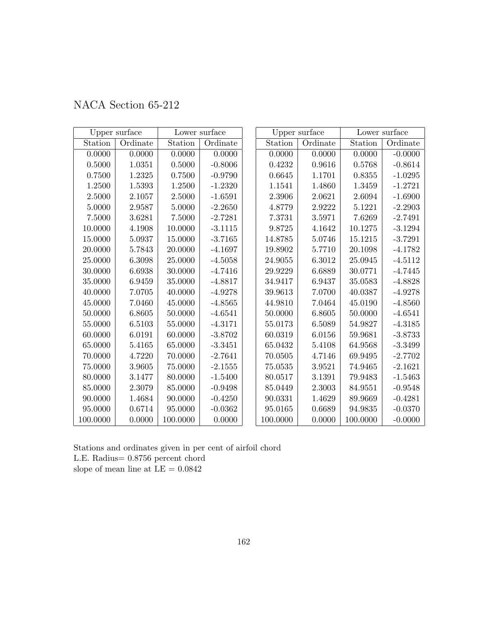|  | NACA Section 65-212 |  |
|--|---------------------|--|
|--|---------------------|--|

|             | Upper surface | Lower surface |           | Upper surface |          | Lower surface |           |
|-------------|---------------|---------------|-----------|---------------|----------|---------------|-----------|
| Station     | Ordinate      | Station       | Ordinate  | Station       | Ordinate | Station       | Ordinate  |
| 0.0000      | 0.0000        | 0.0000        | 0.0000    | 0.0000        | 0.0000   | 0.0000        | $-0.0000$ |
| $0.5000\,$  | 1.0351        | 0.5000        | $-0.8006$ | 0.4232        | 0.9616   | 0.5768        | $-0.8614$ |
| 0.7500      | 1.2325        | 0.7500        | $-0.9790$ | 0.6645        | 1.1701   | 0.8355        | $-1.0295$ |
| 1.2500      | 1.5393        | 1.2500        | $-1.2320$ | 1.1541        | 1.4860   | 1.3459        | $-1.2721$ |
| 2.5000      | 2.1057        | 2.5000        | $-1.6591$ | 2.3906        | 2.0621   | 2.6094        | $-1.6900$ |
| 5.0000      | 2.9587        | 5.0000        | $-2.2650$ | 4.8779        | 2.9222   | 5.1221        | $-2.2903$ |
| 7.5000      | 3.6281        | 7.5000        | $-2.7281$ | 7.3731        | 3.5971   | 7.6269        | $-2.7491$ |
| 10.0000     | 4.1908        | 10.0000       | $-3.1115$ | 9.8725        | 4.1642   | 10.1275       | $-3.1294$ |
| 15.0000     | 5.0937        | 15.0000       | $-3.7165$ | 14.8785       | 5.0746   | 15.1215       | $-3.7291$ |
| 20.0000     | 5.7843        | 20.0000       | $-4.1697$ | 19.8902       | 5.7710   | 20.1098       | $-4.1782$ |
| 25.0000     | 6.3098        | 25.0000       | $-4.5058$ | 24.9055       | 6.3012   | 25.0945       | $-4.5112$ |
| 30.0000     | 6.6938        | 30.0000       | $-4.7416$ | 29.9229       | 6.6889   | 30.0771       | $-4.7445$ |
| 35.0000     | 6.9459        | 35.0000       | $-4.8817$ | 34.9417       | 6.9437   | 35.0583       | $-4.8828$ |
| 40.0000     | 7.0705        | 40.0000       | $-4.9278$ | 39.9613       | 7.0700   | 40.0387       | $-4.9278$ |
| 45.0000     | 7.0460        | 45.0000       | $-4.8565$ | 44.9810       | 7.0464   | 45.0190       | $-4.8560$ |
| 50.0000     | 6.8605        | 50.0000       | $-4.6541$ | 50.0000       | 6.8605   | 50.0000       | $-4.6541$ |
| 55.0000     | 6.5103        | 55.0000       | $-4.3171$ | 55.0173       | 6.5089   | 54.9827       | $-4.3185$ |
| 60.0000     | 6.0191        | 60.0000       | $-3.8702$ | 60.0319       | 6.0156   | 59.9681       | $-3.8733$ |
| 65.0000     | 5.4165        | 65.0000       | $-3.3451$ | 65.0432       | 5.4108   | 64.9568       | $-3.3499$ |
| 70.0000     | 4.7220        | 70.0000       | $-2.7641$ | 70.0505       | 4.7146   | 69.9495       | $-2.7702$ |
| $75.0000\,$ | 3.9605        | 75.0000       | $-2.1555$ | 75.0535       | 3.9521   | 74.9465       | $-2.1621$ |
| 80.0000     | 3.1477        | 80.0000       | $-1.5400$ | 80.0517       | 3.1391   | 79.9483       | $-1.5463$ |
| 85.0000     | 2.3079        | 85.0000       | $-0.9498$ | 85.0449       | 2.3003   | 84.9551       | $-0.9548$ |
| 90.0000     | 1.4684        | 90.0000       | $-0.4250$ | 90.0331       | 1.4629   | 89.9669       | $-0.4281$ |
| 95.0000     | 0.6714        | 95.0000       | $-0.0362$ | 95.0165       | 0.6689   | 94.9835       | $-0.0370$ |
| 100.0000    | 0.0000        | 100.0000      | 0.0000    | 100.0000      | 0.0000   | 100.0000      | $-0.0000$ |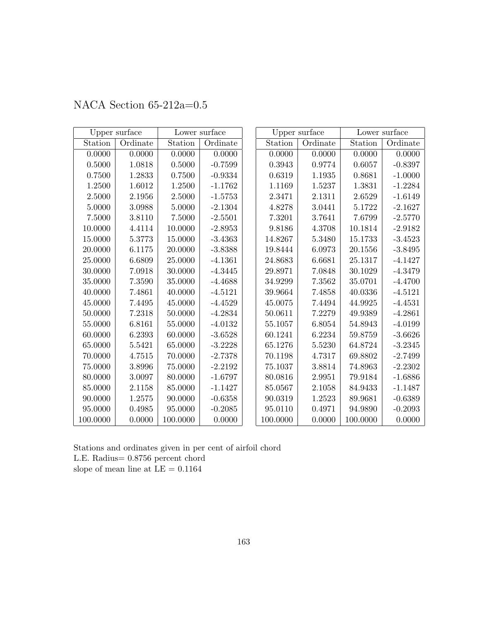|          | Upper surface |          | Lower surface |  | Upper surface |            | Lower surface |           |
|----------|---------------|----------|---------------|--|---------------|------------|---------------|-----------|
| Station  | Ordinate      | Station  | Ordinate      |  | Station       | Ordinate   | Station       | Ordinate  |
| 0.0000   | 0.0000        | 0.0000   | 0.0000        |  | 0.0000        | 0.0000     | 0.0000        | 0.0000    |
| 0.5000   | 1.0818        | 0.5000   | $-0.7599$     |  | 0.3943        | 0.9774     | 0.6057        | $-0.8397$ |
| 0.7500   | 1.2833        | 0.7500   | $-0.9334$     |  | 0.6319        | 1.1935     | 0.8681        | $-1.0000$ |
| 1.2500   | 1.6012        | 1.2500   | $-1.1762$     |  | 1.1169        | 1.5237     | 1.3831        | $-1.2284$ |
| 2.5000   | 2.1956        | 2.5000   | $-1.5753$     |  | 2.3471        | 2.1311     | 2.6529        | $-1.6149$ |
| 5.0000   | 3.0988        | 5.0000   | $-2.1304$     |  | 4.8278        | 3.0441     | 5.1722        | $-2.1627$ |
| 7.5000   | 3.8110        | 7.5000   | $-2.5501$     |  | 7.3201        | 3.7641     | 7.6799        | $-2.5770$ |
| 10.0000  | 4.4114        | 10.0000  | $-2.8953$     |  | 9.8186        | 4.3708     | 10.1814       | $-2.9182$ |
| 15.0000  | $5.3773\,$    | 15.0000  | $-3.4363$     |  | 14.8267       | 5.3480     | 15.1733       | $-3.4523$ |
| 20.0000  | 6.1175        | 20.0000  | $-3.8388$     |  | 19.8444       | 6.0973     | 20.1556       | $-3.8495$ |
| 25.0000  | 6.6809        | 25.0000  | $-4.1361$     |  | 24.8683       | 6.6681     | 25.1317       | $-4.1427$ |
| 30.0000  | 7.0918        | 30.0000  | $-4.3445$     |  | 29.8971       | 7.0848     | 30.1029       | $-4.3479$ |
| 35.0000  | 7.3590        | 35.0000  | $-4.4688$     |  | 34.9299       | 7.3562     | 35.0701       | $-4.4700$ |
| 40.0000  | 7.4861        | 40.0000  | $-4.5121$     |  | 39.9664       | 7.4858     | 40.0336       | $-4.5121$ |
| 45.0000  | 7.4495        | 45.0000  | $-4.4529$     |  | 45.0075       | 7.4494     | 44.9925       | $-4.4531$ |
| 50.0000  | 7.2318        | 50.0000  | $-4.2834$     |  | 50.0611       | 7.2279     | 49.9389       | $-4.2861$ |
| 55.0000  | 6.8161        | 55.0000  | $-4.0132$     |  | 55.1057       | $6.8054\,$ | 54.8943       | $-4.0199$ |
| 60.0000  | 6.2393        | 60.0000  | $-3.6528$     |  | 60.1241       | 6.2234     | 59.8759       | $-3.6626$ |
| 65.0000  | 5.5421        | 65.0000  | $-3.2228$     |  | 65.1276       | 5.5230     | 64.8724       | $-3.2345$ |
| 70.0000  | 4.7515        | 70.0000  | $-2.7378$     |  | 70.1198       | 4.7317     | 69.8802       | $-2.7499$ |
| 75.0000  | 3.8996        | 75.0000  | $-2.2192$     |  | 75.1037       | 3.8814     | 74.8963       | $-2.2302$ |
| 80.0000  | 3.0097        | 80.0000  | $-1.6797$     |  | 80.0816       | 2.9951     | 79.9184       | $-1.6886$ |
| 85.0000  | 2.1158        | 85.0000  | $-1.1427$     |  | 85.0567       | 2.1058     | 84.9433       | $-1.1487$ |
| 90.0000  | 1.2575        | 90.0000  | $-0.6358$     |  | 90.0319       | 1.2523     | 89.9681       | $-0.6389$ |
| 95.0000  | 0.4985        | 95.0000  | $-0.2085$     |  | 95.0110       | 0.4971     | 94.9890       | $-0.2093$ |
| 100.0000 | 0.0000        | 100.0000 | 0.0000        |  | 100.0000      | 0.0000     | 100.0000      | 0.0000    |

NACA Section 65-212a=0.5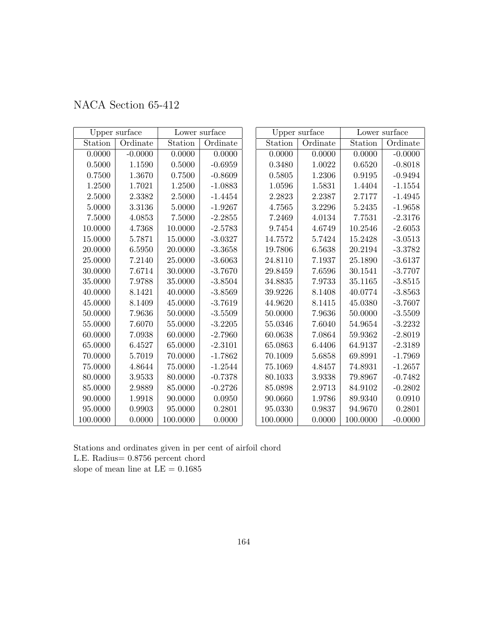|  | NACA Section 65-412 |  |
|--|---------------------|--|
|--|---------------------|--|

|             | Upper surface |          | Lower surface |          | Upper surface | Lower surface |           |
|-------------|---------------|----------|---------------|----------|---------------|---------------|-----------|
| Station     | Ordinate      | Station  | Ordinate      | Station  | Ordinate      | Station       | Ordinate  |
| 0.0000      | $-0.0000$     | 0.0000   | 0.0000        | 0.0000   | 0.0000        | 0.0000        | $-0.0000$ |
| $0.5000\,$  | 1.1590        | 0.5000   | $-0.6959$     | 0.3480   | 1.0022        | 0.6520        | $-0.8018$ |
| 0.7500      | 1.3670        | 0.7500   | $-0.8609$     | 0.5805   | 1.2306        | 0.9195        | $-0.9494$ |
| 1.2500      | 1.7021        | 1.2500   | $-1.0883$     | 1.0596   | 1.5831        | 1.4404        | $-1.1554$ |
| 2.5000      | 2.3382        | 2.5000   | $-1.4454$     | 2.2823   | 2.2387        | 2.7177        | $-1.4945$ |
| 5.0000      | 3.3136        | 5.0000   | $-1.9267$     | 4.7565   | 3.2296        | 5.2435        | $-1.9658$ |
| 7.5000      | 4.0853        | 7.5000   | $-2.2855$     | 7.2469   | 4.0134        | 7.7531        | $-2.3176$ |
| 10.0000     | 4.7368        | 10.0000  | $-2.5783$     | 9.7454   | 4.6749        | 10.2546       | $-2.6053$ |
| 15.0000     | 5.7871        | 15.0000  | $-3.0327$     | 14.7572  | 5.7424        | 15.2428       | $-3.0513$ |
| 20.0000     | 6.5950        | 20.0000  | $-3.3658$     | 19.7806  | 6.5638        | 20.2194       | $-3.3782$ |
| 25.0000     | 7.2140        | 25.0000  | $-3.6063$     | 24.8110  | 7.1937        | 25.1890       | $-3.6137$ |
| 30.0000     | 7.6714        | 30.0000  | $-3.7670$     | 29.8459  | 7.6596        | 30.1541       | $-3.7707$ |
| 35.0000     | 7.9788        | 35.0000  | $-3.8504$     | 34.8835  | 7.9733        | 35.1165       | $-3.8515$ |
| 40.0000     | 8.1421        | 40.0000  | $-3.8569$     | 39.9226  | 8.1408        | 40.0774       | $-3.8563$ |
| 45.0000     | 8.1409        | 45.0000  | $-3.7619$     | 44.9620  | 8.1415        | 45.0380       | $-3.7607$ |
| 50.0000     | 7.9636        | 50.0000  | $-3.5509$     | 50.0000  | 7.9636        | 50.0000       | $-3.5509$ |
| 55.0000     | 7.6070        | 55.0000  | $-3.2205$     | 55.0346  | 7.6040        | 54.9654       | $-3.2232$ |
| 60.0000     | 7.0938        | 60.0000  | $-2.7960$     | 60.0638  | 7.0864        | 59.9362       | $-2.8019$ |
| 65.0000     | 6.4527        | 65.0000  | $-2.3101$     | 65.0863  | 6.4406        | 64.9137       | $-2.3189$ |
| 70.0000     | 5.7019        | 70.0000  | $-1.7862$     | 70.1009  | 5.6858        | 69.8991       | $-1.7969$ |
| $75.0000\,$ | 4.8644        | 75.0000  | $-1.2544$     | 75.1069  | 4.8457        | 74.8931       | $-1.2657$ |
| 80.0000     | 3.9533        | 80.0000  | $-0.7378$     | 80.1033  | 3.9338        | 79.8967       | $-0.7482$ |
| 85.0000     | 2.9889        | 85.0000  | $-0.2726$     | 85.0898  | 2.9713        | 84.9102       | $-0.2802$ |
| 90.0000     | 1.9918        | 90.0000  | 0.0950        | 90.0660  | 1.9786        | 89.9340       | 0.0910    |
| 95.0000     | 0.9903        | 95.0000  | 0.2801        | 95.0330  | 0.9837        | 94.9670       | 0.2801    |
| 100.0000    | 0.0000        | 100.0000 | 0.0000        | 100.0000 | 0.0000        | 100.0000      | $-0.0000$ |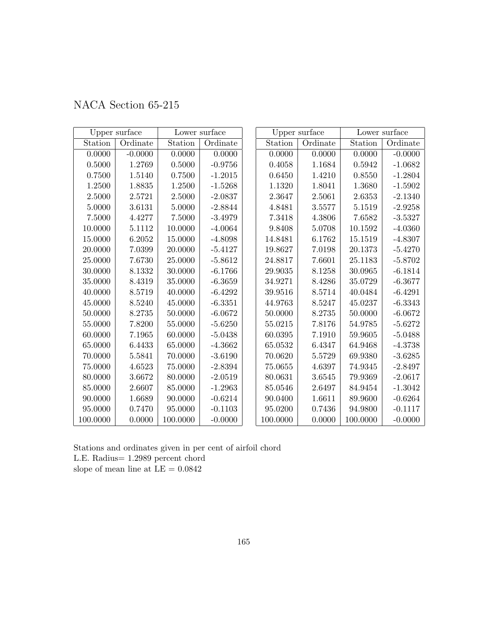| NACA Section 65-215 |
|---------------------|
|---------------------|

|             | Upper surface |          | Lower surface |          | Upper surface | Lower surface |           |
|-------------|---------------|----------|---------------|----------|---------------|---------------|-----------|
| Station     | Ordinate      | Station  | Ordinate      | Station  | Ordinate      | Station       | Ordinate  |
| 0.0000      | $-0.0000$     | 0.0000   | 0.0000        | 0.0000   | 0.0000        | 0.0000        | $-0.0000$ |
| $0.5000\,$  | 1.2769        | 0.5000   | $-0.9756$     | 0.4058   | 1.1684        | 0.5942        | $-1.0682$ |
| 0.7500      | 1.5140        | 0.7500   | $-1.2015$     | 0.6450   | 1.4210        | 0.8550        | $-1.2804$ |
| 1.2500      | 1.8835        | 1.2500   | $-1.5268$     | 1.1320   | 1.8041        | $1.3680\,$    | $-1.5902$ |
| 2.5000      | 2.5721        | 2.5000   | $-2.0837$     | 2.3647   | 2.5061        | 2.6353        | $-2.1340$ |
| 5.0000      | 3.6131        | 5.0000   | $-2.8844$     | 4.8481   | 3.5577        | 5.1519        | $-2.9258$ |
| 7.5000      | 4.4277        | 7.5000   | $-3.4979$     | 7.3418   | 4.3806        | 7.6582        | $-3.5327$ |
| 10.0000     | 5.1112        | 10.0000  | $-4.0064$     | 9.8408   | 5.0708        | 10.1592       | $-4.0360$ |
| 15.0000     | 6.2052        | 15.0000  | $-4.8098$     | 14.8481  | 6.1762        | 15.1519       | $-4.8307$ |
| 20.0000     | 7.0399        | 20.0000  | $-5.4127$     | 19.8627  | 7.0198        | 20.1373       | $-5.4270$ |
| 25.0000     | 7.6730        | 25.0000  | $-5.8612$     | 24.8817  | 7.6601        | 25.1183       | $-5.8702$ |
| 30.0000     | 8.1332        | 30.0000  | $-6.1766$     | 29.9035  | 8.1258        | 30.0965       | $-6.1814$ |
| 35.0000     | 8.4319        | 35.0000  | $-6.3659$     | 34.9271  | 8.4286        | 35.0729       | $-6.3677$ |
| 40.0000     | 8.5719        | 40.0000  | $-6.4292$     | 39.9516  | 8.5714        | 40.0484       | $-6.4291$ |
| 45.0000     | 8.5240        | 45.0000  | $-6.3351$     | 44.9763  | 8.5247        | 45.0237       | $-6.3343$ |
| 50.0000     | 8.2735        | 50.0000  | $-6.0672$     | 50.0000  | 8.2735        | 50.0000       | $-6.0672$ |
| 55.0000     | 7.8200        | 55.0000  | $-5.6250$     | 55.0215  | 7.8176        | 54.9785       | $-5.6272$ |
| 60.0000     | 7.1965        | 60.0000  | $-5.0438$     | 60.0395  | 7.1910        | 59.9605       | $-5.0488$ |
| 65.0000     | 6.4433        | 65.0000  | $-4.3662$     | 65.0532  | 6.4347        | 64.9468       | $-4.3738$ |
| 70.0000     | 5.5841        | 70.0000  | $-3.6190$     | 70.0620  | 5.5729        | 69.9380       | $-3.6285$ |
| $75.0000\,$ | 4.6523        | 75.0000  | $-2.8394$     | 75.0655  | 4.6397        | 74.9345       | $-2.8497$ |
| 80.0000     | 3.6672        | 80.0000  | $-2.0519$     | 80.0631  | 3.6545        | 79.9369       | $-2.0617$ |
| 85.0000     | 2.6607        | 85.0000  | $-1.2963$     | 85.0546  | 2.6497        | 84.9454       | $-1.3042$ |
| 90.0000     | 1.6689        | 90.0000  | $-0.6214$     | 90.0400  | 1.6611        | 89.9600       | $-0.6264$ |
| 95.0000     | 0.7470        | 95.0000  | $-0.1103$     | 95.0200  | 0.7436        | 94.9800       | $-0.1117$ |
| 100.0000    | 0.0000        | 100.0000 | $-0.0000$     | 100.0000 | 0.0000        | 100.0000      | $-0.0000$ |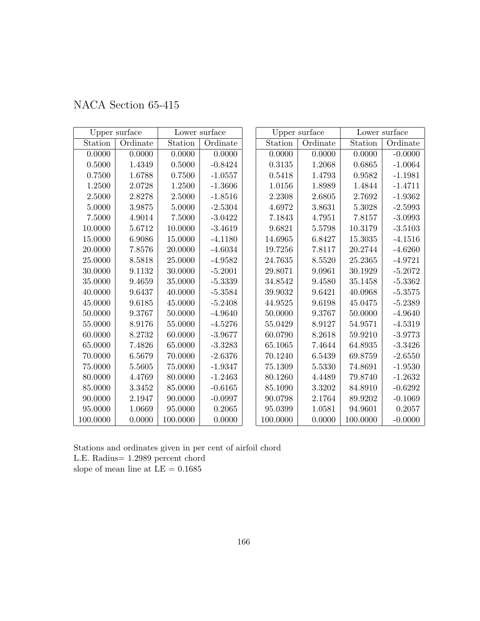|  | NACA Section 65-415 |  |  |
|--|---------------------|--|--|
|--|---------------------|--|--|

|          | Upper surface | Lower surface |           |          | Upper surface | Lower surface |           |
|----------|---------------|---------------|-----------|----------|---------------|---------------|-----------|
| Station  | Ordinate      | Station       | Ordinate  | Station  | Ordinate      | Station       | Ordinate  |
| 0.0000   | 0.0000        | 0.0000        | 0.0000    | 0.0000   | 0.0000        | 0.0000        | $-0.0000$ |
| 0.5000   | 1.4349        | 0.5000        | $-0.8424$ | 0.3135   | 1.2068        | 0.6865        | $-1.0064$ |
| 0.7500   | 1.6788        | 0.7500        | $-1.0557$ | 0.5418   | 1.4793        | 0.9582        | $-1.1981$ |
| 1.2500   | 2.0728        | 1.2500        | $-1.3606$ | 1.0156   | 1.8989        | 1.4844        | $-1.4711$ |
| 2.5000   | 2.8278        | 2.5000        | $-1.8516$ | 2.2308   | 2.6805        | 2.7692        | $-1.9362$ |
| 5.0000   | 3.9875        | 5.0000        | $-2.5304$ | 4.6972   | 3.8631        | 5.3028        | $-2.5993$ |
| 7.5000   | 4.9014        | 7.5000        | $-3.0422$ | 7.1843   | 4.7951        | 7.8157        | $-3.0993$ |
| 10.0000  | 5.6712        | 10.0000       | $-3.4619$ | 9.6821   | 5.5798        | 10.3179       | $-3.5103$ |
| 15.0000  | 6.9086        | 15.0000       | $-4.1180$ | 14.6965  | 6.8427        | 15.3035       | $-4.1516$ |
| 20.0000  | 7.8576        | 20.0000       | $-4.6034$ | 19.7256  | 7.8117        | 20.2744       | $-4.6260$ |
| 25.0000  | 8.5818        | 25.0000       | $-4.9582$ | 24.7635  | 8.5520        | 25.2365       | $-4.9721$ |
| 30.0000  | 9.1132        | 30.0000       | $-5.2001$ | 29.8071  | 9.0961        | 30.1929       | $-5.2072$ |
| 35.0000  | 9.4659        | 35.0000       | $-5.3339$ | 34.8542  | 9.4580        | 35.1458       | $-5.3362$ |
| 40.0000  | 9.6437        | 40.0000       | $-5.3584$ | 39.9032  | 9.6421        | 40.0968       | $-5.3575$ |
| 45.0000  | 9.6185        | 45.0000       | $-5.2408$ | 44.9525  | 9.6198        | 45.0475       | $-5.2389$ |
| 50.0000  | 9.3767        | 50.0000       | $-4.9640$ | 50.0000  | 9.3767        | 50.0000       | $-4.9640$ |
| 55.0000  | 8.9176        | 55.0000       | $-4.5276$ | 55.0429  | 8.9127        | 54.9571       | $-4.5319$ |
| 60.0000  | $8.2732\,$    | 60.0000       | $-3.9677$ | 60.0790  | 8.2618        | 59.9210       | $-3.9773$ |
| 65.0000  | 7.4826        | 65.0000       | $-3.3283$ | 65.1065  | 7.4644        | 64.8935       | $-3.3426$ |
| 70.0000  | 6.5679        | 70.0000       | $-2.6376$ | 70.1240  | 6.5439        | 69.8759       | $-2.6550$ |
| 75.0000  | 5.5605        | 75.0000       | $-1.9347$ | 75.1309  | 5.5330        | 74.8691       | $-1.9530$ |
| 80.0000  | 4.4769        | 80.0000       | $-1.2463$ | 80.1260  | 4.4489        | 79.8740       | $-1.2632$ |
| 85.0000  | 3.3452        | 85.0000       | $-0.6165$ | 85.1090  | 3.3202        | 84.8910       | $-0.6292$ |
| 90.0000  | 2.1947        | 90.0000       | $-0.0997$ | 90.0798  | 2.1764        | 89.9202       | $-0.1069$ |
| 95.0000  | 1.0669        | 95.0000       | 0.2065    | 95.0399  | 1.0581        | 94.9601       | 0.2057    |
| 100.0000 | 0.0000        | 100.0000      | 0.0000    | 100.0000 | 0.0000        | 100.0000      | $-0.0000$ |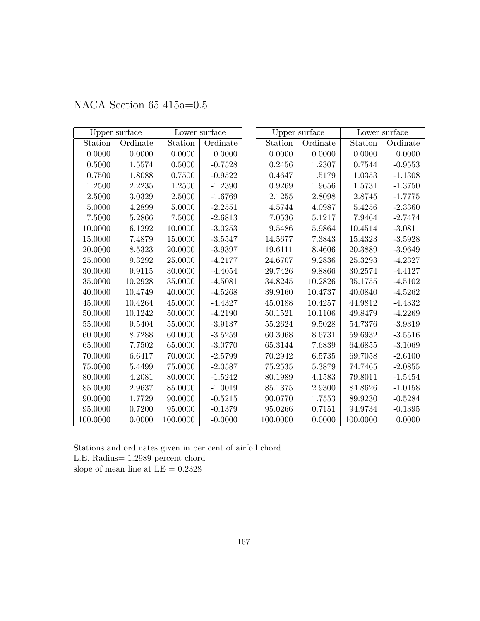|          | Upper surface |          | Lower surface |          | Upper surface |          | Lower surface |
|----------|---------------|----------|---------------|----------|---------------|----------|---------------|
| Station  | Ordinate      | Station  | Ordinate      | Station  | Ordinate      | Station  | Ordinate      |
| 0.0000   | 0.0000        | 0.0000   | 0.0000        | 0.0000   | 0.0000        | 0.0000   | 0.0000        |
| 0.5000   | 1.5574        | 0.5000   | $-0.7528$     | 0.2456   | 1.2307        | 0.7544   | $-0.9553$     |
| 0.7500   | 1.8088        | 0.7500   | $-0.9522$     | 0.4647   | 1.5179        | 1.0353   | $-1.1308$     |
| 1.2500   | 2.2235        | 1.2500   | $-1.2390$     | 0.9269   | 1.9656        | 1.5731   | $-1.3750$     |
| 2.5000   | 3.0329        | 2.5000   | $-1.6769$     | 2.1255   | 2.8098        | 2.8745   | $-1.7775$     |
| 5.0000   | 4.2899        | 5.0000   | $-2.2551$     | 4.5744   | 4.0987        | 5.4256   | $-2.3360$     |
| 7.5000   | 5.2866        | 7.5000   | $-2.6813$     | 7.0536   | 5.1217        | 7.9464   | $-2.7474$     |
| 10.0000  | 6.1292        | 10.0000  | $-3.0253$     | 9.5486   | 5.9864        | 10.4514  | $-3.0811$     |
| 15.0000  | 7.4879        | 15.0000  | $-3.5547$     | 14.5677  | 7.3843        | 15.4323  | $-3.5928$     |
| 20.0000  | 8.5323        | 20.0000  | $-3.9397$     | 19.6111  | 8.4606        | 20.3889  | $-3.9649$     |
| 25.0000  | 9.3292        | 25.0000  | $-4.2177$     | 24.6707  | 9.2836        | 25.3293  | $-4.2327$     |
| 30.0000  | 9.9115        | 30.0000  | $-4.4054$     | 29.7426  | 9.8866        | 30.2574  | $-4.4127$     |
| 35.0000  | 10.2928       | 35.0000  | $-4.5081$     | 34.8245  | 10.2826       | 35.1755  | $-4.5102$     |
| 40.0000  | 10.4749       | 40.0000  | $-4.5268$     | 39.9160  | 10.4737       | 40.0840  | $-4.5262$     |
| 45.0000  | 10.4264       | 45.0000  | $-4.4327$     | 45.0188  | 10.4257       | 44.9812  | $-4.4332$     |
| 50.0000  | 10.1242       | 50.0000  | $-4.2190$     | 50.1521  | 10.1106       | 49.8479  | $-4.2269$     |
| 55.0000  | 9.5404        | 55.0000  | $-3.9137$     | 55.2624  | 9.5028        | 54.7376  | $-3.9319$     |
| 60.0000  | 8.7288        | 60.0000  | $-3.5259$     | 60.3068  | 8.6731        | 59.6932  | $-3.5516$     |
| 65.0000  | 7.7502        | 65.0000  | $-3.0770$     | 65.3144  | 7.6839        | 64.6855  | $-3.1069$     |
| 70.0000  | 6.6417        | 70.0000  | $-2.5799$     | 70.2942  | 6.5735        | 69.7058  | $-2.6100$     |
| 75.0000  | 5.4499        | 75.0000  | $-2.0587$     | 75.2535  | 5.3879        | 74.7465  | $-2.0855$     |
| 80.0000  | 4.2081        | 80.0000  | $-1.5242$     | 80.1989  | 4.1583        | 79.8011  | $-1.5454$     |
| 85.0000  | 2.9637        | 85.0000  | $-1.0019$     | 85.1375  | 2.9300        | 84.8626  | $-1.0158$     |
| 90.0000  | 1.7729        | 90.0000  | $-0.5215$     | 90.0770  | 1.7553        | 89.9230  | $-0.5284$     |
| 95.0000  | 0.7200        | 95.0000  | $-0.1379$     | 95.0266  | 0.7151        | 94.9734  | $-0.1395$     |
| 100.0000 | 0.0000        | 100.0000 | $-0.0000$     | 100.0000 | 0.0000        | 100.0000 | 0.0000        |

## NACA Section 65-415a=0.5

Stations and ordinates given in per cent of airfoil chord L.E. Radius= 1.2989 percent chord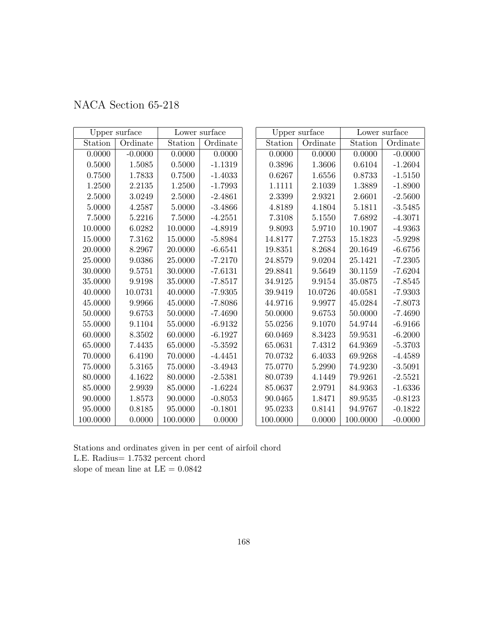|  | NACA Section 65-218 |  |
|--|---------------------|--|
|--|---------------------|--|

|          | Upper surface |          | Lower surface |          | Upper surface | Lower surface |           |
|----------|---------------|----------|---------------|----------|---------------|---------------|-----------|
| Station  | Ordinate      | Station  | Ordinate      | Station  | Ordinate      | Station       | Ordinate  |
| 0.0000   | $-0.0000$     | 0.0000   | 0.0000        | 0.0000   | 0.0000        | 0.0000        | $-0.0000$ |
| 0.5000   | 1.5085        | 0.5000   | $-1.1319$     | 0.3896   | 1.3606        | 0.6104        | $-1.2604$ |
| 0.7500   | 1.7833        | 0.7500   | $-1.4033$     | 0.6267   | 1.6556        | 0.8733        | $-1.5150$ |
| 1.2500   | 2.2135        | 1.2500   | $-1.7993$     | 1.1111   | 2.1039        | 1.3889        | $-1.8900$ |
| 2.5000   | 3.0249        | 2.5000   | $-2.4861$     | 2.3399   | 2.9321        | 2.6601        | $-2.5600$ |
| 5.0000   | 4.2587        | 5.0000   | $-3.4866$     | 4.8189   | 4.1804        | 5.1811        | $-3.5485$ |
| 7.5000   | 5.2216        | 7.5000   | $-4.2551$     | 7.3108   | 5.1550        | 7.6892        | $-4.3071$ |
| 10.0000  | 6.0282        | 10.0000  | $-4.8919$     | 9.8093   | 5.9710        | 10.1907       | $-4.9363$ |
| 15.0000  | 7.3162        | 15.0000  | $-5.8984$     | 14.8177  | 7.2753        | 15.1823       | $-5.9298$ |
| 20.0000  | 8.2967        | 20.0000  | $-6.6541$     | 19.8351  | 8.2684        | 20.1649       | $-6.6756$ |
| 25.0000  | 9.0386        | 25.0000  | $-7.2170$     | 24.8579  | 9.0204        | 25.1421       | $-7.2305$ |
| 30.0000  | 9.5751        | 30.0000  | $-7.6131$     | 29.8841  | 9.5649        | 30.1159       | $-7.6204$ |
| 35.0000  | 9.9198        | 35.0000  | $-7.8517$     | 34.9125  | 9.9154        | 35.0875       | $-7.8545$ |
| 40.0000  | 10.0731       | 40.0000  | $-7.9305$     | 39.9419  | 10.0726       | 40.0581       | $-7.9303$ |
| 45.0000  | 9.9966        | 45.0000  | $-7.8086$     | 44.9716  | 9.9977        | 45.0284       | $-7.8073$ |
| 50.0000  | 9.6753        | 50.0000  | $-7.4690$     | 50.0000  | 9.6753        | 50.0000       | $-7.4690$ |
| 55.0000  | 9.1104        | 55.0000  | $-6.9132$     | 55.0256  | 9.1070        | 54.9744       | $-6.9166$ |
| 60.0000  | 8.3502        | 60.0000  | $-6.1927$     | 60.0469  | 8.3423        | 59.9531       | $-6.2000$ |
| 65.0000  | 7.4435        | 65.0000  | $-5.3592$     | 65.0631  | 7.4312        | 64.9369       | $-5.3703$ |
| 70.0000  | 6.4190        | 70.0000  | $-4.4451$     | 70.0732  | 6.4033        | 69.9268       | $-4.4589$ |
| 75.0000  | 5.3165        | 75.0000  | $-3.4943$     | 75.0770  | 5.2990        | 74.9230       | $-3.5091$ |
| 80.0000  | 4.1622        | 80.0000  | $-2.5381$     | 80.0739  | 4.1449        | 79.9261       | $-2.5521$ |
| 85.0000  | 2.9939        | 85.0000  | $-1.6224$     | 85.0637  | 2.9791        | 84.9363       | $-1.6336$ |
| 90.0000  | 1.8573        | 90.0000  | $-0.8053$     | 90.0465  | 1.8471        | 89.9535       | $-0.8123$ |
| 95.0000  | 0.8185        | 95.0000  | $-0.1801$     | 95.0233  | 0.8141        | 94.9767       | $-0.1822$ |
| 100.0000 | 0.0000        | 100.0000 | 0.0000        | 100.0000 | 0.0000        | 100.0000      | $-0.0000$ |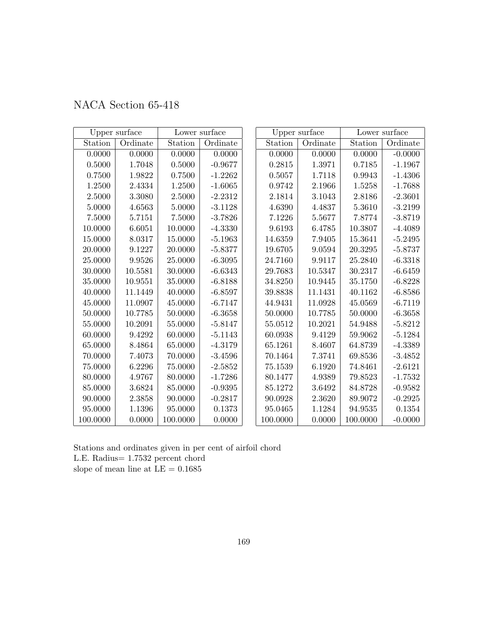| NACA Section 65-418 |  |  |  |
|---------------------|--|--|--|
|---------------------|--|--|--|

|          | Upper surface | Lower surface |           | Upper surface |          | Lower surface |           |
|----------|---------------|---------------|-----------|---------------|----------|---------------|-----------|
| Station  | Ordinate      | Station       | Ordinate  | Station       | Ordinate | Station       | Ordinate  |
| 0.0000   | 0.0000        | 0.0000        | 0.0000    | 0.0000        | 0.0000   | 0.0000        | $-0.0000$ |
| 0.5000   | 1.7048        | 0.5000        | $-0.9677$ | 0.2815        | 1.3971   | 0.7185        | $-1.1967$ |
| 0.7500   | 1.9822        | 0.7500        | $-1.2262$ | 0.5057        | 1.7118   | 0.9943        | $-1.4306$ |
| 1.2500   | 2.4334        | 1.2500        | $-1.6065$ | 0.9742        | 2.1966   | 1.5258        | $-1.7688$ |
| 2.5000   | 3.3080        | 2.5000        | $-2.2312$ | 2.1814        | 3.1043   | 2.8186        | $-2.3601$ |
| 5.0000   | 4.6563        | 5.0000        | $-3.1128$ | 4.6390        | 4.4837   | $5.3610\,$    | $-3.2199$ |
| 7.5000   | 5.7151        | 7.5000        | $-3.7826$ | 7.1226        | 5.5677   | 7.8774        | $-3.8719$ |
| 10.0000  | 6.6051        | 10.0000       | $-4.3330$ | 9.6193        | 6.4785   | 10.3807       | $-4.4089$ |
| 15.0000  | 8.0317        | 15.0000       | $-5.1963$ | 14.6359       | 7.9405   | 15.3641       | $-5.2495$ |
| 20.0000  | 9.1227        | 20.0000       | $-5.8377$ | 19.6705       | 9.0594   | 20.3295       | $-5.8737$ |
| 25.0000  | 9.9526        | 25.0000       | $-6.3095$ | 24.7160       | 9.9117   | 25.2840       | $-6.3318$ |
| 30.0000  | 10.5581       | 30.0000       | $-6.6343$ | 29.7683       | 10.5347  | 30.2317       | $-6.6459$ |
| 35.0000  | 10.9551       | 35.0000       | $-6.8188$ | 34.8250       | 10.9445  | 35.1750       | $-6.8228$ |
| 40.0000  | 11.1449       | 40.0000       | $-6.8597$ | 39.8838       | 11.1431  | 40.1162       | $-6.8586$ |
| 45.0000  | 11.0907       | 45.0000       | $-6.7147$ | 44.9431       | 11.0928  | 45.0569       | $-6.7119$ |
| 50.0000  | 10.7785       | 50.0000       | $-6.3658$ | 50.0000       | 10.7785  | 50.0000       | $-6.3658$ |
| 55.0000  | 10.2091       | 55.0000       | $-5.8147$ | 55.0512       | 10.2021  | 54.9488       | $-5.8212$ |
| 60.0000  | 9.4292        | 60.0000       | $-5.1143$ | 60.0938       | 9.4129   | 59.9062       | $-5.1284$ |
| 65.0000  | 8.4864        | 65.0000       | $-4.3179$ | 65.1261       | 8.4607   | 64.8739       | $-4.3389$ |
| 70.0000  | 7.4073        | 70.0000       | $-3.4596$ | 70.1464       | 7.3741   | 69.8536       | $-3.4852$ |
| 75.0000  | 6.2296        | 75.0000       | $-2.5852$ | 75.1539       | 6.1920   | 74.8461       | $-2.6121$ |
| 80.0000  | 4.9767        | 80.0000       | $-1.7286$ | 80.1477       | 4.9389   | 79.8523       | $-1.7532$ |
| 85.0000  | 3.6824        | 85.0000       | $-0.9395$ | 85.1272       | 3.6492   | 84.8728       | $-0.9582$ |
| 90.0000  | 2.3858        | 90.0000       | $-0.2817$ | 90.0928       | 2.3620   | 89.9072       | $-0.2925$ |
| 95.0000  | 1.1396        | 95.0000       | 0.1373    | 95.0465       | 1.1284   | 94.9535       | 0.1354    |
| 100.0000 | 0.0000        | 100.0000      | 0.0000    | 100.0000      | 0.0000   | 100.0000      | $-0.0000$ |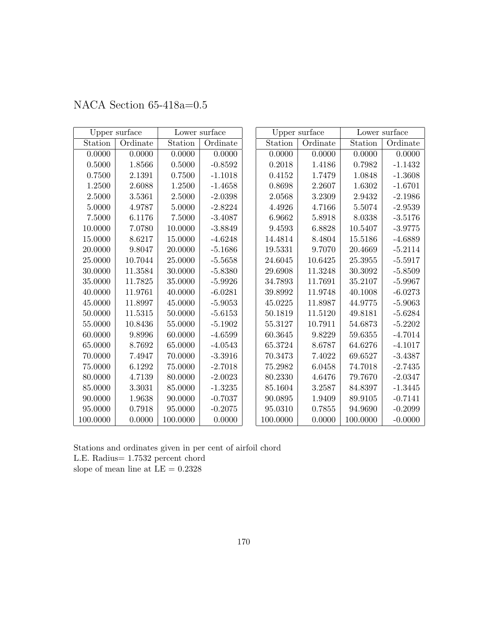|          | Upper surface |          | Lower surface |          | Upper surface |          | Lower surface |
|----------|---------------|----------|---------------|----------|---------------|----------|---------------|
| Station  | Ordinate      | Station  | Ordinate      | Station  | Ordinate      | Station  | Ordinate      |
| 0.0000   | 0.0000        | 0.0000   | 0.0000        | 0.0000   | 0.0000        | 0.0000   | 0.0000        |
| 0.5000   | 1.8566        | 0.5000   | $-0.8592$     | 0.2018   | 1.4186        | 0.7982   | $-1.1432$     |
| 0.7500   | 2.1391        | 0.7500   | $-1.1018$     | 0.4152   | 1.7479        | 1.0848   | $-1.3608$     |
| 1.2500   | 2.6088        | 1.2500   | $-1.4658$     | 0.8698   | 2.2607        | 1.6302   | $-1.6701$     |
| 2.5000   | 3.5361        | 2.5000   | $-2.0398$     | 2.0568   | 3.2309        | 2.9432   | $-2.1986$     |
| 5.0000   | 4.9787        | 5.0000   | $-2.8224$     | 4.4926   | 4.7166        | 5.5074   | $-2.9539$     |
| 7.5000   | 6.1176        | 7.5000   | $-3.4087$     | 6.9662   | 5.8918        | 8.0338   | $-3.5176$     |
| 10.0000  | 7.0780        | 10.0000  | $-3.8849$     | 9.4593   | 6.8828        | 10.5407  | $-3.9775$     |
| 15.0000  | 8.6217        | 15.0000  | $-4.6248$     | 14.4814  | 8.4804        | 15.5186  | $-4.6889$     |
| 20.0000  | 9.8047        | 20.0000  | $-5.1686$     | 19.5331  | 9.7070        | 20.4669  | $-5.2114$     |
| 25.0000  | 10.7044       | 25.0000  | $-5.5658$     | 24.6045  | 10.6425       | 25.3955  | $-5.5917$     |
| 30.0000  | 11.3584       | 30.0000  | $-5.8380$     | 29.6908  | 11.3248       | 30.3092  | $-5.8509$     |
| 35.0000  | 11.7825       | 35.0000  | $-5.9926$     | 34.7893  | 11.7691       | 35.2107  | $-5.9967$     |
| 40.0000  | 11.9761       | 40.0000  | $-6.0281$     | 39.8992  | 11.9748       | 40.1008  | $-6.0273$     |
| 45.0000  | 11.8997       | 45.0000  | $-5.9053$     | 45.0225  | 11.8987       | 44.9775  | $-5.9063$     |
| 50.0000  | 11.5315       | 50.0000  | $-5.6153$     | 50.1819  | 11.5120       | 49.8181  | $-5.6284$     |
| 55.0000  | 10.8436       | 55.0000  | $-5.1902$     | 55.3127  | 10.7911       | 54.6873  | $-5.2202$     |
| 60.0000  | 9.8996        | 60.0000  | $-4.6599$     | 60.3645  | 9.8229        | 59.6355  | $-4.7014$     |
| 65.0000  | 8.7692        | 65.0000  | $-4.0543$     | 65.3724  | 8.6787        | 64.6276  | $-4.1017$     |
| 70.0000  | 7.4947        | 70.0000  | $-3.3916$     | 70.3473  | 7.4022        | 69.6527  | $-3.4387$     |
| 75.0000  | 6.1292        | 75.0000  | $-2.7018$     | 75.2982  | 6.0458        | 74.7018  | $-2.7435$     |
| 80.0000  | 4.7139        | 80.0000  | $-2.0023$     | 80.2330  | 4.6476        | 79.7670  | $-2.0347$     |
| 85.0000  | 3.3031        | 85.0000  | $-1.3235$     | 85.1604  | 3.2587        | 84.8397  | $-1.3445$     |
| 90.0000  | 1.9638        | 90.0000  | $-0.7037$     | 90.0895  | 1.9409        | 89.9105  | $-0.7141$     |
| 95.0000  | 0.7918        | 95.0000  | $-0.2075$     | 95.0310  | 0.7855        | 94.9690  | $-0.2099$     |
| 100.0000 | 0.0000        | 100.0000 | 0.0000        | 100.0000 | 0.0000        | 100.0000 | $-0.0000$     |

## NACA Section 65-418a=0.5

Stations and ordinates given in per cent of airfoil chord L.E. Radius= 1.7532 percent chord slope of mean line at  $\mathrm{LE}=0.2328$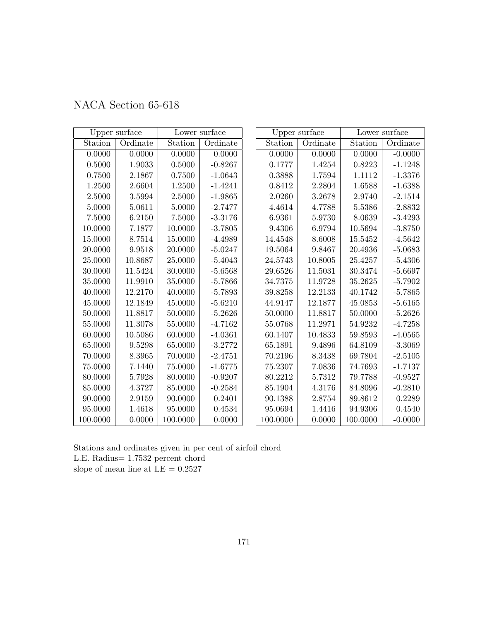|  | NACA Section 65-618 |  |
|--|---------------------|--|
|--|---------------------|--|

|             | Upper surface |            | Lower surface |          | Upper surface | Lower surface |           |
|-------------|---------------|------------|---------------|----------|---------------|---------------|-----------|
| Station     | Ordinate      | Station    | Ordinate      | Station  | Ordinate      | Station       | Ordinate  |
| 0.0000      | 0.0000        | 0.0000     | 0.0000        | 0.0000   | 0.0000        | 0.0000        | $-0.0000$ |
| $0.5000\,$  | 1.9033        | $0.5000\,$ | $-0.8267$     | 0.1777   | 1.4254        | 0.8223        | $-1.1248$ |
| 0.7500      | 2.1867        | 0.7500     | $-1.0643$     | 0.3888   | 1.7594        | 1.1112        | $-1.3376$ |
| 1.2500      | 2.6604        | 1.2500     | $-1.4241$     | 0.8412   | 2.2804        | 1.6588        | $-1.6388$ |
| 2.5000      | 3.5994        | 2.5000     | $-1.9865$     | 2.0260   | 3.2678        | 2.9740        | $-2.1514$ |
| 5.0000      | 5.0611        | 5.0000     | $-2.7477$     | 4.4614   | 4.7788        | 5.5386        | $-2.8832$ |
| 7.5000      | 6.2150        | 7.5000     | $-3.3176$     | 6.9361   | 5.9730        | 8.0639        | $-3.4293$ |
| 10.0000     | 7.1877        | 10.0000    | $-3.7805$     | 9.4306   | 6.9794        | 10.5694       | $-3.8750$ |
| 15.0000     | 8.7514        | 15.0000    | $-4.4989$     | 14.4548  | 8.6008        | 15.5452       | $-4.5642$ |
| $20.0000\,$ | 9.9518        | 20.0000    | $-5.0247$     | 19.5064  | 9.8467        | 20.4936       | $-5.0683$ |
| 25.0000     | 10.8687       | 25.0000    | $-5.4043$     | 24.5743  | 10.8005       | 25.4257       | $-5.4306$ |
| 30.0000     | 11.5424       | 30.0000    | $-5.6568$     | 29.6526  | 11.5031       | 30.3474       | $-5.6697$ |
| 35.0000     | 11.9910       | 35.0000    | $-5.7866$     | 34.7375  | 11.9728       | 35.2625       | $-5.7902$ |
| 40.0000     | 12.2170       | 40.0000    | $-5.7893$     | 39.8258  | 12.2133       | 40.1742       | $-5.7865$ |
| 45.0000     | 12.1849       | 45.0000    | $-5.6210$     | 44.9147  | 12.1877       | 45.0853       | $-5.6165$ |
| 50.0000     | 11.8817       | 50.0000    | $-5.2626$     | 50.0000  | 11.8817       | 50.0000       | $-5.2626$ |
| 55.0000     | 11.3078       | 55.0000    | $-4.7162$     | 55.0768  | 11.2971       | 54.9232       | $-4.7258$ |
| 60.0000     | 10.5086       | 60.0000    | $-4.0361$     | 60.1407  | 10.4833       | 59.8593       | $-4.0565$ |
| 65.0000     | 9.5298        | 65.0000    | $-3.2772$     | 65.1891  | 9.4896        | 64.8109       | $-3.3069$ |
| 70.0000     | 8.3965        | 70.0000    | $-2.4751$     | 70.2196  | 8.3438        | 69.7804       | $-2.5105$ |
| 75.0000     | 7.1440        | 75.0000    | $-1.6775$     | 75.2307  | 7.0836        | 74.7693       | $-1.7137$ |
| 80.0000     | 5.7928        | 80.0000    | $-0.9207$     | 80.2212  | 5.7312        | 79.7788       | $-0.9527$ |
| 85.0000     | 4.3727        | 85.0000    | $-0.2584$     | 85.1904  | 4.3176        | 84.8096       | $-0.2810$ |
| 90.0000     | 2.9159        | 90.0000    | 0.2401        | 90.1388  | 2.8754        | 89.8612       | 0.2289    |
| 95.0000     | 1.4618        | 95.0000    | 0.4534        | 95.0694  | 1.4416        | 94.9306       | 0.4540    |
| 100.0000    | 0.0000        | 100.0000   | 0.0000        | 100.0000 | 0.0000        | 100.0000      | $-0.0000$ |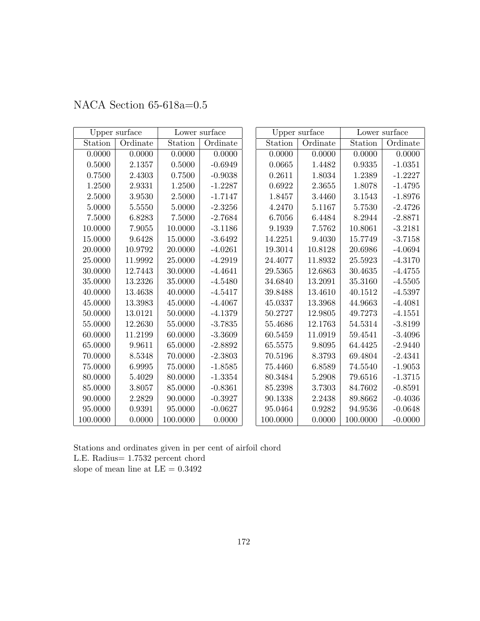|          | Upper surface |          | Lower surface |          | Upper surface |          | Lower surface |
|----------|---------------|----------|---------------|----------|---------------|----------|---------------|
| Station  | Ordinate      | Station  | Ordinate      | Station  | Ordinate      | Station  | Ordinate      |
| 0.0000   | 0.0000        | 0.0000   | 0.0000        | 0.0000   | 0.0000        | 0.0000   | 0.0000        |
| 0.5000   | 2.1357        | 0.5000   | $-0.6949$     | 0.0665   | 1.4482        | 0.9335   | $-1.0351$     |
| 0.7500   | 2.4303        | 0.7500   | $-0.9038$     | 0.2611   | 1.8034        | 1.2389   | $-1.2227$     |
| 1.2500   | 2.9331        | 1.2500   | $-1.2287$     | 0.6922   | 2.3655        | 1.8078   | $-1.4795$     |
| 2.5000   | 3.9530        | 2.5000   | $-1.7147$     | 1.8457   | 3.4460        | 3.1543   | $-1.8976$     |
| 5.0000   | 5.5550        | 5.0000   | $-2.3256$     | 4.2470   | 5.1167        | 5.7530   | $-2.4726$     |
| 7.5000   | 6.8283        | 7.5000   | $-2.7684$     | 6.7056   | 6.4484        | 8.2944   | $-2.8871$     |
| 10.0000  | 7.9055        | 10.0000  | $-3.1186$     | 9.1939   | 7.5762        | 10.8061  | $-3.2181$     |
| 15.0000  | 9.6428        | 15.0000  | $-3.6492$     | 14.2251  | 9.4030        | 15.7749  | $-3.7158$     |
| 20.0000  | 10.9792       | 20.0000  | $-4.0261$     | 19.3014  | 10.8128       | 20.6986  | $-4.0694$     |
| 25.0000  | 11.9992       | 25.0000  | $-4.2919$     | 24.4077  | 11.8932       | 25.5923  | $-4.3170$     |
| 30.0000  | 12.7443       | 30.0000  | $-4.4641$     | 29.5365  | 12.6863       | 30.4635  | $-4.4755$     |
| 35.0000  | 13.2326       | 35.0000  | $-4.5480$     | 34.6840  | 13.2091       | 35.3160  | $-4.5505$     |
| 40.0000  | 13.4638       | 40.0000  | $-4.5417$     | 39.8488  | 13.4610       | 40.1512  | $-4.5397$     |
| 45.0000  | 13.3983       | 45.0000  | $-4.4067$     | 45.0337  | 13.3968       | 44.9663  | $-4.4081$     |
| 50.0000  | 13.0121       | 50.0000  | $-4.1379$     | 50.2727  | 12.9805       | 49.7273  | $-4.1551$     |
| 55.0000  | 12.2630       | 55.0000  | $-3.7835$     | 55.4686  | 12.1763       | 54.5314  | $-3.8199$     |
| 60.0000  | 11.2199       | 60.0000  | $-3.3609$     | 60.5459  | 11.0919       | 59.4541  | $-3.4096$     |
| 65.0000  | 9.9611        | 65.0000  | $-2.8892$     | 65.5575  | 9.8095        | 64.4425  | $-2.9440$     |
| 70.0000  | 8.5348        | 70.0000  | $-2.3803$     | 70.5196  | 8.3793        | 69.4804  | $-2.4341$     |
| 75.0000  | 6.9995        | 75.0000  | $-1.8585$     | 75.4460  | 6.8589        | 74.5540  | $-1.9053$     |
| 80.0000  | 5.4029        | 80.0000  | $-1.3354$     | 80.3484  | 5.2908        | 79.6516  | $-1.3715$     |
| 85.0000  | 3.8057        | 85.0000  | $-0.8361$     | 85.2398  | 3.7303        | 84.7602  | $-0.8591$     |
| 90.0000  | 2.2829        | 90.0000  | $-0.3927$     | 90.1338  | 2.2438        | 89.8662  | $-0.4036$     |
| 95.0000  | 0.9391        | 95.0000  | $-0.0627$     | 95.0464  | 0.9282        | 94.9536  | $-0.0648$     |
| 100.0000 | 0.0000        | 100.0000 | 0.0000        | 100.0000 | 0.0000        | 100.0000 | $-0.0000$     |

## NACA Section 65-618a=0.5

Stations and ordinates given in per cent of airfoil chord L.E. Radius= 1.7532 percent chord slope of mean line at  $\mathrm{LE}=0.3492$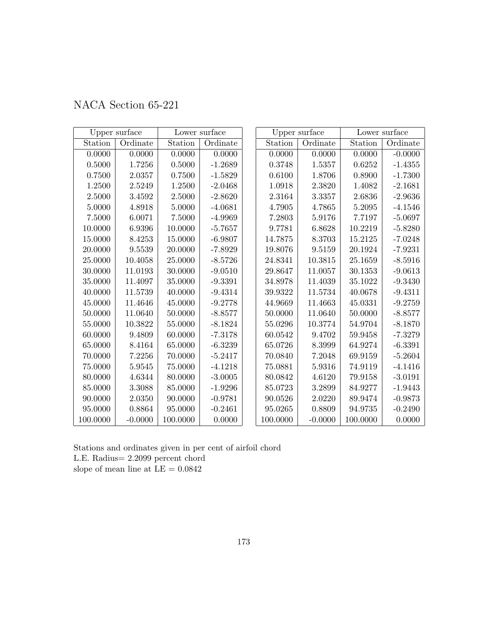|  | NACA Section 65-221 |  |
|--|---------------------|--|
|--|---------------------|--|

|            | Upper surface |          | Lower surface |            | Upper surface |          | Lower surface |
|------------|---------------|----------|---------------|------------|---------------|----------|---------------|
| Station    | Ordinate      | Station  | Ordinate      | Station    | Ordinate      | Station  | Ordinate      |
| 0.0000     | 0.0000        | 0.0000   | 0.0000        | 0.0000     | 0.0000        | 0.0000   | $-0.0000$     |
| $0.5000\,$ | 1.7256        | 0.5000   | $-1.2689$     | $0.3748\,$ | 1.5357        | 0.6252   | $-1.4355$     |
| 0.7500     | 2.0357        | 0.7500   | $-1.5829$     | 0.6100     | 1.8706        | 0.8900   | $-1.7300$     |
| 1.2500     | 2.5249        | 1.2500   | $-2.0468$     | 1.0918     | 2.3820        | 1.4082   | $-2.1681$     |
| 2.5000     | 3.4592        | 2.5000   | $-2.8620$     | 2.3164     | 3.3357        | 2.6836   | $-2.9636$     |
| 5.0000     | 4.8918        | 5.0000   | $-4.0681$     | 4.7905     | 4.7865        | 5.2095   | $-4.1546$     |
| 7.5000     | 6.0071        | 7.5000   | $-4.9969$     | 7.2803     | 5.9176        | 7.7197   | $-5.0697$     |
| 10.0000    | 6.9396        | 10.0000  | $-5.7657$     | 9.7781     | 6.8628        | 10.2219  | $-5.8280$     |
| 15.0000    | 8.4253        | 15.0000  | $-6.9807$     | 14.7875    | 8.3703        | 15.2125  | $-7.0248$     |
| 20.0000    | 9.5539        | 20.0000  | $-7.8929$     | 19.8076    | 9.5159        | 20.1924  | $-7.9231$     |
| 25.0000    | 10.4058       | 25.0000  | $-8.5726$     | 24.8341    | 10.3815       | 25.1659  | $-8.5916$     |
| 30.0000    | 11.0193       | 30.0000  | $-9.0510$     | 29.8647    | 11.0057       | 30.1353  | $-9.0613$     |
| 35.0000    | 11.4097       | 35.0000  | $-9.3391$     | 34.8978    | 11.4039       | 35.1022  | $-9.3430$     |
| 40.0000    | 11.5739       | 40.0000  | $-9.4314$     | 39.9322    | 11.5734       | 40.0678  | $-9.4311$     |
| 45.0000    | 11.4646       | 45.0000  | $-9.2778$     | 44.9669    | 11.4663       | 45.0331  | $-9.2759$     |
| 50.0000    | 11.0640       | 50.0000  | $-8.8577$     | 50.0000    | 11.0640       | 50.0000  | $-8.8577$     |
| 55.0000    | 10.3822       | 55.0000  | $-8.1824$     | 55.0296    | 10.3774       | 54.9704  | $-8.1870$     |
| 60.0000    | 9.4809        | 60.0000  | $-7.3178$     | 60.0542    | 9.4702        | 59.9458  | $-7.3279$     |
| 65.0000    | 8.4164        | 65.0000  | $-6.3239$     | 65.0726    | 8.3999        | 64.9274  | $-6.3391$     |
| 70.0000    | 7.2256        | 70.0000  | $-5.2417$     | 70.0840    | 7.2048        | 69.9159  | $-5.2604$     |
| 75.0000    | 5.9545        | 75.0000  | $-4.1218$     | 75.0881    | 5.9316        | 74.9119  | $-4.1416$     |
| 80.0000    | 4.6344        | 80.0000  | $-3.0005$     | 80.0842    | 4.6120        | 79.9158  | $-3.0191$     |
| 85.0000    | 3.3088        | 85.0000  | $-1.9296$     | 85.0723    | 3.2899        | 84.9277  | $-1.9443$     |
| 90.0000    | 2.0350        | 90.0000  | $-0.9781$     | 90.0526    | 2.0220        | 89.9474  | $-0.9873$     |
| 95.0000    | 0.8864        | 95.0000  | $-0.2461$     | 95.0265    | 0.8809        | 94.9735  | $-0.2490$     |
| 100.0000   | $-0.0000$     | 100.0000 | 0.0000        | 100.0000   | $-0.0000$     | 100.0000 | 0.0000        |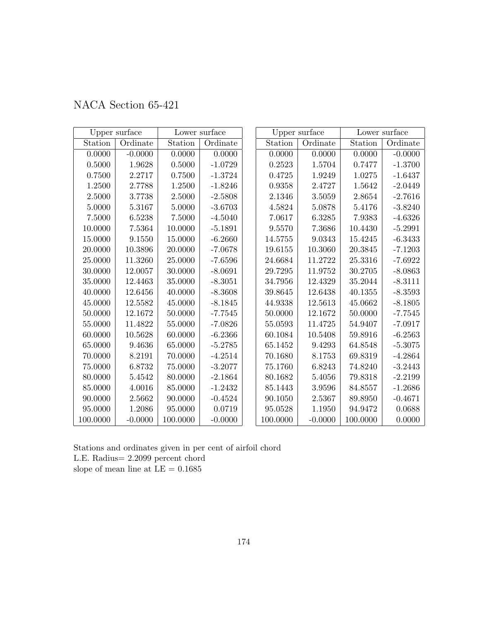|  | NACA Section 65-421 |  |
|--|---------------------|--|
|--|---------------------|--|

|            | Upper surface |          | Lower surface |          | Upper surface |          | Lower surface |
|------------|---------------|----------|---------------|----------|---------------|----------|---------------|
| Station    | Ordinate      | Station  | Ordinate      | Station  | Ordinate      | Station  | Ordinate      |
| 0.0000     | $-0.0000$     | 0.0000   | 0.0000        | 0.0000   | 0.0000        | 0.0000   | $-0.0000$     |
| 0.5000     | 1.9628        | 0.5000   | $-1.0729$     | 0.2523   | 1.5704        | 0.7477   | $-1.3700$     |
| 0.7500     | 2.2717        | 0.7500   | $-1.3724$     | 0.4725   | 1.9249        | 1.0275   | $-1.6437$     |
| 1.2500     | 2.7788        | 1.2500   | $-1.8246$     | 0.9358   | 2.4727        | 1.5642   | $-2.0449$     |
| 2.5000     | 3.7738        | 2.5000   | $-2.5808$     | 2.1346   | 3.5059        | 2.8654   | $-2.7616$     |
| 5.0000     | 5.3167        | 5.0000   | $-3.6703$     | 4.5824   | 5.0878        | 5.4176   | $-3.8240$     |
| $7.5000\,$ | 6.5238        | 7.5000   | $-4.5040$     | 7.0617   | 6.3285        | 7.9383   | $-4.6326$     |
| 10.0000    | 7.5364        | 10.0000  | $-5.1891$     | 9.5570   | 7.3686        | 10.4430  | $-5.2991$     |
| 15.0000    | 9.1550        | 15.0000  | $-6.2660$     | 14.5755  | 9.0343        | 15.4245  | $-6.3433$     |
| 20.0000    | 10.3896       | 20.0000  | $-7.0678$     | 19.6155  | 10.3060       | 20.3845  | $-7.1203$     |
| 25.0000    | 11.3260       | 25.0000  | $-7.6596$     | 24.6684  | 11.2722       | 25.3316  | $-7.6922$     |
| 30.0000    | 12.0057       | 30.0000  | $-8.0691$     | 29.7295  | 11.9752       | 30.2705  | $-8.0863$     |
| 35.0000    | 12.4463       | 35.0000  | $-8.3051$     | 34.7956  | 12.4329       | 35.2044  | $-8.3111$     |
| 40.0000    | 12.6456       | 40.0000  | $-8.3608$     | 39.8645  | 12.6438       | 40.1355  | $-8.3593$     |
| 45.0000    | 12.5582       | 45.0000  | $-8.1845$     | 44.9338  | 12.5613       | 45.0662  | $-8.1805$     |
| 50.0000    | 12.1672       | 50.0000  | $-7.7545$     | 50.0000  | 12.1672       | 50.0000  | $-7.7545$     |
| 55.0000    | 11.4822       | 55.0000  | $-7.0826$     | 55.0593  | 11.4725       | 54.9407  | $-7.0917$     |
| 60.0000    | 10.5628       | 60.0000  | $-6.2366$     | 60.1084  | 10.5408       | 59.8916  | $-6.2563$     |
| 65.0000    | 9.4636        | 65.0000  | $-5.2785$     | 65.1452  | 9.4293        | 64.8548  | $-5.3075$     |
| 70.0000    | 8.2191        | 70.0000  | $-4.2514$     | 70.1680  | 8.1753        | 69.8319  | $-4.2864$     |
| 75.0000    | 6.8732        | 75.0000  | $-3.2077$     | 75.1760  | 6.8243        | 74.8240  | $-3.2443$     |
| 80.0000    | 5.4542        | 80.0000  | $-2.1864$     | 80.1682  | 5.4056        | 79.8318  | $-2.2199$     |
| 85.0000    | 4.0016        | 85.0000  | $-1.2432$     | 85.1443  | 3.9596        | 84.8557  | $-1.2686$     |
| 90.0000    | 2.5662        | 90.0000  | $-0.4524$     | 90.1050  | 2.5367        | 89.8950  | $-0.4671$     |
| 95.0000    | 1.2086        | 95.0000  | 0.0719        | 95.0528  | 1.1950        | 94.9472  | 0.0688        |
| 100.0000   | $-0.0000$     | 100.0000 | $-0.0000$     | 100.0000 | $-0.0000$     | 100.0000 | 0.0000        |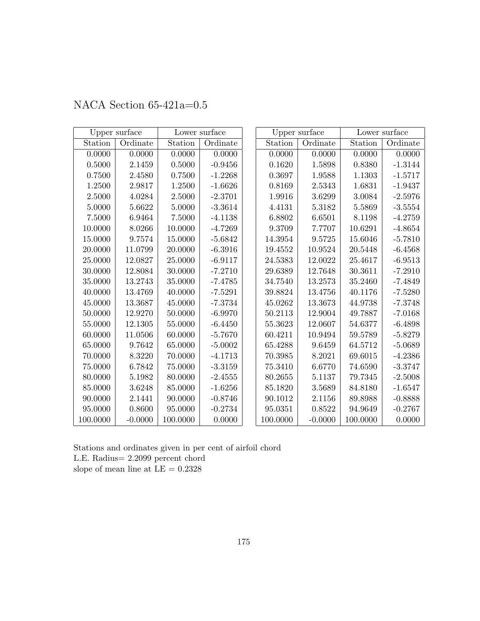|          | Upper surface |          | Lower surface |          | Upper surface |          | Lower surface |
|----------|---------------|----------|---------------|----------|---------------|----------|---------------|
| Station  | Ordinate      | Station  | Ordinate      | Station  | Ordinate      | Station  | Ordinate      |
| 0.0000   | 0.0000        | 0.0000   | 0.0000        | 0.0000   | 0.0000        | 0.0000   | 0.0000        |
| 0.5000   | 2.1459        | 0.5000   | $-0.9456$     | 0.1620   | 1.5898        | 0.8380   | $-1.3144$     |
| 0.7500   | 2.4580        | 0.7500   | $-1.2268$     | 0.3697   | 1.9588        | 1.1303   | $-1.5717$     |
| 1.2500   | 2.9817        | 1.2500   | $-1.6626$     | 0.8169   | 2.5343        | 1.6831   | $-1.9437$     |
| 2.5000   | 4.0284        | 2.5000   | $-2.3701$     | 1.9916   | 3.6299        | 3.0084   | $-2.5976$     |
| 5.0000   | 5.6622        | 5.0000   | $-3.3614$     | 4.4131   | 5.3182        | 5.5869   | $-3.5554$     |
| 7.5000   | 6.9464        | 7.5000   | $-4.1138$     | 6.8802   | 6.6501        | 8.1198   | $-4.2759$     |
| 10.0000  | 8.0266        | 10.0000  | $-4.7269$     | 9.3709   | 7.7707        | 10.6291  | $-4.8654$     |
| 15.0000  | 9.7574        | 15.0000  | $-5.6842$     | 14.3954  | 9.5725        | 15.6046  | $-5.7810$     |
| 20.0000  | 11.0799       | 20.0000  | $-6.3916$     | 19.4552  | 10.9524       | 20.5448  | $-6.4568$     |
| 25.0000  | 12.0827       | 25.0000  | $-6.9117$     | 24.5383  | 12.0022       | 25.4617  | $-6.9513$     |
| 30.0000  | 12.8084       | 30.0000  | $-7.2710$     | 29.6389  | 12.7648       | 30.3611  | $-7.2910$     |
| 35.0000  | 13.2743       | 35.0000  | $-7.4785$     | 34.7540  | 13.2573       | 35.2460  | $-7.4849$     |
| 40.0000  | 13.4769       | 40.0000  | $-7.5291$     | 39.8824  | 13.4756       | 40.1176  | $-7.5280$     |
| 45.0000  | 13.3687       | 45.0000  | $-7.3734$     | 45.0262  | 13.3673       | 44.9738  | $-7.3748$     |
| 50.0000  | 12.9270       | 50.0000  | $-6.9970$     | 50.2113  | 12.9004       | 49.7887  | $-7.0168$     |
| 55.0000  | 12.1305       | 55.0000  | $-6.4450$     | 55.3623  | 12.0607       | 54.6377  | $-6.4898$     |
| 60.0000  | 11.0506       | 60.0000  | $-5.7670$     | 60.4211  | 10.9494       | 59.5789  | $-5.8279$     |
| 65.0000  | 9.7642        | 65.0000  | $-5.0002$     | 65.4288  | 9.6459        | 64.5712  | $-5.0689$     |
| 70.0000  | 8.3220        | 70.0000  | $-4.1713$     | 70.3985  | 8.2021        | 69.6015  | $-4.2386$     |
| 75.0000  | 6.7842        | 75.0000  | $-3.3159$     | 75.3410  | 6.6770        | 74.6590  | $-3.3747$     |
| 80.0000  | 5.1982        | 80.0000  | $-2.4555$     | 80.2655  | 5.1137        | 79.7345  | $-2.5008$     |
| 85.0000  | 3.6248        | 85.0000  | $-1.6256$     | 85.1820  | 3.5689        | 84.8180  | $-1.6547$     |
| 90.0000  | 2.1441        | 90.0000  | $-0.8746$     | 90.1012  | 2.1156        | 89.8988  | $-0.8888$     |
| 95.0000  | 0.8600        | 95.0000  | $-0.2734$     | 95.0351  | 0.8522        | 94.9649  | $-0.2767$     |
| 100.0000 | $-0.0000$     | 100.0000 | 0.0000        | 100.0000 | $-0.0000$     | 100.0000 | 0.0000        |

## NACA Section 65-421a=0.5

Stations and ordinates given in per cent of airfoil chord L.E. Radius= 2.2099 percent chord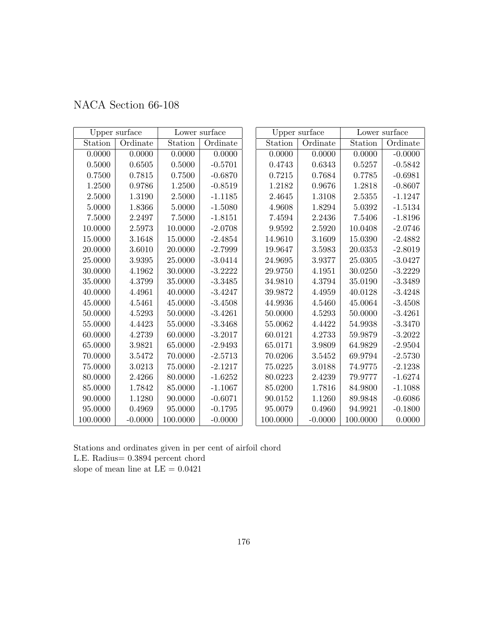|  | NACA Section 66-108 |  |
|--|---------------------|--|
|--|---------------------|--|

|             | Upper surface |            | Lower surface |          | Upper surface |          | Lower surface |
|-------------|---------------|------------|---------------|----------|---------------|----------|---------------|
| Station     | Ordinate      | Station    | Ordinate      | Station  | Ordinate      | Station  | Ordinate      |
| 0.0000      | 0.0000        | 0.0000     | 0.0000        | 0.0000   | 0.0000        | 0.0000   | $-0.0000$     |
| 0.5000      | 0.6505        | 0.5000     | $-0.5701$     | 0.4743   | 0.6343        | 0.5257   | $-0.5842$     |
| 0.7500      | 0.7815        | 0.7500     | $-0.6870$     | 0.7215   | 0.7684        | 0.7785   | $-0.6981$     |
| 1.2500      | 0.9786        | 1.2500     | $-0.8519$     | 1.2182   | 0.9676        | 1.2818   | $-0.8607$     |
| 2.5000      | 1.3190        | $2.5000\,$ | $-1.1185$     | 2.4645   | 1.3108        | 2.5355   | $-1.1247$     |
| 5.0000      | 1.8366        | 5.0000     | $-1.5080$     | 4.9608   | 1.8294        | 5.0392   | $-1.5134$     |
| 7.5000      | 2.2497        | 7.5000     | $-1.8151$     | 7.4594   | 2.2436        | 7.5406   | $-1.8196$     |
| 10.0000     | 2.5973        | 10.0000    | $-2.0708$     | 9.9592   | 2.5920        | 10.0408  | $-2.0746$     |
| 15.0000     | 3.1648        | 15.0000    | $-2.4854$     | 14.9610  | 3.1609        | 15.0390  | $-2.4882$     |
| 20.0000     | 3.6010        | 20.0000    | $-2.7999$     | 19.9647  | 3.5983        | 20.0353  | $-2.8019$     |
| 25.0000     | 3.9395        | 25.0000    | $-3.0414$     | 24.9695  | 3.9377        | 25.0305  | $-3.0427$     |
| 30.0000     | 4.1962        | 30.0000    | $-3.2222$     | 29.9750  | 4.1951        | 30.0250  | $-3.2229$     |
| 35.0000     | 4.3799        | 35.0000    | $-3.3485$     | 34.9810  | 4.3794        | 35.0190  | $-3.3489$     |
| 40.0000     | 4.4961        | 40.0000    | $-3.4247$     | 39.9872  | 4.4959        | 40.0128  | $-3.4248$     |
| 45.0000     | 4.5461        | 45.0000    | $-3.4508$     | 44.9936  | 4.5460        | 45.0064  | $-3.4508$     |
| 50.0000     | 4.5293        | 50.0000    | $-3.4261$     | 50.0000  | 4.5293        | 50.0000  | $-3.4261$     |
| 55.0000     | 4.4423        | 55.0000    | $-3.3468$     | 55.0062  | 4.4422        | 54.9938  | $-3.3470$     |
| 60.0000     | 4.2739        | 60.0000    | $-3.2017$     | 60.0121  | 4.2733        | 59.9879  | $-3.2022$     |
| 65.0000     | 3.9821        | 65.0000    | $-2.9493$     | 65.0171  | 3.9809        | 64.9829  | $-2.9504$     |
| 70.0000     | 3.5472        | 70.0000    | $-2.5713$     | 70.0206  | 3.5452        | 69.9794  | $-2.5730$     |
| $75.0000\,$ | 3.0213        | 75.0000    | $-2.1217$     | 75.0225  | 3.0188        | 74.9775  | $-2.1238$     |
| 80.0000     | 2.4266        | 80.0000    | $-1.6252$     | 80.0223  | 2.4239        | 79.9777  | $-1.6274$     |
| 85.0000     | 1.7842        | 85.0000    | $-1.1067$     | 85.0200  | 1.7816        | 84.9800  | $-1.1088$     |
| 90.0000     | 1.1280        | 90.0000    | $-0.6071$     | 90.0152  | 1.1260        | 89.9848  | $-0.6086$     |
| 95.0000     | 0.4969        | 95.0000    | $-0.1795$     | 95.0079  | 0.4960        | 94.9921  | $-0.1800$     |
| 100.0000    | $-0.0000$     | 100.0000   | $-0.0000$     | 100.0000 | $-0.0000$     | 100.0000 | 0.0000        |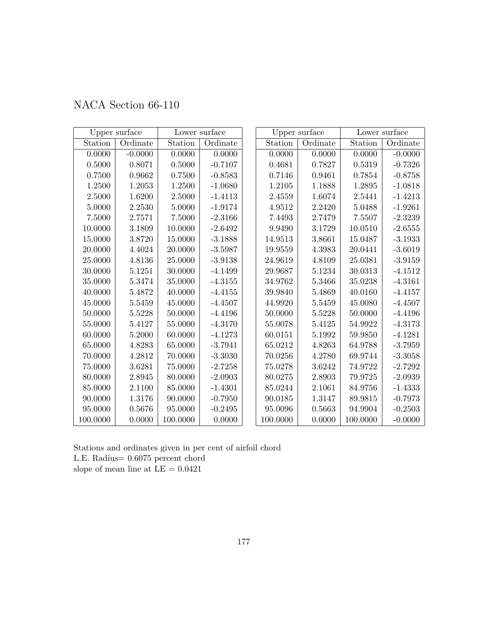|  | NACA Section 66-110 |  |
|--|---------------------|--|
|--|---------------------|--|

| Upper surface |           | Lower surface |           | Upper surface |          | Lower surface |           |
|---------------|-----------|---------------|-----------|---------------|----------|---------------|-----------|
| Station       | Ordinate  | Station       | Ordinate  | Station       | Ordinate | Station       | Ordinate  |
| 0.0000        | $-0.0000$ | 0.0000        | 0.0000    | 0.0000        | 0.0000   | 0.0000        | $-0.0000$ |
| $0.5000\,$    | 0.8071    | 0.5000        | $-0.7107$ | 0.4681        | 0.7827   | 0.5319        | $-0.7326$ |
| 0.7500        | 0.9662    | 0.7500        | $-0.8583$ | 0.7146        | 0.9461   | 0.7854        | $-0.8758$ |
| 1.2500        | 1.2053    | 1.2500        | $-1.0680$ | 1.2105        | 1.1888   | 1.2895        | $-1.0818$ |
| 2.5000        | 1.6200    | 2.5000        | $-1.4113$ | 2.4559        | 1.6074   | 2.5441        | $-1.4213$ |
| 5.0000        | 2.2530    | 5.0000        | $-1.9174$ | 4.9512        | 2.2420   | 5.0488        | $-1.9261$ |
| 7.5000        | 2.7571    | 7.5000        | $-2.3166$ | 7.4493        | 2.7479   | 7.5507        | $-2.3239$ |
| 10.0000       | 3.1809    | 10.0000       | $-2.6492$ | 9.9490        | 3.1729   | 10.0510       | $-2.6555$ |
| 15.0000       | 3.8720    | 15.0000       | $-3.1888$ | 14.9513       | 3.8661   | 15.0487       | $-3.1933$ |
| 20.0000       | 4.4024    | 20.0000       | $-3.5987$ | 19.9559       | 4.3983   | 20.0441       | $-3.6019$ |
| 25.0000       | 4.8136    | 25.0000       | $-3.9138$ | 24.9619       | 4.8109   | 25.0381       | $-3.9159$ |
| 30.0000       | 5.1251    | 30.0000       | $-4.1499$ | 29.9687       | 5.1234   | 30.0313       | $-4.1512$ |
| 35.0000       | 5.3474    | 35.0000       | $-4.3155$ | 34.9762       | 5.3466   | 35.0238       | $-4.3161$ |
| 40.0000       | 5.4872    | 40.0000       | $-4.4155$ | 39.9840       | 5.4869   | 40.0160       | $-4.4157$ |
| 45.0000       | 5.5459    | 45.0000       | $-4.4507$ | 44.9920       | 5.5459   | $45.0080\,$   | $-4.4507$ |
| 50.0000       | 5.5228    | 50.0000       | $-4.4196$ | 50.0000       | 5.5228   | 50.0000       | $-4.4196$ |
| 55.0000       | 5.4127    | 55.0000       | $-4.3170$ | 55.0078       | 5.4125   | 54.9922       | $-4.3173$ |
| 60.0000       | 5.2000    | 60.0000       | $-4.1273$ | 60.0151       | 5.1992   | 59.9850       | $-4.1281$ |
| 65.0000       | 4.8283    | 65.0000       | $-3.7941$ | 65.0212       | 4.8263   | 64.9788       | $-3.7959$ |
| 70.0000       | 4.2812    | 70.0000       | $-3.3030$ | 70.0256       | 4.2780   | 69.9744       | $-3.3058$ |
| 75.0000       | 3.6281    | 75.0000       | $-2.7258$ | 75.0278       | 3.6242   | 74.9722       | $-2.7292$ |
| 80.0000       | 2.8945    | 80.0000       | $-2.0903$ | 80.0275       | 2.8903   | 79.9725       | $-2.0939$ |
| 85.0000       | 2.1100    | 85.0000       | $-1.4301$ | 85.0244       | 2.1061   | 84.9756       | $-1.4333$ |
| 90.0000       | 1.3176    | 90.0000       | $-0.7950$ | 90.0185       | 1.3147   | 89.9815       | $-0.7973$ |
| 95.0000       | 0.5676    | 95.0000       | $-0.2495$ | 95.0096       | 0.5663   | 94.9904       | $-0.2503$ |
| 100.0000      | 0.0000    | 100.0000      | 0.0000    | 100.0000      | 0.0000   | 100.0000      | $-0.0000$ |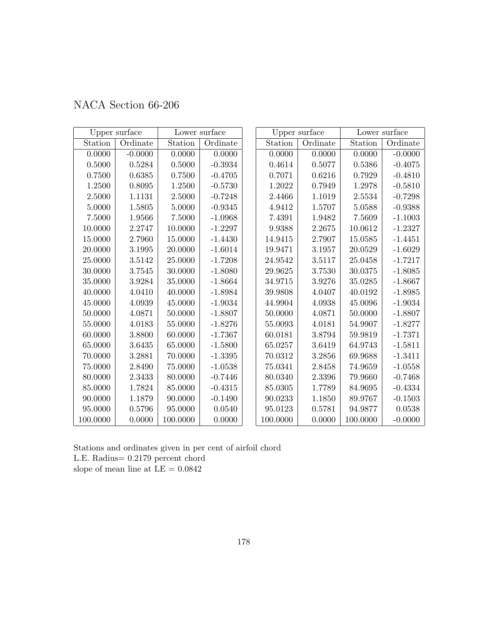|  | NACA Section 66-206 |  |
|--|---------------------|--|
|--|---------------------|--|

|             | Lower surface<br>Upper surface |          | Upper surface      |          | Lower surface |            |           |
|-------------|--------------------------------|----------|--------------------|----------|---------------|------------|-----------|
| Station     | Ordinate                       | Station  | Ordinate           | Station  | Ordinate      | Station    | Ordinate  |
| 0.0000      | $-0.0000$                      | 0.0000   | 0.0000             | 0.0000   | 0.0000        | 0.0000     | $-0.0000$ |
| 0.5000      | 0.5284                         | 0.5000   | $\textbf{-0.3934}$ | 0.4614   | 0.5077        | $0.5386\,$ | $-0.4075$ |
| 0.7500      | 0.6385                         | 0.7500   | $-0.4705$          | 0.7071   | 0.6216        | 0.7929     | $-0.4810$ |
| 1.2500      | 0.8095                         | 1.2500   | $-0.5730$          | 1.2022   | 0.7949        | 1.2978     | $-0.5810$ |
| 2.5000      | 1.1131                         | 2.5000   | $-0.7248$          | 2.4466   | 1.1019        | 2.5534     | $-0.7298$ |
| 5.0000      | 1.5805                         | 5.0000   | $-0.9345$          | 4.9412   | 1.5707        | 5.0588     | $-0.9388$ |
| 7.5000      | 1.9566                         | 7.5000   | $-1.0968$          | 7.4391   | 1.9482        | 7.5609     | $-1.1003$ |
| 10.0000     | 2.2747                         | 10.0000  | $-1.2297$          | 9.9388   | 2.2675        | 10.0612    | $-1.2327$ |
| 15.0000     | 2.7960                         | 15.0000  | $-1.4430$          | 14.9415  | 2.7907        | 15.0585    | $-1.4451$ |
| 20.0000     | 3.1995                         | 20.0000  | $-1.6014$          | 19.9471  | 3.1957        | 20.0529    | $-1.6029$ |
| 25.0000     | 3.5142                         | 25.0000  | $-1.7208$          | 24.9542  | 3.5117        | 25.0458    | $-1.7217$ |
| 30.0000     | 3.7545                         | 30.0000  | $-1.8080$          | 29.9625  | 3.7530        | 30.0375    | $-1.8085$ |
| 35.0000     | 3.9284                         | 35.0000  | $-1.8664$          | 34.9715  | 3.9276        | 35.0285    | $-1.8667$ |
| 40.0000     | 4.0410                         | 40.0000  | $-1.8984$          | 39.9808  | 4.0407        | 40.0192    | $-1.8985$ |
| 45.0000     | 4.0939                         | 45.0000  | $-1.9034$          | 44.9904  | 4.0938        | 45.0096    | $-1.9034$ |
| 50.0000     | 4.0871                         | 50.0000  | $-1.8807$          | 50.0000  | 4.0871        | 50.0000    | $-1.8807$ |
| 55.0000     | 4.0183                         | 55.0000  | $-1.8276$          | 55.0093  | 4.0181        | 54.9907    | $-1.8277$ |
| 60.0000     | 3.8800                         | 60.0000  | $-1.7367$          | 60.0181  | 3.8794        | 59.9819    | $-1.7371$ |
| 65.0000     | 3.6435                         | 65.0000  | $-1.5800$          | 65.0257  | 3.6419        | 64.9743    | $-1.5811$ |
| 70.0000     | 3.2881                         | 70.0000  | $-1.3395$          | 70.0312  | 3.2856        | 69.9688    | $-1.3411$ |
| $75.0000\,$ | 2.8490                         | 75.0000  | $-1.0538$          | 75.0341  | 2.8458        | 74.9659    | $-1.0558$ |
| 80.0000     | 2.3433                         | 80.0000  | $-0.7446$          | 80.0340  | 2.3396        | 79.9660    | $-0.7468$ |
| 85.0000     | 1.7824                         | 85.0000  | $-0.4315$          | 85.0305  | 1.7789        | 84.9695    | $-0.4334$ |
| 90.0000     | 1.1879                         | 90.0000  | $-0.1490$          | 90.0233  | 1.1850        | 89.9767    | $-0.1503$ |
| 95.0000     | 0.5796                         | 95.0000  | 0.0540             | 95.0123  | 0.5781        | 94.9877    | 0.0538    |
| 100.0000    | 0.0000                         | 100.0000 | 0.0000             | 100.0000 | 0.0000        | 100.0000   | $-0.0000$ |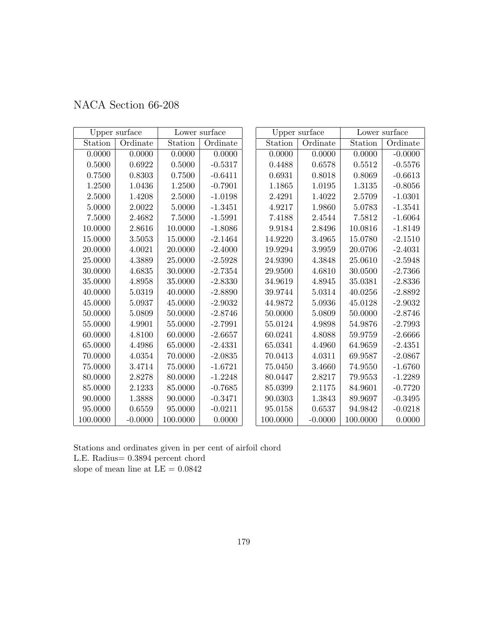|  | NACA Section 66-208 |  |
|--|---------------------|--|
|--|---------------------|--|

| Upper surface |           | Lower surface |           | Upper surface |           | Lower surface |           |
|---------------|-----------|---------------|-----------|---------------|-----------|---------------|-----------|
| Station       | Ordinate  | Station       | Ordinate  | Station       | Ordinate  | Station       | Ordinate  |
| 0.0000        | 0.0000    | 0.0000        | 0.0000    | 0.0000        | 0.0000    | 0.0000        | $-0.0000$ |
| 0.5000        | 0.6922    | 0.5000        | $-0.5317$ | 0.4488        | 0.6578    | 0.5512        | $-0.5576$ |
| 0.7500        | 0.8303    | 0.7500        | $-0.6411$ | 0.6931        | 0.8018    | 0.8069        | $-0.6613$ |
| 1.2500        | 1.0436    | 1.2500        | $-0.7901$ | 1.1865        | 1.0195    | 1.3135        | $-0.8056$ |
| 2.5000        | 1.4208    | $2.5000\,$    | $-1.0198$ | 2.4291        | 1.4022    | 2.5709        | $-1.0301$ |
| 5.0000        | 2.0022    | 5.0000        | $-1.3451$ | 4.9217        | 1.9860    | 5.0783        | $-1.3541$ |
| 7.5000        | 2.4682    | 7.5000        | $-1.5991$ | 7.4188        | 2.4544    | 7.5812        | $-1.6064$ |
| 10.0000       | 2.8616    | 10.0000       | $-1.8086$ | 9.9184        | 2.8496    | 10.0816       | $-1.8149$ |
| 15.0000       | 3.5053    | 15.0000       | $-2.1464$ | 14.9220       | 3.4965    | 15.0780       | $-2.1510$ |
| 20.0000       | 4.0021    | 20.0000       | $-2.4000$ | 19.9294       | 3.9959    | 20.0706       | $-2.4031$ |
| 25.0000       | 4.3889    | 25.0000       | $-2.5928$ | 24.9390       | 4.3848    | 25.0610       | $-2.5948$ |
| 30.0000       | 4.6835    | 30.0000       | $-2.7354$ | 29.9500       | 4.6810    | 30.0500       | $-2.7366$ |
| 35.0000       | 4.8958    | 35.0000       | $-2.8330$ | 34.9619       | 4.8945    | 35.0381       | $-2.8336$ |
| 40.0000       | 5.0319    | 40.0000       | $-2.8890$ | 39.9744       | 5.0314    | 40.0256       | $-2.8892$ |
| 45.0000       | 5.0937    | 45.0000       | $-2.9032$ | 44.9872       | 5.0936    | 45.0128       | $-2.9032$ |
| 50.0000       | 5.0809    | 50.0000       | $-2.8746$ | 50.0000       | 5.0809    | 50.0000       | $-2.8746$ |
| 55.0000       | 4.9901    | 55.0000       | $-2.7991$ | 55.0124       | 4.9898    | 54.9876       | $-2.7993$ |
| 60.0000       | 4.8100    | 60.0000       | $-2.6657$ | 60.0241       | 4.8088    | 59.9759       | $-2.6666$ |
| 65.0000       | 4.4986    | 65.0000       | $-2.4331$ | 65.0341       | 4.4960    | 64.9659       | $-2.4351$ |
| 70.0000       | 4.0354    | 70.0000       | $-2.0835$ | 70.0413       | 4.0311    | 69.9587       | $-2.0867$ |
| $75.0000\,$   | 3.4714    | 75.0000       | $-1.6721$ | 75.0450       | 3.4660    | 74.9550       | $-1.6760$ |
| 80.0000       | 2.8278    | 80.0000       | $-1.2248$ | 80.0447       | 2.8217    | 79.9553       | $-1.2289$ |
| 85.0000       | 2.1233    | 85.0000       | $-0.7685$ | 85.0399       | 2.1175    | 84.9601       | $-0.7720$ |
| 90.0000       | 1.3888    | 90.0000       | $-0.3471$ | 90.0303       | 1.3843    | 89.9697       | $-0.3495$ |
| 95.0000       | 0.6559    | 95.0000       | $-0.0211$ | 95.0158       | 0.6537    | 94.9842       | $-0.0218$ |
| 100.0000      | $-0.0000$ | 100.0000      | 0.0000    | 100.0000      | $-0.0000$ | 100.0000      | 0.0000    |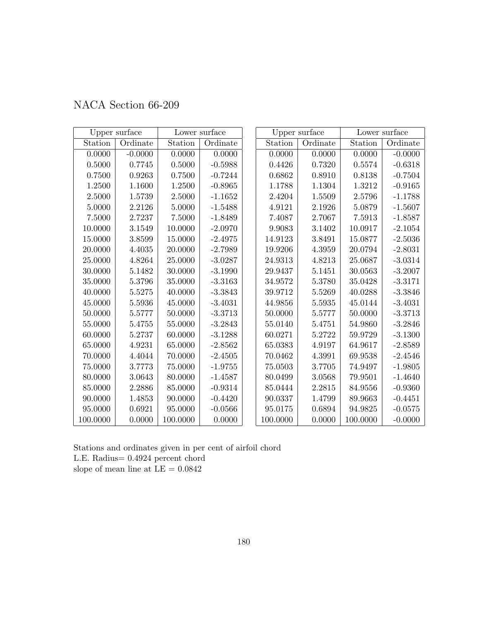|  | NACA Section 66-209 |  |
|--|---------------------|--|
|--|---------------------|--|

| Upper surface |            | Lower surface |           | Upper surface |          | Lower surface |           |
|---------------|------------|---------------|-----------|---------------|----------|---------------|-----------|
| Station       | Ordinate   | Station       | Ordinate  | Station       | Ordinate | Station       | Ordinate  |
| 0.0000        | $-0.0000$  | 0.0000        | 0.0000    | 0.0000        | 0.0000   | 0.0000        | $-0.0000$ |
| $0.5000\,$    | $0.7745\,$ | 0.5000        | $-0.5988$ | 0.4426        | 0.7320   | 0.5574        | $-0.6318$ |
| 0.7500        | 0.9263     | 0.7500        | $-0.7244$ | 0.6862        | 0.8910   | 0.8138        | $-0.7504$ |
| 1.2500        | 1.1600     | 1.2500        | $-0.8965$ | 1.1788        | 1.1304   | 1.3212        | $-0.9165$ |
| 2.5000        | 1.5739     | 2.5000        | $-1.1652$ | 2.4204        | 1.5509   | 2.5796        | $-1.1788$ |
| 5.0000        | 2.2126     | 5.0000        | $-1.5488$ | 4.9121        | 2.1926   | $5.0879\,$    | $-1.5607$ |
| 7.5000        | 2.7237     | 7.5000        | $-1.8489$ | 7.4087        | 2.7067   | 7.5913        | $-1.8587$ |
| 10.0000       | 3.1549     | 10.0000       | $-2.0970$ | 9.9083        | 3.1402   | 10.0917       | $-2.1054$ |
| 15.0000       | 3.8599     | 15.0000       | $-2.4975$ | 14.9123       | 3.8491   | 15.0877       | $-2.5036$ |
| 20.0000       | 4.4035     | 20.0000       | $-2.7989$ | 19.9206       | 4.3959   | 20.0794       | $-2.8031$ |
| 25.0000       | 4.8264     | 25.0000       | $-3.0287$ | 24.9313       | 4.8213   | 25.0687       | $-3.0314$ |
| 30.0000       | 5.1482     | 30.0000       | $-3.1990$ | 29.9437       | 5.1451   | 30.0563       | $-3.2007$ |
| 35.0000       | 5.3796     | 35.0000       | $-3.3163$ | 34.9572       | 5.3780   | 35.0428       | $-3.3171$ |
| 40.0000       | 5.5275     | 40.0000       | $-3.3843$ | 39.9712       | 5.5269   | 40.0288       | $-3.3846$ |
| 45.0000       | 5.5936     | 45.0000       | $-3.4031$ | 44.9856       | 5.5935   | 45.0144       | $-3.4031$ |
| 50.0000       | 5.5777     | 50.0000       | $-3.3713$ | 50.0000       | 5.5777   | 50.0000       | $-3.3713$ |
| 55.0000       | 5.4755     | 55.0000       | $-3.2843$ | 55.0140       | 5.4751   | 54.9860       | $-3.2846$ |
| 60.0000       | 5.2737     | 60.0000       | $-3.1288$ | 60.0271       | 5.2722   | 59.9729       | $-3.1300$ |
| 65.0000       | 4.9231     | 65.0000       | $-2.8562$ | 65.0383       | 4.9197   | 64.9617       | $-2.8589$ |
| 70.0000       | 4.4044     | 70.0000       | $-2.4505$ | 70.0462       | 4.3991   | 69.9538       | $-2.4546$ |
| 75.0000       | 3.7773     | 75.0000       | $-1.9755$ | 75.0503       | 3.7705   | 74.9497       | $-1.9805$ |
| 80.0000       | 3.0643     | 80.0000       | $-1.4587$ | 80.0499       | 3.0568   | 79.9501       | $-1.4640$ |
| 85.0000       | 2.2886     | 85.0000       | $-0.9314$ | 85.0444       | 2.2815   | 84.9556       | $-0.9360$ |
| 90.0000       | 1.4853     | 90.0000       | $-0.4420$ | 90.0337       | 1.4799   | 89.9663       | $-0.4451$ |
| 95.0000       | 0.6921     | 95.0000       | $-0.0566$ | 95.0175       | 0.6894   | 94.9825       | $-0.0575$ |
| 100.0000      | 0.0000     | 100.0000      | 0.0000    | 100.0000      | 0.0000   | 100.0000      | $-0.0000$ |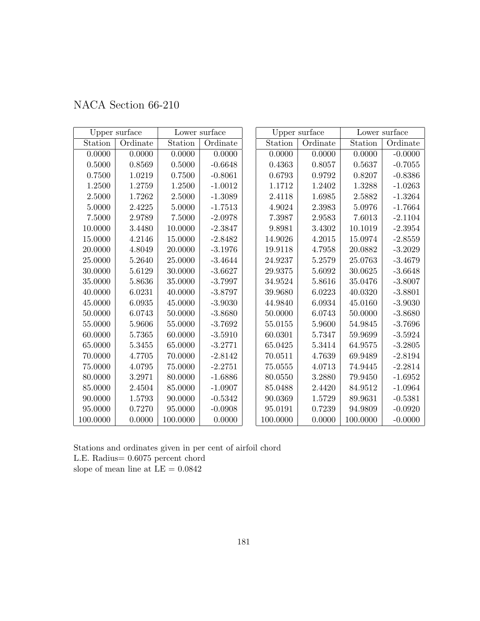| NACA Section 66-210 |
|---------------------|
|---------------------|

|             | Upper surface |          | Lower surface |          | Upper surface |          | Lower surface |
|-------------|---------------|----------|---------------|----------|---------------|----------|---------------|
| Station     | Ordinate      | Station  | Ordinate      | Station  | Ordinate      | Station  | Ordinate      |
| 0.0000      | 0.0000        | 0.0000   | 0.0000        | 0.0000   | 0.0000        | 0.0000   | $-0.0000$     |
| $0.5000\,$  | 0.8569        | 0.5000   | $-0.6648$     | 0.4363   | 0.8057        | 0.5637   | $-0.7055$     |
| 0.7500      | 1.0219        | 0.7500   | $-0.8061$     | 0.6793   | 0.9792        | 0.8207   | $-0.8386$     |
| 1.2500      | 1.2759        | 1.2500   | $-1.0012$     | 1.1712   | 1.2402        | 1.3288   | $-1.0263$     |
| 2.5000      | 1.7262        | 2.5000   | $-1.3089$     | 2.4118   | 1.6985        | 2.5882   | $-1.3264$     |
| 5.0000      | 2.4225        | 5.0000   | $-1.7513$     | 4.9024   | 2.3983        | 5.0976   | $-1.7664$     |
| 7.5000      | 2.9789        | 7.5000   | $-2.0978$     | 7.3987   | 2.9583        | 7.6013   | $-2.1104$     |
| 10.0000     | 3.4480        | 10.0000  | $-2.3847$     | 9.8981   | 3.4302        | 10.1019  | $-2.3954$     |
| 15.0000     | 4.2146        | 15.0000  | $-2.8482$     | 14.9026  | 4.2015        | 15.0974  | $-2.8559$     |
| 20.0000     | 4.8049        | 20.0000  | $-3.1976$     | 19.9118  | 4.7958        | 20.0882  | $-3.2029$     |
| 25.0000     | 5.2640        | 25.0000  | $-3.4644$     | 24.9237  | 5.2579        | 25.0763  | $-3.4679$     |
| 30.0000     | 5.6129        | 30.0000  | $-3.6627$     | 29.9375  | 5.6092        | 30.0625  | $-3.6648$     |
| 35.0000     | 5.8636        | 35.0000  | $-3.7997$     | 34.9524  | 5.8616        | 35.0476  | $-3.8007$     |
| 40.0000     | 6.0231        | 40.0000  | $-3.8797$     | 39.9680  | 6.0223        | 40.0320  | $-3.8801$     |
| 45.0000     | 6.0935        | 45.0000  | $-3.9030$     | 44.9840  | 6.0934        | 45.0160  | $-3.9030$     |
| 50.0000     | 6.0743        | 50.0000  | $-3.8680$     | 50.0000  | 6.0743        | 50.0000  | $-3.8680$     |
| 55.0000     | 5.9606        | 55.0000  | $-3.7692$     | 55.0155  | 5.9600        | 54.9845  | $-3.7696$     |
| 60.0000     | 5.7365        | 60.0000  | $-3.5910$     | 60.0301  | 5.7347        | 59.9699  | $-3.5924$     |
| 65.0000     | 5.3455        | 65.0000  | $-3.2771$     | 65.0425  | 5.3414        | 64.9575  | $-3.2805$     |
| 70.0000     | 4.7705        | 70.0000  | $-2.8142$     | 70.0511  | 4.7639        | 69.9489  | $-2.8194$     |
| $75.0000\,$ | 4.0795        | 75.0000  | $-2.2751$     | 75.0555  | 4.0713        | 74.9445  | $-2.2814$     |
| 80.0000     | 3.2971        | 80.0000  | $-1.6886$     | 80.0550  | 3.2880        | 79.9450  | $-1.6952$     |
| 85.0000     | 2.4504        | 85.0000  | $-1.0907$     | 85.0488  | 2.4420        | 84.9512  | $-1.0964$     |
| 90.0000     | 1.5793        | 90.0000  | $-0.5342$     | 90.0369  | 1.5729        | 89.9631  | $-0.5381$     |
| 95.0000     | 0.7270        | 95.0000  | $-0.0908$     | 95.0191  | 0.7239        | 94.9809  | $-0.0920$     |
| 100.0000    | 0.0000        | 100.0000 | 0.0000        | 100.0000 | 0.0000        | 100.0000 | $-0.0000$     |

Stations and ordinates given in per cent of airfoil chord L.E. Radius= 0.6075 percent chord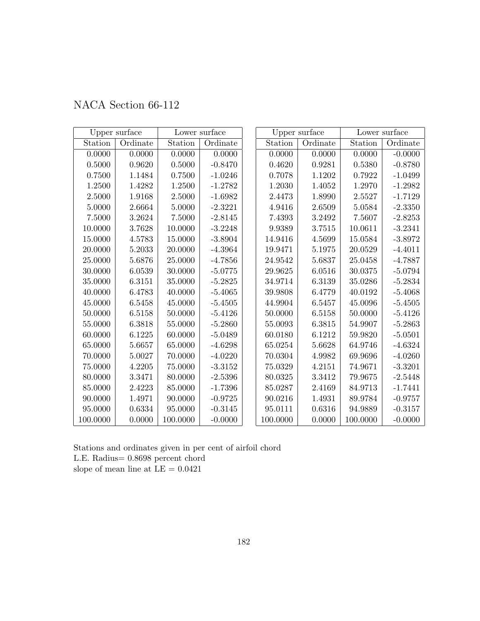| NACA Section 66-112 |  |  |
|---------------------|--|--|
|---------------------|--|--|

|             | Upper surface |          | Lower surface |          | Upper surface |            | Lower surface |
|-------------|---------------|----------|---------------|----------|---------------|------------|---------------|
| Station     | Ordinate      | Station  | Ordinate      | Station  | Ordinate      | Station    | Ordinate      |
| 0.0000      | 0.0000        | 0.0000   | 0.0000        | 0.0000   | 0.0000        | 0.0000     | $-0.0000$     |
| $0.5000\,$  | 0.9620        | 0.5000   | $-0.8470$     | 0.4620   | 0.9281        | $0.5380\,$ | $-0.8780$     |
| 0.7500      | 1.1484        | 0.7500   | $-1.0246$     | 0.7078   | 1.1202        | 0.7922     | $-1.0499$     |
| 1.2500      | 1.4282        | 1.2500   | $-1.2782$     | 1.2030   | 1.4052        | 1.2970     | $-1.2982$     |
| 2.5000      | 1.9168        | 2.5000   | $-1.6982$     | 2.4473   | 1.8990        | 2.5527     | $-1.7129$     |
| 5.0000      | 2.6664        | 5.0000   | $-2.3221$     | 4.9416   | 2.6509        | 5.0584     | $-2.3350$     |
| 7.5000      | 3.2624        | 7.5000   | $-2.8145$     | 7.4393   | 3.2492        | 7.5607     | $-2.8253$     |
| 10.0000     | 3.7628        | 10.0000  | $-3.2248$     | 9.9389   | 3.7515        | 10.0611    | $-3.2341$     |
| 15.0000     | 4.5783        | 15.0000  | $-3.8904$     | 14.9416  | 4.5699        | 15.0584    | $-3.8972$     |
| 20.0000     | 5.2033        | 20.0000  | $-4.3964$     | 19.9471  | 5.1975        | 20.0529    | $-4.4011$     |
| 25.0000     | 5.6876        | 25.0000  | $-4.7856$     | 24.9542  | 5.6837        | 25.0458    | $-4.7887$     |
| 30.0000     | 6.0539        | 30.0000  | $-5.0775$     | 29.9625  | 6.0516        | 30.0375    | $-5.0794$     |
| 35.0000     | 6.3151        | 35.0000  | $-5.2825$     | 34.9714  | 6.3139        | 35.0286    | $-5.2834$     |
| 40.0000     | 6.4783        | 40.0000  | $-5.4065$     | 39.9808  | 6.4779        | 40.0192    | $-5.4068$     |
| 45.0000     | 6.5458        | 45.0000  | $-5.4505$     | 44.9904  | 6.5457        | 45.0096    | $-5.4505$     |
| 50.0000     | 6.5158        | 50.0000  | $-5.4126$     | 50.0000  | 6.5158        | 50.0000    | $-5.4126$     |
| 55.0000     | 6.3818        | 55.0000  | $-5.2860$     | 55.0093  | 6.3815        | 54.9907    | $-5.2863$     |
| 60.0000     | 6.1225        | 60.0000  | $-5.0489$     | 60.0180  | 6.1212        | 59.9820    | $-5.0501$     |
| 65.0000     | 5.6657        | 65.0000  | $-4.6298$     | 65.0254  | 5.6628        | 64.9746    | $-4.6324$     |
| 70.0000     | 5.0027        | 70.0000  | $-4.0220$     | 70.0304  | 4.9982        | 69.9696    | $-4.0260$     |
| $75.0000\,$ | 4.2205        | 75.0000  | $-3.3152$     | 75.0329  | 4.2151        | 74.9671    | $-3.3201$     |
| 80.0000     | 3.3471        | 80.0000  | $-2.5396$     | 80.0325  | 3.3412        | 79.9675    | $-2.5448$     |
| 85.0000     | 2.4223        | 85.0000  | $-1.7396$     | 85.0287  | 2.4169        | 84.9713    | $-1.7441$     |
| 90.0000     | 1.4971        | 90.0000  | $-0.9725$     | 90.0216  | 1.4931        | 89.9784    | $-0.9757$     |
| 95.0000     | 0.6334        | 95.0000  | $-0.3145$     | 95.0111  | 0.6316        | 94.9889    | $-0.3157$     |
| 100.0000    | 0.0000        | 100.0000 | $-0.0000$     | 100.0000 | 0.0000        | 100.0000   | $-0.0000$     |

L.E. Radius= 0.8698 percent chord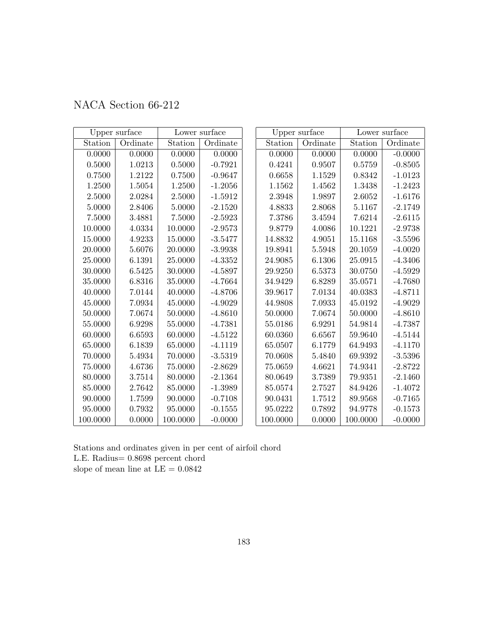|  | NACA Section 66-212 |  |
|--|---------------------|--|
|--|---------------------|--|

|             | Upper surface |          | Lower surface |          | Upper surface |          | Lower surface |
|-------------|---------------|----------|---------------|----------|---------------|----------|---------------|
| Station     | Ordinate      | Station  | Ordinate      | Station  | Ordinate      | Station  | Ordinate      |
| 0.0000      | 0.0000        | 0.0000   | 0.0000        | 0.0000   | 0.0000        | 0.0000   | $-0.0000$     |
| $0.5000\,$  | 1.0213        | 0.5000   | $-0.7921$     | 0.4241   | 0.9507        | 0.5759   | $-0.8505$     |
| 0.7500      | 1.2122        | 0.7500   | $-0.9647$     | 0.6658   | 1.1529        | 0.8342   | $-1.0123$     |
| 1.2500      | 1.5054        | 1.2500   | $-1.2056$     | 1.1562   | 1.4562        | 1.3438   | $-1.2423$     |
| 2.5000      | 2.0284        | 2.5000   | $-1.5912$     | 2.3948   | 1.9897        | 2.6052   | $-1.6176$     |
| 5.0000      | 2.8406        | 5.0000   | $-2.1520$     | 4.8833   | 2.8068        | 5.1167   | $-2.1749$     |
| 7.5000      | 3.4881        | 7.5000   | $-2.5923$     | 7.3786   | 3.4594        | 7.6214   | $-2.6115$     |
| 10.0000     | 4.0334        | 10.0000  | $-2.9573$     | 9.8779   | 4.0086        | 10.1221  | $-2.9738$     |
| 15.0000     | 4.9233        | 15.0000  | $-3.5477$     | 14.8832  | 4.9051        | 15.1168  | $-3.5596$     |
| 20.0000     | 5.6076        | 20.0000  | $-3.9938$     | 19.8941  | 5.5948        | 20.1059  | $-4.0020$     |
| 25.0000     | 6.1391        | 25.0000  | $-4.3352$     | 24.9085  | 6.1306        | 25.0915  | $-4.3406$     |
| 30.0000     | 6.5425        | 30.0000  | $-4.5897$     | 29.9250  | 6.5373        | 30.0750  | $-4.5929$     |
| 35.0000     | 6.8316        | 35.0000  | $-4.7664$     | 34.9429  | 6.8289        | 35.0571  | $-4.7680$     |
| 40.0000     | 7.0144        | 40.0000  | $-4.8706$     | 39.9617  | 7.0134        | 40.0383  | $-4.8711$     |
| 45.0000     | 7.0934        | 45.0000  | $-4.9029$     | 44.9808  | 7.0933        | 45.0192  | $-4.9029$     |
| 50.0000     | 7.0674        | 50.0000  | $-4.8610$     | 50.0000  | 7.0674        | 50.0000  | $-4.8610$     |
| 55.0000     | 6.9298        | 55.0000  | $-4.7381$     | 55.0186  | 6.9291        | 54.9814  | $-4.7387$     |
| 60.0000     | 6.6593        | 60.0000  | $-4.5122$     | 60.0360  | 6.6567        | 59.9640  | $-4.5144$     |
| 65.0000     | 6.1839        | 65.0000  | $-4.1119$     | 65.0507  | 6.1779        | 64.9493  | $-4.1170$     |
| 70.0000     | 5.4934        | 70.0000  | $-3.5319$     | 70.0608  | 5.4840        | 69.9392  | $-3.5396$     |
| $75.0000\,$ | 4.6736        | 75.0000  | $-2.8629$     | 75.0659  | 4.6621        | 74.9341  | $-2.8722$     |
| 80.0000     | 3.7514        | 80.0000  | $-2.1364$     | 80.0649  | 3.7389        | 79.9351  | $-2.1460$     |
| 85.0000     | 2.7642        | 85.0000  | $-1.3989$     | 85.0574  | 2.7527        | 84.9426  | $-1.4072$     |
| 90.0000     | 1.7599        | 90.0000  | $-0.7108$     | 90.0431  | 1.7512        | 89.9568  | $-0.7165$     |
| 95.0000     | 0.7932        | 95.0000  | $-0.1555$     | 95.0222  | 0.7892        | 94.9778  | $-0.1573$     |
| 100.0000    | 0.0000        | 100.0000 | $-0.0000$     | 100.0000 | 0.0000        | 100.0000 | $-0.0000$     |

L.E. Radius= 0.8698 percent chord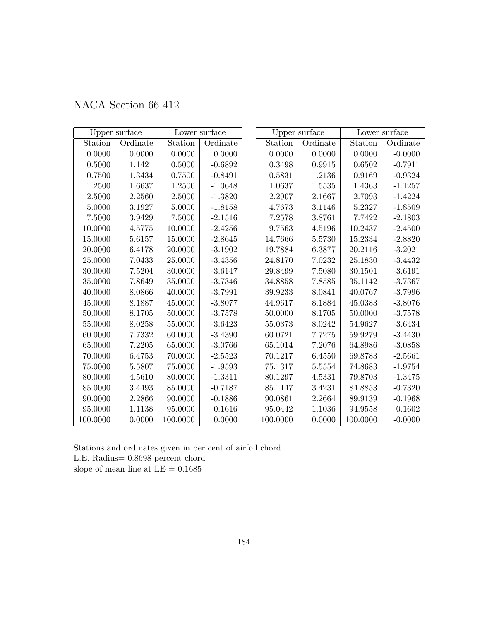|  | NACA Section 66-412 |  |
|--|---------------------|--|
|--|---------------------|--|

|          | Upper surface |          | Lower surface |          | Upper surface |          | Lower surface |
|----------|---------------|----------|---------------|----------|---------------|----------|---------------|
| Station  | Ordinate      | Station  | Ordinate      | Station  | Ordinate      | Station  | Ordinate      |
| 0.0000   | 0.0000        | 0.0000   | 0.0000        | 0.0000   | 0.0000        | 0.0000   | $-0.0000$     |
| 0.5000   | 1.1421        | 0.5000   | $-0.6892$     | 0.3498   | 0.9915        | 0.6502   | $-0.7911$     |
| 0.7500   | 1.3434        | 0.7500   | $-0.8491$     | 0.5831   | 1.2136        | 0.9169   | $-0.9324$     |
| 1.2500   | 1.6637        | 1.2500   | $-1.0648$     | 1.0637   | 1.5535        | 1.4363   | $-1.1257$     |
| 2.5000   | 2.2560        | 2.5000   | $-1.3820$     | 2.2907   | 2.1667        | 2.7093   | $-1.4224$     |
| 5.0000   | 3.1927        | 5.0000   | $-1.8158$     | 4.7673   | 3.1146        | 5.2327   | $-1.8509$     |
| 7.5000   | 3.9429        | 7.5000   | $-2.1516$     | 7.2578   | 3.8761        | 7.7422   | $-2.1803$     |
| 10.0000  | 4.5775        | 10.0000  | $-2.4256$     | 9.7563   | 4.5196        | 10.2437  | $-2.4500$     |
| 15.0000  | 5.6157        | 15.0000  | $-2.8645$     | 14.7666  | 5.5730        | 15.2334  | $-2.8820$     |
| 20.0000  | 6.4178        | 20.0000  | $-3.1902$     | 19.7884  | 6.3877        | 20.2116  | $-3.2021$     |
| 25.0000  | 7.0433        | 25.0000  | $-3.4356$     | 24.8170  | 7.0232        | 25.1830  | $-3.4432$     |
| 30.0000  | 7.5204        | 30.0000  | $-3.6147$     | 29.8499  | 7.5080        | 30.1501  | $-3.6191$     |
| 35.0000  | 7.8649        | 35.0000  | $-3.7346$     | 34.8858  | 7.8585        | 35.1142  | $-3.7367$     |
| 40.0000  | 8.0866        | 40.0000  | $-3.7991$     | 39.9233  | 8.0841        | 40.0767  | $-3.7996$     |
| 45.0000  | 8.1887        | 45.0000  | $-3.8077$     | 44.9617  | 8.1884        | 45.0383  | $-3.8076$     |
| 50.0000  | 8.1705        | 50.0000  | $-3.7578$     | 50.0000  | 8.1705        | 50.0000  | $-3.7578$     |
| 55.0000  | 8.0258        | 55.0000  | $-3.6423$     | 55.0373  | 8.0242        | 54.9627  | $-3.6434$     |
| 60.0000  | 7.7332        | 60.0000  | $-3.4390$     | 60.0721  | 7.7275        | 59.9279  | $-3.4430$     |
| 65.0000  | 7.2205        | 65.0000  | $-3.0766$     | 65.1014  | 7.2076        | 64.8986  | $-3.0858$     |
| 70.0000  | 6.4753        | 70.0000  | $-2.5523$     | 70.1217  | 6.4550        | 69.8783  | $-2.5661$     |
| 75.0000  | 5.5807        | 75.0000  | $-1.9593$     | 75.1317  | 5.5554        | 74.8683  | $-1.9754$     |
| 80.0000  | 4.5610        | 80.0000  | $-1.3311$     | 80.1297  | 4.5331        | 79.8703  | $-1.3475$     |
| 85.0000  | 3.4493        | 85.0000  | $-0.7187$     | 85.1147  | 3.4231        | 84.8853  | $-0.7320$     |
| 90.0000  | 2.2866        | 90.0000  | $-0.1886$     | 90.0861  | 2.2664        | 89.9139  | $-0.1968$     |
| 95.0000  | 1.1138        | 95.0000  | 0.1616        | 95.0442  | 1.1036        | 94.9558  | 0.1602        |
| 100.0000 | 0.0000        | 100.0000 | 0.0000        | 100.0000 | 0.0000        | 100.0000 | $-0.0000$     |

L.E. Radius= 0.8698 percent chord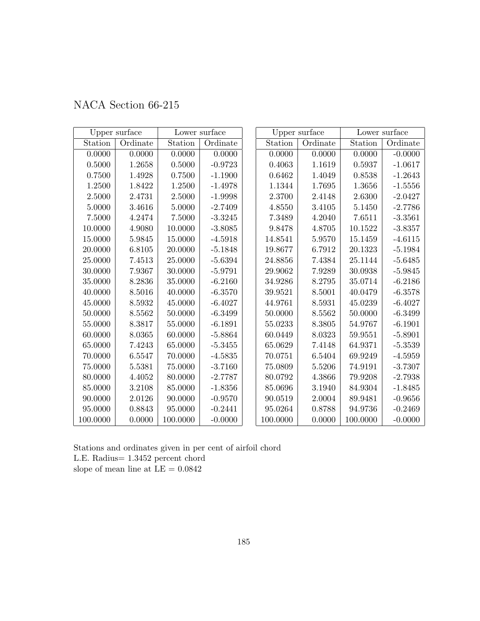|  | NACA Section 66-215 |  |
|--|---------------------|--|
|--|---------------------|--|

|             | Upper surface | Lower surface |           |          | Upper surface | Lower surface |           |  |
|-------------|---------------|---------------|-----------|----------|---------------|---------------|-----------|--|
| Station     | Ordinate      | Station       | Ordinate  | Station  | Ordinate      | Station       | Ordinate  |  |
| 0.0000      | 0.0000        | 0.0000        | 0.0000    | 0.0000   | 0.0000        | 0.0000        | $-0.0000$ |  |
| $0.5000\,$  | 1.2658        | 0.5000        | $-0.9723$ | 0.4063   | 1.1619        | $0.5937\,$    | $-1.0617$ |  |
| 0.7500      | 1.4928        | 0.7500        | $-1.1900$ | 0.6462   | 1.4049        | 0.8538        | $-1.2643$ |  |
| 1.2500      | 1.8422        | 1.2500        | $-1.4978$ | 1.1344   | 1.7695        | 1.3656        | $-1.5556$ |  |
| 2.5000      | 2.4731        | 2.5000        | $-1.9998$ | 2.3700   | 2.4148        | 2.6300        | $-2.0427$ |  |
| 5.0000      | 3.4616        | 5.0000        | $-2.7409$ | 4.8550   | 3.4105        | 5.1450        | $-2.7786$ |  |
| 7.5000      | 4.2474        | 7.5000        | $-3.3245$ | 7.3489   | 4.2040        | 7.6511        | $-3.3561$ |  |
| 10.0000     | 4.9080        | 10.0000       | $-3.8085$ | 9.8478   | 4.8705        | 10.1522       | $-3.8357$ |  |
| 15.0000     | 5.9845        | 15.0000       | $-4.5918$ | 14.8541  | 5.9570        | 15.1459       | $-4.6115$ |  |
| 20.0000     | 6.8105        | 20.0000       | $-5.1848$ | 19.8677  | 6.7912        | 20.1323       | $-5.1984$ |  |
| 25.0000     | 7.4513        | 25.0000       | $-5.6394$ | 24.8856  | 7.4384        | 25.1144       | $-5.6485$ |  |
| 30.0000     | 7.9367        | 30.0000       | $-5.9791$ | 29.9062  | 7.9289        | 30.0938       | $-5.9845$ |  |
| 35.0000     | 8.2836        | 35.0000       | $-6.2160$ | 34.9286  | 8.2795        | 35.0714       | $-6.2186$ |  |
| 40.0000     | 8.5016        | 40.0000       | $-6.3570$ | 39.9521  | 8.5001        | 40.0479       | $-6.3578$ |  |
| 45.0000     | 8.5932        | 45.0000       | $-6.4027$ | 44.9761  | 8.5931        | 45.0239       | $-6.4027$ |  |
| 50.0000     | 8.5562        | 50.0000       | $-6.3499$ | 50.0000  | 8.5562        | 50.0000       | $-6.3499$ |  |
| 55.0000     | 8.3817        | 55.0000       | $-6.1891$ | 55.0233  | 8.3805        | 54.9767       | $-6.1901$ |  |
| 60.0000     | 8.0365        | 60.0000       | $-5.8864$ | 60.0449  | 8.0323        | 59.9551       | $-5.8901$ |  |
| 65.0000     | 7.4243        | 65.0000       | $-5.3455$ | 65.0629  | 7.4148        | 64.9371       | $-5.3539$ |  |
| 70.0000     | 6.5547        | 70.0000       | $-4.5835$ | 70.0751  | 6.5404        | 69.9249       | $-4.5959$ |  |
| $75.0000\,$ | 5.5381        | 75.0000       | $-3.7160$ | 75.0809  | 5.5206        | 74.9191       | $-3.7307$ |  |
| 80.0000     | 4.4052        | 80.0000       | $-2.7787$ | 80.0792  | 4.3866        | 79.9208       | $-2.7938$ |  |
| 85.0000     | 3.2108        | 85.0000       | $-1.8356$ | 85.0696  | 3.1940        | 84.9304       | $-1.8485$ |  |
| 90.0000     | 2.0126        | 90.0000       | $-0.9570$ | 90.0519  | 2.0004        | 89.9481       | $-0.9656$ |  |
| 95.0000     | 0.8843        | 95.0000       | $-0.2441$ | 95.0264  | 0.8788        | 94.9736       | $-0.2469$ |  |
| 100.0000    | 0.0000        | 100.0000      | $-0.0000$ | 100.0000 | 0.0000        | 100.0000      | $-0.0000$ |  |

Stations and ordinates given in per cent of airfoil chord L.E. Radius= 1.3452 percent chord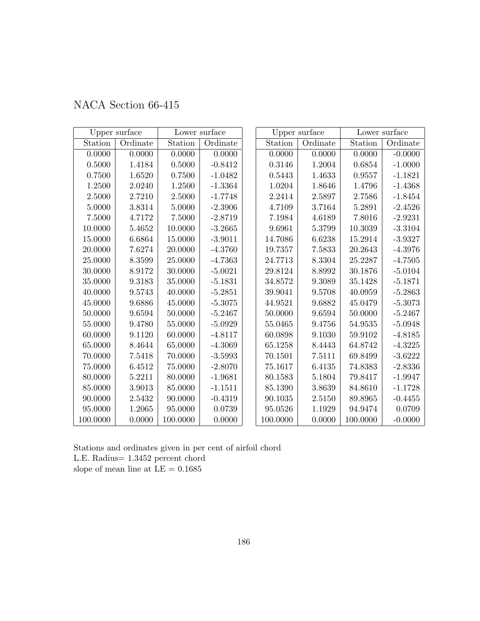|  | NACA Section 66-415 |  |
|--|---------------------|--|
|--|---------------------|--|

|            | Upper surface | Lower surface |           | Upper surface |          | Lower surface |           |
|------------|---------------|---------------|-----------|---------------|----------|---------------|-----------|
| Station    | Ordinate      | Station       | Ordinate  | Station       | Ordinate | Station       | Ordinate  |
| 0.0000     | 0.0000        | 0.0000        | 0.0000    | 0.0000        | 0.0000   | 0.0000        | $-0.0000$ |
| $0.5000\,$ | 1.4184        | 0.5000        | $-0.8412$ | $0.3146\,$    | 1.2004   | 0.6854        | $-1.0000$ |
| 0.7500     | 1.6520        | 0.7500        | $-1.0482$ | 0.5443        | 1.4633   | 0.9557        | $-1.1821$ |
| 1.2500     | 2.0240        | 1.2500        | $-1.3364$ | 1.0204        | 1.8646   | 1.4796        | $-1.4368$ |
| 2.5000     | 2.7210        | 2.5000        | $-1.7748$ | 2.2414        | 2.5897   | 2.7586        | $-1.8454$ |
| 5.0000     | 3.8314        | 5.0000        | $-2.3906$ | 4.7109        | 3.7164   | 5.2891        | $-2.4526$ |
| 7.5000     | 4.7172        | 7.5000        | $-2.8719$ | 7.1984        | 4.6189   | 7.8016        | $-2.9231$ |
| 10.0000    | 5.4652        | 10.0000       | $-3.2665$ | 9.6961        | 5.3799   | 10.3039       | $-3.3104$ |
| 15.0000    | 6.6864        | 15.0000       | $-3.9011$ | 14.7086       | 6.6238   | 15.2914       | $-3.9327$ |
| 20.0000    | 7.6274        | 20.0000       | $-4.3760$ | 19.7357       | 7.5833   | 20.2643       | $-4.3976$ |
| 25.0000    | 8.3599        | 25.0000       | $-4.7363$ | 24.7713       | 8.3304   | 25.2287       | $-4.7505$ |
| 30.0000    | 8.9172        | 30.0000       | $-5.0021$ | 29.8124       | 8.8992   | 30.1876       | $-5.0104$ |
| 35.0000    | 9.3183        | 35.0000       | $-5.1831$ | 34.8572       | 9.3089   | 35.1428       | $-5.1871$ |
| 40.0000    | 9.5743        | 40.0000       | $-5.2851$ | 39.9041       | 9.5708   | 40.0959       | $-5.2863$ |
| 45.0000    | 9.6886        | 45.0000       | $-5.3075$ | 44.9521       | 9.6882   | 45.0479       | $-5.3073$ |
| 50.0000    | 9.6594        | 50.0000       | $-5.2467$ | 50.0000       | 9.6594   | 50.0000       | $-5.2467$ |
| 55.0000    | 9.4780        | 55.0000       | $-5.0929$ | 55.0465       | 9.4756   | 54.9535       | $-5.0948$ |
| 60.0000    | 9.1120        | 60.0000       | $-4.8117$ | 60.0898       | 9.1030   | 59.9102       | $-4.8185$ |
| 65.0000    | 8.4644        | 65.0000       | $-4.3069$ | 65.1258       | 8.4443   | 64.8742       | $-4.3225$ |
| 70.0000    | 7.5418        | 70.0000       | $-3.5993$ | 70.1501       | 7.5111   | 69.8499       | $-3.6222$ |
| 75.0000    | 6.4512        | 75.0000       | $-2.8070$ | 75.1617       | 6.4135   | 74.8383       | $-2.8336$ |
| 80.0000    | 5.2211        | 80.0000       | $-1.9681$ | 80.1583       | 5.1804   | 79.8417       | $-1.9947$ |
| 85.0000    | 3.9013        | 85.0000       | $-1.1511$ | 85.1390       | 3.8639   | 84.8610       | $-1.1728$ |
| 90.0000    | 2.5432        | 90.0000       | $-0.4319$ | 90.1035       | 2.5150   | 89.8965       | $-0.4455$ |
| 95.0000    | 1.2065        | 95.0000       | 0.0739    | 95.0526       | 1.1929   | 94.9474       | 0.0709    |
| 100.0000   | 0.0000        | 100.0000      | 0.0000    | 100.0000      | 0.0000   | 100.0000      | $-0.0000$ |

Stations and ordinates given in per cent of airfoil chord L.E. Radius= 1.3452 percent chord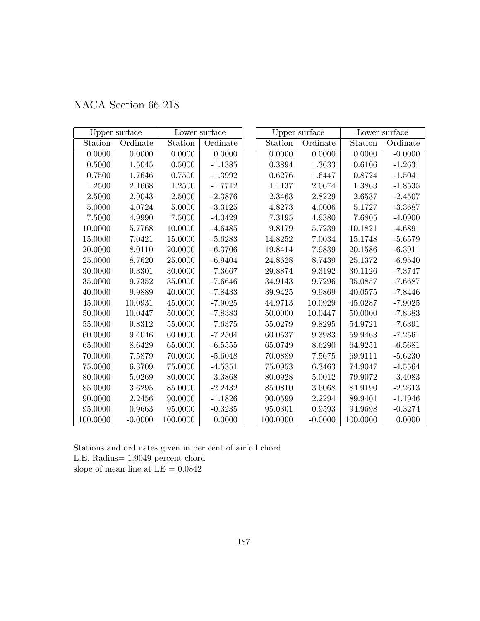| NACA Section 66-218 |  |  |  |  |
|---------------------|--|--|--|--|
|---------------------|--|--|--|--|

|            | Upper surface |          | Lower surface | Upper surface |           |          | Lower surface |  |
|------------|---------------|----------|---------------|---------------|-----------|----------|---------------|--|
| Station    | Ordinate      | Station  | Ordinate      | Station       | Ordinate  | Station  | Ordinate      |  |
| 0.0000     | 0.0000        | 0.0000   | 0.0000        | 0.0000        | 0.0000    | 0.0000   | $-0.0000$     |  |
| $0.5000\,$ | 1.5045        | 0.5000   | $-1.1385$     | ${0.3894}$    | 1.3633    | 0.6106   | $-1.2631$     |  |
| 0.7500     | 1.7646        | 0.7500   | $-1.3992$     | 0.6276        | 1.6447    | 0.8724   | $-1.5041$     |  |
| 1.2500     | 2.1668        | 1.2500   | $-1.7712$     | 1.1137        | 2.0674    | 1.3863   | $-1.8535$     |  |
| 2.5000     | 2.9043        | 2.5000   | $-2.3876$     | 2.3463        | 2.8229    | 2.6537   | $-2.4507$     |  |
| 5.0000     | 4.0724        | 5.0000   | $-3.3125$     | 4.8273        | 4.0006    | 5.1727   | $-3.3687$     |  |
| 7.5000     | 4.9990        | 7.5000   | $-4.0429$     | 7.3195        | 4.9380    | 7.6805   | $-4.0900$     |  |
| 10.0000    | 5.7768        | 10.0000  | $-4.6485$     | 9.8179        | 5.7239    | 10.1821  | $-4.6891$     |  |
| 15.0000    | 7.0421        | 15.0000  | $-5.6283$     | 14.8252       | 7.0034    | 15.1748  | $-5.6579$     |  |
| 20.0000    | 8.0110        | 20.0000  | $-6.3706$     | 19.8414       | 7.9839    | 20.1586  | $-6.3911$     |  |
| 25.0000    | 8.7620        | 25.0000  | $-6.9404$     | 24.8628       | 8.7439    | 25.1372  | $-6.9540$     |  |
| 30.0000    | 9.3301        | 30.0000  | $-7.3667$     | 29.8874       | 9.3192    | 30.1126  | $-7.3747$     |  |
| 35.0000    | 9.7352        | 35.0000  | $-7.6646$     | 34.9143       | 9.7296    | 35.0857  | $-7.6687$     |  |
| 40.0000    | 9.9889        | 40.0000  | $-7.8433$     | 39.9425       | 9.9869    | 40.0575  | $-7.8446$     |  |
| 45.0000    | 10.0931       | 45.0000  | $-7.9025$     | 44.9713       | 10.0929   | 45.0287  | $-7.9025$     |  |
| 50.0000    | 10.0447       | 50.0000  | $-7.8383$     | 50.0000       | 10.0447   | 50.0000  | $-7.8383$     |  |
| 55.0000    | 9.8312        | 55.0000  | $-7.6375$     | 55.0279       | 9.8295    | 54.9721  | $-7.6391$     |  |
| 60.0000    | 9.4046        | 60.0000  | $-7.2504$     | 60.0537       | 9.3983    | 59.9463  | $-7.2561$     |  |
| 65.0000    | 8.6429        | 65.0000  | $-6.5555$     | 65.0749       | 8.6290    | 64.9251  | $-6.5681$     |  |
| 70.0000    | 7.5879        | 70.0000  | $-5.6048$     | 70.0889       | 7.5675    | 69.9111  | $-5.6230$     |  |
| 75.0000    | 6.3709        | 75.0000  | $-4.5351$     | 75.0953       | 6.3463    | 74.9047  | $-4.5564$     |  |
| 80.0000    | 5.0269        | 80.0000  | $-3.3868$     | 80.0928       | 5.0012    | 79.9072  | $-3.4083$     |  |
| 85.0000    | 3.6295        | 85.0000  | $-2.2432$     | 85.0810       | 3.6068    | 84.9190  | $-2.2613$     |  |
| 90.0000    | 2.2456        | 90.0000  | $-1.1826$     | 90.0599       | 2.2294    | 89.9401  | $-1.1946$     |  |
| 95.0000    | 0.9663        | 95.0000  | $-0.3235$     | 95.0301       | 0.9593    | 94.9698  | $-0.3274$     |  |
| 100.0000   | $-0.0000$     | 100.0000 | 0.0000        | 100.0000      | $-0.0000$ | 100.0000 | 0.0000        |  |

Stations and ordinates given in per cent of airfoil chord L.E. Radius= 1.9049 percent chord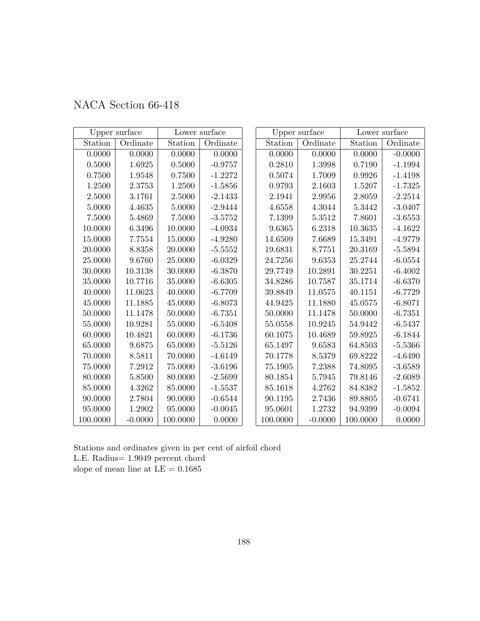|  | NACA Section 66-418 |  |
|--|---------------------|--|
|--|---------------------|--|

|             | Upper surface<br>Lower surface |          |           | Upper surface | Lower surface |          |           |
|-------------|--------------------------------|----------|-----------|---------------|---------------|----------|-----------|
| Station     | Ordinate                       | Station  | Ordinate  | Station       | Ordinate      | Station  | Ordinate  |
| 0.0000      | 0.0000                         | 0.0000   | 0.0000    | 0.0000        | 0.0000        | 0.0000   | $-0.0000$ |
| $0.5000\,$  | 1.6925                         | 0.5000   | $-0.9757$ | 0.2810        | 1.3998        | 0.7190   | $-1.1994$ |
| 0.7500      | 1.9548                         | 0.7500   | $-1.2272$ | 0.5074        | 1.7009        | 0.9926   | $-1.4198$ |
| 1.2500      | 2.3753                         | 1.2500   | $-1.5856$ | 0.9793        | 2.1603        | 1.5207   | $-1.7325$ |
| 2.5000      | 3.1761                         | 2.5000   | $-2.1433$ | 2.1941        | 2.9956        | 2.8059   | $-2.2514$ |
| 5.0000      | 4.4635                         | 5.0000   | $-2.9444$ | 4.6558        | $4.3044\,$    | 5.3442   | $-3.0407$ |
| 7.5000      | 5.4869                         | 7.5000   | $-3.5752$ | 7.1399        | 5.3512        | 7.8601   | $-3.6553$ |
| 10.0000     | 6.3496                         | 10.0000  | $-4.0934$ | 9.6365        | 6.2318        | 10.3635  | $-4.1622$ |
| 15.0000     | 7.7554                         | 15.0000  | $-4.9280$ | 14.6509       | 7.6689        | 15.3491  | $-4.9779$ |
| 20.0000     | 8.8358                         | 20.0000  | $-5.5552$ | 19.6831       | 8.7751        | 20.3169  | $-5.5894$ |
| 25.0000     | 9.6760                         | 25.0000  | $-6.0329$ | 24.7256       | 9.6353        | 25.2744  | $-6.0554$ |
| 30.0000     | 10.3138                        | 30.0000  | $-6.3870$ | 29.7749       | 10.2891       | 30.2251  | $-6.4002$ |
| 35.0000     | 10.7716                        | 35.0000  | $-6.6305$ | 34.8286       | 10.7587       | 35.1714  | $-6.6370$ |
| 40.0000     | 11.0623                        | 40.0000  | $-6.7709$ | 39.8849       | 11.0575       | 40.1151  | $-6.7729$ |
| 45.0000     | 11.1885                        | 45.0000  | $-6.8073$ | 44.9425       | 11.1880       | 45.0575  | $-6.8071$ |
| 50.0000     | 11.1478                        | 50.0000  | $-6.7351$ | 50.0000       | 11.1478       | 50.0000  | $-6.7351$ |
| 55.0000     | 10.9281                        | 55.0000  | $-6.5408$ | 55.0558       | 10.9245       | 54.9442  | $-6.5437$ |
| 60.0000     | 10.4821                        | 60.0000  | $-6.1736$ | 60.1075       | 10.4689       | 59.8925  | $-6.1844$ |
| 65.0000     | 9.6875                         | 65.0000  | $-5.5126$ | 65.1497       | 9.6583        | 64.8503  | $-5.5366$ |
| 70.0000     | 8.5811                         | 70.0000  | $-4.6149$ | 70.1778       | 8.5379        | 69.8222  | $-4.6490$ |
| $75.0000\,$ | 7.2912                         | 75.0000  | $-3.6196$ | 75.1905       | 7.2388        | 74.8095  | $-3.6589$ |
| 80.0000     | 5.8500                         | 80.0000  | $-2.5699$ | 80.1854       | 5.7945        | 79.8146  | $-2.6089$ |
| 85.0000     | 4.3262                         | 85.0000  | $-1.5537$ | 85.1618       | 4.2762        | 84.8382  | $-1.5852$ |
| 90.0000     | 2.7804                         | 90.0000  | $-0.6544$ | 90.1195       | 2.7436        | 89.8805  | $-0.6741$ |
| 95.0000     | 1.2902                         | 95.0000  | $-0.0045$ | 95.0601       | 1.2732        | 94.9399  | $-0.0094$ |
| 100.0000    | $-0.0000$                      | 100.0000 | 0.0000    | 100.0000      | $-0.0000$     | 100.0000 | 0.0000    |

Stations and ordinates given in per cent of airfoil chord L.E. Radius= 1.9049 percent chord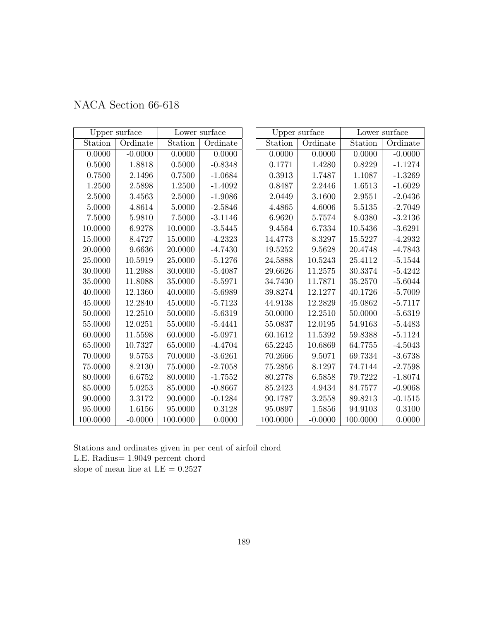|  | NACA Section 66-618 |  |
|--|---------------------|--|
|--|---------------------|--|

|          | Upper surface |             | Lower surface | Upper surface       |           | Lower surface |           |
|----------|---------------|-------------|---------------|---------------------|-----------|---------------|-----------|
| Station  | Ordinate      | Station     | Ordinate      | Station             | Ordinate  | Station       | Ordinate  |
| 0.0000   | $-0.0000$     | 0.0000      | 0.0000        | 0.0000              | 0.0000    | 0.0000        | $-0.0000$ |
| 0.5000   | 1.8818        | 0.5000      | $-0.8348$     | 0.1771              | 1.4280    | 0.8229        | $-1.1274$ |
| 0.7500   | 2.1496        | 0.7500      | $-1.0684$     | 0.3913              | 1.7487    | 1.1087        | $-1.3269$ |
| 1.2500   | 2.5898        | 1.2500      | $-1.4092$     | 0.8487              | 2.2446    | 1.6513        | $-1.6029$ |
| 2.5000   | 3.4563        | 2.5000      | $-1.9086$     | 2.0449              | 3.1600    | 2.9551        | $-2.0436$ |
| 5.0000   | 4.8614        | 5.0000      | $-2.5846$     | 4.4865              | 4.6006    | 5.5135        | $-2.7049$ |
| 7.5000   | 5.9810        | 7.5000      | $-3.1146$     | 6.9620              | 5.7574    | 8.0380        | $-3.2136$ |
| 10.0000  | 6.9278        | 10.0000     | $-3.5445$     | $\phantom{-}9.4564$ | 6.7334    | 10.5436       | $-3.6291$ |
| 15.0000  | 8.4727        | 15.0000     | $-4.2323$     | 14.4773             | 8.3297    | 15.5227       | $-4.2932$ |
| 20.0000  | 9.6636        | 20.0000     | $-4.7430$     | 19.5252             | 9.5628    | 20.4748       | $-4.7843$ |
| 25.0000  | 10.5919       | 25.0000     | $-5.1276$     | 24.5888             | 10.5243   | 25.4112       | $-5.1544$ |
| 30.0000  | 11.2988       | 30.0000     | $-5.4087$     | 29.6626             | 11.2575   | 30.3374       | $-5.4242$ |
| 35.0000  | 11.8088       | 35.0000     | $-5.5971$     | 34.7430             | 11.7871   | 35.2570       | $-5.6044$ |
| 40.0000  | 12.1360       | 40.0000     | $-5.6989$     | 39.8274             | 12.1277   | 40.1726       | $-5.7009$ |
| 45.0000  | 12.2840       | 45.0000     | $-5.7123$     | 44.9138             | 12.2829   | 45.0862       | $-5.7117$ |
| 50.0000  | 12.2510       | 50.0000     | $-5.6319$     | 50.0000             | 12.2510   | 50.0000       | $-5.6319$ |
| 55.0000  | 12.0251       | 55.0000     | $-5.4441$     | 55.0837             | 12.0195   | 54.9163       | $-5.4483$ |
| 60.0000  | 11.5598       | 60.0000     | $-5.0971$     | 60.1612             | 11.5392   | 59.8388       | $-5.1124$ |
| 65.0000  | 10.7327       | 65.0000     | $-4.4704$     | 65.2245             | 10.6869   | 64.7755       | $-4.5043$ |
| 70.0000  | 9.5753        | 70.0000     | $-3.6261$     | 70.2666             | 9.5071    | 69.7334       | $-3.6738$ |
| 75.0000  | 8.2130        | $75.0000\,$ | $-2.7058$     | 75.2856             | 8.1297    | 74.7144       | $-2.7598$ |
| 80.0000  | 6.6752        | 80.0000     | $-1.7552$     | 80.2778             | 6.5858    | 79.7222       | $-1.8074$ |
| 85.0000  | 5.0253        | 85.0000     | $-0.8667$     | 85.2423             | 4.9434    | 84.7577       | $-0.9068$ |
| 90.0000  | 3.3172        | 90.0000     | $-0.1284$     | 90.1787             | 3.2558    | 89.8213       | $-0.1515$ |
| 95.0000  | 1.6156        | 95.0000     | 0.3128        | 95.0897             | 1.5856    | 94.9103       | 0.3100    |
| 100.0000 | $-0.0000$     | 100.0000    | 0.0000        | 100.0000            | $-0.0000$ | 100.0000      | 0.0000    |

Stations and ordinates given in per cent of airfoil chord L.E. Radius= 1.9049 percent chord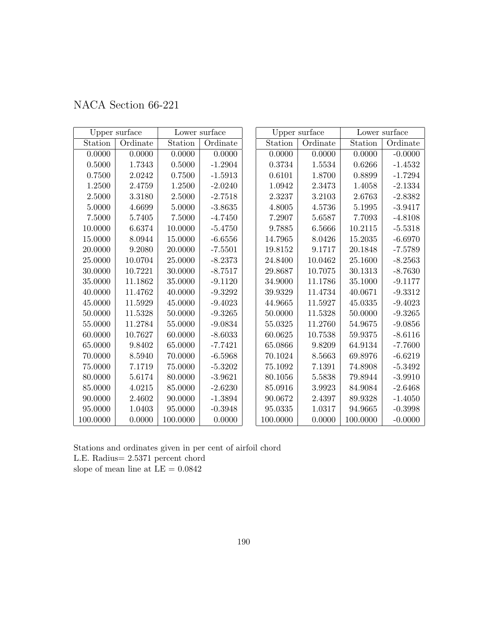|  | NACA Section 66-221 |  |
|--|---------------------|--|
|--|---------------------|--|

|             | Upper surface         |            | Lower surface |          | Upper surface |          | Lower surface |
|-------------|-----------------------|------------|---------------|----------|---------------|----------|---------------|
| Station     | Ordinate              | Station    | Ordinate      | Station  | Ordinate      | Station  | Ordinate      |
| 0.0000      | 0.0000                | 0.0000     | 0.0000        | 0.0000   | 0.0000        | 0.0000   | $-0.0000$     |
| 0.5000      | 1.7343                | 0.5000     | $-1.2904$     | 0.3734   | 1.5534        | 0.6266   | $-1.4532$     |
| 0.7500      | 2.0242                | 0.7500     | $-1.5913$     | 0.6101   | 1.8700        | 0.8899   | $-1.7294$     |
| 1.2500      | 2.4759                | 1.2500     | $-2.0240$     | 1.0942   | 2.3473        | 1.4058   | $-2.1334$     |
| 2.5000      | 3.3180                | $2.5000\,$ | $-2.7518$     | 2.3237   | 3.2103        | 2.6763   | $-2.8382$     |
| 5.0000      | 4.6699                | 5.0000     | $-3.8635$     | 4.8005   | 4.5736        | 5.1995   | $-3.9417$     |
| 7.5000      | 5.7405                | 7.5000     | $-4.7450$     | 7.2907   | 5.6587        | 7.7093   | $-4.8108$     |
| 10.0000     | 6.6374                | 10.0000    | $-5.4750$     | 9.7885   | 6.5666        | 10.2115  | $-5.5318$     |
| 15.0000     | 8.0944                | 15.0000    | $-6.6556$     | 14.7965  | 8.0426        | 15.2035  | $-6.6970$     |
| 20.0000     | 9.2080                | 20.0000    | $-7.5501$     | 19.8152  | 9.1717        | 20.1848  | $-7.5789$     |
| 25.0000     | 10.0704               | 25.0000    | $-8.2373$     | 24.8400  | 10.0462       | 25.1600  | $-8.2563$     |
| 30.0000     | 10.7221               | 30.0000    | $-8.7517$     | 29.8687  | 10.7075       | 30.1313  | $-8.7630$     |
| 35.0000     | 11.1862               | 35.0000    | $-9.1120$     | 34.9000  | 11.1786       | 35.1000  | $-9.1177$     |
| 40.0000     | 11.4762               | 40.0000    | $-9.3292$     | 39.9329  | 11.4734       | 40.0671  | $-9.3312$     |
| 45.0000     | 11.5929               | 45.0000    | $-9.4023$     | 44.9665  | 11.5927       | 45.0335  | $-9.4023$     |
| 50.0000     | 11.5328               | 50.0000    | $-9.3265$     | 50.0000  | 11.5328       | 50.0000  | $-9.3265$     |
| 55.0000     | 11.2784               | 55.0000    | $-9.0834$     | 55.0325  | 11.2760       | 54.9675  | $-9.0856$     |
| 60.0000     | 10.7627               | 60.0000    | $-8.6033$     | 60.0625  | 10.7538       | 59.9375  | $-8.6116$     |
| 65.0000     | $\boldsymbol{9.8402}$ | 65.0000    | $-7.7421$     | 65.0866  | 9.8209        | 64.9134  | $-7.7600$     |
| 70.0000     | 8.5940                | 70.0000    | $-6.5968$     | 70.1024  | 8.5663        | 69.8976  | $-6.6219$     |
| $75.0000\,$ | 7.1719                | 75.0000    | $-5.3202$     | 75.1092  | 7.1391        | 74.8908  | $-5.3492$     |
| 80.0000     | 5.6174                | 80.0000    | $-3.9621$     | 80.1056  | 5.5838        | 79.8944  | $-3.9910$     |
| 85.0000     | 4.0215                | 85.0000    | $-2.6230$     | 85.0916  | 3.9923        | 84.9084  | $-2.6468$     |
| 90.0000     | 2.4602                | 90.0000    | $-1.3894$     | 90.0672  | 2.4397        | 89.9328  | $-1.4050$     |
| 95.0000     | 1.0403                | 95.0000    | $-0.3948$     | 95.0335  | 1.0317        | 94.9665  | $-0.3998$     |
| 100.0000    | 0.0000                | 100.0000   | 0.0000        | 100.0000 | 0.0000        | 100.0000 | $-0.0000$     |

Stations and ordinates given in per cent of airfoil chord L.E. Radius= 2.5371 percent chord slope of mean line at  $\mathrm{LE}=0.0842$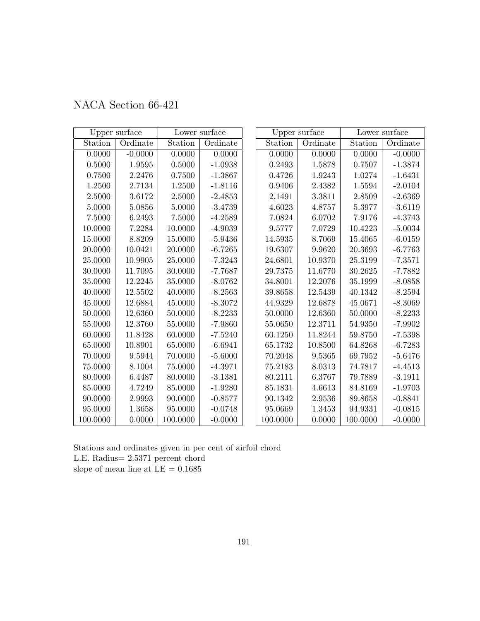|  | NACA Section 66-421 |  |
|--|---------------------|--|
|--|---------------------|--|

|             | Upper surface |          | Lower surface | Upper surface |          | Lower surface |           |
|-------------|---------------|----------|---------------|---------------|----------|---------------|-----------|
| Station     | Ordinate      | Station  | Ordinate      | Station       | Ordinate | Station       | Ordinate  |
| 0.0000      | $-0.0000$     | 0.0000   | 0.0000        | 0.0000        | 0.0000   | 0.0000        | $-0.0000$ |
| $0.5000\,$  | 1.9595        | 0.5000   | $-1.0938$     | 0.2493        | 1.5878   | 0.7507        | $-1.3874$ |
| 0.7500      | 2.2476        | 0.7500   | $-1.3867$     | 0.4726        | 1.9243   | 1.0274        | $-1.6431$ |
| 1.2500      | 2.7134        | 1.2500   | $-1.8116$     | 0.9406        | 2.4382   | 1.5594        | $-2.0104$ |
| 2.5000      | 3.6172        | 2.5000   | $-2.4853$     | 2.1491        | 3.3811   | 2.8509        | $-2.6369$ |
| 5.0000      | 5.0856        | 5.0000   | $-3.4739$     | 4.6023        | 4.8757   | 5.3977        | $-3.6119$ |
| 7.5000      | 6.2493        | 7.5000   | $-4.2589$     | 7.0824        | 6.0702   | 7.9176        | $-4.3743$ |
| 10.0000     | 7.2284        | 10.0000  | $-4.9039$     | 9.5777        | 7.0729   | 10.4223       | $-5.0034$ |
| 15.0000     | 8.8209        | 15.0000  | $-5.9436$     | 14.5935       | 8.7069   | 15.4065       | $-6.0159$ |
| 20.0000     | 10.0421       | 20.0000  | $-6.7265$     | 19.6307       | 9.9620   | 20.3693       | $-6.7763$ |
| 25.0000     | 10.9905       | 25.0000  | $-7.3243$     | 24.6801       | 10.9370  | 25.3199       | $-7.3571$ |
| 30.0000     | 11.7095       | 30.0000  | $-7.7687$     | 29.7375       | 11.6770  | 30.2625       | $-7.7882$ |
| 35.0000     | 12.2245       | 35.0000  | $-8.0762$     | 34.8001       | 12.2076  | 35.1999       | $-8.0858$ |
| 40.0000     | 12.5502       | 40.0000  | $-8.2563$     | 39.8658       | 12.5439  | 40.1342       | $-8.2594$ |
| 45.0000     | 12.6884       | 45.0000  | $-8.3072$     | 44.9329       | 12.6878  | 45.0671       | $-8.3069$ |
| 50.0000     | 12.6360       | 50.0000  | $-8.2233$     | 50.0000       | 12.6360  | 50.0000       | $-8.2233$ |
| 55.0000     | 12.3760       | 55.0000  | $-7.9860$     | 55.0650       | 12.3711  | 54.9350       | $-7.9902$ |
| 60.0000     | 11.8428       | 60.0000  | $-7.5240$     | 60.1250       | 11.8244  | 59.8750       | $-7.5398$ |
| 65.0000     | 10.8901       | 65.0000  | $-6.6941$     | 65.1732       | 10.8500  | 64.8268       | $-6.7283$ |
| 70.0000     | 9.5944        | 70.0000  | $-5.6000$     | 70.2048       | 9.5365   | 69.7952       | $-5.6476$ |
| $75.0000\,$ | 8.1004        | 75.0000  | $-4.3971$     | 75.2183       | 8.0313   | 74.7817       | $-4.4513$ |
| 80.0000     | 6.4487        | 80.0000  | $-3.1381$     | 80.2111       | 6.3767   | 79.7889       | $-3.1911$ |
| 85.0000     | 4.7249        | 85.0000  | $-1.9280$     | 85.1831       | 4.6613   | 84.8169       | $-1.9703$ |
| 90.0000     | 2.9993        | 90.0000  | $-0.8577$     | 90.1342       | 2.9536   | 89.8658       | $-0.8841$ |
| 95.0000     | 1.3658        | 95.0000  | $-0.0748$     | 95.0669       | 1.3453   | 94.9331       | $-0.0815$ |
| 100.0000    | 0.0000        | 100.0000 | $-0.0000$     | 100.0000      | 0.0000   | 100.0000      | $-0.0000$ |

Stations and ordinates given in per cent of airfoil chord L.E. Radius= 2.5371 percent chord slope of mean line at  $\mathrm{LE}=0.1685$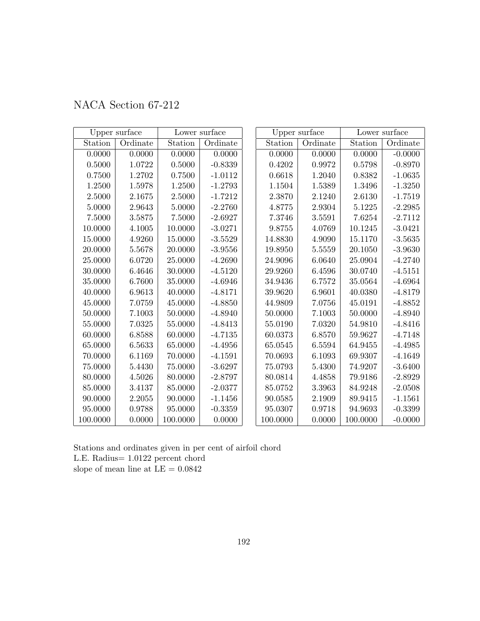| NACA Section 67-212 |  |
|---------------------|--|
|                     |  |

|             | Upper surface |          | Lower surface |          | Upper surface | Lower surface |           |  |
|-------------|---------------|----------|---------------|----------|---------------|---------------|-----------|--|
| Station     | Ordinate      | Station  | Ordinate      | Station  | Ordinate      | Station       | Ordinate  |  |
| 0.0000      | 0.0000        | 0.0000   | 0.0000        | 0.0000   | 0.0000        | 0.0000        | $-0.0000$ |  |
| 0.5000      | 1.0722        | 0.5000   | $-0.8339$     | 0.4202   | 0.9972        | 0.5798        | $-0.8970$ |  |
| 0.7500      | 1.2702        | 0.7500   | $-1.0112$     | 0.6618   | 1.2040        | 0.8382        | $-1.0635$ |  |
| 1.2500      | 1.5978        | 1.2500   | $-1.2793$     | 1.1504   | 1.5389        | 1.3496        | $-1.3250$ |  |
| 2.5000      | 2.1675        | 2.5000   | $-1.7212$     | 2.3870   | 2.1240        | 2.6130        | $-1.7519$ |  |
| 5.0000      | 2.9643        | 5.0000   | $-2.2760$     | 4.8775   | 2.9304        | 5.1225        | $-2.2985$ |  |
| 7.5000      | 3.5875        | 7.5000   | $-2.6927$     | 7.3746   | 3.5591        | 7.6254        | $-2.7112$ |  |
| 10.0000     | 4.1005        | 10.0000  | $-3.0271$     | 9.8755   | 4.0769        | 10.1245       | $-3.0421$ |  |
| 15.0000     | 4.9260        | 15.0000  | $-3.5529$     | 14.8830  | 4.9090        | 15.1170       | $-3.5635$ |  |
| 20.0000     | 5.5678        | 20.0000  | $-3.9556$     | 19.8950  | 5.5559        | 20.1050       | $-3.9630$ |  |
| 25.0000     | 6.0720        | 25.0000  | $-4.2690$     | 24.9096  | 6.0640        | 25.0904       | $-4.2740$ |  |
| 30.0000     | 6.4646        | 30.0000  | $-4.5120$     | 29.9260  | 6.4596        | 30.0740       | $-4.5151$ |  |
| 35.0000     | 6.7600        | 35.0000  | $-4.6946$     | 34.9436  | 6.7572        | 35.0564       | $-4.6964$ |  |
| 40.0000     | 6.9613        | 40.0000  | $-4.8171$     | 39.9620  | 6.9601        | 40.0380       | $-4.8179$ |  |
| 45.0000     | 7.0759        | 45.0000  | $-4.8850$     | 44.9809  | 7.0756        | 45.0191       | $-4.8852$ |  |
| 50.0000     | 7.1003        | 50.0000  | $-4.8940$     | 50.0000  | 7.1003        | 50.0000       | $-4.8940$ |  |
| 55.0000     | 7.0325        | 55.0000  | $-4.8413$     | 55.0190  | 7.0320        | 54.9810       | $-4.8416$ |  |
| 60.0000     | 6.8588        | 60.0000  | $-4.7135$     | 60.0373  | 6.8570        | 59.9627       | $-4.7148$ |  |
| 65.0000     | 6.5633        | 65.0000  | $-4.4956$     | 65.0545  | 6.5594        | 64.9455       | $-4.4985$ |  |
| 70.0000     | 6.1169        | 70.0000  | $-4.1591$     | 70.0693  | 6.1093        | 69.9307       | $-4.1649$ |  |
| $75.0000\,$ | 5.4430        | 75.0000  | $-3.6297$     | 75.0793  | 5.4300        | 74.9207       | $-3.6400$ |  |
| 80.0000     | 4.5026        | 80.0000  | $-2.8797$     | 80.0814  | 4.4858        | 79.9186       | $-2.8929$ |  |
| 85.0000     | 3.4137        | 85.0000  | $-2.0377$     | 85.0752  | 3.3963        | 84.9248       | $-2.0508$ |  |
| 90.0000     | 2.2055        | 90.0000  | $-1.1456$     | 90.0585  | 2.1909        | 89.9415       | $-1.1561$ |  |
| 95.0000     | 0.9788        | 95.0000  | $-0.3359$     | 95.0307  | 0.9718        | 94.9693       | $-0.3399$ |  |
| 100.0000    | 0.0000        | 100.0000 | 0.0000        | 100.0000 | 0.0000        | 100.0000      | $-0.0000$ |  |

Stations and ordinates given in per cent of airfoil chord L.E. Radius= 1.0122 percent chord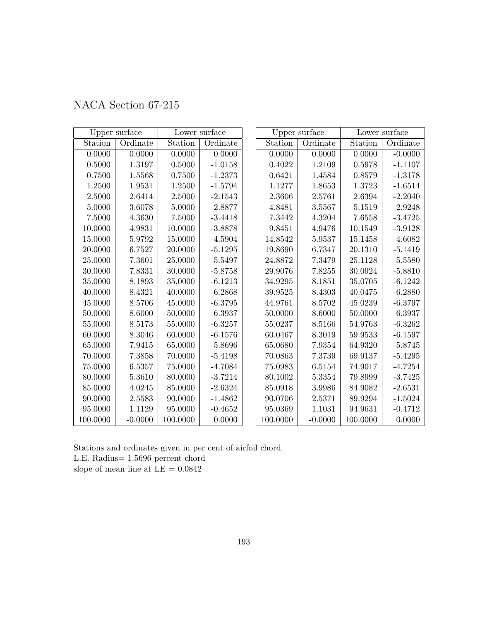| NACA Section 67-215 |  |  |
|---------------------|--|--|
|---------------------|--|--|

|             | Upper surface |            | Lower surface |          | Upper surface |          | Lower surface |
|-------------|---------------|------------|---------------|----------|---------------|----------|---------------|
| Station     | Ordinate      | Station    | Ordinate      | Station  | Ordinate      | Station  | Ordinate      |
| 0.0000      | 0.0000        | 0.0000     | 0.0000        | 0.0000   | 0.0000        | 0.0000   | $-0.0000$     |
| 0.5000      | 1.3197        | 0.5000     | $-1.0158$     | 0.4022   | 1.2109        | 0.5978   | $-1.1107$     |
| 0.7500      | $1.5568\,$    | 0.7500     | $-1.2373$     | 0.6421   | 1.4584        | 0.8579   | $-1.3178$     |
| 1.2500      | 1.9531        | 1.2500     | $-1.5794$     | 1.1277   | 1.8653        | 1.3723   | $-1.6514$     |
| 2.5000      | 2.6414        | $2.5000\,$ | $-2.1543$     | 2.3606   | 2.5761        | 2.6394   | $-2.2040$     |
| 5.0000      | 3.6078        | 5.0000     | $-2.8877$     | 4.8481   | 3.5567        | 5.1519   | $-2.9248$     |
| 7.5000      | 4.3630        | 7.5000     | $-3.4418$     | 7.3442   | 4.3204        | 7.6558   | $-3.4725$     |
| 10.0000     | 4.9831        | 10.0000    | $-3.8878$     | 9.8451   | 4.9476        | 10.1549  | $-3.9128$     |
| 15.0000     | 5.9792        | 15.0000    | $-4.5904$     | 14.8542  | 5.9537        | 15.1458  | $-4.6082$     |
| 20.0000     | 6.7527        | 20.0000    | $-5.1295$     | 19.8690  | 6.7347        | 20.1310  | $-5.1419$     |
| 25.0000     | 7.3601        | 25.0000    | $-5.5497$     | 24.8872  | 7.3479        | 25.1128  | $-5.5580$     |
| 30.0000     | 7.8331        | 30.0000    | $-5.8758$     | 29.9076  | 7.8255        | 30.0924  | $-5.8810$     |
| 35.0000     | 8.1893        | 35.0000    | $-6.1213$     | 34.9295  | 8.1851        | 35.0705  | $-6.1242$     |
| 40.0000     | 8.4321        | 40.0000    | $-6.2868$     | 39.9525  | 8.4303        | 40.0475  | $-6.2880$     |
| 45.0000     | 8.5706        | 45.0000    | $-6.3795$     | 44.9761  | 8.5702        | 45.0239  | $-6.3797$     |
| 50.0000     | 8.6000        | 50.0000    | $-6.3937$     | 50.0000  | 8.6000        | 50.0000  | $-6.3937$     |
| 55.0000     | 8.5173        | 55.0000    | $-6.3257$     | 55.0237  | 8.5166        | 54.9763  | $-6.3262$     |
| 60.0000     | 8.3046        | 60.0000    | $-6.1576$     | 60.0467  | 8.3019        | 59.9533  | $-6.1597$     |
| 65.0000     | 7.9415        | 65.0000    | $-5.8696$     | 65.0680  | 7.9354        | 64.9320  | $-5.8745$     |
| 70.0000     | 7.3858        | 70.0000    | $-5.4198$     | 70.0863  | 7.3739        | 69.9137  | $-5.4295$     |
| $75.0000\,$ | 6.5357        | 75.0000    | $-4.7084$     | 75.0983  | 6.5154        | 74.9017  | $-4.7254$     |
| 80.0000     | 5.3610        | 80.0000    | $-3.7214$     | 80.1002  | 5.3354        | 79.8999  | $-3.7425$     |
| 85.0000     | 4.0245        | 85.0000    | $-2.6324$     | 85.0918  | 3.9986        | 84.9082  | $-2.6531$     |
| 90.0000     | 2.5583        | 90.0000    | $-1.4862$     | 90.0706  | 2.5371        | 89.9294  | $-1.5024$     |
| 95.0000     | 1.1129        | 95.0000    | $-0.4652$     | 95.0369  | 1.1031        | 94.9631  | $-0.4712$     |
| 100.0000    | $-0.0000$     | 100.0000   | 0.0000        | 100.0000 | $-0.0000$     | 100.0000 | 0.0000        |

Stations and ordinates given in per cent of airfoil chord L.E. Radius= 1.5696 percent chord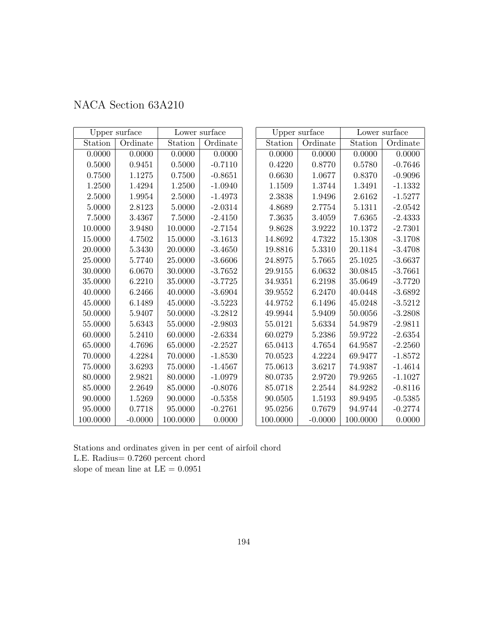|  | NACA Section 63A210 |  |
|--|---------------------|--|
|--|---------------------|--|

|          | Upper surface |          | Lower surface |          | Upper surface |          | Lower surface |
|----------|---------------|----------|---------------|----------|---------------|----------|---------------|
| Station  | Ordinate      | Station  | Ordinate      | Station  | Ordinate      | Station  | Ordinate      |
| 0.0000   | 0.0000        | 0.0000   | 0.0000        | 0.0000   | 0.0000        | 0.0000   | 0.0000        |
| 0.5000   | 0.9451        | 0.5000   | $-0.7110$     | 0.4220   | 0.8770        | 0.5780   | $-0.7646$     |
| 0.7500   | 1.1275        | 0.7500   | $-0.8651$     | 0.6630   | 1.0677        | 0.8370   | $-0.9096$     |
| 1.2500   | 1.4294        | 1.2500   | $-1.0940$     | 1.1509   | 1.3744        | 1.3491   | $-1.1332$     |
| 2.5000   | 1.9954        | 2.5000   | $-1.4973$     | 2.3838   | 1.9496        | 2.6162   | $-1.5277$     |
| 5.0000   | 2.8123        | 5.0000   | $-2.0314$     | 4.8689   | 2.7754        | 5.1311   | $-2.0542$     |
| 7.5000   | 3.4367        | 7.5000   | $-2.4150$     | 7.3635   | 3.4059        | 7.6365   | $-2.4333$     |
| 10.0000  | 3.9480        | 10.0000  | $-2.7154$     | 9.8628   | 3.9222        | 10.1372  | $-2.7301$     |
| 15.0000  | 4.7502        | 15.0000  | $-3.1613$     | 14.8692  | 4.7322        | 15.1308  | $-3.1708$     |
| 20.0000  | 5.3430        | 20.0000  | $-3.4650$     | 19.8816  | 5.3310        | 20.1184  | $-3.4708$     |
| 25.0000  | 5.7740        | 25.0000  | $-3.6606$     | 24.8975  | 5.7665        | 25.1025  | $-3.6637$     |
| 30.0000  | 6.0670        | 30.0000  | $-3.7652$     | 29.9155  | 6.0632        | 30.0845  | $-3.7661$     |
| 35.0000  | 6.2210        | 35.0000  | $-3.7725$     | 34.9351  | 6.2198        | 35.0649  | $-3.7720$     |
| 40.0000  | 6.2466        | 40.0000  | $-3.6904$     | 39.9552  | 6.2470        | 40.0448  | $-3.6892$     |
| 45.0000  | 6.1489        | 45.0000  | $-3.5223$     | 44.9752  | 6.1496        | 45.0248  | $-3.5212$     |
| 50.0000  | 5.9407        | 50.0000  | $-3.2812$     | 49.9944  | 5.9409        | 50.0056  | $-3.2808$     |
| 55.0000  | 5.6343        | 55.0000  | $-2.9803$     | 55.0121  | 5.6334        | 54.9879  | $-2.9811$     |
| 60.0000  | 5.2410        | 60.0000  | $-2.6334$     | 60.0279  | 5.2386        | 59.9722  | $-2.6354$     |
| 65.0000  | 4.7696        | 65.0000  | $-2.2527$     | 65.0413  | 4.7654        | 64.9587  | $-2.2560$     |
| 70.0000  | 4.2284        | 70.0000  | $-1.8530$     | 70.0523  | 4.2224        | 69.9477  | $-1.8572$     |
| 75.0000  | 3.6293        | 75.0000  | $-1.4567$     | 75.0613  | 3.6217        | 74.9387  | $-1.4614$     |
| 80.0000  | 2.9821        | 80.0000  | $-1.0979$     | 80.0735  | 2.9720        | 79.9265  | $-1.1027$     |
| 85.0000  | 2.2649        | 85.0000  | $-0.8076$     | 85.0718  | 2.2544        | 84.9282  | $-0.8116$     |
| 90.0000  | 1.5269        | 90.0000  | $-0.5358$     | 90.0505  | 1.5193        | 89.9495  | $-0.5385$     |
| 95.0000  | 0.7718        | 95.0000  | $-0.2761$     | 95.0256  | 0.7679        | 94.9744  | $-0.2774$     |
| 100.0000 | $-0.0000$     | 100.0000 | 0.0000        | 100.0000 | $-0.0000$     | 100.0000 | 0.0000        |

L.E. Radius= 0.7260 percent chord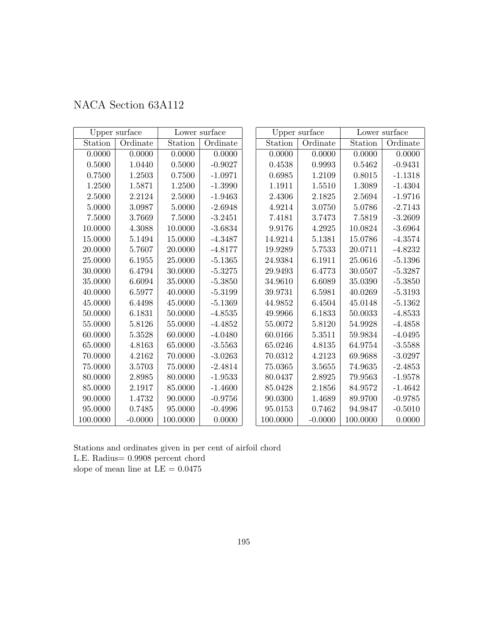|  | NACA Section 63A112 |  |
|--|---------------------|--|
|--|---------------------|--|

|          | Upper surface |          | Lower surface |               | Upper surface |          | Lower surface |
|----------|---------------|----------|---------------|---------------|---------------|----------|---------------|
| Station  | Ordinate      | Station  | Ordinate      | Station       | Ordinate      | Station  | Ordinate      |
| 0.0000   | 0.0000        | 0.0000   | 0.0000        | 0.0000        | 0.0000        | 0.0000   | 0.0000        |
| 0.5000   | 1.0440        | 0.5000   | $-0.9027$     | 0.4538        | 0.9993        | 0.5462   | $-0.9431$     |
| 0.7500   | 1.2503        | 0.7500   | $-1.0971$     | 0.6985        | 1.2109        | 0.8015   | $-1.1318$     |
| 1.2500   | 1.5871        | 1.2500   | $-1.3990$     | 1.1911        | 1.5510        | 1.3089   | $-1.4304$     |
| 2.5000   | 2.2124        | 2.5000   | $-1.9463$     | 2.4306        | 2.1825        | 2.5694   | $-1.9716$     |
| 5.0000   | 3.0987        | 5.0000   | $-2.6948$     | 4.9214        | 3.0750        | 5.0786   | $-2.7143$     |
| 7.5000   | 3.7669        | 7.5000   | $-3.2451$     | 7.4181        | 3.7473        | 7.5819   | $-3.2609$     |
| 10.0000  | 4.3088        | 10.0000  | $-3.6834$     | 9.9176        | 4.2925        | 10.0824  | $-3.6964$     |
| 15.0000  | 5.1494        | 15.0000  | $-4.3487$     | 14.9214       | 5.1381        | 15.0786  | $-4.3574$     |
| 20.0000  | 5.7607        | 20.0000  | $-4.8177$     | 19.9289       | 5.7533        | 20.0711  | $-4.8232$     |
| 25.0000  | 6.1955        | 25.0000  | $-5.1365$     | 24.9384       | 6.1911        | 25.0616  | $-5.1396$     |
| 30.0000  | 6.4794        | 30.0000  | $-5.3275$     | 29.9493       | 6.4773        | 30.0507  | $-5.3287$     |
| 35.0000  | 6.6094        | 35.0000  | $-5.3850$     | 34.9610       | 6.6089        | 35.0390  | $-5.3850$     |
| 40.0000  | 6.5977        | 40.0000  | $-5.3199$     | 39.9731       | 6.5981        | 40.0269  | $-5.3193$     |
| 45.0000  | 6.4498        | 45.0000  | $-5.1369$     | 44.9852       | 6.4504        | 45.0148  | $-5.1362$     |
| 50.0000  | 6.1831        | 50.0000  | $-4.8535$     | 49.9966       | 6.1833        | 50.0033  | $-4.8533$     |
| 55.0000  | 5.8126        | 55.0000  | $-4.4852$     | $55.0072\,$   | 5.8120        | 54.9928  | $-4.4858$     |
| 60.0000  | 5.3528        | 60.0000  | $-4.0480$     | 60.0166       | 5.3511        | 59.9834  | $-4.0495$     |
| 65.0000  | 4.8163        | 65.0000  | $-3.5563$     | 65.0246       | 4.8135        | 64.9754  | $-3.5588$     |
| 70.0000  | 4.2162        | 70.0000  | $-3.0263$     | 70.0312       | 4.2123        | 69.9688  | $-3.0297$     |
| 75.0000  | 3.5703        | 75.0000  | $-2.4814$     | 75.0365       | 3.5655        | 74.9635  | $-2.4853$     |
| 80.0000  | 2.8985        | 80.0000  | $-1.9533$     | 80.0437       | 2.8925        | 79.9563  | $-1.9578$     |
| 85.0000  | 2.1917        | 85.0000  | $-1.4600$     | 85.0428       | 2.1856        | 84.9572  | $-1.4642$     |
| 90.0000  | 1.4732        | 90.0000  | $-0.9756$     | 90.0300       | 1.4689        | 89.9700  | $-0.9785$     |
| 95.0000  | 0.7485        | 95.0000  | $-0.4996$     | $\;\:95.0153$ | 0.7462        | 94.9847  | $-0.5010$     |
| 100.0000 | $-0.0000$     | 100.0000 | 0.0000        | 100.0000      | $-0.0000$     | 100.0000 | 0.0000        |

Stations and ordinates given in per cent of airfoil chord L.E. Radius= 0.9908 percent chord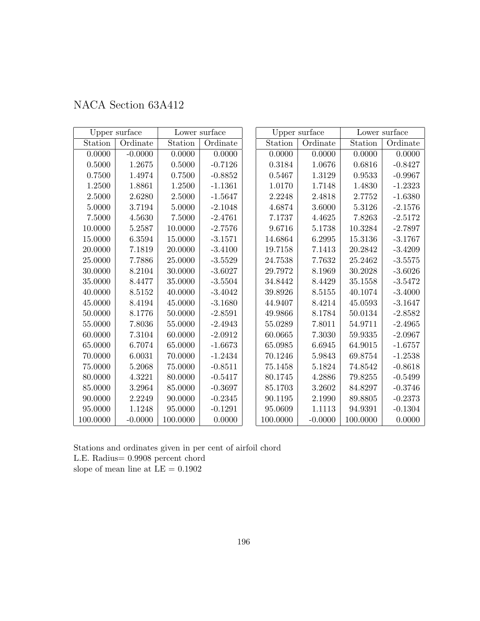| NACA Section 63A412 |  |  |
|---------------------|--|--|
|---------------------|--|--|

|             | Upper surface |            | Lower surface |          | Upper surface |          | Lower surface |
|-------------|---------------|------------|---------------|----------|---------------|----------|---------------|
| Station     | Ordinate      | Station    | Ordinate      | Station  | Ordinate      | Station  | Ordinate      |
| 0.0000      | $-0.0000$     | 0.0000     | 0.0000        | 0.0000   | 0.0000        | 0.0000   | 0.0000        |
| 0.5000      | 1.2675        | $0.5000\,$ | $-0.7126$     | 0.3184   | 1.0676        | 0.6816   | $-0.8427$     |
| 0.7500      | 1.4974        | 0.7500     | $-0.8852$     | 0.5467   | 1.3129        | 0.9533   | $-0.9967$     |
| $1.2500\,$  | 1.8861        | $1.2500\,$ | $-1.1361$     | 1.0170   | 1.7148        | 1.4830   | $-1.2323$     |
| 2.5000      | 2.6280        | 2.5000     | $-1.5647$     | 2.2248   | 2.4818        | 2.7752   | $-1.6380$     |
| 5.0000      | 3.7194        | 5.0000     | $-2.1048$     | 4.6874   | 3.6000        | 5.3126   | $-2.1576$     |
| 7.5000      | 4.5630        | $7.5000\,$ | $-2.4761$     | 7.1737   | 4.4625        | 7.8263   | $-2.5172$     |
| 10.0000     | 5.2587        | 10.0000    | $-2.7576$     | 9.6716   | 5.1738        | 10.3284  | $-2.7897$     |
| 15.0000     | 6.3594        | 15.0000    | $-3.1571$     | 14.6864  | 6.2995        | 15.3136  | $-3.1767$     |
| 20.0000     | 7.1819        | 20.0000    | $-3.4100$     | 19.7158  | 7.1413        | 20.2842  | $-3.4209$     |
| 25.0000     | 7.7886        | 25.0000    | $-3.5529$     | 24.7538  | 7.7632        | 25.2462  | $-3.5575$     |
| 30.0000     | 8.2104        | 30.0000    | $-3.6027$     | 29.7972  | 8.1969        | 30.2028  | $-3.6026$     |
| 35.0000     | 8.4477        | 35.0000    | $-3.5504$     | 34.8442  | 8.4429        | 35.1558  | $-3.5472$     |
| 40.0000     | 8.5152        | 40.0000    | $-3.4042$     | 39.8926  | 8.5155        | 40.1074  | $-3.4000$     |
| 45.0000     | 8.4194        | 45.0000    | $-3.1680$     | 44.9407  | 8.4214        | 45.0593  | $-3.1647$     |
| 50.0000     | 8.1776        | 50.0000    | $-2.8591$     | 49.9866  | 8.1784        | 50.0134  | $-2.8582$     |
| 55.0000     | 7.8036        | 55.0000    | $-2.4943$     | 55.0289  | 7.8011        | 54.9711  | $-2.4965$     |
| 60.0000     | 7.3104        | 60.0000    | $-2.0912$     | 60.0665  | 7.3030        | 59.9335  | $-2.0967$     |
| 65.0000     | 6.7074        | 65.0000    | $-1.6673$     | 65.0985  | 6.6945        | 64.9015  | $-1.6757$     |
| 70.0000     | 6.0031        | 70.0000    | $-1.2434$     | 70.1246  | 5.9843        | 69.8754  | $-1.2538$     |
| 75.0000     | 5.2068        | 75.0000    | $-0.8511$     | 75.1458  | 5.1824        | 74.8542  | $-0.8618$     |
| 80.0000     | 4.3221        | 80.0000    | $-0.5417$     | 80.1745  | 4.2886        | 79.8255  | $-0.5499$     |
| 85.0000     | 3.2964        | 85.0000    | $-0.3697$     | 85.1703  | 3.2602        | 84.8297  | $-0.3746$     |
| $90.0000\,$ | 2.2249        | 90.0000    | $-0.2345$     | 90.1195  | 2.1990        | 89.8805  | $-0.2373$     |
| 95.0000     | 1.1248        | 95.0000    | $-0.1291$     | 95.0609  | 1.1113        | 94.9391  | $-0.1304$     |
| 100.0000    | $-0.0000$     | 100.0000   | 0.0000        | 100.0000 | $-0.0000$     | 100.0000 | 0.0000        |

Stations and ordinates given in per cent of airfoil chord L.E. Radius= 0.9908 percent chord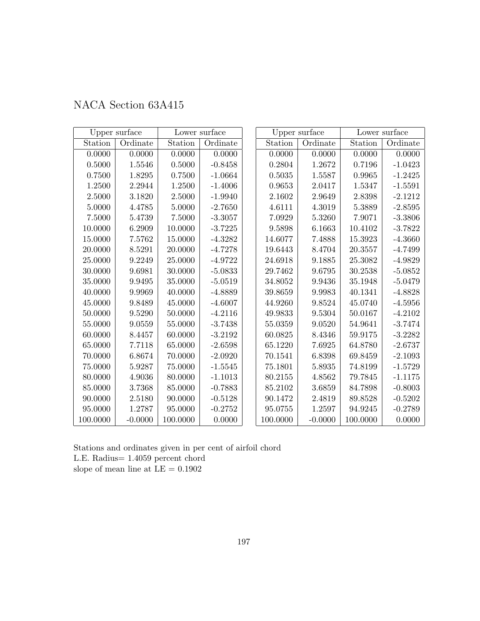| NACA Section 63A415 |
|---------------------|
|---------------------|

|             | Upper surface |             | Lower surface |          | Upper surface |          | Lower surface |
|-------------|---------------|-------------|---------------|----------|---------------|----------|---------------|
| Station     | Ordinate      | Station     | Ordinate      | Station  | Ordinate      | Station  | Ordinate      |
| 0.0000      | 0.0000        | 0.0000      | 0.0000        | 0.0000   | 0.0000        | 0.0000   | 0.0000        |
| $0.5000\,$  | 1.5546        | 0.5000      | $-0.8458$     | 0.2804   | 1.2672        | 0.7196   | $-1.0423$     |
| 0.7500      | 1.8295        | 0.7500      | $-1.0664$     | 0.5035   | 1.5587        | 0.9965   | $-1.2425$     |
| 1.2500      | 2.2944        | 1.2500      | $-1.4006$     | 0.9653   | 2.0417        | 1.5347   | $-1.5591$     |
| 2.5000      | 3.1820        | 2.5000      | $-1.9940$     | 2.1602   | 2.9649        | 2.8398   | $-2.1212$     |
| 5.0000      | 4.4785        | 5.0000      | $-2.7650$     | 4.6111   | 4.3019        | 5.3889   | $-2.8595$     |
| 7.5000      | 5.4739        | $7.5000\,$  | $-3.3057$     | 7.0929   | 5.3260        | 7.9071   | $-3.3806$     |
| 10.0000     | 6.2909        | 10.0000     | $-3.7225$     | 9.5898   | 6.1663        | 10.4102  | $-3.7822$     |
| 15.0000     | 7.5762        | 15.0000     | $-4.3282$     | 14.6077  | 7.4888        | 15.3923  | $-4.3660$     |
| 20.0000     | 8.5291        | 20.0000     | $-4.7278$     | 19.6443  | 8.4704        | 20.3557  | $-4.7499$     |
| 25.0000     | 9.2249        | 25.0000     | $-4.9722$     | 24.6918  | 9.1885        | 25.3082  | $-4.9829$     |
| 30.0000     | 9.6981        | 30.0000     | $-5.0833$     | 29.7462  | 9.6795        | 30.2538  | $-5.0852$     |
| 35.0000     | 9.9495        | 35.0000     | $-5.0519$     | 34.8052  | 9.9436        | 35.1948  | $-5.0479$     |
| 40.0000     | 9.9969        | 40.0000     | $-4.8889$     | 39.8659  | 9.9983        | 40.1341  | $-4.8828$     |
| 45.0000     | 9.8489        | 45.0000     | $-4.6007$     | 44.9260  | 9.8524        | 45.0740  | $-4.5956$     |
| 50.0000     | 9.5290        | 50.0000     | $-4.2116$     | 49.9833  | 9.5304        | 50.0167  | $-4.2102$     |
| 55.0000     | 9.0559        | 55.0000     | $-3.7438$     | 55.0359  | 9.0520        | 54.9641  | $-3.7474$     |
| 60.0000     | 8.4457        | 60.0000     | $-3.2192$     | 60.0825  | 8.4346        | 59.9175  | $-3.2282$     |
| 65.0000     | 7.7118        | 65.0000     | $-2.6598$     | 65.1220  | 7.6925        | 64.8780  | $-2.6737$     |
| 70.0000     | 6.8674        | 70.0000     | $-2.0920$     | 70.1541  | 6.8398        | 69.8459  | $-2.1093$     |
| 75.0000     | 5.9287        | $75.0000\,$ | $-1.5545$     | 75.1801  | 5.8935        | 74.8199  | $-1.5729$     |
| 80.0000     | 4.9036        | 80.0000     | $-1.1013$     | 80.2155  | 4.8562        | 79.7845  | $-1.1175$     |
| 85.0000     | 3.7368        | 85.0000     | $-0.7883$     | 85.2102  | 3.6859        | 84.7898  | $-0.8003$     |
| $90.0000\,$ | 2.5180        | 90.0000     | $-0.5128$     | 90.1472  | 2.4819        | 89.8528  | $-0.5202$     |
| 95.0000     | 1.2787        | 95.0000     | $-0.2752$     | 95.0755  | 1.2597        | 94.9245  | $-0.2789$     |
| 100.0000    | $-0.0000$     | 100.0000    | 0.0000        | 100.0000 | $-0.0000$     | 100.0000 | 0.0000        |

Stations and ordinates given in per cent of airfoil chord L.E. Radius= 1.4059 percent chord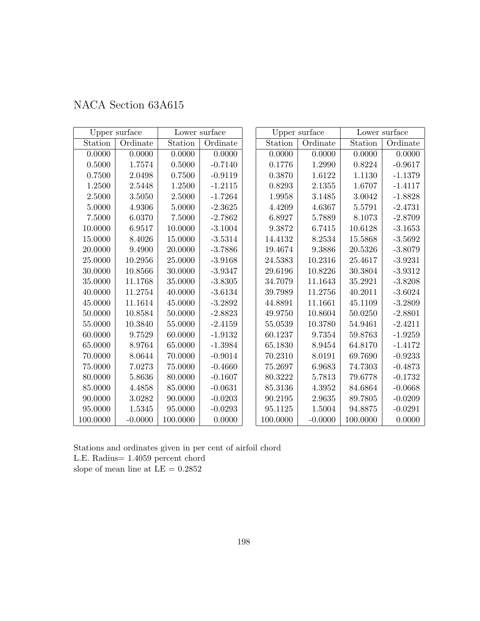|          | Upper surface |          | Lower surface |          | Upper surface |          | Lower surface |
|----------|---------------|----------|---------------|----------|---------------|----------|---------------|
| Station  | Ordinate      | Station  | Ordinate      | Station  | Ordinate      | Station  | Ordinate      |
| 0.0000   | 0.0000        | 0.0000   | 0.0000        | 0.0000   | 0.0000        | 0.0000   | 0.0000        |
| 0.5000   | 1.7574        | 0.5000   | $-0.7140$     | 0.1776   | 1.2990        | 0.8224   | $-0.9617$     |
| 0.7500   | 2.0498        | 0.7500   | $-0.9119$     | 0.3870   | 1.6122        | 1.1130   | $-1.1379$     |
| 1.2500   | 2.5448        | 1.2500   | $-1.2115$     | 0.8293   | 2.1355        | 1.6707   | $-1.4117$     |
| 2.5000   | 3.5050        | 2.5000   | $-1.7264$     | 1.9958   | 3.1485        | 3.0042   | $-1.8828$     |
| 5.0000   | 4.9306        | 5.0000   | $-2.3625$     | 4.4209   | 4.6367        | 5.5791   | $-2.4731$     |
| 7.5000   | 6.0370        | 7.5000   | $-2.7862$     | 6.8927   | 5.7889        | 8.1073   | $-2.8709$     |
| 10.0000  | 6.9517        | 10.0000  | $-3.1004$     | 9.3872   | 6.7415        | 10.6128  | $-3.1653$     |
| 15.0000  | 8.4026        | 15.0000  | $-3.5314$     | 14.4132  | 8.2534        | 15.5868  | $-3.5692$     |
| 20.0000  | 9.4900        | 20.0000  | $-3.7886$     | 19.4674  | 9.3886        | 20.5326  | $-3.8079$     |
| 25.0000  | 10.2956       | 25.0000  | $-3.9168$     | 24.5383  | 10.2316       | 25.4617  | $-3.9231$     |
| 30.0000  | 10.8566       | 30.0000  | $-3.9347$     | 29.6196  | 10.8226       | 30.3804  | $-3.9312$     |
| 35.0000  | 11.1768       | 35.0000  | $-3.8305$     | 34.7079  | 11.1643       | 35.2921  | $-3.8208$     |
| 40.0000  | 11.2754       | 40.0000  | $-3.6134$     | 39.7989  | 11.2756       | 40.2011  | $-3.6024$     |
| 45.0000  | 11.1614       | 45.0000  | $-3.2892$     | 44.8891  | 11.1661       | 45.1109  | $-3.2809$     |
| 50.0000  | 10.8584       | 50.0000  | $-2.8823$     | 49.9750  | 10.8604       | 50.0250  | $-2.8801$     |
| 55.0000  | 10.3840       | 55.0000  | $-2.4159$     | 55.0539  | 10.3780       | 54.9461  | $-2.4211$     |
| 60.0000  | 9.7529        | 60.0000  | $-1.9132$     | 60.1237  | 9.7354        | 59.8763  | $-1.9259$     |
| 65.0000  | 8.9764        | 65.0000  | $-1.3984$     | 65.1830  | 8.9454        | 64.8170  | $-1.4172$     |
| 70.0000  | 8.0644        | 70.0000  | $-0.9014$     | 70.2310  | 8.0191        | 69.7690  | $-0.9233$     |
| 75.0000  | 7.0273        | 75.0000  | $-0.4660$     | 75.2697  | 6.9683        | 74.7303  | $-0.4873$     |
| 80.0000  | 5.8636        | 80.0000  | $-0.1607$     | 80.3222  | 5.7813        | 79.6778  | $-0.1732$     |
| 85.0000  | 4.4858        | 85.0000  | $-0.0631$     | 85.3136  | 4.3952        | 84.6864  | $-0.0668$     |
| 90.0000  | 3.0282        | 90.0000  | $-0.0203$     | 90.2195  | 2.9635        | 89.7805  | $-0.0209$     |
| 95.0000  | 1.5345        | 95.0000  | $-0.0293$     | 95.1125  | 1.5004        | 94.8875  | $-0.0291$     |
| 100.0000 | $-0.0000$     | 100.0000 | 0.0000        | 100.0000 | $-0.0000$     | 100.0000 | 0.0000        |

## NACA Section 63A615

Stations and ordinates given in per cent of airfoil chord L.E. Radius= 1.4059 percent chord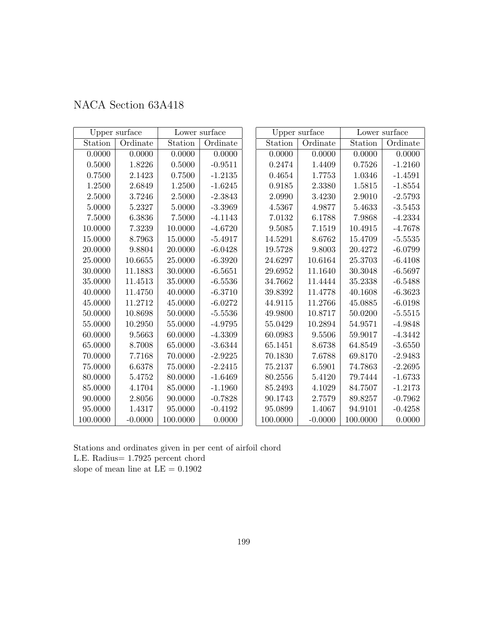| NACA Section 63A418 |  |  |
|---------------------|--|--|
|---------------------|--|--|

|            | Upper surface |          | Lower surface |          | Upper surface |          | Lower surface |
|------------|---------------|----------|---------------|----------|---------------|----------|---------------|
| Station    | Ordinate      | Station  | Ordinate      | Station  | Ordinate      | Station  | Ordinate      |
| 0.0000     | 0.0000        | 0.0000   | 0.0000        | 0.0000   | 0.0000        | 0.0000   | 0.0000        |
| 0.5000     | 1.8226        | 0.5000   | $-0.9511$     | 0.2474   | 1.4409        | 0.7526   | $-1.2160$     |
| 0.7500     | 2.1423        | 0.7500   | $-1.2135$     | 0.4654   | 1.7753        | 1.0346   | $-1.4591$     |
| 1.2500     | 2.6849        | 1.2500   | $-1.6245$     | 0.9185   | 2.3380        | 1.5815   | $-1.8554$     |
| 2.5000     | 3.7246        | 2.5000   | $-2.3843$     | 2.0990   | 3.4230        | 2.9010   | $-2.5793$     |
| 5.0000     | 5.2327        | 5.0000   | $-3.3969$     | 4.5367   | 4.9877        | 5.4633   | $-3.5453$     |
| $7.5000\,$ | 6.3836        | 7.5000   | $-4.1143$     | 7.0132   | 6.1788        | 7.9868   | $-4.2334$     |
| 10.0000    | 7.3239        | 10.0000  | $-4.6720$     | 9.5085   | 7.1519        | 10.4915  | $-4.7678$     |
| 15.0000    | 8.7963        | 15.0000  | $-5.4917$     | 14.5291  | 8.6762        | 15.4709  | $-5.5535$     |
| 20.0000    | 9.8804        | 20.0000  | $-6.0428$     | 19.5728  | $9.8003\,$    | 20.4272  | $-6.0799$     |
| 25.0000    | 10.6655       | 25.0000  | $-6.3920$     | 24.6297  | 10.6164       | 25.3703  | $-6.4108$     |
| 30.0000    | 11.1883       | 30.0000  | $-6.5651$     | 29.6952  | 11.1640       | 30.3048  | $-6.5697$     |
| 35.0000    | 11.4513       | 35.0000  | $-6.5536$     | 34.7662  | 11.4444       | 35.2338  | $-6.5488$     |
| 40.0000    | 11.4750       | 40.0000  | $-6.3710$     | 39.8392  | 11.4778       | 40.1608  | $-6.3623$     |
| 45.0000    | 11.2712       | 45.0000  | $-6.0272$     | 44.9115  | 11.2766       | 45.0885  | $-6.0198$     |
| 50.0000    | 10.8698       | 50.0000  | $-5.5536$     | 49.9800  | 10.8717       | 50.0200  | $-5.5515$     |
| 55.0000    | 10.2950       | 55.0000  | $-4.9795$     | 55.0429  | 10.2894       | 54.9571  | $-4.9848$     |
| 60.0000    | 9.5663        | 60.0000  | $-4.3309$     | 60.0983  | 9.5506        | 59.9017  | $-4.3442$     |
| 65.0000    | 8.7008        | 65.0000  | $-3.6344$     | 65.1451  | 8.6738        | 64.8549  | $-3.6550$     |
| 70.0000    | 7.7168        | 70.0000  | $-2.9225$     | 70.1830  | 7.6788        | 69.8170  | $-2.9483$     |
| 75.0000    | 6.6378        | 75.0000  | $-2.2415$     | 75.2137  | 6.5901        | 74.7863  | $-2.2695$     |
| 80.0000    | 5.4752        | 80.0000  | $-1.6469$     | 80.2556  | 5.4120        | 79.7444  | $-1.6733$     |
| 85.0000    | 4.1704        | 85.0000  | $-1.1960$     | 85.2493  | 4.1029        | 84.7507  | $-1.2173$     |
| 90.0000    | 2.8056        | 90.0000  | $-0.7828$     | 90.1743  | 2.7579        | 89.8257  | $-0.7962$     |
| 95.0000    | 1.4317        | 95.0000  | $-0.4192$     | 95.0899  | 1.4067        | 94.9101  | $-0.4258$     |
| 100.0000   | $-0.0000$     | 100.0000 | 0.0000        | 100.0000 | $-0.0000$     | 100.0000 | 0.0000        |

Stations and ordinates given in per cent of airfoil chord L.E. Radius= 1.7925 percent chord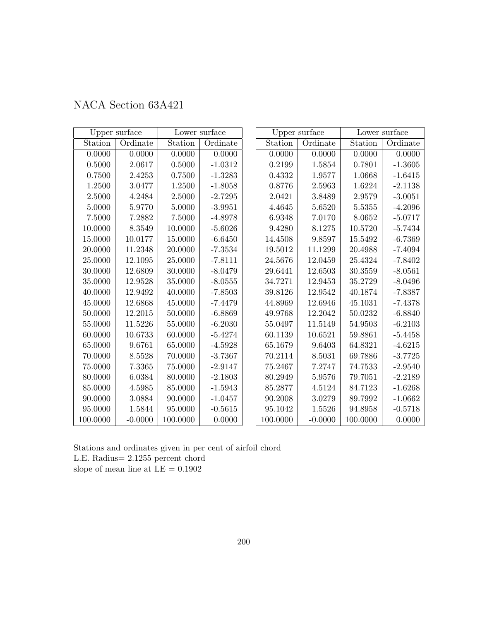| NACA Section 63A421 |  |
|---------------------|--|
|---------------------|--|

|          | Upper surface |          | Lower surface |          | Upper surface |            | Lower surface |
|----------|---------------|----------|---------------|----------|---------------|------------|---------------|
| Station  | Ordinate      | Station  | Ordinate      | Station  | Ordinate      | Station    | Ordinate      |
| 0.0000   | 0.0000        | 0.0000   | 0.0000        | 0.0000   | 0.0000        | 0.0000     | 0.0000        |
| 0.5000   | 2.0617        | 0.5000   | $-1.0312$     | 0.2199   | 1.5854        | 0.7801     | $-1.3605$     |
| 0.7500   | 2.4253        | 0.7500   | $-1.3283$     | 0.4332   | 1.9577        | 1.0668     | $-1.6415$     |
| 1.2500   | 3.0477        | 1.2500   | $-1.8058$     | 0.8776   | 2.5963        | 1.6224     | $-2.1138$     |
| 2.5000   | 4.2484        | 2.5000   | $-2.7295$     | 2.0421   | 3.8489        | $2.9579\,$ | $-3.0051$     |
| 5.0000   | 5.9770        | 5.0000   | $-3.9951$     | 4.4645   | 5.6520        | 5.5355     | $-4.2096$     |
| 7.5000   | 7.2882        | 7.5000   | $-4.8978$     | 6.9348   | 7.0170        | 8.0652     | $-5.0717$     |
| 10.0000  | 8.3549        | 10.0000  | $-5.6026$     | 9.4280   | 8.1275        | 10.5720    | $-5.7434$     |
| 15.0000  | 10.0177       | 15.0000  | $-6.6450$     | 14.4508  | 9.8597        | 15.5492    | $-6.7369$     |
| 20.0000  | 11.2348       | 20.0000  | $-7.3534$     | 19.5012  | 11.1299       | 20.4988    | $-7.4094$     |
| 25.0000  | 12.1095       | 25.0000  | $-7.8111$     | 24.5676  | 12.0459       | 25.4324    | $-7.8402$     |
| 30.0000  | 12.6809       | 30.0000  | $-8.0479$     | 29.6441  | 12.6503       | 30.3559    | $-8.0561$     |
| 35.0000  | 12.9528       | 35.0000  | $-8.0555$     | 34.7271  | 12.9453       | 35.2729    | $-8.0496$     |
| 40.0000  | 12.9492       | 40.0000  | $-7.8503$     | 39.8126  | 12.9542       | 40.1874    | $-7.8387$     |
| 45.0000  | 12.6868       | 45.0000  | $-7.4479$     | 44.8969  | 12.6946       | 45.1031    | $-7.4378$     |
| 50.0000  | 12.2015       | 50.0000  | $-6.8869$     | 49.9768  | 12.2042       | 50.0232    | $-6.8840$     |
| 55.0000  | 11.5226       | 55.0000  | $-6.2030$     | 55.0497  | 11.5149       | 54.9503    | $-6.2103$     |
| 60.0000  | 10.6733       | 60.0000  | $-5.4274$     | 60.1139  | 10.6521       | 59.8861    | $-5.4458$     |
| 65.0000  | 9.6761        | 65.0000  | $-4.5928$     | 65.1679  | 9.6403        | 64.8321    | $-4.6215$     |
| 70.0000  | 8.5528        | 70.0000  | $-3.7367$     | 70.2114  | 8.5031        | 69.7886    | $-3.7725$     |
| 75.0000  | 7.3365        | 75.0000  | $-2.9147$     | 75.2467  | 7.2747        | 74.7533    | $-2.9540$     |
| 80.0000  | 6.0384        | 80.0000  | $-2.1803$     | 80.2949  | 5.9576        | 79.7051    | $-2.2189$     |
| 85.0000  | 4.5985        | 85.0000  | $-1.5943$     | 85.2877  | 4.5124        | 84.7123    | $-1.6268$     |
| 90.0000  | 3.0884        | 90.0000  | $-1.0457$     | 90.2008  | 3.0279        | 89.7992    | $-1.0662$     |
| 95.0000  | 1.5844        | 95.0000  | $-0.5615$     | 95.1042  | 1.5526        | 94.8958    | $-0.5718$     |
| 100.0000 | $-0.0000$     | 100.0000 | 0.0000        | 100.0000 | $-0.0000$     | 100.0000   | 0.0000        |

Stations and ordinates given in per cent of airfoil chord L.E. Radius= 2.1255 percent chord slope of mean line at  $\mathrm{LE}=0.1902$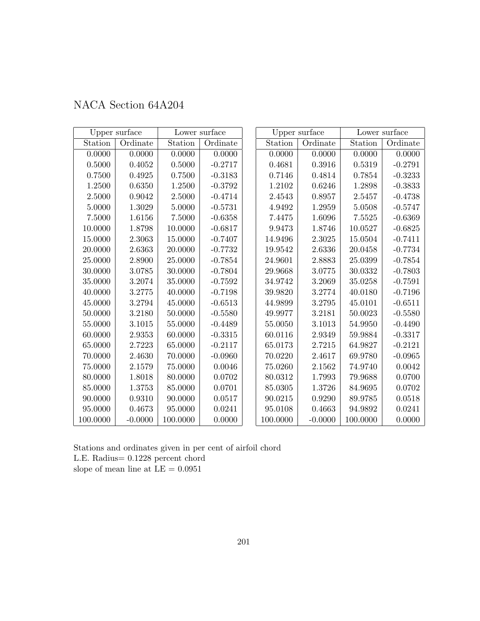| NACA Section 64A204 |  |
|---------------------|--|
|---------------------|--|

|             | Upper surface |          | Lower surface |          | Upper surface |            | Lower surface |
|-------------|---------------|----------|---------------|----------|---------------|------------|---------------|
| Station     | Ordinate      | Station  | Ordinate      | Station  | Ordinate      | Station    | Ordinate      |
| 0.0000      | 0.0000        | 0.0000   | 0.0000        | 0.0000   | 0.0000        | 0.0000     | 0.0000        |
| $0.5000\,$  | 0.4052        | 0.5000   | $-0.2717$     | 0.4681   | 0.3916        | $0.5319\,$ | $-0.2791$     |
| 0.7500      | 0.4925        | 0.7500   | $-0.3183$     | 0.7146   | 0.4814        | 0.7854     | $-0.3233$     |
| 1.2500      | 0.6350        | 1.2500   | $-0.3792$     | 1.2102   | 0.6246        | 1.2898     | $-0.3833$     |
| 2.5000      | 0.9042        | 2.5000   | $-0.4714$     | 2.4543   | 0.8957        | 2.5457     | $-0.4738$     |
| 5.0000      | 1.3029        | 5.0000   | $-0.5731$     | 4.9492   | 1.2959        | $5.0508\,$ | $-0.5747$     |
| 7.5000      | 1.6156        | 7.5000   | $-0.6358$     | 7.4475   | 1.6096        | 7.5525     | $-0.6369$     |
| 10.0000     | 1.8798        | 10.0000  | $-0.6817$     | 9.9473   | 1.8746        | 10.0527    | $-0.6825$     |
| 15.0000     | 2.3063        | 15.0000  | $-0.7407$     | 14.9496  | 2.3025        | 15.0504    | $-0.7411$     |
| 20.0000     | 2.6363        | 20.0000  | $-0.7732$     | 19.9542  | 2.6336        | 20.0458    | $-0.7734$     |
| 25.0000     | 2.8900        | 25.0000  | $-0.7854$     | 24.9601  | 2.8883        | 25.0399    | $-0.7854$     |
| 30.0000     | 3.0785        | 30.0000  | $-0.7804$     | 29.9668  | 3.0775        | 30.0332    | $-0.7803$     |
| 35.0000     | 3.2074        | 35.0000  | $-0.7592$     | 34.9742  | 3.2069        | 35.0258    | $-0.7591$     |
| 40.0000     | 3.2775        | 40.0000  | $-0.7198$     | 39.9820  | 3.2774        | 40.0180    | $-0.7196$     |
| 45.0000     | 3.2794        | 45.0000  | $-0.6513$     | 44.9899  | 3.2795        | 45.0101    | $-0.6511$     |
| 50.0000     | 3.2180        | 50.0000  | $-0.5580$     | 49.9977  | 3.2181        | 50.0023    | $-0.5580$     |
| 55.0000     | 3.1015        | 55.0000  | $-0.4489$     | 55.0050  | 3.1013        | 54.9950    | $-0.4490$     |
| 60.0000     | 2.9353        | 60.0000  | $-0.3315$     | 60.0116  | 2.9349        | 59.9884    | $-0.3317$     |
| 65.0000     | 2.7223        | 65.0000  | $-0.2117$     | 65.0173  | 2.7215        | 64.9827    | $-0.2121$     |
| 70.0000     | 2.4630        | 70.0000  | $-0.0960$     | 70.0220  | 2.4617        | 69.9780    | $-0.0965$     |
| $75.0000\,$ | 2.1579        | 75.0000  | 0.0046        | 75.0260  | 2.1562        | 74.9740    | 0.0042        |
| 80.0000     | 1.8018        | 80.0000  | 0.0702        | 80.0312  | 1.7993        | 79.9688    | 0.0700        |
| 85.0000     | 1.3753        | 85.0000  | 0.0701        | 85.0305  | 1.3726        | 84.9695    | 0.0702        |
| 90.0000     | 0.9310        | 90.0000  | 0.0517        | 90.0215  | 0.9290        | 89.9785    | 0.0518        |
| 95.0000     | 0.4673        | 95.0000  | 0.0241        | 95.0108  | 0.4663        | 94.9892    | 0.0241        |
| 100.0000    | $-0.0000$     | 100.0000 | 0.0000        | 100.0000 | $-0.0000$     | 100.0000   | 0.0000        |

Stations and ordinates given in per cent of airfoil chord L.E. Radius= 0.1228 percent chord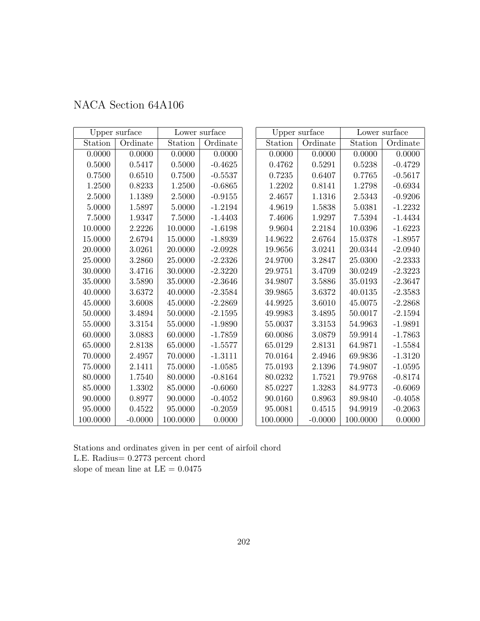| NACA Section 64A106 |  |  |
|---------------------|--|--|
|---------------------|--|--|

|          | Upper surface |          | Lower surface |          | Upper surface |          | Lower surface |
|----------|---------------|----------|---------------|----------|---------------|----------|---------------|
| Station  | Ordinate      | Station  | Ordinate      | Station  | Ordinate      | Station  | Ordinate      |
| 0.0000   | 0.0000        | 0.0000   | 0.0000        | 0.0000   | 0.0000        | 0.0000   | 0.0000        |
| 0.5000   | 0.5417        | 0.5000   | $-0.4625$     | 0.4762   | 0.5291        | 0.5238   | $-0.4729$     |
| 0.7500   | 0.6510        | 0.7500   | $-0.5537$     | 0.7235   | 0.6407        | 0.7765   | $-0.5617$     |
| 1.2500   | 0.8233        | 1.2500   | $-0.6865$     | 1.2202   | 0.8141        | 1.2798   | $-0.6934$     |
| 2.5000   | 1.1389        | 2.5000   | $-0.9155$     | 2.4657   | 1.1316        | 2.5343   | $-0.9206$     |
| 5.0000   | 1.5897        | 5.0000   | $-1.2194$     | 4.9619   | 1.5838        | 5.0381   | $-1.2232$     |
| 7.5000   | 1.9347        | 7.5000   | $-1.4403$     | 7.4606   | 1.9297        | 7.5394   | $-1.4434$     |
| 10.0000  | 2.2226        | 10.0000  | $-1.6198$     | 9.9604   | 2.2184        | 10.0396  | $-1.6223$     |
| 15.0000  | 2.6794        | 15.0000  | $-1.8939$     | 14.9622  | 2.6764        | 15.0378  | $-1.8957$     |
| 20.0000  | 3.0261        | 20.0000  | $-2.0928$     | 19.9656  | 3.0241        | 20.0344  | $-2.0940$     |
| 25.0000  | 3.2860        | 25.0000  | $-2.2326$     | 24.9700  | 3.2847        | 25.0300  | $-2.2333$     |
| 30.0000  | 3.4716        | 30.0000  | $-2.3220$     | 29.9751  | 3.4709        | 30.0249  | $-2.3223$     |
| 35.0000  | 3.5890        | 35.0000  | $-2.3646$     | 34.9807  | 3.5886        | 35.0193  | $-2.3647$     |
| 40.0000  | 3.6372        | 40.0000  | $-2.3584$     | 39.9865  | 3.6372        | 40.0135  | $-2.3583$     |
| 45.0000  | 3.6008        | 45.0000  | $-2.2869$     | 44.9925  | 3.6010        | 45.0075  | $-2.2868$     |
| 50.0000  | 3.4894        | 50.0000  | $-2.1595$     | 49.9983  | 3.4895        | 50.0017  | $-2.1594$     |
| 55.0000  | 3.3154        | 55.0000  | $-1.9890$     | 55.0037  | 3.3153        | 54.9963  | $-1.9891$     |
| 60.0000  | 3.0883        | 60.0000  | $-1.7859$     | 60.0086  | 3.0879        | 59.9914  | $-1.7863$     |
| 65.0000  | 2.8138        | 65.0000  | $-1.5577$     | 65.0129  | 2.8131        | 64.9871  | $-1.5584$     |
| 70.0000  | 2.4957        | 70.0000  | $-1.3111$     | 70.0164  | 2.4946        | 69.9836  | $-1.3120$     |
| 75.0000  | 2.1411        | 75.0000  | $-1.0585$     | 75.0193  | 2.1396        | 74.9807  | $-1.0595$     |
| 80.0000  | 1.7540        | 80.0000  | $-0.8164$     | 80.0232  | 1.7521        | 79.9768  | $-0.8174$     |
| 85.0000  | 1.3302        | 85.0000  | $-0.6060$     | 85.0227  | 1.3283        | 84.9773  | $-0.6069$     |
| 90.0000  | 0.8977        | 90.0000  | $-0.4052$     | 90.0160  | 0.8963        | 89.9840  | $-0.4058$     |
| 95.0000  | 0.4522        | 95.0000  | $-0.2059$     | 95.0081  | 0.4515        | 94.9919  | $-0.2063$     |
| 100.0000 | $-0.0000$     | 100.0000 | 0.0000        | 100.0000 | $-0.0000$     | 100.0000 | 0.0000        |

Stations and ordinates given in per cent of airfoil chord L.E. Radius= 0.2773 percent chord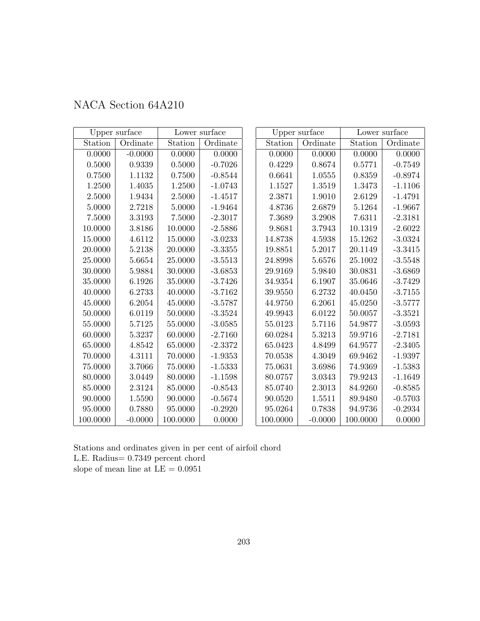| NACA Section 64A210 |  |  |  |
|---------------------|--|--|--|
|---------------------|--|--|--|

|            | Upper surface |          | Lower surface |          | Upper surface |          | Lower surface |
|------------|---------------|----------|---------------|----------|---------------|----------|---------------|
| Station    | Ordinate      | Station  | Ordinate      | Station  | Ordinate      | Station  | Ordinate      |
| 0.0000     | $-0.0000$     | 0.0000   | 0.0000        | 0.0000   | 0.0000        | 0.0000   | 0.0000        |
| $0.5000\,$ | 0.9339        | 0.5000   | $-0.7026$     | 0.4229   | 0.8674        | 0.5771   | $-0.7549$     |
| 0.7500     | 1.1132        | 0.7500   | $-0.8544$     | 0.6641   | 1.0555        | 0.8359   | $-0.8974$     |
| 1.2500     | 1.4035        | 1.2500   | $-1.0743$     | 1.1527   | 1.3519        | 1.3473   | $-1.1106$     |
| 2.5000     | $1.9434\,$    | 2.5000   | $-1.4517$     | 2.3871   | 1.9010        | 2.6129   | $-1.4791$     |
| 5.0000     | 2.7218        | 5.0000   | $-1.9464$     | 4.8736   | 2.6879        | 5.1264   | $-1.9667$     |
| 7.5000     | 3.3193        | 7.5000   | $-2.3017$     | 7.3689   | 3.2908        | 7.6311   | $-2.3181$     |
| 10.0000    | 3.8186        | 10.0000  | $-2.5886$     | 9.8681   | 3.7943        | 10.1319  | $-2.6022$     |
| 15.0000    | 4.6112        | 15.0000  | $-3.0233$     | 14.8738  | 4.5938        | 15.1262  | $-3.0324$     |
| 20.0000    | 5.2138        | 20.0000  | $-3.3355$     | 19.8851  | 5.2017        | 20.1149  | $-3.3415$     |
| 25.0000    | 5.6654        | 25.0000  | $-3.5513$     | 24.8998  | 5.6576        | 25.1002  | $-3.5548$     |
| 30.0000    | 5.9884        | 30.0000  | $-3.6853$     | 29.9169  | 5.9840        | 30.0831  | $-3.6869$     |
| 35.0000    | 6.1926        | 35.0000  | $-3.7426$     | 34.9354  | 6.1907        | 35.0646  | $-3.7429$     |
| 40.0000    | 6.2733        | 40.0000  | $-3.7162$     | 39.9550  | 6.2732        | 40.0450  | $-3.7155$     |
| 45.0000    | 6.2054        | 45.0000  | $-3.5787$     | 44.9750  | 6.2061        | 45.0250  | $-3.5777$     |
| 50.0000    | 6.0119        | 50.0000  | $-3.3524$     | 49.9943  | 6.0122        | 50.0057  | $-3.3521$     |
| 55.0000    | 5.7125        | 55.0000  | $-3.0585$     | 55.0123  | 5.7116        | 54.9877  | $-3.0593$     |
| 60.0000    | 5.3237        | 60.0000  | $-2.7160$     | 60.0284  | 5.3213        | 59.9716  | $-2.7181$     |
| 65.0000    | 4.8542        | 65.0000  | $-2.3372$     | 65.0423  | 4.8499        | 64.9577  | $-2.3405$     |
| 70.0000    | 4.3111        | 70.0000  | $-1.9353$     | 70.0538  | 4.3049        | 69.9462  | $-1.9397$     |
| 75.0000    | 3.7066        | 75.0000  | $-1.5333$     | 75.0631  | 3.6986        | 74.9369  | $-1.5383$     |
| 80.0000    | 3.0449        | 80.0000  | $-1.1598$     | 80.0757  | 3.0343        | 79.9243  | $-1.1649$     |
| 85.0000    | 2.3124        | 85.0000  | $-0.8543$     | 85.0740  | 2.3013        | 84.9260  | $-0.8585$     |
| 90.0000    | 1.5590        | 90.0000  | $-0.5674$     | 90.0520  | 1.5511        | 89.9480  | $-0.5703$     |
| 95.0000    | 0.7880        | 95.0000  | $-0.2920$     | 95.0264  | 0.7838        | 94.9736  | $-0.2934$     |
| 100.0000   | $-0.0000$     | 100.0000 | 0.0000        | 100.0000 | $-0.0000$     | 100.0000 | 0.0000        |

Stations and ordinates given in per cent of airfoil chord L.E. Radius= 0.7349 percent chord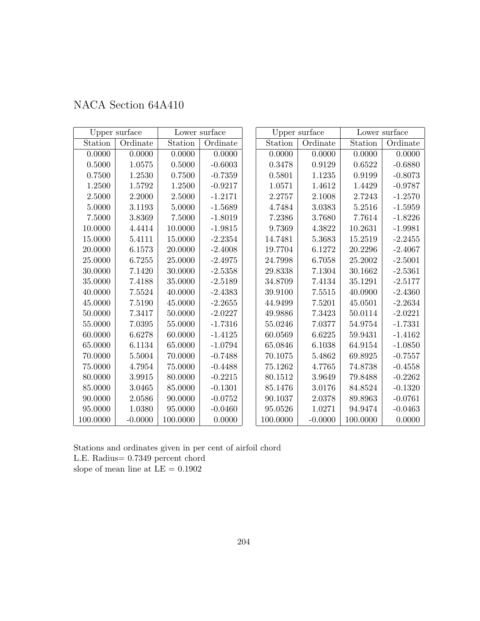|             | Upper surface |          | Lower surface |          | Upper surface |          | Lower surface |
|-------------|---------------|----------|---------------|----------|---------------|----------|---------------|
| Station     | Ordinate      | Station  | Ordinate      | Station  | Ordinate      | Station  | Ordinate      |
| 0.0000      | 0.0000        | 0.0000   | 0.0000        | 0.0000   | 0.0000        | 0.0000   | 0.0000        |
| 0.5000      | 1.0575        | 0.5000   | $-0.6003$     | 0.3478   | 0.9129        | 0.6522   | $-0.6880$     |
| 0.7500      | 1.2530        | 0.7500   | $-0.7359$     | 0.5801   | 1.1235        | 0.9199   | $-0.8073$     |
| 1.2500      | 1.5792        | 1.2500   | $-0.9217$     | 1.0571   | 1.4612        | 1.4429   | $-0.9787$     |
| 2.5000      | 2.2000        | 2.5000   | $-1.2171$     | 2.2757   | 2.1008        | 2.7243   | $-1.2570$     |
| 5.0000      | 3.1193        | 5.0000   | $-1.5689$     | 4.7484   | 3.0383        | 5.2516   | $-1.5959$     |
| 7.5000      | 3.8369        | 7.5000   | $-1.8019$     | 7.2386   | 3.7680        | 7.7614   | $-1.8226$     |
| 10.0000     | 4.4414        | 10.0000  | $-1.9815$     | 9.7369   | 4.3822        | 10.2631  | $-1.9981$     |
| 15.0000     | 5.4111        | 15.0000  | $-2.2354$     | 14.7481  | 5.3683        | 15.2519  | $-2.2455$     |
| 20.0000     | 6.1573        | 20.0000  | $-2.4008$     | 19.7704  | 6.1272        | 20.2296  | $-2.4067$     |
| 25.0000     | 6.7255        | 25.0000  | $-2.4975$     | 24.7998  | 6.7058        | 25.2002  | $-2.5001$     |
| 30.0000     | 7.1420        | 30.0000  | $-2.5358$     | 29.8338  | 7.1304        | 30.1662  | $-2.5361$     |
| 35.0000     | 7.4188        | 35.0000  | $-2.5189$     | 34.8709  | 7.4134        | 35.1291  | $-2.5177$     |
| 40.0000     | 7.5524        | 40.0000  | $-2.4383$     | 39.9100  | 7.5515        | 40.0900  | $-2.4360$     |
| 45.0000     | 7.5190        | 45.0000  | $-2.2655$     | 44.9499  | 7.5201        | 45.0501  | $-2.2634$     |
| 50.0000     | 7.3417        | 50.0000  | $-2.0227$     | 49.9886  | 7.3423        | 50.0114  | $-2.0221$     |
| $55.0000\,$ | 7.0395        | 55.0000  | $-1.7316$     | 55.0246  | 7.0377        | 54.9754  | $-1.7331$     |
| 60.0000     | 6.6278        | 60.0000  | $-1.4125$     | 60.0569  | 6.6225        | 59.9431  | $-1.4162$     |
| 65.0000     | 6.1134        | 65.0000  | $-1.0794$     | 65.0846  | 6.1038        | 64.9154  | $-1.0850$     |
| 70.0000     | 5.5004        | 70.0000  | $-0.7488$     | 70.1075  | 5.4862        | 69.8925  | $-0.7557$     |
| 75.0000     | 4.7954        | 75.0000  | $-0.4488$     | 75.1262  | 4.7765        | 74.8738  | $-0.4558$     |
| 80.0000     | 3.9915        | 80.0000  | $-0.2215$     | 80.1512  | 3.9649        | 79.8488  | $-0.2262$     |
| 85.0000     | 3.0465        | 85.0000  | $-0.1301$     | 85.1476  | 3.0176        | 84.8524  | $-0.1320$     |
| 90.0000     | 2.0586        | 90.0000  | $-0.0752$     | 90.1037  | 2.0378        | 89.8963  | $-0.0761$     |
| 95.0000     | 1.0380        | 95.0000  | $-0.0460$     | 95.0526  | 1.0271        | 94.9474  | $-0.0463$     |
| 100.0000    | $-0.0000$     | 100.0000 | 0.0000        | 100.0000 | $-0.0000$     | 100.0000 | 0.0000        |

## NACA Section 64A410

Stations and ordinates given in per cent of airfoil chord L.E. Radius= 0.7349 percent chord slope of mean line at  $\mathrm{LE}=0.1902$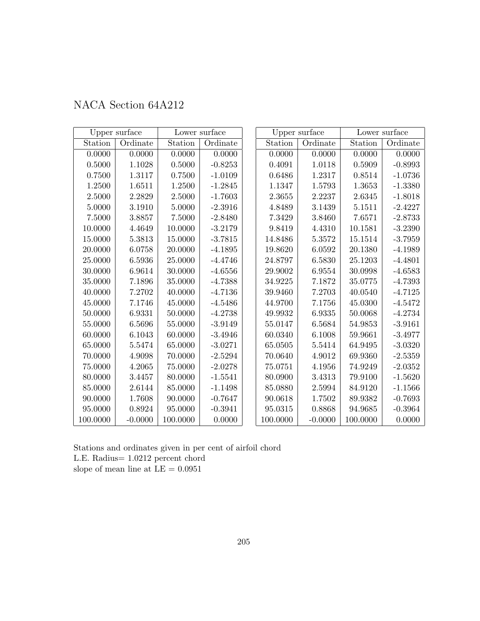|  | NACA Section 64A212 |  |
|--|---------------------|--|
|--|---------------------|--|

|            | Upper surface |          | Lower surface |          | Upper surface |          | Lower surface |
|------------|---------------|----------|---------------|----------|---------------|----------|---------------|
| Station    | Ordinate      | Station  | Ordinate      | Station  | Ordinate      | Station  | Ordinate      |
| 0.0000     | 0.0000        | 0.0000   | 0.0000        | 0.0000   | 0.0000        | 0.0000   | 0.0000        |
| $0.5000\,$ | 1.1028        | 0.5000   | $-0.8253$     | 0.4091   | 1.0118        | 0.5909   | $-0.8993$     |
| 0.7500     | 1.3117        | 0.7500   | $-1.0109$     | 0.6486   | 1.2317        | 0.8514   | $-1.0736$     |
| 1.2500     | 1.6511        | 1.2500   | $-1.2845$     | 1.1347   | 1.5793        | 1.3653   | $-1.3380$     |
| 2.5000     | 2.2829        | 2.5000   | $-1.7603$     | 2.3655   | 2.2237        | 2.6345   | $-1.8018$     |
| 5.0000     | 3.1910        | 5.0000   | $-2.3916$     | 4.8489   | 3.1439        | 5.1511   | $-2.4227$     |
| 7.5000     | 3.8857        | 7.5000   | $-2.8480$     | 7.3429   | 3.8460        | 7.6571   | $-2.8733$     |
| 10.0000    | 4.4649        | 10.0000  | $-3.2179$     | 9.8419   | 4.4310        | 10.1581  | $-3.2390$     |
| 15.0000    | 5.3813        | 15.0000  | $-3.7815$     | 14.8486  | 5.3572        | 15.1514  | $-3.7959$     |
| 20.0000    | 6.0758        | 20.0000  | $-4.1895$     | 19.8620  | 6.0592        | 20.1380  | $-4.1989$     |
| 25.0000    | 6.5936        | 25.0000  | $-4.4746$     | 24.8797  | 6.5830        | 25.1203  | $-4.4801$     |
| 30.0000    | 6.9614        | 30.0000  | $-4.6556$     | 29.9002  | 6.9554        | 30.0998  | $-4.6583$     |
| 35.0000    | 7.1896        | 35.0000  | $-4.7388$     | 34.9225  | 7.1872        | 35.0775  | $-4.7393$     |
| 40.0000    | 7.2702        | 40.0000  | $-4.7136$     | 39.9460  | 7.2703        | 40.0540  | $-4.7125$     |
| 45.0000    | 7.1746        | 45.0000  | $-4.5486$     | 44.9700  | 7.1756        | 45.0300  | $-4.5472$     |
| 50.0000    | 6.9331        | 50.0000  | $-4.2738$     | 49.9932  | 6.9335        | 50.0068  | $-4.2734$     |
| 55.0000    | 6.5696        | 55.0000  | $-3.9149$     | 55.0147  | 6.5684        | 54.9853  | $-3.9161$     |
| 60.0000    | 6.1043        | 60.0000  | $-3.4946$     | 60.0340  | 6.1008        | 59.9661  | $-3.4977$     |
| 65.0000    | 5.5474        | 65.0000  | $-3.0271$     | 65.0505  | 5.5414        | 64.9495  | $-3.0320$     |
| 70.0000    | 4.9098        | 70.0000  | $-2.5294$     | 70.0640  | 4.9012        | 69.9360  | $-2.5359$     |
| 75.0000    | 4.2065        | 75.0000  | $-2.0278$     | 75.0751  | 4.1956        | 74.9249  | $-2.0352$     |
| 80.0000    | 3.4457        | 80.0000  | $-1.5541$     | 80.0900  | 3.4313        | 79.9100  | $-1.5620$     |
| 85.0000    | 2.6144        | 85.0000  | $-1.1498$     | 85.0880  | 2.5994        | 84.9120  | $-1.1566$     |
| 90.0000    | 1.7608        | 90.0000  | $-0.7647$     | 90.0618  | 1.7502        | 89.9382  | $-0.7693$     |
| 95.0000    | 0.8924        | 95.0000  | $-0.3941$     | 95.0315  | 0.8868        | 94.9685  | $-0.3964$     |
| 100.0000   | $-0.0000$     | 100.0000 | 0.0000        | 100.0000 | $-0.0000$     | 100.0000 | 0.0000        |

Stations and ordinates given in per cent of airfoil chord L.E. Radius= 1.0212 percent chord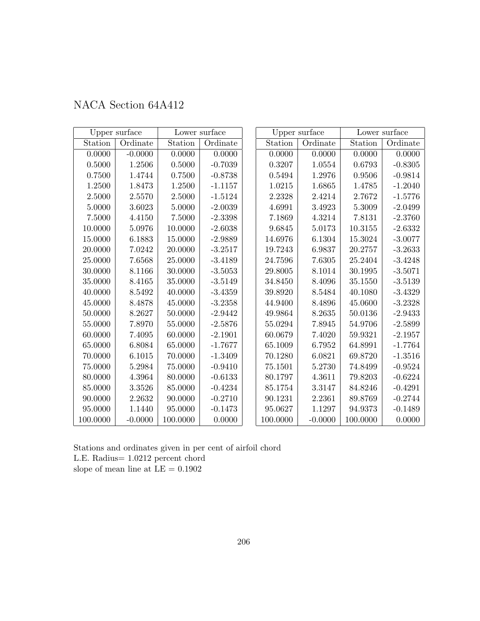| NACA Section 64A412 |  |  |
|---------------------|--|--|
|---------------------|--|--|

|          | Upper surface |            | Lower surface |          | Upper surface |          | Lower surface |
|----------|---------------|------------|---------------|----------|---------------|----------|---------------|
| Station  | Ordinate      | Station    | Ordinate      | Station  | Ordinate      | Station  | Ordinate      |
| 0.0000   | $-0.0000$     | 0.0000     | 0.0000        | 0.0000   | 0.0000        | 0.0000   | 0.0000        |
| 0.5000   | 1.2506        | $0.5000\,$ | $-0.7039$     | 0.3207   | 1.0554        | 0.6793   | $-0.8305$     |
| 0.7500   | 1.4744        | 0.7500     | $-0.8738$     | 0.5494   | 1.2976        | 0.9506   | $-0.9814$     |
| 1.2500   | 1.8473        | 1.2500     | $-1.1157$     | 1.0215   | 1.6865        | 1.4785   | $-1.2040$     |
| 2.5000   | 2.5570        | 2.5000     | $-1.5124$     | 2.2328   | 2.4214        | 2.7672   | $-1.5776$     |
| 5.0000   | 3.6023        | 5.0000     | $-2.0039$     | 4.6991   | 3.4923        | 5.3009   | $-2.0499$     |
| 7.5000   | 4.4150        | 7.5000     | $-2.3398$     | 7.1869   | 4.3214        | 7.8131   | $-2.3760$     |
| 10.0000  | 5.0976        | 10.0000    | $-2.6038$     | 9.6845   | 5.0173        | 10.3155  | $-2.6332$     |
| 15.0000  | 6.1883        | 15.0000    | $-2.9889$     | 14.6976  | 6.1304        | 15.3024  | $-3.0077$     |
| 20.0000  | 7.0242        | 20.0000    | $-3.2517$     | 19.7243  | 6.9837        | 20.2757  | $-3.2633$     |
| 25.0000  | 7.6568        | 25.0000    | $-3.4189$     | 24.7596  | 7.6305        | 25.2404  | $-3.4248$     |
| 30.0000  | 8.1166        | 30.0000    | $-3.5053$     | 29.8005  | 8.1014        | 30.1995  | $-3.5071$     |
| 35.0000  | 8.4165        | 35.0000    | $-3.5149$     | 34.8450  | 8.4096        | 35.1550  | $-3.5139$     |
| 40.0000  | 8.5492        | 40.0000    | $-3.4359$     | 39.8920  | 8.5484        | 40.1080  | $-3.4329$     |
| 45.0000  | 8.4878        | 45.0000    | $-3.2358$     | 44.9400  | 8.4896        | 45.0600  | $-3.2328$     |
| 50.0000  | 8.2627        | 50.0000    | $-2.9442$     | 49.9864  | 8.2635        | 50.0136  | $-2.9433$     |
| 55.0000  | 7.8970        | 55.0000    | $-2.5876$     | 55.0294  | 7.8945        | 54.9706  | $-2.5899$     |
| 60.0000  | 7.4095        | 60.0000    | $-2.1901$     | 60.0679  | 7.4020        | 59.9321  | $-2.1957$     |
| 65.0000  | 6.8084        | 65.0000    | $-1.7677$     | 65.1009  | 6.7952        | 64.8991  | $-1.7764$     |
| 70.0000  | 6.1015        | 70.0000    | $-1.3409$     | 70.1280  | 6.0821        | 69.8720  | $-1.3516$     |
| 75.0000  | 5.2984        | 75.0000    | $-0.9410$     | 75.1501  | 5.2730        | 74.8499  | $-0.9524$     |
| 80.0000  | 4.3964        | 80.0000    | $-0.6133$     | 80.1797  | 4.3611        | 79.8203  | $-0.6224$     |
| 85.0000  | $3.3526\,$    | 85.0000    | $-0.4234$     | 85.1754  | 3.3147        | 84.8246  | $-0.4291$     |
| 90.0000  | $2.2632\,$    | 90.0000    | $-0.2710$     | 90.1231  | 2.2361        | 89.8769  | $-0.2744$     |
| 95.0000  | 1.1440        | 95.0000    | $-0.1473$     | 95.0627  | 1.1297        | 94.9373  | $-0.1489$     |
| 100.0000 | $-0.0000$     | 100.0000   | 0.0000        | 100.0000 | $-0.0000$     | 100.0000 | 0.0000        |

Stations and ordinates given in per cent of airfoil chord L.E. Radius= 1.0212 percent chord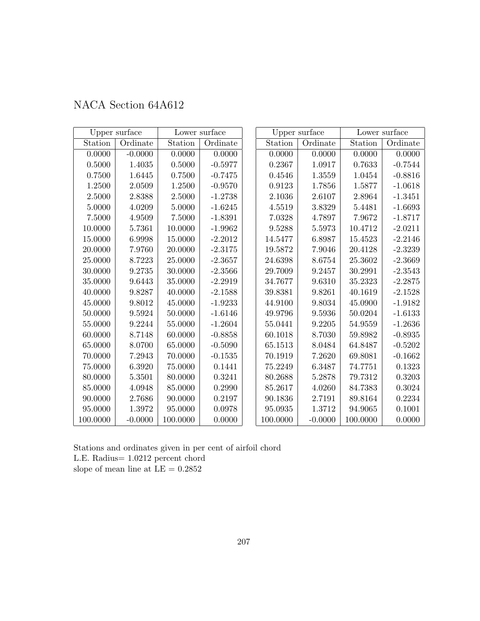|            | Upper surface |          | Lower surface |          | Upper surface |          | Lower surface |
|------------|---------------|----------|---------------|----------|---------------|----------|---------------|
| Station    | Ordinate      | Station  | Ordinate      | Station  | Ordinate      | Station  | Ordinate      |
| 0.0000     | $-0.0000$     | 0.0000   | 0.0000        | 0.0000   | 0.0000        | 0.0000   | 0.0000        |
| $0.5000\,$ | 1.4035        | 0.5000   | $-0.5977$     | 0.2367   | 1.0917        | 0.7633   | $-0.7544$     |
| 0.7500     | 1.6445        | 0.7500   | $-0.7475$     | 0.4546   | 1.3559        | 1.0454   | $-0.8816$     |
| 1.2500     | 2.0509        | 1.2500   | $-0.9570$     | 0.9123   | 1.7856        | 1.5877   | $-1.0618$     |
| 2.5000     | 2.8388        | 2.5000   | $-1.2738$     | 2.1036   | 2.6107        | 2.8964   | $-1.3451$     |
| 5.0000     | 4.0209        | 5.0000   | $-1.6245$     | 4.5519   | 3.8329        | 5.4481   | $-1.6693$     |
| 7.5000     | 4.9509        | 7.5000   | $-1.8391$     | 7.0328   | 4.7897        | 7.9672   | $-1.8717$     |
| 10.0000    | 5.7361        | 10.0000  | $-1.9962$     | 9.5288   | 5.5973        | 10.4712  | $-2.0211$     |
| 15.0000    | 6.9998        | 15.0000  | $-2.2012$     | 14.5477  | 6.8987        | 15.4523  | $-2.2146$     |
| 20.0000    | 7.9760        | 20.0000  | $-2.3175$     | 19.5872  | 7.9046        | 20.4128  | $-2.3239$     |
| 25.0000    | 8.7223        | 25.0000  | $-2.3657$     | 24.6398  | 8.6754        | 25.3602  | $-2.3669$     |
| 30.0000    | 9.2735        | 30.0000  | $-2.3566$     | 29.7009  | 9.2457        | 30.2991  | $-2.3543$     |
| 35.0000    | 9.6443        | 35.0000  | $-2.2919$     | 34.7677  | 9.6310        | 35.2323  | $-2.2875$     |
| 40.0000    | 9.8287        | 40.0000  | $-2.1588$     | 39.8381  | 9.8261        | 40.1619  | $-2.1528$     |
| 45.0000    | $9.8012\,$    | 45.0000  | $-1.9233$     | 44.9100  | 9.8034        | 45.0900  | $-1.9182$     |
| 50.0000    | 9.5924        | 50.0000  | $-1.6146$     | 49.9796  | 9.5936        | 50.0204  | $-1.6133$     |
| 55.0000    | 9.2244        | 55.0000  | $-1.2604$     | 55.0441  | 9.2205        | 54.9559  | $-1.2636$     |
| 60.0000    | 8.7148        | 60.0000  | $-0.8858$     | 60.1018  | 8.7030        | 59.8982  | $-0.8935$     |
| 65.0000    | 8.0700        | 65.0000  | $-0.5090$     | 65.1513  | 8.0484        | 64.8487  | $-0.5202$     |
| 70.0000    | 7.2943        | 70.0000  | $-0.1535$     | 70.1919  | 7.2620        | 69.8081  | $-0.1662$     |
| 75.0000    | 6.3920        | 75.0000  | 0.1441        | 75.2249  | 6.3487        | 74.7751  | 0.1323        |
| 80.0000    | 5.3501        | 80.0000  | 0.3241        | 80.2688  | 5.2878        | 79.7312  | 0.3203        |
| 85.0000    | 4.0948        | 85.0000  | 0.2990        | 85.2617  | 4.0260        | 84.7383  | 0.3024        |
| 90.0000    | 2.7686        | 90.0000  | 0.2197        | 90.1836  | 2.7191        | 89.8164  | 0.2234        |
| 95.0000    | 1.3972        | 95.0000  | 0.0978        | 95.0935  | 1.3712        | 94.9065  | 0.1001        |
| 100.0000   | $-0.0000$     | 100.0000 | 0.0000        | 100.0000 | $-0.0000$     | 100.0000 | 0.0000        |

Stations and ordinates given in per cent of airfoil chord L.E. Radius= 1.0212 percent chord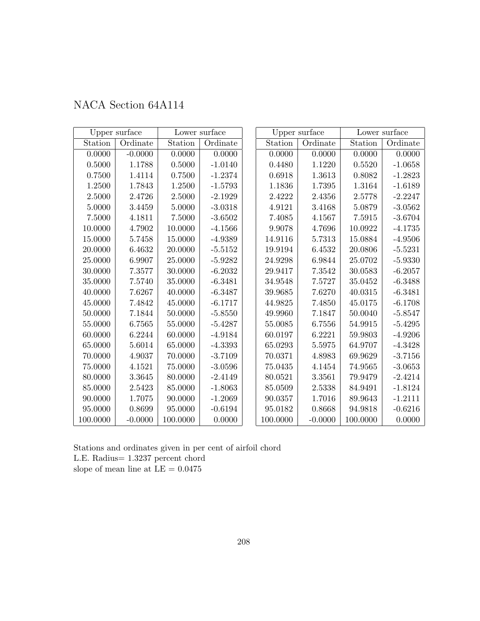| NACA Section 64A114 |  |  |
|---------------------|--|--|
|---------------------|--|--|

|             | Upper surface |             | Lower surface |          | Upper surface |          | Lower surface |
|-------------|---------------|-------------|---------------|----------|---------------|----------|---------------|
| Station     | Ordinate      | Station     | Ordinate      | Station  | Ordinate      | Station  | Ordinate      |
| 0.0000      | $-0.0000$     | 0.0000      | 0.0000        | 0.0000   | 0.0000        | 0.0000   | 0.0000        |
| $0.5000\,$  | 1.1788        | $0.5000\,$  | $-1.0140$     | 0.4480   | 1.1220        | 0.5520   | $-1.0658$     |
| 0.7500      | 1.4114        | 0.7500      | $-1.2374$     | 0.6918   | 1.3613        | 0.8082   | $-1.2823$     |
| 1.2500      | 1.7843        | 1.2500      | $-1.5793$     | 1.1836   | 1.7395        | 1.3164   | $-1.6189$     |
| 2.5000      | 2.4726        | 2.5000      | $-2.1929$     | 2.4222   | 2.4356        | 2.5778   | $-2.2247$     |
| 5.0000      | 3.4459        | 5.0000      | $-3.0318$     | 4.9121   | 3.4168        | 5.0879   | $-3.0562$     |
| 7.5000      | 4.1811        | $7.5000\,$  | $-3.6502$     | 7.4085   | 4.1567        | 7.5915   | $-3.6704$     |
| 10.0000     | 4.7902        | 10.0000     | $-4.1566$     | 9.9078   | 4.7696        | 10.0922  | $-4.1735$     |
| 15.0000     | 5.7458        | 15.0000     | $-4.9389$     | 14.9116  | 5.7313        | 15.0884  | $-4.9506$     |
| $20.0000\,$ | 6.4632        | 20.0000     | $-5.5152$     | 19.9194  | 6.4532        | 20.0806  | $-5.5231$     |
| 25.0000     | 6.9907        | 25.0000     | $-5.9282$     | 24.9298  | 6.9844        | 25.0702  | $-5.9330$     |
| 30.0000     | 7.3577        | 30.0000     | $-6.2032$     | 29.9417  | 7.3542        | 30.0583  | $-6.2057$     |
| 35.0000     | 7.5740        | 35.0000     | $-6.3481$     | 34.9548  | 7.5727        | 35.0452  | $-6.3488$     |
| 40.0000     | 7.6267        | 40.0000     | $-6.3487$     | 39.9685  | 7.6270        | 40.0315  | $-6.3481$     |
| $45.0000\,$ | 7.4842        | 45.0000     | $-6.1717$     | 44.9825  | 7.4850        | 45.0175  | $-6.1708$     |
| 50.0000     | 7.1844        | 50.0000     | $-5.8550$     | 49.9960  | 7.1847        | 50.0040  | $-5.8547$     |
| 55.0000     | 6.7565        | 55.0000     | $-5.4287$     | 55.0085  | 6.7556        | 54.9915  | $-5.4295$     |
| 60.0000     | 6.2244        | 60.0000     | $-4.9184$     | 60.0197  | 6.2221        | 59.9803  | $-4.9206$     |
| 65.0000     | 5.6014        | 65.0000     | $-4.3393$     | 65.0293  | 5.5975        | 64.9707  | $-4.3428$     |
| 70.0000     | 4.9037        | 70.0000     | $-3.7109$     | 70.0371  | 4.8983        | 69.9629  | $-3.7156$     |
| 75.0000     | 4.1521        | $75.0000\,$ | $-3.0596$     | 75.0435  | 4.1454        | 74.9565  | $-3.0653$     |
| 80.0000     | 3.3645        | 80.0000     | $-2.4149$     | 80.0521  | 3.3561        | 79.9479  | $-2.4214$     |
| 85.0000     | 2.5423        | 85.0000     | $-1.8063$     | 85.0509  | 2.5338        | 84.9491  | $-1.8124$     |
| 90.0000     | 1.7075        | 90.0000     | $-1.2069$     | 90.0357  | 1.7016        | 89.9643  | $-1.2111$     |
| 95.0000     | 0.8699        | 95.0000     | $-0.6194$     | 95.0182  | 0.8668        | 94.9818  | $-0.6216$     |
| 100.0000    | $-0.0000$     | 100.0000    | 0.0000        | 100.0000 | $-0.0000$     | 100.0000 | 0.0000        |

Stations and ordinates given in per cent of airfoil chord L.E. Radius= 1.3237 percent chord slope of mean line at  $\mathrm{LE}=0.0475$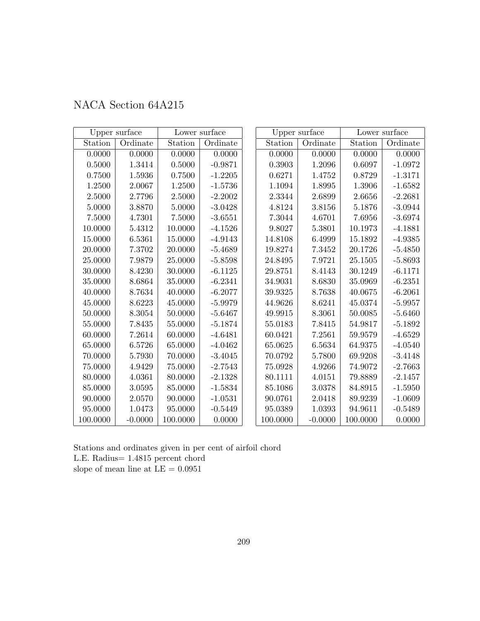| NACA Section 64A215 |  |
|---------------------|--|
|---------------------|--|

|             | Upper surface |          | Lower surface |          | Upper surface |             | Lower surface |
|-------------|---------------|----------|---------------|----------|---------------|-------------|---------------|
| Station     | Ordinate      | Station  | Ordinate      | Station  | Ordinate      | Station     | Ordinate      |
| 0.0000      | 0.0000        | 0.0000   | 0.0000        | 0.0000   | 0.0000        | 0.0000      | 0.0000        |
| $0.5000\,$  | 1.3414        | 0.5000   | $-0.9871$     | 0.3903   | 1.2096        | 0.6097      | $-1.0972$     |
| 0.7500      | 1.5936        | 0.7500   | $-1.2205$     | 0.6271   | 1.4752        | 0.8729      | $-1.3171$     |
| 1.2500      | 2.0067        | 1.2500   | $-1.5736$     | 1.1094   | 1.8995        | 1.3906      | $-1.6582$     |
| 2.5000      | 2.7796        | 2.5000   | $-2.2002$     | 2.3344   | 2.6899        | 2.6656      | $-2.2681$     |
| 5.0000      | 3.8870        | 5.0000   | $-3.0428$     | 4.8124   | 3.8156        | 5.1876      | $-3.0944$     |
| 7.5000      | 4.7301        | 7.5000   | $-3.6551$     | 7.3044   | 4.6701        | 7.6956      | $-3.6974$     |
| 10.0000     | 5.4312        | 10.0000  | $-4.1526$     | 9.8027   | 5.3801        | 10.1973     | $-4.1881$     |
| 15.0000     | 6.5361        | 15.0000  | $-4.9143$     | 14.8108  | 6.4999        | 15.1892     | $-4.9385$     |
| $20.0000\,$ | 7.3702        | 20.0000  | $-5.4689$     | 19.8274  | 7.3452        | 20.1726     | $-5.4850$     |
| 25.0000     | 7.9879        | 25.0000  | $-5.8598$     | 24.8495  | 7.9721        | 25.1505     | $-5.8693$     |
| 30.0000     | 8.4230        | 30.0000  | $-6.1125$     | 29.8751  | 8.4143        | 30.1249     | $-6.1171$     |
| 35.0000     | 8.6864        | 35.0000  | $-6.2341$     | 34.9031  | 8.6830        | 35.0969     | $-6.2351$     |
| 40.0000     | 8.7634        | 40.0000  | $-6.2077$     | 39.9325  | 8.7638        | 40.0675     | $-6.2061$     |
| 45.0000     | 8.6223        | 45.0000  | $-5.9979$     | 44.9626  | 8.6241        | 45.0374     | $-5.9957$     |
| 50.0000     | 8.3054        | 50.0000  | $-5.6467$     | 49.9915  | 8.3061        | $50.0085\,$ | $-5.6460$     |
| 55.0000     | 7.8435        | 55.0000  | $-5.1874$     | 55.0183  | 7.8415        | 54.9817     | $-5.1892$     |
| 60.0000     | 7.2614        | 60.0000  | $-4.6481$     | 60.0421  | 7.2561        | 59.9579     | $-4.6529$     |
| 65.0000     | 6.5726        | 65.0000  | $-4.0462$     | 65.0625  | 6.5634        | 64.9375     | $-4.0540$     |
| 70.0000     | 5.7930        | 70.0000  | $-3.4045$     | 70.0792  | 5.7800        | 69.9208     | $-3.4148$     |
| $75.0000\,$ | 4.9429        | 75.0000  | $-2.7543$     | 75.0928  | 4.9266        | 74.9072     | $-2.7663$     |
| 80.0000     | 4.0361        | 80.0000  | $-2.1328$     | 80.1111  | 4.0151        | 79.8889     | $-2.1457$     |
| 85.0000     | 3.0595        | 85.0000  | $-1.5834$     | 85.1086  | 3.0378        | 84.8915     | $-1.5950$     |
| 90.0000     | 2.0570        | 90.0000  | $-1.0531$     | 90.0761  | 2.0418        | 89.9239     | $-1.0609$     |
| 95.0000     | 1.0473        | 95.0000  | $-0.5449$     | 95.0389  | 1.0393        | 94.9611     | $-0.5489$     |
| 100.0000    | $-0.0000$     | 100.0000 | 0.0000        | 100.0000 | $-0.0000$     | 100.0000    | 0.0000        |

Stations and ordinates given in per cent of airfoil chord L.E. Radius= 1.4815 percent chord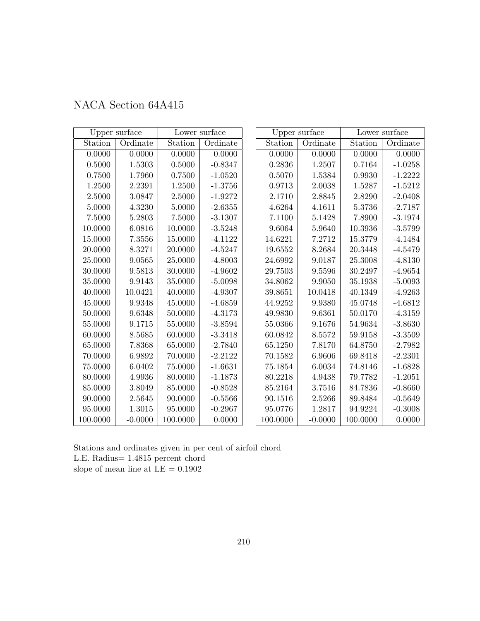| NACA Section 64A415 |  |  |
|---------------------|--|--|
|---------------------|--|--|

|            | Upper surface |             | Lower surface |          | Upper surface |          | Lower surface |
|------------|---------------|-------------|---------------|----------|---------------|----------|---------------|
| Station    | Ordinate      | Station     | Ordinate      | Station  | Ordinate      | Station  | Ordinate      |
| 0.0000     | 0.0000        | 0.0000      | 0.0000        | 0.0000   | 0.0000        | 0.0000   | 0.0000        |
| $0.5000\,$ | 1.5303        | 0.5000      | $-0.8347$     | 0.2836   | 1.2507        | 0.7164   | $-1.0258$     |
| 0.7500     | 1.7960        | 0.7500      | $-1.0520$     | 0.5070   | 1.5384        | 0.9930   | $-1.2222$     |
| 1.2500     | 2.2391        | 1.2500      | $-1.3756$     | 0.9713   | 2.0038        | 1.5287   | $-1.5212$     |
| 2.5000     | 3.0847        | 2.5000      | $-1.9272$     | 2.1710   | 2.8845        | 2.8290   | $-2.0408$     |
| 5.0000     | 4.3230        | 5.0000      | $-2.6355$     | 4.6264   | 4.1611        | 5.3736   | $-2.7187$     |
| 7.5000     | 5.2803        | $7.5000\,$  | $-3.1307$     | 7.1100   | 5.1428        | 7.8900   | $-3.1974$     |
| 10.0000    | 6.0816        | 10.0000     | $-3.5248$     | 9.6064   | 5.9640        | 10.3936  | $-3.5799$     |
| 15.0000    | $7.3556\,$    | 15.0000     | $-4.1122$     | 14.6221  | 7.2712        | 15.3779  | $-4.1484$     |
| 20.0000    | 8.3271        | 20.0000     | $-4.5247$     | 19.6552  | 8.2684        | 20.3448  | $-4.5479$     |
| 25.0000    | 9.0565        | 25.0000     | $-4.8003$     | 24.6992  | 9.0187        | 25.3008  | $-4.8130$     |
| 30.0000    | 9.5813        | 30.0000     | $-4.9602$     | 29.7503  | 9.5596        | 30.2497  | $-4.9654$     |
| 35.0000    | 9.9143        | 35.0000     | $-5.0098$     | 34.8062  | 9.9050        | 35.1938  | $-5.0093$     |
| 40.0000    | 10.0421       | 40.0000     | $-4.9307$     | 39.8651  | 10.0418       | 40.1349  | $-4.9263$     |
| 45.0000    | 9.9348        | 45.0000     | $-4.6859$     | 44.9252  | 9.9380        | 45.0748  | $-4.6812$     |
| 50.0000    | 9.6348        | 50.0000     | $-4.3173$     | 49.9830  | 9.6361        | 50.0170  | $-4.3159$     |
| 55.0000    | 9.1715        | 55.0000     | $-3.8594$     | 55.0366  | 9.1676        | 54.9634  | $-3.8630$     |
| 60.0000    | 8.5685        | 60.0000     | $-3.3418$     | 60.0842  | 8.5572        | 59.9158  | $-3.3509$     |
| 65.0000    | 7.8368        | 65.0000     | $-2.7840$     | 65.1250  | 7.8170        | 64.8750  | $-2.7982$     |
| 70.0000    | 6.9892        | 70.0000     | $-2.2122$     | 70.1582  | 6.9606        | 69.8418  | $-2.2301$     |
| 75.0000    | 6.0402        | $75.0000\,$ | $-1.6631$     | 75.1854  | 6.0034        | 74.8146  | $-1.6828$     |
| 80.0000    | 4.9936        | 80.0000     | $-1.1873$     | 80.2218  | 4.9438        | 79.7782  | $-1.2051$     |
| 85.0000    | 3.8049        | 85.0000     | $-0.8528$     | 85.2164  | 3.7516        | 84.7836  | $-0.8660$     |
| 90.0000    | $2.5645\,$    | 90.0000     | $-0.5566$     | 90.1516  | 2.5266        | 89.8484  | $-0.5649$     |
| 95.0000    | 1.3015        | 95.0000     | $-0.2967$     | 95.0776  | 1.2817        | 94.9224  | $-0.3008$     |
| 100.0000   | $-0.0000$     | 100.0000    | 0.0000        | 100.0000 | $-0.0000$     | 100.0000 | 0.0000        |

Stations and ordinates given in per cent of airfoil chord L.E. Radius= 1.4815 percent chord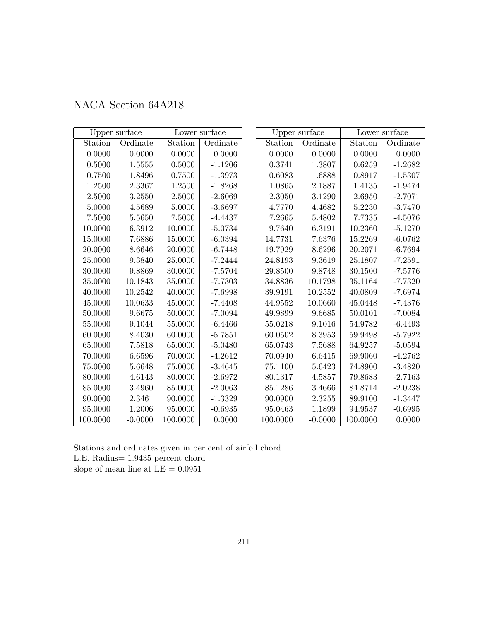| NACA Section 64A218 |  |  |
|---------------------|--|--|
|---------------------|--|--|

|          | Upper surface |          | Lower surface |          | Upper surface |          | Lower surface |
|----------|---------------|----------|---------------|----------|---------------|----------|---------------|
| Station  | Ordinate      | Station  | Ordinate      | Station  | Ordinate      | Station  | Ordinate      |
| 0.0000   | 0.0000        | 0.0000   | 0.0000        | 0.0000   | 0.0000        | 0.0000   | 0.0000        |
| 0.5000   | 1.5555        | 0.5000   | $-1.1206$     | 0.3741   | 1.3807        | 0.6259   | $-1.2682$     |
| 0.7500   | 1.8496        | 0.7500   | $-1.3973$     | 0.6083   | 1.6888        | 0.8917   | $-1.5307$     |
| 1.2500   | 2.3367        | 1.2500   | $-1.8268$     | 1.0865   | 2.1887        | 1.4135   | $-1.9474$     |
| 2.5000   | 3.2550        | 2.5000   | $-2.6069$     | 2.3050   | 3.1290        | 2.6950   | $-2.7071$     |
| 5.0000   | 4.5689        | 5.0000   | $-3.6697$     | 4.7770   | 4.4682        | 5.2230   | $-3.7470$     |
| 7.5000   | 5.5650        | 7.5000   | $-4.4437$     | 7.2665   | 5.4802        | 7.7335   | $-4.5076$     |
| 10.0000  | 6.3912        | 10.0000  | $-5.0734$     | 9.7640   | 6.3191        | 10.2360  | $-5.1270$     |
| 15.0000  | 7.6886        | 15.0000  | $-6.0394$     | 14.7731  | 7.6376        | 15.2269  | $-6.0762$     |
| 20.0000  | 8.6646        | 20.0000  | $-6.7448$     | 19.7929  | 8.6296        | 20.2071  | $-6.7694$     |
| 25.0000  | 9.3840        | 25.0000  | $-7.2444$     | 24.8193  | 9.3619        | 25.1807  | $-7.2591$     |
| 30.0000  | 9.8869        | 30.0000  | $-7.5704$     | 29.8500  | 9.8748        | 30.1500  | $-7.5776$     |
| 35.0000  | 10.1843       | 35.0000  | $-7.7303$     | 34.8836  | 10.1798       | 35.1164  | $-7.7320$     |
| 40.0000  | 10.2542       | 40.0000  | $-7.6998$     | 39.9191  | 10.2552       | 40.0809  | $-7.6974$     |
| 45.0000  | 10.0633       | 45.0000  | $-7.4408$     | 44.9552  | 10.0660       | 45.0448  | $-7.4376$     |
| 50.0000  | 9.6675        | 50.0000  | $-7.0094$     | 49.9899  | 9.6685        | 50.0101  | $-7.0084$     |
| 55.0000  | 9.1044        | 55.0000  | $-6.4466$     | 55.0218  | 9.1016        | 54.9782  | $-6.4493$     |
| 60.0000  | 8.4030        | 60.0000  | $-5.7851$     | 60.0502  | 8.3953        | 59.9498  | $-5.7922$     |
| 65.0000  | 7.5818        | 65.0000  | $-5.0480$     | 65.0743  | 7.5688        | 64.9257  | $-5.0594$     |
| 70.0000  | $6.6596\,$    | 70.0000  | $-4.2612$     | 70.0940  | 6.6415        | 69.9060  | $-4.2762$     |
| 75.0000  | 5.6648        | 75.0000  | $-3.4645$     | 75.1100  | 5.6423        | 74.8900  | $-3.4820$     |
| 80.0000  | 4.6143        | 80.0000  | $-2.6972$     | 80.1317  | 4.5857        | 79.8683  | $-2.7163$     |
| 85.0000  | 3.4960        | 85.0000  | $-2.0063$     | 85.1286  | 3.4666        | 84.8714  | $-2.0238$     |
| 90.0000  | $2.3461\,$    | 90.0000  | $-1.3329$     | 90.0900  | 2.3255        | 89.9100  | $-1.3447$     |
| 95.0000  | 1.2006        | 95.0000  | $-0.6935$     | 95.0463  | 1.1899        | 94.9537  | $-0.6995$     |
| 100.0000 | $-0.0000$     | 100.0000 | 0.0000        | 100.0000 | $-0.0000$     | 100.0000 | 0.0000        |

Stations and ordinates given in per cent of airfoil chord L.E. Radius= 1.9435 percent chord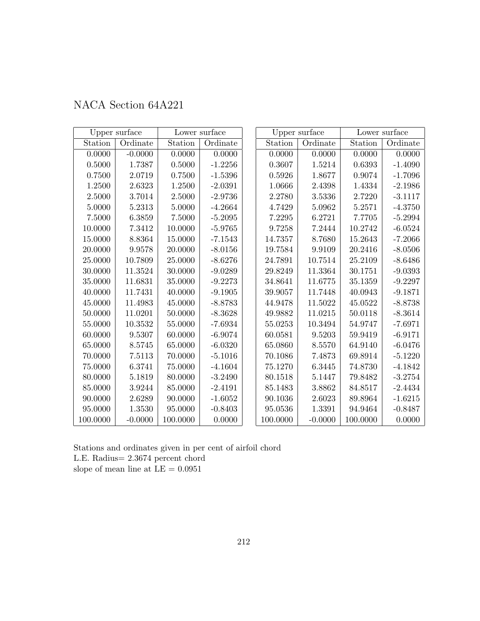| NACA Section 64A221 |  |  |
|---------------------|--|--|
|---------------------|--|--|

|            | Upper surface |          | Lower surface |               | Upper surface         |             | Lower surface |
|------------|---------------|----------|---------------|---------------|-----------------------|-------------|---------------|
| Station    | Ordinate      | Station  | Ordinate      | Station       | Ordinate              | Station     | Ordinate      |
| 0.0000     | $-0.0000$     | 0.0000   | 0.0000        | 0.0000        | 0.0000                | 0.0000      | 0.0000        |
| 0.5000     | 1.7387        | 0.5000   | $-1.2256$     | 0.3607        | 1.5214                | 0.6393      | $-1.4090$     |
| 0.7500     | 2.0719        | 0.7500   | $-1.5396$     | 0.5926        | 1.8677                | 0.9074      | $-1.7096$     |
| 1.2500     | 2.6323        | 1.2500   | $-2.0391$     | 1.0666        | 2.4398                | 1.4334      | $-2.1986$     |
| 2.5000     | 3.7014        | 2.5000   | $-2.9736$     | 2.2780        | 3.5336                | 2.7220      | $-3.1117$     |
| 5.0000     | 5.2313        | 5.0000   | $-4.2664$     | 4.7429        | 5.0962                | 5.2571      | $-4.3750$     |
| $7.5000\,$ | 6.3859        | 7.5000   | $-5.2095$     | 7.2295        | 6.2721                | 7.7705      | $-5.2994$     |
| 10.0000    | 7.3412        | 10.0000  | $-5.9765$     | 9.7258        | 7.2444                | 10.2742     | $-6.0524$     |
| 15.0000    | 8.8364        | 15.0000  | $-7.1543$     | 14.7357       | 8.7680                | 15.2643     | $-7.2066$     |
| 20.0000    | 9.9578        | 20.0000  | $-8.0156$     | 19.7584       | $\boldsymbol{9.9109}$ | 20.2416     | $-8.0506$     |
| 25.0000    | 10.7809       | 25.0000  | $-8.6276$     | 24.7891       | 10.7514               | 25.2109     | $-8.6486$     |
| 30.0000    | 11.3524       | 30.0000  | $-9.0289$     | 29.8249       | 11.3364               | 30.1751     | $-9.0393$     |
| 35.0000    | 11.6831       | 35.0000  | $-9.2273$     | 34.8641       | 11.6775               | 35.1359     | $-9.2297$     |
| 40.0000    | 11.7431       | 40.0000  | $-9.1905$     | 39.9057       | 11.7448               | 40.0943     | $-9.1871$     |
| 45.0000    | 11.4983       | 45.0000  | $-8.8783$     | 44.9478       | 11.5022               | 45.0522     | $-8.8738$     |
| 50.0000    | 11.0201       | 50.0000  | $-8.3628$     | 49.9882       | 11.0215               | 50.0118     | $-8.3614$     |
| 55.0000    | 10.3532       | 55.0000  | $-7.6934$     | 55.0253       | 10.3494               | 54.9747     | $-7.6971$     |
| 60.0000    | 9.5307        | 60.0000  | $-6.9074$     | 60.0581       | 9.5203                | 59.9419     | $-6.9171$     |
| 65.0000    | 8.5745        | 65.0000  | $-6.0320$     | 65.0860       | 8.5570                | 64.9140     | $-6.0476$     |
| 70.0000    | 7.5113        | 70.0000  | $-5.1016$     | 70.1086       | 7.4873                | 69.8914     | $-5.1220$     |
| 75.0000    | 6.3741        | 75.0000  | $-4.1604$     | 75.1270       | $6.3445\,$            | $74.8730\,$ | $-4.1842$     |
| 80.0000    | 5.1819        | 80.0000  | $-3.2490$     | 80.1518       | 5.1447                | 79.8482     | $-3.2754$     |
| 85.0000    | 3.9244        | 85.0000  | $-2.4191$     | 85.1483       | 3.8862                | 84.8517     | $-2.4434$     |
| 90.0000    | 2.6289        | 90.0000  | $-1.6052$     | 90.1036       | 2.6023                | 89.8964     | $-1.6215$     |
| 95.0000    | 1.3530        | 95.0000  | $-0.8403$     | $\;\:95.0536$ | 1.3391                | 94.9464     | $-0.8487$     |
| 100.0000   | $-0.0000$     | 100.0000 | 0.0000        | 100.0000      | $-0.0000$             | 100.0000    | 0.0000        |

Stations and ordinates given in per cent of airfoil chord L.E. Radius= 2.3674 percent chord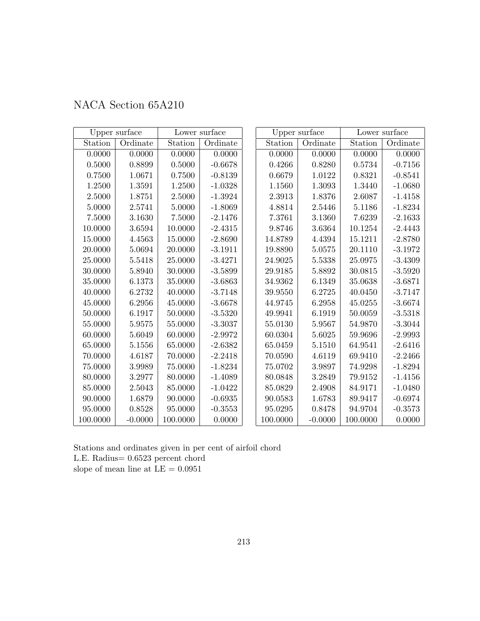| NACA Section 65A210 |  |
|---------------------|--|
|---------------------|--|

|          | Upper surface |          | Lower surface |               | Upper surface |          | Lower surface |
|----------|---------------|----------|---------------|---------------|---------------|----------|---------------|
| Station  | Ordinate      | Station  | Ordinate      | Station       | Ordinate      | Station  | Ordinate      |
| 0.0000   | 0.0000        | 0.0000   | 0.0000        | 0.0000        | 0.0000        | 0.0000   | 0.0000        |
| 0.5000   | 0.8899        | 0.5000   | $-0.6678$     | 0.4266        | 0.8280        | 0.5734   | $-0.7156$     |
| 0.7500   | 1.0671        | 0.7500   | $-0.8139$     | 0.6679        | 1.0122        | 0.8321   | $-0.8541$     |
| 1.2500   | 1.3591        | 1.2500   | $-1.0328$     | 1.1560        | 1.3093        | 1.3440   | $-1.0680$     |
| 2.5000   | 1.8751        | 2.5000   | $-1.3924$     | 2.3913        | 1.8376        | 2.6087   | $-1.4158$     |
| 5.0000   | 2.5741        | 5.0000   | $-1.8069$     | 4.8814        | 2.5446        | 5.1186   | $-1.8234$     |
| 7.5000   | 3.1630        | 7.5000   | $-2.1476$     | 7.3761        | 3.1360        | 7.6239   | $-2.1633$     |
| 10.0000  | 3.6594        | 10.0000  | $-2.4315$     | 9.8746        | 3.6364        | 10.1254  | $-2.4443$     |
| 15.0000  | 4.4563        | 15.0000  | $-2.8690$     | 14.8789       | 4.4394        | 15.1211  | $-2.8780$     |
| 20.0000  | 5.0694        | 20.0000  | $-3.1911$     | 19.8890       | 5.0575        | 20.1110  | $-3.1972$     |
| 25.0000  | 5.5418        | 25.0000  | $-3.4271$     | 24.9025       | 5.5338        | 25.0975  | $-3.4309$     |
| 30.0000  | 5.8940        | 30.0000  | $-3.5899$     | 29.9185       | 5.8892        | 30.0815  | $-3.5920$     |
| 35.0000  | 6.1373        | 35.0000  | $-3.6863$     | 34.9362       | 6.1349        | 35.0638  | $-3.6871$     |
| 40.0000  | 6.2732        | 40.0000  | $-3.7148$     | 39.9550       | 6.2725        | 40.0450  | $-3.7147$     |
| 45.0000  | 6.2956        | 45.0000  | $-3.6678$     | 44.9745       | 6.2958        | 45.0255  | $-3.6674$     |
| 50.0000  | 6.1917        | 50.0000  | $-3.5320$     | 49.9941       | 6.1919        | 50.0059  | $-3.5318$     |
| 55.0000  | 5.9575        | 55.0000  | $-3.3037$     | 55.0130       | 5.9567        | 54.9870  | $-3.3044$     |
| 60.0000  | 5.6049        | 60.0000  | $-2.9972$     | 60.0304       | 5.6025        | 59.9696  | $-2.9993$     |
| 65.0000  | 5.1556        | 65.0000  | $-2.6382$     | 65.0459       | 5.1510        | 64.9541  | $-2.6416$     |
| 70.0000  | 4.6187        | 70.0000  | $-2.2418$     | 70.0590       | 4.6119        | 69.9410  | $-2.2466$     |
| 75.0000  | 3.9989        | 75.0000  | $-1.8234$     | 75.0702       | 3.9897        | 74.9298  | $-1.8294$     |
| 80.0000  | 3.2977        | 80.0000  | $-1.4089$     | 80.0848       | 3.2849        | 79.9152  | $-1.4156$     |
| 85.0000  | 2.5043        | 85.0000  | $-1.0422$     | 85.0829       | 2.4908        | 84.9171  | $-1.0480$     |
| 90.0000  | 1.6879        | 90.0000  | $-0.6935$     | 90.0583       | 1.6783        | 89.9417  | $-0.6974$     |
| 95.0000  | 0.8528        | 95.0000  | $-0.3553$     | $\;\:95.0295$ | 0.8478        | 94.9704  | $-0.3573$     |
| 100.0000 | $-0.0000$     | 100.0000 | 0.0000        | 100.0000      | $-0.0000$     | 100.0000 | 0.0000        |

Stations and ordinates given in per cent of airfoil chord L.E. Radius= 0.6523 percent chord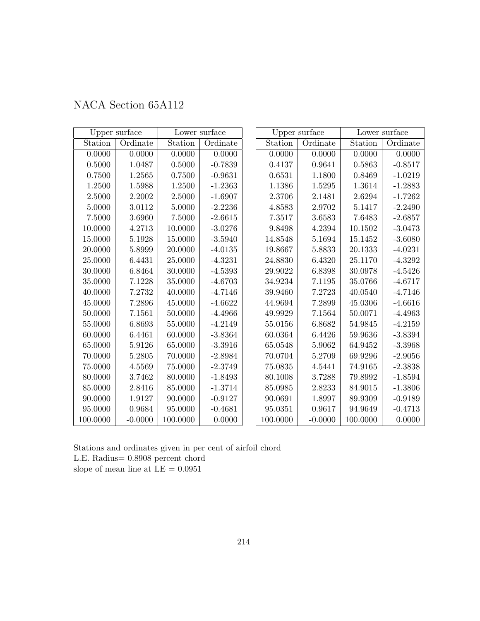| NACA Section 65A112 |  |  |
|---------------------|--|--|
|---------------------|--|--|

|          | Upper surface<br>Lower surface |          |           | Upper surface | Lower surface |          |           |
|----------|--------------------------------|----------|-----------|---------------|---------------|----------|-----------|
| Station  | Ordinate                       | Station  | Ordinate  | Station       | Ordinate      | Station  | Ordinate  |
| 0.0000   | 0.0000                         | 0.0000   | 0.0000    | 0.0000        | 0.0000        | 0.0000   | 0.0000    |
| 0.5000   | 1.0487                         | 0.5000   | $-0.7839$ | 0.4137        | 0.9641        | 0.5863   | $-0.8517$ |
| 0.7500   | 1.2565                         | 0.7500   | $-0.9631$ | 0.6531        | 1.1800        | 0.8469   | $-1.0219$ |
| 1.2500   | 1.5988                         | 1.2500   | $-1.2363$ | 1.1386        | 1.5295        | 1.3614   | $-1.2883$ |
| 2.5000   | 2.2002                         | 2.5000   | $-1.6907$ | 2.3706        | 2.1481        | 2.6294   | $-1.7262$ |
| 5.0000   | 3.0112                         | 5.0000   | $-2.2236$ | 4.8583        | 2.9702        | 5.1417   | $-2.2490$ |
| 7.5000   | 3.6960                         | 7.5000   | $-2.6615$ | 7.3517        | 3.6583        | 7.6483   | $-2.6857$ |
| 10.0000  | $4.2713\,$                     | 10.0000  | $-3.0276$ | 9.8498        | 4.2394        | 10.1502  | $-3.0473$ |
| 15.0000  | 5.1928                         | 15.0000  | $-3.5940$ | 14.8548       | 5.1694        | 15.1452  | $-3.6080$ |
| 20.0000  | 5.8999                         | 20.0000  | $-4.0135$ | 19.8667       | 5.8833        | 20.1333  | $-4.0231$ |
| 25.0000  | 6.4431                         | 25.0000  | $-4.3231$ | 24.8830       | 6.4320        | 25.1170  | $-4.3292$ |
| 30.0000  | 6.8464                         | 30.0000  | $-4.5393$ | 29.9022       | 6.8398        | 30.0978  | $-4.5426$ |
| 35.0000  | 7.1228                         | 35.0000  | $-4.6703$ | 34.9234       | 7.1195        | 35.0766  | $-4.6717$ |
| 40.0000  | 7.2732                         | 40.0000  | $-4.7146$ | 39.9460       | 7.2723        | 40.0540  | $-4.7146$ |
| 45.0000  | 7.2896                         | 45.0000  | $-4.6622$ | 44.9694       | 7.2899        | 45.0306  | $-4.6616$ |
| 50.0000  | 7.1561                         | 50.0000  | $-4.4966$ | 49.9929       | 7.1564        | 50.0071  | $-4.4963$ |
| 55.0000  | 6.8693                         | 55.0000  | $-4.2149$ | 55.0156       | 6.8682        | 54.9845  | $-4.2159$ |
| 60.0000  | 6.4461                         | 60.0000  | $-3.8364$ | 60.0364       | 6.4426        | 59.9636  | $-3.8394$ |
| 65.0000  | 5.9126                         | 65.0000  | $-3.3916$ | 65.0548       | 5.9062        | 64.9452  | $-3.3968$ |
| 70.0000  | 5.2805                         | 70.0000  | $-2.8984$ | 70.0704       | 5.2709        | 69.9296  | $-2.9056$ |
| 75.0000  | 4.5569                         | 75.0000  | $-2.3749$ | 75.0835       | 4.5441        | 74.9165  | $-2.3838$ |
| 80.0000  | 3.7462                         | 80.0000  | $-1.8493$ | 80.1008       | 3.7288        | 79.8992  | $-1.8594$ |
| 85.0000  | 2.8416                         | 85.0000  | $-1.3714$ | 85.0985       | 2.8233        | 84.9015  | $-1.3806$ |
| 90.0000  | 1.9127                         | 90.0000  | $-0.9127$ | 90.0691       | 1.8997        | 89.9309  | $-0.9189$ |
| 95.0000  | 0.9684                         | 95.0000  | $-0.4681$ | 95.0351       | 0.9617        | 94.9649  | $-0.4713$ |
| 100.0000 | $-0.0000$                      | 100.0000 | 0.0000    | 100.0000      | $-0.0000$     | 100.0000 | 0.0000    |

L.E. Radius= 0.8908 percent chord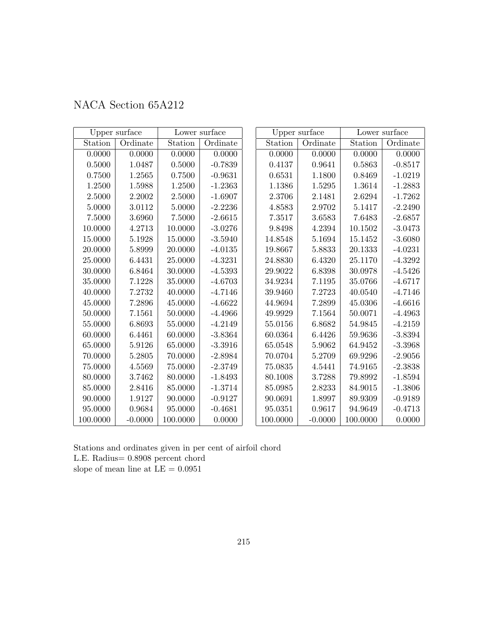| NACA Section 65A212 |  |  |
|---------------------|--|--|
|---------------------|--|--|

|          | Upper surface<br>Lower surface |          |           | Upper surface | Lower surface |          |           |
|----------|--------------------------------|----------|-----------|---------------|---------------|----------|-----------|
| Station  | Ordinate                       | Station  | Ordinate  | Station       | Ordinate      | Station  | Ordinate  |
| 0.0000   | 0.0000                         | 0.0000   | 0.0000    | 0.0000        | 0.0000        | 0.0000   | 0.0000    |
| 0.5000   | 1.0487                         | 0.5000   | $-0.7839$ | 0.4137        | 0.9641        | 0.5863   | $-0.8517$ |
| 0.7500   | 1.2565                         | 0.7500   | $-0.9631$ | 0.6531        | 1.1800        | 0.8469   | $-1.0219$ |
| 1.2500   | 1.5988                         | 1.2500   | $-1.2363$ | 1.1386        | 1.5295        | 1.3614   | $-1.2883$ |
| 2.5000   | 2.2002                         | 2.5000   | $-1.6907$ | 2.3706        | 2.1481        | 2.6294   | $-1.7262$ |
| 5.0000   | 3.0112                         | 5.0000   | $-2.2236$ | 4.8583        | 2.9702        | 5.1417   | $-2.2490$ |
| 7.5000   | 3.6960                         | 7.5000   | $-2.6615$ | 7.3517        | 3.6583        | 7.6483   | $-2.6857$ |
| 10.0000  | 4.2713                         | 10.0000  | $-3.0276$ | 9.8498        | 4.2394        | 10.1502  | $-3.0473$ |
| 15.0000  | 5.1928                         | 15.0000  | $-3.5940$ | 14.8548       | 5.1694        | 15.1452  | $-3.6080$ |
| 20.0000  | 5.8999                         | 20.0000  | $-4.0135$ | 19.8667       | 5.8833        | 20.1333  | $-4.0231$ |
| 25.0000  | 6.4431                         | 25.0000  | $-4.3231$ | 24.8830       | 6.4320        | 25.1170  | $-4.3292$ |
| 30.0000  | 6.8464                         | 30.0000  | $-4.5393$ | 29.9022       | 6.8398        | 30.0978  | $-4.5426$ |
| 35.0000  | 7.1228                         | 35.0000  | $-4.6703$ | 34.9234       | 7.1195        | 35.0766  | $-4.6717$ |
| 40.0000  | 7.2732                         | 40.0000  | $-4.7146$ | 39.9460       | 7.2723        | 40.0540  | $-4.7146$ |
| 45.0000  | 7.2896                         | 45.0000  | $-4.6622$ | 44.9694       | 7.2899        | 45.0306  | $-4.6616$ |
| 50.0000  | 7.1561                         | 50.0000  | $-4.4966$ | 49.9929       | 7.1564        | 50.0071  | $-4.4963$ |
| 55.0000  | 6.8693                         | 55.0000  | $-4.2149$ | 55.0156       | 6.8682        | 54.9845  | $-4.2159$ |
| 60.0000  | 6.4461                         | 60.0000  | $-3.8364$ | 60.0364       | 6.4426        | 59.9636  | $-3.8394$ |
| 65.0000  | 5.9126                         | 65.0000  | $-3.3916$ | 65.0548       | 5.9062        | 64.9452  | $-3.3968$ |
| 70.0000  | 5.2805                         | 70.0000  | $-2.8984$ | 70.0704       | 5.2709        | 69.9296  | $-2.9056$ |
| 75.0000  | 4.5569                         | 75.0000  | $-2.3749$ | 75.0835       | 4.5441        | 74.9165  | $-2.3838$ |
| 80.0000  | 3.7462                         | 80.0000  | $-1.8493$ | 80.1008       | 3.7288        | 79.8992  | $-1.8594$ |
| 85.0000  | 2.8416                         | 85.0000  | $-1.3714$ | 85.0985       | 2.8233        | 84.9015  | $-1.3806$ |
| 90.0000  | 1.9127                         | 90.0000  | $-0.9127$ | 90.0691       | 1.8997        | 89.9309  | $-0.9189$ |
| 95.0000  | 0.9684                         | 95.0000  | $-0.4681$ | 95.0351       | 0.9617        | 94.9649  | $-0.4713$ |
| 100.0000 | $-0.0000$                      | 100.0000 | 0.0000    | 100.0000      | $-0.0000$     | 100.0000 | 0.0000    |

L.E. Radius= 0.8908 percent chord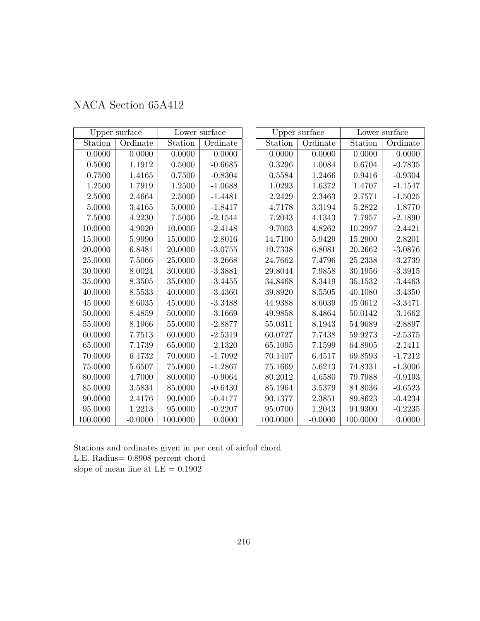|          | Upper surface |          | Lower surface |              | Upper surface |          | Lower surface |
|----------|---------------|----------|---------------|--------------|---------------|----------|---------------|
| Station  | Ordinate      | Station  | Ordinate      | Station      | Ordinate      | Station  | Ordinate      |
| 0.0000   | 0.0000        | 0.0000   | 0.0000        | 0.0000       | 0.0000        | 0.0000   | 0.0000        |
| 0.5000   | 1.1912        | 0.5000   | $-0.6685$     | 0.3296       | 1.0084        | 0.6704   | $-0.7835$     |
| 0.7500   | 1.4165        | 0.7500   | $-0.8304$     | $\,0.5584\,$ | 1.2466        | 0.9416   | $-0.9304$     |
| 1.2500   | 1.7919        | 1.2500   | $-1.0688$     | 1.0293       | 1.6372        | 1.4707   | $-1.1547$     |
| 2.5000   | 2.4664        | 2.5000   | $-1.4481$     | 2.2429       | 2.3463        | 2.7571   | $-1.5025$     |
| 5.0000   | 3.4165        | 5.0000   | $-1.8417$     | 4.7178       | 3.3194        | 5.2822   | $-1.8770$     |
| 7.5000   | 4.2230        | 7.5000   | $-2.1544$     | 7.2043       | 4.1343        | 7.7957   | $-2.1890$     |
| 10.0000  | 4.9020        | 10.0000  | $-2.4148$     | 9.7003       | 4.8262        | 10.2997  | $-2.4421$     |
| 15.0000  | 5.9990        | 15.0000  | $-2.8016$     | 14.7100      | 5.9429        | 15.2900  | $-2.8201$     |
| 20.0000  | 6.8481        | 20.0000  | $-3.0755$     | 19.7338      | 6.8081        | 20.2662  | $-3.0876$     |
| 25.0000  | 7.5066        | 25.0000  | $-3.2668$     | 24.7662      | 7.4796        | 25.2338  | $-3.2739$     |
| 30.0000  | 8.0024        | 30.0000  | $-3.3881$     | 29.8044      | 7.9858        | 30.1956  | $-3.3915$     |
| 35.0000  | 8.3505        | 35.0000  | $-3.4455$     | 34.8468      | 8.3419        | 35.1532  | $-3.4463$     |
| 40.0000  | 8.5533        | 40.0000  | $-3.4360$     | 39.8920      | 8.5505        | 40.1080  | $-3.4350$     |
| 45.0000  | 8.6035        | 45.0000  | $-3.3488$     | 44.9388      | 8.6039        | 45.0612  | $-3.3471$     |
| 50.0000  | 8.4859        | 50.0000  | $-3.1669$     | 49.9858      | 8.4864        | 50.0142  | $-3.1662$     |
| 55.0000  | 8.1966        | 55.0000  | $-2.8877$     | 55.0311      | 8.1943        | 54.9689  | $-2.8897$     |
| 60.0000  | $7.7513\,$    | 60.0000  | $-2.5319$     | 60.0727      | 7.7438        | 59.9273  | $-2.5375$     |
| 65.0000  | 7.1739        | 65.0000  | $-2.1320$     | 65.1095      | 7.1599        | 64.8905  | $-2.1411$     |
| 70.0000  | 6.4732        | 70.0000  | $-1.7092$     | 70.1407      | 6.4517        | 69.8593  | $-1.7212$     |
| 75.0000  | 5.6507        | 75.0000  | $-1.2867$     | 75.1669      | 5.6213        | 74.8331  | $-1.3006$     |
| 80.0000  | 4.7000        | 80.0000  | $-0.9064$     | 80.2012      | 4.6580        | 79.7988  | $-0.9193$     |
| 85.0000  | 3.5834        | 85.0000  | $-0.6430$     | 85.1964      | 3.5379        | 84.8036  | $-0.6523$     |
| 90.0000  | 2.4176        | 90.0000  | $-0.4177$     | 90.1377      | 2.3851        | 89.8623  | $-0.4234$     |
| 95.0000  | 1.2213        | 95.0000  | $-0.2207$     | 95.0700      | 1.2043        | 94.9300  | $-0.2235$     |
| 100.0000 | $-0.0000$     | 100.0000 | 0.0000        | 100.0000     | $-0.0000$     | 100.0000 | 0.0000        |

Stations and ordinates given in per cent of airfoil chord L.E. Radius= 0.8908 percent chord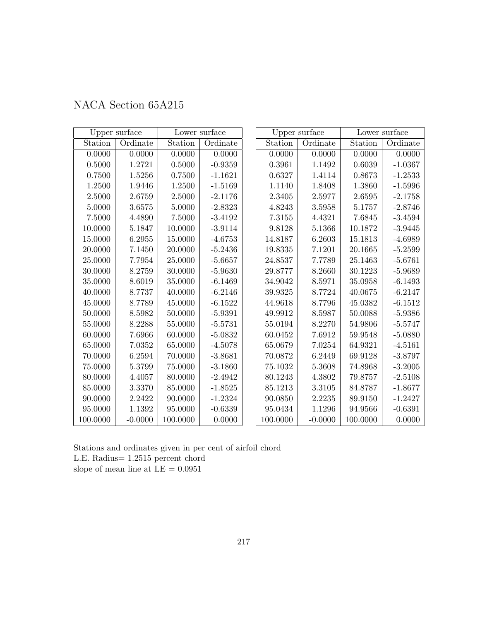| NACA Section 65A215 |  |  |
|---------------------|--|--|
|---------------------|--|--|

|            | Upper surface |          | Lower surface |          | Upper surface |             | Lower surface |
|------------|---------------|----------|---------------|----------|---------------|-------------|---------------|
| Station    | Ordinate      | Station  | Ordinate      | Station  | Ordinate      | Station     | Ordinate      |
| 0.0000     | 0.0000        | 0.0000   | 0.0000        | 0.0000   | 0.0000        | 0.0000      | 0.0000        |
| $0.5000\,$ | 1.2721        | 0.5000   | $-0.9359$     | 0.3961   | 1.1492        | 0.6039      | $-1.0367$     |
| 0.7500     | 1.5256        | 0.7500   | $-1.1621$     | 0.6327   | 1.4114        | 0.8673      | $-1.2533$     |
| 1.2500     | 1.9446        | 1.2500   | $-1.5169$     | 1.1140   | 1.8408        | 1.3860      | $-1.5996$     |
| 2.5000     | 2.6759        | 2.5000   | $-2.1176$     | 2.3405   | 2.5977        | 2.6595      | $-2.1758$     |
| 5.0000     | 3.6575        | 5.0000   | $-2.8323$     | 4.8243   | 3.5958        | 5.1757      | $-2.8746$     |
| 7.5000     | 4.4890        | 7.5000   | $-3.4192$     | 7.3155   | 4.4321        | 7.6845      | $-3.4594$     |
| 10.0000    | 5.1847        | 10.0000  | $-3.9114$     | 9.8128   | 5.1366        | 10.1872     | $-3.9445$     |
| 15.0000    | 6.2955        | 15.0000  | $-4.6753$     | 14.8187  | 6.2603        | 15.1813     | $-4.6989$     |
| 20.0000    | 7.1450        | 20.0000  | $-5.2436$     | 19.8335  | 7.1201        | 20.1665     | $-5.2599$     |
| 25.0000    | 7.7954        | 25.0000  | $-5.6657$     | 24.8537  | 7.7789        | 25.1463     | $-5.6761$     |
| 30.0000    | 8.2759        | 30.0000  | $-5.9630$     | 29.8777  | 8.2660        | 30.1223     | $-5.9689$     |
| 35.0000    | 8.6019        | 35.0000  | $-6.1469$     | 34.9042  | 8.5971        | 35.0958     | $-6.1493$     |
| 40.0000    | 8.7737        | 40.0000  | $-6.2146$     | 39.9325  | 8.7724        | 40.0675     | $-6.2147$     |
| 45.0000    | 8.7789        | 45.0000  | $-6.1522$     | 44.9618  | 8.7796        | $45.0382\,$ | $-6.1512$     |
| 50.0000    | 8.5982        | 50.0000  | $-5.9391$     | 49.9912  | 8.5987        | 50.0088     | $-5.9386$     |
| 55.0000    | 8.2288        | 55.0000  | $-5.5731$     | 55.0194  | 8.2270        | 54.9806     | $-5.5747$     |
| 60.0000    | 7.6966        | 60.0000  | $-5.0832$     | 60.0452  | 7.6912        | 59.9548     | $-5.0880$     |
| 65.0000    | 7.0352        | 65.0000  | $-4.5078$     | 65.0679  | 7.0254        | 64.9321     | $-4.5161$     |
| 70.0000    | 6.2594        | 70.0000  | $-3.8681$     | 70.0872  | 6.2449        | 69.9128     | $-3.8797$     |
| 75.0000    | 5.3799        | 75.0000  | $-3.1860$     | 75.1032  | 5.3608        | 74.8968     | $-3.2005$     |
| 80.0000    | 4.4057        | 80.0000  | $-2.4942$     | 80.1243  | 4.3802        | 79.8757     | $-2.5108$     |
| 85.0000    | 3.3370        | 85.0000  | $-1.8525$     | 85.1213  | 3.3105        | 84.8787     | $-1.8677$     |
| 90.0000    | 2.2422        | 90.0000  | $-1.2324$     | 90.0850  | 2.2235        | 89.9150     | $-1.2427$     |
| 95.0000    | 1.1392        | 95.0000  | $-0.6339$     | 95.0434  | 1.1296        | 94.9566     | $-0.6391$     |
| 100.0000   | $-0.0000$     | 100.0000 | 0.0000        | 100.0000 | $-0.0000$     | 100.0000    | 0.0000        |

Stations and ordinates given in per cent of airfoil chord L.E. Radius= 1.2515 percent chord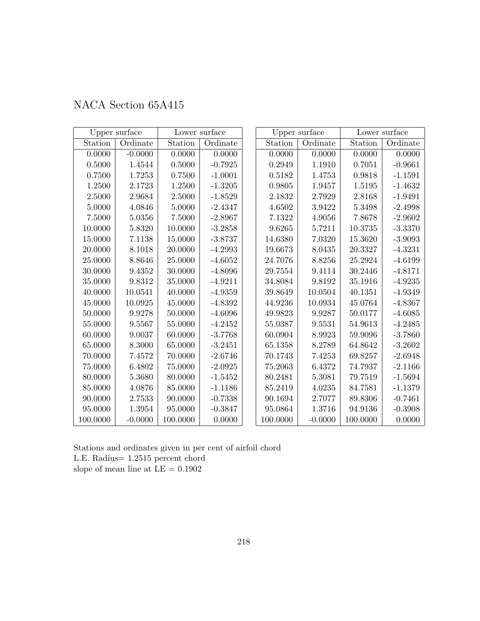| NACA Section 65A415 |
|---------------------|
|---------------------|

|          | Upper surface |          | Lower surface |          | Upper surface |          | Lower surface |
|----------|---------------|----------|---------------|----------|---------------|----------|---------------|
| Station  | Ordinate      | Station  | Ordinate      | Station  | Ordinate      | Station  | Ordinate      |
| 0.0000   | $-0.0000$     | 0.0000   | 0.0000        | 0.0000   | 0.0000        | 0.0000   | 0.0000        |
| 0.5000   | 1.4544        | 0.5000   | $-0.7925$     | 0.2949   | 1.1910        | 0.7051   | $-0.9661$     |
| 0.7500   | 1.7253        | 0.7500   | $-1.0001$     | 0.5182   | 1.4753        | 0.9818   | $-1.1591$     |
| 1.2500   | 2.1723        | 1.2500   | $-1.3205$     | 0.9805   | 1.9457        | 1.5195   | $-1.4632$     |
| 2.5000   | 2.9684        | 2.5000   | $-1.8529$     | 2.1832   | 2.7929        | 2.8168   | $-1.9491$     |
| 5.0000   | 4.0846        | 5.0000   | $-2.4347$     | 4.6502   | 3.9422        | 5.3498   | $-2.4998$     |
| 7.5000   | 5.0356        | 7.5000   | $-2.8967$     | 7.1322   | 4.9056        | 7.8678   | $-2.9602$     |
| 10.0000  | 5.8320        | 10.0000  | $-3.2858$     | 9.6265   | 5.7211        | 10.3735  | $-3.3370$     |
| 15.0000  | 7.1138        | 15.0000  | $-3.8737$     | 14.6380  | 7.0320        | 15.3620  | $-3.9093$     |
| 20.0000  | 8.1018        | 20.0000  | $-4.2993$     | 19.6673  | 8.0435        | 20.3327  | $-4.3231$     |
| 25.0000  | 8.8646        | 25.0000  | $-4.6052$     | 24.7076  | 8.8256        | 25.2924  | $-4.6199$     |
| 30.0000  | 9.4352        | 30.0000  | $-4.8096$     | 29.7554  | 9.4114        | 30.2446  | $-4.8171$     |
| 35.0000  | 9.8312        | 35.0000  | $-4.9211$     | 34.8084  | 9.8192        | 35.1916  | $-4.9235$     |
| 40.0000  | 10.0541       | 40.0000  | $-4.9359$     | 39.8649  | 10.0504       | 40.1351  | $-4.9349$     |
| 45.0000  | 10.0925       | 45.0000  | $-4.8392$     | 44.9236  | 10.0934       | 45.0764  | $-4.8367$     |
| 50.0000  | 9.9278        | 50.0000  | $-4.6096$     | 49.9823  | 9.9287        | 50.0177  | $-4.6085$     |
| 55.0000  | 9.5567        | 55.0000  | $-4.2452$     | 55.0387  | 9.5531        | 54.9613  | $-4.2485$     |
| 60.0000  | 9.0037        | 60.0000  | $-3.7768$     | 60.0904  | 8.9923        | 59.9096  | $-3.7860$     |
| 65.0000  | 8.3000        | 65.0000  | $-3.2451$     | 65.1358  | 8.2789        | 64.8642  | $-3.2602$     |
| 70.0000  | 7.4572        | 70.0000  | $-2.6746$     | 70.1743  | 7.4253        | 69.8257  | $-2.6948$     |
| 75.0000  | 6.4802        | 75.0000  | $-2.0925$     | 75.2063  | 6.4372        | 74.7937  | $-2.1166$     |
| 80.0000  | 5.3680        | 80.0000  | $-1.5452$     | 80.2481  | 5.3081        | 79.7519  | $-1.5694$     |
| 85.0000  | 4.0876        | 85.0000  | $-1.1186$     | 85.2419  | 4.0235        | 84.7581  | $-1.1379$     |
| 90.0000  | 2.7533        | 90.0000  | $-0.7338$     | 90.1694  | 2.7077        | 89.8306  | $-0.7461$     |
| 95.0000  | 1.3954        | 95.0000  | $-0.3847$     | 95.0864  | 1.3716        | 94.9136  | $-0.3908$     |
| 100.0000 | $-0.0000$     | 100.0000 | 0.0000        | 100.0000 | $-0.0000$     | 100.0000 | 0.0000        |

Stations and ordinates given in per cent of airfoil chord L.E. Radius= 1.2515 percent chord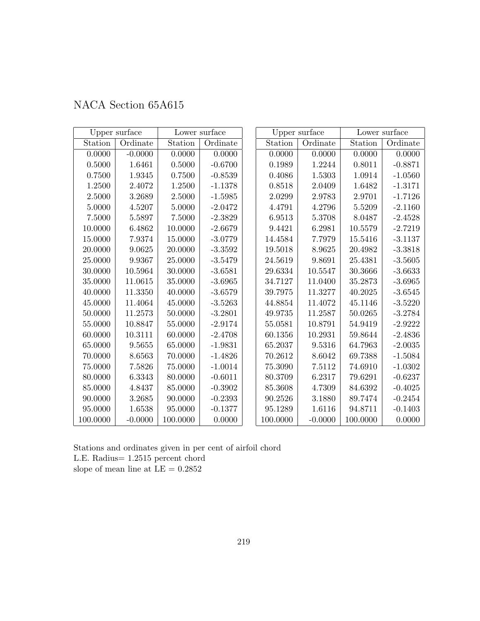| NACA Section 65A615 |  |  |
|---------------------|--|--|
|---------------------|--|--|

|          | Upper surface |          | Lower surface |          | Upper surface |          | Lower surface |
|----------|---------------|----------|---------------|----------|---------------|----------|---------------|
| Station  | Ordinate      | Station  | Ordinate      | Station  | Ordinate      | Station  | Ordinate      |
| 0.0000   | $-0.0000$     | 0.0000   | 0.0000        | 0.0000   | 0.0000        | 0.0000   | 0.0000        |
| 0.5000   | 1.6461        | 0.5000   | $-0.6700$     | 0.1989   | 1.2244        | 0.8011   | $-0.8871$     |
| 0.7500   | 1.9345        | 0.7500   | $-0.8539$     | 0.4086   | 1.5303        | 1.0914   | $-1.0560$     |
| 1.2500   | 2.4072        | 1.2500   | $-1.1378$     | 0.8518   | 2.0409        | 1.6482   | $-1.3171$     |
| 2.5000   | 3.2689        | 2.5000   | $-1.5985$     | 2.0299   | 2.9783        | 2.9701   | $-1.7126$     |
| 5.0000   | 4.5207        | 5.0000   | $-2.0472$     | 4.4791   | 4.2796        | 5.5209   | $-2.1160$     |
| 7.5000   | 5.5897        | 7.5000   | $-2.3829$     | 6.9513   | 5.3708        | 8.0487   | $-2.4528$     |
| 10.0000  | 6.4862        | 10.0000  | $-2.6679$     | 9.4421   | 6.2981        | 10.5579  | $-2.7219$     |
| 15.0000  | 7.9374        | 15.0000  | $-3.0779$     | 14.4584  | 7.7979        | 15.5416  | $-3.1137$     |
| 20.0000  | 9.0625        | 20.0000  | $-3.3592$     | 19.5018  | 8.9625        | 20.4982  | $-3.3818$     |
| 25.0000  | 9.9367        | 25.0000  | $-3.5479$     | 24.5619  | 9.8691        | 25.4381  | $-3.5605$     |
| 30.0000  | 10.5964       | 30.0000  | $-3.6581$     | 29.6334  | 10.5547       | 30.3666  | $-3.6633$     |
| 35.0000  | 11.0615       | 35.0000  | $-3.6965$     | 34.7127  | 11.0400       | 35.2873  | $-3.6965$     |
| 40.0000  | 11.3350       | 40.0000  | $-3.6579$     | 39.7975  | 11.3277       | 40.2025  | $-3.6545$     |
| 45.0000  | 11.4064       | 45.0000  | $-3.5263$     | 44.8854  | 11.4072       | 45.1146  | $-3.5220$     |
| 50.0000  | 11.2573       | 50.0000  | $-3.2801$     | 49.9735  | 11.2587       | 50.0265  | $-3.2784$     |
| 55.0000  | 10.8847       | 55.0000  | $-2.9174$     | 55.0581  | 10.8791       | 54.9419  | $-2.9222$     |
| 60.0000  | 10.3111       | 60.0000  | $-2.4708$     | 60.1356  | 10.2931       | 59.8644  | $-2.4836$     |
| 65.0000  | 9.5655        | 65.0000  | $-1.9831$     | 65.2037  | 9.5316        | 64.7963  | $-2.0035$     |
| 70.0000  | 8.6563        | 70.0000  | $-1.4826$     | 70.2612  | 8.6042        | 69.7388  | $-1.5084$     |
| 75.0000  | 7.5826        | 75.0000  | $-1.0014$     | 75.3090  | 7.5112        | 74.6910  | $-1.0302$     |
| 80.0000  | 6.3343        | 80.0000  | $-0.6011$     | 80.3709  | 6.2317        | 79.6291  | $-0.6237$     |
| 85.0000  | 4.8437        | 85.0000  | $-0.3902$     | 85.3608  | 4.7309        | 84.6392  | $-0.4025$     |
| 90.0000  | 3.2685        | 90.0000  | $-0.2393$     | 90.2526  | 3.1880        | 89.7474  | $-0.2454$     |
| 95.0000  | 1.6538        | 95.0000  | $-0.1377$     | 95.1289  | 1.6116        | 94.8711  | $-0.1403$     |
| 100.0000 | $-0.0000$     | 100.0000 | 0.0000        | 100.0000 | $-0.0000$     | 100.0000 | 0.0000        |

Stations and ordinates given in per cent of airfoil chord L.E. Radius= 1.2515 percent chord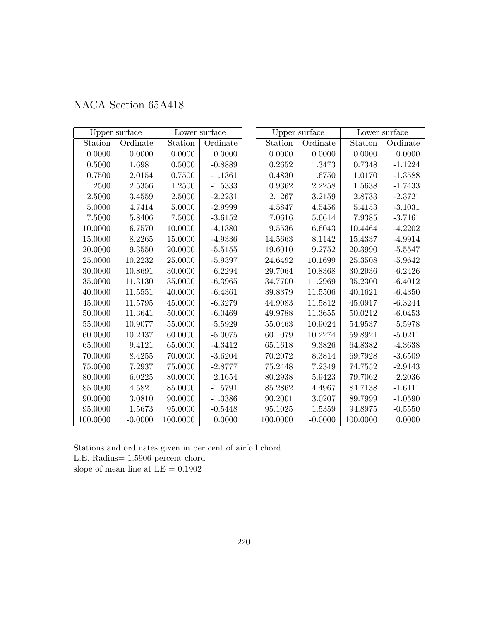| NACA Section 65A418 |  |
|---------------------|--|
|---------------------|--|

|          | Upper surface |          | Lower surface |          | Upper surface |          | Lower surface |
|----------|---------------|----------|---------------|----------|---------------|----------|---------------|
| Station  | Ordinate      | Station  | Ordinate      | Station  | Ordinate      | Station  | Ordinate      |
| 0.0000   | 0.0000        | 0.0000   | 0.0000        | 0.0000   | 0.0000        | 0.0000   | 0.0000        |
| 0.5000   | 1.6981        | 0.5000   | $-0.8889$     | 0.2652   | 1.3473        | 0.7348   | $-1.1224$     |
| 0.7500   | 2.0154        | 0.7500   | $-1.1361$     | 0.4830   | 1.6750        | 1.0170   | $-1.3588$     |
| 1.2500   | 2.5356        | 1.2500   | $-1.5333$     | 0.9362   | 2.2258        | 1.5638   | $-1.7433$     |
| 2.5000   | 3.4559        | 2.5000   | $-2.2231$     | 2.1267   | 3.2159        | 2.8733   | $-2.3721$     |
| 5.0000   | 4.7414        | 5.0000   | $-2.9999$     | 4.5847   | 4.5456        | 5.4153   | $-3.1031$     |
| 7.5000   | 5.8406        | 7.5000   | $-3.6152$     | 7.0616   | 5.6614        | 7.9385   | $-3.7161$     |
| 10.0000  | 6.7570        | 10.0000  | $-4.1380$     | 9.5536   | 6.6043        | 10.4464  | $-4.2202$     |
| 15.0000  | 8.2265        | 15.0000  | $-4.9336$     | 14.5663  | 8.1142        | 15.4337  | $-4.9914$     |
| 20.0000  | 9.3550        | 20.0000  | $-5.5155$     | 19.6010  | 9.2752        | 20.3990  | $-5.5547$     |
| 25.0000  | 10.2232       | 25.0000  | $-5.9397$     | 24.6492  | 10.1699       | 25.3508  | $-5.9642$     |
| 30.0000  | 10.8691       | 30.0000  | $-6.2294$     | 29.7064  | 10.8368       | 30.2936  | $-6.2426$     |
| 35.0000  | 11.3130       | 35.0000  | $-6.3965$     | 34.7700  | 11.2969       | 35.2300  | $-6.4012$     |
| 40.0000  | 11.5551       | 40.0000  | $-6.4361$     | 39.8379  | 11.5506       | 40.1621  | $-6.4350$     |
| 45.0000  | 11.5795       | 45.0000  | $-6.3279$     | 44.9083  | 11.5812       | 45.0917  | $-6.3244$     |
| 50.0000  | 11.3641       | 50.0000  | $-6.0469$     | 49.9788  | 11.3655       | 50.0212  | $-6.0453$     |
| 55.0000  | 10.9077       | 55.0000  | $-5.5929$     | 55.0463  | 10.9024       | 54.9537  | $-5.5978$     |
| 60.0000  | 10.2437       | 60.0000  | $-5.0075$     | 60.1079  | 10.2274       | 59.8921  | $-5.0211$     |
| 65.0000  | 9.4121        | 65.0000  | $-4.3412$     | 65.1618  | 9.3826        | 64.8382  | $-4.3638$     |
| 70.0000  | 8.4255        | 70.0000  | $-3.6204$     | 70.2072  | 8.3814        | 69.7928  | $-3.6509$     |
| 75.0000  | 7.2937        | 75.0000  | $-2.8777$     | 75.2448  | 7.2349        | 74.7552  | $-2.9143$     |
| 80.0000  | 6.0225        | 80.0000  | $-2.1654$     | 80.2938  | 5.9423        | 79.7062  | $-2.2036$     |
| 85.0000  | 4.5821        | 85.0000  | $-1.5791$     | 85.2862  | 4.4967        | 84.7138  | $-1.6111$     |
| 90.0000  | 3.0810        | 90.0000  | $-1.0386$     | 90.2001  | 3.0207        | 89.7999  | $-1.0590$     |
| 95.0000  | 1.5673        | 95.0000  | $-0.5448$     | 95.1025  | 1.5359        | 94.8975  | $-0.5550$     |
| 100.0000 | $-0.0000$     | 100.0000 | 0.0000        | 100.0000 | $-0.0000$     | 100.0000 | 0.0000        |

Stations and ordinates given in per cent of airfoil chord L.E. Radius= 1.5906 percent chord